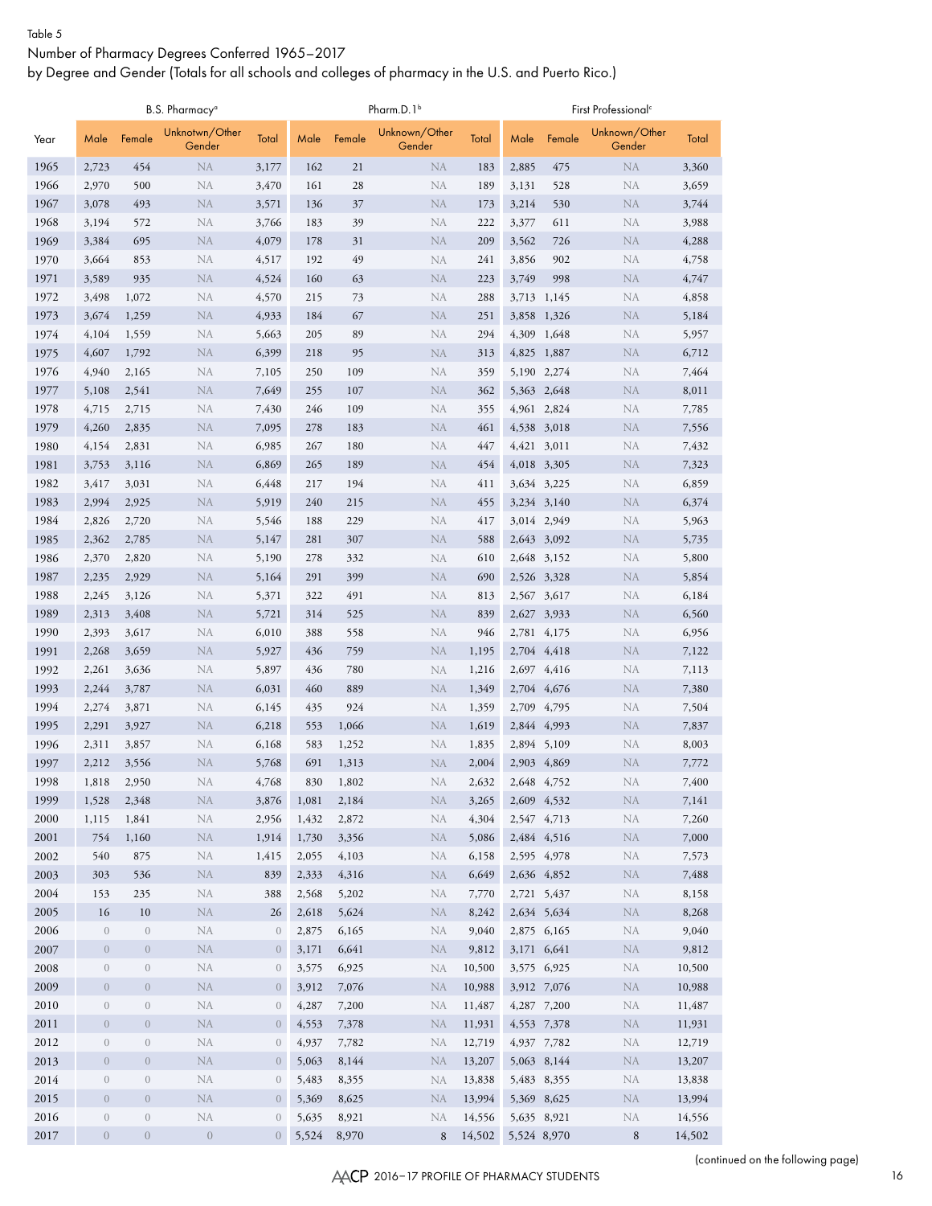#### Table 5

### Number of Pharmacy Degrees Conferred 1965–2017

by Degree and Gender (Totals for all schools and colleges of pharmacy in the U.S. and Puerto Rico.)

|              |                              |                                | B.S. Pharmacy <sup>a</sup> |                              |                |                | Pharm.D.1 <sup>b</sup>  |                  |             |                            | First Professional <sup>c</sup> |                  |
|--------------|------------------------------|--------------------------------|----------------------------|------------------------------|----------------|----------------|-------------------------|------------------|-------------|----------------------------|---------------------------------|------------------|
| Year         | Male                         | Female                         | Unknotwn/Other<br>Gender   | Total                        | Male           | Female         | Unknown/Other<br>Gender | Total            | Male        | Female                     | Unknown/Other<br>Gender         | Total            |
| 1965         | 2,723                        | 454                            | <b>NA</b>                  | 3,177                        | 162            | 21             | <b>NA</b>               | 183              | 2,885       | 475                        | <b>NA</b>                       | 3,360            |
| 1966         | 2,970                        | 500                            | NA                         | 3,470                        | 161            | 28             | NA                      | 189              | 3,131       | 528                        | NA                              | 3,659            |
| 1967         | 3,078                        | 493                            | <b>NA</b>                  | 3,571                        | 136            | 37             | NA                      | 173              | 3,214       | 530                        | <b>NA</b>                       | 3,744            |
| 1968         | 3,194                        | 572                            | <b>NA</b>                  | 3,766                        | 183            | 39             | NA                      | 222              | 3,377       | 611                        | NA                              | 3,988            |
| 1969         | 3,384                        | 695                            | <b>NA</b>                  | 4,079                        | 178            | 31             | <b>NA</b>               | 209              | 3,562       | 726                        | <b>NA</b>                       | 4,288            |
| 1970         | 3,664                        | 853                            | <b>NA</b>                  | 4,517                        | 192            | 49             | NA                      | 241              | 3,856       | 902                        | NA                              | 4,758            |
| 1971         | 3,589                        | 935                            | <b>NA</b>                  | 4,524                        | 160            | 63             | <b>NA</b>               | 223              | 3,749       | 998                        | NA                              | 4,747            |
| 1972         | 3,498                        | 1,072                          | <b>NA</b>                  | 4,570                        | 215            | 73             | <b>NA</b>               | 288              |             | 3,713 1,145                | NA                              | 4,858            |
| 1973         | 3,674                        | 1,259                          | <b>NA</b>                  | 4,933                        | 184            | 67             | <b>NA</b>               | 251              |             | 3,858 1,326                | <b>NA</b>                       | 5,184            |
| 1974         | 4,104                        | 1,559                          | <b>NA</b>                  | 5,663                        | 205            | 89             | NA                      | 294              | 4,309       | 1,648                      | <b>NA</b>                       | 5,957            |
| 1975         | 4,607                        | 1,792                          | <b>NA</b>                  | 6,399                        | 218            | 95             | <b>NA</b>               | 313              | 4,825 1,887 |                            | <b>NA</b>                       | 6,712            |
| 1976         | 4,940                        | 2,165                          | <b>NA</b>                  | 7,105                        | 250            | 109            | NA                      | 359              |             | 5,190 2,274                | <b>NA</b>                       | 7,464            |
| 1977<br>1978 | 5,108<br>4,715               | 2,541<br>2,715                 | <b>NA</b><br><b>NA</b>     | 7,649                        | 255<br>246     | 107<br>109     | <b>NA</b><br>NA         | 362<br>355       |             | 5,363 2,648<br>4,961 2,824 | <b>NA</b><br><b>NA</b>          | 8,011            |
| 1979         | 4,260                        | 2,835                          | <b>NA</b>                  | 7,430<br>7,095               | 278            | 183            | <b>NA</b>               | 461              |             | 4,538 3,018                | <b>NA</b>                       | 7,785<br>7,556   |
| 1980         | 4,154                        | 2,831                          | <b>NA</b>                  | 6,985                        | 267            | 180            | NA                      | 447              | 4,421 3,011 |                            | <b>NA</b>                       | 7,432            |
| 1981         | 3,753                        | 3,116                          | <b>NA</b>                  | 6,869                        | 265            | 189            | <b>NA</b>               | 454              |             | 4,018 3,305                | <b>NA</b>                       | 7,323            |
| 1982         | 3,417                        | 3,031                          | <b>NA</b>                  | 6,448                        | 217            | 194            | NA                      | 411              |             | 3,634 3,225                | <b>NA</b>                       | 6,859            |
| 1983         | 2,994                        | 2,925                          | <b>NA</b>                  | 5,919                        | 240            | 215            | <b>NA</b>               | 455              |             | 3,234 3,140                | <b>NA</b>                       | 6,374            |
| 1984         | 2,826                        | 2,720                          | NA                         | 5,546                        | 188            | 229            | NA                      | 417              |             | 3,014 2,949                | NA                              | 5,963            |
| 1985         | 2,362                        | 2,785                          | <b>NA</b>                  | 5,147                        | 281            | 307            | <b>NA</b>               | 588              |             | 2,643 3,092                | <b>NA</b>                       | 5,735            |
| 1986         | 2,370                        | 2,820                          | <b>NA</b>                  | 5,190                        | 278            | 332            | NA                      | 610              |             | 2,648 3,152                | NA                              | 5,800            |
| 1987         | 2,235                        | 2,929                          | <b>NA</b>                  | 5,164                        | 291            | 399            | <b>NA</b>               | 690              |             | 2,526 3,328                | NA                              | 5,854            |
| 1988         | 2,245                        | 3,126                          | <b>NA</b>                  | 5,371                        | 322            | 491            | NA                      | 813              |             | 2,567 3,617                | <b>NA</b>                       | 6,184            |
| 1989         | 2,313                        | 3,408                          | <b>NA</b>                  | 5,721                        | 314            | 525            | <b>NA</b>               | 839              |             | 2,627 3,933                | NA                              | 6,560            |
| 1990         | 2,393                        | 3,617                          | <b>NA</b>                  | 6,010                        | 388            | 558            | NA                      | 946              |             | 2,781 4,175                | <b>NA</b>                       | 6,956            |
| 1991         | 2,268                        | 3,659                          | <b>NA</b>                  | 5,927                        | 436            | 759            | <b>NA</b>               | 1,195            |             | 2,704 4,418                | <b>NA</b>                       | 7,122            |
| 1992         | 2,261                        | 3,636                          | <b>NA</b>                  | 5,897                        | 436            | 780            | NA                      | 1,216            |             | 2,697 4,416                | NA                              | 7,113            |
| 1993         | 2,244                        | 3,787                          | <b>NA</b>                  | 6,031                        | 460            | 889            | <b>NA</b>               | 1,349            |             | 2,704 4,676                | <b>NA</b>                       | 7,380            |
| 1994         | 2,274                        | 3,871                          | <b>NA</b>                  | 6,145                        | 435            | 924            | NA                      | 1,359            | 2,709       | 4,795                      | NA                              | 7,504            |
| 1995         | 2,291                        | 3,927                          | <b>NA</b>                  | 6,218                        | 553            | 1,066          | <b>NA</b>               | 1,619            |             | 2,844 4,993                | NA                              | 7,837            |
| 1996         | 2,311                        | 3,857                          | <b>NA</b>                  | 6,168                        | 583            | 1,252          | <b>NA</b>               | 1,835            |             | 2,894 5,109                | NA                              | 8,003            |
| 1997         | 2,212                        | 3,556                          | <b>NA</b>                  | 5,768                        | 691            | 1,313          | NA                      | 2,004            |             | 2,903 4,869                | NA                              | 7,772            |
| 1998         | 1,818                        | 2,950                          | ${\rm NA}$                 | 4,768                        | 830            | 1,802          | ${\rm NA}$              | 2,632            | 2,648 4,752 |                            | $\rm NA$                        | 7,400            |
| 1999         | 1,528                        | 2,348                          | <b>NA</b>                  | 3,876                        | 1,081          | 2,184          | <b>NA</b>               | 3,265            |             | 2,609 4,532                | <b>NA</b>                       | 7,141            |
| 2000         | 1,115                        | 1,841                          | NA                         | 2,956                        | 1,432          | 2,872          | NA                      | 4,304            |             | 2,547 4,713                | ${\rm NA}$                      | 7,260            |
| 2001         | 754                          | 1,160                          | <b>NA</b>                  | 1,914                        | 1,730          | 3,356          | NA                      | 5,086            |             | 2,484 4,516                | <b>NA</b>                       | 7,000            |
| 2002         | 540                          | 875                            | NA                         | 1,415                        | 2,055          | 4,103          | NA                      | 6,158            | 2,595 4,978 |                            | NA                              | 7,573            |
| 2003         | 303                          | 536                            | <b>NA</b>                  | 839                          | 2,333          | 4,316          | NA                      | 6,649            |             | 2,636 4,852                | <b>NA</b>                       | 7,488            |
| 2004         | 153                          | 235                            | ${\rm NA}$                 | 388                          | 2,568          | 5,202          | NA                      | 7,770            |             | 2,721 5,437                | NA                              | 8,158            |
| 2005         | 16                           | $10\,$                         | NA                         | 26                           | 2,618          | 5,624          | NA                      | 8,242            | 2,634 5,634 |                            | <b>NA</b>                       | 8,268            |
| 2006         | $\overline{0}$               | $\boldsymbol{0}$               | ${\rm NA}$                 | $\boldsymbol{0}$             | 2,875          | 6,165          | NA                      | 9,040            |             | 2,875 6,165                | NA                              | 9,040            |
| 2007         | $\theta$                     | $\boldsymbol{0}$               | <b>NA</b>                  | $\overline{0}$               | 3,171          | 6,641          | NA                      | 9,812            | 3,171 6,641 |                            | <b>NA</b>                       | 9,812            |
| 2008         | $\mathbf{0}$                 | $\sqrt{a}$                     | ${\rm NA}$                 | $\theta$                     | 3,575          | 6,925          | NA                      | 10,500           |             | 3,575 6,925                | NA                              | 10,500           |
| 2009<br>2010 | $\boldsymbol{0}$<br>$\theta$ | $\boldsymbol{0}$<br>$\sqrt{a}$ | ${\rm NA}$<br>NA           | $\boldsymbol{0}$<br>$\theta$ | 3,912<br>4,287 | 7,076<br>7,200 | <b>NA</b><br><b>NA</b>  | 10,988<br>11,487 | 4,287 7,200 | 3,912 7,076                | ${\rm NA}$<br>NA                | 10,988<br>11,487 |
| 2011         | $\boldsymbol{0}$             | $\boldsymbol{0}$               | NA                         | $\boldsymbol{0}$             | 4,553          | 7,378          | <b>NA</b>               | 11,931           |             | 4,553 7,378                | ${\rm NA}$                      | 11,931           |
| 2012         | $\overline{0}$               | $\boldsymbol{0}$               | NA                         | $\theta$                     | 4,937          | 7,782          | NA                      | 12,719           | 4,937 7,782 |                            | NA                              | 12,719           |
| 2013         | $\mathbf{0}$                 | $\boldsymbol{0}$               | NA                         | $\boldsymbol{0}$             | 5,063          | 8,144          | <b>NA</b>               | 13,207           |             | 5,063 8,144                | ${\rm NA}$                      | 13,207           |
| 2014         | $\overline{0}$               | $\boldsymbol{0}$               | ${\rm NA}$                 | $\theta$                     | 5,483          | 8,355          | NA                      | 13,838           |             | 5,483 8,355                | NA                              | 13,838           |
| 2015         | $\mathbf{0}$                 | $\sqrt{a}$                     | NA                         | $\boldsymbol{0}$             | 5,369          | 8,625          | NA                      | 13,994           | 5,369 8,625 |                            | NA                              | 13,994           |
| 2016         | $\boldsymbol{0}$             | $\sqrt{a}$                     | ${\rm NA}$                 | $\boldsymbol{0}$             | 5,635          | 8,921          | NA                      | 14,556           | 5,635 8,921 |                            | NA                              | 14,556           |
| 2017         | $\overline{0}$               | $\boldsymbol{0}$               | $\,0\,$                    | $\overline{0}$               | 5,524          | 8,970          | 8                       | 14,502           | 5,524 8,970 |                            | $8\,$                           | 14,502           |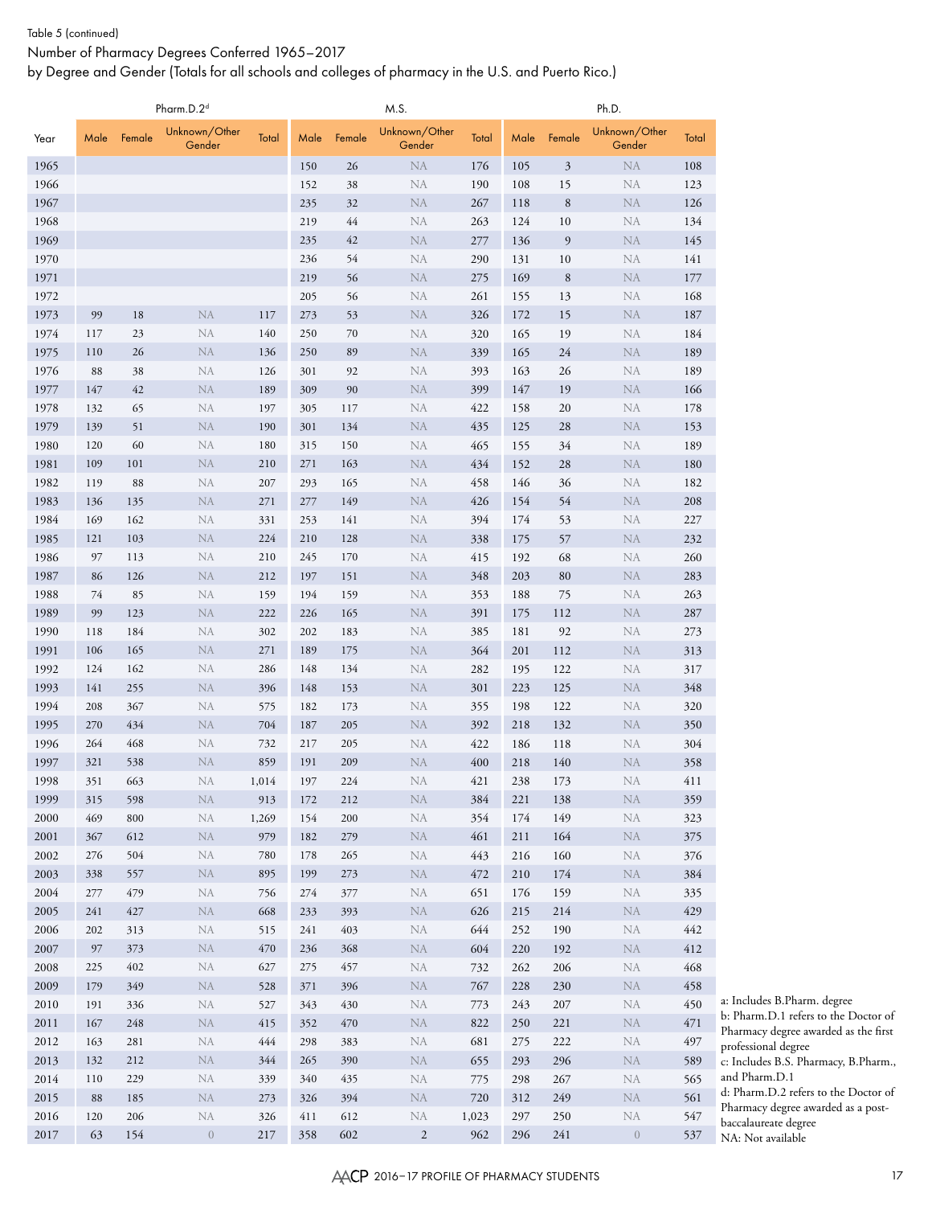#### Table 5 (continued)

Number of Pharmacy Degrees Conferred 1965–2017

by Degree and Gender (Totals for all schools and colleges of pharmacy in the U.S. and Puerto Rico.)

|              |            |            | Pharm.D.2 <sup>d</sup>  |            |            |            | M.S.                     |            |            |                | Ph.D.                   |            |
|--------------|------------|------------|-------------------------|------------|------------|------------|--------------------------|------------|------------|----------------|-------------------------|------------|
| Year         | Male       | Female     | Unknown/Other<br>Gender | Total      | Male       | Female     | Unknown/Other<br>Gender  | Total      | Male       | Female         | Unknown/Other<br>Gender | Total      |
| 1965         |            |            |                         |            | 150        | 26         | <b>NA</b>                | 176        | 105        | $\mathfrak{Z}$ | <b>NA</b>               | 108        |
| 1966         |            |            |                         |            | 152        | 38         | <b>NA</b>                | 190        | 108        | 15             | <b>NA</b>               | 123        |
| 1967         |            |            |                         |            | 235        | 32         | <b>NA</b>                | 267        | 118        | 8              | <b>NA</b>               | 126        |
| 1968         |            |            |                         |            | 219        | 44         | <b>NA</b>                | 263        | 124        | 10             | <b>NA</b>               | 134        |
| 1969         |            |            |                         |            | 235        | 42         | <b>NA</b>                | 277        | 136        | 9              | NA                      | 145        |
| 1970         |            |            |                         |            | 236        | 54         | NA                       | 290        | 131        | 10             | NA                      | 141        |
| 1971<br>1972 |            |            |                         |            | 219<br>205 | 56<br>56   | <b>NA</b><br><b>NA</b>   | 275<br>261 | 169        | $\,8\,$        | <b>NA</b><br><b>NA</b>  | 177<br>168 |
| 1973         | 99         | 18         | <b>NA</b>               | 117        | 273        | 53         | <b>NA</b>                | 326        | 155<br>172 | 13<br>15       | <b>NA</b>               | 187        |
| 1974         | 117        | 23         | NA                      | 140        | 250        | 70         | NA                       | 320        | 165        | 19             | <b>NA</b>               | 184        |
| 1975         | 110        | 26         | NA                      | 136        | 250        | 89         | <b>NA</b>                | 339        | 165        | 24             | <b>NA</b>               | 189        |
| 1976         | 88         | 38         | NA                      | 126        | 301        | 92         | <b>NA</b>                | 393        | 163        | 26             | <b>NA</b>               | 189        |
| 1977         | 147        | 42         | NA                      | 189        | 309        | 90         | <b>NA</b>                | 399        | 147        | 19             | <b>NA</b>               | 166        |
| 1978         | 132        | 65         | NA                      | 197        | 305        | 117        | <b>NA</b>                | 422        | 158        | 20             | <b>NA</b>               | 178        |
| 1979         | 139        | 51         | <b>NA</b>               | 190        | 301        | 134        | <b>NA</b>                | 435        | 125        | 28             | <b>NA</b>               | 153        |
| 1980         | 120        | 60         | NA                      | 180        | 315        | 150        | NA                       | 465        | 155        | 34             | <b>NA</b>               | 189        |
| 1981         | 109        | 101        | <b>NA</b>               | 210        | 271        | 163        | <b>NA</b>                | 434        | 152        | 28             | <b>NA</b>               | 180        |
| 1982         | 119        | 88         | NA                      | 207        | 293        | 165        | NA                       | 458        | 146        | 36             | NA                      | 182        |
| 1983         | 136        | 135        | <b>NA</b>               | 271        | 277        | 149        | <b>NA</b>                | 426        | 154        | 54             | <b>NA</b>               | 208        |
| 1984         | 169        | 162        | NA                      | 331        | 253        | 141        | NA                       | 394        | 174        | 53             | NA                      | 227        |
| 1985         | 121        | 103        | <b>NA</b>               | 224        | 210        | 128        | <b>NA</b>                | 338        | 175        | 57             | <b>NA</b>               | 232        |
| 1986         | 97         | 113        | NA                      | 210        | 245        | 170        | <b>NA</b>                | 415        | 192        | 68             | NA                      | 260        |
| 1987         | 86         | 126        | <b>NA</b>               | 212        | 197        | 151        | <b>NA</b>                | 348        | 203        | 80             | <b>NA</b>               | 283        |
| 1988         | 74         | 85         | NA                      | 159        | 194        | 159        | <b>NA</b>                | 353        | 188        | 75             | NA                      | 263        |
| 1989         | 99<br>118  | 123<br>184 | <b>NA</b><br><b>NA</b>  | 222<br>302 | 226<br>202 | 165<br>183 | <b>NA</b>                | 391        | 175        | 112            | NA                      | 287        |
| 1990<br>1991 | 106        | 165        | <b>NA</b>               | 271        | 189        | 175        | <b>NA</b><br><b>NA</b>   | 385<br>364 | 181<br>201 | 92<br>112      | NA<br><b>NA</b>         | 273<br>313 |
| 1992         | 124        | 162        | NA                      | 286        | 148        | 134        | <b>NA</b>                | 282        | 195        | 122            | NA                      | 317        |
| 1993         | 141        | 255        | <b>NA</b>               | 396        | 148        | 153        | <b>NA</b>                | 301        | 223        | 125            | NA                      | 348        |
| 1994         | 208        | 367        | NA                      | 575        | 182        | 173        | <b>NA</b>                | 355        | 198        | 122            | NA                      | 320        |
| 1995         | 270        | 434        | <b>NA</b>               | 704        | 187        | 205        | NA                       | 392        | 218        | 132            | <b>NA</b>               | 350        |
| 1996         | 264        | 468        | NA                      | 732        | 217        | 205        | NA                       | 422        | 186        | 118            | NA                      | 304        |
| 1997         | 321        | 538        | <b>NA</b>               | 859        | 191        | 209        | <b>NA</b>                | 400        | 218        | 140            | <b>NA</b>               | 358        |
| 1998         | 351        | 663        | NA                      | 1,014      | 197        | 224        | NA                       | 421        | 238        | 173            | $\rm NA$                | 411        |
| 1999         | 315        | 598        | ${\rm NA}$              | 913        | 172        | 212        | NA                       | 384        | 221        | 138            | <b>NA</b>               | 359        |
| 2000         | 469        | 800        | ${\rm NA}$              | 1,269      | 154        | 200        | ${\rm NA}$               | 354        | 174        | 149            | ${\rm NA}$              | 323        |
| $2001\,$     | 367        | 612        | ${\rm NA}$              | 979        | 182        | 279        | $\rm NA$                 | 461        | 211        | 164            | NA                      | 375        |
| 2002         | 276        | 504        | NA                      | 780        | 178        | 265        | ${\rm NA}$               | 443        | 216        | 160            | ${\rm NA}$              | 376        |
| 2003         | 338        | 557        | ${\rm NA}$              | 895        | 199        | 273        | $\rm NA$                 | 472        | 210        | 174            | NA                      | 384        |
| 2004         | 277        | 479        | ${\rm NA}$              | 756        | 274        | 377        | ${\rm NA}$               | 651        | 176        | 159            | NA                      | 335        |
| 2005         | 241<br>202 | 427        | ${\rm NA}$<br>NA        | 668        | 233<br>241 | 393<br>403 | $\rm NA$                 | 626        | 215<br>252 | 214            | ${\rm NA}$<br>NA        | 429        |
| 2006<br>2007 | 97         | 313<br>373 | ${\rm NA}$              | 515<br>470 | 236        | 368        | ${\rm NA}$<br>${\rm NA}$ | 644<br>604 | 220        | 190<br>192     | ${\rm NA}$              | 442<br>412 |
| 2008         | 225        | 402        | ${\rm NA}$              | 627        | 275        | 457        | ${\rm NA}$               | 732        | 262        | 206            | NA                      | 468        |
| 2009         | 179        | 349        | ${\rm NA}$              | 528        | 371        | 396        | NA                       | 767        | 228        | 230            | ${\rm NA}$              | 458        |
| 2010         | 191        | 336        | ${\rm NA}$              | 527        | 343        | 430        | ${\rm NA}$               | 773        | 243        | 207            | NA                      | 450        |
| $2011\,$     | 167        | 248        | NA                      | 415        | 352        | 470        | NA                       | 822        | 250        | 221            | <b>NA</b>               | 471        |
| 2012         | 163        | 281        | NA                      | 444        | 298        | 383        | ${\rm NA}$               | 681        | 275        | 222            | NA                      | 497        |
| 2013         | 132        | 212        | NA                      | 344        | 265        | 390        | NA                       | 655        | 293        | 296            | NA                      | 589        |
| 2014         | 110        | 229        | NA                      | 339        | 340        | 435        | ${\rm NA}$               | 775        | 298        | 267            | NA                      | 565        |
| 2015         | 88         | 185        | <b>NA</b>               | 273        | 326        | 394        | ${\rm NA}$               | 720        | 312        | 249            | NA                      | 561        |
| 2016         | 120        | 206        | ${\rm NA}$              | 326        | 411        | 612        | NA                       | 1,023      | 297        | 250            | ${\rm NA}$              | 547        |
| 2017         | 63         | 154        | $\overline{0}$          | 217        | 358        | 602        | $\overline{2}$           | 962        | 296        | 241            | $\boldsymbol{0}$        | 537        |

a: Includes B.Pharm. degree b: Pharm.D.1 refers to the Doctor of Pharmacy degree awarded as the first professional degree c: Includes B.S. Pharmacy, B.Pharm., and Pharm.D.1 d: Pharm.D.2 refers to the Doctor of Pharmacy degree awarded as a postbaccalaureate degree NA: Not available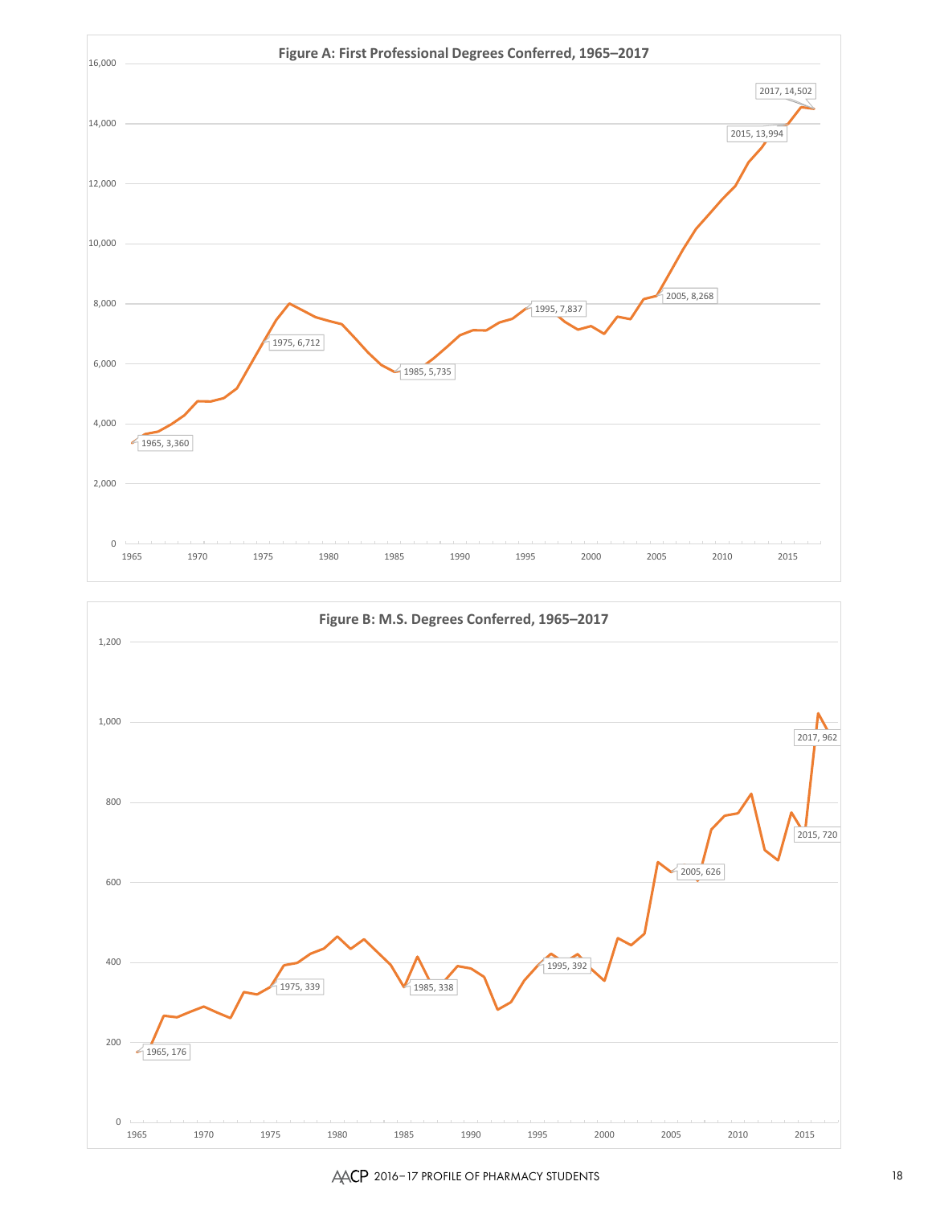



## AACP 2016–17 PROFILE OF PHARMACY STUDENTS 18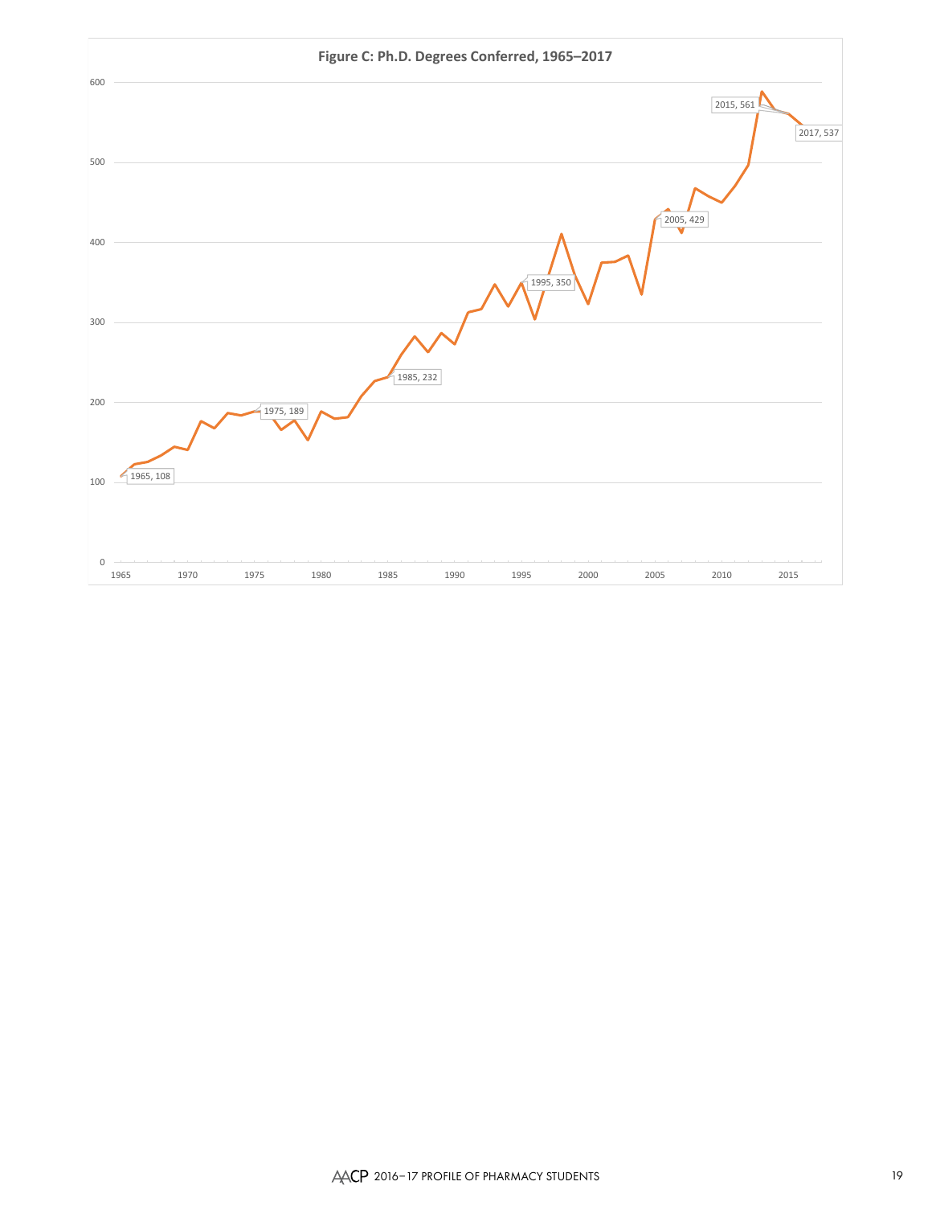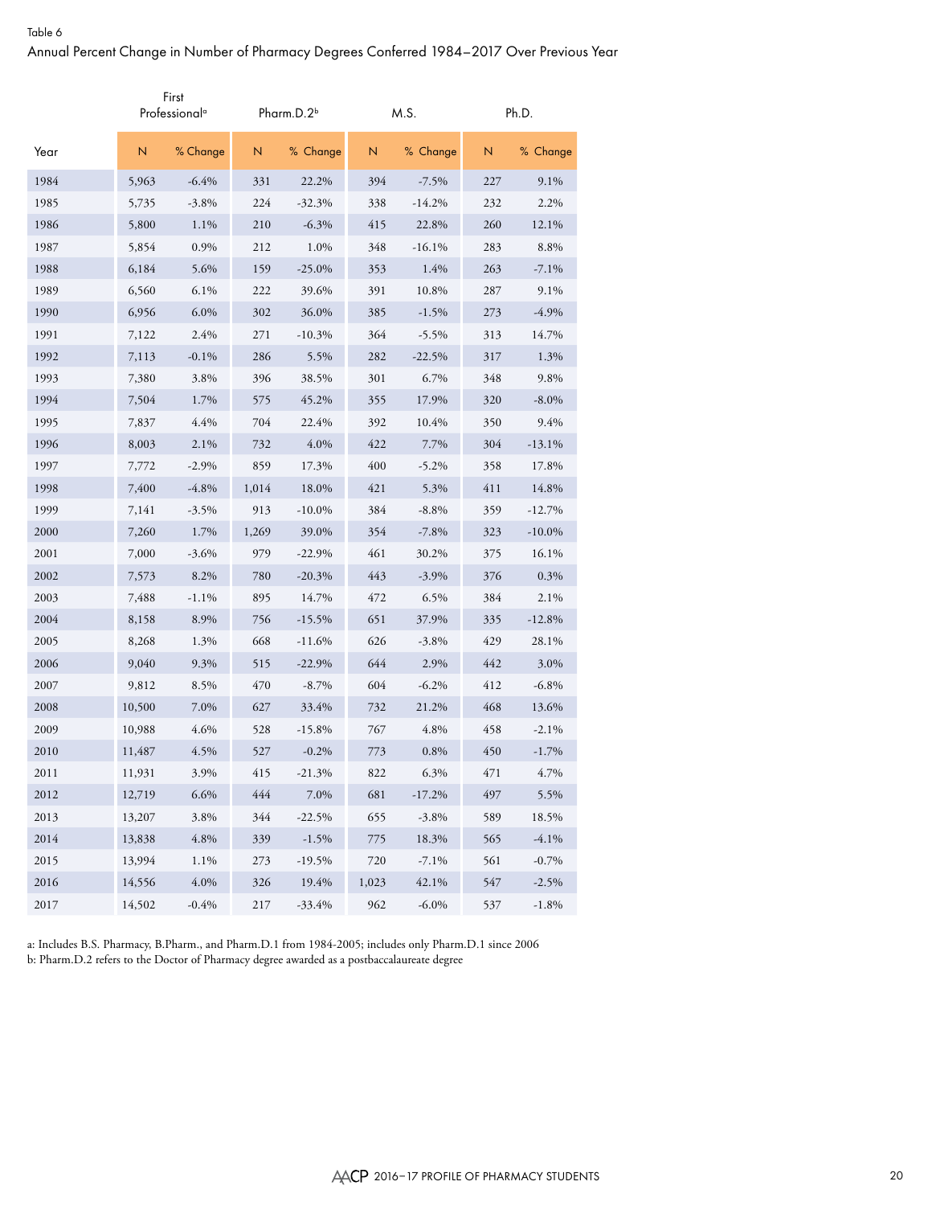|      |        | First<br>Professional <sup>a</sup> |                         | Pharm.D.2 <sup>b</sup> |       | M.S.     |     | Ph.D.     |
|------|--------|------------------------------------|-------------------------|------------------------|-------|----------|-----|-----------|
| Year | N      | % Change                           | $\overline{\mathsf{N}}$ | % Change               | N     | % Change | N   | % Change  |
| 1984 | 5,963  | $-6.4%$                            | 331                     | 22.2%                  | 394   | $-7.5\%$ | 227 | 9.1%      |
| 1985 | 5,735  | $-3.8\%$                           | 224                     | $-32.3%$               | 338   | $-14.2%$ | 232 | 2.2%      |
| 1986 | 5,800  | 1.1%                               | 210                     | $-6.3\%$               | 415   | 22.8%    | 260 | 12.1%     |
| 1987 | 5,854  | 0.9%                               | 212                     | 1.0%                   | 348   | $-16.1%$ | 283 | 8.8%      |
| 1988 | 6,184  | 5.6%                               | 159                     | $-25.0\%$              | 353   | 1.4%     | 263 | $-7.1\%$  |
| 1989 | 6,560  | $6.1\%$                            | 222                     | 39.6%                  | 391   | 10.8%    | 287 | 9.1%      |
| 1990 | 6,956  | 6.0%                               | 302                     | 36.0%                  | 385   | $-1.5%$  | 273 | $-4.9%$   |
| 1991 | 7,122  | 2.4%                               | 271                     | $-10.3%$               | 364   | $-5.5\%$ | 313 | 14.7%     |
| 1992 | 7,113  | $-0.1%$                            | 286                     | 5.5%                   | 282   | $-22.5%$ | 317 | 1.3%      |
| 1993 | 7,380  | 3.8%                               | 396                     | 38.5%                  | 301   | 6.7%     | 348 | 9.8%      |
| 1994 | 7,504  | 1.7%                               | 575                     | 45.2%                  | 355   | 17.9%    | 320 | $-8.0\%$  |
| 1995 | 7,837  | 4.4%                               | 704                     | 22.4%                  | 392   | 10.4%    | 350 | 9.4%      |
| 1996 | 8,003  | 2.1%                               | 732                     | 4.0%                   | 422   | 7.7%     | 304 | $-13.1%$  |
| 1997 | 7,772  | $-2.9%$                            | 859                     | 17.3%                  | 400   | $-5.2\%$ | 358 | 17.8%     |
| 1998 | 7,400  | $-4.8\%$                           | 1,014                   | 18.0%                  | 421   | 5.3%     | 411 | 14.8%     |
| 1999 | 7,141  | $-3.5%$                            | 913                     | $-10.0\%$              | 384   | $-8.8%$  | 359 | $-12.7%$  |
| 2000 | 7,260  | 1.7%                               | 1,269                   | 39.0%                  | 354   | $-7.8\%$ | 323 | $-10.0\%$ |
| 2001 | 7,000  | $-3.6\%$                           | 979                     | $-22.9%$               | 461   | 30.2%    | 375 | 16.1%     |
| 2002 | 7,573  | 8.2%                               | 780                     | $-20.3%$               | 443   | $-3.9\%$ | 376 | 0.3%      |
| 2003 | 7,488  | $-1.1\%$                           | 895                     | 14.7%                  | 472   | 6.5%     | 384 | 2.1%      |
| 2004 | 8,158  | 8.9%                               | 756                     | $-15.5%$               | 651   | 37.9%    | 335 | $-12.8%$  |
| 2005 | 8,268  | 1.3%                               | 668                     | $-11.6%$               | 626   | $-3.8\%$ | 429 | 28.1%     |
| 2006 | 9,040  | 9.3%                               | 515                     | $-22.9%$               | 644   | 2.9%     | 442 | 3.0%      |
| 2007 | 9,812  | 8.5%                               | 470                     | $-8.7\%$               | 604   | $-6.2\%$ | 412 | $-6.8\%$  |
| 2008 | 10,500 | 7.0%                               | 627                     | 33.4%                  | 732   | 21.2%    | 468 | 13.6%     |
| 2009 | 10,988 | 4.6%                               | 528                     | $-15.8%$               | 767   | 4.8%     | 458 | $-2.1%$   |
| 2010 | 11,487 | 4.5%                               | 527                     | $-0.2%$                | 773   | 0.8%     | 450 | $-1.7\%$  |
| 2011 | 11,931 | 3.9%                               | 415                     | $-21.3%$               | 822   | 6.3%     | 471 | 4.7%      |
| 2012 | 12,719 | 6.6%                               | 444                     | 7.0%                   | 681   | $-17.2%$ | 497 | 5.5%      |
| 2013 | 13,207 | 3.8%                               | 344                     | $-22.5%$               | 655   | $-3.8\%$ | 589 | 18.5%     |
| 2014 | 13,838 | $4.8\%$                            | 339                     | $-1.5%$                | 775   | 18.3%    | 565 | $-4.1%$   |
| 2015 | 13,994 | 1.1%                               | 273                     | $-19.5%$               | 720   | $-7.1%$  | 561 | $-0.7%$   |
| 2016 | 14,556 | $4.0\%$                            | 326                     | 19.4%                  | 1,023 | 42.1%    | 547 | $-2.5%$   |
| 2017 | 14,502 | $-0.4%$                            | 217                     | $-33.4%$               | 962   | $-6.0\%$ | 537 | $-1.8%$   |

a: Includes B.S. Pharmacy, B.Pharm., and Pharm.D.1 from 1984-2005; includes only Pharm.D.1 since 2006 b: Pharm.D.2 refers to the Doctor of Pharmacy degree awarded as a postbaccalaureate degree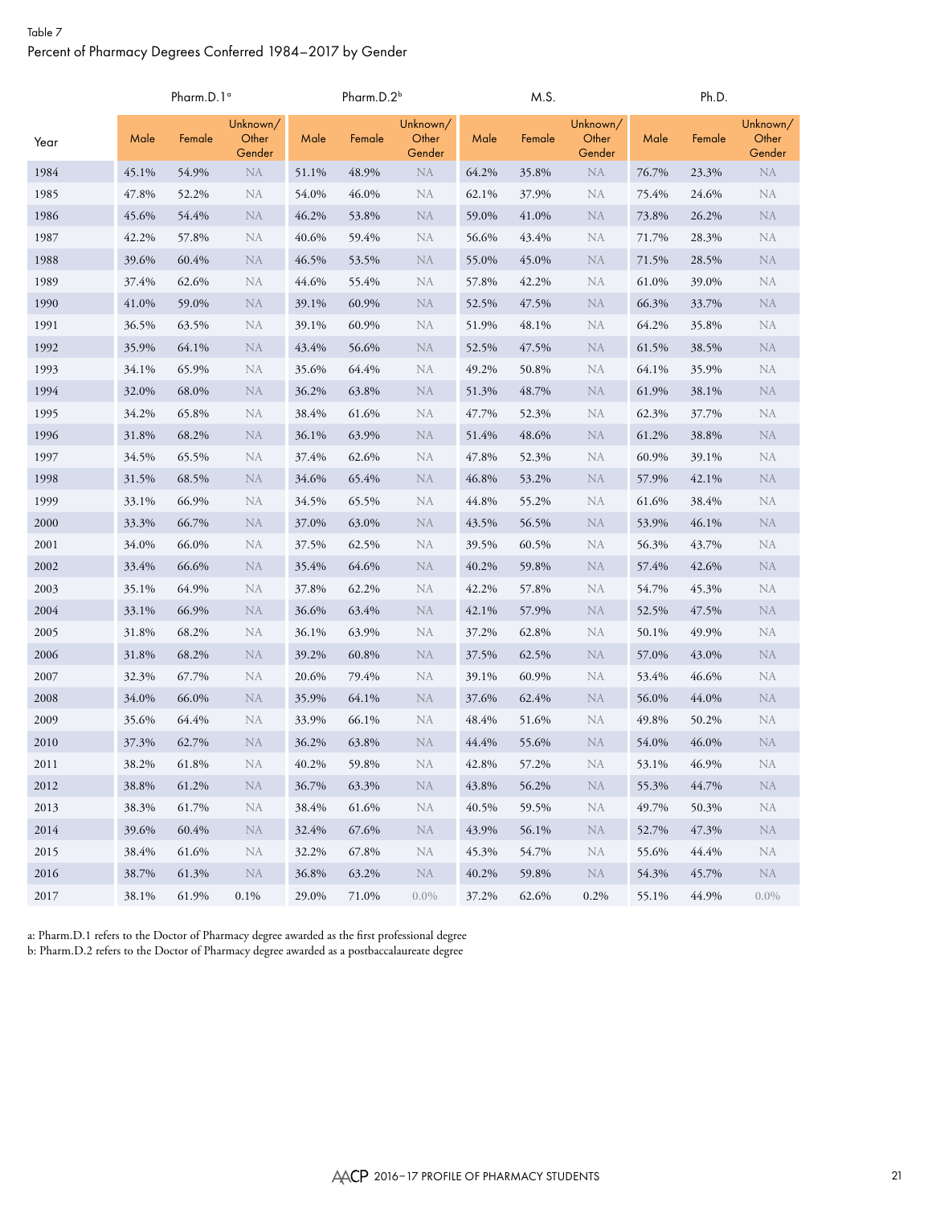# Table 7 Percent of Pharmacy Degrees Conferred 1984–2017 by Gender

|      |       | Pharm.D.1 <sup>a</sup> |                             |       | Pharm.D.2 <sup>b</sup> |                             |       | M.S.   |                             |       | Ph.D.  |                             |
|------|-------|------------------------|-----------------------------|-------|------------------------|-----------------------------|-------|--------|-----------------------------|-------|--------|-----------------------------|
| Year | Male  | Female                 | Unknown/<br>Other<br>Gender | Male  | Female                 | Unknown/<br>Other<br>Gender | Male  | Female | Unknown/<br>Other<br>Gender | Male  | Female | Unknown/<br>Other<br>Gender |
| 1984 | 45.1% | 54.9%                  | NA                          | 51.1% | 48.9%                  | ${\rm NA}$                  | 64.2% | 35.8%  | <b>NA</b>                   | 76.7% | 23.3%  | NA                          |
| 1985 | 47.8% | 52.2%                  | NA                          | 54.0% | 46.0%                  | NA                          | 62.1% | 37.9%  | NA                          | 75.4% | 24.6%  | NA                          |
| 1986 | 45.6% | 54.4%                  | <b>NA</b>                   | 46.2% | 53.8%                  | NA                          | 59.0% | 41.0%  | <b>NA</b>                   | 73.8% | 26.2%  | NA                          |
| 1987 | 42.2% | 57.8%                  | NA                          | 40.6% | 59.4%                  | NA                          | 56.6% | 43.4%  | <b>NA</b>                   | 71.7% | 28.3%  | <b>NA</b>                   |
| 1988 | 39.6% | 60.4%                  | <b>NA</b>                   | 46.5% | 53.5%                  | NA                          | 55.0% | 45.0%  | <b>NA</b>                   | 71.5% | 28.5%  | <b>NA</b>                   |
| 1989 | 37.4% | 62.6%                  | NA                          | 44.6% | 55.4%                  | NA                          | 57.8% | 42.2%  | <b>NA</b>                   | 61.0% | 39.0%  | NA                          |
| 1990 | 41.0% | 59.0%                  | <b>NA</b>                   | 39.1% | 60.9%                  | NA                          | 52.5% | 47.5%  | <b>NA</b>                   | 66.3% | 33.7%  | <b>NA</b>                   |
| 1991 | 36.5% | 63.5%                  | NA                          | 39.1% | 60.9%                  | NA                          | 51.9% | 48.1%  | NA                          | 64.2% | 35.8%  | NA                          |
| 1992 | 35.9% | 64.1%                  | <b>NA</b>                   | 43.4% | 56.6%                  | NA                          | 52.5% | 47.5%  | <b>NA</b>                   | 61.5% | 38.5%  | <b>NA</b>                   |
| 1993 | 34.1% | 65.9%                  | NA                          | 35.6% | 64.4%                  | <b>NA</b>                   | 49.2% | 50.8%  | <b>NA</b>                   | 64.1% | 35.9%  | <b>NA</b>                   |
| 1994 | 32.0% | 68.0%                  | ${\rm NA}$                  | 36.2% | 63.8%                  | <b>NA</b>                   | 51.3% | 48.7%  | <b>NA</b>                   | 61.9% | 38.1%  | NA                          |
| 1995 | 34.2% | 65.8%                  | NA                          | 38.4% | 61.6%                  | NA                          | 47.7% | 52.3%  | NA                          | 62.3% | 37.7%  | <b>NA</b>                   |
| 1996 | 31.8% | 68.2%                  | <b>NA</b>                   | 36.1% | 63.9%                  | NA                          | 51.4% | 48.6%  | <b>NA</b>                   | 61.2% | 38.8%  | <b>NA</b>                   |
| 1997 | 34.5% | 65.5%                  | NA                          | 37.4% | 62.6%                  | NA                          | 47.8% | 52.3%  | <b>NA</b>                   | 60.9% | 39.1%  | <b>NA</b>                   |
| 1998 | 31.5% | 68.5%                  | NA                          | 34.6% | 65.4%                  | <b>NA</b>                   | 46.8% | 53.2%  | <b>NA</b>                   | 57.9% | 42.1%  | <b>NA</b>                   |
| 1999 | 33.1% | 66.9%                  | NA                          | 34.5% | 65.5%                  | NA                          | 44.8% | 55.2%  | NA                          | 61.6% | 38.4%  | <b>NA</b>                   |
| 2000 | 33.3% | 66.7%                  | <b>NA</b>                   | 37.0% | 63.0%                  | <b>NA</b>                   | 43.5% | 56.5%  | <b>NA</b>                   | 53.9% | 46.1%  | <b>NA</b>                   |
| 2001 | 34.0% | 66.0%                  | <b>NA</b>                   | 37.5% | 62.5%                  | NA                          | 39.5% | 60.5%  | NA                          | 56.3% | 43.7%  | <b>NA</b>                   |
| 2002 | 33.4% | 66.6%                  | <b>NA</b>                   | 35.4% | 64.6%                  | NA                          | 40.2% | 59.8%  | <b>NA</b>                   | 57.4% | 42.6%  | <b>NA</b>                   |
| 2003 | 35.1% | 64.9%                  | NA                          | 37.8% | 62.2%                  | NA                          | 42.2% | 57.8%  | <b>NA</b>                   | 54.7% | 45.3%  | <b>NA</b>                   |
| 2004 | 33.1% | 66.9%                  | <b>NA</b>                   | 36.6% | 63.4%                  | <b>NA</b>                   | 42.1% | 57.9%  | <b>NA</b>                   | 52.5% | 47.5%  | <b>NA</b>                   |
| 2005 | 31.8% | 68.2%                  | NA                          | 36.1% | 63.9%                  | NA                          | 37.2% | 62.8%  | NA                          | 50.1% | 49.9%  | <b>NA</b>                   |
| 2006 | 31.8% | 68.2%                  | <b>NA</b>                   | 39.2% | 60.8%                  | NA                          | 37.5% | 62.5%  | <b>NA</b>                   | 57.0% | 43.0%  | <b>NA</b>                   |
| 2007 | 32.3% | 67.7%                  | NA                          | 20.6% | 79.4%                  | NA                          | 39.1% | 60.9%  | <b>NA</b>                   | 53.4% | 46.6%  | <b>NA</b>                   |
| 2008 | 34.0% | 66.0%                  | <b>NA</b>                   | 35.9% | 64.1%                  | <b>NA</b>                   | 37.6% | 62.4%  | <b>NA</b>                   | 56.0% | 44.0%  | <b>NA</b>                   |
| 2009 | 35.6% | 64.4%                  | NA                          | 33.9% | 66.1%                  | NA                          | 48.4% | 51.6%  | NA                          | 49.8% | 50.2%  | <b>NA</b>                   |
| 2010 | 37.3% | 62.7%                  | <b>NA</b>                   | 36.2% | 63.8%                  | <b>NA</b>                   | 44.4% | 55.6%  | <b>NA</b>                   | 54.0% | 46.0%  | <b>NA</b>                   |
| 2011 | 38.2% | 61.8%                  | NA                          | 40.2% | 59.8%                  | NA                          | 42.8% | 57.2%  | NA                          | 53.1% | 46.9%  | <b>NA</b>                   |
| 2012 | 38.8% | 61.2%                  | NA                          | 36.7% | 63.3%                  | NA                          | 43.8% | 56.2%  | <b>NA</b>                   | 55.3% | 44.7%  | <b>NA</b>                   |
| 2013 | 38.3% | 61.7%                  | NA                          | 38.4% | 61.6%                  | NA                          | 40.5% | 59.5%  | <b>NA</b>                   | 49.7% | 50.3%  | NA                          |
| 2014 | 39.6% | 60.4%                  | NA                          | 32.4% | 67.6%                  | NA                          | 43.9% | 56.1%  | NA                          | 52.7% | 47.3%  | NA                          |
| 2015 | 38.4% | 61.6%                  | NA                          | 32.2% | 67.8%                  | NA                          | 45.3% | 54.7%  | NA                          | 55.6% | 44.4%  | NA                          |
| 2016 | 38.7% | 61.3%                  | NA                          | 36.8% | 63.2%                  | NA                          | 40.2% | 59.8%  | NA                          | 54.3% | 45.7%  | NA                          |
| 2017 | 38.1% | 61.9%                  | 0.1%                        | 29.0% | 71.0%                  | $0.0\%$                     | 37.2% | 62.6%  | 0.2%                        | 55.1% | 44.9%  | $0.0\%$                     |

a: Pharm.D.1 refers to the Doctor of Pharmacy degree awarded as the first professional degree b: Pharm.D.2 refers to the Doctor of Pharmacy degree awarded as a postbaccalaureate degree

AACP 2016–17 PROFILE OF PHARMACY STUDENTS 21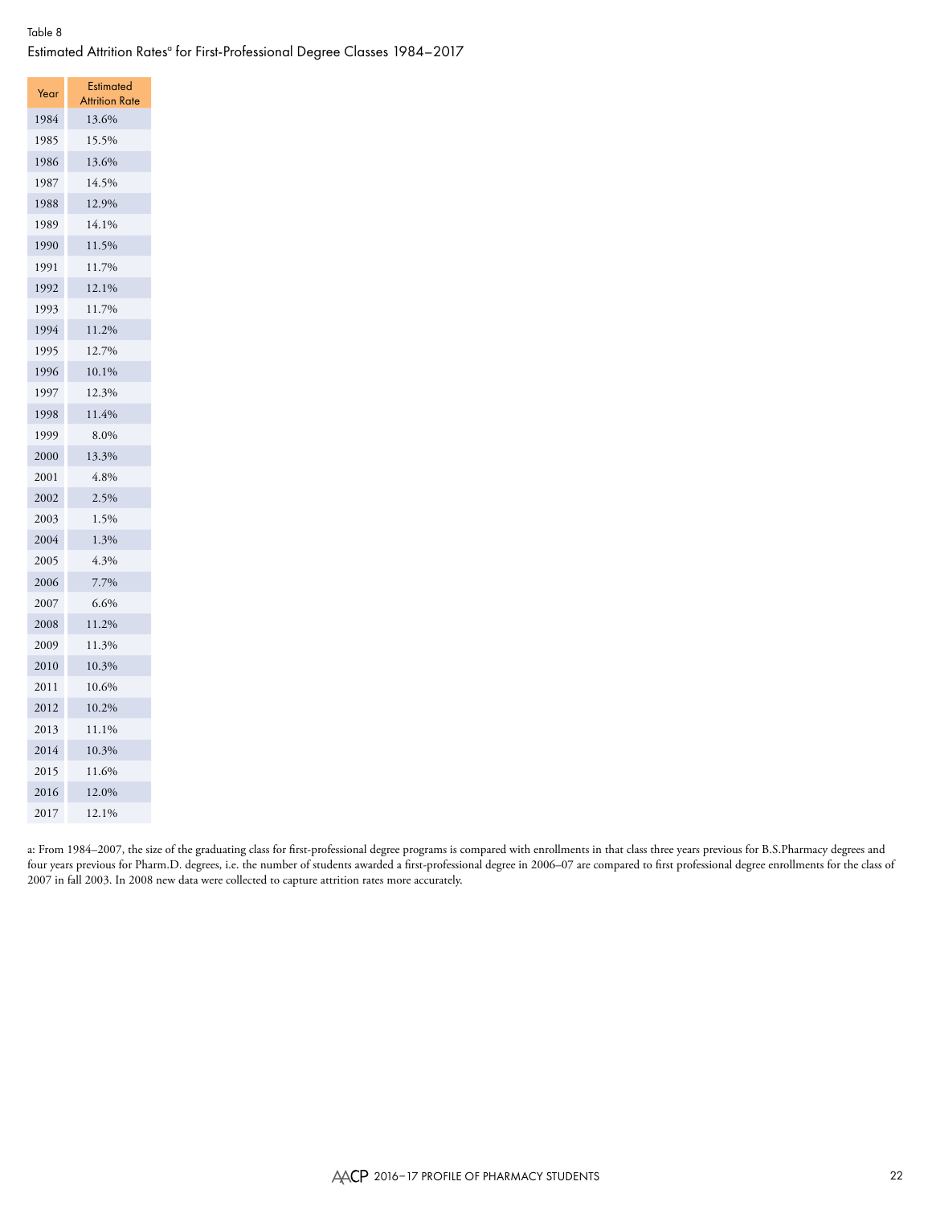# Table 8 Estimated Attrition Rates<sup>a</sup> for First-Professional Degree Classes 1984–2017

| Year | <b>Estimated</b>        |
|------|-------------------------|
| 1984 | Attrition Rate<br>13.6% |
| 1985 | 15.5%                   |
| 1986 | 13.6%                   |
| 1987 | 14.5%                   |
|      |                         |
| 1988 | 12.9%                   |
| 1989 | 14.1%                   |
| 1990 | 11.5%<br>11.7%          |
| 1991 |                         |
| 1992 | 12.1%                   |
| 1993 | 11.7%                   |
| 1994 | 11.2%                   |
| 1995 | 12.7%                   |
| 1996 | 10.1%                   |
| 1997 | 12.3%                   |
| 1998 | 11.4%                   |
| 1999 | 8.0%                    |
| 2000 | 13.3%                   |
| 2001 | 4.8%                    |
| 2002 | 2.5%                    |
| 2003 | 1.5%                    |
| 2004 | 1.3%                    |
| 2005 | 4.3%                    |
| 2006 | 7.7%                    |
| 2007 | 6.6%                    |
| 2008 | 11.2%                   |
| 2009 | 11.3%                   |
| 2010 | 10.3%                   |
| 2011 | 10.6%                   |
| 2012 | 10.2%                   |
| 2013 | 11.1%                   |
| 2014 | 10.3%                   |
| 2015 | 11.6%                   |
| 2016 | 12.0%                   |
| 2017 | 12.1%                   |

a: From 1984–2007, the size of the graduating class for first-professional degree programs is compared with enrollments in that class three years previous for B.S.Pharmacy degrees and four years previous for Pharm.D. degrees, i.e. the number of students awarded a first-professional degree in 2006–07 are compared to first professional degree enrollments for the class of 2007 in fall 2003. In 2008 new data were collected to capture attrition rates more accurately.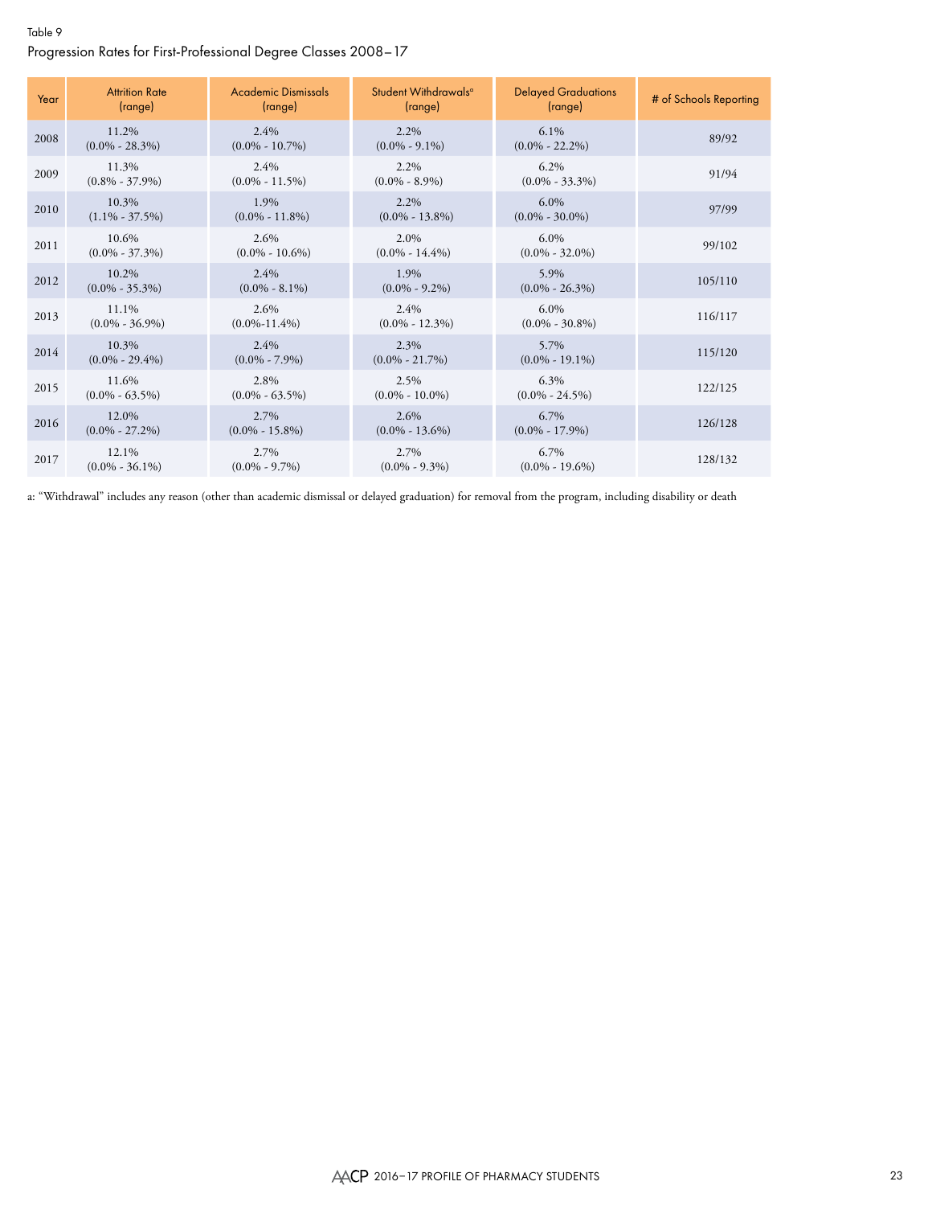### Table 9 Progression Rates for First-Professional Degree Classes 2008–17

| Year | <b>Attrition Rate</b><br>(range) | <b>Academic Dismissals</b><br>(range) | Student Withdrawals <sup>a</sup><br>(range) | <b>Delayed Graduations</b><br>(range) | # of Schools Reporting |
|------|----------------------------------|---------------------------------------|---------------------------------------------|---------------------------------------|------------------------|
| 2008 | 11.2%<br>$(0.0\% - 28.3\%)$      | $2.4\%$<br>$(0.0\% - 10.7\%)$         | $2.2\%$<br>$(0.0\% - 9.1\%)$                | $6.1\%$<br>$(0.0\% - 22.2\%)$         | 89/92                  |
| 2009 | 11.3%<br>$(0.8\% - 37.9\%)$      | 2.4%<br>$(0.0\% - 11.5\%)$            | 2.2%<br>$(0.0\% - 8.9\%)$                   | $6.2\%$<br>$(0.0\% - 33.3\%)$         | 91/94                  |
| 2010 | 10.3%<br>$(1.1\% - 37.5\%)$      | 1.9%<br>$(0.0\% - 11.8\%)$            | $2.2\%$<br>$(0.0\% - 13.8\%)$               | $6.0\%$<br>$(0.0\% - 30.0\%)$         | 97/99                  |
| 2011 | 10.6%<br>$(0.0\% - 37.3\%)$      | 2.6%<br>$(0.0\% - 10.6\%)$            | 2.0%<br>$(0.0\% - 14.4\%)$                  | $6.0\%$<br>$(0.0\% - 32.0\%)$         | 99/102                 |
| 2012 | 10.2%<br>$(0.0\% - 35.3\%)$      | $2.4\%$<br>$(0.0\% - 8.1\%)$          | 1.9%<br>$(0.0\% - 9.2\%)$                   | 5.9%<br>$(0.0\% - 26.3\%)$            | 105/110                |
| 2013 | 11.1%<br>$(0.0\% - 36.9\%)$      | 2.6%<br>$(0.0\% - 11.4\%)$            | 2.4%<br>$(0.0\% - 12.3\%)$                  | $6.0\%$<br>$(0.0\% - 30.8\%)$         | 116/117                |
| 2014 | 10.3%<br>$(0.0\% - 29.4\%)$      | 2.4%<br>$(0.0\% - 7.9\%)$             | 2.3%<br>$(0.0\% - 21.7\%)$                  | 5.7%<br>$(0.0\% - 19.1\%)$            | 115/120                |
| 2015 | 11.6%<br>$(0.0\% - 63.5\%)$      | 2.8%<br>$(0.0\% - 63.5\%)$            | 2.5%<br>$(0.0\% - 10.0\%)$                  | $6.3\%$<br>$(0.0\% - 24.5\%)$         | 122/125                |
| 2016 | 12.0%<br>$(0.0\% - 27.2\%)$      | 2.7%<br>$(0.0\% - 15.8\%)$            | 2.6%<br>$(0.0\% - 13.6\%)$                  | 6.7%<br>$(0.0\% - 17.9\%)$            | 126/128                |
| 2017 | 12.1%<br>$(0.0\% - 36.1\%)$      | 2.7%<br>$(0.0\% - 9.7\%)$             | 2.7%<br>$(0.0\% - 9.3\%)$                   | 6.7%<br>$(0.0\% - 19.6\%)$            | 128/132                |

a: "Withdrawal" includes any reason (other than academic dismissal or delayed graduation) for removal from the program, including disability or death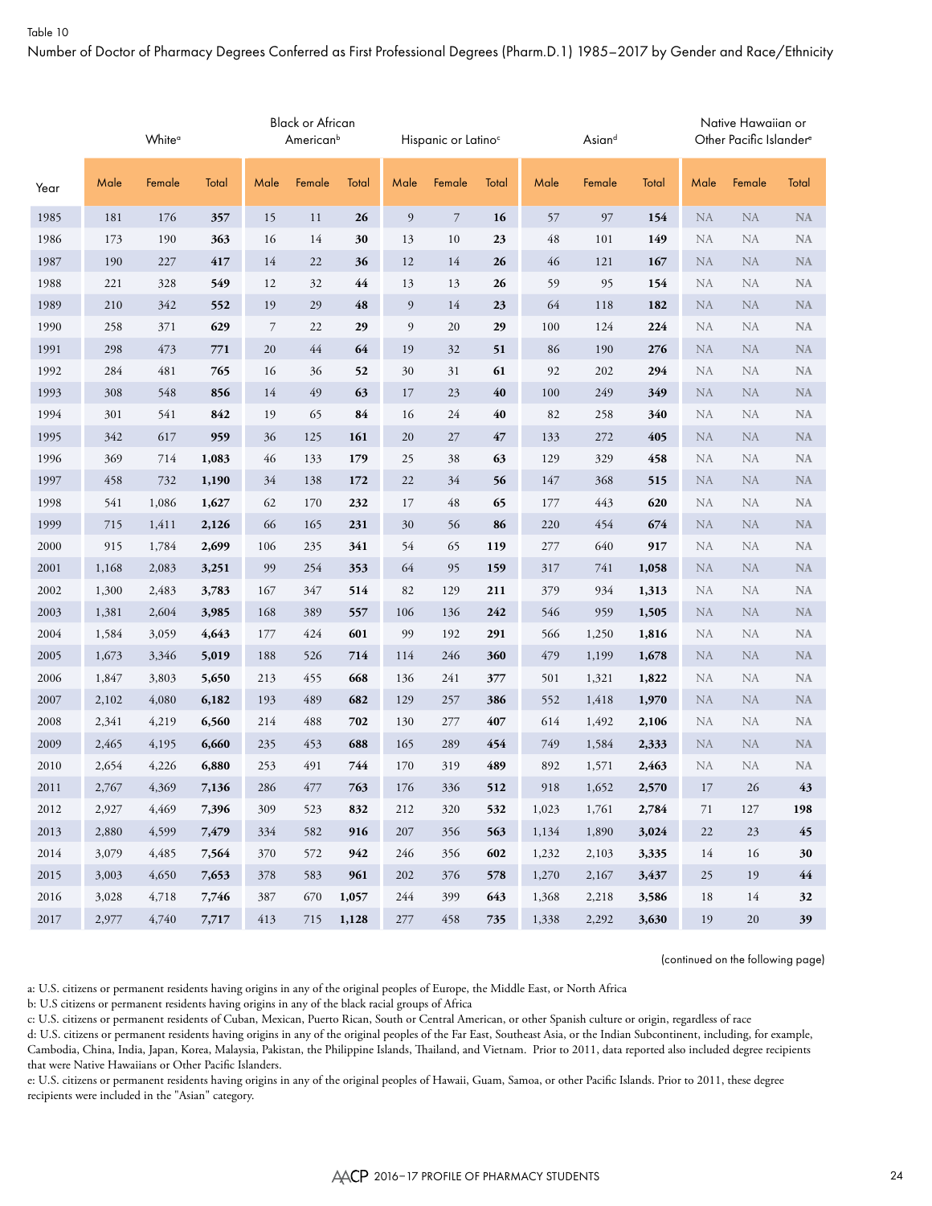Number of Doctor of Pharmacy Degrees Conferred as First Professional Degrees (Pharm.D.1) 1985–2017 by Gender and Race/Ethnicity

|      |       | White <sup>a</sup> |       |        | Black or African<br>American <sup>b</sup> |       |      | Hispanic or Latino <sup>c</sup> |       |       | Asiand |       |           | Native Hawaiian or<br>Other Pacific Islander <sup>e</sup> |           |
|------|-------|--------------------|-------|--------|-------------------------------------------|-------|------|---------------------------------|-------|-------|--------|-------|-----------|-----------------------------------------------------------|-----------|
| Year | Male  | Female             | Total | Male   | Female                                    | Total | Male | Female                          | Total | Male  | Female | Total | Male      | Female                                                    | Total     |
| 1985 | 181   | 176                | 357   | 15     | 11                                        | 26    | 9    | $\overline{7}$                  | 16    | 57    | 97     | 154   | <b>NA</b> | ${\rm NA}$                                                | <b>NA</b> |
| 1986 | 173   | 190                | 363   | 16     | 14                                        | 30    | 13   | 10                              | 23    | 48    | 101    | 149   | <b>NA</b> | NA                                                        | <b>NA</b> |
| 1987 | 190   | 227                | 417   | 14     | 22                                        | 36    | 12   | 14                              | 26    | 46    | 121    | 167   | <b>NA</b> | <b>NA</b>                                                 | NA        |
| 1988 | 221   | 328                | 549   | 12     | 32                                        | 44    | 13   | 13                              | 26    | 59    | 95     | 154   | <b>NA</b> | NA                                                        | <b>NA</b> |
| 1989 | 210   | 342                | 552   | 19     | 29                                        | 48    | 9    | 14                              | 23    | 64    | 118    | 182   | <b>NA</b> | <b>NA</b>                                                 | <b>NA</b> |
| 1990 | 258   | 371                | 629   | 7      | 22                                        | 29    | 9    | 20                              | 29    | 100   | 124    | 224   | <b>NA</b> | NA                                                        | <b>NA</b> |
| 1991 | 298   | 473                | 771   | $20\,$ | 44                                        | 64    | 19   | 32                              | 51    | 86    | 190    | 276   | <b>NA</b> | <b>NA</b>                                                 | NA        |
| 1992 | 284   | 481                | 765   | 16     | 36                                        | 52    | 30   | 31                              | 61    | 92    | 202    | 294   | <b>NA</b> | NA                                                        | <b>NA</b> |
| 1993 | 308   | 548                | 856   | 14     | 49                                        | 63    | 17   | 23                              | 40    | 100   | 249    | 349   | <b>NA</b> | <b>NA</b>                                                 | <b>NA</b> |
| 1994 | 301   | 541                | 842   | 19     | 65                                        | 84    | 16   | 24                              | 40    | 82    | 258    | 340   | <b>NA</b> | NA                                                        | <b>NA</b> |
| 1995 | 342   | 617                | 959   | 36     | 125                                       | 161   | 20   | 27                              | 47    | 133   | 272    | 405   | <b>NA</b> | <b>NA</b>                                                 | <b>NA</b> |
| 1996 | 369   | 714                | 1,083 | 46     | 133                                       | 179   | 25   | 38                              | 63    | 129   | 329    | 458   | <b>NA</b> | NA                                                        | <b>NA</b> |
| 1997 | 458   | 732                | 1,190 | 34     | 138                                       | 172   | 22   | 34                              | 56    | 147   | 368    | 515   | <b>NA</b> | <b>NA</b>                                                 | NA        |
| 1998 | 541   | 1,086              | 1,627 | 62     | 170                                       | 232   | 17   | 48                              | 65    | 177   | 443    | 620   | <b>NA</b> | NA                                                        | <b>NA</b> |
| 1999 | 715   | 1,411              | 2,126 | 66     | 165                                       | 231   | 30   | 56                              | 86    | 220   | 454    | 674   | <b>NA</b> | <b>NA</b>                                                 | <b>NA</b> |
| 2000 | 915   | 1,784              | 2,699 | 106    | 235                                       | 341   | 54   | 65                              | 119   | 277   | 640    | 917   | <b>NA</b> | NA                                                        | <b>NA</b> |
| 2001 | 1,168 | 2,083              | 3,251 | 99     | 254                                       | 353   | 64   | 95                              | 159   | 317   | 741    | 1,058 | <b>NA</b> | <b>NA</b>                                                 | NA        |
| 2002 | 1,300 | 2,483              | 3,783 | 167    | 347                                       | 514   | 82   | 129                             | 211   | 379   | 934    | 1,313 | <b>NA</b> | NA                                                        | NA        |
| 2003 | 1,381 | 2,604              | 3,985 | 168    | 389                                       | 557   | 106  | 136                             | 242   | 546   | 959    | 1,505 | <b>NA</b> | <b>NA</b>                                                 | <b>NA</b> |
| 2004 | 1,584 | 3,059              | 4,643 | 177    | 424                                       | 601   | 99   | 192                             | 291   | 566   | 1,250  | 1,816 | <b>NA</b> | NA                                                        | NA        |
| 2005 | 1,673 | 3,346              | 5,019 | 188    | 526                                       | 714   | 114  | 246                             | 360   | 479   | 1,199  | 1,678 | <b>NA</b> | NA                                                        | <b>NA</b> |
| 2006 | 1,847 | 3,803              | 5,650 | 213    | 455                                       | 668   | 136  | 241                             | 377   | 501   | 1,321  | 1,822 | <b>NA</b> | NA                                                        | NA        |
| 2007 | 2,102 | 4,080              | 6,182 | 193    | 489                                       | 682   | 129  | 257                             | 386   | 552   | 1,418  | 1,970 | <b>NA</b> | <b>NA</b>                                                 | NA        |
| 2008 | 2,341 | 4,219              | 6,560 | 214    | 488                                       | 702   | 130  | 277                             | 407   | 614   | 1,492  | 2,106 | <b>NA</b> | NA                                                        | <b>NA</b> |
| 2009 | 2,465 | 4,195              | 6,660 | 235    | 453                                       | 688   | 165  | 289                             | 454   | 749   | 1,584  | 2,333 | NA        | <b>NA</b>                                                 | <b>NA</b> |
| 2010 | 2,654 | 4,226              | 6,880 | 253    | 491                                       | 744   | 170  | 319                             | 489   | 892   | 1,571  | 2,463 | <b>NA</b> | NA                                                        | <b>NA</b> |
| 2011 | 2,767 | 4,369              | 7,136 | 286    | 477                                       | 763   | 176  | 336                             | 512   | 918   | 1,652  | 2,570 | 17        | 26                                                        | 43        |
| 2012 | 2,927 | 4,469              | 7,396 | 309    | 523                                       | 832   | 212  | 320                             | 532   | 1,023 | 1,761  | 2,784 | 71        | 127                                                       | 198       |
| 2013 | 2,880 | 4,599              | 7,479 | 334    | 582                                       | 916   | 207  | 356                             | 563   | 1,134 | 1,890  | 3,024 | 22        | 23                                                        | 45        |
| 2014 | 3,079 | 4,485              | 7,564 | 370    | 572                                       | 942   | 246  | 356                             | 602   | 1,232 | 2,103  | 3,335 | 14        | 16                                                        | 30        |
| 2015 | 3,003 | 4,650              | 7,653 | 378    | 583                                       | 961   | 202  | 376                             | 578   | 1,270 | 2,167  | 3,437 | 25        | 19                                                        | 44        |
| 2016 | 3,028 | 4,718              | 7,746 | 387    | 670                                       | 1,057 | 244  | 399                             | 643   | 1,368 | 2,218  | 3,586 | 18        | 14                                                        | 32        |
| 2017 | 2,977 | 4,740              | 7,717 | 413    | 715                                       | 1,128 | 277  | 458                             | 735   | 1,338 | 2,292  | 3,630 | 19        | $20\,$                                                    | 39        |

(continued on the following page)

a: U.S. citizens or permanent residents having origins in any of the original peoples of Europe, the Middle East, or North Africa

b: U.S citizens or permanent residents having origins in any of the black racial groups of Africa

c: U.S. citizens or permanent residents of Cuban, Mexican, Puerto Rican, South or Central American, or other Spanish culture or origin, regardless of race

d: U.S. citizens or permanent residents having origins in any of the original peoples of the Far East, Southeast Asia, or the Indian Subcontinent, including, for example, Cambodia, China, India, Japan, Korea, Malaysia, Pakistan, the Philippine Islands, Thailand, and Vietnam. Prior to 2011, data reported also included degree recipients that were Native Hawaiians or Other Pacific Islanders.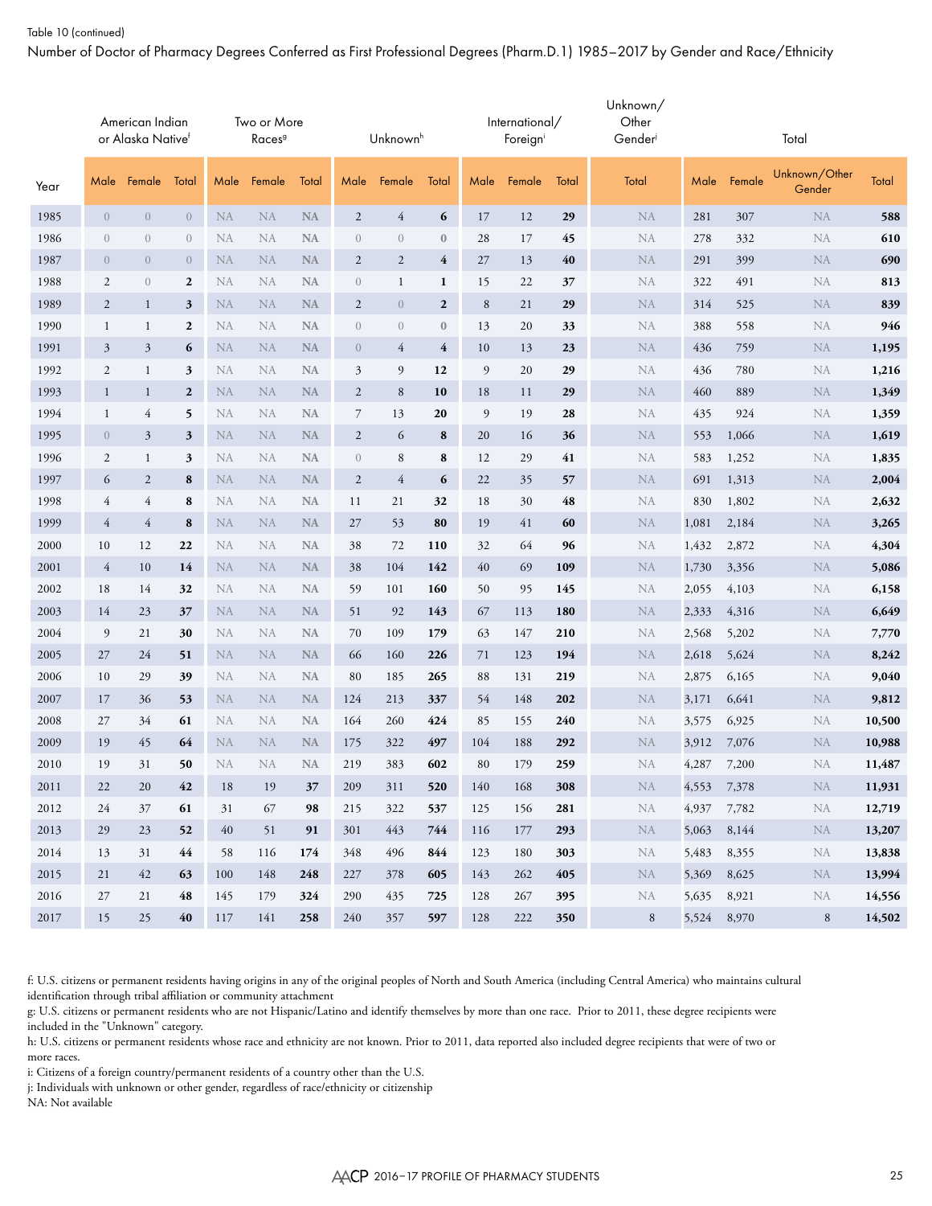#### Table 10 (continued)

Number of Doctor of Pharmacy Degrees Conferred as First Professional Degrees (Pharm.D.1) 1985–2017 by Gender and Race/Ethnicity

|      |                | American Indian<br>or Alaska Native <sup>f</sup> |                  |           | Two or More<br>Races <sup>9</sup> |           |                | Unknown <sup>h</sup> |                  |         | International/<br>Foreign |       | Unknown/<br>Other<br>Gender |             |        | Total                   |        |
|------|----------------|--------------------------------------------------|------------------|-----------|-----------------------------------|-----------|----------------|----------------------|------------------|---------|---------------------------|-------|-----------------------------|-------------|--------|-------------------------|--------|
| Year | Male           | Female                                           | Total            | Male      | Female                            | Total     | Male           | Female               | Total            | Male    | Female                    | Total | Total                       | Male        | Female | Unknown/Other<br>Gender | Total  |
| 1985 | $\overline{0}$ | $\overline{0}$                                   | $\overline{0}$   | <b>NA</b> | NA                                | <b>NA</b> | $\overline{c}$ | $\overline{4}$       | 6                | 17      | 12                        | 29    | NA                          | 281         | 307    | NA                      | 588    |
| 1986 | $\sqrt{a}$     | $\mathbf{0}$                                     | $\overline{0}$   | NA        | NA                                | <b>NA</b> | $\mathbf{0}$   | $\boldsymbol{0}$     | $\mathbf{0}$     | 28      | 17                        | 45    | NA                          | 278         | 332    | NA                      | 610    |
| 1987 | $\theta$       | $\overline{0}$                                   | $\overline{0}$   | <b>NA</b> | <b>NA</b>                         | <b>NA</b> | $\overline{2}$ | $\overline{2}$       | $\overline{4}$   | 27      | 13                        | 40    | <b>NA</b>                   | 291         | 399    | <b>NA</b>               | 690    |
| 1988 | $\mathfrak{2}$ | $\mathbf{0}$                                     | $\boldsymbol{2}$ | <b>NA</b> | NA                                | <b>NA</b> | $\sqrt{a}$     | $\mathbf{1}$         | $\mathbf{1}$     | 15      | 22                        | 37    | NA                          | 322         | 491    | NA                      | 813    |
| 1989 | $\overline{c}$ | $\mathbf{1}$                                     | 3                | NA        | <b>NA</b>                         | <b>NA</b> | $\overline{c}$ | $\overline{0}$       | $\boldsymbol{2}$ | $\,8\,$ | 21                        | 29    | <b>NA</b>                   | 314         | 525    | <b>NA</b>               | 839    |
| 1990 | $\mathbf{1}$   | 1                                                | $\mathbf{2}$     | NA        | NA                                | <b>NA</b> | $\mathbf{0}$   | $\theta$             | $\mathbf{0}$     | 13      | 20                        | 33    | NA                          | 388         | 558    | NA                      | 946    |
| 1991 | $\mathfrak{Z}$ | $\mathfrak{Z}$                                   | 6                | <b>NA</b> | NA                                | <b>NA</b> | $\overline{0}$ | 4                    | $\overline{4}$   | 10      | 13                        | 23    | <b>NA</b>                   | 436         | 759    | <b>NA</b>               | 1,195  |
| 1992 | 2              | $\mathbf{1}$                                     | 3                | NA        | NA                                | <b>NA</b> | 3              | 9                    | 12               | 9       | 20                        | 29    | <b>NA</b>                   | 436         | 780    | NA                      | 1,216  |
| 1993 | $\mathbf{1}$   | $\mathbf{1}$                                     | $\mathbf{2}$     | NA        | NA                                | $\rm NA$  | $\overline{2}$ | $\,8\,$              | 10               | 18      | 11                        | 29    | <b>NA</b>                   | 460         | 889    | <b>NA</b>               | 1,349  |
| 1994 | $\mathbf{1}$   | $\overline{4}$                                   | 5                | NA        | NA                                | <b>NA</b> | $\overline{7}$ | 13                   | 20               | 9       | 19                        | 28    | NA                          | 435         | 924    | NA                      | 1,359  |
| 1995 | $\overline{0}$ | 3                                                | 3                | <b>NA</b> | <b>NA</b>                         | <b>NA</b> | $\overline{c}$ | 6                    | 8                | 20      | 16                        | 36    | <b>NA</b>                   | 553         | 1,066  | <b>NA</b>               | 1,619  |
| 1996 | $\overline{c}$ | $\mathbf{1}$                                     | 3                | NA        | NA                                | <b>NA</b> | $\mathbf{0}$   | $\,8\,$              | 8                | 12      | 29                        | 41    | NA                          | 583         | 1,252  | NA                      | 1,835  |
| 1997 | 6              | $\overline{2}$                                   | 8                | <b>NA</b> | <b>NA</b>                         | <b>NA</b> | $\overline{c}$ | $\overline{4}$       | 6                | 22      | 35                        | 57    | <b>NA</b>                   | 691         | 1,313  | <b>NA</b>               | 2,004  |
| 1998 | $\overline{4}$ | $\overline{4}$                                   | $\bf 8$          | <b>NA</b> | NA                                | <b>NA</b> | 11             | 21                   | 32               | 18      | 30                        | 48    | NA                          | 830         | 1,802  | NA                      | 2,632  |
| 1999 | $\overline{4}$ | $\overline{4}$                                   | 8                | NA        | <b>NA</b>                         | <b>NA</b> | 27             | 53                   | 80               | 19      | 41                        | 60    | <b>NA</b>                   | 1,081       | 2,184  | <b>NA</b>               | 3,265  |
| 2000 | 10             | 12                                               | 22               | NA        | NA                                | <b>NA</b> | 38             | 72                   | 110              | 32      | 64                        | 96    | NA                          | 1,432       | 2,872  | NA                      | 4,304  |
| 2001 | $\overline{4}$ | 10                                               | 14               | <b>NA</b> | NA                                | <b>NA</b> | 38             | 104                  | 142              | 40      | 69                        | 109   | <b>NA</b>                   | 1,730       | 3,356  | NA                      | 5,086  |
| 2002 | 18             | 14                                               | 32               | NA        | NA                                | <b>NA</b> | 59             | 101                  | 160              | 50      | 95                        | 145   | NA                          | 2,055       | 4,103  | NA                      | 6,158  |
| 2003 | 14             | 23                                               | 37               | NA        | <b>NA</b>                         | <b>NA</b> | 51             | 92                   | 143              | 67      | 113                       | 180   | <b>NA</b>                   | 2,333       | 4,316  | <b>NA</b>               | 6,649  |
| 2004 | 9              | 21                                               | 30               | NA        | <b>NA</b>                         | <b>NA</b> | 70             | 109                  | 179              | 63      | 147                       | 210   | NA                          | 2,568       | 5,202  | NA                      | 7,770  |
| 2005 | 27             | 24                                               | 51               | <b>NA</b> | <b>NA</b>                         | <b>NA</b> | 66             | 160                  | 226              | 71      | 123                       | 194   | <b>NA</b>                   | 2,618       | 5,624  | <b>NA</b>               | 8,242  |
| 2006 | 10             | 29                                               | 39               | NA        | NA                                | <b>NA</b> | 80             | 185                  | 265              | 88      | 131                       | 219   | NA                          | 2,875       | 6,165  | NA                      | 9,040  |
| 2007 | 17             | 36                                               | 53               | NA        | <b>NA</b>                         | <b>NA</b> | 124            | 213                  | 337              | 54      | 148                       | 202   | <b>NA</b>                   | 3,171       | 6,641  | <b>NA</b>               | 9,812  |
| 2008 | 27             | 34                                               | 61               | <b>NA</b> | NA                                | <b>NA</b> | 164            | 260                  | 424              | 85      | 155                       | 240   | NA                          | 3,575       | 6,925  | NA                      | 10,500 |
| 2009 | 19             | 45                                               | 64               | <b>NA</b> | <b>NA</b>                         | <b>NA</b> | 175            | 322                  | 497              | 104     | 188                       | 292   | <b>NA</b>                   | 3,912       | 7,076  | <b>NA</b>               | 10,988 |
| 2010 | 19             | 31                                               | 50               | <b>NA</b> | NA                                | <b>NA</b> | 219            | 383                  | 602              | 80      | 179                       | 259   | NA                          | 4,287       | 7,200  | NA                      | 11,487 |
| 2011 | 22             | 20                                               | 42               | 18        | 19                                | 37        | 209            | 311                  | 520              | 140     | 168                       | 308   | NA                          | 4,553 7,378 |        | NA                      | 11,931 |
| 2012 | 24             | 37                                               | 61               | 31        | 67                                | 98        | 215            | 322                  | 537              | 125     | 156                       | 281   | NA                          | 4,937 7,782 |        | NA                      | 12,719 |
| 2013 | 29             | 23                                               | 52               | 40        | 51                                | 91        | 301            | 443                  | 744              | 116     | 177                       | 293   | NA                          | 5,063 8,144 |        | NA                      | 13,207 |
| 2014 | 13             | 31                                               | 44               | 58        | 116                               | 174       | 348            | 496                  | 844              | 123     | 180                       | 303   | NA                          | 5,483 8,355 |        | NA                      | 13,838 |
| 2015 | 21             | 42                                               | 63               | 100       | 148                               | 248       | 227            | 378                  | 605              | 143     | 262                       | 405   | NA                          | 5,369 8,625 |        | NA                      | 13,994 |
| 2016 | 27             | 21                                               | 48               | 145       | 179                               | 324       | 290            | 435                  | 725              | 128     | 267                       | 395   | NA                          | 5,635       | 8,921  | NA                      | 14,556 |
| 2017 | 15             | 25                                               | 40               | 117       | 141                               | 258       | 240            | 357                  | 597              | 128     | 222                       | 350   | 8                           | 5,524 8,970 |        | 8                       | 14,502 |

f: U.S. citizens or permanent residents having origins in any of the original peoples of North and South America (including Central America) who maintains cultural identification through tribal affiliation or community attachment

g: U.S. citizens or permanent residents who are not Hispanic/Latino and identify themselves by more than one race. Prior to 2011, these degree recipients were included in the "Unknown" category.

h: U.S. citizens or permanent residents whose race and ethnicity are not known. Prior to 2011, data reported also included degree recipients that were of two or more races.

i: Citizens of a foreign country/permanent residents of a country other than the U.S.

j: Individuals with unknown or other gender, regardless of race/ethnicity or citizenship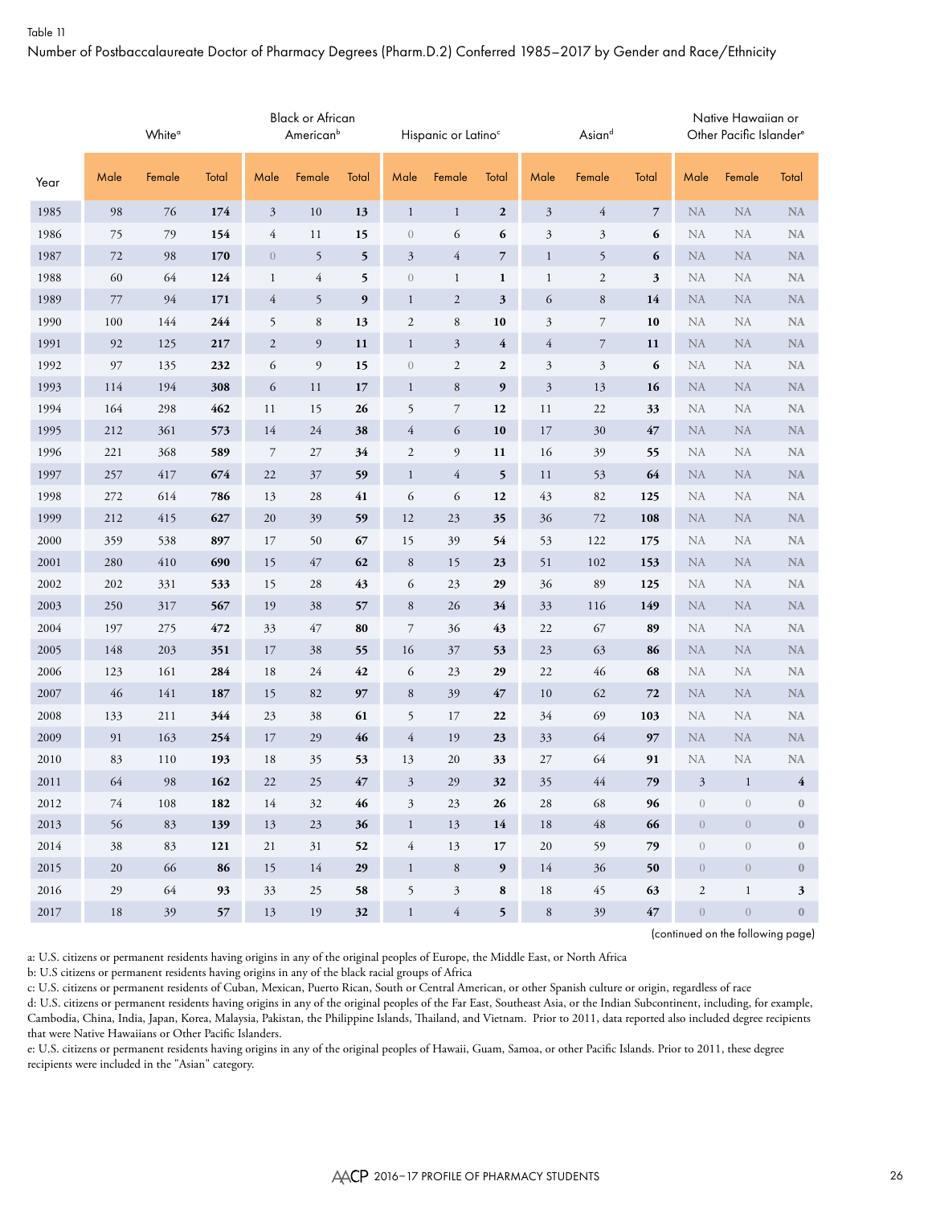Number of Postbaccalaureate Doctor of Pharmacy Degrees (Pharm.D.2) Conferred 1985–2017 by Gender and Race/Ethnicity

|      |      | White <sup>o</sup> |       |                | <b>Black or African</b><br>American <sup>b</sup> |        |                  | Hispanic or Latino <sup>c</sup> |                  |                | Asiand         |                |                  | Native Hawaiian or<br>Other Pacific Islander <sup>e</sup> |                         |
|------|------|--------------------|-------|----------------|--------------------------------------------------|--------|------------------|---------------------------------|------------------|----------------|----------------|----------------|------------------|-----------------------------------------------------------|-------------------------|
| Year | Male | Female             | Total | Male           | Female                                           | Total  | Male             | Female                          | Total            | Male           | Female         | Total          | Male             | Female                                                    | Total                   |
| 1985 | 98   | 76                 | 174   | $\mathfrak{Z}$ | 10                                               | 13     | $\mathbf{1}$     | $\mathbf{1}$                    | $\boldsymbol{2}$ | $\mathfrak{Z}$ | $\overline{4}$ | $\overline{7}$ | ${\rm NA}$       | ${\rm NA}$                                                | NA                      |
| 1986 | 75   | 79                 | 154   | $\overline{4}$ | 11                                               | 15     | $\mathbf{0}$     | 6                               | 6                | $\mathfrak{Z}$ | 3              | 6              | <b>NA</b>        | NA                                                        | <b>NA</b>               |
| 1987 | 72   | 98                 | 170   | $\overline{0}$ | 5                                                | 5      | $\mathfrak{Z}$   | $\overline{4}$                  | $\overline{7}$   | $\mathbf{1}$   | 5              | 6              | ${\rm NA}$       | <b>NA</b>                                                 | NA                      |
| 1988 | 60   | 64                 | 124   | $\mathbf{1}$   | $\sqrt{4}$                                       | 5      | $\boldsymbol{0}$ | $\mathbf{1}$                    | $\mathbf{1}$     | $\mathbf{1}$   | $\sqrt{2}$     | 3              | NA               | NA                                                        | NA                      |
| 1989 | 77   | 94                 | 171   | $\overline{4}$ | 5                                                | 9      | $\mathbf{1}$     | $\sqrt{2}$                      | $\mathbf{3}$     | 6              | $\,$ 8 $\,$    | 14             | <b>NA</b>        | <b>NA</b>                                                 | NA                      |
| 1990 | 100  | 144                | 244   | 5              | $\,$ 8 $\,$                                      | 13     | $\mathfrak{2}$   | $\,$ 8 $\,$                     | 10               | $\mathfrak{Z}$ | $\overline{7}$ | 10             | NA               | NA                                                        | NA                      |
| 1991 | 92   | 125                | 217   | $\overline{2}$ | 9                                                | 11     | $\mathbf{1}$     | $\boldsymbol{\beta}$            | $\overline{4}$   | 4              | $\overline{7}$ | 11             | <b>NA</b>        | <b>NA</b>                                                 | <b>NA</b>               |
| 1992 | 97   | 135                | 232   | 6              | 9                                                | 15     | $\boldsymbol{0}$ | $\mathfrak{2}$                  | $\boldsymbol{2}$ | $\mathfrak{Z}$ | $\mathfrak{Z}$ | 6              | NA               | NA                                                        | NA                      |
| 1993 | 114  | 194                | 308   | 6              | 11                                               | 17     | $\mathbf{1}$     | $\,$ 8 $\,$                     | 9                | $\mathfrak z$  | 13             | 16             | <b>NA</b>        | <b>NA</b>                                                 | <b>NA</b>               |
| 1994 | 164  | 298                | 462   | 11             | 15                                               | 26     | 5                | $\boldsymbol{7}$                | 12               | 11             | 22             | 33             | <b>NA</b>        | NA                                                        | NA                      |
| 1995 | 212  | 361                | 573   | 14             | 24                                               | 38     | $\overline{4}$   | 6                               | 10               | 17             | 30             | 47             | <b>NA</b>        | NA                                                        | NA                      |
| 1996 | 221  | 368                | 589   | 7              | 27                                               | 34     | $\overline{c}$   | $\overline{9}$                  | 11               | 16             | 39             | 55             | <b>NA</b>        | NA                                                        | NA                      |
| 1997 | 257  | 417                | 674   | 22             | 37                                               | 59     | $\mathbf{1}$     | $\overline{4}$                  | 5                | 11             | 53             | 64             | ${\rm NA}$       | <b>NA</b>                                                 | <b>NA</b>               |
| 1998 | 272  | 614                | 786   | 13             | 28                                               | 41     | 6                | 6                               | 12               | 43             | 82             | 125            | NA               | NA                                                        | NA                      |
| 1999 | 212  | 415                | 627   | 20             | 39                                               | 59     | 12               | 23                              | 35               | 36             | 72             | 108            | <b>NA</b>        | <b>NA</b>                                                 | <b>NA</b>               |
| 2000 | 359  | 538                | 897   | 17             | 50                                               | 67     | 15               | 39                              | 54               | 53             | 122            | 175            | <b>NA</b>        | NA                                                        | NA                      |
| 2001 | 280  | 410                | 690   | 15             | 47                                               | 62     | $\,8\,$          | 15                              | 23               | 51             | 102            | 153            | <b>NA</b>        | <b>NA</b>                                                 | NA                      |
| 2002 | 202  | 331                | 533   | 15             | 28                                               | 43     | 6                | 23                              | 29               | 36             | 89             | 125            | NA               | NA                                                        | <b>NA</b>               |
| 2003 | 250  | 317                | 567   | 19             | 38                                               | 57     | 8                | 26                              | 34               | 33             | 116            | 149            | <b>NA</b>        | NA                                                        | NA                      |
| 2004 | 197  | 275                | 472   | 33             | 47                                               | 80     | $\overline{7}$   | 36                              | 43               | 22             | 67             | 89             | <b>NA</b>        | NA                                                        | NA                      |
| 2005 | 148  | 203                | 351   | 17             | 38                                               | 55     | 16               | 37                              | 53               | 23             | 63             | 86             | <b>NA</b>        | NA                                                        | NA                      |
| 2006 | 123  | 161                | 284   | 18             | 24                                               | 42     | 6                | 23                              | 29               | 22             | 46             | 68             | <b>NA</b>        | NA                                                        | NA                      |
| 2007 | 46   | 141                | 187   | 15             | 82                                               | 97     | 8                | 39                              | 47               | $10\,$         | 62             | 72             | ${\rm NA}$       | <b>NA</b>                                                 | <b>NA</b>               |
| 2008 | 133  | 211                | 344   | 23             | 38                                               | 61     | 5                | 17                              | 22               | 34             | 69             | 103            | <b>NA</b>        | NA                                                        | NA                      |
| 2009 | 91   | 163                | 254   | 17             | 29                                               | 46     | $\overline{4}$   | 19                              | 23               | 33             | 64             | 97             | <b>NA</b>        | <b>NA</b>                                                 | NA                      |
| 2010 | 83   | 110                | 193   | 18             | 35                                               | 53     | 13               | 20                              | 33               | 27             | 64             | 91             | NA               | NA                                                        | NA                      |
| 2011 | 64   | 98                 | 162   | 22             | 25                                               | 47     | 3                | 29                              | 32               | 35             | 44             | 79             | 3                | $\mathbf{1}$                                              | $\overline{\mathbf{4}}$ |
| 2012 | 74   | 108                | 182   | 14             | 32                                               | 46     | $\mathfrak{Z}$   | 23                              | 26               | 28             | 68             | 96             | $\sqrt{a}$       | $\boldsymbol{0}$                                          | $\bf{0}$                |
| 2013 | 56   | 83                 | 139   | 13             | 23                                               | 36     | $\mathbf{1}$     | 13                              | 14               | 18             | 48             | 66             | $\sqrt{a}$       | $\boldsymbol{0}$                                          | $\boldsymbol{0}$        |
| 2014 | 38   | 83                 | 121   | 21             | 31                                               | 52     | $\overline{4}$   | 13                              | 17               | 20             | 59             | 79             | $\boldsymbol{0}$ | $\boldsymbol{0}$                                          | $\boldsymbol{0}$        |
| 2015 | 20   | 66                 | 86    | 15             | 14                                               | 29     | $\mathbf{1}$     | $\,8\,$                         | 9                | 14             | 36             | 50             | $\boldsymbol{0}$ | $\boldsymbol{0}$                                          | $\boldsymbol{0}$        |
| 2016 | 29   | 64                 | 93    | 33             | 25                                               | 58     | $\mathfrak{S}$   | $\sqrt{3}$                      | $\bf 8$          | 18             | 45             | 63             | $\sqrt{2}$       | $\mathbf{1}$                                              | 3                       |
| 2017 | 18   | 39                 | 57    | $13\,$         | 19                                               | $32\,$ | $\mathbf{1}$     | $\sqrt{4}$                      | $\mathbf{5}$     | $\,$ 8 $\,$    | 39             | $47\,$         | $\boldsymbol{0}$ | $\boldsymbol{0}$                                          | $\boldsymbol{0}$        |

(continued on the following page)

a: U.S. citizens or permanent residents having origins in any of the original peoples of Europe, the Middle East, or North Africa

b: U.S citizens or permanent residents having origins in any of the black racial groups of Africa

c: U.S. citizens or permanent residents of Cuban, Mexican, Puerto Rican, South or Central American, or other Spanish culture or origin, regardless of race

d: U.S. citizens or permanent residents having origins in any of the original peoples of the Far East, Southeast Asia, or the Indian Subcontinent, including, for example, Cambodia, China, India, Japan, Korea, Malaysia, Pakistan, the Philippine Islands, Thailand, and Vietnam. Prior to 2011, data reported also included degree recipients that were Native Hawaiians or Other Pacific Islanders.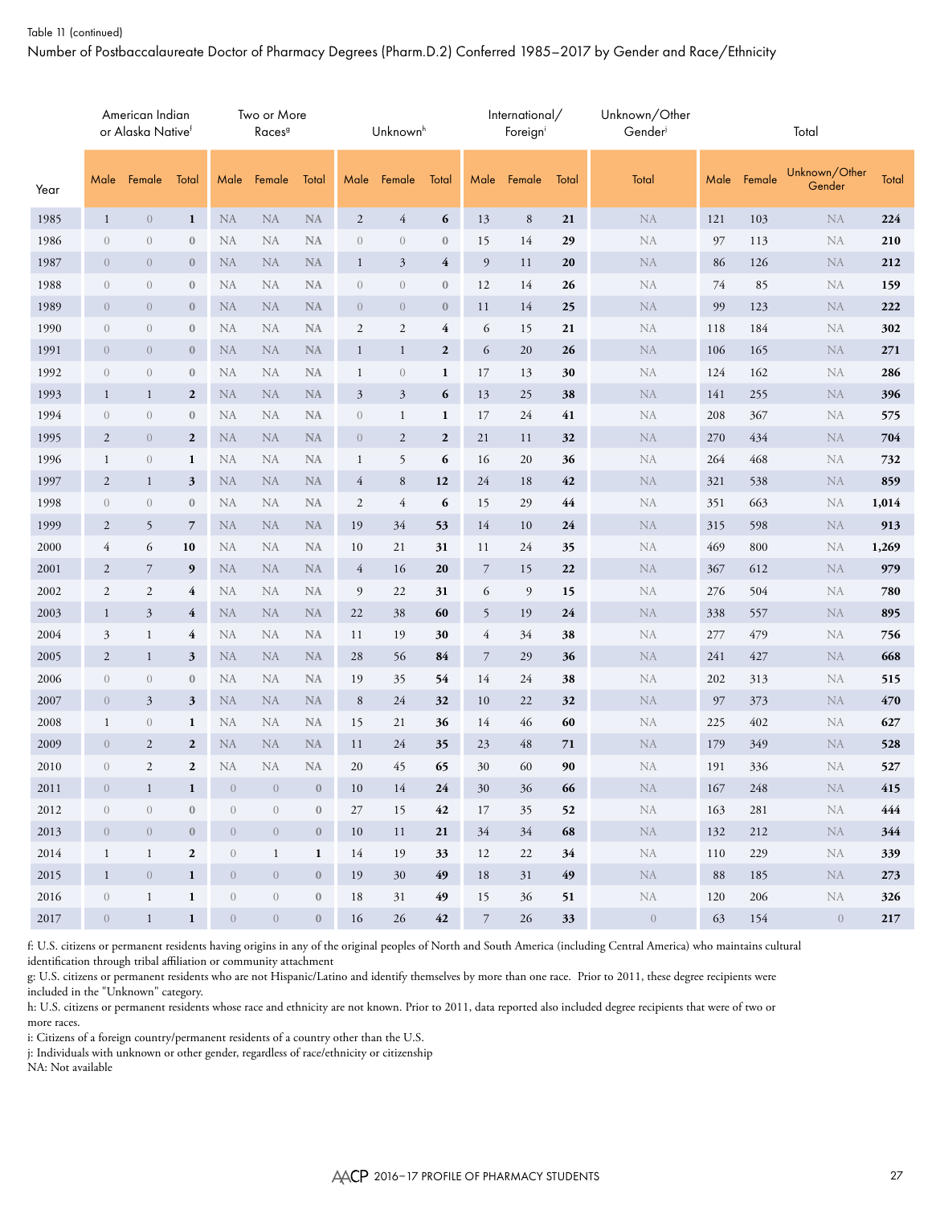#### Table 11 (continued)

Number of Postbaccalaureate Doctor of Pharmacy Degrees (Pharm.D.2) Conferred 1985–2017 by Gender and Race/Ethnicity

|          |                  | American Indian<br>or Alaska Nativef |                  |                | Two or More<br>Races <sup>9</sup> |                  |                  | Unknown <sup>h</sup> |                  |                  | International/<br>Foreigni |            | Unknown/Other<br>Gender |      |        | Total                   |           |
|----------|------------------|--------------------------------------|------------------|----------------|-----------------------------------|------------------|------------------|----------------------|------------------|------------------|----------------------------|------------|-------------------------|------|--------|-------------------------|-----------|
| Year     | Male             | Female                               | Total            | Male           | Female                            | Total            | Male             | Female               | Total            | Male             | Female                     | Total      | Total                   | Male | Female | Unknown/Other<br>Gender | Total     |
| 1985     | $\mathbf{1}$     | $\overline{0}$                       | 1                | <b>NA</b>      | ${\rm NA}$                        | <b>NA</b>        | $\mathbf{2}$     | $\overline{4}$       | 6                | 13               | $\,8\,$                    | 21         | ${\rm NA}$              | 121  | 103    | ${\rm NA}$              | 224       |
| 1986     | $\overline{0}$   | $\overline{0}$                       | $\boldsymbol{0}$ | <b>NA</b>      | <b>NA</b>                         | NA               | $\overline{0}$   | $\overline{0}$       | $\boldsymbol{0}$ | 15               | 14                         | 29         | NA                      | 97   | 113    | NA                      | 210       |
| 1987     | $\overline{0}$   | $\overline{0}$                       | $\bf{0}$         | <b>NA</b>      | ${\rm NA}$                        | <b>NA</b>        | $\mathbf{1}$     | $\mathfrak{Z}$       | 4                | 9                | 11                         | ${\bf 20}$ | ${\rm NA}$              | 86   | 126    | <b>NA</b>               | 212       |
| 1988     | $\sqrt{a}$       | $\overline{0}$                       | $\bf{0}$         | <b>NA</b>      | <b>NA</b>                         | <b>NA</b>        | $\overline{0}$   | $\theta$             | $\boldsymbol{0}$ | 12               | 14                         | 26         | NA                      | 74   | 85     | <b>NA</b>               | 159       |
| 1989     | $\overline{0}$   | $\overline{0}$                       | $\bf{0}$         | <b>NA</b>      | <b>NA</b>                         | NA               | $\overline{0}$   | $\theta$             | $\bf{0}$         | 11               | 14                         | 25         | ${\rm NA}$              | 99   | 123    | <b>NA</b>               | 222       |
| 1990     | $\theta$         | $\theta$                             | $\boldsymbol{0}$ | <b>NA</b>      | <b>NA</b>                         | NA               | $\mathfrak{2}$   | $\overline{2}$       | 4                | 6                | 15                         | 21         | NA                      | 118  | 184    | <b>NA</b>               | 302       |
| 1991     | $\overline{0}$   | $\overline{0}$                       | $\mathbf{0}$     | <b>NA</b>      | NA                                | NA               | $\mathbf{1}$     | $\mathbf{1}$         | $\mathbf{2}$     | 6                | 20                         | 26         | ${\rm NA}$              | 106  | 165    | <b>NA</b>               | 271       |
| 1992     | $\boldsymbol{0}$ | $\theta$                             | $\boldsymbol{0}$ | <b>NA</b>      | <b>NA</b>                         | <b>NA</b>        | 1                | $\theta$             | $\mathbf{1}$     | 17               | 13                         | 30         | ${\rm NA}$              | 124  | 162    | <b>NA</b>               | 286       |
| 1993     | $\mathbf{1}$     | $\mathbf{1}$                         | $\overline{2}$   | <b>NA</b>      | <b>NA</b>                         | NA               | 3                | $\mathfrak{Z}$       | 6                | 13               | 25                         | 38         | ${\rm NA}$              | 141  | 255    | <b>NA</b>               | 396       |
| 1994     | $\theta$         | $\theta$                             | $\boldsymbol{0}$ | <b>NA</b>      | <b>NA</b>                         | <b>NA</b>        | $\boldsymbol{0}$ | 1                    | 1                | 17               | 24                         | 41         | NA                      | 208  | 367    | <b>NA</b>               | 575       |
| 1995     | $\mathbf{2}$     | $\overline{0}$                       | $\overline{2}$   | <b>NA</b>      | <b>NA</b>                         | <b>NA</b>        | $\overline{0}$   | $\overline{2}$       | $\mathbf{2}$     | 21               | 11                         | 32         | ${\rm NA}$              | 270  | 434    | <b>NA</b>               | 704       |
| 1996     | $\mathbf{1}$     | $\overline{0}$                       | 1                | <b>NA</b>      | <b>NA</b>                         | <b>NA</b>        | 1                | 5                    | 6                | 16               | 20                         | 36         | NA                      | 264  | 468    | <b>NA</b>               | 732       |
| 1997     | $\overline{2}$   | $\mathbf{1}$                         | 3                | <b>NA</b>      | NA                                | <b>NA</b>        | $\overline{4}$   | 8                    | 12               | 24               | 18                         | 42         | ${\rm NA}$              | 321  | 538    | <b>NA</b>               | 859       |
| 1998     | $\theta$         | $\overline{0}$                       | $\bf{0}$         | <b>NA</b>      | <b>NA</b>                         | <b>NA</b>        | $\overline{c}$   | 4                    | 6                | 15               | 29                         | 44         | NA                      | 351  | 663    | <b>NA</b>               | 1,014     |
| 1999     | $\mathbf{2}$     | 5                                    | $\overline{7}$   | NA             | <b>NA</b>                         | <b>NA</b>        | 19               | 34                   | 53               | 14               | 10                         | 24         | ${\rm NA}$              | 315  | 598    | <b>NA</b>               | 913       |
| 2000     | $\overline{4}$   | 6                                    | 10               | <b>NA</b>      | <b>NA</b>                         | <b>NA</b>        | 10               | 21                   | 31               | 11               | 24                         | 35         | NA                      | 469  | 800    | NA                      | 1,269     |
| 2001     | $\overline{c}$   | $\overline{7}$                       | 9                | <b>NA</b>      | <b>NA</b>                         | $\rm NA$         | $\overline{4}$   | 16                   | 20               | $\boldsymbol{7}$ | 15                         | 22         | ${\rm NA}$              | 367  | 612    | <b>NA</b>               | 979       |
| 2002     | $\mathbf{2}$     | $\overline{2}$                       | 4                | <b>NA</b>      | <b>NA</b>                         | <b>NA</b>        | 9                | 22                   | 31               | 6                | 9                          | 15         | NA                      | 276  | 504    | <b>NA</b>               | 780       |
| 2003     | $\mathbf{1}$     | $\mathfrak{Z}$                       | 4                | <b>NA</b>      | NA                                | <b>NA</b>        | 22               | 38                   | 60               | 5                | 19                         | ${\bf 24}$ | NA                      | 338  | 557    | <b>NA</b>               | 895       |
| 2004     | 3                | $\mathbf{1}$                         | 4                | <b>NA</b>      | <b>NA</b>                         | <b>NA</b>        | 11               | 19                   | 30               | $\overline{4}$   | 34                         | 38         | NA                      | 277  | 479    | <b>NA</b>               | 756       |
| 2005     | $\overline{2}$   | $\mathbf{1}$                         | 3                | <b>NA</b>      | <b>NA</b>                         | <b>NA</b>        | 28               | 56                   | 84               | $\overline{7}$   | 29                         | 36         | ${\rm NA}$              | 241  | 427    | <b>NA</b>               | 668       |
| 2006     | $\overline{0}$   | $\overline{0}$                       | $\bf{0}$         | NA             | NA                                | NA               | 19               | 35                   | 54               | 14               | 24                         | 38         | NA                      | 202  | 313    | NA                      | 515       |
| 2007     | $\overline{0}$   | $\mathfrak{Z}$                       | 3                | <b>NA</b>      | ${\rm NA}$                        | <b>NA</b>        | $\,8\,$          | 24                   | 32               | 10               | 22                         | 32         | ${\rm NA}$              | 97   | 373    | ${\rm NA}$              | 470       |
| 2008     | $\mathbf{1}$     | $\overline{0}$                       | 1                | NA             | <b>NA</b>                         | <b>NA</b>        | 15               | 21                   | 36               | 14               | 46                         | 60         | NA                      | 225  | 402    | NA                      | 627       |
| 2009     | $\theta$         | $\overline{2}$                       | $\overline{2}$   | <b>NA</b>      | <b>NA</b>                         | <b>NA</b>        | 11               | 24                   | 35               | 23               | 48                         | 71         | NA                      | 179  | 349    | <b>NA</b>               | 528       |
| 2010     | $\sqrt{a}$       | $\mathfrak{2}$                       | $\mathbf{2}$     | NA             | <b>NA</b>                         | <b>NA</b>        | 20               | 45                   | 65               | 30               | 60                         | 90         | NA                      | 191  | 336    | <b>NA</b>               | 527       |
| $2011\,$ | $\overline{0}$   | $\mathbf{1}$                         | $\mathbf{1}$     | $\overline{0}$ | $\overline{0}$                    | $\bf{0}$         | 10               | 14                   | 24               | 30               | 36                         | 66         | ${\rm NA}$              | 167  | 248    | ${\rm NA}$              | 415       |
| 2012     | $\sqrt{a}$       | $\boldsymbol{0}$                     | $\boldsymbol{0}$ | $\overline{0}$ | $\boldsymbol{0}$                  | $\boldsymbol{0}$ | 27               | 15                   | 42               | 17               | 35                         | 52         | NA                      | 163  | 281    | NA                      | 444       |
| 2013     | $\overline{0}$   | $\overline{0}$                       | $\boldsymbol{0}$ | $\overline{0}$ | $\sqrt{a}$                        | $\bf{0}$         | 10               | 11                   | 21               | 34               | $34\,$                     | 68         | $\rm NA$                | 132  | 212    | <b>NA</b>               | 344       |
| 2014     | $\mathbf{1}$     | $\mathbf{1}$                         | $\mathbf{2}$     | $\overline{0}$ | $\mathbf{1}$                      | $\mathbf{1}$     | 14               | 19                   | 33               | 12               | 22                         | 34         | NA                      | 110  | 229    | NA                      | 339       |
| 2015     | $\mathbf{1}$     | $\sqrt{0}$                           | 1                | $\overline{0}$ | $\sqrt{ }$                        | $\bf 0$          | 19               | 30                   | 49               | 18               | 31                         | 49         | NA                      | 88   | 185    | NA                      | 273       |
| 2016     | $\boldsymbol{0}$ | $\mathbf{1}$                         | $\mathbf{1}$     | $\overline{0}$ | $\boldsymbol{0}$                  | $\bf{0}$         | 18               | 31                   | 49               | 15               | 36                         | 51         | NA                      | 120  | 206    | NA                      | 326       |
| 2017     | $\overline{0}$   | $\mathbf{1}$                         | $\mathbf{1}$     | $\sqrt{ }$     | $\sqrt{ }$                        | $\mathbf{0}$     | 16               | 26                   | 42               | $\overline{7}$   | 26                         | 33         | $\bigcirc$              | 63   | 154    | $\overline{0}$          | $\bf 217$ |

f: U.S. citizens or permanent residents having origins in any of the original peoples of North and South America (including Central America) who maintains cultural identification through tribal affiliation or community attachment

g: U.S. citizens or permanent residents who are not Hispanic/Latino and identify themselves by more than one race. Prior to 2011, these degree recipients were included in the "Unknown" category.

h: U.S. citizens or permanent residents whose race and ethnicity are not known. Prior to 2011, data reported also included degree recipients that were of two or more races.

i: Citizens of a foreign country/permanent residents of a country other than the U.S.

j: Individuals with unknown or other gender, regardless of race/ethnicity or citizenship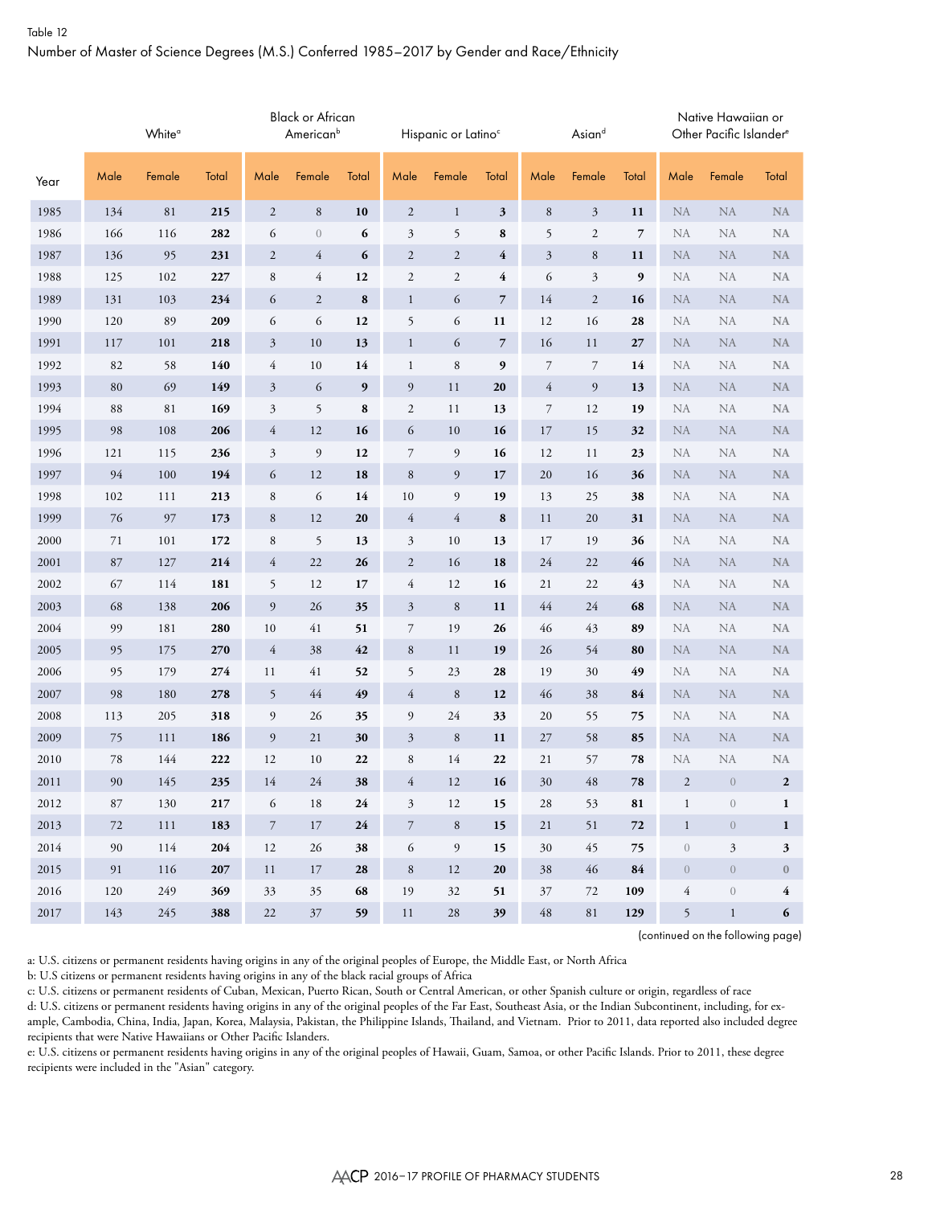# Table 12 Number of Master of Science Degrees (M.S.) Conferred 1985–2017 by Gender and Race/Ethnicity

|      |      | White <sup>a</sup> |       |                | <b>Black or African</b><br>American <sup>b</sup> |       |                | Hispanic or Latino <sup>c</sup> |                |                  | Asiand         |       |                  | Native Hawaiian or<br>Other Pacific Islander <sup>e</sup> |                  |
|------|------|--------------------|-------|----------------|--------------------------------------------------|-------|----------------|---------------------------------|----------------|------------------|----------------|-------|------------------|-----------------------------------------------------------|------------------|
| Year | Male | Female             | Total | Male           | Female                                           | Total | Male           | Female                          | Total          | Male             | Female         | Total | Male             | Female                                                    | Total            |
| 1985 | 134  | 81                 | 215   | $\mathbf{2}$   | $\,8\,$                                          | 10    | $\overline{2}$ | $\mathbf{1}$                    | 3              | $\,8\,$          | $\mathfrak{Z}$ | 11    | <b>NA</b>        | NA                                                        | NA               |
| 1986 | 166  | 116                | 282   | 6              | $\sqrt{a}$                                       | 6     | $\mathfrak{Z}$ | 5                               | 8              | 5                | $\mathfrak{2}$ | 7     | NA               | <b>NA</b>                                                 | <b>NA</b>        |
| 1987 | 136  | 95                 | 231   | $\sqrt{2}$     | $\overline{4}$                                   | 6     | $\sqrt{2}$     | $\sqrt{2}$                      | 4              | $\mathfrak{Z}$   | $\,8\,$        | 11    | <b>NA</b>        | <b>NA</b>                                                 | <b>NA</b>        |
| 1988 | 125  | 102                | 227   | $\,8\,$        | $\overline{4}$                                   | 12    | $\sqrt{2}$     | $\sqrt{2}$                      | 4              | 6                | $\mathfrak{Z}$ | 9     | NA               | <b>NA</b>                                                 | <b>NA</b>        |
| 1989 | 131  | 103                | 234   | 6              | $\mathbf{2}$                                     | 8     | $\mathbf{1}$   | 6                               | $\overline{7}$ | 14               | $\mathfrak{2}$ | 16    | <b>NA</b>        | <b>NA</b>                                                 | <b>NA</b>        |
| 1990 | 120  | 89                 | 209   | 6              | 6                                                | 12    | 5              | 6                               | 11             | 12               | 16             | 28    | NA               | NA                                                        | <b>NA</b>        |
| 1991 | 117  | 101                | 218   | $\mathfrak{Z}$ | 10                                               | 13    | $\mathbf{1}$   | 6                               | $\overline{7}$ | 16               | 11             | 27    | <b>NA</b>        | <b>NA</b>                                                 | <b>NA</b>        |
| 1992 | 82   | 58                 | 140   | $\overline{4}$ | 10                                               | 14    | $\mathbf{1}$   | $\,$ 8 $\,$                     | 9              | $\boldsymbol{7}$ | $\overline{7}$ | 14    | NA               | <b>NA</b>                                                 | <b>NA</b>        |
| 1993 | 80   | 69                 | 149   | $\mathfrak{Z}$ | 6                                                | 9     | 9              | 11                              | 20             | $\overline{4}$   | 9              | 13    | <b>NA</b>        | <b>NA</b>                                                 | <b>NA</b>        |
| 1994 | 88   | 81                 | 169   | 3              | 5                                                | 8     | 2              | 11                              | 13             | 7                | 12             | 19    | NA               | NA                                                        | <b>NA</b>        |
| 1995 | 98   | 108                | 206   | $\overline{4}$ | 12                                               | 16    | 6              | 10                              | 16             | 17               | 15             | 32    | <b>NA</b>        | <b>NA</b>                                                 | <b>NA</b>        |
| 1996 | 121  | 115                | 236   | $\mathfrak{Z}$ | $\overline{9}$                                   | 12    | $\overline{7}$ | 9                               | 16             | 12               | 11             | 23    | NA               | <b>NA</b>                                                 | <b>NA</b>        |
| 1997 | 94   | 100                | 194   | 6              | 12                                               | 18    | $\,8\,$        | 9                               | 17             | $20\,$           | 16             | 36    | <b>NA</b>        | <b>NA</b>                                                 | <b>NA</b>        |
| 1998 | 102  | 111                | 213   | $\,8\,$        | 6                                                | 14    | 10             | 9                               | 19             | 13               | 25             | 38    | NA               | <b>NA</b>                                                 | <b>NA</b>        |
| 1999 | 76   | 97                 | 173   | 8              | 12                                               | 20    | $\overline{4}$ | $\overline{4}$                  | 8              | 11               | 20             | 31    | <b>NA</b>        | <b>NA</b>                                                 | <b>NA</b>        |
| 2000 | 71   | 101                | 172   | $\,8\,$        | 5                                                | 13    | 3              | 10                              | 13             | 17               | 19             | 36    | NA               | NA                                                        | <b>NA</b>        |
| 2001 | 87   | 127                | 214   | $\overline{4}$ | $22\,$                                           | 26    | $\overline{2}$ | 16                              | 18             | 24               | 22             | 46    | <b>NA</b>        | NA                                                        | <b>NA</b>        |
| 2002 | 67   | 114                | 181   | 5              | 12                                               | 17    | $\overline{4}$ | 12                              | 16             | 21               | 22             | 43    | NA               | <b>NA</b>                                                 | <b>NA</b>        |
| 2003 | 68   | 138                | 206   | 9              | 26                                               | 35    | $\mathfrak{Z}$ | $\,$ 8 $\,$                     | 11             | $44$             | 24             | 68    | <b>NA</b>        | <b>NA</b>                                                 | <b>NA</b>        |
| 2004 | 99   | 181                | 280   | $10\,$         | 41                                               | 51    | $\overline{7}$ | 19                              | 26             | 46               | 43             | 89    | NA               | NA                                                        | <b>NA</b>        |
| 2005 | 95   | 175                | 270   | $\overline{4}$ | 38                                               | 42    | $\,8\,$        | 11                              | 19             | 26               | 54             | 80    | <b>NA</b>        | <b>NA</b>                                                 | <b>NA</b>        |
| 2006 | 95   | 179                | 274   | 11             | 41                                               | 52    | 5              | 23                              | 28             | 19               | 30             | 49    | NA               | <b>NA</b>                                                 | <b>NA</b>        |
| 2007 | 98   | 180                | 278   | 5              | 44                                               | 49    | $\overline{4}$ | $\,8\,$                         | 12             | 46               | 38             | 84    | <b>NA</b>        | <b>NA</b>                                                 | <b>NA</b>        |
| 2008 | 113  | 205                | 318   | 9              | 26                                               | 35    | $\overline{9}$ | 24                              | 33             | 20               | 55             | 75    | NA               | NA                                                        | <b>NA</b>        |
| 2009 | 75   | 111                | 186   | 9              | 21                                               | 30    | $\mathfrak{Z}$ | $\,8\,$                         | 11             | 27               | 58             | 85    | <b>NA</b>        | <b>NA</b>                                                 | <b>NA</b>        |
| 2010 | 78   | 144                | 222   | 12             | 10                                               | 22    | $\,$ 8 $\,$    | 14                              | 22             | 21               | 57             | 78    | NA               | NA                                                        | <b>NA</b>        |
| 2011 | 90   | 145                | 235   | 14             | 24                                               | 38    | 4              | 12                              | 16             | 30               | 48             | 78    | $\overline{2}$   | $\sqrt{a}$                                                | $\boldsymbol{2}$ |
| 2012 | 87   | 130                | 217   | 6              | 18                                               | 24    | $\mathfrak{Z}$ | 12                              | 15             | 28               | 53             | 81    | $\,1$            | $\boldsymbol{0}$                                          | 1                |
| 2013 | 72   | 111                | 183   | $\overline{7}$ | $17\,$                                           | 24    | $\,7$          | $\,$ 8 $\,$                     | 15             | 21               | 51             | 72    | $\mathbf{1}$     | $\sqrt{ }$                                                | $\mathbf{1}$     |
| 2014 | 90   | 114                | 204   | 12             | 26                                               | 38    | 6              | 9                               | 15             | 30               | 45             | 75    | $\boldsymbol{0}$ | 3                                                         | 3                |
| 2015 | 91   | 116                | 207   | 11             | 17                                               | 28    | $\,8\,$        | 12                              | 20             | 38               | 46             | 84    | $\boldsymbol{0}$ | $\overline{0}$                                            | $\boldsymbol{0}$ |
| 2016 | 120  | 249                | 369   | 33             | 35                                               | 68    | 19             | 32                              | 51             | 37               | 72             | 109   | $\overline{4}$   | $\boldsymbol{0}$                                          | 4                |
| 2017 | 143  | 245                | 388   | $22\,$         | $37\,$                                           | 59    | $11\,$         | $28\,$                          | 39             | $\sqrt{48}$      | $8\sqrt{1}$    | 129   | 5                | $\mathbf{1}$                                              | 6                |

(continued on the following page)

a: U.S. citizens or permanent residents having origins in any of the original peoples of Europe, the Middle East, or North Africa

b: U.S citizens or permanent residents having origins in any of the black racial groups of Africa

c: U.S. citizens or permanent residents of Cuban, Mexican, Puerto Rican, South or Central American, or other Spanish culture or origin, regardless of race

d: U.S. citizens or permanent residents having origins in any of the original peoples of the Far East, Southeast Asia, or the Indian Subcontinent, including, for example, Cambodia, China, India, Japan, Korea, Malaysia, Pakistan, the Philippine Islands, Thailand, and Vietnam. Prior to 2011, data reported also included degree recipients that were Native Hawaiians or Other Pacific Islanders.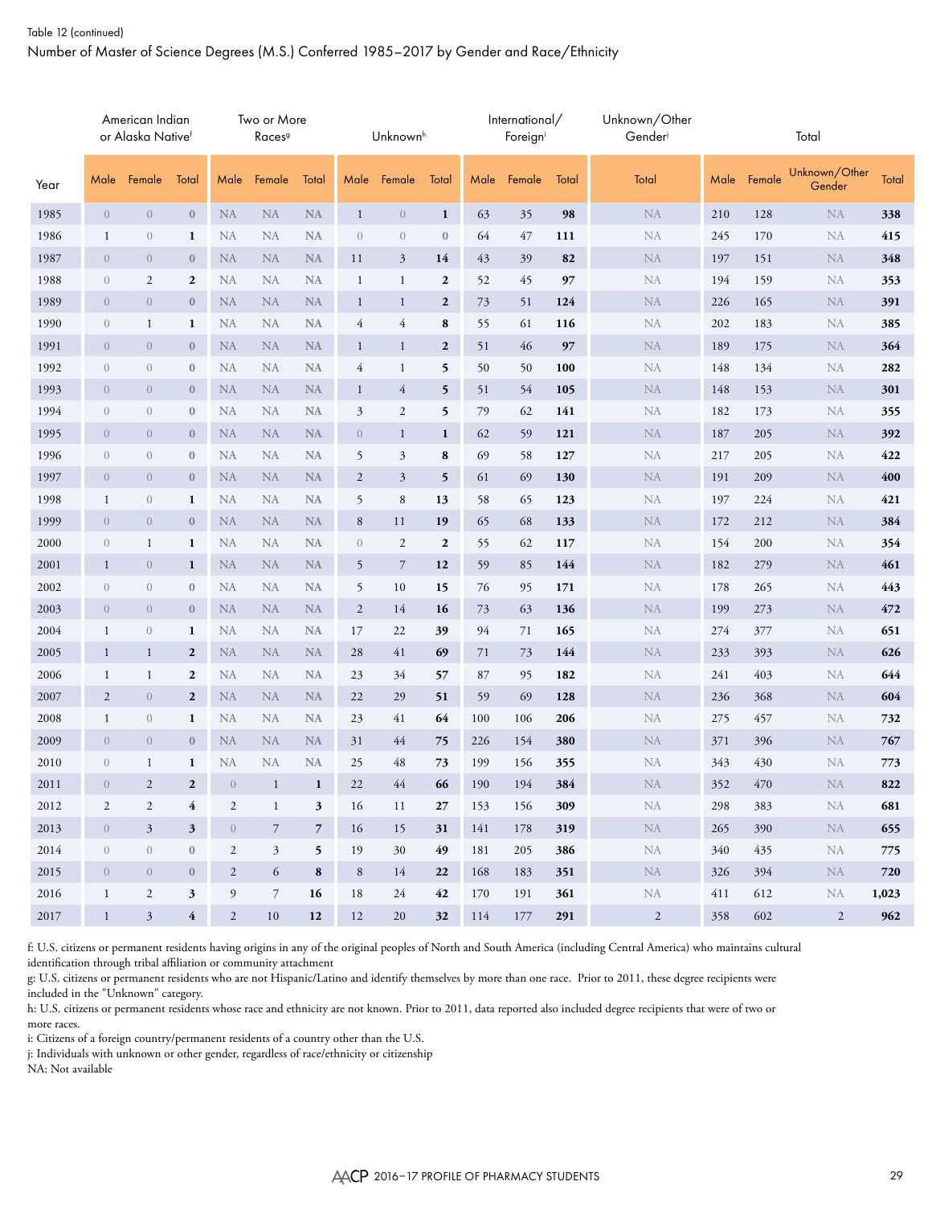## Table 12 (continued) Number of Master of Science Degrees (M.S.) Conferred 1985–2017 by Gender and Race/Ethnicity

|      |                | American Indian<br>or Alaska Nativef |                  |                  | Two or More<br>Races <sup>9</sup> |                |                | Unknown <sup>h</sup> |                  |      | International/<br>Foreigni |       | Unknown/Other<br>Gender |      |        | Total                   |       |
|------|----------------|--------------------------------------|------------------|------------------|-----------------------------------|----------------|----------------|----------------------|------------------|------|----------------------------|-------|-------------------------|------|--------|-------------------------|-------|
| Year | Male           | Female                               | Total            | Male             | Female                            | Total          | Male           | Female               | Total            | Male | Female                     | Total | Total                   | Male | Female | Unknown/Other<br>Gender | Total |
| 1985 | $\overline{0}$ | $\sqrt{0}$                           | $\mathbf{0}$     | NA               | ${\rm NA}$                        | $\rm NA$       | $\mathbf{1}$   | $\boldsymbol{0}$     | $\mathbf{1}$     | 63   | 35                         | 98    | NA                      | 210  | 128    | ${\rm NA}$              | 338   |
| 1986 | $\mathbf{1}$   | $\boldsymbol{0}$                     | $\mathbf{1}$     | NA               | <b>NA</b>                         | <b>NA</b>      | $\sqrt{a}$     | $\overline{0}$       | $\boldsymbol{0}$ | 64   | 47                         | 111   | NA                      | 245  | 170    | NA                      | 415   |
| 1987 | $\overline{0}$ | $\overline{0}$                       | $\bf{0}$         | <b>NA</b>        | <b>NA</b>                         | <b>NA</b>      | 11             | 3                    | 14               | 43   | 39                         | 82    | <b>NA</b>               | 197  | 151    | <b>NA</b>               | 348   |
| 1988 | $\sqrt{a}$     | 2                                    | $\boldsymbol{2}$ | <b>NA</b>        | <b>NA</b>                         | <b>NA</b>      | 1              | $\mathbf{1}$         | 2                | 52   | 45                         | 97    | NA                      | 194  | 159    | <b>NA</b>               | 353   |
| 1989 | $\overline{0}$ | $\overline{0}$                       | $\bf{0}$         | <b>NA</b>        | <b>NA</b>                         | <b>NA</b>      | $\mathbf{1}$   | $\mathbf{1}$         | $\mathbf{2}$     | 73   | 51                         | 124   | <b>NA</b>               | 226  | 165    | <b>NA</b>               | 391   |
| 1990 | $\sqrt{a}$     | $\mathbf{1}$                         | 1                | <b>NA</b>        | <b>NA</b>                         | <b>NA</b>      | $\overline{4}$ | $\overline{4}$       | 8                | 55   | 61                         | 116   | NA                      | 202  | 183    | NA                      | 385   |
| 1991 | $\overline{0}$ | $\overline{0}$                       | $\bf{0}$         | <b>NA</b>        | <b>NA</b>                         | <b>NA</b>      | $\mathbf{1}$   | $\mathbf{1}$         | $\boldsymbol{2}$ | 51   | 46                         | 97    | ${\rm NA}$              | 189  | 175    | <b>NA</b>               | 364   |
| 1992 | $\sqrt{a}$     | $\mathbf{0}$                         | $\bf{0}$         | <b>NA</b>        | <b>NA</b>                         | <b>NA</b>      | $\overline{4}$ | 1                    | 5                | 50   | 50                         | 100   | <b>NA</b>               | 148  | 134    | NA                      | 282   |
| 1993 | $\overline{0}$ | $\overline{0}$                       | $\bf{0}$         | <b>NA</b>        | <b>NA</b>                         | <b>NA</b>      | $\mathbf{1}$   | $\overline{4}$       | 5                | 51   | 54                         | 105   | <b>NA</b>               | 148  | 153    | ${\rm NA}$              | 301   |
| 1994 | $\sqrt{a}$     | $\mathbf{0}$                         | $\bf{0}$         | <b>NA</b>        | <b>NA</b>                         | <b>NA</b>      | 3              | $\mathfrak{2}$       | 5                | 79   | 62                         | 141   | NA                      | 182  | 173    | NA                      | 355   |
| 1995 | $\overline{0}$ | $\overline{0}$                       | $\bf{0}$         | <b>NA</b>        | <b>NA</b>                         | <b>NA</b>      | $\overline{0}$ | $\mathbf{1}$         | $\mathbf{1}$     | 62   | 59                         | 121   | ${\rm NA}$              | 187  | 205    | <b>NA</b>               | 392   |
| 1996 | $\sqrt{a}$     | $\boldsymbol{0}$                     | $\bf{0}$         | <b>NA</b>        | <b>NA</b>                         | <b>NA</b>      | 5              | $\mathfrak{Z}$       | 8                | 69   | 58                         | 127   | NA                      | 217  | 205    | <b>NA</b>               | 422   |
| 1997 | $\overline{0}$ | $\overline{0}$                       | $\bf{0}$         | <b>NA</b>        | <b>NA</b>                         | <b>NA</b>      | $\overline{2}$ | $\mathfrak{Z}$       | 5                | 61   | 69                         | 130   | <b>NA</b>               | 191  | 209    | <b>NA</b>               | 400   |
| 1998 | $\mathbf{1}$   | $\mathbf{0}$                         | 1                | <b>NA</b>        | <b>NA</b>                         | <b>NA</b>      | 5              | $\,$ 8 $\,$          | 13               | 58   | 65                         | 123   | <b>NA</b>               | 197  | 224    | NA                      | 421   |
| 1999 | $\overline{0}$ | $\overline{0}$                       | $\bf{0}$         | <b>NA</b>        | <b>NA</b>                         | <b>NA</b>      | 8              | 11                   | 19               | 65   | 68                         | 133   | <b>NA</b>               | 172  | 212    | <b>NA</b>               | 384   |
| 2000 | $\sqrt{a}$     | 1                                    | 1                | NA               | <b>NA</b>                         | <b>NA</b>      | $\overline{0}$ | $\sqrt{2}$           | $\boldsymbol{2}$ | 55   | 62                         | 117   | NA                      | 154  | 200    | NA                      | 354   |
| 2001 | $\mathbf{1}$   | $\theta$                             | 1                | <b>NA</b>        | <b>NA</b>                         | <b>NA</b>      | 5              | $\overline{7}$       | 12               | 59   | 85                         | 144   | ${\rm NA}$              | 182  | 279    | <b>NA</b>               | 461   |
| 2002 | $\sqrt{a}$     | $\overline{0}$                       | $\bf{0}$         | <b>NA</b>        | <b>NA</b>                         | <b>NA</b>      | 5              | 10                   | 15               | 76   | 95                         | 171   | <b>NA</b>               | 178  | 265    | NA                      | 443   |
| 2003 | $\sqrt{0}$     | $\overline{0}$                       | $\bf{0}$         | <b>NA</b>        | <b>NA</b>                         | <b>NA</b>      | $\mathbf{2}$   | 14                   | 16               | 73   | 63                         | 136   | <b>NA</b>               | 199  | 273    | ${\rm NA}$              | 472   |
| 2004 | $\mathbf{1}$   | $\sqrt{a}$                           | 1                | NA               | <b>NA</b>                         | <b>NA</b>      | 17             | 22                   | 39               | 94   | 71                         | 165   | NA                      | 274  | 377    | NA                      | 651   |
| 2005 | $\mathbf{1}$   | $\mathbf{1}$                         | $\overline{2}$   | <b>NA</b>        | <b>NA</b>                         | <b>NA</b>      | 28             | 41                   | 69               | 71   | 73                         | 144   | NA                      | 233  | 393    | <b>NA</b>               | 626   |
| 2006 | $\mathbf{1}$   | $\mathbf{1}$                         | $\boldsymbol{2}$ | NA               | <b>NA</b>                         | <b>NA</b>      | 23             | 34                   | 57               | 87   | 95                         | 182   | NA                      | 241  | 403    | NA                      | 644   |
| 2007 | $\overline{c}$ | $\boldsymbol{0}$                     | $\mathbf{2}$     | <b>NA</b>        | <b>NA</b>                         | <b>NA</b>      | 22             | 29                   | 51               | 59   | 69                         | 128   | <b>NA</b>               | 236  | 368    | <b>NA</b>               | 604   |
| 2008 | $\mathbf{1}$   | $\boldsymbol{0}$                     | 1                | <b>NA</b>        | <b>NA</b>                         | <b>NA</b>      | 23             | 41                   | 64               | 100  | 106                        | 206   | NA                      | 275  | 457    | <b>NA</b>               | 732   |
| 2009 | $\overline{0}$ | $\overline{0}$                       | $\bf{0}$         | <b>NA</b>        | <b>NA</b>                         | <b>NA</b>      | 31             | 44                   | 75               | 226  | 154                        | 380   | <b>NA</b>               | 371  | 396    | <b>NA</b>               | 767   |
| 2010 | $\sqrt{a}$     | $\mathbf{1}$                         | 1                | <b>NA</b>        | <b>NA</b>                         | <b>NA</b>      | 25             | 48                   | 73               | 199  | 156                        | 355   | NA                      | 343  | 430    | <b>NA</b>               | 773   |
| 2011 | $\overline{0}$ | $\overline{2}$                       | $\mathbf{2}$     | $\boldsymbol{0}$ | $\mathbf{1}$                      | $\mathbf{1}$   | 22             | 44                   | 66               | 190  | 194                        | 384   | <b>NA</b>               | 352  | 470    | <b>NA</b>               | 822   |
| 2012 | $\overline{c}$ | 2                                    | 4                | $\overline{c}$   | $\mathbf{1}$                      | 3              | 16             | 11                   | 27               | 153  | 156                        | 309   | NA                      | 298  | 383    | NA                      | 681   |
| 2013 | $\overline{0}$ | $\mathfrak{Z}$                       | 3                | $\sqrt{0}$       | $\overline{7}$                    | $\overline{7}$ | 16             | 15                   | 31               | 141  | 178                        | 319   | <b>NA</b>               | 265  | 390    | ${\rm NA}$              | 655   |
| 2014 | $\overline{0}$ | $\overline{0}$                       | $\boldsymbol{0}$ | $\overline{c}$   | $\mathfrak{Z}$                    | 5              | 19             | 30                   | 49               | 181  | 205                        | 386   | NA                      | 340  | 435    | NA                      | 775   |
| 2015 | $\overline{0}$ | $\overline{0}$                       | $\boldsymbol{0}$ | 2                | 6                                 | ${\bf 8}$      | 8              | 14                   | 22               | 168  | 183                        | 351   | <b>NA</b>               | 326  | 394    | <b>NA</b>               | 720   |
| 2016 | $\mathbf{1}$   | $\boldsymbol{2}$                     | 3                | 9                | $\overline{7}$                    | 16             | 18             | 24                   | 42               | 170  | 191                        | 361   | NA                      | 411  | 612    | NA                      | 1,023 |
| 2017 | $\mathbf{1}$   | $\mathfrak{Z}$                       | 4                | $\overline{c}$   | $10\,$                            | 12             | 12             | 20                   | 32               | 114  | 177                        | 291   | $\overline{c}$          | 358  | 602    | $\overline{2}$          | 962   |

f: U.S. citizens or permanent residents having origins in any of the original peoples of North and South America (including Central America) who maintains cultural identification through tribal affiliation or community attachment

g: U.S. citizens or permanent residents who are not Hispanic/Latino and identify themselves by more than one race. Prior to 2011, these degree recipients were included in the "Unknown" category.

h: U.S. citizens or permanent residents whose race and ethnicity are not known. Prior to 2011, data reported also included degree recipients that were of two or more races.

i: Citizens of a foreign country/permanent residents of a country other than the U.S.

j: Individuals with unknown or other gender, regardless of race/ethnicity or citizenship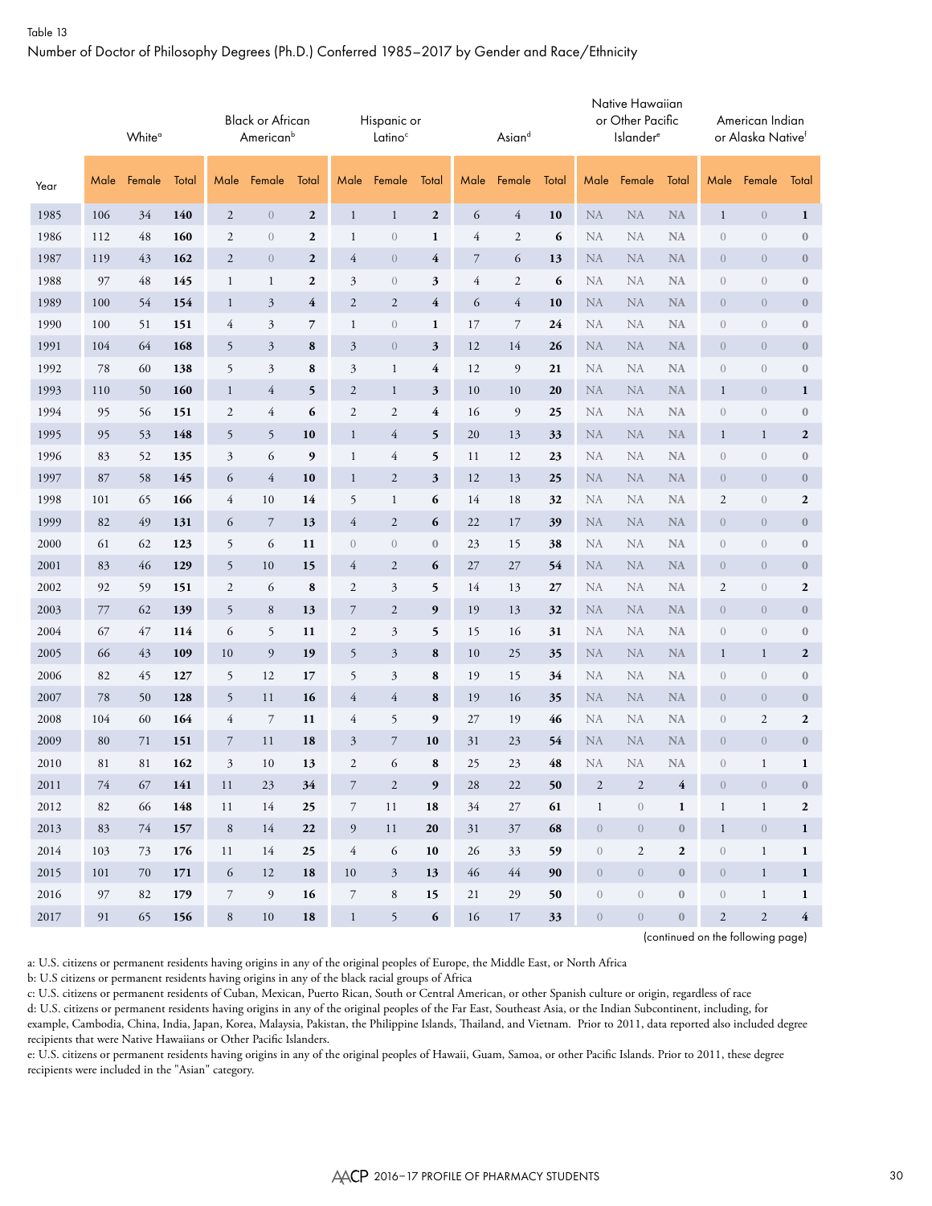#### Table 13

#### Number of Doctor of Philosophy Degrees (Ph.D.) Conferred 1985–2017 by Gender and Race/Ethnicity

|      |      | White <sup>o</sup> |       |                | <b>Black or African</b><br>American <sup>b</sup> |                  |                  | Hispanic or<br>Latino <sup>c</sup> |                  |                | Asiand         |       |                  | Native Hawaiian<br>or Other Pacific<br><b>Islander</b> <sup>e</sup> |                  |                  | American Indian<br>or Alaska Nativef |                  |
|------|------|--------------------|-------|----------------|--------------------------------------------------|------------------|------------------|------------------------------------|------------------|----------------|----------------|-------|------------------|---------------------------------------------------------------------|------------------|------------------|--------------------------------------|------------------|
| Year | Male | Female             | Total | Male           | Female                                           | Total            | Male             | Female                             | Total            | Male           | Female         | Total | Male             | Female                                                              | Total            | Male             | Female                               | Total            |
| 1985 | 106  | 34                 | 140   | $\mathbf{2}$   | $\overline{0}$                                   | $\boldsymbol{2}$ | $\mathbf{1}$     | $\mathbf{1}$                       | $\boldsymbol{2}$ | 6              | $\overline{4}$ | 10    | <b>NA</b>        | <b>NA</b>                                                           | <b>NA</b>        | $\mathbf{1}$     | $\boldsymbol{0}$                     | $\mathbf{1}$     |
| 1986 | 112  | 48                 | 160   | 2              | $\mathbf{0}$                                     | $\boldsymbol{2}$ | $\mathbf{1}$     | $\boldsymbol{0}$                   | $\mathbf{1}$     | $\overline{4}$ | 2              | 6     | <b>NA</b>        | <b>NA</b>                                                           | <b>NA</b>        | $\theta$         | $\boldsymbol{0}$                     | $\boldsymbol{0}$ |
| 1987 | 119  | 43                 | 162   | $\mathbf{2}$   | $\theta$                                         | $\boldsymbol{2}$ | $\overline{4}$   | $\boldsymbol{0}$                   | 4                | $\overline{7}$ | 6              | 13    | <b>NA</b>        | <b>NA</b>                                                           | NA               | $\theta$         | $\boldsymbol{0}$                     | $\boldsymbol{0}$ |
| 1988 | 97   | 48                 | 145   | $\mathbf{1}$   | $\mathbf{1}$                                     | $\boldsymbol{2}$ | 3                | $\boldsymbol{0}$                   | 3                | $\overline{4}$ | 2              | 6     | <b>NA</b>        | NA                                                                  | <b>NA</b>        | $\theta$         | $\boldsymbol{0}$                     | $\boldsymbol{0}$ |
| 1989 | 100  | 54                 | 154   | $\mathbf{1}$   | $\mathfrak{Z}$                                   | 4                | $\mathbf{2}$     | $\sqrt{2}$                         | 4                | 6              | 4              | 10    | <b>NA</b>        | <b>NA</b>                                                           | <b>NA</b>        | $\theta$         | $\theta$                             | $\boldsymbol{0}$ |
| 1990 | 100  | 51                 | 151   | 4              | 3                                                | 7                | $\mathbf{1}$     | $\boldsymbol{0}$                   | 1                | 17             | 7              | 24    | NA               | NA                                                                  | <b>NA</b>        | $\theta$         | $\boldsymbol{0}$                     | $\boldsymbol{0}$ |
| 1991 | 104  | 64                 | 168   | 5              | $\mathfrak{Z}$                                   | 8                | 3                | $\boldsymbol{0}$                   | $\mathfrak{z}$   | 12             | 14             | 26    | <b>NA</b>        | <b>NA</b>                                                           | <b>NA</b>        | $\overline{0}$   | $\overline{0}$                       | $\bf{0}$         |
| 1992 | 78   | 60                 | 138   | 5              | 3                                                | 8                | 3                | $\mathbf{1}$                       | 4                | 12             | 9              | 21    | <b>NA</b>        | NA                                                                  | <b>NA</b>        | $\theta$         | $\boldsymbol{0}$                     | $\boldsymbol{0}$ |
| 1993 | 110  | 50                 | 160   | $\mathbf{1}$   | $\overline{4}$                                   | 5                | $\mathbf{2}$     | $\mathbf{1}$                       | $\mathfrak{z}$   | 10             | 10             | 20    | <b>NA</b>        | <b>NA</b>                                                           | <b>NA</b>        | $\mathbf{1}$     | $\theta$                             | $\mathbf{1}$     |
| 1994 | 95   | 56                 | 151   | 2              | $\overline{4}$                                   | 6                | $\mathfrak{2}$   | $\sqrt{2}$                         | 4                | 16             | $\mathfrak{g}$ | 25    | <b>NA</b>        | NA                                                                  | <b>NA</b>        | $\boldsymbol{0}$ | $\boldsymbol{0}$                     | $\boldsymbol{0}$ |
| 1995 | 95   | 53                 | 148   | 5              | 5                                                | 10               | $\mathbf{1}$     | $\overline{4}$                     | 5                | 20             | 13             | 33    | <b>NA</b>        | <b>NA</b>                                                           | <b>NA</b>        | $\mathbf{1}$     | $\mathbf{1}$                         | $\boldsymbol{2}$ |
| 1996 | 83   | 52                 | 135   | 3              | 6                                                | 9                | $\mathbf{1}$     | $\overline{4}$                     | 5                | 11             | 12             | 23    | <b>NA</b>        | NA                                                                  | <b>NA</b>        | $\mathbf{0}$     | $\boldsymbol{0}$                     | $\boldsymbol{0}$ |
| 1997 | 87   | 58                 | 145   | 6              | $\overline{4}$                                   | 10               | $\mathbf{1}$     | $\boldsymbol{2}$                   | $\mathfrak z$    | 12             | 13             | 25    | <b>NA</b>        | <b>NA</b>                                                           | <b>NA</b>        | $\boldsymbol{0}$ | $\boldsymbol{0}$                     | $\boldsymbol{0}$ |
| 1998 | 101  | 65                 | 166   | 4              | 10                                               | 14               | 5                | $\mathbf{1}$                       | 6                | 14             | 18             | 32    | NA               | NA                                                                  | <b>NA</b>        | $\sqrt{2}$       | $\boldsymbol{0}$                     | $\boldsymbol{2}$ |
| 1999 | 82   | 49                 | 131   | 6              | $\overline{7}$                                   | 13               | 4                | $\mathfrak{2}$                     | 6                | 22             | 17             | 39    | <b>NA</b>        | <b>NA</b>                                                           | <b>NA</b>        | $\theta$         | $\overline{0}$                       | $\bf{0}$         |
| 2000 | 61   | 62                 | 123   | 5              | 6                                                | 11               | $\boldsymbol{0}$ | $\boldsymbol{0}$                   | $\boldsymbol{0}$ | 23             | 15             | 38    | <b>NA</b>        | NA                                                                  | <b>NA</b>        | $\boldsymbol{0}$ | $\boldsymbol{0}$                     | $\boldsymbol{0}$ |
| 2001 | 83   | 46                 | 129   | 5              | 10                                               | 15               | 4                | $\boldsymbol{2}$                   | 6                | 27             | 27             | 54    | <b>NA</b>        | <b>NA</b>                                                           | <b>NA</b>        | $\theta$         | $\overline{0}$                       | $\boldsymbol{0}$ |
| 2002 | 92   | 59                 | 151   | 2              | 6                                                | 8                | $\sqrt{2}$       | $\mathfrak{Z}$                     | 5                | 14             | 13             | 27    | <b>NA</b>        | NA                                                                  | <b>NA</b>        | $\sqrt{2}$       | $\sqrt{a}$                           | $\boldsymbol{2}$ |
| 2003 | 77   | 62                 | 139   | 5              | 8                                                | 13               | $\overline{7}$   | $\mathfrak{2}$                     | 9                | 19             | 13             | 32    | <b>NA</b>        | <b>NA</b>                                                           | <b>NA</b>        | $\boldsymbol{0}$ | $\sqrt{0}$                           | $\boldsymbol{0}$ |
| 2004 | 67   | 47                 | 114   | 6              | 5                                                | 11               | $\mathfrak{2}$   | $\mathfrak{Z}$                     | 5                | 15             | 16             | 31    | <b>NA</b>        | <b>NA</b>                                                           | <b>NA</b>        | $\boldsymbol{0}$ | $\boldsymbol{0}$                     | $\boldsymbol{0}$ |
| 2005 | 66   | 43                 | 109   | 10             | 9                                                | 19               | 5                | $\mathfrak{Z}$                     | 8                | 10             | 25             | 35    | <b>NA</b>        | <b>NA</b>                                                           | <b>NA</b>        | $\mathbf{1}$     | $\mathbf{1}$                         | $\boldsymbol{2}$ |
| 2006 | 82   | 45                 | 127   | 5              | 12                                               | 17               | 5                | $\mathfrak{Z}$                     | 8                | 19             | 15             | 34    | <b>NA</b>        | NA                                                                  | <b>NA</b>        | $\theta$         | $\boldsymbol{0}$                     | $\boldsymbol{0}$ |
| 2007 | 78   | 50                 | 128   | 5              | 11                                               | 16               | 4                | $\overline{4}$                     | 8                | 19             | 16             | 35    | <b>NA</b>        | <b>NA</b>                                                           | <b>NA</b>        | $\theta$         | $\theta$                             | $\boldsymbol{0}$ |
| 2008 | 104  | 60                 | 164   | 4              | $\overline{7}$                                   | 11               | 4                | 5                                  | 9                | 27             | 19             | 46    | <b>NA</b>        | NA                                                                  | <b>NA</b>        | $\boldsymbol{0}$ | $\mathfrak{2}$                       | $\boldsymbol{2}$ |
| 2009 | 80   | 71                 | 151   | 7              | 11                                               | 18               | $\mathfrak{Z}$   | $\overline{7}$                     | 10               | 31             | 23             | 54    | <b>NA</b>        | <b>NA</b>                                                           | <b>NA</b>        | $\theta$         | $\boldsymbol{0}$                     | $\boldsymbol{0}$ |
| 2010 | 81   | 81                 | 162   | 3              | 10                                               | 13               | $\mathfrak{2}$   | 6                                  | 8                | 25             | 23             | 48    | NA               | NA                                                                  | <b>NA</b>        | $\sqrt{a}$       | $\mathbf{1}$                         | $\mathbf{1}$     |
| 2011 | 74   | 67                 | 141   | 11             | 23                                               | 34               | $\overline{7}$   | $\overline{2}$                     | 9                | 28             | 22             | 50    | $\sqrt{2}$       | $\sqrt{2}$                                                          | $\overline{4}$   | $\theta$         | $\overline{0}$                       | $\mathbf{0}$     |
| 2012 | 82   | 66                 | 148   | 11             | 14                                               | 25               | $\overline{7}$   | 11                                 | 18               | 34             | 27             | 61    | $\mathbf{1}$     | $\sqrt{a}$                                                          | $\mathbf{1}$     | $\mathbf{1}$     | $\mathbf{1}$                         | $\boldsymbol{2}$ |
| 2013 | 83   | 74                 | 157   | $\,8\,$        | 14                                               | 22               | $\overline{9}$   | 11                                 | 20               | 31             | 37             | 68    | $\sqrt{0}$       | $\theta$                                                            | $\mathbf{0}$     | $\mathbf{1}$     | $\mathbf{0}$                         | $\mathbf{1}$     |
| 2014 | 103  | 73                 | 176   | 11             | 14                                               | 25               | $\overline{4}$   | 6                                  | 10               | 26             | 33             | 59    | $\boldsymbol{0}$ | $\mathfrak{2}$                                                      | $\mathbf{2}$     | $\boldsymbol{0}$ | $\mathbf{1}$                         | 1                |
| 2015 | 101  | 70                 | 171   | 6              | 12                                               | 18               | 10               | $\mathfrak{Z}$                     | 13               | 46             | 44             | 90    | $\sqrt{0}$       | $\boldsymbol{0}$                                                    | $\boldsymbol{0}$ | $\boldsymbol{0}$ | $\mathbf{1}$                         | 1                |
| 2016 | 97   | 82                 | 179   | $\overline{7}$ | 9                                                | 16               | $\boldsymbol{7}$ | $\,8\,$                            | 15               | 21             | 29             | 50    | $\boldsymbol{0}$ | $\sqrt{0}$                                                          | $\boldsymbol{0}$ | $\boldsymbol{0}$ | $\mathbf{1}$                         | $\mathbf{1}$     |
| 2017 | 91   | 65                 | 156   | $\,8\,$        | 10                                               | 18               | $\mathbf{1}$     | 5                                  | 6                | 16             | 17             | 33    | $\boldsymbol{0}$ | $\boldsymbol{0}$                                                    | $\boldsymbol{0}$ | $\sqrt{2}$       | $\sqrt{2}$                           | 4                |

(continued on the following page)

a: U.S. citizens or permanent residents having origins in any of the original peoples of Europe, the Middle East, or North Africa

b: U.S citizens or permanent residents having origins in any of the black racial groups of Africa

c: U.S. citizens or permanent residents of Cuban, Mexican, Puerto Rican, South or Central American, or other Spanish culture or origin, regardless of race

d: U.S. citizens or permanent residents having origins in any of the original peoples of the Far East, Southeast Asia, or the Indian Subcontinent, including, for example, Cambodia, China, India, Japan, Korea, Malaysia, Pakistan, the Philippine Islands, Thailand, and Vietnam. Prior to 2011, data reported also included degree recipients that were Native Hawaiians or Other Pacific Islanders.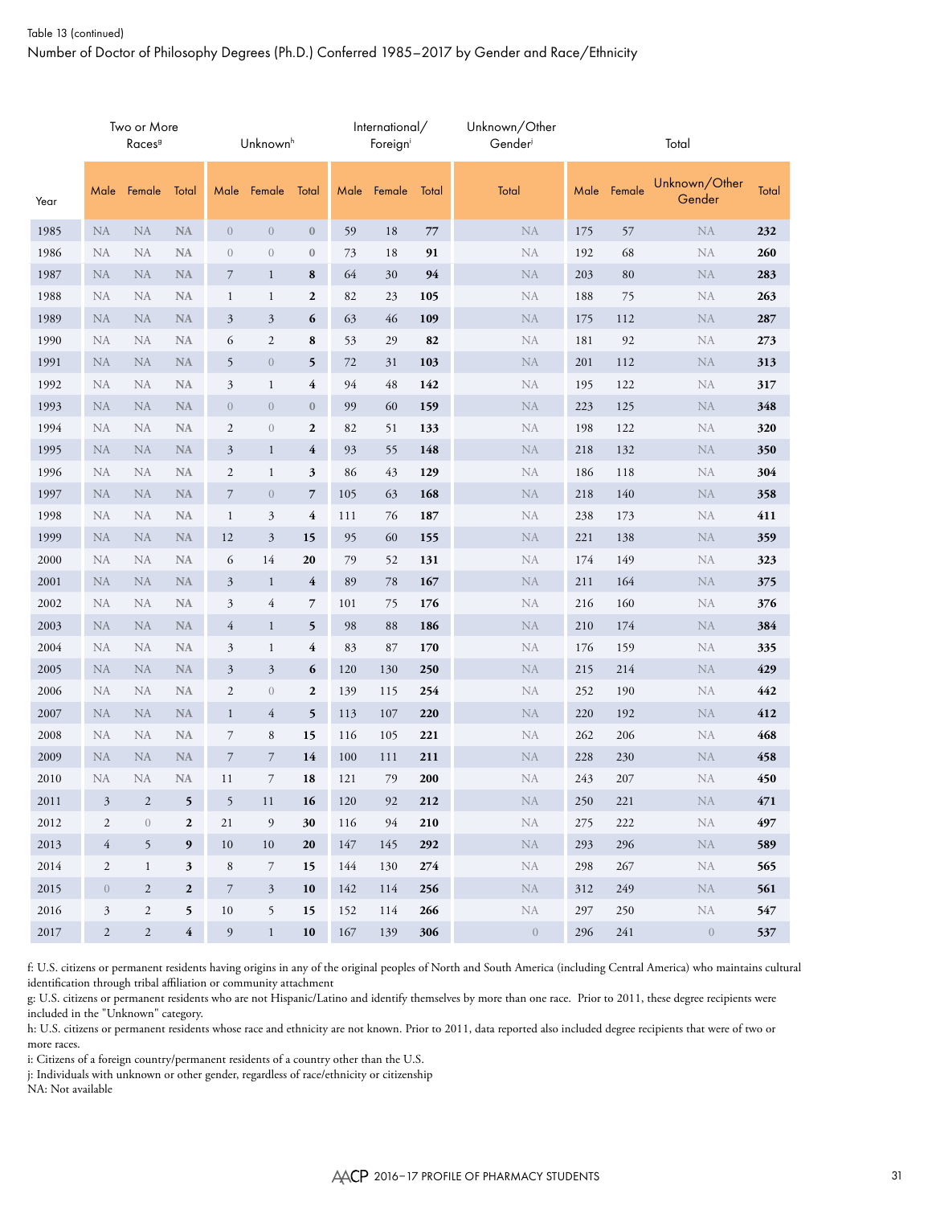|      |                | Two or More<br>Races <sup>9</sup> |                         |                  | Unknown <sup>h</sup> |                  |     | International/<br>Foreign |       | Unknown/Other<br>Gender |         |             | Total                   |       |
|------|----------------|-----------------------------------|-------------------------|------------------|----------------------|------------------|-----|---------------------------|-------|-------------------------|---------|-------------|-------------------------|-------|
| Year | Male           | Female                            | Total                   |                  | Male Female          | Total            |     | Male Female               | Total | Total                   |         | Male Female | Unknown/Other<br>Gender | Total |
| 1985 | <b>NA</b>      | <b>NA</b>                         | <b>NA</b>               | $\sqrt{0}$       | $\boldsymbol{0}$     | $\bf{0}$         | 59  | 18                        | 77    | <b>NA</b>               | 175     | 57          | <b>NA</b>               | 232   |
| 1986 | <b>NA</b>      | NA                                | <b>NA</b>               | $\sqrt{a}$       | $\boldsymbol{0}$     | $\boldsymbol{0}$ | 73  | 18                        | 91    | NA                      | 192     | 68          | NA                      | 260   |
| 1987 | <b>NA</b>      | <b>NA</b>                         | <b>NA</b>               | 7                | $\mathbf{1}$         | 8                | 64  | 30                        | 94    | $\rm NA$                | 203     | 80          | <b>NA</b>               | 283   |
| 1988 | <b>NA</b>      | <b>NA</b>                         | <b>NA</b>               | $\mathbf{1}$     | 1                    | $\boldsymbol{2}$ | 82  | 23                        | 105   | NA                      | 188     | 75          | NA                      | 263   |
| 1989 | NA             | <b>NA</b>                         | <b>NA</b>               | 3                | 3                    | 6                | 63  | 46                        | 109   | $\rm NA$                | 175     | 112         | <b>NA</b>               | 287   |
| 1990 | <b>NA</b>      | <b>NA</b>                         | <b>NA</b>               | 6                | $\mathfrak{2}$       | 8                | 53  | 29                        | 82    | <b>NA</b>               | 181     | 92          | <b>NA</b>               | 273   |
| 1991 | <b>NA</b>      | <b>NA</b>                         | <b>NA</b>               | 5                | $\boldsymbol{0}$     | 5                | 72  | 31                        | 103   | $\rm NA$                | 201     | 112         | <b>NA</b>               | 313   |
| 1992 | <b>NA</b>      | <b>NA</b>                         | <b>NA</b>               | 3                | $\mathbf{1}$         | 4                | 94  | 48                        | 142   | NA                      | 195     | 122         | NA                      | 317   |
| 1993 | <b>NA</b>      | <b>NA</b>                         | <b>NA</b>               | $\boldsymbol{0}$ | $\theta$             | $\bf{0}$         | 99  | 60                        | 159   | $\rm NA$                | 223     | 125         | <b>NA</b>               | 348   |
| 1994 | <b>NA</b>      | <b>NA</b>                         | <b>NA</b>               | $\overline{2}$   | $\boldsymbol{0}$     | $\boldsymbol{2}$ | 82  | 51                        | 133   | ${\rm NA}$              | 198     | 122         | <b>NA</b>               | 320   |
| 1995 | <b>NA</b>      | <b>NA</b>                         | <b>NA</b>               | 3                | $\mathbf{1}$         | 4                | 93  | 55                        | 148   | <b>NA</b>               | 218     | 132         | <b>NA</b>               | 350   |
| 1996 | <b>NA</b>      | <b>NA</b>                         | <b>NA</b>               | $\mathfrak{2}$   | $\mathbf{1}$         | 3                | 86  | 43                        | 129   | NA                      | 186     | 118         | <b>NA</b>               | 304   |
| 1997 | <b>NA</b>      | <b>NA</b>                         | <b>NA</b>               | $\overline{7}$   | $\overline{0}$       | 7                | 105 | 63                        | 168   | NA                      | 218     | 140         | <b>NA</b>               | 358   |
| 1998 | <b>NA</b>      | NA                                | <b>NA</b>               | $\mathbf{1}$     | 3                    | 4                | 111 | 76                        | 187   | <b>NA</b>               | 238     | 173         | <b>NA</b>               | 411   |
| 1999 | <b>NA</b>      | <b>NA</b>                         | <b>NA</b>               | 12               | 3                    | 15               | 95  | 60                        | 155   | ${\rm NA}$              | 221     | 138         | <b>NA</b>               | 359   |
| 2000 | <b>NA</b>      | NA                                | <b>NA</b>               | 6                | 14                   | 20               | 79  | 52                        | 131   | <b>NA</b>               | 174     | 149         | NA                      | 323   |
| 2001 | <b>NA</b>      | <b>NA</b>                         | <b>NA</b>               | 3                | $\mathbf{1}$         | 4                | 89  | 78                        | 167   | NA                      | 211     | 164         | <b>NA</b>               | 375   |
| 2002 | <b>NA</b>      | NA                                | <b>NA</b>               | 3                | 4                    | 7                | 101 | 75                        | 176   | <b>NA</b>               | 216     | 160         | NA                      | 376   |
| 2003 | <b>NA</b>      | <b>NA</b>                         | <b>NA</b>               | 4                | $\mathbf{1}$         | 5                | 98  | 88                        | 186   | NA                      | 210     | 174         | <b>NA</b>               | 384   |
| 2004 | <b>NA</b>      | NA                                | <b>NA</b>               | 3                | $\mathbf{1}$         | 4                | 83  | 87                        | 170   | <b>NA</b>               | 176     | 159         | NA                      | 335   |
| 2005 | <b>NA</b>      | <b>NA</b>                         | <b>NA</b>               | 3                | 3                    | 6                | 120 | 130                       | 250   | NA                      | 215     | 214         | <b>NA</b>               | 429   |
| 2006 | <b>NA</b>      | NA                                | <b>NA</b>               | $\mathfrak{2}$   | $\boldsymbol{0}$     | $\mathbf{2}$     | 139 | 115                       | 254   | <b>NA</b>               | 252     | 190         | NA                      | 442   |
| 2007 | <b>NA</b>      | <b>NA</b>                         | <b>NA</b>               | $\mathbf{1}$     | $\overline{4}$       | 5                | 113 | 107                       | 220   | <b>NA</b>               | 220     | 192         | <b>NA</b>               | 412   |
| 2008 | <b>NA</b>      | NA                                | <b>NA</b>               | $\overline{7}$   | 8                    | 15               | 116 | 105                       | 221   | <b>NA</b>               | 262     | 206         | NA                      | 468   |
| 2009 | <b>NA</b>      | <b>NA</b>                         | <b>NA</b>               | $\overline{7}$   | 7                    | 14               | 100 | 111                       | 211   | $\rm NA$                | 228     | 230         | <b>NA</b>               | 458   |
| 2010 | <b>NA</b>      | <b>NA</b>                         | $\rm NA$                | 11               | $\overline{7}$       | 18               | 121 | 79                        | 200   | NA                      | 243     | 207         | <b>NA</b>               | 450   |
| 2011 | $\mathfrak{Z}$ | $\mathfrak{2}$                    | 5                       | 5                | 11                   | 16               | 120 | 92                        | 212   | $\rm NA$                | $250\,$ | 221         | NA                      | 471   |
| 2012 | $\sqrt{2}$     | $\overline{0}$                    | $\boldsymbol{2}$        | 21               | 9                    | 30               | 116 | 94                        | 210   | NA                      | 275     | 222         | NA                      | 497   |
| 2013 | $\overline{4}$ | 5                                 | 9                       | 10               | 10                   | 20               | 147 | 145                       | 292   | ${\rm NA}$              | 293     | 296         | <b>NA</b>               | 589   |
| 2014 | 2              | $\mathbf{1}$                      | 3                       | 8                | 7                    | 15               | 144 | 130                       | 274   | NA                      | 298     | 267         | NA                      | 565   |
| 2015 | $\overline{0}$ | $\mathfrak{2}$                    | $\mathbf 2$             | $\overline{7}$   | 3                    | 10               | 142 | 114                       | 256   | $\rm NA$                | 312     | 249         | <b>NA</b>               | 561   |
| 2016 | $\mathfrak{Z}$ | $\mathfrak{2}$                    | 5                       | $10\,$           | 5                    | 15               | 152 | 114                       | 266   | ${\rm NA}$              | 297     | 250         | NA                      | 547   |
| 2017 | $\sqrt{2}$     | $\sqrt{2}$                        | $\overline{\mathbf{4}}$ | 9                | $\mathbf{1}$         | 10               | 167 | 139                       | 306   | $\sqrt{ }$              | 296     | 241         | $\overline{0}$          | 537   |

f: U.S. citizens or permanent residents having origins in any of the original peoples of North and South America (including Central America) who maintains cultural identification through tribal affiliation or community attachment

g: U.S. citizens or permanent residents who are not Hispanic/Latino and identify themselves by more than one race. Prior to 2011, these degree recipients were included in the "Unknown" category.

h: U.S. citizens or permanent residents whose race and ethnicity are not known. Prior to 2011, data reported also included degree recipients that were of two or more races.

i: Citizens of a foreign country/permanent residents of a country other than the U.S.

j: Individuals with unknown or other gender, regardless of race/ethnicity or citizenship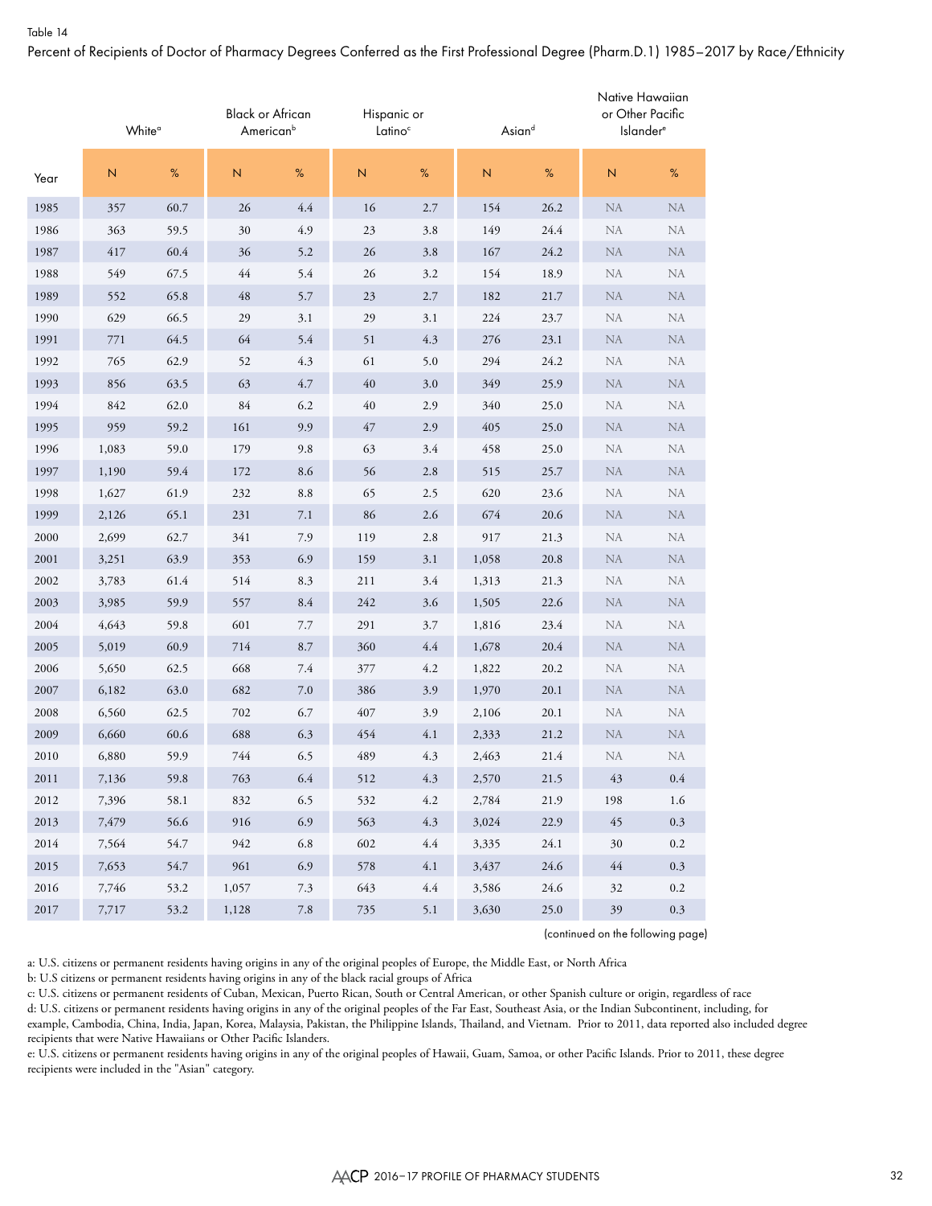Percent of Recipients of Doctor of Pharmacy Degrees Conferred as the First Professional Degree (Pharm.D.1) 1985–2017 by Race/Ethnicity

|      | White <sup>o</sup> |      | <b>Black or African</b><br>American <sup>b</sup> |         | Hispanic or<br>Latino <sup>c</sup> |     | Asiand         |      | Native Hawaiian<br>or Other Pacific<br>Islander <sup>®</sup> |            |
|------|--------------------|------|--------------------------------------------------|---------|------------------------------------|-----|----------------|------|--------------------------------------------------------------|------------|
| Year | N                  | %    | $\mathsf{N}\xspace$                              | $\%$    | $\overline{N}$                     | %   | $\overline{N}$ | %    | $\overline{N}$                                               | $\%$       |
| 1985 | 357                | 60.7 | 26                                               | 4.4     | 16                                 | 2.7 | 154            | 26.2 | <b>NA</b>                                                    | <b>NA</b>  |
| 1986 | 363                | 59.5 | 30                                               | 4.9     | 23                                 | 3.8 | 149            | 24.4 | <b>NA</b>                                                    | NA         |
| 1987 | 417                | 60.4 | 36                                               | 5.2     | 26                                 | 3.8 | 167            | 24.2 | <b>NA</b>                                                    | <b>NA</b>  |
| 1988 | 549                | 67.5 | $44$                                             | 5.4     | 26                                 | 3.2 | 154            | 18.9 | <b>NA</b>                                                    | <b>NA</b>  |
| 1989 | 552                | 65.8 | 48                                               | 5.7     | 23                                 | 2.7 | 182            | 21.7 | <b>NA</b>                                                    | <b>NA</b>  |
| 1990 | 629                | 66.5 | 29                                               | 3.1     | 29                                 | 3.1 | 224            | 23.7 | <b>NA</b>                                                    | <b>NA</b>  |
| 1991 | 771                | 64.5 | 64                                               | 5.4     | 51                                 | 4.3 | 276            | 23.1 | <b>NA</b>                                                    | <b>NA</b>  |
| 1992 | 765                | 62.9 | 52                                               | 4.3     | 61                                 | 5.0 | 294            | 24.2 | <b>NA</b>                                                    | <b>NA</b>  |
| 1993 | 856                | 63.5 | 63                                               | 4.7     | 40                                 | 3.0 | 349            | 25.9 | <b>NA</b>                                                    | ${\rm NA}$ |
| 1994 | 842                | 62.0 | $84\,$                                           | 6.2     | 40                                 | 2.9 | 340            | 25.0 | <b>NA</b>                                                    | <b>NA</b>  |
| 1995 | 959                | 59.2 | 161                                              | 9.9     | 47                                 | 2.9 | 405            | 25.0 | <b>NA</b>                                                    | <b>NA</b>  |
| 1996 | 1,083              | 59.0 | 179                                              | 9.8     | 63                                 | 3.4 | 458            | 25.0 | <b>NA</b>                                                    | NA         |
| 1997 | 1,190              | 59.4 | 172                                              | 8.6     | 56                                 | 2.8 | 515            | 25.7 | <b>NA</b>                                                    | <b>NA</b>  |
| 1998 | 1,627              | 61.9 | 232                                              | 8.8     | 65                                 | 2.5 | 620            | 23.6 | <b>NA</b>                                                    | NA         |
| 1999 | 2,126              | 65.1 | 231                                              | 7.1     | 86                                 | 2.6 | 674            | 20.6 | <b>NA</b>                                                    | <b>NA</b>  |
| 2000 | 2,699              | 62.7 | 341                                              | 7.9     | 119                                | 2.8 | 917            | 21.3 | <b>NA</b>                                                    | NA         |
| 2001 | 3,251              | 63.9 | 353                                              | 6.9     | 159                                | 3.1 | 1,058          | 20.8 | <b>NA</b>                                                    | <b>NA</b>  |
| 2002 | 3,783              | 61.4 | 514                                              | 8.3     | 211                                | 3.4 | 1,313          | 21.3 | <b>NA</b>                                                    | NA         |
| 2003 | 3,985              | 59.9 | 557                                              | 8.4     | 242                                | 3.6 | 1,505          | 22.6 | <b>NA</b>                                                    | ${\rm NA}$ |
| 2004 | 4,643              | 59.8 | 601                                              | 7.7     | 291                                | 3.7 | 1,816          | 23.4 | <b>NA</b>                                                    | NA         |
| 2005 | 5,019              | 60.9 | 714                                              | 8.7     | 360                                | 4.4 | 1,678          | 20.4 | <b>NA</b>                                                    | <b>NA</b>  |
| 2006 | 5,650              | 62.5 | 668                                              | 7.4     | 377                                | 4.2 | 1,822          | 20.2 | <b>NA</b>                                                    | NA         |
| 2007 | 6,182              | 63.0 | 682                                              | 7.0     | 386                                | 3.9 | 1,970          | 20.1 | <b>NA</b>                                                    | <b>NA</b>  |
| 2008 | 6,560              | 62.5 | 702                                              | 6.7     | 407                                | 3.9 | 2,106          | 20.1 | <b>NA</b>                                                    | NA         |
| 2009 | 6,660              | 60.6 | 688                                              | 6.3     | 454                                | 4.1 | 2,333          | 21.2 | <b>NA</b>                                                    | <b>NA</b>  |
| 2010 | 6,880              | 59.9 | 744                                              | 6.5     | 489                                | 4.3 | 2,463          | 21.4 | <b>NA</b>                                                    | NA         |
| 2011 | 7,136              | 59.8 | 763                                              | 6.4     | 512                                | 4.3 | 2,570          | 21.5 | 43                                                           | 0.4        |
| 2012 | 7,396              | 58.1 | 832                                              | 6.5     | 532                                | 4.2 | 2,784          | 21.9 | 198                                                          | 1.6        |
| 2013 | 7,479              | 56.6 | 916                                              | 6.9     | 563                                | 4.3 | 3,024          | 22.9 | 45                                                           | $0.3\,$    |
| 2014 | 7,564              | 54.7 | 942                                              | 6.8     | 602                                | 4.4 | 3,335          | 24.1 | 30                                                           | $0.2\,$    |
| 2015 | 7,653              | 54.7 | 961                                              | 6.9     | 578                                | 4.1 | 3,437          | 24.6 | 44                                                           | $0.3\,$    |
| 2016 | 7,746              | 53.2 | 1,057                                            | 7.3     | 643                                | 4.4 | 3,586          | 24.6 | 32                                                           | $0.2\,$    |
| 2017 | 7,717              | 53.2 | 1,128                                            | $7.8\,$ | 735                                | 5.1 | 3,630          | 25.0 | 39                                                           | $0.3\,$    |

(continued on the following page)

a: U.S. citizens or permanent residents having origins in any of the original peoples of Europe, the Middle East, or North Africa

b: U.S citizens or permanent residents having origins in any of the black racial groups of Africa

c: U.S. citizens or permanent residents of Cuban, Mexican, Puerto Rican, South or Central American, or other Spanish culture or origin, regardless of race

d: U.S. citizens or permanent residents having origins in any of the original peoples of the Far East, Southeast Asia, or the Indian Subcontinent, including, for example, Cambodia, China, India, Japan, Korea, Malaysia, Pakistan, the Philippine Islands, Thailand, and Vietnam. Prior to 2011, data reported also included degree recipients that were Native Hawaiians or Other Pacific Islanders.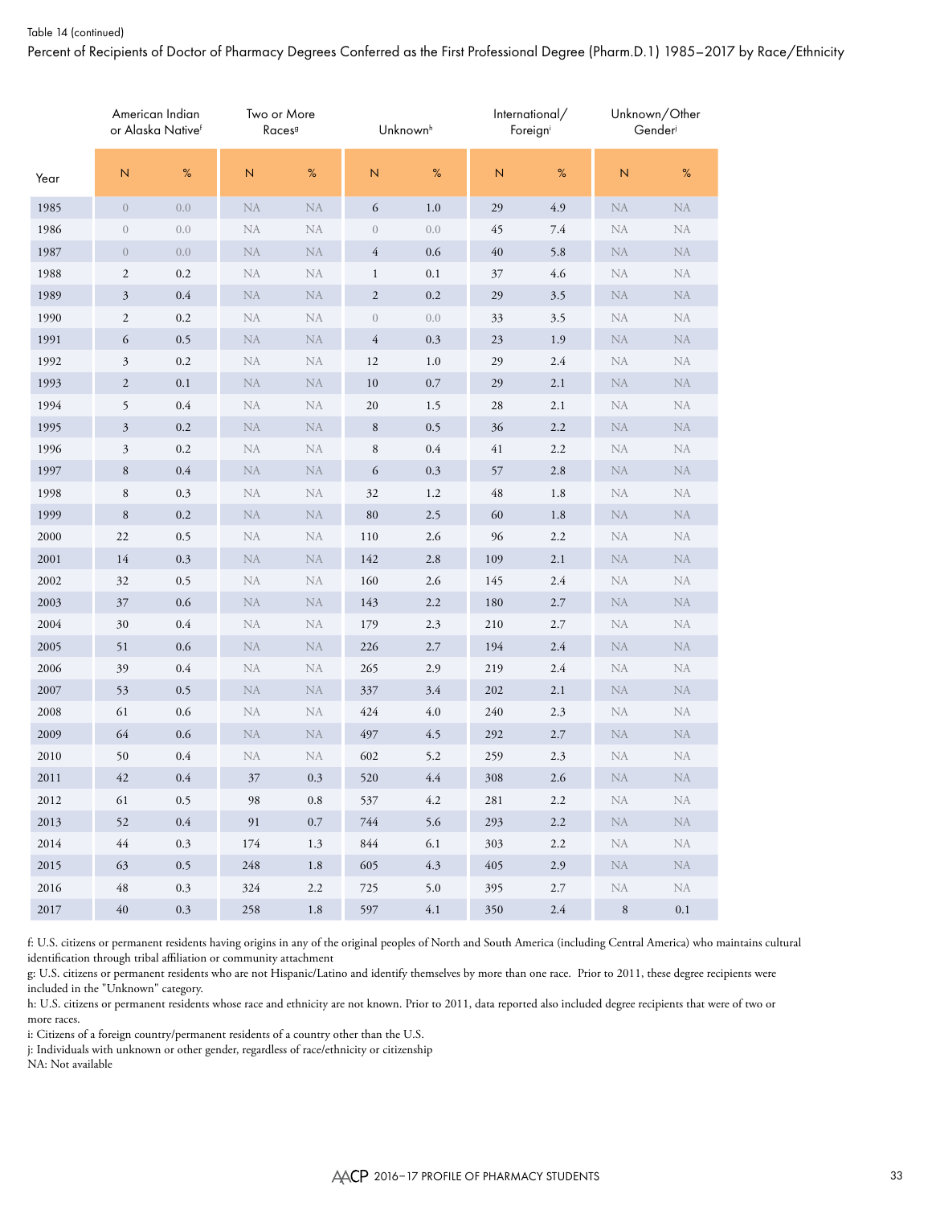#### Table 14 (continued)

Percent of Recipients of Doctor of Pharmacy Degrees Conferred as the First Professional Degree (Pharm.D.1) 1985–2017 by Race/Ethnicity

|      |                | American Indian<br>or Alaska Nativef | Two or More<br>Races <sup>9</sup> |           |                  | Unknown <sup>h</sup> |     | International/<br>Foreign |              | Unknown/Other<br>Gender |
|------|----------------|--------------------------------------|-----------------------------------|-----------|------------------|----------------------|-----|---------------------------|--------------|-------------------------|
| Year | ${\sf N}$      | $\%$                                 | $\mathsf N$                       | %         | $\overline{N}$   | $\%$                 | N   | %                         | $\mathsf{N}$ | $\%$                    |
| 1985 | $\overline{0}$ | 0.0                                  | ${\rm NA}$                        | <b>NA</b> | 6                | $1.0\,$              | 29  | 4.9                       | <b>NA</b>    | ${\rm NA}$              |
| 1986 | $\theta$       | 0.0                                  | <b>NA</b>                         | <b>NA</b> | $\boldsymbol{0}$ | 0.0                  | 45  | 7.4                       | <b>NA</b>    | NA                      |
| 1987 | $\overline{0}$ | $0.0\,$                              | <b>NA</b>                         | <b>NA</b> | 4                | $0.6\,$              | 40  | 5.8                       | <b>NA</b>    | NA                      |
| 1988 | $\mathbf{2}$   | 0.2                                  | <b>NA</b>                         | <b>NA</b> | $\mathbf{1}$     | 0.1                  | 37  | 4.6                       | <b>NA</b>    | NA                      |
| 1989 | $\mathfrak{Z}$ | $0.4\,$                              | <b>NA</b>                         | <b>NA</b> | $\mathfrak{2}$   | 0.2                  | 29  | 3.5                       | <b>NA</b>    | <b>NA</b>               |
| 1990 | $\sqrt{2}$     | $0.2\,$                              | NA                                | <b>NA</b> | $\boldsymbol{0}$ | 0.0                  | 33  | 3.5                       | <b>NA</b>    | NA                      |
| 1991 | 6              | 0.5                                  | NA                                | NA        | 4                | 0.3                  | 23  | 1.9                       | <b>NA</b>    | <b>NA</b>               |
| 1992 | $\mathfrak{Z}$ | $0.2\,$                              | NA                                | <b>NA</b> | 12               | 1.0                  | 29  | 2.4                       | <b>NA</b>    | NA                      |
| 1993 | $\overline{c}$ | 0.1                                  | <b>NA</b>                         | <b>NA</b> | 10               | $0.7\,$              | 29  | 2.1                       | <b>NA</b>    | <b>NA</b>               |
| 1994 | 5              | $0.4\,$                              | NA                                | <b>NA</b> | 20               | 1.5                  | 28  | 2.1                       | <b>NA</b>    | NA                      |
| 1995 | $\mathfrak{Z}$ | 0.2                                  | <b>NA</b>                         | NA        | $\,8\,$          | 0.5                  | 36  | $2.2\,$                   | <b>NA</b>    | <b>NA</b>               |
| 1996 | $\mathfrak{Z}$ | 0.2                                  | <b>NA</b>                         | <b>NA</b> | $\,$ 8 $\,$      | 0.4                  | 41  | 2.2                       | <b>NA</b>    | NA                      |
| 1997 | $\,8\,$        | $0.4\,$                              | <b>NA</b>                         | <b>NA</b> | 6                | 0.3                  | 57  | 2.8                       | <b>NA</b>    | <b>NA</b>               |
| 1998 | $\,8\,$        | $0.3\,$                              | <b>NA</b>                         | <b>NA</b> | 32               | 1.2                  | 48  | 1.8                       | <b>NA</b>    | NA                      |
| 1999 | 8              | $0.2\,$                              | <b>NA</b>                         | <b>NA</b> | 80               | 2.5                  | 60  | 1.8                       | <b>NA</b>    | <b>NA</b>               |
| 2000 | 22             | 0.5                                  | NA                                | <b>NA</b> | 110              | 2.6                  | 96  | $2.2\,$                   | <b>NA</b>    | NA                      |
| 2001 | 14             | 0.3                                  | NA                                | <b>NA</b> | 142              | 2.8                  | 109 | 2.1                       | <b>NA</b>    | <b>NA</b>               |
| 2002 | 32             | 0.5                                  | NA                                | <b>NA</b> | 160              | 2.6                  | 145 | 2.4                       | <b>NA</b>    | NA                      |
| 2003 | 37             | $0.6\,$                              | <b>NA</b>                         | <b>NA</b> | 143              | 2.2                  | 180 | 2.7                       | <b>NA</b>    | <b>NA</b>               |
| 2004 | 30             | $0.4\,$                              | NA                                | <b>NA</b> | 179              | 2.3                  | 210 | 2.7                       | <b>NA</b>    | NA                      |
| 2005 | 51             | $0.6\,$                              | NA                                | NA        | 226              | 2.7                  | 194 | $2.4\,$                   | <b>NA</b>    | <b>NA</b>               |
| 2006 | 39             | 0.4                                  | <b>NA</b>                         | <b>NA</b> | 265              | 2.9                  | 219 | 2.4                       | <b>NA</b>    | NA                      |
| 2007 | 53             | 0.5                                  | <b>NA</b>                         | <b>NA</b> | 337              | 3.4                  | 202 | 2.1                       | <b>NA</b>    | <b>NA</b>               |
| 2008 | 61             | $0.6\,$                              | <b>NA</b>                         | NA        | 424              | $4.0\,$              | 240 | 2.3                       | <b>NA</b>    | NA                      |
| 2009 | 64             | 0.6                                  | <b>NA</b>                         | <b>NA</b> | 497              | 4.5                  | 292 | 2.7                       | <b>NA</b>    | <b>NA</b>               |
| 2010 | 50             | $0.4\,$                              | <b>NA</b>                         | NA        | 602              | 5.2                  | 259 | 2.3                       | <b>NA</b>    | NA                      |
| 2011 | 42             | 0.4                                  | 37                                | 0.3       | 520              | 4.4                  | 308 | 2.6                       | <b>NA</b>    | NA                      |
| 2012 | 61             | $0.5\,$                              | 98                                | $\rm 0.8$ | 537              | 4.2                  | 281 | $2.2\,$                   | <b>NA</b>    | NA                      |
| 2013 | 52             | $0.4\,$                              | 91                                | $0.7\,$   | 744              | 5.6                  | 293 | $2.2\,$                   | <b>NA</b>    | ${\rm NA}$              |
| 2014 | 44             | 0.3                                  | 174                               | 1.3       | 844              | 6.1                  | 303 | 2.2                       | NA           | NA                      |
| 2015 | 63             | $0.5\,$                              | 248                               | 1.8       | 605              | 4.3                  | 405 | 2.9                       | NA           | ${\rm NA}$              |
| 2016 | 48             | $0.3\,$                              | 324                               | 2.2       | 725              | 5.0                  | 395 | 2.7                       | NA           | NA                      |
| 2017 | $40\,$         | $0.3\,$                              | 258                               | $1.8\,$   | 597              | $4.1\,$              | 350 | $2.4\,$                   | $\, 8$       | $0.1\,$                 |

f: U.S. citizens or permanent residents having origins in any of the original peoples of North and South America (including Central America) who maintains cultural identification through tribal affiliation or community attachment

g: U.S. citizens or permanent residents who are not Hispanic/Latino and identify themselves by more than one race. Prior to 2011, these degree recipients were included in the "Unknown" category.

h: U.S. citizens or permanent residents whose race and ethnicity are not known. Prior to 2011, data reported also included degree recipients that were of two or more races.

i: Citizens of a foreign country/permanent residents of a country other than the U.S.

j: Individuals with unknown or other gender, regardless of race/ethnicity or citizenship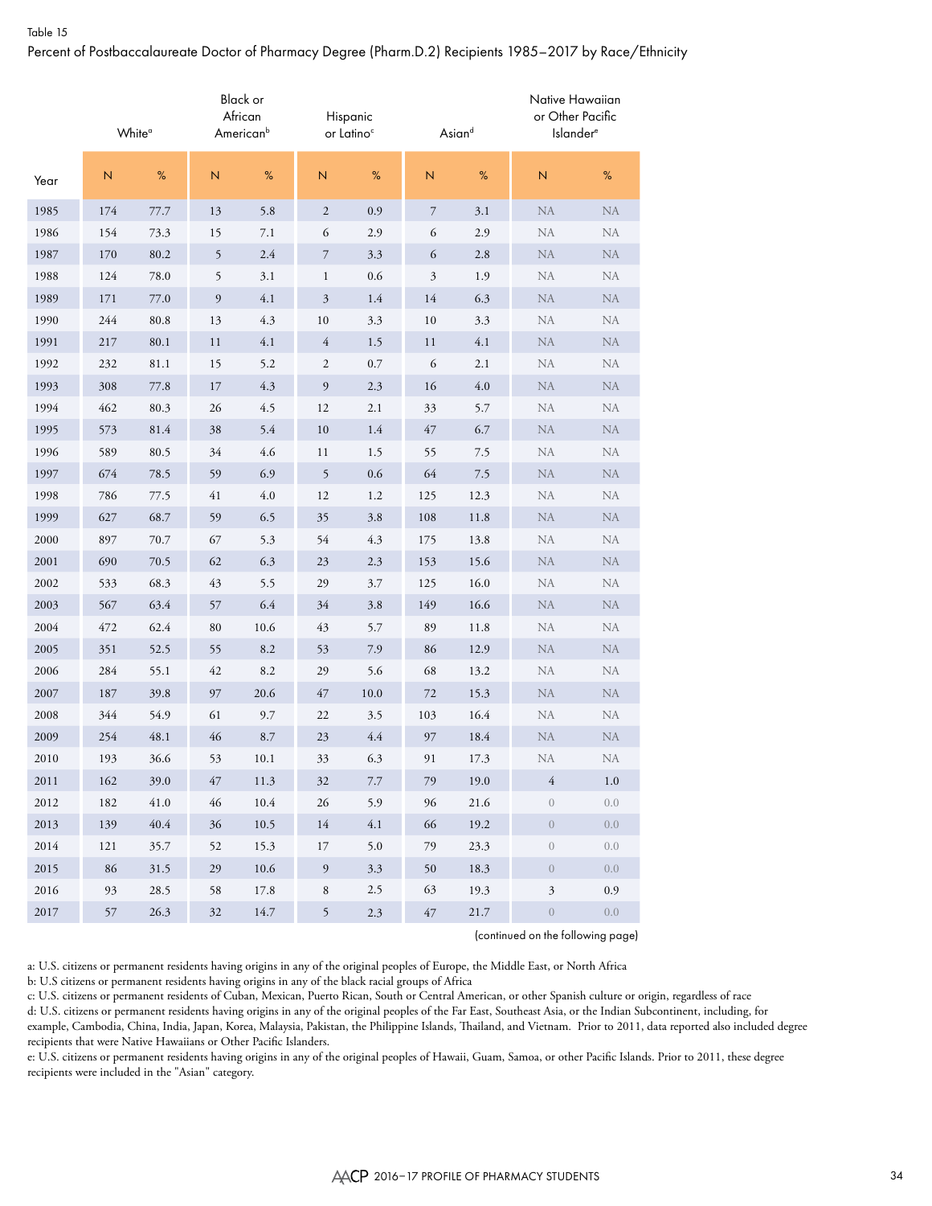# Table 15 Percent of Postbaccalaureate Doctor of Pharmacy Degree (Pharm.D.2) Recipients 1985–2017 by Race/Ethnicity

|      |     | White <sup>a</sup> |    | Black or<br>African<br>American <sup>b</sup> |                          | Hispanic<br>or Latino <sup>c</sup> |                         | Asiand   | Native Hawaiian<br>or Other Pacific<br><b>Islander®</b> |            |
|------|-----|--------------------|----|----------------------------------------------|--------------------------|------------------------------------|-------------------------|----------|---------------------------------------------------------|------------|
| Year | N   | $\%$               | N  | $\%$                                         | $\mathsf{N}\xspace$      | %                                  | $\overline{\mathsf{N}}$ | %        | $\overline{N}$                                          | $\%$       |
| 1985 | 174 | 77.7               | 13 | 5.8                                          | $\sqrt{2}$               | 0.9                                | 7                       | 3.1      | NA                                                      | <b>NA</b>  |
| 1986 | 154 | 73.3               | 15 | 7.1                                          | 6                        | 2.9                                | 6                       | 2.9      | NA                                                      | <b>NA</b>  |
| 1987 | 170 | 80.2               | 5  | $2.4\,$                                      | $\boldsymbol{7}$         | 3.3                                | 6                       | 2.8      | <b>NA</b>                                               | <b>NA</b>  |
| 1988 | 124 | 78.0               | 5  | 3.1                                          | $\mathbf{1}$             | 0.6                                | 3                       | 1.9      | NA                                                      | NA         |
| 1989 | 171 | 77.0               | 9  | 4.1                                          | $\mathfrak{Z}$           | 1.4                                | 14                      | 6.3      | NA                                                      | <b>NA</b>  |
| 1990 | 244 | 80.8               | 13 | 4.3                                          | 10                       | 3.3                                | 10                      | 3.3      | ${\rm NA}$                                              | ${\rm NA}$ |
| 1991 | 217 | 80.1               | 11 | 4.1                                          | $\overline{4}$           | 1.5                                | 11                      | 4.1      | NA                                                      | NA         |
| 1992 | 232 | 81.1               | 15 | 5.2                                          | 2                        | 0.7                                | 6                       | 2.1      | NA                                                      | <b>NA</b>  |
| 1993 | 308 | 77.8               | 17 | 4.3                                          | $\mathfrak{g}$           | 2.3                                | 16                      | $4.0\,$  | <b>NA</b>                                               | ${\rm NA}$ |
| 1994 | 462 | 80.3               | 26 | 4.5                                          | 12                       | 2.1                                | 33                      | 5.7      | NA                                                      | NA         |
| 1995 | 573 | 81.4               | 38 | 5.4                                          | 10                       | 1.4                                | 47                      | 6.7      | ${\rm NA}$                                              | NA         |
| 1996 | 589 | 80.5               | 34 | 4.6                                          | 11                       | 1.5                                | 55                      | 7.5      | NA                                                      | <b>NA</b>  |
| 1997 | 674 | 78.5               | 59 | 6.9                                          | $\overline{5}$           | 0.6                                | 64                      | 7.5      | <b>NA</b>                                               | <b>NA</b>  |
| 1998 | 786 | 77.5               | 41 | $4.0\,$                                      | 12                       | 1.2                                | 125                     | 12.3     | NA                                                      | NA         |
| 1999 | 627 | 68.7               | 59 | 6.5                                          | 35                       | 3.8                                | 108                     | $11.8\,$ | NA                                                      | <b>NA</b>  |
| 2000 | 897 | 70.7               | 67 | 5.3                                          | 54                       | 4.3                                | 175                     | 13.8     | ${\rm NA}$                                              | ${\rm NA}$ |
| 2001 | 690 | 70.5               | 62 | 6.3                                          | 23                       | 2.3                                | 153                     | 15.6     | NA                                                      | NA         |
| 2002 | 533 | 68.3               | 43 | 5.5                                          | 29                       | 3.7                                | 125                     | 16.0     | NA                                                      | <b>NA</b>  |
| 2003 | 567 | 63.4               | 57 | 6.4                                          | 34                       | $3.8\,$                            | 149                     | 16.6     | ${\rm NA}$                                              | ${\rm NA}$ |
| 2004 | 472 | 62.4               | 80 | 10.6                                         | 43                       | 5.7                                | 89                      | 11.8     | NA                                                      | NA         |
| 2005 | 351 | 52.5               | 55 | $8.2\,$                                      | 53                       | 7.9                                | 86                      | 12.9     | NA                                                      | NA         |
| 2006 | 284 | 55.1               | 42 | 8.2                                          | 29                       | 5.6                                | 68                      | 13.2     | NA                                                      | NA         |
| 2007 | 187 | 39.8               | 97 | 20.6                                         | 47                       | $10.0\,$                           | 72                      | 15.3     | <b>NA</b>                                               | <b>NA</b>  |
| 2008 | 344 | 54.9               | 61 | 9.7                                          | 22                       | 3.5                                | 103                     | 16.4     | NA                                                      | NA         |
| 2009 | 254 | 48.1               | 46 | 8.7                                          | 23                       | 4.4                                | 97                      | 18.4     | NA                                                      | <b>NA</b>  |
| 2010 | 193 | 36.6               | 53 | 10.1                                         | 33                       | 6.3                                | 91                      | 17.3     | NA                                                      | NA         |
| 2011 | 162 | 39.0               | 47 | 11.3                                         | 32                       | $7.7\,$                            | 79                      | 19.0     | $\sqrt{4}$                                              | 1.0        |
| 2012 | 182 | 41.0               | 46 | $10.4\,$                                     | 26                       | 5.9                                | 96                      | 21.6     | $\boldsymbol{0}$                                        | 0.0        |
| 2013 | 139 | $40.4\,$           | 36 | 10.5                                         | 14                       | $4.1\,$                            | 66                      | 19.2     | $\boldsymbol{0}$                                        | 0.0        |
| 2014 | 121 | 35.7               | 52 | 15.3                                         | 17                       | 5.0                                | 79                      | 23.3     | $\boldsymbol{0}$                                        | 0.0        |
| 2015 | 86  | 31.5               | 29 | 10.6                                         | $\boldsymbol{9}$         | $3.3\,$                            | 50                      | 18.3     | $\boldsymbol{0}$                                        | 0.0        |
| 2016 | 93  | 28.5               | 58 | 17.8                                         | $\,$ 8 $\,$              | 2.5                                | 63                      | 19.3     | $\boldsymbol{\beta}$                                    | $0.9\,$    |
| 2017 | 57  | 26.3               | 32 | 14.7                                         | $\overline{\phantom{0}}$ | $2.3\,$                            | $47\,$                  | 21.7     | $\boldsymbol{0}$                                        | $0.0\,$    |

(continued on the following page)

a: U.S. citizens or permanent residents having origins in any of the original peoples of Europe, the Middle East, or North Africa

b: U.S citizens or permanent residents having origins in any of the black racial groups of Africa

c: U.S. citizens or permanent residents of Cuban, Mexican, Puerto Rican, South or Central American, or other Spanish culture or origin, regardless of race

d: U.S. citizens or permanent residents having origins in any of the original peoples of the Far East, Southeast Asia, or the Indian Subcontinent, including, for example, Cambodia, China, India, Japan, Korea, Malaysia, Pakistan, the Philippine Islands, Thailand, and Vietnam. Prior to 2011, data reported also included degree recipients that were Native Hawaiians or Other Pacific Islanders.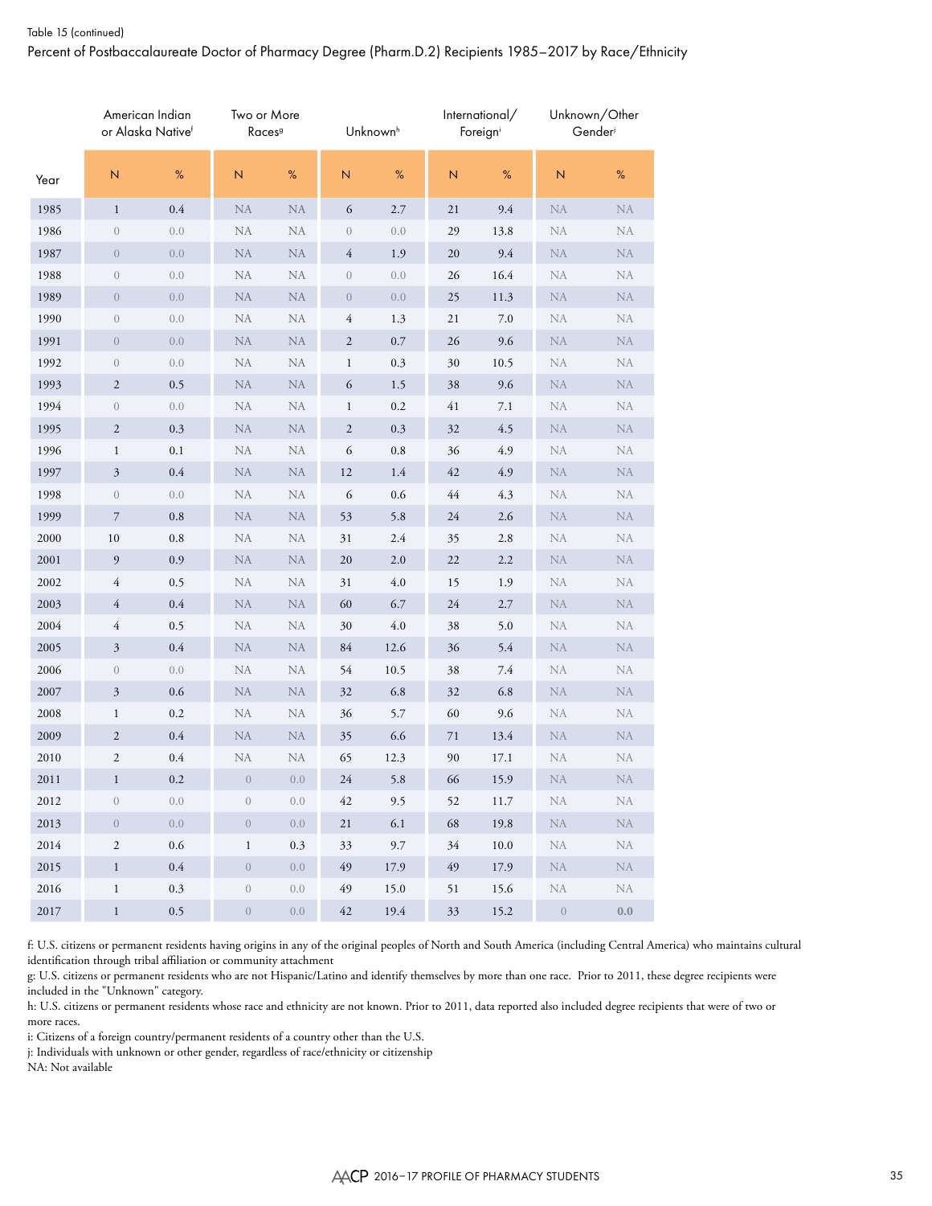Percent of Postbaccalaureate Doctor of Pharmacy Degree (Pharm.D.2) Recipients 1985–2017 by Race/Ethnicity

|          |                  | American Indian<br>or Alaska Nativef | Two or More<br>Races <sup>9</sup> |            |                  | Unknown <sup>h</sup> |      | International/<br>Foreigni |            | Unknown/Other<br>Gender |
|----------|------------------|--------------------------------------|-----------------------------------|------------|------------------|----------------------|------|----------------------------|------------|-------------------------|
| Year     | $\mathbb N$      | %                                    | N                                 | $\%$       | $\overline{N}$   | %                    | N    | %                          | N          | %                       |
| 1985     | $\mathbf{1}$     | 0.4                                  | ${\rm NA}$                        | <b>NA</b>  | 6                | 2.7                  | 21   | 9.4                        | <b>NA</b>  | ${\rm NA}$              |
| 1986     | $\boldsymbol{0}$ | 0.0                                  | NA                                | NA         | $\boldsymbol{0}$ | 0.0                  | 29   | 13.8                       | NA         | NA                      |
| 1987     | $\boldsymbol{0}$ | 0.0                                  | NA                                | ${\rm NA}$ | $\overline{4}$   | 1.9                  | 20   | 9.4                        | <b>NA</b>  | <b>NA</b>               |
| 1988     | $\boldsymbol{0}$ | 0.0                                  | NA                                | NA         | $\boldsymbol{0}$ | 0.0                  | 26   | 16.4                       | NA         | <b>NA</b>               |
| 1989     | $\boldsymbol{0}$ | 0.0                                  | NA                                | ${\rm NA}$ | $\boldsymbol{0}$ | 0.0                  | 25   | 11.3                       | <b>NA</b>  | ${\rm NA}$              |
| 1990     | $\boldsymbol{0}$ | 0.0                                  | NA                                | NA         | 4                | 1.3                  | 21   | $7.0\,$                    | NA         | NA                      |
| 1991     | $\boldsymbol{0}$ | $0.0\,$                              | NA                                | NA         | $\sqrt{2}$       | $0.7\,$              | 26   | 9.6                        | <b>NA</b>  | <b>NA</b>               |
| 1992     | $\boldsymbol{0}$ | 0.0                                  | NA                                | NA         | $\mathbf{1}$     | 0.3                  | 30   | 10.5                       | NA         | NA                      |
| 1993     | $\sqrt{2}$       | 0.5                                  | ${\rm NA}$                        | ${\rm NA}$ | 6                | 1.5                  | 38   | 9.6                        | <b>NA</b>  | ${\rm NA}$              |
| 1994     | $\boldsymbol{0}$ | 0.0                                  | NA                                | NA         | $\mathbf{1}$     | 0.2                  | 41   | 7.1                        | <b>NA</b>  | NA                      |
| 1995     | $\sqrt{2}$       | $0.3\,$                              | NA                                | ${\rm NA}$ | $\sqrt{2}$       | 0.3                  | 32   | 4.5                        | <b>NA</b>  | ${\rm NA}$              |
| 1996     | 1                | $0.1\,$                              | NA                                | NA         | 6                | $\rm 0.8$            | 36   | 4.9                        | <b>NA</b>  | NA                      |
| 1997     | $\mathfrak{Z}$   | $0.4\,$                              | ${\rm NA}$                        | ${\rm NA}$ | 12               | 1.4                  | 42   | 4.9                        | <b>NA</b>  | <b>NA</b>               |
| 1998     | $\boldsymbol{0}$ | 0.0                                  | NA                                | NA         | 6                | 0.6                  | $44$ | 4.3                        | <b>NA</b>  | NA                      |
| 1999     | 7                | $\rm 0.8$                            | NA                                | ${\rm NA}$ | 53               | 5.8                  | 24   | 2.6                        | <b>NA</b>  | ${\rm NA}$              |
| 2000     | $10\,$           | 0.8                                  | NA                                | NA         | 31               | 2.4                  | 35   | 2.8                        | <b>NA</b>  | NA                      |
| 2001     | 9                | $0.9\,$                              | NA                                | ${\rm NA}$ | 20               | $2.0\,$              | 22   | $2.2\,$                    | <b>NA</b>  | <b>NA</b>               |
| 2002     | 4                | 0.5                                  | NA                                | NA         | 31               | 4.0                  | 15   | 1.9                        | NA         | NA                      |
| 2003     | 4                | 0.4                                  | ${\rm NA}$                        | ${\rm NA}$ | 60               | 6.7                  | 24   | 2.7                        | <b>NA</b>  | ${\rm NA}$              |
| 2004     | 4                | 0.5                                  | NA                                | NA         | 30               | 4.0                  | 38   | 5.0                        | NA         | <b>NA</b>               |
| 2005     | $\mathfrak{Z}$   | $0.4\,$                              | ${\rm NA}$                        | ${\rm NA}$ | 84               | 12.6                 | 36   | 5.4                        | <b>NA</b>  | ${\rm NA}$              |
| 2006     | $\boldsymbol{0}$ | 0.0                                  | NA                                | NA         | 54               | 10.5                 | 38   | 7.4                        | NA         | <b>NA</b>               |
| 2007     | $\mathfrak{Z}$   | $0.6\,$                              | <b>NA</b>                         | ${\rm NA}$ | 32               | 6.8                  | 32   | 6.8                        | <b>NA</b>  | <b>NA</b>               |
| 2008     | $\mathbf{1}$     | 0.2                                  | NA                                | NA         | 36               | 5.7                  | 60   | 9.6                        | <b>NA</b>  | NA                      |
| 2009     | $\boldsymbol{2}$ | $0.4\,$                              | NA                                | NA         | 35               | 6.6                  | 71   | 13.4                       | <b>NA</b>  | $\rm NA$                |
| 2010     | $\mathfrak{2}$   | 0.4                                  | NA                                | NA         | 65               | 12.3                 | 90   | 17.1                       | <b>NA</b>  | NA                      |
| 2011     | 1                | 0.2                                  | $\overline{0}$                    | 0.0        | 24               | 5.8                  | 66   | 15.9                       | NA         | NA                      |
| 2012     | $\boldsymbol{0}$ | 0.0                                  | $\sqrt{a}$                        | $0.0\,$    | 42               | 9.5                  | 52   | 11.7                       | NA         | NA                      |
| 2013     | $\boldsymbol{0}$ | 0.0                                  | $\boldsymbol{0}$                  | $0.0\,$    | 21               | 6.1                  | 68   | 19.8                       | ${\rm NA}$ | ${\rm NA}$              |
| 2014     | $\sqrt{2}$       | $0.6\,$                              | $\mathbf{1}$                      | $0.3\,$    | 33               | 9.7                  | 34   | $10.0\,$                   | NA         | NA                      |
| 2015     | $\,1$            | $0.4\,$                              | $\overline{0}$                    | $0.0\,$    | 49               | 17.9                 | 49   | 17.9                       | <b>NA</b>  | ${\rm NA}$              |
| 2016     | $\mathbf{1}$     | $0.3\,$                              | $\overline{0}$                    | $0.0\,$    | 49               | 15.0                 | 51   | 15.6                       | NA         | ${\rm NA}$              |
| $2017\,$ | $\,1$            | $0.5\,$                              | $\boldsymbol{0}$                  | $0.0\,$    | 42               | 19.4                 | 33   | 15.2                       | $\,0\,$    | $0.0\,$                 |

f: U.S. citizens or permanent residents having origins in any of the original peoples of North and South America (including Central America) who maintains cultural identification through tribal affiliation or community attachment

g: U.S. citizens or permanent residents who are not Hispanic/Latino and identify themselves by more than one race. Prior to 2011, these degree recipients were included in the "Unknown" category.

h: U.S. citizens or permanent residents whose race and ethnicity are not known. Prior to 2011, data reported also included degree recipients that were of two or more races.

i: Citizens of a foreign country/permanent residents of a country other than the U.S.

j: Individuals with unknown or other gender, regardless of race/ethnicity or citizenship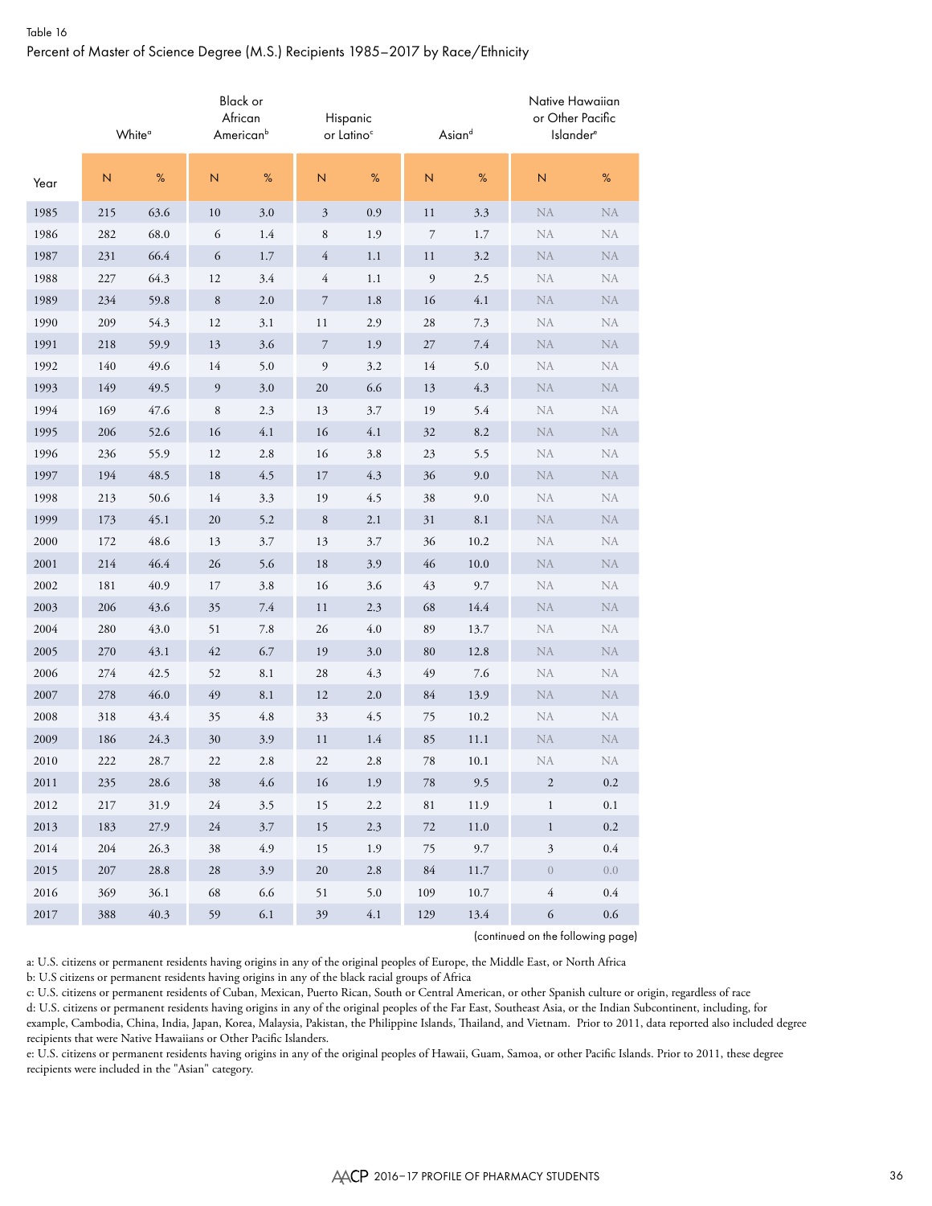### Table 16 Percent of Master of Science Degree (M.S.) Recipients 1985–2017 by Race/Ethnicity

|          |     | White <sup>o</sup> | Black or<br>African | American <sup>b</sup> |                  | Hispanic<br>or Latino <sup>c</sup> |                  | Asiand   | Native Hawaiian<br>or Other Pacific<br><b>Islander</b> <sup>e</sup> |           |
|----------|-----|--------------------|---------------------|-----------------------|------------------|------------------------------------|------------------|----------|---------------------------------------------------------------------|-----------|
| Year     | N   | $\%$               | N                   | $\%$                  | $\mathsf{N}$     | %                                  | $\mathsf{N}$     | $\%$     | N                                                                   | $\%$      |
| 1985     | 215 | 63.6               | 10                  | $3.0\,$               | $\mathfrak{Z}$   | $0.9\,$                            | 11               | 3.3      | <b>NA</b>                                                           | NA        |
| 1986     | 282 | 68.0               | 6                   | $1.4\,$               | 8                | 1.9                                | $\boldsymbol{7}$ | 1.7      | ${\rm NA}$                                                          | NA        |
| 1987     | 231 | 66.4               | 6                   | 1.7                   | 4                | 1.1                                | 11               | 3.2      | <b>NA</b>                                                           | $\rm NA$  |
| 1988     | 227 | 64.3               | 12                  | 3.4                   | $\overline{4}$   | 1.1                                | $\mathfrak{g}$   | 2.5      | NA                                                                  | NA        |
| 1989     | 234 | 59.8               | 8                   | $2.0\,$               | $\boldsymbol{7}$ | 1.8                                | 16               | 4.1      | NA                                                                  | <b>NA</b> |
| 1990     | 209 | 54.3               | 12                  | 3.1                   | 11               | 2.9                                | 28               | 7.3      | NA                                                                  | NA        |
| 1991     | 218 | 59.9               | 13                  | $3.6\,$               | $\boldsymbol{7}$ | 1.9                                | 27               | 7.4      | NA                                                                  | $\rm NA$  |
| 1992     | 140 | 49.6               | 14                  | 5.0                   | 9                | 3.2                                | 14               | 5.0      | NA                                                                  | NA        |
| 1993     | 149 | 49.5               | 9                   | $3.0\,$               | 20               | 6.6                                | 13               | 4.3      | <b>NA</b>                                                           | <b>NA</b> |
| 1994     | 169 | 47.6               | 8                   | 2.3                   | 13               | 3.7                                | 19               | 5.4      | NA                                                                  | NA        |
| 1995     | 206 | 52.6               | 16                  | 4.1                   | 16               | 4.1                                | 32               | 8.2      | <b>NA</b>                                                           | NA        |
| 1996     | 236 | 55.9               | 12                  | $2.8\,$               | 16               | 3.8                                | 23               | 5.5      | NA                                                                  | NA        |
| 1997     | 194 | 48.5               | 18                  | 4.5                   | 17               | 4.3                                | 36               | 9.0      | <b>NA</b>                                                           | NA        |
| 1998     | 213 | 50.6               | 14                  | 3.3                   | 19               | 4.5                                | 38               | 9.0      | NA                                                                  | NA        |
| 1999     | 173 | 45.1               | 20                  | 5.2                   | $\,$ 8 $\,$      | 2.1                                | 31               | 8.1      | $\rm NA$                                                            | <b>NA</b> |
| 2000     | 172 | 48.6               | 13                  | 3.7                   | 13               | 3.7                                | 36               | 10.2     | NA                                                                  | NA        |
| 2001     | 214 | 46.4               | 26                  | 5.6                   | $18\,$           | 3.9                                | 46               | 10.0     | NA                                                                  | $\rm NA$  |
| 2002     | 181 | 40.9               | 17                  | 3.8                   | 16               | 3.6                                | 43               | 9.7      | NA                                                                  | NA        |
| 2003     | 206 | 43.6               | 35                  | 7.4                   | 11               | 2.3                                | 68               | 14.4     | <b>NA</b>                                                           | <b>NA</b> |
| 2004     | 280 | 43.0               | 51                  | 7.8                   | 26               | 4.0                                | 89               | 13.7     | NA                                                                  | NA        |
| 2005     | 270 | 43.1               | 42                  | 6.7                   | 19               | 3.0                                | 80               | 12.8     | NA                                                                  | NA        |
| 2006     | 274 | 42.5               | 52                  | 8.1                   | 28               | 4.3                                | 49               | 7.6      | NA                                                                  | NA        |
| 2007     | 278 | 46.0               | 49                  | 8.1                   | 12               | 2.0                                | 84               | 13.9     | <b>NA</b>                                                           | NA        |
| 2008     | 318 | 43.4               | 35                  | $4.8\,$               | 33               | 4.5                                | 75               | 10.2     | NA                                                                  | <b>NA</b> |
| 2009     | 186 | 24.3               | 30                  | 3.9                   | 11               | 1.4                                | 85               | 11.1     | $\rm NA$                                                            | <b>NA</b> |
| 2010     | 222 | 28.7               | 22                  | 2.8                   | 22               | 2.8                                | 78               | 10.1     | NA                                                                  | NA        |
| 2011     | 235 | 28.6               | 38                  | 4.6                   | 16               | 1.9                                | 78               | 9.5      | $\sqrt{2}$                                                          | $0.2\,$   |
| 2012     | 217 | 31.9               | 24                  | 3.5                   | 15               | 2.2                                | 81               | 11.9     | $\mathbf{1}$                                                        | $0.1\,$   |
| 2013     | 183 | 27.9               | $24\,$              | 3.7                   | 15               | $2.3\,$                            | $72\,$           | $11.0\,$ | $\,1$                                                               | $0.2\,$   |
| 2014     | 204 | 26.3               | 38                  | 4.9                   | 15               | 1.9                                | 75               | 9.7      | $\mathfrak{Z}$                                                      | 0.4       |
| 2015     | 207 | 28.8               | 28                  | 3.9                   | $20\,$           | $2.8\,$                            | 84               | 11.7     | $\boldsymbol{0}$                                                    | 0.0       |
| 2016     | 369 | 36.1               | 68                  | 6.6                   | 51               | $5.0\,$                            | 109              | 10.7     | $\overline{4}$                                                      | 0.4       |
| $2017\,$ | 388 | 40.3               | 59                  | $6.1\,$               | 39               | $4.1\,$                            | 129              | 13.4     | 6                                                                   | $0.6\,$   |

(continued on the following page)

a: U.S. citizens or permanent residents having origins in any of the original peoples of Europe, the Middle East, or North Africa

b: U.S citizens or permanent residents having origins in any of the black racial groups of Africa

c: U.S. citizens or permanent residents of Cuban, Mexican, Puerto Rican, South or Central American, or other Spanish culture or origin, regardless of race

d: U.S. citizens or permanent residents having origins in any of the original peoples of the Far East, Southeast Asia, or the Indian Subcontinent, including, for example, Cambodia, China, India, Japan, Korea, Malaysia, Pakistan, the Philippine Islands, Thailand, and Vietnam. Prior to 2011, data reported also included degree recipients that were Native Hawaiians or Other Pacific Islanders.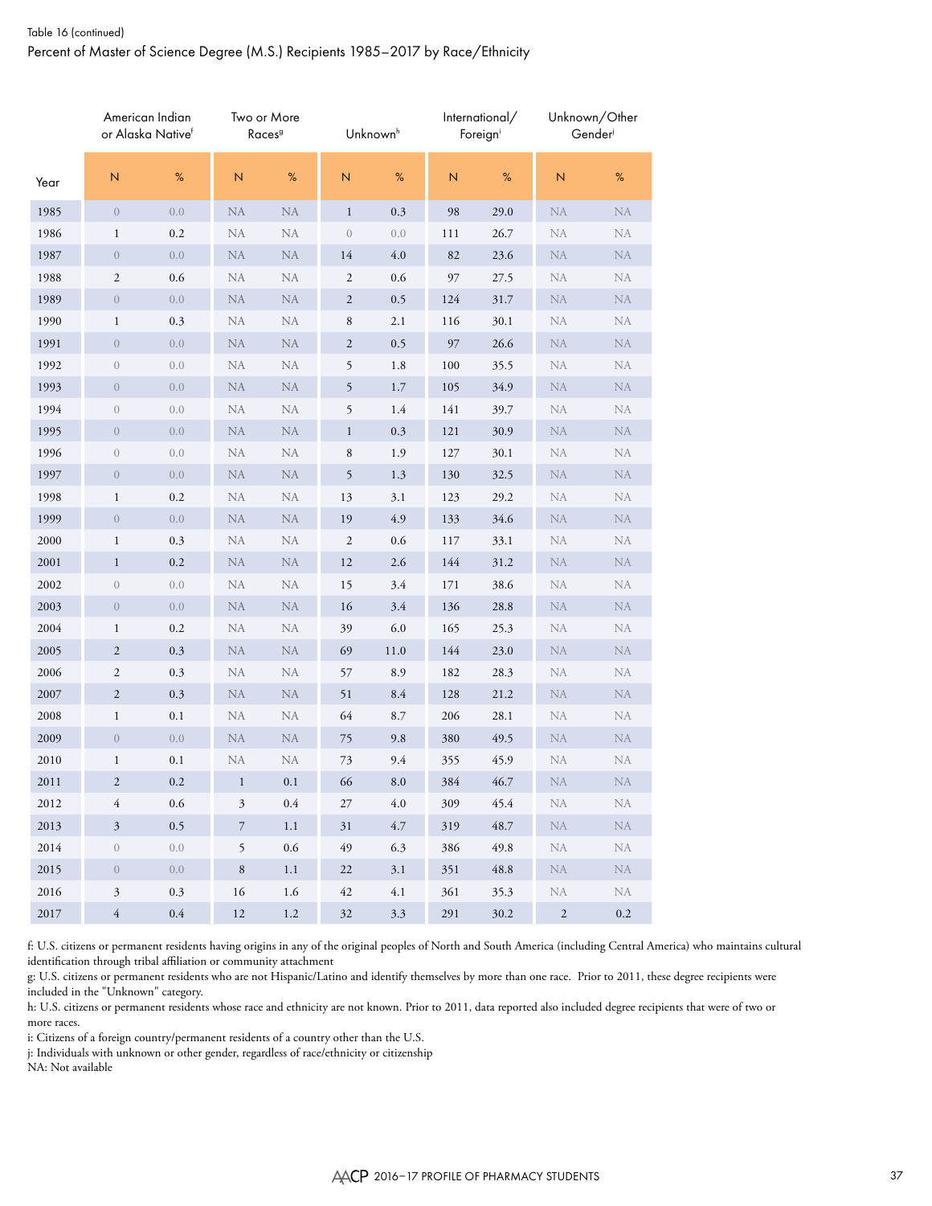### Table 16 (continued) Percent of Master of Science Degree (M.S.) Recipients 1985–2017 by Race/Ethnicity

|          |                         | American Indian<br>or Alaska Nativef |              | Two or More<br>Races <sup>9</sup> |                | Unknown <sup>h</sup> |     | International/<br>Foreigni |            | Unknown/Other<br>Gender |
|----------|-------------------------|--------------------------------------|--------------|-----------------------------------|----------------|----------------------|-----|----------------------------|------------|-------------------------|
| Year     | $\mathsf N$             | $\%$                                 | $\mathbb N$  | $\%$                              | $\mathsf N$    | $\%$                 | N   | %                          | ${\sf N}$  | $\%$                    |
| 1985     | $\boldsymbol{0}$        | 0.0                                  | <b>NA</b>    | <b>NA</b>                         | $\mathbf{1}$   | 0.3                  | 98  | 29.0                       | <b>NA</b>  | ${\rm NA}$              |
| 1986     | 1                       | 0.2                                  | <b>NA</b>    | <b>NA</b>                         | $\theta$       | 0.0                  | 111 | 26.7                       | <b>NA</b>  | NA                      |
| 1987     | $\boldsymbol{0}$        | 0.0                                  | ${\rm NA}$   | NA                                | 14             | $4.0\,$              | 82  | 23.6                       | NA         | <b>NA</b>               |
| 1988     | $\mathbf{2}$            | 0.6                                  | <b>NA</b>    | NA                                | 2              | 0.6                  | 97  | 27.5                       | <b>NA</b>  | NA                      |
| 1989     | $\theta$                | 0.0                                  | NA           | ${\rm NA}$                        | $\overline{c}$ | 0.5                  | 124 | 31.7                       | <b>NA</b>  | <b>NA</b>               |
| 1990     | $\mathbf{1}$            | $0.3\,$                              | NA           | <b>NA</b>                         | $\,$ 8 $\,$    | 2.1                  | 116 | 30.1                       | <b>NA</b>  | NA                      |
| 1991     | $\theta$                | $0.0\,$                              | NA           | NA                                | $\overline{c}$ | 0.5                  | 97  | 26.6                       | <b>NA</b>  | NA                      |
| 1992     | $\boldsymbol{0}$        | 0.0                                  | <b>NA</b>    | NA                                | 5              | 1.8                  | 100 | 35.5                       | NA         | NA                      |
| 1993     | $\overline{0}$          | 0.0                                  | <b>NA</b>    | <b>NA</b>                         | 5              | 1.7                  | 105 | 34.9                       | <b>NA</b>  | <b>NA</b>               |
| 1994     | $\mathbf{0}$            | 0.0                                  | NA           | NA                                | 5              | 1.4                  | 141 | 39.7                       | NA         | NA                      |
| 1995     | $\boldsymbol{0}$        | 0.0                                  | NA           | NA                                | $\mathbf{1}$   | 0.3                  | 121 | 30.9                       | NA         | <b>NA</b>               |
| 1996     | $\mathbf{0}$            | 0.0                                  | NA           | NA                                | 8              | 1.9                  | 127 | 30.1                       | <b>NA</b>  | NA                      |
| 1997     | $\boldsymbol{0}$        | 0.0                                  | ${\rm NA}$   | <b>NA</b>                         | 5              | 1.3                  | 130 | 32.5                       | NA         | <b>NA</b>               |
| 1998     | $\mathbf{1}$            | 0.2                                  | NA           | NA                                | 13             | 3.1                  | 123 | 29.2                       | <b>NA</b>  | NA                      |
| 1999     | $\theta$                | 0.0                                  | NA           | ${\rm NA}$                        | 19             | 4.9                  | 133 | 34.6                       | <b>NA</b>  | <b>NA</b>               |
| 2000     | $\mathbf{1}$            | $0.3\,$                              | NA           | NA                                | $\mathfrak{2}$ | 0.6                  | 117 | 33.1                       | <b>NA</b>  | NA                      |
| 2001     | $\mathbf{1}$            | $0.2\,$                              | NA           | $\rm NA$                          | 12             | 2.6                  | 144 | 31.2                       | <b>NA</b>  | NA                      |
| 2002     | $\boldsymbol{0}$        | 0.0                                  | NA           | NA                                | 15             | 3.4                  | 171 | 38.6                       | NA         | NA                      |
| 2003     | $\boldsymbol{0}$        | 0.0                                  | <b>NA</b>    | <b>NA</b>                         | 16             | 3.4                  | 136 | 28.8                       | <b>NA</b>  | <b>NA</b>               |
| 2004     | $\mathbf{1}$            | $0.2\,$                              | NA           | NA                                | 39             | 6.0                  | 165 | 25.3                       | NA         | NA                      |
| 2005     | $\mathbf{2}$            | $0.3\,$                              | NA           | NA                                | 69             | 11.0                 | 144 | 23.0                       | NA         | <b>NA</b>               |
| 2006     | 2                       | 0.3                                  | <b>NA</b>    | <b>NA</b>                         | 57             | 8.9                  | 182 | 28.3                       | <b>NA</b>  | NA                      |
| 2007     | $\overline{\mathbf{c}}$ | $0.3\,$                              | ${\rm NA}$   | $\rm NA$                          | 51             | 8.4                  | 128 | 21.2                       | NA         | <b>NA</b>               |
| 2008     | $\mathbf{1}$            | 0.1                                  | NA           | NA                                | 64             | 8.7                  | 206 | 28.1                       | <b>NA</b>  | NA                      |
| 2009     | $\mathbf{0}$            | $0.0\,$                              | NA           | ${\rm NA}$                        | 75             | 9.8                  | 380 | 49.5                       | NA         | <b>NA</b>               |
| 2010     | $\mathbf{1}$            | $0.1\,$                              | NA           | NA                                | 73             | 9.4                  | 355 | 45.9                       | NA         | NA                      |
| 2011     | $\overline{\mathbf{c}}$ | $0.2\,$                              | $\mathbf{1}$ | $0.1\,$                           | 66             | $\!\!\!\!\!8.0$      | 384 | 46.7                       | <b>NA</b>  | NA                      |
| 2012     | 4                       | $0.6\,$                              | 3            | $0.4\,$                           | 27             | $4.0\,$              | 309 | 45.4                       | <b>NA</b>  | NA                      |
| 2013     | $\sqrt{3}$              | 0.5                                  | 7            | $1.1\,$                           | 31             | 4.7                  | 319 | 48.7                       | ${\rm NA}$ | <b>NA</b>               |
| 2014     | $\boldsymbol{0}$        | 0.0                                  | 5            | $0.6\,$                           | 49             | 6.3                  | 386 | 49.8                       | NA         | NA                      |
| 2015     | $\overline{0}$          | 0.0                                  | $\,8\,$      | 1.1                               | 22             | 3.1                  | 351 | 48.8                       | NA         | <b>NA</b>               |
| 2016     | $\mathfrak{Z}$          | 0.3                                  | 16           | 1.6                               | 42             | 4.1                  | 361 | 35.3                       | NA         | NA                      |
| $2017\,$ | $\overline{4}$          | $0.4\,$                              | 12           | $1.2\,$                           | $32\,$         | 3.3                  | 291 | 30.2                       | $\sqrt{2}$ | $0.2\,$                 |

f: U.S. citizens or permanent residents having origins in any of the original peoples of North and South America (including Central America) who maintains cultural identification through tribal affiliation or community attachment

g: U.S. citizens or permanent residents who are not Hispanic/Latino and identify themselves by more than one race. Prior to 2011, these degree recipients were included in the "Unknown" category.

h: U.S. citizens or permanent residents whose race and ethnicity are not known. Prior to 2011, data reported also included degree recipients that were of two or more races.

i: Citizens of a foreign country/permanent residents of a country other than the U.S.

j: Individuals with unknown or other gender, regardless of race/ethnicity or citizenship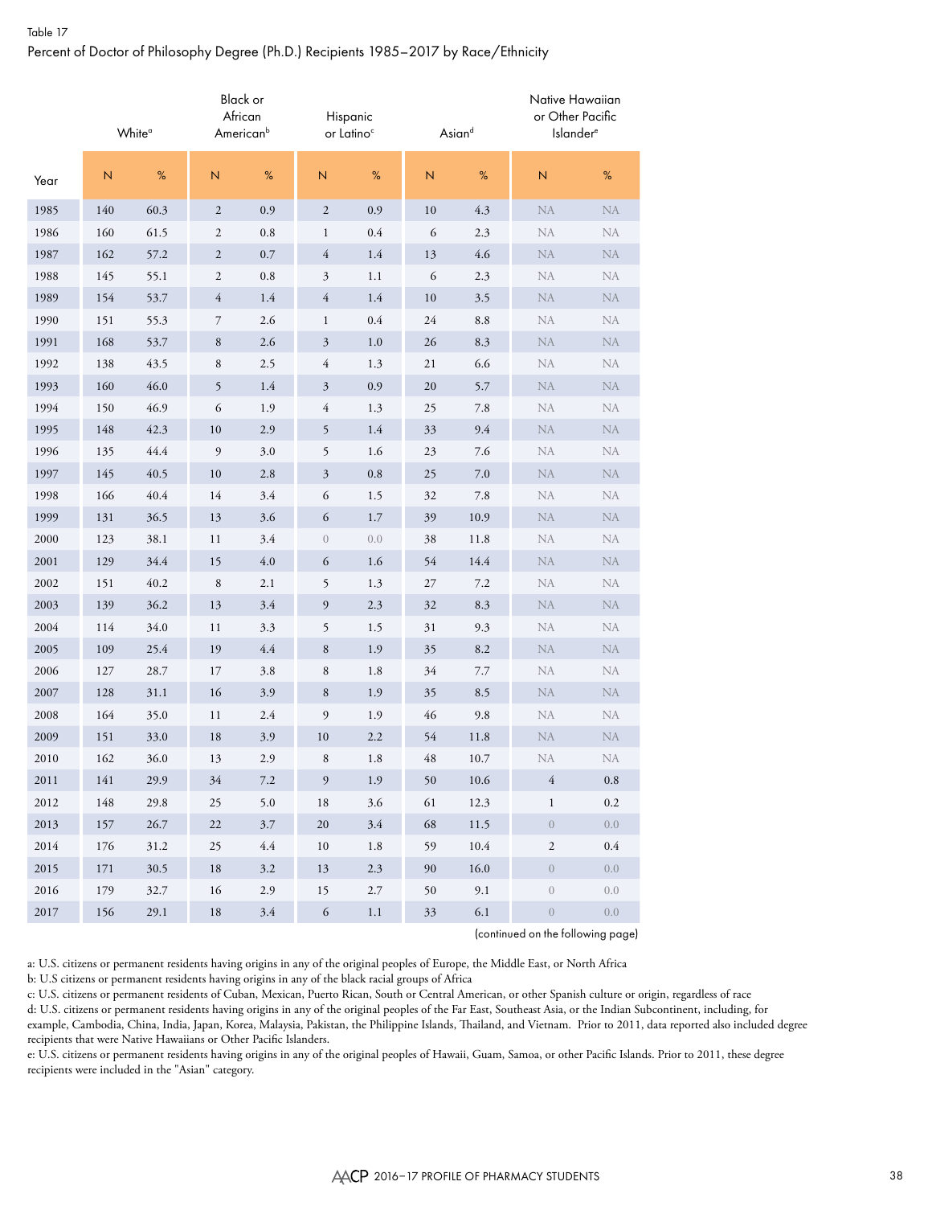# Table 17 Percent of Doctor of Philosophy Degree (Ph.D.) Recipients 1985–2017 by Race/Ethnicity

|          |             | White <sup>o</sup> | African      | Black or<br>American <sup>b</sup> |                  | Hispanic<br>or Latino <sup>c</sup> |             | Asiand  | Native Hawaiian<br>or Other Pacific<br>Islander <sup>e</sup> |            |
|----------|-------------|--------------------|--------------|-----------------------------------|------------------|------------------------------------|-------------|---------|--------------------------------------------------------------|------------|
| Year     | $\mathbb N$ | %                  | $\mathbb N$  | %                                 | $\mathsf N$      | %                                  | $\mathsf N$ | %       | $\overline{N}$                                               | $\%$       |
| 1985     | 140         | 60.3               | $\mathbf{2}$ | $0.9\,$                           | $\mathfrak{2}$   | 0.9                                | 10          | 4.3     | ${\rm NA}$                                                   | NA         |
| 1986     | 160         | 61.5               | 2            | $\rm 0.8$                         | $\mathbf{1}$     | 0.4                                | 6           | 2.3     | <b>NA</b>                                                    | <b>NA</b>  |
| 1987     | 162         | 57.2               | $\mathbf{2}$ | $0.7\,$                           | 4                | 1.4                                | 13          | 4.6     | <b>NA</b>                                                    | <b>NA</b>  |
| 1988     | 145         | 55.1               | 2            | $\rm 0.8$                         | $\mathfrak{Z}$   | 1.1                                | 6           | 2.3     | <b>NA</b>                                                    | NA         |
| 1989     | 154         | 53.7               | 4            | 1.4                               | $\overline{4}$   | 1.4                                | 10          | 3.5     | <b>NA</b>                                                    | ${\rm NA}$ |
| 1990     | 151         | 55.3               | 7            | $2.6\,$                           | $\mathbf{1}$     | 0.4                                | 24          | 8.8     | NA                                                           | ${\rm NA}$ |
| 1991     | 168         | 53.7               | 8            | 2.6                               | 3                | 1.0                                | 26          | 8.3     | <b>NA</b>                                                    | ${\rm NA}$ |
| 1992     | 138         | 43.5               | 8            | 2.5                               | 4                | 1.3                                | 21          | 6.6     | <b>NA</b>                                                    | NA         |
| 1993     | 160         | 46.0               | 5            | 1.4                               | $\mathfrak{Z}$   | 0.9                                | 20          | 5.7     | <b>NA</b>                                                    | ${\rm NA}$ |
| 1994     | 150         | 46.9               | 6            | 1.9                               | 4                | 1.3                                | 25          | $7.8\,$ | NA                                                           | ${\rm NA}$ |
| 1995     | 148         | 42.3               | 10           | 2.9                               | 5                | 1.4                                | 33          | 9.4     | <b>NA</b>                                                    | ${\rm NA}$ |
| 1996     | 135         | 44.4               | 9            | 3.0                               | 5                | 1.6                                | 23          | 7.6     | <b>NA</b>                                                    | <b>NA</b>  |
| 1997     | 145         | 40.5               | 10           | 2.8                               | $\sqrt{3}$       | $0.8\,$                            | 25          | $7.0\,$ | <b>NA</b>                                                    | <b>NA</b>  |
| 1998     | 166         | 40.4               | 14           | 3.4                               | 6                | 1.5                                | 32          | 7.8     | <b>NA</b>                                                    | NA         |
| 1999     | 131         | 36.5               | 13           | 3.6                               | 6                | 1.7                                | 39          | 10.9    | <b>NA</b>                                                    | ${\rm NA}$ |
| 2000     | 123         | 38.1               | 11           | 3.4                               | $\boldsymbol{0}$ | 0.0                                | 38          | 11.8    | NA                                                           | ${\rm NA}$ |
| 2001     | 129         | 34.4               | 15           | $4.0\,$                           | 6                | 1.6                                | 54          | 14.4    | NA                                                           | ${\rm NA}$ |
| 2002     | 151         | 40.2               | $\,$ 8 $\,$  | 2.1                               | 5                | 1.3                                | $27\,$      | 7.2     | <b>NA</b>                                                    | NA         |
| 2003     | 139         | 36.2               | 13           | 3.4                               | $\mathfrak{g}$   | 2.3                                | 32          | 8.3     | <b>NA</b>                                                    | ${\rm NA}$ |
| 2004     | 114         | 34.0               | 11           | 3.3                               | 5                | 1.5                                | 31          | 9.3     | NA                                                           | ${\rm NA}$ |
| 2005     | 109         | 25.4               | 19           | $4.4\,$                           | $\,$ 8 $\,$      | 1.9                                | 35          | 8.2     | <b>NA</b>                                                    | ${\rm NA}$ |
| 2006     | 127         | 28.7               | 17           | 3.8                               | 8                | 1.8                                | 34          | 7.7     | <b>NA</b>                                                    | <b>NA</b>  |
| 2007     | 128         | 31.1               | 16           | 3.9                               | $\,$ 8 $\,$      | 1.9                                | 35          | 8.5     | <b>NA</b>                                                    | <b>NA</b>  |
| 2008     | 164         | 35.0               | 11           | 2.4                               | $\mathfrak{g}$   | 1.9                                | 46          | 9.8     | NA                                                           | NA         |
| 2009     | 151         | 33.0               | 18           | 3.9                               | 10               | 2.2                                | 54          | 11.8    | <b>NA</b>                                                    | ${\rm NA}$ |
| 2010     | 162         | 36.0               | 13           | 2.9                               | 8                | 1.8                                | 48          | 10.7    | <b>NA</b>                                                    | NA         |
| 2011     | 141         | 29.9               | 34           | $7.2\,$                           | $\boldsymbol{9}$ | 1.9                                | 50          | 10.6    | 4                                                            | $\rm 0.8$  |
| 2012     | $148\,$     | 29.8               | 25           | 5.0                               | $18\,$           | $3.6\,$                            | 61          | 12.3    | $\mathbf{1}$                                                 | $0.2\,$    |
| 2013     | 157         | 26.7               | 22           | $3.7\,$                           | $20\,$           | $3.4\,$                            | 68          | 11.5    | $\,0\,$                                                      | 0.0        |
| 2014     | 176         | 31.2               | 25           | 4.4                               | 10               | 1.8                                | 59          | 10.4    | $\sqrt{2}$                                                   | $0.4\,$    |
| 2015     | 171         | 30.5               | 18           | $3.2\,$                           | 13               | $2.3\,$                            | 90          | 16.0    | $\boldsymbol{0}$                                             | 0.0        |
| 2016     | 179         | 32.7               | 16           | 2.9                               | 15               | $2.7\,$                            | 50          | 9.1     | $\boldsymbol{0}$                                             | 0.0        |
| $2017\,$ | 156         | 29.1               | $18\,$       | $3.4\,$                           | $\sqrt{6}$       | $1.1\,$                            | 33          | $6.1\,$ | $\,0\,$                                                      | $0.0\,$    |

(continued on the following page)

a: U.S. citizens or permanent residents having origins in any of the original peoples of Europe, the Middle East, or North Africa

b: U.S citizens or permanent residents having origins in any of the black racial groups of Africa

c: U.S. citizens or permanent residents of Cuban, Mexican, Puerto Rican, South or Central American, or other Spanish culture or origin, regardless of race

d: U.S. citizens or permanent residents having origins in any of the original peoples of the Far East, Southeast Asia, or the Indian Subcontinent, including, for example, Cambodia, China, India, Japan, Korea, Malaysia, Pakistan, the Philippine Islands, Thailand, and Vietnam. Prior to 2011, data reported also included degree recipients that were Native Hawaiians or Other Pacific Islanders.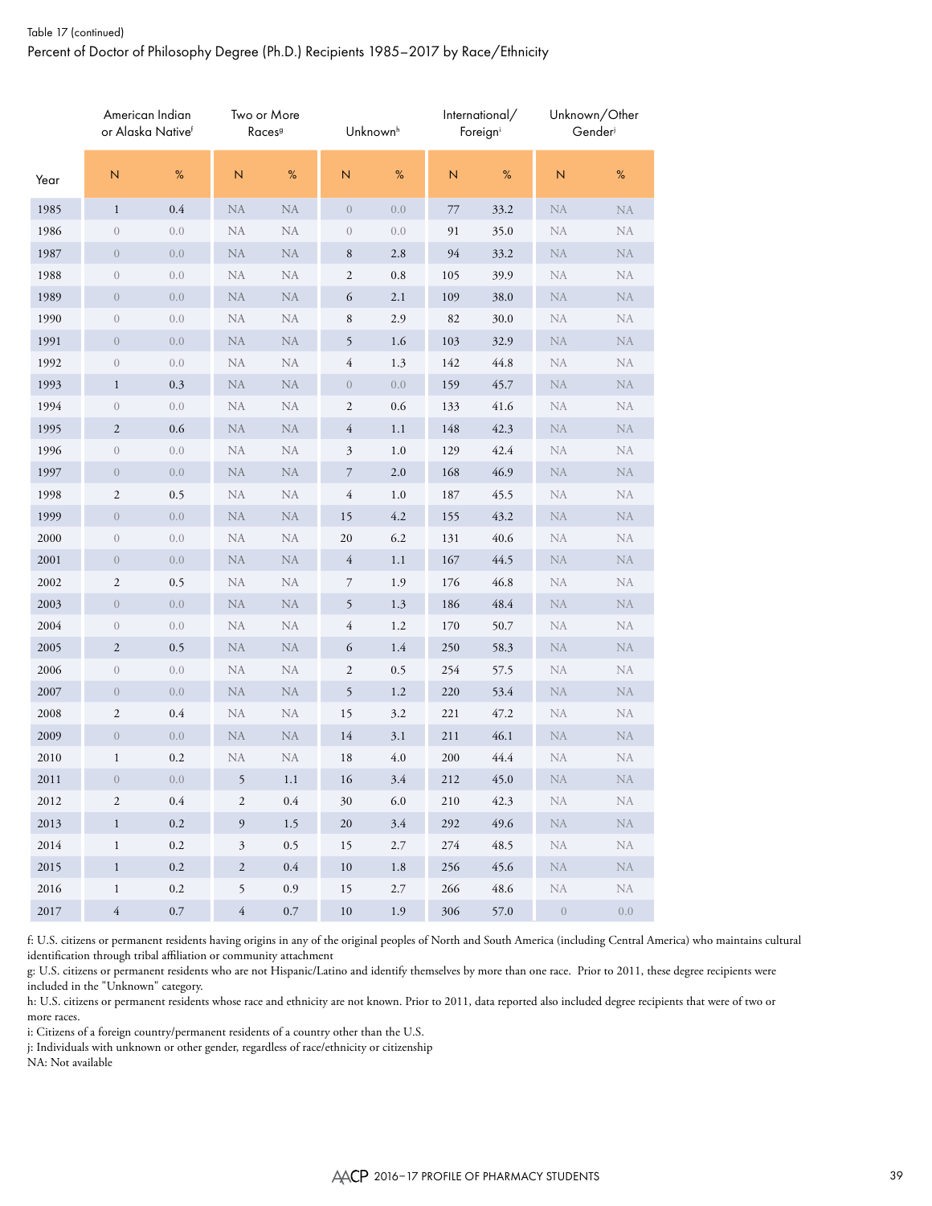### Table 17 (continued) Percent of Doctor of Philosophy Degree (Ph.D.) Recipients 1985–2017 by Race/Ethnicity

|      |                     | American Indian<br>or Alaska Nativef |                | Two or More<br>Races <sup>9</sup> |                  | Unknown <sup>h</sup> |     | International/<br>Foreigni |           | Unknown/Other<br>Gender |
|------|---------------------|--------------------------------------|----------------|-----------------------------------|------------------|----------------------|-----|----------------------------|-----------|-------------------------|
| Year | $\mathsf{N}\xspace$ | $\%$                                 | N              | $\%$                              | $\mathsf{N}$     | %                    | N   | $\%$                       | N         | $\%$                    |
| 1985 | $\mathbf{1}$        | 0.4                                  | <b>NA</b>      | <b>NA</b>                         | $\overline{0}$   | 0.0                  | 77  | 33.2                       | <b>NA</b> | <b>NA</b>               |
| 1986 | $\boldsymbol{0}$    | 0.0                                  | <b>NA</b>      | <b>NA</b>                         | $\mathbf{0}$     | 0.0                  | 91  | 35.0                       | NA        | NA                      |
| 1987 | $\boldsymbol{0}$    | 0.0                                  | NA             | ${\rm NA}$                        | $\,8\,$          | 2.8                  | 94  | 33.2                       | <b>NA</b> | NA                      |
| 1988 | $\boldsymbol{0}$    | 0.0                                  | <b>NA</b>      | NA                                | 2                | $\rm 0.8$            | 105 | 39.9                       | <b>NA</b> | NA                      |
| 1989 | $\theta$            | 0.0                                  | <b>NA</b>      | ${\rm NA}$                        | 6                | 2.1                  | 109 | 38.0                       | <b>NA</b> | <b>NA</b>               |
| 1990 | $\boldsymbol{0}$    | 0.0                                  | <b>NA</b>      | NA                                | 8                | 2.9                  | 82  | 30.0                       | <b>NA</b> | NA                      |
| 1991 | $\theta$            | 0.0                                  | NA             | ${\rm NA}$                        | 5                | 1.6                  | 103 | 32.9                       | NA        | NA                      |
| 1992 | $\boldsymbol{0}$    | 0.0                                  | <b>NA</b>      | NA                                | $\overline{4}$   | 1.3                  | 142 | 44.8                       | <b>NA</b> | NA                      |
| 1993 | $\mathbf{1}$        | 0.3                                  | <b>NA</b>      | <b>NA</b>                         | $\overline{0}$   | $0.0\,$              | 159 | 45.7                       | <b>NA</b> | <b>NA</b>               |
| 1994 | $\mathbf{0}$        | 0.0                                  | <b>NA</b>      | NA                                | 2                | 0.6                  | 133 | 41.6                       | <b>NA</b> | NA                      |
| 1995 | $\mathbf{2}$        | $0.6\,$                              | <b>NA</b>      | <b>NA</b>                         | 4                | 1.1                  | 148 | 42.3                       | NA        | <b>NA</b>               |
| 1996 | $\mathbf{0}$        | 0.0                                  | <b>NA</b>      | <b>NA</b>                         | 3                | $1.0\,$              | 129 | 42.4                       | <b>NA</b> | NA                      |
| 1997 | $\boldsymbol{0}$    | 0.0                                  | NA             | ${\rm NA}$                        | $\boldsymbol{7}$ | $2.0\,$              | 168 | 46.9                       | <b>NA</b> | <b>NA</b>               |
| 1998 | $\mathbf{2}$        | 0.5                                  | NA             | NA                                | $\overline{4}$   | $1.0\,$              | 187 | 45.5                       | <b>NA</b> | NA                      |
| 1999 | $\mathbf{0}$        | 0.0                                  | <b>NA</b>      | ${\rm NA}$                        | 15               | $4.2\,$              | 155 | 43.2                       | <b>NA</b> | <b>NA</b>               |
| 2000 | $\boldsymbol{0}$    | 0.0                                  | <b>NA</b>      | NA                                | 20               | 6.2                  | 131 | 40.6                       | <b>NA</b> | NA                      |
| 2001 | $\boldsymbol{0}$    | $0.0\,$                              | NA             | ${\rm NA}$                        | $\overline{4}$   | 1.1                  | 167 | 44.5                       | <b>NA</b> | NA                      |
| 2002 | 2                   | 0.5                                  | <b>NA</b>      | <b>NA</b>                         | 7                | 1.9                  | 176 | 46.8                       | <b>NA</b> | NA                      |
| 2003 | $\boldsymbol{0}$    | 0.0                                  | <b>NA</b>      | <b>NA</b>                         | $\mathfrak{S}$   | 1.3                  | 186 | 48.4                       | <b>NA</b> | <b>NA</b>               |
| 2004 | $\mathbf{0}$        | 0.0                                  | <b>NA</b>      | NA                                | 4                | 1.2                  | 170 | 50.7                       | <b>NA</b> | NA                      |
| 2005 | $\mathbf{2}$        | 0.5                                  | <b>NA</b>      | <b>NA</b>                         | 6                | 1.4                  | 250 | 58.3                       | NA        | <b>NA</b>               |
| 2006 | $\mathbf{0}$        | 0.0                                  | <b>NA</b>      | <b>NA</b>                         | 2                | 0.5                  | 254 | 57.5                       | <b>NA</b> | NA                      |
| 2007 | $\boldsymbol{0}$    | 0.0                                  | NA             | ${\rm NA}$                        | 5                | 1.2                  | 220 | 53.4                       | <b>NA</b> | <b>NA</b>               |
| 2008 | 2                   | 0.4                                  | NA             | NA                                | 15               | 3.2                  | 221 | 47.2                       | <b>NA</b> | NA                      |
| 2009 | $\theta$            | $0.0\,$                              | NA             | ${\rm NA}$                        | 14               | 3.1                  | 211 | 46.1                       | <b>NA</b> | <b>NA</b>               |
| 2010 | $\mathbf{1}$        | 0.2                                  | NA             | NA                                | 18               | 4.0                  | 200 | 44.4                       | <b>NA</b> | NA                      |
| 2011 | $\boldsymbol{0}$    | 0.0                                  | 5              | 1.1                               | 16               | 3.4                  | 212 | 45.0                       | <b>NA</b> | <b>NA</b>               |
| 2012 | 2                   | $0.4\,$                              | $\mathfrak{2}$ | 0.4                               | 30               | 6.0                  | 210 | 42.3                       | <b>NA</b> | NA                      |
| 2013 | $\mathbf{1}$        | $0.2\,$                              | $\mathfrak{g}$ | 1.5                               | 20               | 3.4                  | 292 | 49.6                       | <b>NA</b> | <b>NA</b>               |
| 2014 | $\mathbf{1}$        | $0.2\,$                              | $\mathfrak{Z}$ | $0.5\,$                           | 15               | 2.7                  | 274 | 48.5                       | NA        | NA                      |
| 2015 | $\mathbf{1}$        | $0.2\,$                              | $\sqrt{2}$     | $0.4\,$                           | $10\,$           | 1.8                  | 256 | 45.6                       | NA        | <b>NA</b>               |
| 2016 | $\mathbf{1}$        | $0.2\,$                              | 5              | 0.9                               | 15               | 2.7                  | 266 | 48.6                       | NA        | NA                      |
| 2017 | $\sqrt{4}$          | $0.7\,$                              | $\sqrt{4}$     | $0.7\,$                           | $10\,$           | 1.9                  | 306 | $57.0\,$                   | $\,0\,$   | $0.0\,$                 |

f: U.S. citizens or permanent residents having origins in any of the original peoples of North and South America (including Central America) who maintains cultural identification through tribal affiliation or community attachment

g: U.S. citizens or permanent residents who are not Hispanic/Latino and identify themselves by more than one race. Prior to 2011, these degree recipients were included in the "Unknown" category.

h: U.S. citizens or permanent residents whose race and ethnicity are not known. Prior to 2011, data reported also included degree recipients that were of two or more races.

i: Citizens of a foreign country/permanent residents of a country other than the U.S.

j: Individuals with unknown or other gender, regardless of race/ethnicity or citizenship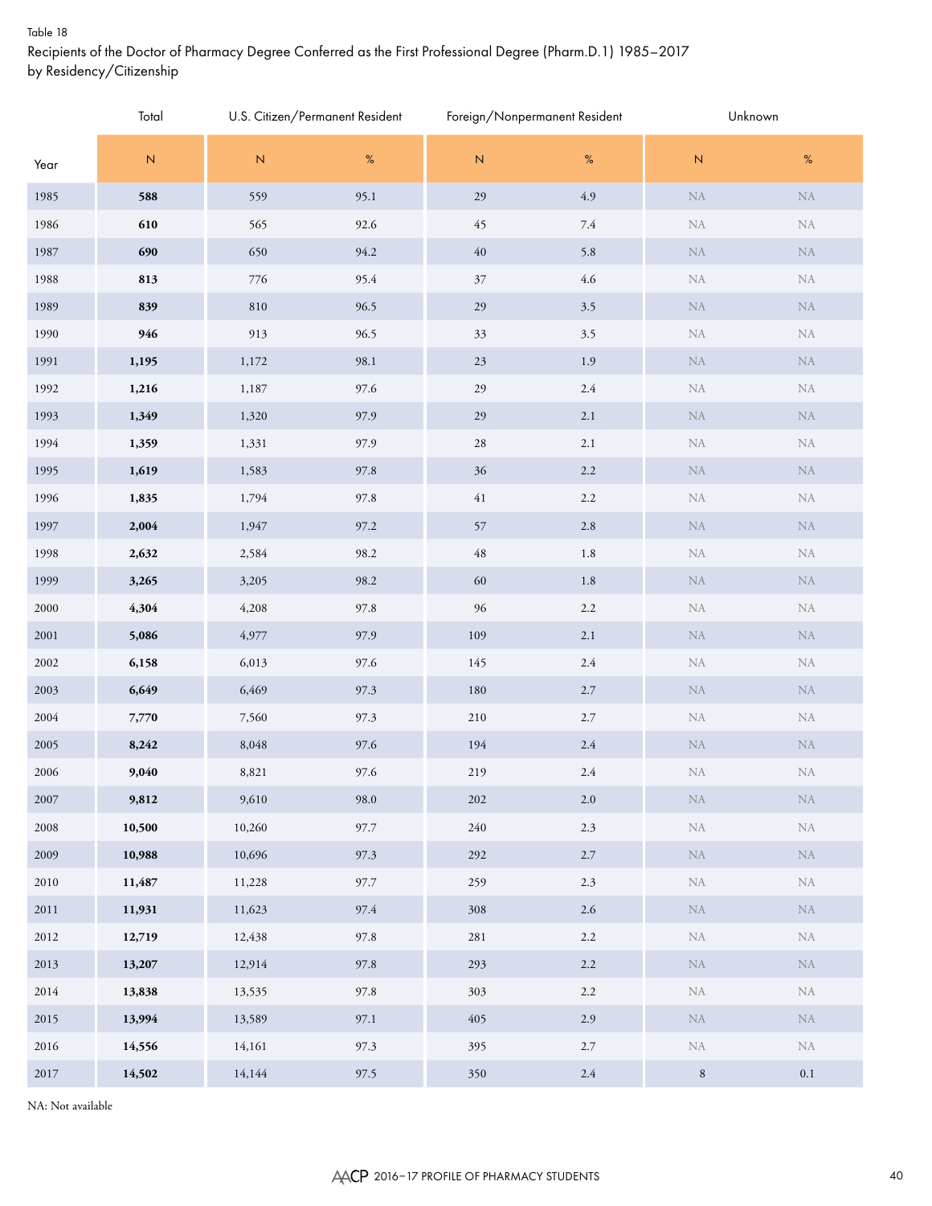#### Table 18

Recipients of the Doctor of Pharmacy Degree Conferred as the First Professional Degree (Pharm.D.1) 1985–2017 by Residency/Citizenship

|          | Total     |             | U.S. Citizen/Permanent Resident |                | Foreign/Nonpermanent Resident | Unknown     |            |
|----------|-----------|-------------|---------------------------------|----------------|-------------------------------|-------------|------------|
| Year     | ${\sf N}$ | $\mathsf N$ | $\%$                            | $\overline{N}$ | $\%$                          | ${\sf N}$   | $\%$       |
| 1985     | 588       | 559         | 95.1                            | 29             | $4.9\,$                       | ${\rm NA}$  | ${\rm NA}$ |
| 1986     | 610       | 565         | 92.6                            | 45             | 7.4                           | ${\rm NA}$  | ${\rm NA}$ |
| 1987     | 690       | 650         | 94.2                            | $40\,$         | 5.8                           | ${\rm NA}$  | ${\rm NA}$ |
| 1988     | 813       | 776         | 95.4                            | $37\,$         | $4.6\,$                       | ${\rm NA}$  | ${\rm NA}$ |
| 1989     | 839       | 810         | 96.5                            | 29             | $3.5$                         | ${\rm NA}$  | ${\rm NA}$ |
| 1990     | 946       | 913         | 96.5                            | 33             | 3.5                           | ${\rm NA}$  | ${\rm NA}$ |
| 1991     | 1,195     | 1,172       | 98.1                            | 23             | 1.9                           | ${\rm NA}$  | ${\rm NA}$ |
| 1992     | 1,216     | 1,187       | 97.6                            | 29             | $2.4\,$                       | ${\rm NA}$  | ${\rm NA}$ |
| 1993     | 1,349     | 1,320       | 97.9                            | 29             | $2.1\,$                       | ${\rm NA}$  | ${\rm NA}$ |
| 1994     | 1,359     | 1,331       | 97.9                            | $28\,$         | 2.1                           | ${\rm NA}$  | ${\rm NA}$ |
| 1995     | 1,619     | 1,583       | 97.8                            | $36\,$         | $2.2\,$                       | ${\rm NA}$  | ${\rm NA}$ |
| 1996     | 1,835     | 1,794       | 97.8                            | $41\,$         | $2.2\,$                       | ${\rm NA}$  | ${\rm NA}$ |
| 1997     | 2,004     | 1,947       | 97.2                            | 57             | $2.8\,$                       | ${\rm NA}$  | ${\rm NA}$ |
| 1998     | 2,632     | 2,584       | 98.2                            | $\sqrt{48}$    | 1.8                           | ${\rm NA}$  | ${\rm NA}$ |
| 1999     | 3,265     | 3,205       | 98.2                            | 60             | 1.8                           | ${\rm NA}$  | ${\rm NA}$ |
| 2000     | 4,304     | 4,208       | 97.8                            | 96             | $2.2\,$                       | ${\rm NA}$  | ${\rm NA}$ |
| $2001\,$ | 5,086     | 4,977       | 97.9                            | 109            | $2.1\,$                       | ${\rm NA}$  | ${\rm NA}$ |
| 2002     | 6,158     | 6,013       | 97.6                            | 145            | $2.4\,$                       | ${\rm NA}$  | ${\rm NA}$ |
| 2003     | 6,649     | 6,469       | 97.3                            | 180            | $2.7\,$                       | ${\rm NA}$  | ${\rm NA}$ |
| 2004     | 7,770     | 7,560       | 97.3                            | 210            | $2.7\,$                       | ${\rm NA}$  | ${\rm NA}$ |
| 2005     | 8,242     | 8,048       | 97.6                            | 194            | $2.4\,$                       | ${\rm NA}$  | ${\rm NA}$ |
| 2006     | 9,040     | 8,821       | 97.6                            | 219            | $2.4\,$                       | ${\rm NA}$  | ${\rm NA}$ |
| 2007     | 9,812     | 9,610       | 98.0                            | 202            | $2.0\,$                       | ${\rm NA}$  | $\rm NA$   |
| $2008\,$ | 10,500    | 10,260      | 97.7                            | 240            | 2.3                           | ${\rm NA}$  | ${\rm NA}$ |
| 2009     | 10,988    | 10,696      | 97.3                            | 292            | 2.7                           | ${\rm NA}$  | ${\rm NA}$ |
| 2010     | 11,487    | 11,228      | 97.7                            | 259            | 2.3                           | ${\rm NA}$  | ${\rm NA}$ |
| 2011     | 11,931    | 11,623      | 97.4                            | 308            | $2.6\,$                       | ${\rm NA}$  | ${\rm NA}$ |
| 2012     | 12,719    | 12,438      | 97.8                            | 281            | $2.2\,$                       | ${\rm NA}$  | ${\rm NA}$ |
| 2013     | 13,207    | 12,914      | 97.8                            | 293            | 2.2                           | ${\rm NA}$  | ${\rm NA}$ |
| 2014     | 13,838    | 13,535      | 97.8                            | 303            | 2.2                           | ${\rm NA}$  | ${\rm NA}$ |
| 2015     | 13,994    | 13,589      | 97.1                            | 405            | $2.9\,$                       | ${\rm NA}$  | ${\rm NA}$ |
| 2016     | 14,556    | 14,161      | 97.3                            | 395            | $2.7\,$                       | ${\rm NA}$  | ${\rm NA}$ |
| 2017     | 14,502    | 14,144      | 97.5                            | 350            | $2.4\,$                       | $\,$ 8 $\,$ | $0.1\,$    |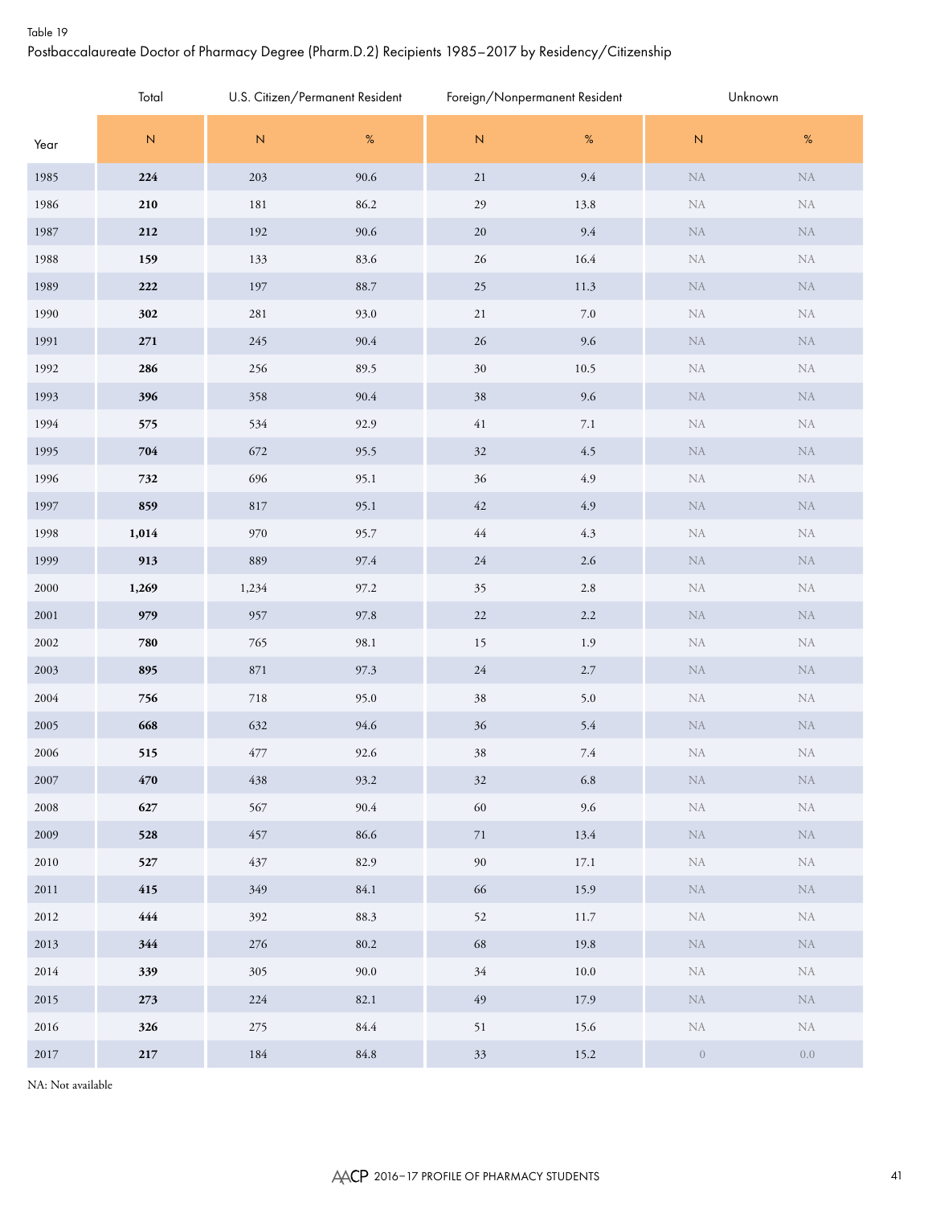#### Table 19

# Postbaccalaureate Doctor of Pharmacy Degree (Pharm.D.2) Recipients 1985–2017 by Residency/Citizenship

|          | Total            |           | U.S. Citizen/Permanent Resident |             | Foreign/Nonpermanent Resident |            | Unknown    |
|----------|------------------|-----------|---------------------------------|-------------|-------------------------------|------------|------------|
| Year     | ${\sf N}$        | ${\bf N}$ | $\%$                            | ${\sf N}$   | $\%$                          | ${\bf N}$  | $\%$       |
| 1985     | 224              | 203       | 90.6                            | $21\,$      | 9.4                           | ${\rm NA}$ | ${\rm NA}$ |
| 1986     | 210              | 181       | 86.2                            | 29          | 13.8                          | NA         | ${\rm NA}$ |
| 1987     | 212              | 192       | 90.6                            | $20\,$      | 9.4                           | ${\rm NA}$ | ${\rm NA}$ |
| 1988     | 159              | 133       | 83.6                            | $26\,$      | 16.4                          | ${\rm NA}$ | ${\rm NA}$ |
| 1989     | 222              | 197       | 88.7                            | $25\,$      | 11.3                          | ${\rm NA}$ | ${\rm NA}$ |
| 1990     | 302              | 281       | 93.0                            | $21\,$      | $7.0\,$                       | NA         | ${\rm NA}$ |
| 1991     | 271              | 245       | 90.4                            | 26          | $9.6\,$                       | ${\rm NA}$ | ${\rm NA}$ |
| 1992     | 286              | 256       | 89.5                            | $30\,$      | 10.5                          | NA         | ${\rm NA}$ |
| 1993     | 396              | 358       | 90.4                            | 38          | $9.6\,$                       | ${\rm NA}$ | ${\rm NA}$ |
| 1994     | 575              | 534       | 92.9                            | $41\,$      | $7.1\,$                       | NA         | ${\rm NA}$ |
| 1995     | 704              | 672       | 95.5                            | 32          | 4.5                           | ${\rm NA}$ | ${\rm NA}$ |
| 1996     | 732              | 696       | 95.1                            | $36\,$      | 4.9                           | NA         | ${\rm NA}$ |
| 1997     | 859              | 817       | 95.1                            | $42\,$      | $4.9\,$                       | ${\rm NA}$ | ${\rm NA}$ |
| 1998     | 1,014            | 970       | 95.7                            | $\sqrt{44}$ | 4.3                           | NA         | ${\rm NA}$ |
| 1999     | 913              | 889       | 97.4                            | $24\,$      | $2.6\,$                       | ${\rm NA}$ | ${\rm NA}$ |
| 2000     | 1,269            | 1,234     | 97.2                            | 35          | $2.8\,$                       | NA         | ${\rm NA}$ |
| $2001\,$ | 979              | 957       | 97.8                            | $22\,$      | $2.2\,$                       | ${\rm NA}$ | ${\rm NA}$ |
| 2002     | 780              | 765       | 98.1                            | 15          | 1.9                           | NA         | ${\rm NA}$ |
| 2003     | 895              | 871       | 97.3                            | $24\,$      | $2.7\,$                       | ${\rm NA}$ | ${\rm NA}$ |
| 2004     | 756              | 718       | 95.0                            | $38\,$      | 5.0                           | NA         | ${\rm NA}$ |
| 2005     | 668              | 632       | 94.6                            | 36          | 5.4                           | ${\rm NA}$ | $\rm NA$   |
| 2006     | 515              | 477       | 92.6                            | 38          | $7.4\,$                       | NA         | ${\rm NA}$ |
| 2007     | $470\,$          | 438       | 93.2                            | $32\,$      | $6.8\,$                       | ${\rm NA}$ | ${\rm NA}$ |
| 2008     | 627              | 567       | 90.4                            | $60\,$      | 9.6                           | ${\rm NA}$ | ${\rm NA}$ |
| 2009     | 528              | 457       | 86.6                            | $71\,$      | 13.4                          | ${\rm NA}$ | ${\rm NA}$ |
| $2010\,$ | 527              | 437       | 82.9                            | $90\,$      | 17.1                          | ${\rm NA}$ | ${\rm NA}$ |
| 2011     | 415              | 349       | 84.1                            | 66          | 15.9                          | ${\rm NA}$ | ${\rm NA}$ |
| 2012     | $\color{red}444$ | 392       | 88.3                            | 52          | $11.7\,$                      | ${\rm NA}$ | ${\rm NA}$ |
| 2013     | 344              | $276\,$   | $80.2\,$                        | 68          | 19.8                          | ${\rm NA}$ | ${\rm NA}$ |
| 2014     | 339              | 305       | 90.0                            | $34\,$      | $10.0\,$                      | ${\rm NA}$ | ${\rm NA}$ |
| 2015     | $273\,$          | 224       | 82.1                            | $\sqrt{49}$ | 17.9                          | ${\rm NA}$ | ${\rm NA}$ |
| 2016     | 326              | $275\,$   | $84.4\,$                        | 51          | 15.6                          | ${\rm NA}$ | ${\rm NA}$ |
| 2017     | $\bf 217$        | $184\,$   | $84.8\,$                        | $33\,$      | 15.2                          | $\,0\,$    | $0.0\,$    |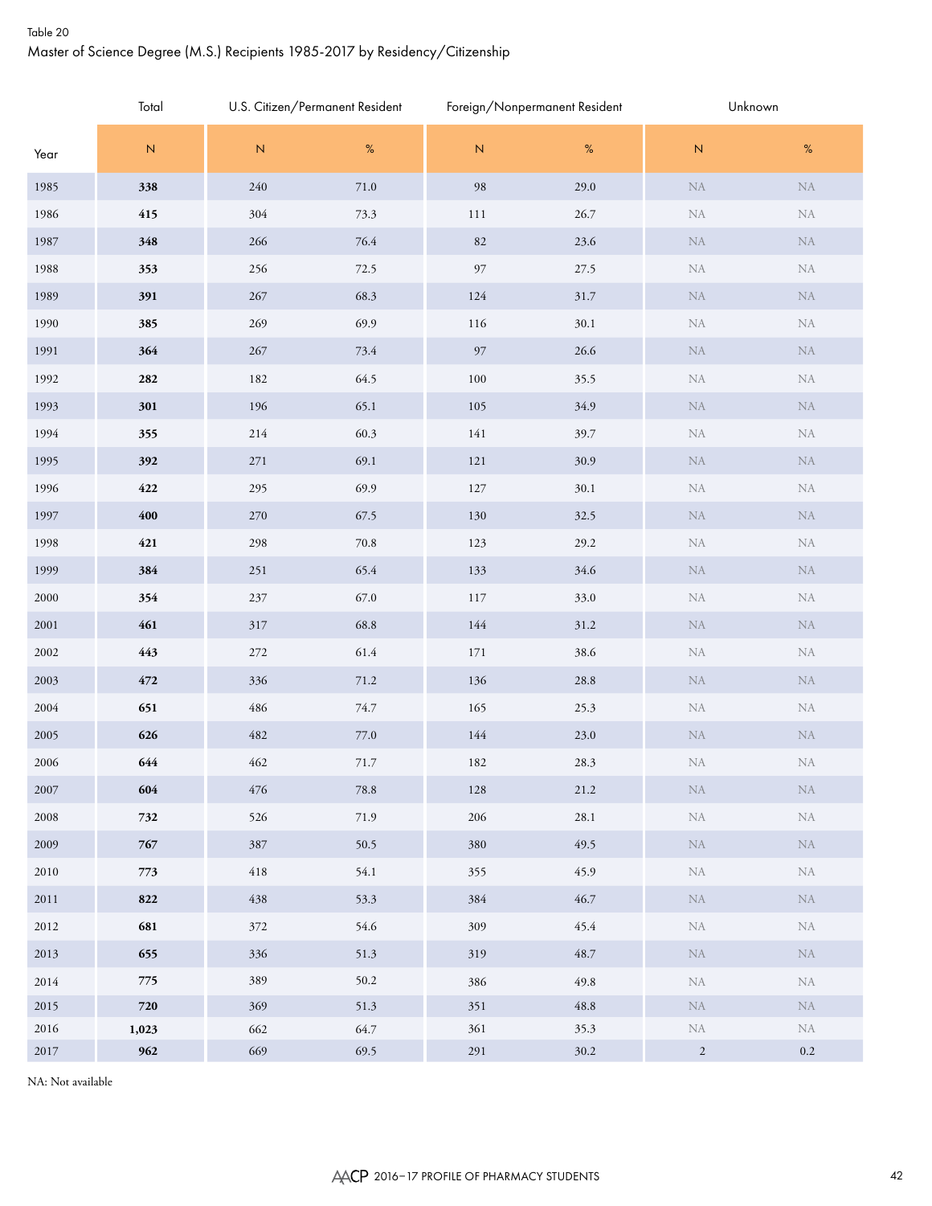## Table 20 Master of Science Degree (M.S.) Recipients 1985-2017 by Residency/Citizenship

|          | Total       | U.S. Citizen/Permanent Resident |          |                | Foreign/Nonpermanent Resident | Unknown    |            |  |  |
|----------|-------------|---------------------------------|----------|----------------|-------------------------------|------------|------------|--|--|
| Year     | ${\sf N}$   | $\mathsf N$                     | %        | $\overline{N}$ | $\%$                          | ${\sf N}$  | $\%$       |  |  |
| 1985     | 338         | $240\,$                         | $71.0\,$ | 98             | 29.0                          | ${\rm NA}$ | ${\rm NA}$ |  |  |
| 1986     | 415         | 304                             | 73.3     | 111            | 26.7                          | ${\rm NA}$ | ${\rm NA}$ |  |  |
| 1987     | 348         | 266                             | $76.4\,$ | 82             | $23.6\,$                      | ${\rm NA}$ | ${\rm NA}$ |  |  |
| 1988     | 353         | 256                             | 72.5     | 97             | 27.5                          | ${\rm NA}$ | ${\rm NA}$ |  |  |
| 1989     | 391         | 267                             | 68.3     | 124            | $31.7\,$                      | ${\rm NA}$ | ${\rm NA}$ |  |  |
| 1990     | 385         | 269                             | 69.9     | 116            | 30.1                          | ${\rm NA}$ | ${\rm NA}$ |  |  |
| 1991     | 364         | 267                             | 73.4     | 97             | 26.6                          | ${\rm NA}$ | ${\rm NA}$ |  |  |
| 1992     | 282         | 182                             | 64.5     | $100\,$        | 35.5                          | ${\rm NA}$ | ${\rm NA}$ |  |  |
| 1993     | 301         | 196                             | 65.1     | 105            | 34.9                          | ${\rm NA}$ | ${\rm NA}$ |  |  |
| 1994     | 355         | 214                             | 60.3     | 141            | 39.7                          | ${\rm NA}$ | ${\rm NA}$ |  |  |
| 1995     | 392         | $271\,$                         | 69.1     | 121            | 30.9                          | ${\rm NA}$ | ${\rm NA}$ |  |  |
| 1996     | 422         | 295                             | 69.9     | 127            | 30.1                          | ${\rm NA}$ | ${\rm NA}$ |  |  |
| 1997     | $\pmb{400}$ | 270                             | 67.5     | 130            | 32.5                          | ${\rm NA}$ | ${\rm NA}$ |  |  |
| 1998     | 421         | 298                             | $70.8\,$ | 123            | 29.2                          | ${\rm NA}$ | ${\rm NA}$ |  |  |
| 1999     | 384         | $251\,$                         | 65.4     | 133            | 34.6                          | ${\rm NA}$ | ${\rm NA}$ |  |  |
| 2000     | 354         | $237\,$                         | 67.0     | 117            | 33.0                          | ${\rm NA}$ | ${\rm NA}$ |  |  |
| 2001     | 461         | 317                             | 68.8     | 144            | 31.2                          | ${\rm NA}$ | ${\rm NA}$ |  |  |
| 2002     | 443         | $272\,$                         | 61.4     | 171            | 38.6                          | ${\rm NA}$ | ${\rm NA}$ |  |  |
| 2003     | $472\,$     | 336                             | $71.2\,$ | 136            | 28.8                          | ${\rm NA}$ | ${\rm NA}$ |  |  |
| 2004     | 651         | 486                             | 74.7     | 165            | 25.3                          | ${\rm NA}$ | ${\rm NA}$ |  |  |
| 2005     | 626         | 482                             | $77.0\,$ | 144            | 23.0                          | ${\rm NA}$ | ${\rm NA}$ |  |  |
| 2006     | 644         | 462                             | $71.7\,$ | 182            | 28.3                          | ${\rm NA}$ | ${\rm NA}$ |  |  |
| 2007     | 604         | 476                             | $78.8\,$ | 128            | 21.2                          | ${\rm NA}$ | ${\rm NA}$ |  |  |
| 2008     | 732         | 526                             | 71.9     | 206            | 28.1                          | ${\rm NA}$ | ${\rm NA}$ |  |  |
| 2009     | 767         | 387                             | 50.5     | 380            | 49.5                          | ${\rm NA}$ | ${\rm NA}$ |  |  |
| 2010     | 773         | 418                             | 54.1     | 355            | 45.9                          | ${\rm NA}$ | ${\rm NA}$ |  |  |
| 2011     | 822         | 438                             | 53.3     | 384            | 46.7                          | ${\rm NA}$ | NA         |  |  |
| 2012     | 681         | 372                             | 54.6     | 309            | 45.4                          | ${\rm NA}$ | ${\rm NA}$ |  |  |
| 2013     | 655         | 336                             | 51.3     | 319            | 48.7                          | ${\rm NA}$ | NA         |  |  |
| 2014     | 775         | 389                             | 50.2     | 386            | 49.8                          | ${\rm NA}$ | ${\rm NA}$ |  |  |
| 2015     | 720         | 369                             | 51.3     | 351            | 48.8                          | ${\rm NA}$ | ${\rm NA}$ |  |  |
| 2016     | 1,023       | 662                             | 64.7     | 361            | 35.3                          | ${\rm NA}$ | ${\rm NA}$ |  |  |
| $2017\,$ | 962         | 669                             | 69.5     | $291\,$        | $30.2\,$                      | $\sqrt{2}$ | $0.2\,$    |  |  |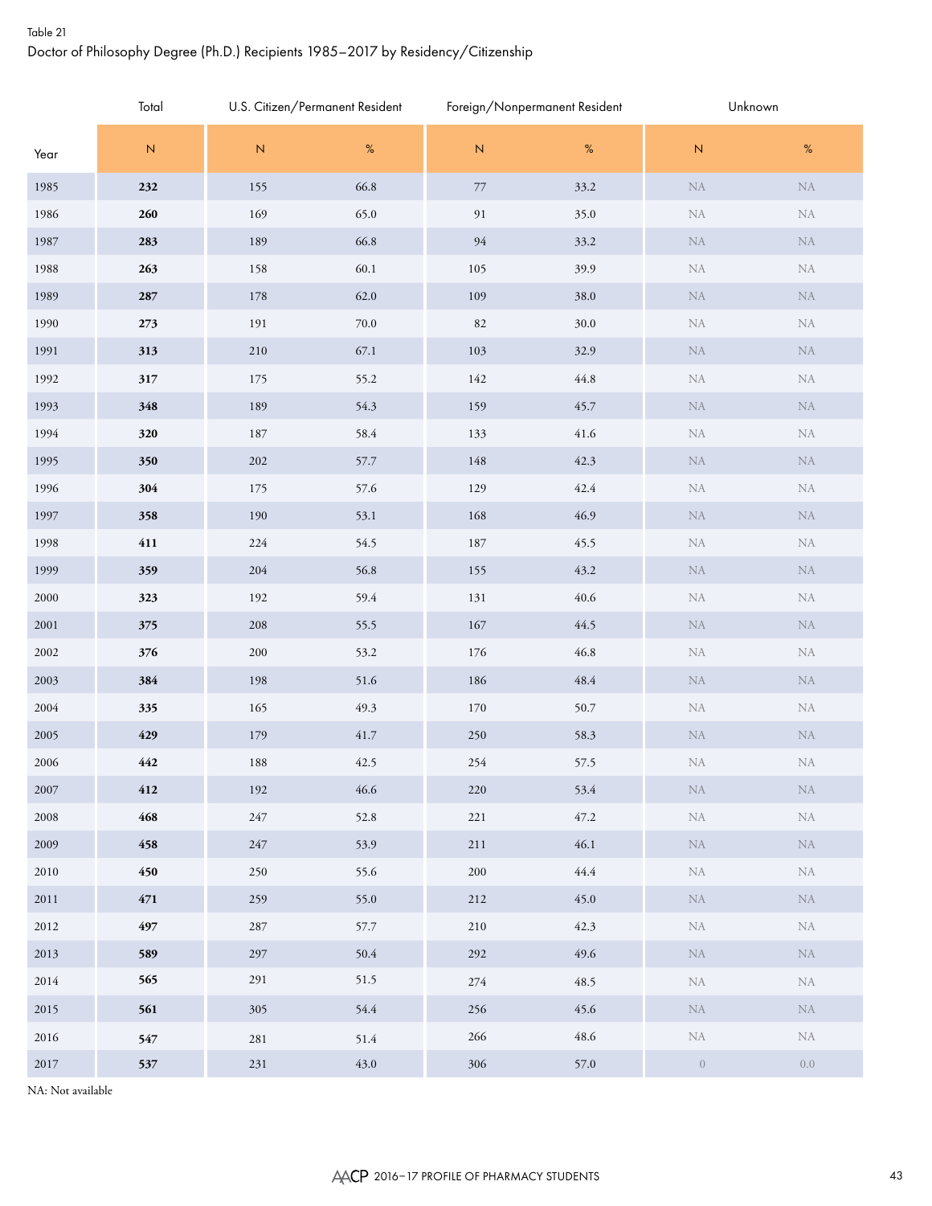# Table 21 Doctor of Philosophy Degree (Ph.D.) Recipients 1985–2017 by Residency/Citizenship

|          | Total     | U.S. Citizen/Permanent Resident |          |           | Foreign/Nonpermanent Resident | Unknown          |            |  |
|----------|-----------|---------------------------------|----------|-----------|-------------------------------|------------------|------------|--|
| Year     | ${\sf N}$ | $\overline{\mathsf{N}}$         | $\%$     | ${\sf N}$ | $\%$                          | ${\bf N}$        | $\%$       |  |
| 1985     | 232       | 155                             | 66.8     | $77\,$    | 33.2                          | ${\rm NA}$       | ${\rm NA}$ |  |
| 1986     | 260       | 169                             | 65.0     | 91        | 35.0                          | ${\rm NA}$       | ${\rm NA}$ |  |
| 1987     | 283       | 189                             | 66.8     | 94        | 33.2                          | ${\rm NA}$       | $\rm NA$   |  |
| 1988     | 263       | 158                             | 60.1     | 105       | 39.9                          | ${\rm NA}$       | ${\rm NA}$ |  |
| 1989     | 287       | 178                             | 62.0     | 109       | 38.0                          | ${\rm NA}$       | $\rm NA$   |  |
| 1990     | 273       | 191                             | $70.0\,$ | 82        | $30.0\,$                      | ${\rm NA}$       | ${\rm NA}$ |  |
| 1991     | 313       | 210                             | 67.1     | 103       | 32.9                          | ${\rm NA}$       | $\rm NA$   |  |
| 1992     | 317       | 175                             | 55.2     | 142       | 44.8                          | ${\rm NA}$       | ${\rm NA}$ |  |
| 1993     | 348       | 189                             | 54.3     | 159       | 45.7                          | ${\rm NA}$       | $\rm NA$   |  |
| 1994     | 320       | 187                             | 58.4     | 133       | 41.6                          | ${\rm NA}$       | ${\rm NA}$ |  |
| 1995     | 350       | 202                             | 57.7     | 148       | 42.3                          | ${\rm NA}$       | $\rm NA$   |  |
| 1996     | 304       | 175                             | 57.6     | 129       | 42.4                          | ${\rm NA}$       | ${\rm NA}$ |  |
| 1997     | 358       | 190                             | 53.1     | 168       | 46.9                          | ${\rm NA}$       | $\rm NA$   |  |
| 1998     | 411       | 224                             | 54.5     | 187       | 45.5                          | ${\rm NA}$       | ${\rm NA}$ |  |
| 1999     | 359       | 204                             | 56.8     | 155       | 43.2                          | ${\rm NA}$       | $\rm NA$   |  |
| $2000\,$ | 323       | 192                             | 59.4     | 131       | $40.6\,$                      | ${\rm NA}$       | ${\rm NA}$ |  |
| $2001\,$ | 375       | 208                             | 55.5     | 167       | 44.5                          | ${\rm NA}$       | $\rm NA$   |  |
| $2002\,$ | 376       | 200                             | 53.2     | 176       | 46.8                          | ${\rm NA}$       | ${\rm NA}$ |  |
| 2003     | 384       | 198                             | 51.6     | 186       | 48.4                          | ${\rm NA}$       | $\rm NA$   |  |
| 2004     | 335       | 165                             | 49.3     | 170       | 50.7                          | ${\rm NA}$       | ${\rm NA}$ |  |
| 2005     | 429       | 179                             | 41.7     | 250       | 58.3                          | ${\rm NA}$       | $\rm NA$   |  |
| 2006     | 442       | 188                             | 42.5     | 254       | 57.5                          | ${\rm NA}$       | ${\rm NA}$ |  |
| 2007     | 412       | 192                             | 46.6     | 220       | 53.4                          | ${\rm NA}$       | ${\rm NA}$ |  |
| 2008     | 468       | $247\,$                         | 52.8     | 221       | 47.2                          | ${\rm NA}$       | ${\rm NA}$ |  |
| 2009     | 458       | 247                             | 53.9     | $211\,$   | 46.1                          | ${\rm NA}$       | NA         |  |
| 2010     | 450       | 250                             | 55.6     | 200       | 44.4                          | ${\rm NA}$       | ${\rm NA}$ |  |
| 2011     | 471       | 259                             | 55.0     | 212       | 45.0                          | ${\rm NA}$       | NA         |  |
| 2012     | 497       | 287                             | 57.7     | 210       | 42.3                          | ${\rm NA}$       | ${\rm NA}$ |  |
| 2013     | 589       | 297                             | 50.4     | 292       | 49.6                          | ${\rm NA}$       | NA         |  |
| 2014     | 565       | 291                             | 51.5     | 274       | 48.5                          | ${\rm NA}$       | ${\rm NA}$ |  |
| 2015     | 561       | 305                             | 54.4     | 256       | 45.6                          | ${\rm NA}$       | NA         |  |
| $2016\,$ | 547       | 281                             | 51.4     | 266       | 48.6                          | ${\rm NA}$       | ${\rm NA}$ |  |
| $2017\,$ | 537       | $231\,$                         | 43.0     | 306       | 57.0                          | $\boldsymbol{0}$ | $0.0\,$    |  |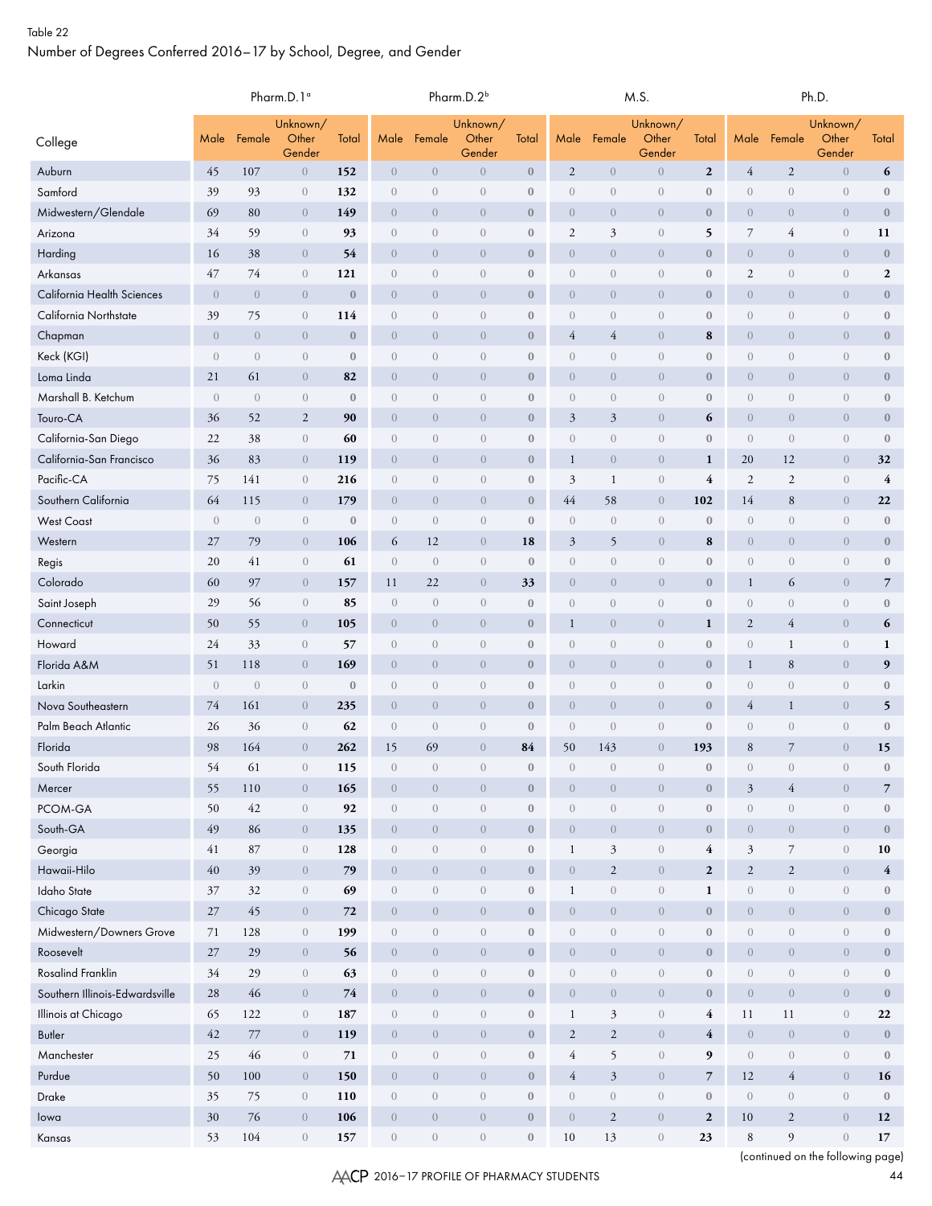|                                                       |                |                | Pharm.D.1 <sup>o</sup>                    |                  | Pharm.D.2 <sup>b</sup>       |                                |                             |                                      |                                |                                  | M.S.                                 |                          | Ph.D.                          |                                |                              |                         |  |
|-------------------------------------------------------|----------------|----------------|-------------------------------------------|------------------|------------------------------|--------------------------------|-----------------------------|--------------------------------------|--------------------------------|----------------------------------|--------------------------------------|--------------------------|--------------------------------|--------------------------------|------------------------------|-------------------------|--|
| College                                               | Male           | Female         | Unknown/<br>Other<br>Gender               | Total            | Male                         | Female                         | Unknown/<br>Other<br>Gender | Total                                | Male                           | Female                           | Unknown/<br>Other<br>Gender          | Total                    | Male                           | Female                         | Unknown/<br>Other<br>Gender  | Total                   |  |
| Auburn                                                | 45             | 107            | $\boldsymbol{0}$                          | 152              | $\theta$                     | $\theta$                       | $\overline{0}$              | $\boldsymbol{0}$                     | $\overline{c}$                 | $\overline{0}$                   | $\boldsymbol{0}$                     | $\mathbf{2}$             | $\overline{4}$                 | $\overline{2}$                 | $\overline{0}$               | 6                       |  |
| Samford                                               | 39             | 93             | $\sqrt{a}$                                | 132              | $\overline{0}$               | $\sqrt{a}$                     | $\sqrt{a}$                  | $\boldsymbol{0}$                     | $\overline{0}$                 | $\theta$                         | $\boldsymbol{0}$                     | $\boldsymbol{0}$         | $\theta$                       | $\theta$                       | $\boldsymbol{0}$             | $\mathbf{0}$            |  |
| Midwestern/Glendale                                   | 69             | 80             | $\overline{0}$                            | 149              | $\overline{0}$               | $\boldsymbol{0}$               | $\overline{0}$              | $\mathbf{0}$                         | $\theta$                       | $\overline{0}$                   | $\boldsymbol{0}$                     | $\bf{0}$                 | $\overline{0}$                 | $\overline{0}$                 | $\overline{0}$               | $\boldsymbol{0}$        |  |
| Arizona                                               | 34             | 59             | $\,0\,$                                   | 93               | $\overline{0}$               | $\sqrt{a}$                     | $\sqrt{a}$                  | $\boldsymbol{0}$                     | $\mathfrak{2}$                 | 3                                | $\boldsymbol{0}$                     | 5                        | $\overline{7}$                 | 4                              | $\sqrt{a}$                   | 11                      |  |
| Harding                                               | 16             | 38             | $\theta$                                  | 54               | $\overline{0}$               | $\overline{0}$                 | $\overline{0}$              | $\bf{0}$                             | $\theta$                       | $\overline{0}$                   | $\overline{0}$                       | $\boldsymbol{0}$         | $\boldsymbol{0}$               | $\overline{0}$                 | $\overline{0}$               | $\bf{0}$                |  |
| Arkansas                                              | 47             | 74             | $\sqrt{a}$                                | 121              | $\overline{0}$               | $\overline{0}$                 | $\overline{0}$              | $\mathbf{0}$                         | $\boldsymbol{0}$               | $\overline{0}$                   | $\boldsymbol{0}$                     | $\boldsymbol{0}$         | $\overline{2}$                 | $\sqrt{a}$                     | $\sqrt{a}$                   | $\boldsymbol{2}$        |  |
| California Health Sciences                            | $\overline{0}$ | $\overline{0}$ | $\theta$                                  | $\boldsymbol{0}$ | $\overline{0}$               | $\boldsymbol{0}$               | $\overline{0}$              | $\bf{0}$                             | $\theta$                       | $\overline{0}$                   | $\boldsymbol{0}$                     | $\boldsymbol{0}$         | $\boldsymbol{0}$               | $\overline{0}$                 | $\overline{0}$               | $\boldsymbol{0}$        |  |
| California Northstate                                 | 39             | 75             | $\,0\,$                                   | 114              | $\sqrt{a}$                   | $\sqrt{a}$                     | $\sqrt{0}$                  | $\boldsymbol{0}$                     | $\boldsymbol{0}$               | $\sqrt{0}$                       | $\boldsymbol{0}$                     | $\boldsymbol{0}$         | $\sqrt{0}$                     | $\theta$                       | $\boldsymbol{0}$             | $\boldsymbol{0}$        |  |
| Chapman                                               | $\overline{0}$ | $\overline{0}$ | $\theta$                                  | $\bf{0}$         | $\mathbf{0}$                 | $\overline{0}$                 | $\overline{0}$              | $\mathbf{0}$                         | $\overline{4}$                 | $\overline{4}$                   | $\sqrt{0}$                           | ${\bf 8}$                | $\overline{0}$                 | $\overline{0}$                 | $\overline{0}$               | $\bf{0}$                |  |
| Keck (KGI)                                            | $\overline{0}$ | $\overline{0}$ | $\sqrt{a}$                                | $\mathbf{0}$     | $\mathbf{0}$                 | $\sqrt{a}$                     | $\sqrt{a}$                  | $\mathbf{0}$                         | $\sqrt{a}$                     | $\sqrt{a}$                       | $\boldsymbol{0}$                     | $\boldsymbol{0}$         | $\mathbf{0}$                   | $\sqrt{a}$                     | $\,0\,$                      | $\boldsymbol{0}$        |  |
| Loma Linda                                            | 21             | 61             | $\theta$                                  | 82               | $\mathbf{0}$                 | $\overline{0}$                 | $\overline{0}$              | $\bf{0}$                             | $\theta$                       | $\theta$                         | $\sqrt{0}$                           | $\boldsymbol{0}$         | $\overline{0}$                 | $\overline{0}$                 | $\overline{0}$               | $\boldsymbol{0}$        |  |
| Marshall B. Ketchum                                   | $\mathbf{0}$   | $\sqrt{a}$     | $\,0\,$                                   | $\mathbf{0}$     | $\mathbf{0}$                 | $\boldsymbol{0}$               | $\sqrt{0}$                  | $\boldsymbol{0}$                     | $\boldsymbol{0}$               | $\sqrt{0}$                       | $\boldsymbol{0}$                     | $\boldsymbol{0}$         | $\sqrt{0}$                     | $\sqrt{0}$                     | $\boldsymbol{0}$             | $\boldsymbol{0}$        |  |
| Touro-CA                                              | 36             | 52             | $\overline{2}$                            | 90               | $\mathbf{0}$                 | $\overline{0}$                 | $\overline{0}$              | $\bf{0}$                             | $\mathfrak{Z}$                 | $\mathfrak{Z}$                   | $\sqrt{0}$                           | 6                        | $\sqrt{0}$                     | $\theta$                       | $\overline{0}$               | $\bf{0}$                |  |
| California-San Diego                                  | 22             | 38             | $\boldsymbol{0}$                          | 60               | $\mathbf{0}$                 | $\sqrt{a}$                     | $\sqrt{a}$                  | $\mathbf{0}$                         | $\boldsymbol{0}$               | $\sqrt{a}$                       | $\boldsymbol{0}$                     | $\boldsymbol{0}$         | $\theta$                       | $\sqrt{a}$                     | $\boldsymbol{0}$             | $\mathbf{0}$            |  |
| California-San Francisco                              | 36             | 83             | $\overline{0}$                            | 119              | $\overline{0}$               | $\overline{0}$                 | $\overline{0}$              | $\bf{0}$                             | $\mathbf{1}$                   | $\theta$                         | $\overline{0}$                       | $\mathbf{1}$             | 20                             | 12                             | $\overline{0}$               | 32                      |  |
| Pacific-CA                                            | 75             | 141            | $\theta$                                  | 216              | $\boldsymbol{0}$             | $\boldsymbol{0}$               | $\boldsymbol{0}$            | $\boldsymbol{0}$                     | $\mathfrak{Z}$                 | $\mathbf{1}$                     | $\boldsymbol{0}$                     | $\overline{4}$           | $\overline{2}$                 | $\sqrt{2}$                     | $\boldsymbol{0}$             | $\overline{4}$          |  |
| Southern California                                   | 64             | 115            | $\theta$                                  | 179              | $\overline{0}$               | $\overline{0}$                 | $\overline{0}$              | $\bf{0}$                             | 44                             | 58                               | $\overline{0}$                       | 102                      | 14                             | $\,8\,$                        | $\overline{0}$               | 22                      |  |
| <b>West Coast</b>                                     | $\overline{0}$ | $\sqrt{a}$     | $\sqrt{a}$                                | $\mathbf{0}$     | $\mathbf{0}$                 | $\mathbf{0}$                   | $\sqrt{a}$                  | $\mathbf{0}$                         | $\mathbf{0}$                   | $\boldsymbol{0}$                 | $\boldsymbol{0}$                     | $\boldsymbol{0}$         | $\theta$                       | $\sqrt{a}$                     | $\boldsymbol{0}$             | $\mathbf{0}$            |  |
| Western                                               | 27             | 79             | $\overline{0}$                            | 106              | 6                            | 12                             | $\overline{0}$              | 18                                   | $\mathfrak{Z}$                 | 5                                | $\overline{0}$                       | 8                        | $\overline{0}$                 | $\overline{0}$                 | $\theta$                     | $\boldsymbol{0}$        |  |
| Regis                                                 | 20             | 41             | $\left\langle {}\right\rangle$            | 61               | $\boldsymbol{0}$             | $\theta$                       | $\boldsymbol{0}$            | $\boldsymbol{0}$                     | $\boldsymbol{0}$               | $\sqrt{a}$                       | $\sqrt{a}$                           | $\boldsymbol{0}$         | $\theta$                       | $\boldsymbol{0}$               | $\boldsymbol{0}$             | $\boldsymbol{0}$        |  |
| Colorado                                              | 60             | 97             | $\overline{0}$                            | 157              | 11                           | 22                             | $\overline{0}$              | 33                                   | $\overline{0}$                 | $\overline{0}$                   | $\overline{0}$                       | $\boldsymbol{0}$         | $\mathbf{1}$                   | 6                              | $\overline{0}$               | $\overline{7}$          |  |
| Saint Joseph                                          | 29             | 56             | $\theta$                                  | 85               | $\mathbf{0}$                 | $\overline{0}$                 | $\boldsymbol{0}$            | $\mathbf{0}$                         | $\boldsymbol{0}$               | $\overline{0}$                   | $\boldsymbol{0}$                     | $\boldsymbol{0}$         | $\theta$                       | $\overline{0}$                 | $\sqrt{a}$                   | $\mathbf{0}$            |  |
| Connecticut                                           | 50             | 55             | $\theta$                                  | 105              | $\boldsymbol{0}$             | $\boldsymbol{0}$               | $\overline{0}$              | $\bf{0}$                             | $\mathbf{1}$                   | $\overline{0}$                   | $\boldsymbol{0}$                     | $\mathbf{1}$             | $\sqrt{2}$                     | $\overline{4}$                 | $\overline{0}$               | 6                       |  |
| Howard                                                | 24             | 33             | $\theta$                                  | 57               | $\sqrt{a}$                   | $\theta$                       | $\theta$                    | $\boldsymbol{0}$                     | $\sqrt{a}$                     | $\sqrt{a}$                       | $\boldsymbol{0}$                     | $\boldsymbol{0}$         | $\boldsymbol{0}$               | $\mathbf{1}$                   | $\sqrt{a}$                   | $\mathbf{1}$            |  |
| Florida A&M                                           | 51             | 118            | $\theta$                                  | 169              | $\overline{0}$               | $\overline{0}$                 | $\overline{0}$              | $\mathbf{0}$                         | $\theta$                       | $\overline{0}$                   | $\boldsymbol{0}$                     | $\boldsymbol{0}$         | $\mathbf{1}$                   | $8\phantom{1}$                 | $\overline{0}$               | 9                       |  |
| Larkin                                                | $\sqrt{a}$     | $\sqrt{a}$     | $\sqrt{a}$                                | $\mathbf{0}$     | $\overline{0}$               | $\overline{0}$                 | $\overline{0}$              | $\mathbf{0}$                         | $\overline{0}$                 | $\sqrt{a}$                       | $\boldsymbol{0}$                     | $\boldsymbol{0}$         | $\theta$                       | $\sqrt{a}$                     | $\boldsymbol{0}$             | $\boldsymbol{0}$        |  |
| Nova Southeastern                                     | 74             | 161            | $\overline{0}$                            | 235              | $\overline{0}$               | $\boldsymbol{0}$               | $\theta$                    | $\mathbf{0}$                         | $\theta$                       | $\overline{0}$                   | $\boldsymbol{0}$                     | $\boldsymbol{0}$         | $\overline{4}$                 | $\mathbf{1}$                   | $\overline{0}$               | 5                       |  |
| Palm Beach Atlantic                                   | 26             | 36             | $\theta$                                  | 62               | $\boldsymbol{0}$             | $\sqrt{a}$                     | $\theta$                    | $\boldsymbol{0}$                     | $\theta$                       | $\sqrt{a}$                       | $\boldsymbol{0}$                     | $\boldsymbol{0}$         | $\sqrt{a}$                     | $\sqrt{a}$                     | $\sqrt{a}$                   | $\boldsymbol{0}$        |  |
| Florida                                               | 98             | 164            | $\overline{0}$                            | 262              | 15                           | 69                             | $\overline{0}$              | 84                                   | 50                             | 143                              | $\overline{0}$                       | 193                      | $8\phantom{1}$                 | $\overline{7}$                 | $\overline{0}$               | 15                      |  |
| South Florida                                         | 54             | 61             | $\boldsymbol{0}$                          | 115              | $\sqrt{a}$                   | $\sqrt{a}$                     | $\boldsymbol{0}$            | $\boldsymbol{0}$                     | $\theta$                       | $\sqrt{a}$                       | $\boldsymbol{0}$                     | $\boldsymbol{0}$         | $\sqrt{0}$                     | $\boldsymbol{0}$               | $\boldsymbol{0}$             | $\boldsymbol{0}$        |  |
| Mercer                                                | 55             | 110            | $\,0\,$                                   | 165              | $\boldsymbol{0}$             | $\,0\,$                        | $\sqrt{0}$                  | $\mathbf{0}$                         | $\,0\,$                        | $\boldsymbol{0}$                 | $\boldsymbol{0}$                     | $\boldsymbol{0}$         | $\mathfrak{Z}$                 | $\overline{4}$                 | $\overline{0}$               | $\overline{7}$          |  |
| PCOM-GA                                               | 50             | 42             | $\,0\,$                                   | 92               | $\boldsymbol{0}$             | $\,0\,$                        | $\boldsymbol{0}$            | $\boldsymbol{0}$                     | $\boldsymbol{0}$               | $\sqrt{a}$                       | $\boldsymbol{0}$                     | $\boldsymbol{0}$         | $\sqrt{a}$                     | $\left\langle {}\right\rangle$ | $\boldsymbol{0}$             | $\boldsymbol{0}$        |  |
| South-GA                                              | 49             | 86             | $\,0\,$                                   | 135              | $\overline{0}$               | $\,0\,$                        | $\theta$                    | $\boldsymbol{0}$                     | $\sqrt{0}$                     | $\sqrt{a}$                       | $\boldsymbol{0}$                     | $\boldsymbol{0}$         | $\mathbf{0}$                   | $\,0\,$                        | $\overline{0}$               | $\boldsymbol{0}$        |  |
| Georgia                                               | 41             | $87\,$         | $\mathbf{0}$                              | 128              | $\overline{0}$               | $\,0\,$                        | $\sqrt{a}$                  | $\boldsymbol{0}$                     | $\mathbf{1}$                   | $\mathfrak{Z}$                   | $\boldsymbol{0}$                     | 4                        | $\mathfrak{Z}$                 | $\overline{7}$                 | $\,0\,$                      | 10                      |  |
| Hawaii-Hilo                                           | $40\,$         | 39             | $\overline{0}$                            | 79               | $\overline{0}$               | $\,0\,$                        | $\boldsymbol{0}$            | $\mathbf{0}$                         | $\,0\,$                        | $\overline{2}$                   | $\boldsymbol{0}$                     | $\mathbf{2}$             | $\sqrt{2}$                     | $\overline{2}$                 | $\,0\,$                      | $\overline{\mathbf{4}}$ |  |
| <b>Idaho</b> State                                    | 37             | 32             | $\,0\,$                                   | 69               | $\sqrt{a}$                   | $\boldsymbol{0}$               | $\boldsymbol{0}$            | $\boldsymbol{0}$                     | $\mathbf{1}$                   | $\boldsymbol{0}$                 | $\boldsymbol{0}$                     | $\mathbf{1}$             | $\boldsymbol{0}$               | $\,0\,$                        | $\,0\,$                      | $\boldsymbol{0}$        |  |
| Chicago State                                         | 27             | 45             | $\,0\,$                                   | 72               | $\overline{0}$               | $\,0\,$                        | $\sqrt{0}$                  | $\mathbf{0}$                         | $\sqrt{0}$                     | $\sqrt{a}$                       | $\boldsymbol{0}$                     | $\boldsymbol{0}$         | $\mathbf{0}$                   | $\,0\,$                        | $\sqrt{0}$                   | $\boldsymbol{0}$        |  |
| Midwestern/Downers Grove<br>Roosevelt                 | 71             | 128            | $\sqrt{a}$                                | 199              | $\overline{0}$               | $\boldsymbol{0}$               | $\sqrt{a}$                  | $\boldsymbol{0}$                     | $\sqrt{a}$                     | $\sqrt{a}$                       | $\boldsymbol{0}$                     | $\boldsymbol{0}$         | $\sqrt{a}$                     | $\boldsymbol{0}$               | $\sqrt{a}$                   | $\boldsymbol{0}$        |  |
| Rosalind Franklin                                     | $27\,$<br>34   | 29             | $\overline{0}$                            | 56               | $\overline{0}$               | $\sqrt{a}$                     | $\overline{0}$              | $\mathbf{0}$                         | $\sqrt{a}$                     | $\sqrt{0}$                       | $\boldsymbol{0}$                     | $\boldsymbol{0}$         | $\overline{0}$                 | $\sqrt{0}$                     | $\boldsymbol{0}$             | $\boldsymbol{0}$        |  |
|                                                       |                | 29             | $\overline{0}$                            | 63               | $\sqrt{a}$                   | $\boldsymbol{0}$               | $\boldsymbol{0}$            | $\boldsymbol{0}$                     | $\boldsymbol{0}$               | $\boldsymbol{0}$                 | $\boldsymbol{0}$                     | $\boldsymbol{0}$         | $\left\langle {}\right\rangle$ | $\boldsymbol{0}$               | $\boldsymbol{0}$             | $\mathbf{0}$            |  |
| Southern Illinois-Edwardsville<br>Illinois at Chicago | 28<br>65       | $46\,$<br>122  | $\,0\,$<br>$\left\langle {}\right\rangle$ | $74\,$<br>187    | $\overline{0}$<br>$\sqrt{a}$ | $\boldsymbol{0}$<br>$\sqrt{a}$ | $\theta$<br>$\sqrt{a}$      | $\boldsymbol{0}$<br>$\boldsymbol{0}$ | $\overline{0}$<br>$\mathbf{1}$ | $\overline{0}$<br>$\mathfrak{Z}$ | $\boldsymbol{0}$<br>$\boldsymbol{0}$ | $\boldsymbol{0}$<br>4    | $\overline{0}$<br>11           | $\,0\,$<br>11                  | $\theta$<br>$\boldsymbol{0}$ | $\boldsymbol{0}$<br>22  |  |
| <b>Butler</b>                                         | $42\,$         | 77             | $\overline{0}$                            | 119              | $\boldsymbol{0}$             | $\boldsymbol{0}$               | $\overline{0}$              | $\boldsymbol{0}$                     | $\sqrt{2}$                     | $\mathbf{2}$                     | $\boldsymbol{0}$                     | $\overline{4}$           | $\boldsymbol{0}$               | $\sqrt{0}$                     | $\boldsymbol{0}$             | $\mathbf{0}$            |  |
| Manchester                                            | 25             | 46             | $\boldsymbol{0}$                          | 71               | $\sqrt{a}$                   | $\boldsymbol{0}$               | $\boldsymbol{0}$            | $\boldsymbol{0}$                     | $\overline{4}$                 | 5                                | $\boldsymbol{0}$                     | 9                        | $\sqrt{a}$                     | $\boldsymbol{0}$               | $\boldsymbol{0}$             | $\mathbf{0}$            |  |
| Purdue                                                | 50             | 100            | $\overline{0}$                            | 150              | $\overline{0}$               | $\boldsymbol{0}$               | $\overline{0}$              | $\mathbf{0}$                         | $\overline{4}$                 | $\boldsymbol{\beta}$             | $\boldsymbol{0}$                     | $\overline{\phantom{a}}$ | 12                             | $\overline{4}$                 | $\boldsymbol{0}$             | 16                      |  |
| Drake                                                 | 35             | 75             | $\,0\,$                                   | 110              | $\overline{0}$               | $\boldsymbol{0}$               | $\sqrt{a}$                  | $\boldsymbol{0}$                     | $\boldsymbol{0}$               | $\sqrt{a}$                       | $\boldsymbol{0}$                     | $\boldsymbol{0}$         | $\sqrt{a}$                     | $\boldsymbol{0}$               | $\overline{0}$               | $\mathbf{0}$            |  |
| lowa                                                  | 30             | 76             | $\overline{0}$                            | 106              | $\overline{0}$               | $\boldsymbol{0}$               | $\boldsymbol{0}$            | $\mathbf{0}$                         | $\overline{0}$                 | $\overline{2}$                   | $\boldsymbol{0}$                     | $\mathbf{2}$             | 10                             | 2                              | $\boldsymbol{0}$             | 12                      |  |
| Kansas                                                | 53             | 104            | $\boldsymbol{0}$                          | 157              | $\boldsymbol{0}$             | $\boldsymbol{0}$               | $\boldsymbol{0}$            | $\boldsymbol{0}$                     | 10                             | 13                               | $\boldsymbol{0}$                     | 23                       | $\,8\,$                        | $\overline{9}$                 | $\boldsymbol{0}$             | 17                      |  |
|                                                       |                |                |                                           |                  |                              |                                |                             |                                      |                                |                                  |                                      |                          |                                |                                |                              |                         |  |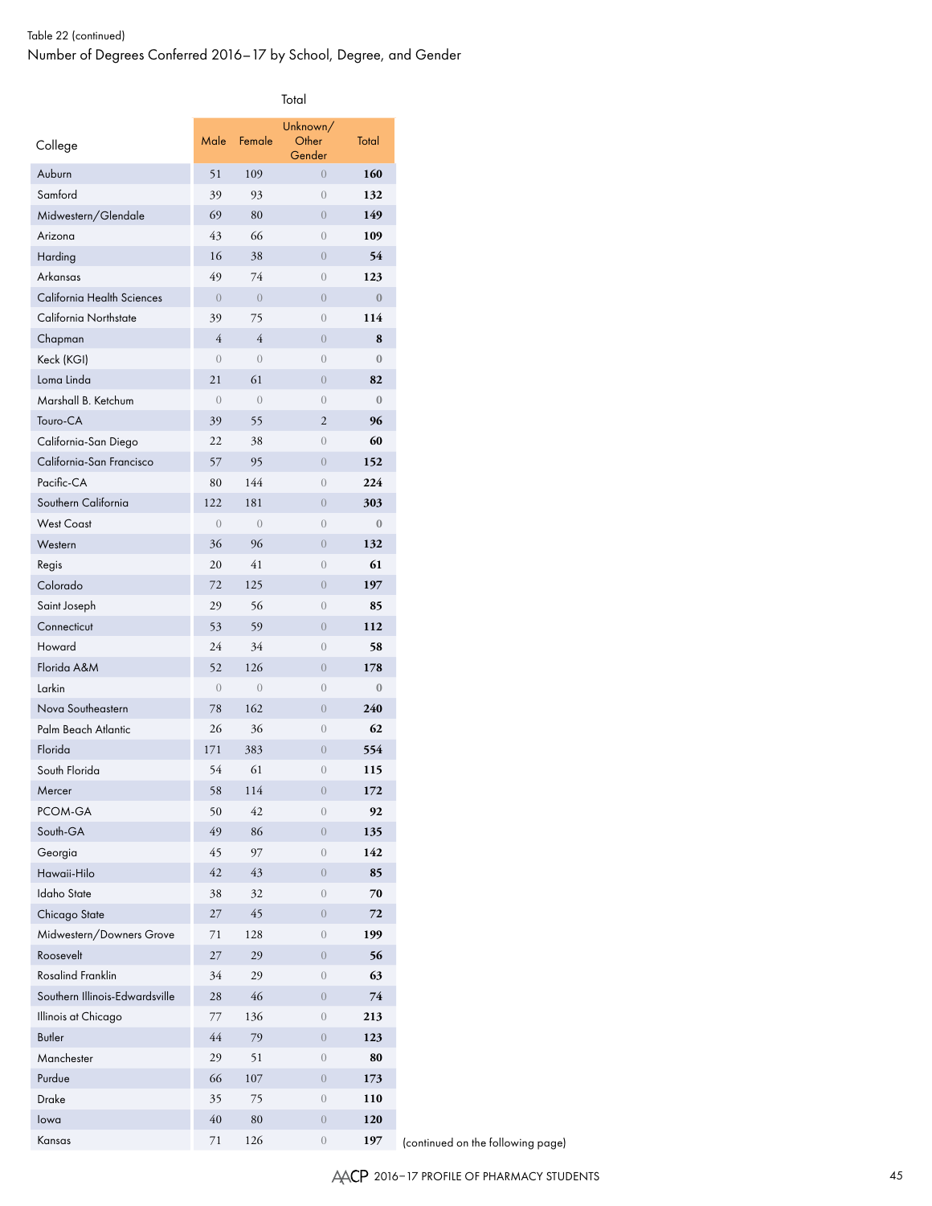| College                        | Male             | Female         | Unknown/<br>Other<br>Gender | Total        |
|--------------------------------|------------------|----------------|-----------------------------|--------------|
| Auburn                         | 51               | 109            | $\overline{0}$              | 160          |
| Samford                        | 39               | 93             | $\left( \right)$            | 132          |
| Midwestern/Glendale            | 69               | 80             | $\overline{0}$              | 149          |
| Arizona                        | 43               | 66             | $\overline{0}$              | 109          |
| Harding                        | 16               | 38             | $\overline{0}$              | 54           |
| Arkansas                       | 49               | 74             | $\overline{0}$              | 123          |
| California Health Sciences     | $\overline{0}$   | $\overline{0}$ | $\overline{0}$              | $\bf{0}$     |
| California Northstate          | 39               | 75             | $\overline{0}$              | 114          |
| Chapman                        | 4                | $\overline{4}$ | $\overline{0}$              | 8            |
| Keck (KGI)                     | $\overline{0}$   | $\overline{0}$ | $\overline{0}$              | $\mathbf{0}$ |
| Loma Linda                     | 21               | 61             | $\overline{0}$              | 82           |
| Marshall B. Ketchum            | $\left( \right)$ | $\overline{0}$ | $\overline{0}$              | $\mathbf{0}$ |
| Touro-CA                       | 39               | 55             | $\overline{2}$              | 96           |
| California-San Diego           | 22               | 38             | $\overline{0}$              | 60           |
| California-San Francisco       | 57               | 95             | $\overline{0}$              | 152          |
| Pacific-CA                     | 80               | 144            | $\overline{0}$              | 224          |
| Southern California            | 122              | 181            | $\overline{0}$              | 303          |
| <b>West Coast</b>              | $\overline{0}$   | $\overline{0}$ | $\overline{0}$              | $\mathbf{0}$ |
| Western                        | 36               | 96             | $\overline{0}$              | 132          |
| Regis                          | 20               | 41             | $\overline{0}$              | 61           |
| Colorado                       | 72               | 125            | $\overline{0}$              | 197          |
| Saint Joseph                   | 29               | 56             | $\overline{0}$              | 85           |
| Connecticut                    | 53               | 59             | $\overline{0}$              | 112          |
| Howard                         | 24               | 34             | $\overline{0}$              | 58           |
| Florida A&M                    | 52               | 126            | $\overline{0}$              | 178          |
| Larkin                         | $\overline{0}$   | $\overline{0}$ | $\overline{0}$              | $\mathbf{0}$ |
| Nova Southeastern              | 78               | 162            | $\overline{0}$              | 240          |
| Palm Beach Atlantic            | 26               | 36             | $\overline{0}$              | 62           |
| Florida                        | 171              | 383            | $\overline{0}$              | 554          |
| South Florida                  | 54               | 61             | $\overline{0}$              | 115          |
| Mercer                         | 58               | 114            | $\overline{0}$              | 172          |
| PCOM-GA                        | 50               | 42             | $\overline{0}$              | 92           |
| South-GA                       | 49               | 86             | $\overline{0}$              | 135          |
| Georgia                        | 45               | 97             | $\overline{0}$              | 142          |
| Hawaii-Hilo                    | 42               | 43             | $\overline{0}$              | 85           |
| <b>Idaho State</b>             | 38               | 32             | $\overline{0}$              | 70           |
| Chicago State                  | 27               | 45             | $\overline{0}$              | 72           |
| Midwestern/Downers Grove       | 71               | 128            | $\overline{0}$              | 199          |
| Roosevelt                      | 27               | 29             | $\overline{0}$              | 56           |
| <b>Rosalind Franklin</b>       | 34               | 29             | $\overline{0}$              | 63           |
| Southern Illinois-Edwardsville | 28               | 46             | $\overline{0}$              | 74           |
| Illinois at Chicago            | 77               | 136            | $\overline{0}$              | 213          |
| <b>Butler</b>                  | 44               | 79             | $\overline{0}$              | 123          |
| Manchester                     | 29               | 51             | $\overline{0}$              | 80           |
| Purdue                         | 66               | 107            | $\overline{0}$              | 173          |
| Drake                          | 35               | 75             | $\overline{0}$              | 110          |
| lowa                           | 40               | 80             | $\overline{0}$              | 120          |
| Kansas                         | $71\,$           | 126            | $\overline{0}$              | 197          |

(continued on the following page)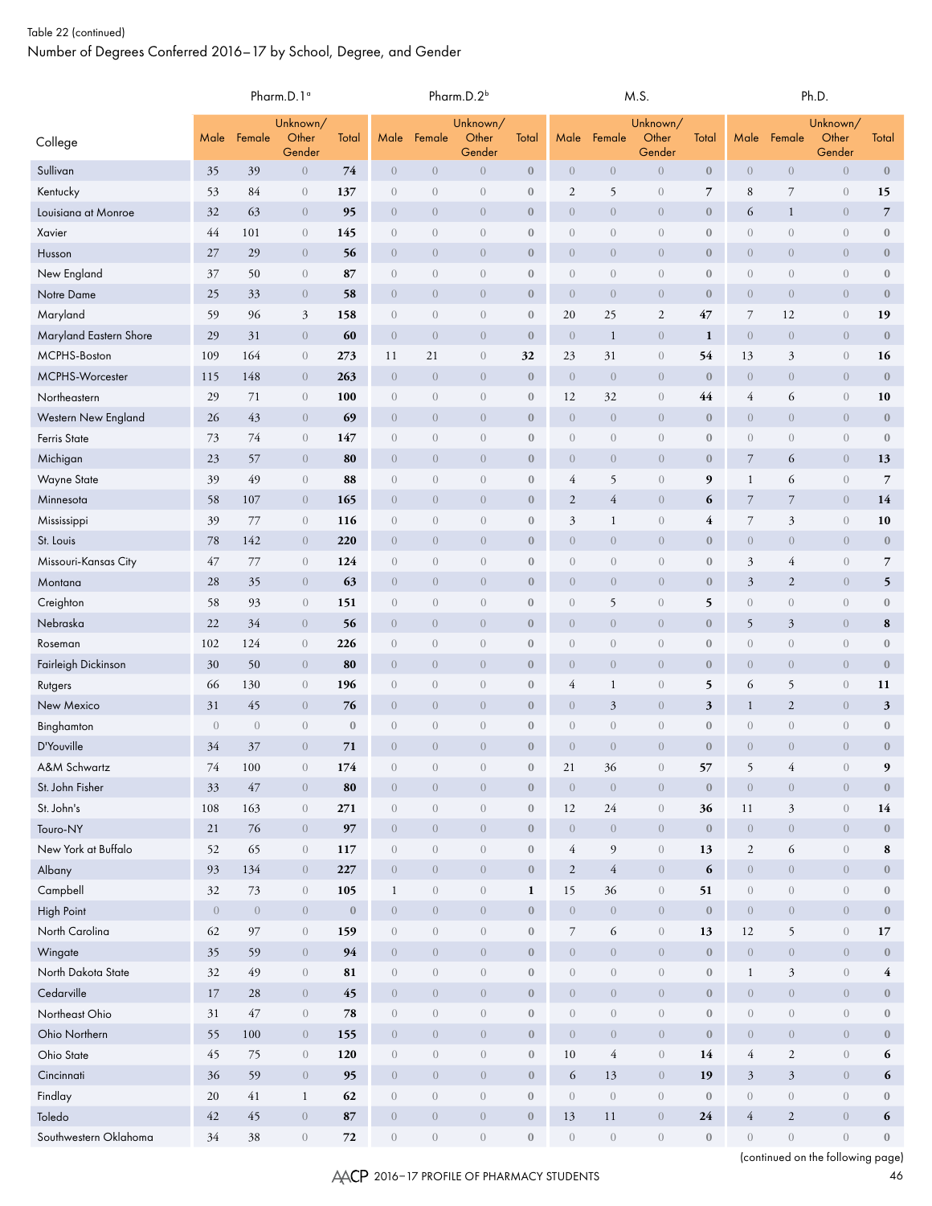|                            |                                                        |                | Pharm.D.1 <sup>a</sup> |              |                   |                  | Pharm.D.2 <sup>b</sup>   |                  |                   |                  | M.S.                       |                  | Ph.D.             |                  |                          |                  |  |  |
|----------------------------|--------------------------------------------------------|----------------|------------------------|--------------|-------------------|------------------|--------------------------|------------------|-------------------|------------------|----------------------------|------------------|-------------------|------------------|--------------------------|------------------|--|--|
| College                    | Unknown/<br>Other<br>Total<br>Male<br>Female<br>Gender |                | Male                   | Female       | Unknown/<br>Other | Total            | Male                     | Female           | Unknown/<br>Other | Total            | Male                       | Female           | Unknown/<br>Other | Total            |                          |                  |  |  |
| Sullivan                   | 35                                                     | 39             | $\overline{0}$         | 74           | $\overline{0}$    | $\overline{0}$   | Gender<br>$\overline{0}$ | $\mathbf{0}$     | $\overline{0}$    | $\overline{0}$   | Gender<br>$\boldsymbol{0}$ | $\boldsymbol{0}$ | $\overline{0}$    | $\overline{0}$   | Gender<br>$\overline{0}$ | $\boldsymbol{0}$ |  |  |
| Kentucky                   | 53                                                     | 84             | $\overline{0}$         | 137          | $\overline{0}$    | $\overline{0}$   | $\overline{0}$           | $\bf{0}$         | $\overline{c}$    | 5                | $\boldsymbol{0}$           | $\overline{7}$   | 8                 | $\overline{7}$   | $\theta$                 | 15               |  |  |
| Louisiana at Monroe        | 32                                                     | 63             | $\overline{0}$         | 95           | $\overline{0}$    | $\overline{0}$   | $\overline{0}$           | $\mathbf{0}$     | $\overline{0}$    | $\overline{0}$   | $\overline{0}$             | $\boldsymbol{0}$ | 6                 | $\mathbf{1}$     | $\overline{0}$           | $\overline{7}$   |  |  |
| Xavier                     | 44                                                     | 101            | $\theta$               | 145          | $\overline{0}$    | $\sqrt{a}$       | $\theta$                 | $\bf{0}$         | $\sqrt{a}$        | $\theta$         | $\boldsymbol{0}$           | $\boldsymbol{0}$ | $\sqrt{a}$        | $\overline{0}$   | $\theta$                 | $\boldsymbol{0}$ |  |  |
| Husson                     | 27                                                     | 29             | $\overline{0}$         | 56           | $\overline{0}$    | $\overline{0}$   | $\overline{0}$           | $\mathbf{0}$     | $\overline{0}$    | $\overline{0}$   | $\overline{0}$             | $\boldsymbol{0}$ | $\overline{0}$    | $\overline{0}$   | $\overline{0}$           | $\mathbf{0}$     |  |  |
| New England                | 37                                                     | 50             | $\sqrt{a}$             | 87           | $\overline{0}$    | $\theta$         | $\overline{0}$           | $\bf{0}$         | $\theta$          | $\theta$         | $\boldsymbol{0}$           | $\boldsymbol{0}$ | $\theta$          | $\overline{0}$   | $\theta$                 | $\boldsymbol{0}$ |  |  |
| Notre Dame                 | 25                                                     | 33             | $\theta$               | 58           | $\overline{0}$    | $\overline{0}$   | $\overline{0}$           | $\mathbf{0}$     | $\overline{0}$    | $\theta$         | $\overline{0}$             | $\boldsymbol{0}$ | $\overline{0}$    | $\overline{0}$   | $\overline{0}$           | $\mathbf{0}$     |  |  |
| Maryland                   | 59                                                     | 96             | $\mathfrak{Z}$         | 158          | $\overline{0}$    | $\sqrt{a}$       | $\overline{0}$           | $\bf{0}$         | 20                | 25               | $\mathbf{2}$               | 47               | $\boldsymbol{7}$  | 12               | $\theta$                 | 19               |  |  |
| Maryland Eastern Shore     | 29                                                     | 31             | $\overline{0}$         | 60           | $\overline{0}$    | $\overline{0}$   | $\overline{0}$           | $\mathbf{0}$     | $\overline{0}$    | $\mathbf{1}$     | $\overline{0}$             | 1                | $\overline{0}$    | $\overline{0}$   | $\overline{0}$           | $\mathbf{0}$     |  |  |
| MCPHS-Boston               | 109                                                    | 164            | $\overline{0}$         | 273          | 11                | 21               | $\overline{0}$           | 32               | 23                | 31               | $\overline{0}$             | 54               | 13                | 3                | $\theta$                 | 16               |  |  |
| MCPHS-Worcester            | 115                                                    | 148            | $\overline{0}$         | 263          | $\sqrt{a}$        | $\overline{0}$   | $\overline{0}$           | $\mathbf{0}$     | $\theta$          | $\overline{0}$   | $\overline{0}$             | $\boldsymbol{0}$ | $\overline{0}$    | $\overline{0}$   | $\overline{0}$           | $\mathbf{0}$     |  |  |
| Northeastern               | 29                                                     | 71             | $\theta$               | 100          | $\sqrt{a}$        | $\theta$         | $\theta$                 | $\bf{0}$         | 12                | 32               | $\boldsymbol{0}$           | 44               | 4                 | 6                | $\theta$                 | 10               |  |  |
| <b>Western New England</b> | 26                                                     | 43             | $\theta$               | 69           | $\overline{0}$    | $\overline{0}$   | $\overline{0}$           | $\mathbf{0}$     | $\overline{0}$    | $\overline{0}$   | $\overline{0}$             | $\boldsymbol{0}$ | $\overline{0}$    | $\overline{0}$   | $\overline{0}$           | $\bf{0}$         |  |  |
| Ferris State               | 73                                                     | 74             | $\sqrt{a}$             | 147          | $\sqrt{a}$        | $\mathbf{0}$     | $\mathbf{0}$             | $\bf{0}$         | $\boldsymbol{0}$  | $\boldsymbol{0}$ | $\overline{0}$             | $\boldsymbol{0}$ | $\mathbf{0}$      | $\overline{0}$   | $\boldsymbol{0}$         | $\mathbf{0}$     |  |  |
| Michigan                   | 23                                                     | 57             | $\overline{0}$         | 80           | $\overline{0}$    | $\overline{0}$   | $\overline{0}$           | $\mathbf{0}$     | $\boldsymbol{0}$  | $\theta$         | $\overline{0}$             | $\boldsymbol{0}$ | $\boldsymbol{7}$  | 6                | $\overline{0}$           | 13               |  |  |
| <b>Wayne State</b>         | 39                                                     | 49             | $\theta$               | 88           | $\sqrt{a}$        | $\theta$         | $\mathbf{0}$             | $\bf{0}$         | $\overline{4}$    | 5                | $\boldsymbol{0}$           | 9                | $\mathbf{1}$      | 6                | $\theta$                 | $\overline{7}$   |  |  |
| Minnesota                  | 58                                                     | 107            | $\overline{0}$         | 165          | $\overline{0}$    | $\overline{0}$   | $\overline{0}$           | $\bf{0}$         | $\overline{c}$    | $\overline{4}$   | $\overline{0}$             | 6                | $\overline{7}$    | $\overline{7}$   | $\overline{0}$           | 14               |  |  |
| Mississippi                | 39                                                     | 77             | $\theta$               | 116          | $\sqrt{a}$        | $\sqrt{a}$       | $\sqrt{a}$               | $\bf{0}$         | $\mathfrak{Z}$    | $\mathbf{1}$     | $\overline{0}$             | $\overline{4}$   | $\overline{7}$    | 3                | $\boldsymbol{0}$         | 10               |  |  |
| St. Louis                  | 78                                                     | 142            | $\overline{0}$         | 220          | $\overline{0}$    | $\overline{0}$   | $\overline{0}$           | $\mathbf{0}$     | $\overline{0}$    | $\boldsymbol{0}$ | $\overline{0}$             | $\boldsymbol{0}$ | $\overline{0}$    | $\overline{0}$   | $\overline{0}$           | $\boldsymbol{0}$ |  |  |
| Missouri-Kansas City       | 47                                                     | 77             | $\theta$               | 124          | $\sqrt{a}$        | $\boldsymbol{0}$ | $\mathbf{0}$             | $\bf{0}$         | $\boldsymbol{0}$  | $\boldsymbol{0}$ | $\overline{0}$             | $\boldsymbol{0}$ | 3                 | 4                | $\boldsymbol{0}$         | $\overline{7}$   |  |  |
| Montana                    | 28                                                     | 35             | $\theta$               | 63           | $\overline{0}$    | $\overline{0}$   | $\overline{0}$           | $\mathbf{0}$     | $\overline{0}$    | $\overline{0}$   | $\overline{0}$             | $\boldsymbol{0}$ | $\mathfrak{Z}$    | $\sqrt{2}$       | $\overline{0}$           | 5                |  |  |
| Creighton                  | 58                                                     | 93             | $\overline{0}$         | 151          | $\sqrt{a}$        | $\mathbf{0}$     | $\mathbf{0}$             | $\bf{0}$         | $\sqrt{a}$        | 5                | $\boldsymbol{0}$           | 5                | $\overline{0}$    | $\overline{0}$   | $\theta$                 | $\boldsymbol{0}$ |  |  |
| Nebraska                   | 22                                                     | 34             | $\overline{0}$         | 56           | $\overline{0}$    | $\overline{0}$   | $\overline{0}$           | $\bf{0}$         | $\theta$          | $\theta$         | $\overline{0}$             | $\mathbf{0}$     | 5                 | $\mathfrak{Z}$   | $\overline{0}$           | 8                |  |  |
| Roseman                    | 102                                                    | 124            | $\theta$               | 226          | $\overline{0}$    | $\sqrt{a}$       | $\mathbf{0}$             | $\bf{0}$         | $\theta$          | $\sqrt{a}$       | $\boldsymbol{0}$           | $\boldsymbol{0}$ | $\sqrt{a}$        | $\theta$         | $\theta$                 | $\boldsymbol{0}$ |  |  |
| Fairleigh Dickinson        | 30                                                     | 50             | $\overline{0}$         | 80           | $\overline{0}$    | $\overline{0}$   | $\overline{0}$           | $\mathbf{0}$     | $\overline{0}$    | $\overline{0}$   | $\overline{0}$             | $\boldsymbol{0}$ | $\overline{0}$    | $\overline{0}$   | $\overline{0}$           | $\mathbf{0}$     |  |  |
| Rutgers                    | 66                                                     | 130            | $\overline{0}$         | 196          | $\overline{0}$    | $\overline{0}$   | $\overline{0}$           | $\bf{0}$         | $\overline{4}$    | $\mathbf{1}$     | $\boldsymbol{0}$           | 5                | 6                 | 5                | $\theta$                 | 11               |  |  |
| New Mexico                 | 31                                                     | 45             | $\overline{0}$         | 76           | $\overline{0}$    | $\overline{0}$   | $\overline{0}$           | $\mathbf{0}$     | $\overline{0}$    | 3                | $\overline{0}$             | $\mathfrak{z}$   | 1                 | $\mathfrak{2}$   | $\theta$                 | $\mathbf{3}$     |  |  |
| Binghamton                 | $\overline{0}$                                         | $\overline{0}$ | $\theta$               | $\mathbf{0}$ | $\boldsymbol{0}$  | $\sqrt{a}$       | $\theta$                 | $\bf{0}$         | $\sqrt{a}$        | $\sqrt{a}$       | $\boldsymbol{0}$           | $\boldsymbol{0}$ | $\overline{0}$    | $\theta$         | $\overline{0}$           | $\bf{0}$         |  |  |
| D'Youville                 | 34                                                     | 37             | $\overline{0}$         | 71           | $\overline{0}$    | $\overline{0}$   | $\overline{0}$           | $\mathbf{0}$     | $\overline{0}$    | $\overline{0}$   | $\overline{0}$             | $\mathbf{0}$     | $\overline{0}$    | $\overline{0}$   | $\overline{0}$           | $\bf{0}$         |  |  |
| A&M Schwartz               | 74                                                     | 100            | $\overline{0}$         | 174          | $\overline{0}$    | $\overline{0}$   | $\overline{0}$           | $\mathbf{0}$     | 21                | 36               | $\overline{0}$             | 57               | 5                 | 4                | $\overline{0}$           | 9                |  |  |
| St. John Fisher            | 33                                                     | 47             | $\overline{0}$         | 80           | $\sqrt{a}$        | $\overline{0}$   | $\overline{0}$           | $\mathbf{0}$     | $\sqrt{0}$        | $\mathbf{0}$     | $\overline{0}$             | $\boldsymbol{0}$ | $\overline{0}$    | $\sqrt{0}$       | $\mathbf{0}$             | $\bf{0}$         |  |  |
| St. John's                 | $108\,$                                                | 163            | $\theta$               | 271          | $\sqrt{a}$        | $\,0\,$          | $\,0\,$                  | $\boldsymbol{0}$ | 12                | 24               | $\overline{0}$             | 36               | 11                | $\mathfrak{Z}$   | $\boldsymbol{0}$         | 14               |  |  |
| Touro-NY                   | 21                                                     | 76             | $\theta$               | 97           | $\overline{0}$    | $\theta$         | $\overline{0}$           | $\mathbf{0}$     | $\overline{0}$    | $\theta$         | $\overline{0}$             | $\boldsymbol{0}$ | $\overline{0}$    | $\overline{0}$   | $\overline{0}$           | $\mathbf{0}$     |  |  |
| New York at Buffalo        | 52                                                     | 65             | $\theta$               | 117          | $\boldsymbol{0}$  | $\,0\,$          | $\sqrt{a}$               | $\boldsymbol{0}$ | $\overline{4}$    | 9                | $\boldsymbol{0}$           | 13               | $\overline{2}$    | 6                | $\boldsymbol{0}$         | 8                |  |  |
| Albany                     | 93                                                     | 134            | $\overline{0}$         | 227          | $\overline{0}$    | $\overline{0}$   | $\overline{0}$           | $\mathbf{0}$     | $\sqrt{2}$        | $\overline{4}$   | $\boldsymbol{0}$           | 6                | $\mathbf{0}$      | $\overline{0}$   | $\overline{0}$           | $\mathbf{0}$     |  |  |
| Campbell                   | 32                                                     | 73             | $\theta$               | 105          | $\mathbf{1}$      | $\,0\,$          | $\,0\,$                  | $\mathbf{1}$     | 15                | 36               | $\boldsymbol{0}$           | 51               | $\sqrt{0}$        | $\,0\,$          | $\boldsymbol{0}$         | $\mathbf{0}$     |  |  |
| High Point                 | $\overline{0}$                                         | $\overline{0}$ | $\overline{0}$         | $\mathbf{0}$ | $\overline{0}$    | $\sqrt{0}$       | $\overline{0}$           | $\mathbf{0}$     | $\overline{0}$    | $\overline{0}$   | $\overline{0}$             | $\boldsymbol{0}$ | $\overline{0}$    | $\overline{0}$   | $\overline{0}$           | $\mathbf{0}$     |  |  |
| North Carolina             | 62                                                     | 97             | $\theta$               | 159          | $\sqrt{a}$        | $\sqrt{a}$       | $\sqrt{a}$               | $\mathbf{0}$     | $\overline{7}$    | 6                | $\boldsymbol{0}$           | 13               | 12                | 5                | $\mathbf{0}$             | 17               |  |  |
| Wingate                    | 35                                                     | 59             | $\overline{0}$         | 94           | $\overline{0}$    | $\overline{0}$   | $\overline{0}$           | $\mathbf{0}$     | $\overline{0}$    | $\overline{0}$   | $\boldsymbol{0}$           | $\boldsymbol{0}$ | $\overline{0}$    | $\overline{0}$   | $\overline{0}$           | $\mathbf{0}$     |  |  |
| North Dakota State         | 32                                                     | 49             | $\theta$               | 81           | $\sqrt{a}$        | $\boldsymbol{0}$ | $\boldsymbol{0}$         | $\boldsymbol{0}$ | $\theta$          | $\boldsymbol{0}$ | $\boldsymbol{0}$           | $\boldsymbol{0}$ | $\mathbf{1}$      | 3                | $\boldsymbol{0}$         | $\overline{4}$   |  |  |
| Cedarville                 | 17                                                     | 28             | $\overline{0}$         | 45           | $\overline{0}$    | $\theta$         | $\overline{0}$           | $\mathbf{0}$     | $\overline{0}$    | $\overline{0}$   | $\overline{0}$             | $\bf 0$          | $\overline{0}$    | $\overline{0}$   | $\overline{0}$           | $\mathbf{0}$     |  |  |
| Northeast Ohio             | 31                                                     | 47             | $\theta$               | 78           | $\boldsymbol{0}$  | $\boldsymbol{0}$ | $\sqrt{a}$               | $\boldsymbol{0}$ | $\sqrt{a}$        | $\boldsymbol{0}$ | $\boldsymbol{0}$           | $\bf 0$          | $\sqrt{a}$        | $\boldsymbol{0}$ | $\boldsymbol{0}$         | $\mathbf{0}$     |  |  |
| Ohio Northern              | 55                                                     | 100            | $\overline{0}$         | 155          | $\overline{0}$    | $\overline{0}$   | $\overline{0}$           | $\boldsymbol{0}$ | $\overline{0}$    | $\overline{0}$   | $\overline{0}$             | $\bf 0$          | $\overline{0}$    | $\overline{0}$   | $\overline{0}$           | $\mathbf{0}$     |  |  |
| Ohio State                 | 45                                                     | 75             | $\theta$               | 120          | $\overline{0}$    | $\boldsymbol{0}$ | $\boldsymbol{0}$         | $\boldsymbol{0}$ | 10                | $\sqrt{4}$       | $\boldsymbol{0}$           | 14               | $\overline{4}$    | $\sqrt{2}$       | $\boldsymbol{0}$         | 6                |  |  |
| Cincinnati                 | 36                                                     | 59             | $\overline{0}$         | 95           | $\overline{0}$    | $\overline{0}$   | $\overline{0}$           | $\mathbf{0}$     | 6                 | 13               | $\overline{0}$             | 19               | $\mathfrak{Z}$    | $\mathfrak{Z}$   | $\overline{0}$           | 6                |  |  |
| Findlay                    | 20                                                     | 41             | $\mathbf{1}$           | 62           | $\boldsymbol{0}$  | $\boldsymbol{0}$ | $\sqrt{a}$               | $\bf{0}$         | $\sqrt{a}$        | $\boldsymbol{0}$ | $\boldsymbol{0}$           | $\boldsymbol{0}$ | $\overline{0}$    | $\sqrt{a}$       | $\theta$                 | $\mathbf{0}$     |  |  |
| Toledo                     | 42                                                     | 45             | $\overline{0}$         | 87           | $\boldsymbol{0}$  | $\theta$         | $\overline{0}$           | $\boldsymbol{0}$ | 13                | 11               | $\overline{0}$             | 24               | $\overline{4}$    | $\sqrt{2}$       | $\theta$                 | 6                |  |  |
| Southwestern Oklahoma      | 34                                                     | 38             | $\theta$               | 72           | $\boldsymbol{0}$  | $\boldsymbol{0}$ | $\sqrt{0}$               | $\bf{0}$         | $\sqrt{0}$        | $\boldsymbol{0}$ | $\boldsymbol{0}$           | $\boldsymbol{0}$ | $\overline{0}$    | $\boldsymbol{0}$ | $\theta$                 | $\boldsymbol{0}$ |  |  |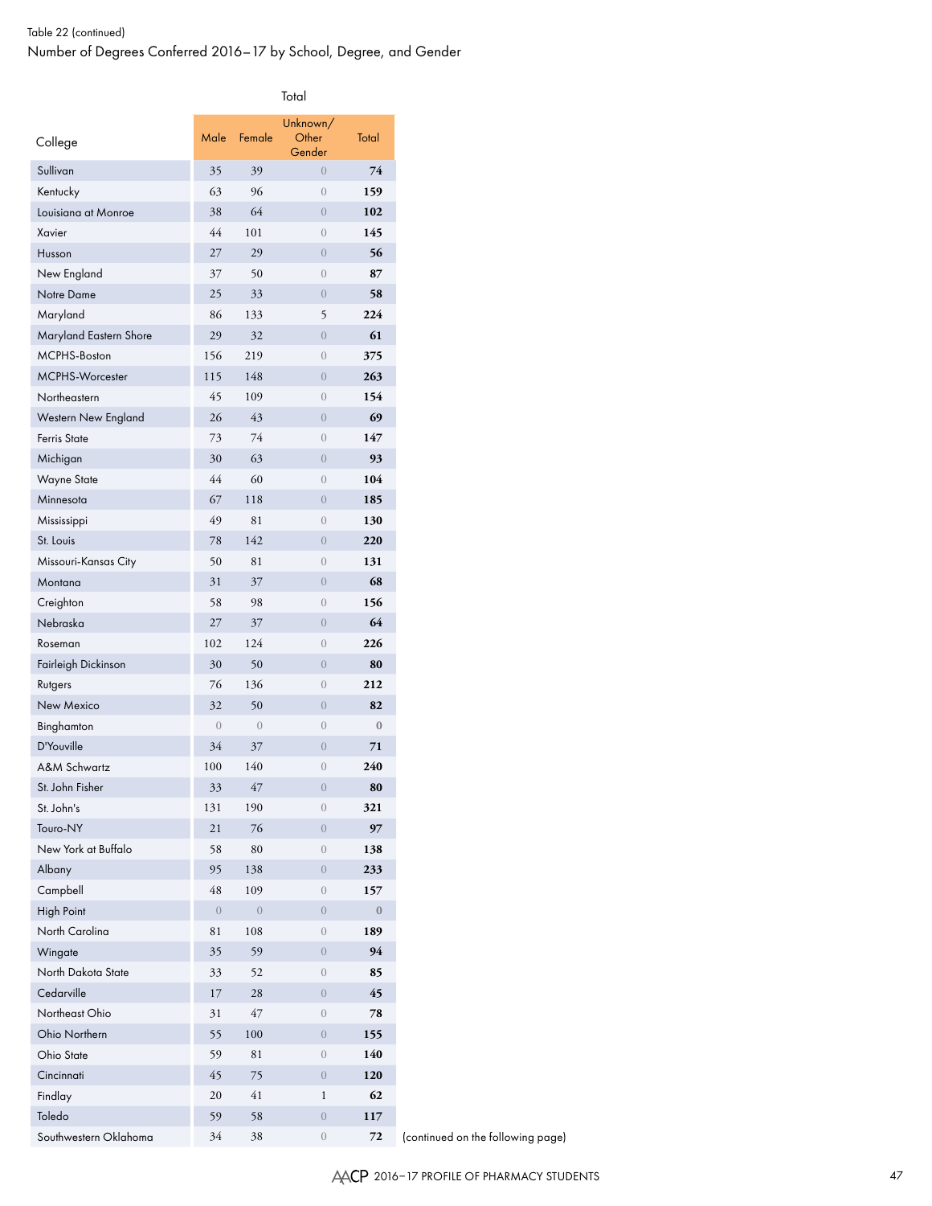| College                       | Male           | Female          | Unknown/<br>Other<br>Gender | Total        |
|-------------------------------|----------------|-----------------|-----------------------------|--------------|
| Sullivan                      | 35             | 39              | $\left($                    | 74           |
| Kentucky                      | 63             | 96              | $\overline{0}$              | 159          |
| Louisiana at Monroe           | 38             | 64              | $\overline{0}$              | 102          |
| Xavier                        | 44             | 101             | $\overline{0}$              | 145          |
| Husson                        | 27             | 29              | $\overline{0}$              | 56           |
| New England                   | 37             | 50              | $\overline{0}$              | 87           |
| Notre Dame                    | 25             | 33              | $\overline{0}$              | 58           |
| Maryland                      | 86             | 133             | 5                           | 224          |
| Maryland Eastern Shore        | 29             | 32              | $\overline{0}$              | 61           |
| MCPHS-Boston                  | 156            | 219             | $\overline{0}$              | 375          |
| MCPHS-Worcester               | 115            | 148             | $\overline{0}$              | 263          |
| Northeastern                  | 45             | 109             | $\overline{0}$              | 154          |
| Western New England           | 26             | 43              | $\overline{0}$              | 69           |
| <b>Ferris State</b>           | 73             | 74              | $\overline{0}$              | 147          |
| Michigan                      | 30             | 63              | $\overline{0}$              | 93           |
| <b>Wayne State</b>            | 44             | 60              | $\overline{0}$              | 104          |
| Minnesota                     | 67             | 118             | $\overline{0}$              | 185          |
| Mississippi                   | 49             | 81              | $\overline{0}$              | 130          |
| St. Louis                     | 78             | 142             | $\overline{0}$              | 220          |
| Missouri-Kansas City          | 50             | 81              | $\mathbf{0}$                | 131          |
| Montana                       | 31             | 37              | $\theta$                    | 68           |
| Creighton                     | 58             | 98              | $\overline{0}$              | 156          |
| Nebraska                      | 27             | 37              | $\overline{0}$              | 64           |
| Roseman                       | 102            | 124             | $\overline{0}$              | 226          |
| Fairleigh Dickinson           | 30             | 50              | $\overline{0}$              | 80           |
| Rutgers                       | 76             | 136             | $\overline{0}$              | 212          |
| New Mexico                    | 32             | 50              | $\overline{0}$              | 82           |
| Binghamton                    | $\overline{0}$ | $\sqrt{a}$      | $\mathbf{0}$                | $\mathbf{0}$ |
| D'Youville                    | 34             | 37              | $\overline{0}$              | 71           |
| A&M Schwartz                  | 100            | 140             | $\overline{0}$              | 240          |
| St. John Fisher               | 33             | 47              | $\theta$                    | 80           |
| St. John's                    | 131            | 190             | $\mathbf{0}$                | 321          |
| Touro-NY                      | 21             | 76              | $\mathbf{0}$                | 97           |
| New York at Buffalo           | 58             | 80              | $\boldsymbol{0}$            | 138          |
| Albany                        | 95             | 138             | $\sqrt{a}$                  | 233          |
| Campbell                      | 48             | 109             | $\mathbf{0}$                | 157          |
| <b>High Point</b>             | $\theta$       |                 | $\overline{0}$              | $\bf{0}$     |
| North Carolina                | 81             | $\theta$<br>108 | $\overline{0}$              | 189          |
|                               |                |                 | $\sqrt{a}$                  | 94           |
| Wingate<br>North Dakota State | 35             | 59              |                             |              |
| Cedarville                    | 33             | 52              | $\mathbf{0}$                | 85<br>45     |
|                               | 17             | 28              | $\overline{0}$              |              |
| Northeast Ohio                | 31             | 47              | $\sqrt{a}$                  | 78           |
| Ohio Northern                 | 55             | 100             | $\sqrt{a}$                  | 155          |
| Ohio State                    | 59             | 81              | $\mathbf{0}$                | 140          |
| Cincinnati                    | 45             | 75              | $\overline{0}$              | 120          |
| Findlay                       | 20             | 41              | $\mathbf 1$                 | 62           |
| Toledo                        | 59             | 58              | $\sqrt{a}$                  | 117          |
| Southwestern Oklahoma         | 34             | 38              | $\mathbf{0}$                | 72           |

(continued on the following page)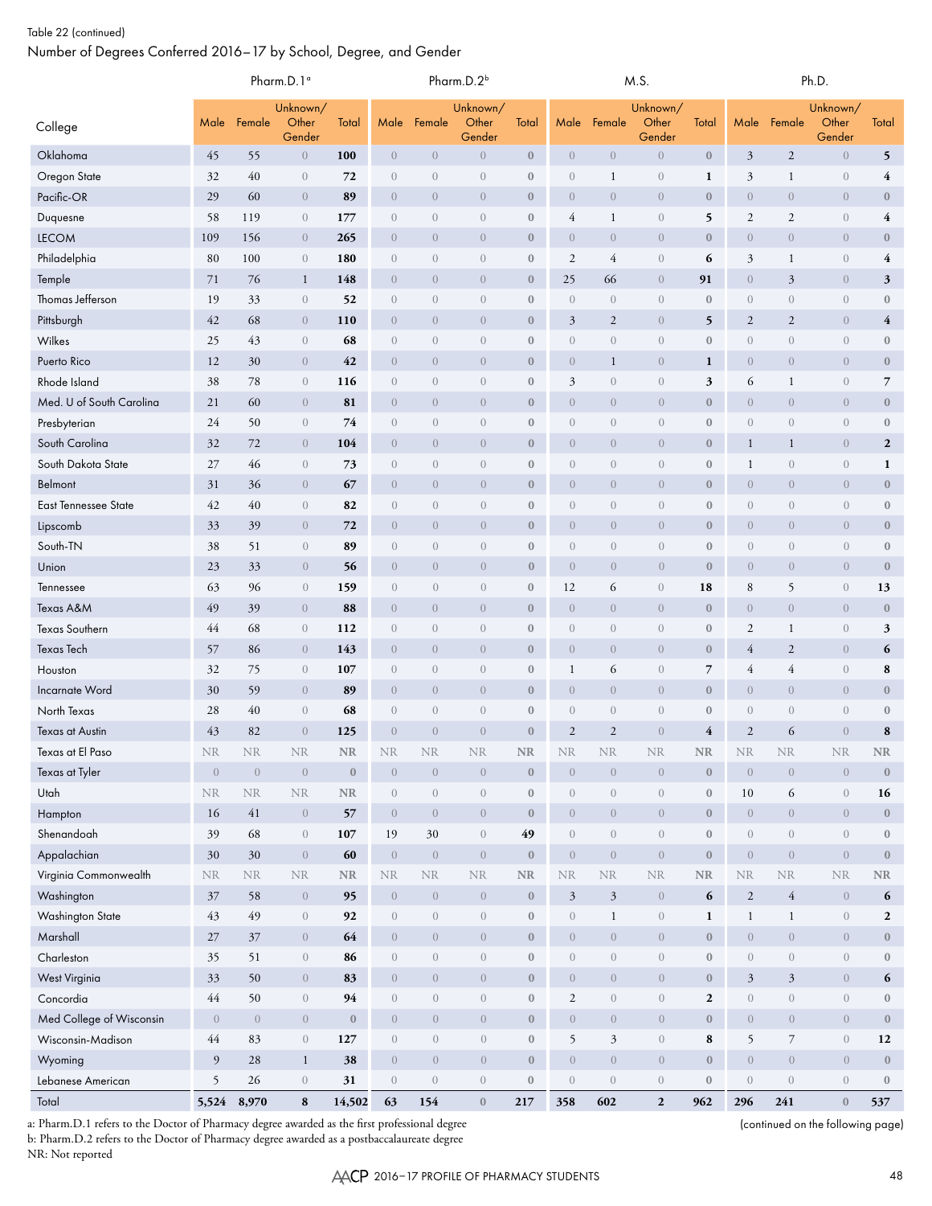|                             |                                                        |                | Pharm.D.1 <sup>a</sup> |                  | Pharm.D.2 <sup>b</sup> |                                |                  |                  |                                |                             | M.S.             |                         | Ph.D.            |                                |                  |                         |  |
|-----------------------------|--------------------------------------------------------|----------------|------------------------|------------------|------------------------|--------------------------------|------------------|------------------|--------------------------------|-----------------------------|------------------|-------------------------|------------------|--------------------------------|------------------|-------------------------|--|
| College                     | Unknown/<br>Other<br>Total<br>Male<br>Female<br>Gender |                |                        | Male             | Female                 | Unknown/<br>Other<br>Gender    | Total            | Male             | Female                         | Unknown/<br>Other<br>Gender | Total            | Male                    | Female           | Unknown/<br>Other<br>Gender    | Total            |                         |  |
| Oklahoma                    | 45                                                     | 55             | $\overline{0}$         | 100              | $\overline{0}$         | $\overline{0}$                 | $\overline{0}$   | $\mathbf{0}$     | $\overline{0}$                 | $\boldsymbol{0}$            | $\boldsymbol{0}$ | $\boldsymbol{0}$        | 3                | $\mathfrak{2}$                 | $\boldsymbol{0}$ | 5                       |  |
| Oregon State                | 32                                                     | 40             | $\sqrt{a}$             | 72               | $\boldsymbol{0}$       | $\theta$                       | $\boldsymbol{0}$ | $\bf{0}$         | $\overline{0}$                 | $\mathbf{1}$                | $\boldsymbol{0}$ | 1                       | 3                | 1                              | $\boldsymbol{0}$ | $\overline{\mathbf{4}}$ |  |
| Pacific-OR                  | 29                                                     | 60             | $\overline{0}$         | 89               | $\overline{0}$         | $\overline{0}$                 | $\overline{0}$   | $\mathbf{0}$     | $\overline{0}$                 | $\overline{0}$              | $\overline{0}$   | $\bf{0}$                | $\overline{0}$   | $\overline{0}$                 | $\theta$         | $\bf{0}$                |  |
| Duquesne                    | 58                                                     | 119            | $\overline{0}$         | 177              | $\boldsymbol{0}$       | $\sqrt{a}$                     | $\overline{0}$   | $\mathbf{0}$     | $\overline{4}$                 | 1                           | $\sqrt{a}$       | 5                       | $\mathfrak{2}$   | $\mathfrak{2}$                 | $\boldsymbol{0}$ | 4                       |  |
| <b>LECOM</b>                | 109                                                    | 156            | $\overline{0}$         | 265              | $\overline{0}$         | $\theta$                       | $\overline{0}$   | $\mathbf{0}$     | $\overline{0}$                 | $\overline{0}$              | $\overline{0}$   | $\boldsymbol{0}$        | $\overline{0}$   | $\boldsymbol{0}$               | $\theta$         | $\bf{0}$                |  |
| Philadelphia                | 80                                                     | 100            | $\overline{0}$         | 180              | $\boldsymbol{0}$       | $\overline{0}$                 | $\theta$         | $\mathbf{0}$     | $\sqrt{2}$                     | 4                           | $\sqrt{a}$       | 6                       | 3                | $\mathbf{1}$                   | $\boldsymbol{0}$ | 4                       |  |
| Temple                      | 71                                                     | 76             | $\mathbf{1}$           | 148              | $\overline{0}$         | $\overline{0}$                 | $\overline{0}$   | $\bf{0}$         | 25                             | 66                          | $\overline{0}$   | 91                      | $\overline{0}$   | $\mathfrak{Z}$                 | $\overline{0}$   | $\mathfrak{z}$          |  |
| Thomas Jefferson            | 19                                                     | 33             | $\theta$               | 52               | $\boldsymbol{0}$       | $\sqrt{a}$                     | $\overline{0}$   | $\bf{0}$         | $\theta$                       | $\sqrt{a}$                  | $\overline{0}$   | $\boldsymbol{0}$        | $\overline{0}$   | $\sqrt{a}$                     | $\boldsymbol{0}$ | $\bf{0}$                |  |
| Pittsburgh                  | 42                                                     | 68             | $\overline{0}$         | 110              | $\overline{0}$         | $\overline{0}$                 | $\overline{0}$   | $\mathbf{0}$     | 3                              | 2                           | $\overline{0}$   | 5                       | $\mathbf{2}$     | $\mathfrak{2}$                 | $\theta$         | 4                       |  |
| Wilkes                      | 25                                                     | 43             | $\sqrt{a}$             | 68               | $\overline{0}$         | $\sqrt{a}$                     | $\boldsymbol{0}$ | $\mathbf{0}$     | $\mathbf{0}$                   | $\sqrt{a}$                  | $\boldsymbol{0}$ | $\boldsymbol{0}$        | $\mathbf{0}$     | $\sqrt{a}$                     | $\boldsymbol{0}$ | $\boldsymbol{0}$        |  |
| Puerto Rico                 | 12                                                     | 30             | $\overline{0}$         | 42               | $\overline{0}$         | $\overline{0}$                 | $\overline{0}$   | $\bf{0}$         | $\overline{0}$                 | $\mathbf{1}$                | $\overline{0}$   | 1                       | $\overline{0}$   | $\overline{0}$                 | $\overline{0}$   | $\bf{0}$                |  |
| Rhode Island                | 38                                                     | 78             | $\theta$               | 116              | $\overline{0}$         | $\boldsymbol{0}$               | $\mathbf{0}$     | $\boldsymbol{0}$ | $\mathfrak{Z}$                 | $\boldsymbol{0}$            | $\boldsymbol{0}$ | $\mathfrak z$           | 6                | $\mathbf{1}$                   | $\boldsymbol{0}$ | 7                       |  |
| Med. U of South Carolina    | 21                                                     | 60             | $\overline{0}$         | 81               | $\overline{0}$         | $\overline{0}$                 | $\overline{0}$   | $\bf{0}$         | $\overline{0}$                 | $\mathbf{0}$                | $\overline{0}$   | $\boldsymbol{0}$        | $\overline{0}$   | $\overline{0}$                 | $\overline{0}$   | $\bf{0}$                |  |
| Presbyterian                | 24                                                     | 50             | $\sqrt{a}$             | 74               | $\overline{0}$         | $\mathbf{0}$                   | $\sqrt{a}$       | $\mathbf{0}$     | $\mathbf{0}$                   | $\sqrt{a}$                  | $\boldsymbol{0}$ | $\boldsymbol{0}$        | $\theta$         | $\sqrt{a}$                     | $\boldsymbol{0}$ | $\boldsymbol{0}$        |  |
| South Carolina              | 32                                                     | 72             | $\overline{0}$         | 104              | $\overline{0}$         | $\overline{0}$                 | $\overline{0}$   | $\bf{0}$         | $\overline{0}$                 | $\mathbf{0}$                | $\overline{0}$   | $\bf{0}$                | $\mathbf{1}$     | $\mathbf{1}$                   | $\overline{0}$   | $\boldsymbol{2}$        |  |
| South Dakota State          | 27                                                     | 46             | $\theta$               | 73               | $\overline{0}$         | $\boldsymbol{0}$               | $\mathbf{0}$     | $\bf{0}$         | $\sqrt{0}$                     | $\boldsymbol{0}$            | $\theta$         | $\boldsymbol{0}$        | $\mathbf{1}$     | $\boldsymbol{0}$               | $\boldsymbol{0}$ | $\mathbf{1}$            |  |
| Belmont                     | 31                                                     | 36             | $\overline{0}$         | 67               | $\overline{0}$         | $\overline{0}$                 | $\overline{0}$   | $\bf{0}$         | $\overline{0}$                 | $\overline{0}$              | $\overline{0}$   | $\bf{0}$                | $\overline{0}$   | $\overline{0}$                 | $\overline{0}$   | $\bf{0}$                |  |
| <b>East Tennessee State</b> | 42                                                     | 40             | $\mathbf{0}$           | 82               | $\overline{0}$         | $\sqrt{a}$                     | $\sqrt{a}$       | $\mathbf{0}$     | $\theta$                       | $\sqrt{a}$                  | $\boldsymbol{0}$ | $\boldsymbol{0}$        | $\overline{0}$   | $\sqrt{a}$                     | $\boldsymbol{0}$ | $\boldsymbol{0}$        |  |
| Lipscomb                    | 33                                                     | 39             | $\overline{0}$         | 72               | $\overline{0}$         | $\overline{0}$                 | $\overline{0}$   | $\bf{0}$         | $\overline{0}$                 | $\overline{0}$              | $\theta$         | $\bf{0}$                | $\overline{0}$   | $\overline{0}$                 | $\overline{0}$   | $\bf{0}$                |  |
| South-TN                    | 38                                                     | 51             | $\theta$               | 89               | $\overline{0}$         | $\mathbf{0}$                   | $\mathbf{0}$     | $\boldsymbol{0}$ | $\theta$                       | $\boldsymbol{0}$            | $\boldsymbol{0}$ | $\boldsymbol{0}$        | $\overline{0}$   | $\boldsymbol{0}$               | $\boldsymbol{0}$ | $\boldsymbol{0}$        |  |
| Union                       | 23                                                     | 33             | $\overline{0}$         | 56               | $\overline{0}$         | $\theta$                       | $\overline{0}$   | $\bf{0}$         | $\overline{0}$                 | $\overline{0}$              | $\overline{0}$   | $\boldsymbol{0}$        | $\overline{0}$   | $\overline{0}$                 | $\overline{0}$   | $\bf{0}$                |  |
| Tennessee                   | 63                                                     | 96             | $\mathbf{0}$           | 159              | $\overline{0}$         | $\sqrt{a}$                     | $\mathbf{0}$     | $\bf{0}$         | 12                             | 6                           | $\overline{0}$   | 18                      | 8                | 5                              | $\boldsymbol{0}$ | 13                      |  |
| Texas A&M                   | 49                                                     | 39             | $\overline{0}$         | 88               | $\overline{0}$         | $\overline{0}$                 | $\overline{0}$   | $\bf{0}$         | $\overline{0}$                 | $\overline{0}$              | $\overline{0}$   | $\boldsymbol{0}$        | $\overline{0}$   | $\overline{0}$                 | $\overline{0}$   | $\boldsymbol{0}$        |  |
| Texas Southern              | 44                                                     | 68             | $\theta$               | 112              | $\boldsymbol{0}$       | $\overline{0}$                 | $\overline{0}$   | $\bf{0}$         | $\sqrt{a}$                     | $\sqrt{a}$                  | $\overline{0}$   | $\boldsymbol{0}$        | $\mathfrak{2}$   | $\mathbf{1}$                   | $\boldsymbol{0}$ | 3                       |  |
| Texas Tech                  | 57                                                     | 86             | $\overline{0}$         | 143              | $\overline{0}$         | $\overline{0}$                 | $\overline{0}$   | $\mathbf{0}$     | $\overline{0}$                 | $\overline{0}$              | $\overline{0}$   | $\boldsymbol{0}$        | 4                | $\boldsymbol{2}$               | $\theta$         | 6                       |  |
| Houston                     | 32                                                     | 75             | $\theta$               | 107              | $\overline{0}$         | $\theta$                       | $\sqrt{a}$       | $\mathbf{0}$     | 1                              | 6                           | $\sqrt{a}$       | $\overline{7}$          | 4                | $\overline{4}$                 | $\boldsymbol{0}$ | 8                       |  |
| Incarnate Word              | 30                                                     | 59             | $\theta$               | 89               | $\overline{0}$         | $\overline{0}$                 | $\overline{0}$   | $\mathbf{0}$     | $\overline{0}$                 | $\overline{0}$              | $\overline{0}$   | $\boldsymbol{0}$        | $\overline{0}$   | $\overline{0}$                 | $\overline{0}$   | $\bf{0}$                |  |
| North Texas                 | 28                                                     | 40             | $\theta$               | 68               | $\boldsymbol{0}$       | $\overline{0}$                 | $\overline{0}$   | $\bf{0}$         | $\sqrt{a}$                     | $\overline{0}$              | $\sqrt{a}$       | $\boldsymbol{0}$        | $\overline{0}$   | $\theta$                       | $\boldsymbol{0}$ | $\bf{0}$                |  |
| Texas at Austin             | 43                                                     | 82             | $\overline{0}$         | 125              | $\boldsymbol{0}$       | $\overline{0}$                 | $\overline{0}$   | $\mathbf{0}$     | $\overline{2}$                 | $\overline{c}$              | $\boldsymbol{0}$ | $\overline{\mathbf{4}}$ | $\overline{2}$   | 6                              | $\overline{0}$   | 8                       |  |
| Texas at El Paso            | <b>NR</b>                                              | <b>NR</b>      | <b>NR</b>              | <b>NR</b>        | <b>NR</b>              | <b>NR</b>                      | <b>NR</b>        | <b>NR</b>        | <b>NR</b>                      | <b>NR</b>                   | <b>NR</b>        | <b>NR</b>               | <b>NR</b>        | <b>NR</b>                      | <b>NR</b>        | <b>NR</b>               |  |
| Texas at Tyler              | $\overline{0}$                                         | $\,0\,$        | $\,0\,$                | $\boldsymbol{0}$ | $\boldsymbol{0}$       | $\sqrt{0}$                     | $\sqrt{0}$       | $\boldsymbol{0}$ | $\boldsymbol{0}$               | $\boldsymbol{0}$            | $\,0\,$          | $\boldsymbol{0}$        | $\,0\,$          | $\boldsymbol{0}$               | $\,0\,$          | $\mathbf{0}$            |  |
| Utah                        | ${\rm NR}$                                             | $\rm NR$       | $\rm NR$               | $\rm NR$         | $\overline{0}$         | $\left\langle {}\right\rangle$ | $\boldsymbol{0}$ | $\boldsymbol{0}$ | $\,0\,$                        | $\boldsymbol{0}$            | $\boldsymbol{0}$ | $\boldsymbol{0}$        | $10\,$           | 6                              | $\boldsymbol{0}$ | 16                      |  |
| Hampton                     | 16                                                     | 41             | $\theta$               | 57               | $\overline{0}$         | $\boldsymbol{0}$               | $\overline{0}$   | $\mathbf{0}$     | $\overline{0}$                 | $\overline{0}$              | $\,0\,$          | $\boldsymbol{0}$        | $\overline{0}$   | $\,0\,$                        | $\,0\,$          | $\bf{0}$                |  |
| Shenandoah                  | 39                                                     | 68             | $\boldsymbol{0}$       | $107\,$          | 19                     | $30\,$                         | $\sqrt{a}$       | 49               | $\left\langle {}\right\rangle$ | $\boldsymbol{0}$            | $\boldsymbol{0}$ | $\boldsymbol{0}$        | $\sqrt{a}$       | $\left\langle {}\right\rangle$ | $\boldsymbol{0}$ | $\boldsymbol{0}$        |  |
| Appalachian                 | 30                                                     | 30             | $\,0\,$                | 60               | $\,0\,$                | $\,0\,$                        | $\sqrt{0}$       | $\boldsymbol{0}$ | $\,0\,$                        | $\boldsymbol{0}$            | $\,0\,$          | $\boldsymbol{0}$        | $\theta$         | $\sqrt{0}$                     | $\,0\,$          | $\mathbf{0}$            |  |
| Virginia Commonwealth       | $\rm NR$                                               | $\rm NR$       | $\rm NR$               | $\rm NR$         | $\rm NR$               | $\rm NR$                       | $\rm NR$         | $\rm NR$         | ${\rm NR}$                     | $\rm NR$                    | $\rm NR$         | $\rm NR$                | ${\rm NR}$       | $\rm NR$                       | ${\rm NR}$       | $\rm NR$                |  |
| Washington                  | 37                                                     | 58             | $\theta$               | 95               | $\boldsymbol{0}$       | $\,0\,$                        | $\overline{0}$   | $\mathbf{0}$     | $\mathfrak{Z}$                 | $\mathfrak{Z}$              | $\boldsymbol{0}$ | $\boldsymbol{6}$        | $\overline{2}$   | $\sqrt{4}$                     | $\boldsymbol{0}$ | 6                       |  |
| Washington State            | 43                                                     | 49             | $\sqrt{a}$             | 92               | $\sqrt{a}$             | $\boldsymbol{0}$               | $\boldsymbol{0}$ | $\boldsymbol{0}$ | $\left\langle {}\right\rangle$ | $\mathbf{1}$                | $\,0\,$          | $\mathbf{1}$            | $\mathbf{1}$     | $\mathbf{1}$                   | $\boldsymbol{0}$ | $\boldsymbol{2}$        |  |
| Marshall                    | 27                                                     | 37             | $\theta$               | 64               | $\overline{0}$         | $\sqrt{0}$                     | $\overline{0}$   | $\mathbf{0}$     | $\boldsymbol{0}$               | $\boldsymbol{0}$            | $\boldsymbol{0}$ | $\boldsymbol{0}$        | $\overline{0}$   | $\sqrt{a}$                     | $\boldsymbol{0}$ | $\boldsymbol{0}$        |  |
| Charleston                  | 35                                                     | 51             | $\boldsymbol{0}$       | 86               | $\boldsymbol{0}$       | $\boldsymbol{0}$               | $\boldsymbol{0}$ | $\boldsymbol{0}$ | $\left\langle {}\right\rangle$ | $\boldsymbol{0}$            | $\,0\,$          | $\boldsymbol{0}$        | $\boldsymbol{0}$ | $\boldsymbol{0}$               | $\boldsymbol{0}$ | $\boldsymbol{0}$        |  |
| West Virginia               | 33                                                     | 50             | $\,0\,$                | 83               | $\overline{0}$         | $\theta$                       | $\overline{0}$   | $\mathbf{0}$     | $\theta$                       | $\theta$                    | $\boldsymbol{0}$ | $\boldsymbol{0}$        | 3                | $\mathfrak{Z}$                 | $\overline{0}$   | 6                       |  |
| Concordia                   | $44\,$                                                 | 50             | $\sqrt{a}$             | 94               | $\overline{0}$         | $\boldsymbol{0}$               | $\boldsymbol{0}$ | $\boldsymbol{0}$ | $\overline{2}$                 | $\,0\,$                     | $\boldsymbol{0}$ | $\boldsymbol{2}$        | $\boldsymbol{0}$ | $\boldsymbol{0}$               | $\overline{0}$   | $\mathbf{0}$            |  |
| Med College of Wisconsin    | $\sqrt{a}$                                             | $\overline{0}$ | $\,0\,$                | $\bf 0$          | $\overline{0}$         | $\sqrt{0}$                     | $\overline{0}$   | $\mathbf{0}$     | $\boldsymbol{0}$               | $\boldsymbol{0}$            | $\boldsymbol{0}$ | $\boldsymbol{0}$        | $\boldsymbol{0}$ | $\sqrt{a}$                     | $\overline{0}$   | $\bf 0$                 |  |
| Wisconsin-Madison           | $44\,$                                                 | 83             | $\boldsymbol{0}$       | 127              | $\boldsymbol{0}$       | $\boldsymbol{0}$               | $\sqrt{a}$       | $\boldsymbol{0}$ | $\mathfrak{h}$                 | 3                           | $\boldsymbol{0}$ | $\bf 8$                 | 5                | $\boldsymbol{7}$               | $\boldsymbol{0}$ | 12                      |  |
| Wyoming                     | 9                                                      | 28             | $\mathbf{1}$           | 38               | $\boldsymbol{0}$       | $\boldsymbol{0}$               | $\overline{0}$   | $\boldsymbol{0}$ | $\boldsymbol{0}$               | $\boldsymbol{0}$            | $\boldsymbol{0}$ | $\boldsymbol{0}$        | $\boldsymbol{0}$ | $\boldsymbol{0}$               | $\boldsymbol{0}$ | $\bf{0}$                |  |
| Lebanese American           | 5                                                      | 26             | $\boldsymbol{0}$       | 31               | $\boldsymbol{0}$       | $\boldsymbol{0}$               | $\boldsymbol{0}$ | $\boldsymbol{0}$ | $\boldsymbol{0}$               | $\left( \right)$            | $\boldsymbol{0}$ | $\boldsymbol{0}$        | $\sqrt{a}$       | $\boldsymbol{0}$               | $\boldsymbol{0}$ | $\boldsymbol{0}$        |  |
| Total                       | 5,524                                                  | 8,970          | 8                      | 14,502           | 63                     | 154                            | $\,0\,$          | 217              | 358                            | 602                         | $\mathbf{2}$     | 962                     | 296              | 241                            | $\boldsymbol{0}$ | 537                     |  |

a: Pharm.D.1 refers to the Doctor of Pharmacy degree awarded as the first professional degree

b: Pharm.D.2 refers to the Doctor of Pharmacy degree awarded as a postbaccalaureate degree NR: Not reported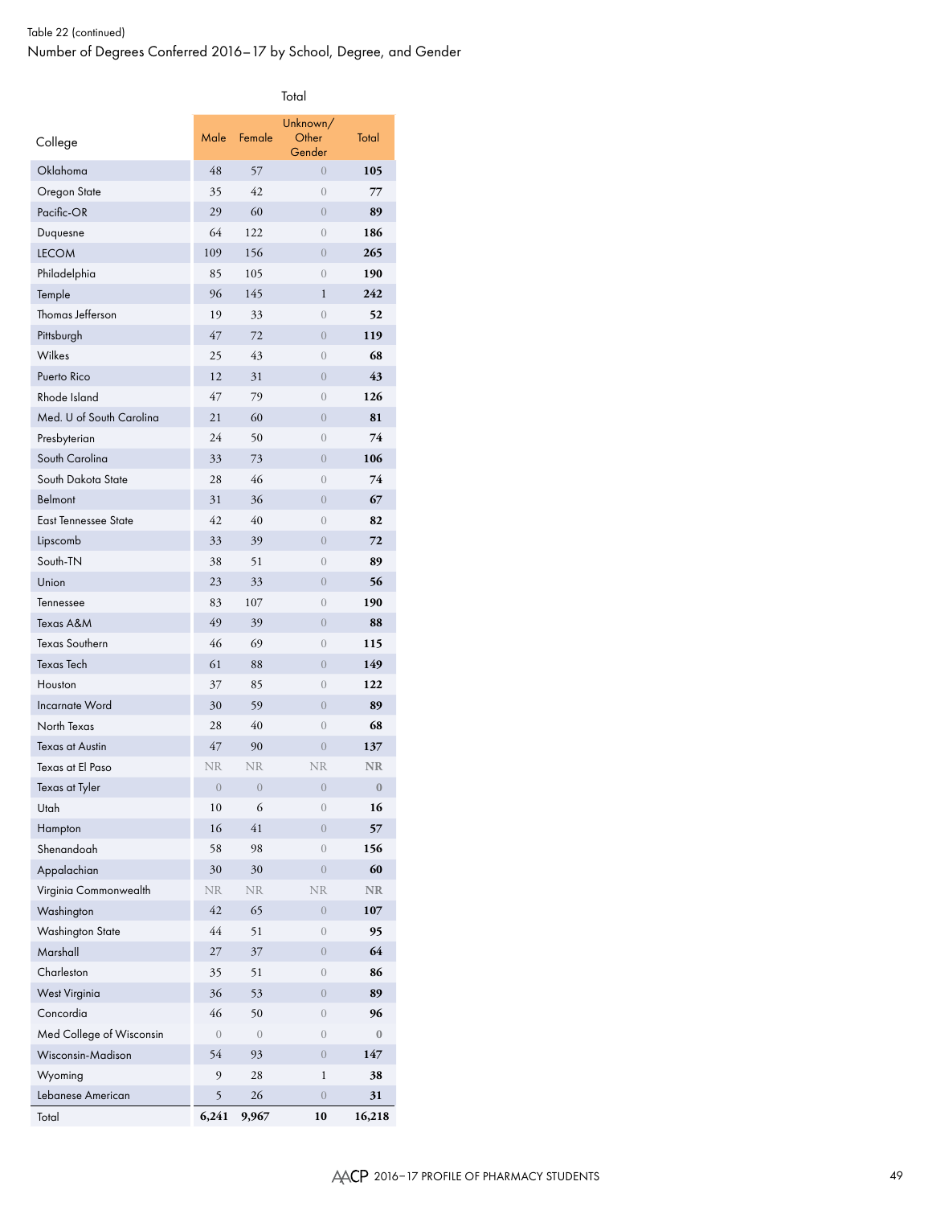Total

| College                     | Male       | Female       | Unknown/<br>Other<br>Gender | Total          |
|-----------------------------|------------|--------------|-----------------------------|----------------|
| Oklahoma                    | 48         | 57           | $\left($                    | 105            |
| Oregon State                | 35         | 42           | $\left( \right)$            | 77             |
| Pacific-OR                  | 29         | 60           | $\overline{0}$              | 89             |
| Duquesne                    | 64         | 122          | $\overline{0}$              | 186            |
| <b>LECOM</b>                | 109        | 156          | $\overline{0}$              | 265            |
| Philadelphia                | 85         | 105          | $\overline{0}$              | 190            |
| Temple                      | 96         | 145          | $\mathbf{1}$                | 242            |
| Thomas Jefferson            | 19         | 33           | $\overline{0}$              | 52             |
| Pittsburgh                  | 47         | 72           | $\overline{0}$              | 119            |
| Wilkes                      | 25         | 43           | $\overline{0}$              | 68             |
| Puerto Rico                 | 12         | 31           | $\overline{0}$              | 43             |
| Rhode Island                | 47         | 79           | $\overline{0}$              | 126            |
| Med. U of South Carolina    | 21         | 60           | $\overline{0}$              | 81             |
| Presbyterian                | 24         | 50           | $\overline{0}$              | 74             |
| South Carolina              | 33         | 73           | $\overline{0}$              | 106            |
| South Dakota State          | 28         | 46           | $\overline{0}$              | 74             |
| Belmont                     | 31         | 36           | $\overline{0}$              | 67             |
| <b>East Tennessee State</b> | 42         | 40           | $\overline{0}$              | 82             |
| Lipscomb                    | 33         | 39           | $\overline{0}$              | 72             |
| South-TN                    | 38         | 51           | $\mathbf{0}$                | 89             |
| Union                       | 23         | 33           | $\overline{0}$              | 56             |
| Tennessee                   | 83         | 107          | $\overline{0}$              | 190            |
| Texas A&M                   | 49         | 39           | $\overline{0}$              | 88             |
| <b>Texas Southern</b>       | 46         | 69           | $\overline{0}$              | 115            |
| <b>Texas Tech</b>           | 61         | 88           | $\overline{0}$              | 149            |
| Houston                     | 37         | 85           | $\overline{0}$              | 122            |
| <b>Incarnate Word</b>       | 30         | 59           | $\overline{0}$              | 89             |
| North Texas                 | 28         | 40           | $\overline{0}$              | 68             |
| <b>Texas at Austin</b>      | 47         | 90           | $\overline{0}$              | 137            |
| Texas at El Paso            | <b>NR</b>  | <b>NR</b>    | <b>NR</b>                   | <b>NR</b>      |
| Texas at Tyler              | $\theta$   | $\theta$     | $\theta$                    | $\bf{0}$       |
| Utah                        | 10         | 6            | $\mathbf{0}$                | 16             |
| Hampton                     | 16         | 41           | $\overline{0}$              | 57             |
| Shenandoah                  | 58         | 98           | $\overline{0}$              | 156            |
| Appalachian                 | 30         | 30           | $\overline{0}$              | 60             |
| Virginia Commonwealth       | <b>NR</b>  | <b>NR</b>    | <b>NR</b>                   | $\rm NR$       |
| Washington                  | 42         | 65           | $\overline{0}$              | 107            |
| <b>Washington State</b>     | 44         | 51           | $\overline{0}$              | 95             |
| Marshall                    | 27         | 37           | $\overline{0}$              | 64             |
| Charleston                  | 35         | 51           | $\overline{0}$              | 86             |
| <b>West Virginia</b>        | 36         | 53           | $\overline{0}$              | 89             |
| Concordia                   | 46         | 50           | $\overline{0}$              | 96             |
| Med College of Wisconsin    | $\sqrt{a}$ | $\mathbf{0}$ | $\overline{0}$              | $\overline{0}$ |
| Wisconsin-Madison           | 54         | 93           | $\overline{0}$              | 147            |
| Wyoming                     | 9          | 28           | 1                           | 38             |
| Lebanese American           | 5          | 26           | $\overline{0}$              | 31             |
| Total                       | 6,241      | 9,967        | 10                          | 16,218         |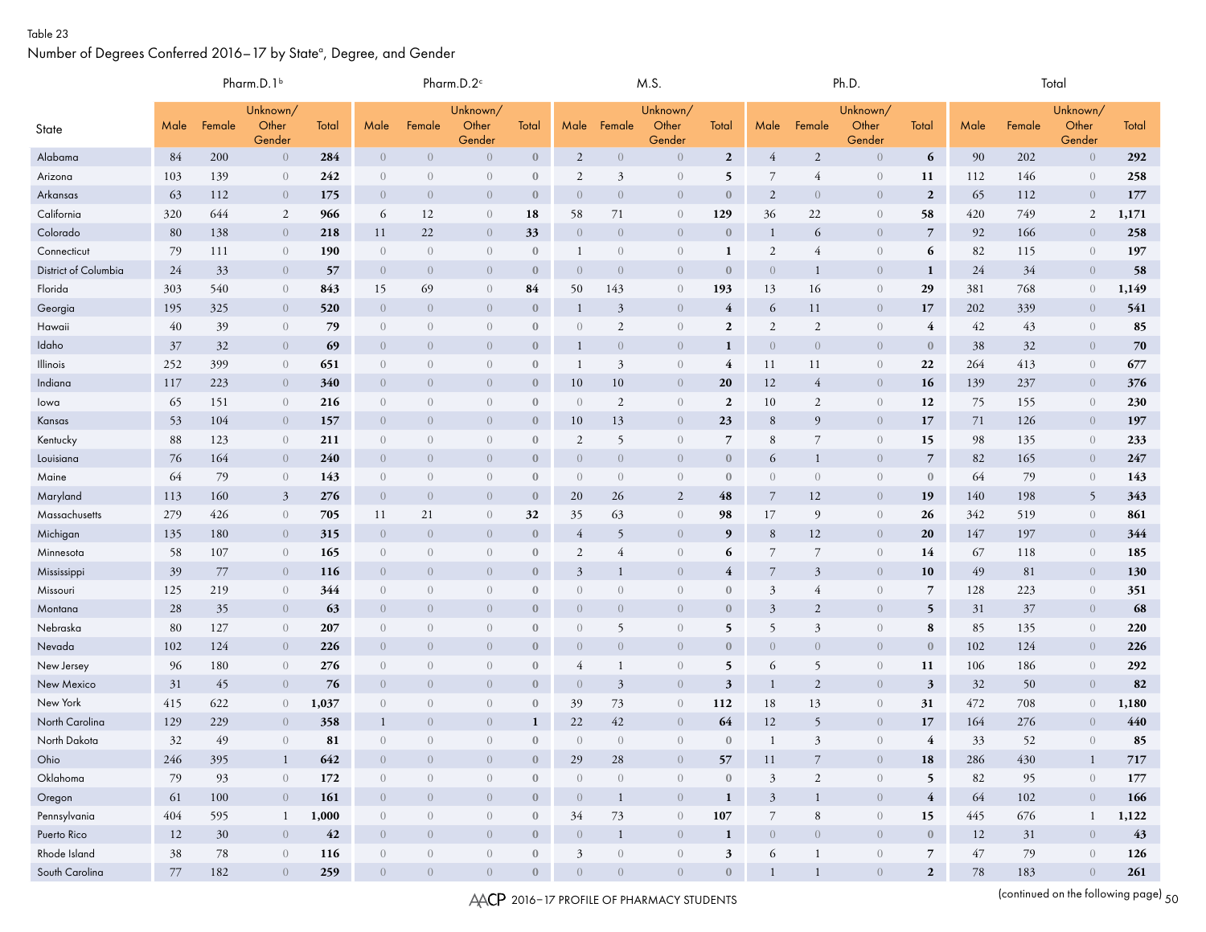#### Table 23

Number of Degrees Conferred 2016–17 by State<sup>a</sup>, Degree, and Gender

|                      | Pharm.D.1 <sup>b</sup> |        |                             |       |                  | Pharm.D.2 <sup>c</sup> |                             |              |                |                | M.S.                        |                  |                | Ph.D.          |                             |                  |        | Total   |                             |         |  |
|----------------------|------------------------|--------|-----------------------------|-------|------------------|------------------------|-----------------------------|--------------|----------------|----------------|-----------------------------|------------------|----------------|----------------|-----------------------------|------------------|--------|---------|-----------------------------|---------|--|
| State                | Male                   | Female | Unknown/<br>Other<br>Gender | Total | Male             | Female                 | Unknown/<br>Other<br>Gender | Total        |                | Male Female    | Unknown/<br>Other<br>Gender | Total            | Male           | Female         | Unknown/<br>Other<br>Gender | Total            | Male   | Female  | Unknown/<br>Other<br>Gender | Total   |  |
| Alabama              | 84                     | 200    | $\overline{0}$              | 284   | $\overline{0}$   | $\overline{0}$         | $\overline{0}$              | $\mathbf{0}$ | $\overline{2}$ | $\overline{0}$ | $\overline{0}$              | $\boldsymbol{2}$ | 4              | $\overline{2}$ | $\overline{0}$              | 6                | 90     | 202     | $\overline{0}$              | 292     |  |
| Arizona              | 103                    | 139    | $\overline{0}$              | 242   | $\overline{0}$   | $\overline{0}$         | $\left( \right)$            | $\mathbf{0}$ | $\overline{2}$ | 3              | $\overline{0}$              | 5                | 7              | $\overline{4}$ | $\overline{0}$              | 11               | 112    | 146     | $\left( \right)$            | 258     |  |
| Arkansas             | 63                     | 112    | $\overline{0}$              | 175   | $\overline{0}$   | $\overline{0}$         | $\overline{0}$              | $\mathbf{0}$ | $\overline{0}$ | $\overline{0}$ | $\overline{0}$              | $\bf{0}$         | 2              | $\overline{0}$ | $\overline{0}$              | $\overline{2}$   | 65     | 112     | $\overline{0}$              | 177     |  |
| California           | 320                    | 644    | 2                           | 966   | 6                | 12                     | $\theta$                    | 18           | 58             | 71             | $\overline{0}$              | 129              | 36             | 22             | $\overline{0}$              | 58               | 420    | 749     | $\overline{2}$              | 1,171   |  |
| Colorado             | 80                     | 138    | $\overline{0}$              | 218   | 11               | 22                     | $\overline{0}$              | 33           | $\overline{0}$ | $\overline{0}$ | $\overline{0}$              | $\bf{0}$         |                | 6              | $\overline{0}$              | $\overline{7}$   | 92     | 166     | $\overline{0}$              | 258     |  |
| Connecticut          | 79                     | 111    | $\overline{0}$              | 190   | $\overline{0}$   | $\overline{0}$         | $\overline{0}$              | $\mathbf{0}$ | -1             | $\overline{0}$ | $\overline{0}$              | 1                | $\mathfrak{2}$ | $\overline{4}$ | $\theta$                    | 6                | 82     | 115     | $\overline{0}$              | 197     |  |
| District of Columbia | 24                     | 33     | $\overline{0}$              | 57    | $\overline{0}$   | $\overline{0}$         | $\overline{0}$              | $\mathbf{0}$ | $\overline{0}$ | $\overline{0}$ | $\overline{0}$              | $\bf{0}$         | $\overline{0}$ |                | $\overline{0}$              | 1                | 24     | 34      | $\overline{0}$              | 58      |  |
| Florida              | 303                    | 540    | $\overline{0}$              | 843   | 15               | 69                     | $\overline{0}$              | 84           | 50             | 143            | $\overline{0}$              | 193              | 13             | 16             | $\theta$                    | 29               | 381    | 768     | $\overline{0}$              | 1,149   |  |
| Georgia              | 195                    | 325    | $\overline{0}$              | 520   | $\overline{0}$   | $\overline{0}$         | $\overline{0}$              | $\mathbf{0}$ | -1             | 3              | $\overline{0}$              | $\overline{4}$   | 6              | 11             | $\overline{0}$              | 17               | 202    | 339     | $\overline{0}$              | 541     |  |
| Hawaii               | 40                     | 39     | $\overline{0}$              | 79    | $\overline{0}$   | $\overline{0}$         | $\overline{0}$              | $\mathbf{0}$ | $\overline{0}$ | 2              | $\overline{0}$              | $\boldsymbol{2}$ | $\overline{2}$ | $\overline{2}$ | $\overline{0}$              | $\overline{4}$   | 42     | 43      | $\left( \right)$            | 85      |  |
| Idaho                | 37                     | 32     | $\overline{0}$              | 69    | $\overline{0}$   | $\overline{0}$         | $\overline{0}$              | $\mathbf{0}$ | -1             | $\overline{0}$ | $\overline{0}$              | $\mathbf{1}$     | $\overline{0}$ | $\overline{0}$ | $\overline{0}$              | $\bf{0}$         | 38     | 32      | $\overline{0}$              | 70      |  |
| Illinois             | 252                    | 399    | $\overline{0}$              | 651   | $\overline{0}$   | $\overline{0}$         | $\overline{0}$              | $\mathbf{0}$ | -1             | 3              | $\overline{0}$              | 4                | 11             | 11             | $\mathbf{0}$                | 22               | 264    | 413     | $\overline{0}$              | 677     |  |
| Indiana              | 117                    | 223    | $\overline{0}$              | 340   | $\overline{0}$   | $\overline{0}$         | $\overline{0}$              | $\mathbf{0}$ | 10             | 10             | $\overline{0}$              | <b>20</b>        | 12             | 4              | $\overline{0}$              | 16               | 139    | 237     | $\overline{0}$              | 376     |  |
| lowa                 | 65                     | 151    | $\overline{0}$              | 216   | $\overline{0}$   | $\overline{0}$         | $\overline{0}$              | $\mathbf{0}$ | $\overline{0}$ | 2              | $\overline{0}$              | $\boldsymbol{2}$ | 10             | 2              | $\overline{0}$              | 12               | 75     | 155     | $\overline{0}$              | 230     |  |
| Kansas               | 53                     | 104    | $\overline{0}$              | 157   | $\overline{0}$   | $\overline{0}$         | $\overline{0}$              | $\mathbf{0}$ | 10             | 13             | $\overline{0}$              | 23               | 8              | 9              | $\overline{0}$              | 17               | 71     | 126     | $\overline{0}$              | 197     |  |
| Kentucky             | 88                     | 123    | $\overline{0}$              | 211   | $\overline{0}$   | $\overline{0}$         | $\left( \right)$            | $\mathbf{0}$ | $\overline{2}$ | 5              | $\overline{0}$              | 7                | 8              | 7              | $\overline{0}$              | 15               | 98     | 135     | $\left( \right)$            | 233     |  |
| Louisiana            | 76                     | 164    | $\overline{0}$              | 240   | $\overline{0}$   | $\overline{0}$         | $\overline{0}$              | $\mathbf{0}$ | $\theta$       | $\overline{0}$ | $\overline{0}$              | $\bf{0}$         | 6              | 1              | $\overline{0}$              | $\overline{7}$   | 82     | 165     | $\overline{0}$              | 247     |  |
| Maine                | 64                     | 79     | $\overline{0}$              | 143   | $\overline{0}$   | $\overline{0}$         | $\overline{0}$              | $\mathbf{0}$ | $\overline{0}$ | $\overline{0}$ | $\overline{0}$              | $\bf{0}$         | $\overline{0}$ | $\overline{0}$ | $\theta$                    | $\mathbf{0}$     | 64     | 79      | $\overline{0}$              | 143     |  |
| Maryland             | 113                    | 160    | $\mathbf{3}$                | 276   | $\overline{0}$   | $\overline{0}$         | $\overline{0}$              | $\mathbf{0}$ | 20             | 26             | 2                           | 48               | 7              | 12             | $\overline{0}$              | 19               | 140    | 198     | 5                           | 343     |  |
| Massachusetts        | 279                    | 426    | $\overline{0}$              | 705   | 11               | 21                     | $\left( \right)$            | 32           | 35             | 63             | $\overline{0}$              | 98               | 17             | 9              | $\overline{0}$              | 26               | 342    | 519     | $\left( \right)$            | 861     |  |
| Michigan             | 135                    | 180    | $\overline{0}$              | 315   | $\overline{0}$   | $\overline{0}$         | $\overline{0}$              | $\mathbf{0}$ | $\overline{4}$ | 5              | $\overline{0}$              | 9                | 8              | 12             | $\overline{0}$              | 20               | 147    | 197     | $\overline{0}$              | 344     |  |
| Minnesota            | 58                     | 107    | $\overline{0}$              | 165   | $\overline{0}$   | $\overline{0}$         | $\overline{0}$              | $\bf{0}$     | 2              | 4              | $\overline{0}$              | 6                | 7              | $\overline{7}$ | $\theta$                    | 14               | 67     | 118     | $\overline{0}$              | 185     |  |
| Mississippi          | 39                     | 77     | $\overline{0}$              | 116   | $\overline{0}$   | $\overline{0}$         | $\overline{0}$              | $\mathbf{0}$ | $\mathfrak{Z}$ |                | $\overline{0}$              | 4                | 7              | 3              | $\overline{0}$              | 10               | 49     | 81      | $\overline{0}$              | 130     |  |
| Missouri             | 125                    | 219    | $\overline{0}$              | 344   | $\overline{0}$   | $\overline{0}$         | $\overline{0}$              | $\mathbf{0}$ | $\overline{0}$ | $\overline{0}$ | $\overline{0}$              | $\bf{0}$         | 3              | 4              | $\overline{0}$              | $\overline{7}$   | 128    | 223     | $\overline{0}$              | 351     |  |
| Montana              | 28                     | 35     | $\overline{0}$              | 63    | $\overline{0}$   | $\overline{0}$         | $\overline{0}$              | $\mathbf{0}$ | $\overline{0}$ | $\overline{0}$ | $\overline{0}$              | $\bf{0}$         | 3              | 2              | $\overline{0}$              | 5                | 31     | 37      | $\overline{0}$              | 68      |  |
| Nebraska             | 80                     | 127    | $\overline{0}$              | 207   | $\overline{0}$   | $\overline{0}$         | $\sqrt{a}$                  | $\mathbf{0}$ | $\overline{0}$ | 5              | $\overline{0}$              | 5                | 5              | 3              | $\boldsymbol{0}$            | 8                | 85     | 135     | $\overline{0}$              | 220     |  |
| Nevada               | 102                    | 124    | $\overline{0}$              | 226   | $\overline{0}$   | $\overline{0}$         | $\overline{0}$              | $\mathbf{0}$ | $\overline{0}$ | $\overline{0}$ | $\overline{0}$              | $\mathbf{0}$     | $\overline{0}$ | $\overline{0}$ | $\overline{0}$              | $\mathbf{0}$     | 102    | 124     | $\overline{0}$              | 226     |  |
| New Jersey           | 96                     | 180    | $\overline{0}$              | 276   | $\overline{0}$   | $\overline{0}$         | $\sqrt{a}$                  | $\mathbf{0}$ | 4              |                | $\overline{0}$              | 5                | 6              | 5              | $\overline{0}$              | 11               | 106    | 186     | $\left( \right)$            | 292     |  |
| New Mexico           | 31                     | 45     | $\overline{0}$              | 76    | $\overline{0}$   | $\overline{0}$         | $\overline{0}$              | $\mathbf{0}$ | $\overline{0}$ | 3              | $\overline{0}$              | 3                | 1              | $\overline{2}$ | $\overline{0}$              | $\mathbf{3}$     | 32     | 50      | $\overline{0}$              | 82      |  |
| New York             | 415                    | 622    | $\theta$                    | 1,037 | $\overline{0}$   | $\overline{0}$         | $\overline{0}$              | $\bf{0}$     | 39             | 73             | $\overline{0}$              | 112              | 18             | 13             | $\overline{0}$              | 31               | 472    | 708     | $\overline{0}$              | 1,180   |  |
| North Carolina       | 129                    | 229    | $\overline{0}$              | 358   |                  | $\overline{0}$         | $\overline{0}$              | 1            | 22             | 42             | $\overline{0}$              | 64               | 12             | 5              | $\overline{0}$              | 17               | 164    | 276     | $\overline{0}$              | 440     |  |
| North Dakota         | 32                     | 49     | $\overline{0}$              | 81    | $\overline{0}$   | $\overline{0}$         | $\overline{0}$              | $\mathbf{0}$ | $\overline{0}$ | $\overline{0}$ | $\overline{0}$              | $\bf{0}$         | 1              | $\overline{3}$ | $\overline{0}$              | 4                | 33     | 52      | $\overline{0}$              | 85      |  |
| Ohio                 | 246                    | 395    | $\mathbf{1}$                | 642   | $\overline{0}$   | $\bigcap$              | $\bigcap$                   | $\mathbf{0}$ | 29             | 28             | ()                          | 57               | 11             | $\overline{7}$ | $\Omega$                    | 18               | 286    | $430\,$ | $\mathbf{1}$                | $717\,$ |  |
| Oklahoma             | 79                     | 93     | $\theta$                    | 172   | $\theta$         | $\overline{0}$         | $\overline{0}$              | $\mathbf{0}$ | $\theta$       | $\overline{0}$ | $\theta$                    | $\boldsymbol{0}$ | $\mathfrak{Z}$ | $\overline{c}$ | $\theta$                    | 5                | 82     | 95      | $\sqrt{a}$                  | 177     |  |
| Oregon               | 61                     | 100    | $\overline{0}$              | 161   | $\overline{0}$   | $\overline{0}$         | $\overline{0}$              | $\mathbf{0}$ | $\overline{0}$ | $\mathbf{1}$   | $\overline{0}$              | $\mathbf{1}$     | $\mathfrak{Z}$ | $\mathbf{1}$   | $\overline{0}$              | $\overline{4}$   | 64     | $102\,$ | $\overline{0}$              | 166     |  |
| Pennsylvania         | 404                    | 595    | $\mathbf{1}$                | 1,000 | $\overline{0}$   | $\theta$               | $\sqrt{ }$                  | $\mathbf{0}$ | 34             | 73             | $\theta$                    | 107              | 7              | 8              | $\overline{0}$              | 15               | 445    | 676     | $\mathbf{1}$                | 1,122   |  |
| Puerto Rico          | 12                     | $30\,$ | $\sqrt{a}$                  | 42    | $\overline{0}$   | $\overline{0}$         | $\overline{0}$              | $\mathbf{0}$ | $\overline{0}$ | $\mathbf{1}$   | $\overline{0}$              | $\mathbf{1}$     | $\overline{0}$ | $\overline{0}$ | $\overline{0}$              | $\boldsymbol{0}$ | 12     | $31\,$  | $\overline{0}$              | 43      |  |
| Rhode Island         | 38                     | 78     | $\theta$                    | 116   | $\left( \right)$ | $\theta$               | $\sqrt{ }$                  | $\mathbf{0}$ | $\mathfrak{Z}$ | $\sqrt{ }$     | $\sqrt{ }$                  | $\mathfrak z$    | 6              | $\mathbf{1}$   | $\overline{0}$              | $\overline{7}$   | $47\,$ | 79      | $\sqrt{ }$                  | 126     |  |
| South Carolina       | 77                     | 182    | $\overline{0}$              | 259   | $\overline{0}$   | $\overline{0}$         | $\sqrt{ }$                  | $\mathbf{0}$ | $\overline{0}$ | $\overline{0}$ | $\overline{0}$              | $\mathbf{0}$     | $\mathbf{1}$   | $\mathbf{1}$   | $\overline{0}$              | $\overline{2}$   | $78\,$ | 183     | $\overline{0}$              | 261     |  |

AACP 2016-17 PROFILE OF PHARMACY STUDENTS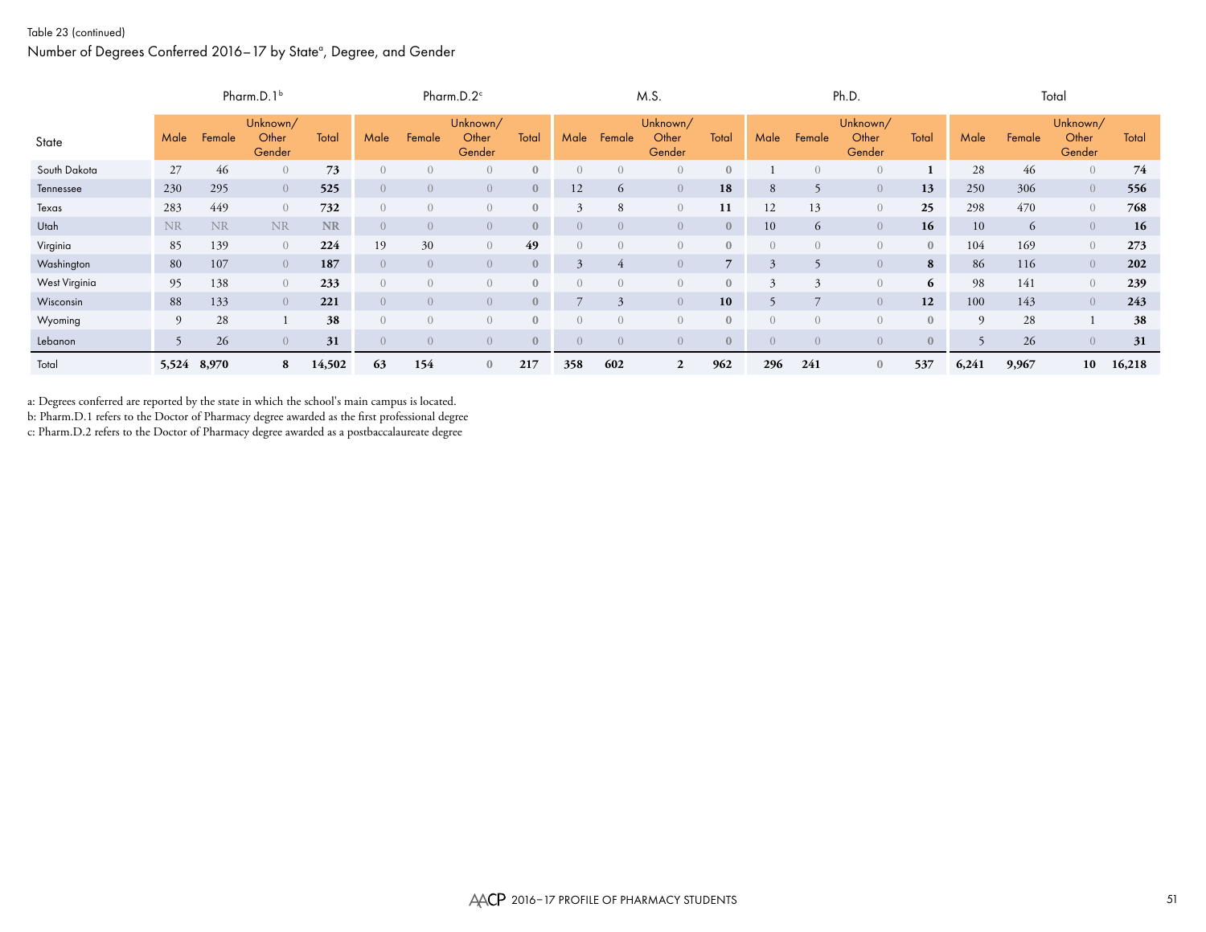#### Table 23 (continued)

#### Number of Degrees Conferred 2016–17 by State<sup>a</sup>, Degree, and Gender

|               |             |           | Pharm.D.1 $b$               |           | Pharm.D. $2^{\circ}$ |                |                             | M.S.         |                  |                  | Ph.D.                       |              |              |                | Total                       |              |          |        |                             |        |
|---------------|-------------|-----------|-----------------------------|-----------|----------------------|----------------|-----------------------------|--------------|------------------|------------------|-----------------------------|--------------|--------------|----------------|-----------------------------|--------------|----------|--------|-----------------------------|--------|
| State         | Male        | Female    | Unknown/<br>Other<br>Gender | Total     | Male                 | Female         | Unknown/<br>Other<br>Gender | Total        | Male             | Female           | Unknown/<br>Other<br>Gender | Total        | Male         | Female         | Unknown/<br>Other<br>Gender | Total        | Male     | Female | Unknown/<br>Other<br>Gender | Total  |
| South Dakota  | 27          | 46        | $\overline{0}$              | 73        | $\left( \right)$     | $\overline{0}$ | $\overline{0}$              | $\mathbf{0}$ | $\overline{0}$   | $\left( \right)$ | $\left( \right)$            | $\mathbf{0}$ |              |                | $\left( \right)$            |              | 28       | 46     | $\overline{0}$              | 74     |
| Tennessee     | 230         | 295       | $\overline{0}$              | 525       | $\overline{0}$       | $\overline{0}$ | $\overline{0}$              | $\mathbf{0}$ | 12               | $\sigma$         | $\overline{0}$              | 18           | 8            |                | $\overline{0}$              | 13           | 250      | 306    | $\overline{0}$              | 556    |
| Texas         | 283         | 449       | $\overline{0}$              | 732       | $\overline{0}$       | $\overline{0}$ | $\overline{0}$              | $\mathbf{0}$ | 3                | 8                | $\overline{0}$              | 11           | 12           | 13             | $\overline{0}$              | 25           | 298      | 470    | $\overline{0}$              | 768    |
| Utah          | <b>NR</b>   | <b>NR</b> | <b>NR</b>                   | <b>NR</b> | $\left( \right)$     | $\overline{0}$ | $\overline{0}$              | $\mathbf{0}$ | $\overline{0}$   | $\Omega$         | $\overline{0}$              | $\mathbf{0}$ | 10           | 6              | $\overline{0}$              | 16           | 10       | 6      | $\overline{0}$              | 16     |
| Virginia      | 85          | 139       | $\overline{0}$              | 224       | 19                   | 30             | $\overline{0}$              | 49           | $\overline{0}$   |                  | $\left( \right)$            | $\mathbf{0}$ |              |                | $\left( \right)$            | $\mathbf{0}$ | 104      | 169    | $\overline{0}$              | 273    |
| Washington    | 80          | 107       | $\overline{0}$              | 187       | $\left($             | $\overline{0}$ | $\overline{0}$              | $\mathbf{0}$ | 3                | 4                | $\overline{0}$              | $7^{\circ}$  | 3            |                | $\overline{0}$              | 8            | 86       | 116    | $\overline{0}$              | 202    |
| West Virginia | 95          | 138       | $\overline{0}$              | 233       | $\left( \right)$     | $\overline{0}$ | $\overline{0}$              | $\mathbf{0}$ | $\left( \right)$ | $\bigcap$        | $\overline{0}$              | $\mathbf{0}$ | $\mathbf{z}$ | $\mathbf{z}$   | $\overline{0}$              | 6            | 98       | 141    | $\overline{0}$              | 239    |
| Wisconsin     | 88          | 133       | $\overline{0}$              | 221       | $\overline{0}$       | $\overline{0}$ | $\overline{0}$              | $\mathbf{0}$ |                  |                  | $\overline{0}$              | 10           |              | $\overline{ }$ | $\overline{0}$              | 12           | 100      | 143    | $\overline{0}$              | 243    |
| Wyoming       | 9           | 28        |                             | 38        | $\left( \right)$     | $\overline{0}$ | $\overline{0}$              | $\mathbf{0}$ | $\left( \right)$ | $\Omega$         | $\overline{0}$              | $\mathbf{0}$ |              |                | $\overline{0}$              | $\mathbf{0}$ | $\Omega$ | 28     |                             | 38     |
| Lebanon       |             | 26        | $\overline{0}$              | 31        | $\overline{0}$       | $\overline{0}$ | $\overline{0}$              | $\mathbf{0}$ | $\overline{0}$   | $\overline{0}$   | $\overline{0}$              | $\mathbf{0}$ | $\Omega$     | $\cup$         | $\overline{0}$              | $\mathbf{0}$ |          | 26     | $\overline{0}$              | 31     |
| Total         | 5,524 8,970 |           | 8                           | 14,502    | 63                   | 154            | $\mathbf{0}$                | 217          | 358              | 602              | $\overline{2}$              | 962          | 296          | 241            | $\mathbf{0}$                | 537          | 6,241    | 9,967  | 10                          | 16,218 |

a: Degrees conferred are reported by the state in which the school's main campus is located.

b: Pharm.D.1 refers to the Doctor of Pharmacy degree awarded as the first professional degree

c: Pharm.D.2 refers to the Doctor of Pharmacy degree awarded as a postbaccalaureate degree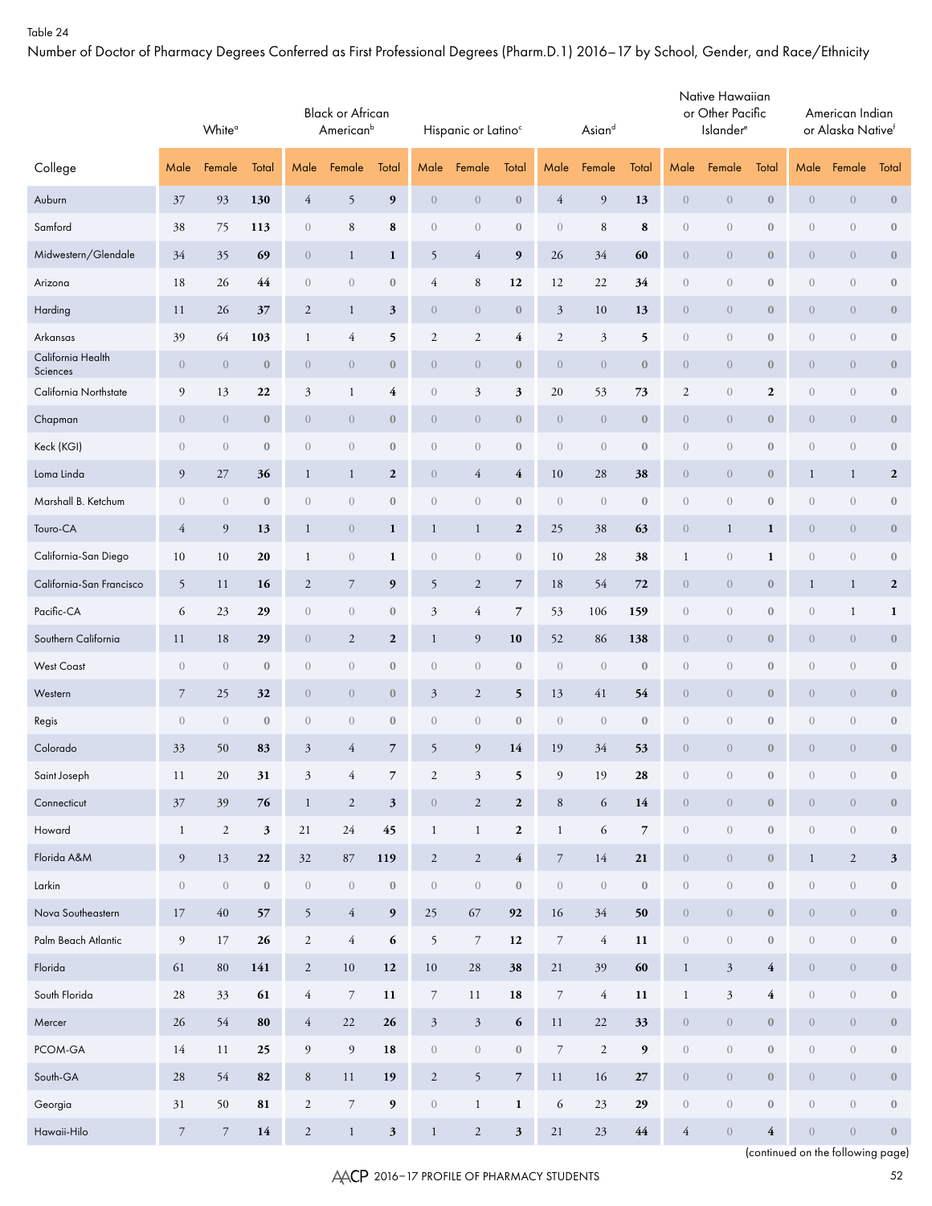Number of Doctor of Pharmacy Degrees Conferred as First Professional Degrees (Pharm.D.1) 2016–17 by School, Gender, and Race/Ethnicity

|                               |                  | White <sup>a</sup> |                  | <b>Black or African</b><br>American <sup>b</sup><br>Total<br>Male<br>Female |                  |                          |                      | Hispanic or Latino <sup>c</sup> |                          |                  | Asiand                         |                          |                  | Native Hawaiian<br>or Other Pacific<br>Islander <sup>e</sup> |                         |                | American Indian<br>or Alaska Nativef |                  |
|-------------------------------|------------------|--------------------|------------------|-----------------------------------------------------------------------------|------------------|--------------------------|----------------------|---------------------------------|--------------------------|------------------|--------------------------------|--------------------------|------------------|--------------------------------------------------------------|-------------------------|----------------|--------------------------------------|------------------|
| College                       | Male             | Female             | Total            |                                                                             |                  |                          | Male                 | Female                          | Total                    | Male             | Female                         | Total                    | Male             | Female                                                       | Total                   | Male           | Female                               | Total            |
| Auburn                        | 37               | 93                 | 130              | $\overline{4}$                                                              | 5                | 9                        | $\theta$             | $\overline{0}$                  | $\boldsymbol{0}$         | 4                | 9                              | 13                       | $\theta$         | $\overline{0}$                                               | $\bf{0}$                | $\overline{0}$ | $\overline{0}$                       | $\boldsymbol{0}$ |
| Samford                       | 38               | 75                 | 113              | $\overline{0}$                                                              | $\,$ 8 $\,$      | 8                        | $\sqrt{a}$           | $\boldsymbol{0}$                | $\boldsymbol{0}$         | $\mathbf{0}$     | 8                              | 8                        | $\boldsymbol{0}$ | $\mathbf{0}$                                                 | $\mathbf{0}$            | $\mathbf{0}$   | $\sqrt{0}$                           | $\boldsymbol{0}$ |
| Midwestern/Glendale           | 34               | 35                 | 69               | $\theta$                                                                    | $\mathbf{1}$     | 1                        | 5                    | $\overline{4}$                  | 9                        | 26               | 34                             | 60                       | $\boldsymbol{0}$ | $\theta$                                                     | $\boldsymbol{0}$        | $\theta$       | $\overline{0}$                       | $\boldsymbol{0}$ |
| Arizona                       | 18               | 26                 | 44               | $\overline{0}$                                                              | $\overline{0}$   | $\boldsymbol{0}$         | 4                    | $\,8\,$                         | 12                       | 12               | 22                             | 34                       | $\boldsymbol{0}$ | $\mathbf{0}$                                                 | $\boldsymbol{0}$        | $\overline{0}$ | $\theta$                             | $\boldsymbol{0}$ |
| Harding                       | 11               | 26                 | 37               | 2                                                                           | $\mathbf{1}$     | $\mathfrak{z}$           | $\theta$             | $\theta$                        | $\boldsymbol{0}$         | 3                | 10                             | 13                       | $\boldsymbol{0}$ | $\theta$                                                     | $\boldsymbol{0}$        | $\theta$       | $\overline{0}$                       | $\boldsymbol{0}$ |
| Arkansas                      | 39               | 64                 | 103              | $\mathbf{1}$                                                                | $\overline{4}$   | 5                        | $\sqrt{2}$           | $\sqrt{2}$                      | $\overline{4}$           | $\mathbf{2}$     | 3                              | 5                        | $\boldsymbol{0}$ | $\mathbf{0}$                                                 | $\boldsymbol{0}$        | $\overline{0}$ | $\sqrt{0}$                           | $\boldsymbol{0}$ |
| California Health<br>Sciences | $\theta$         | $\theta$           | $\boldsymbol{0}$ | $\theta$                                                                    | $\theta$         | $\bf{0}$                 | $\theta$             | $\theta$                        | $\boldsymbol{0}$         | $\theta$         | $\theta$                       | $\boldsymbol{0}$         | $\boldsymbol{0}$ | $\theta$                                                     | $\boldsymbol{0}$        | $\theta$       | $\overline{0}$                       | $\boldsymbol{0}$ |
| California Northstate         | 9                | 13                 | 22               | 3                                                                           | $\mathbf{1}$     | 4                        | $\sqrt{a}$           | $\mathfrak{Z}$                  | $\mathfrak z$            | 20               | 53                             | 73                       | $\mathfrak{2}$   | $\sqrt{0}$                                                   | $\boldsymbol{2}$        | $\sqrt{0}$     | $\theta$                             | $\boldsymbol{0}$ |
| Chapman                       | $\overline{0}$   | $\theta$           | $\boldsymbol{0}$ | $\theta$                                                                    | $\overline{0}$   | $\bf{0}$                 | $\theta$             | $\theta$                        | $\boldsymbol{0}$         | $\overline{0}$   | $\theta$                       | $\boldsymbol{0}$         | $\boldsymbol{0}$ | $\theta$                                                     | $\boldsymbol{0}$        | $\overline{0}$ | $\overline{0}$                       | $\boldsymbol{0}$ |
| Keck (KGI)                    | $\mathbf{0}$     | $\sqrt{a}$         | $\boldsymbol{0}$ | $\overline{0}$                                                              | $\overline{0}$   | $\boldsymbol{0}$         | $\sqrt{a}$           | $\theta$                        | $\boldsymbol{0}$         | $\boldsymbol{0}$ | $\sqrt{a}$                     | $\boldsymbol{0}$         | $\boldsymbol{0}$ | $\mathbf{0}$                                                 | $\boldsymbol{0}$        | $\sqrt{0}$     | $\sqrt{0}$                           | $\boldsymbol{0}$ |
| Loma Linda                    | 9                | 27                 | 36               | $\mathbf{1}$                                                                | $\mathbf{1}$     | $\boldsymbol{2}$         | $\theta$             | $\overline{4}$                  | $\overline{4}$           | 10               | 28                             | 38                       | $\boldsymbol{0}$ | $\theta$                                                     | $\boldsymbol{0}$        | $\mathbf{1}$   | $\mathbf{1}$                         | $\boldsymbol{2}$ |
| Marshall B. Ketchum           | $\boldsymbol{0}$ | $\sqrt{a}$         | $\boldsymbol{0}$ | $\overline{0}$                                                              | $\overline{0}$   | $\boldsymbol{0}$         | $\,0\,$              | $\theta$                        | $\boldsymbol{0}$         | $\overline{0}$   | $\mathbf{0}$                   | $\boldsymbol{0}$         | $\boldsymbol{0}$ | $\mathbf{0}$                                                 | $\boldsymbol{0}$        | $\sqrt{0}$     | $\sqrt{0}$                           | $\boldsymbol{0}$ |
| Touro-CA                      | $\overline{4}$   | 9                  | 13               | $\mathbf{1}$                                                                | $\overline{0}$   | 1                        | $\mathbf{1}$         | $\mathbf{1}$                    | $\boldsymbol{2}$         | 25               | 38                             | 63                       | $\boldsymbol{0}$ | $\mathbf{1}$                                                 | 1                       | $\overline{0}$ | $\theta$                             | $\boldsymbol{0}$ |
| California-San Diego          | 10               | 10                 | 20               | $\mathbf{1}$                                                                | $\theta$         | 1                        | $\sqrt{a}$           | $\theta$                        | $\boldsymbol{0}$         | 10               | 28                             | 38                       | $\mathbf{1}$     | $\overline{0}$                                               | $\mathbf{1}$            | $\sqrt{0}$     | $\theta$                             | $\boldsymbol{0}$ |
| California-San Francisco      | 5                | 11                 | 16               | $\overline{2}$                                                              | $\overline{7}$   | 9                        | 5                    | $\sqrt{2}$                      | $\overline{7}$           | 18               | 54                             | 72                       | $\overline{0}$   | $\overline{0}$                                               | $\bf{0}$                | $\mathbf{1}$   | $\mathbf{1}$                         | $\overline{2}$   |
| Pacific-CA                    | 6                | 23                 | 29               | $\overline{0}$                                                              | $\theta$         | $\boldsymbol{0}$         | $\mathfrak{Z}$       | $\overline{4}$                  | $\overline{7}$           | 53               | 106                            | 159                      | $\boldsymbol{0}$ | $\mathbf{0}$                                                 | $\boldsymbol{0}$        | $\sqrt{0}$     | $\mathbf{1}$                         | 1                |
| Southern California           | 11               | 18                 | 29               | $\theta$                                                                    | 2                | $\boldsymbol{2}$         | $\mathbf{1}$         | $\overline{9}$                  | 10                       | 52               | 86                             | 138                      | $\boldsymbol{0}$ | $\overline{0}$                                               | $\boldsymbol{0}$        | $\theta$       | $\theta$                             | $\boldsymbol{0}$ |
| <b>West Coast</b>             | $\theta$         | $\sqrt{a}$         | $\boldsymbol{0}$ | $\overline{0}$                                                              | $\overline{0}$   | $\boldsymbol{0}$         | $\sqrt{a}$           | $\theta$                        | $\boldsymbol{0}$         | $\overline{0}$   | $\mathbf{0}$                   | $\boldsymbol{0}$         | $\boldsymbol{0}$ | $\mathbf{0}$                                                 | $\boldsymbol{0}$        | $\overline{0}$ | $\sqrt{0}$                           | $\boldsymbol{0}$ |
| Western                       | $\overline{7}$   | 25                 | 32               | $\theta$                                                                    | $\overline{0}$   | $\bf{0}$                 | $\mathfrak{Z}$       | $\overline{2}$                  | 5                        | 13               | 41                             | 54                       | $\boldsymbol{0}$ | $\overline{0}$                                               | $\bf{0}$                | $\overline{0}$ | $\overline{0}$                       | $\boldsymbol{0}$ |
| Regis                         | $\mathbf{0}$     | $\overline{0}$     | $\bf{0}$         | $\theta$                                                                    | $\theta$         | $\bf{0}$                 | $\sqrt{a}$           | $\theta$                        | $\mathbf{0}$             | $\mathbf{0}$     | $\boldsymbol{0}$               | $\boldsymbol{0}$         | $\boldsymbol{0}$ | $\mathbf{0}$                                                 | $\boldsymbol{0}$        | $\theta$       | $\sqrt{0}$                           | $\boldsymbol{0}$ |
| Colorado                      | 33               | 50                 | 83               | $\mathfrak{Z}$                                                              | $\overline{4}$   | $\overline{7}$           | 5                    | 9                               | 14                       | 19               | 34                             | 53                       | $\overline{0}$   | $\overline{0}$                                               | $\bf{0}$                | $\overline{0}$ | $\overline{0}$                       | $\mathbf{0}$     |
| Saint Joseph                  | 11               | $20\,$             | 31               | $\overline{\mathbf{3}}$                                                     | $\overline{4}$   | $\overline{\phantom{a}}$ | $\sqrt{2}$           | $\sqrt{3}$                      | 5                        | $\boldsymbol{9}$ | 19                             | ${\bf 28}$               | $\boldsymbol{0}$ | $\,0\,$                                                      | $\boldsymbol{0}$        | $\,0\,$        | $\left\langle {}\right\rangle$       | $\boldsymbol{0}$ |
| Connecticut                   | $37\,$           | 39                 | $76$             | $\mathbf{1}$                                                                | $\sqrt{2}$       | $\mathbf{3}$             | $\,0\,$              | $\sqrt{2}$                      | $\boldsymbol{2}$         | $\,8\,$          | $\sqrt{6}$                     | 14                       | $\sqrt{0}$       | $\sqrt{0}$                                                   | $\bf 0$                 | $\sqrt{0}$     | $\sqrt{0}$                           | $\boldsymbol{0}$ |
| Howard                        | $\mathbf{1}$     | $\sqrt{2}$         | $\sqrt{3}$       | $21\,$                                                                      | $24\,$           | 45                       | $\mathbf{1}$         | $\mathbf{1}$                    | $\boldsymbol{2}$         | $\mathbf{1}$     | 6                              | $\overline{\phantom{a}}$ | $\boldsymbol{0}$ | $\boldsymbol{0}$                                             | $\boldsymbol{0}$        | $\,0\,$        | $\bf 0$                              | $\boldsymbol{0}$ |
| Florida A&M                   | $\overline{9}$   | 13                 | $22\,$           | 32                                                                          | 87               | 119                      | $\sqrt{2}$           | $\sqrt{2}$                      | $\overline{\mathbf{4}}$  | $\boldsymbol{7}$ | 14                             | 21                       | $\overline{0}$   | $\sqrt{0}$                                                   | $\mathbf{0}$            | $\mathbf{1}$   | $\overline{2}$                       | $\mathbf{3}$     |
| ${\sf L}$                     | $\boldsymbol{0}$ | $\left( \right)$   | $\boldsymbol{0}$ | $\,0\,$                                                                     | $\,0\,$          | $\boldsymbol{0}$         | $\,0\,$              | $\left\langle {}\right\rangle$  | $\boldsymbol{0}$         | $\boldsymbol{0}$ | $\left\langle {}\right\rangle$ | $\boldsymbol{0}$         | $\boldsymbol{0}$ | $\,0\,$                                                      | $\boldsymbol{0}$        | $\,0\,$        | $\bf 0$                              | $\boldsymbol{0}$ |
| Nova Southeastern             | 17               | $40\,$             | 57               | $\overline{5}$                                                              | $\overline{4}$   | $\boldsymbol{9}$         | $25\,$               | 67                              | 92                       | 16               | $34\,$                         | 50                       | $\overline{0}$   | $\sqrt{a}$                                                   | $\mathbf{0}$            | $\theta$       | $\sqrt{ }$                           | $\boldsymbol{0}$ |
| Palm Beach Atlantic           | $\boldsymbol{9}$ | $17\,$             | 26               | $\overline{2}$                                                              | $\overline{4}$   | $\boldsymbol{6}$         | $\mathfrak{S}$       | $\boldsymbol{7}$                | 12                       | $\boldsymbol{7}$ | $\overline{4}$                 | 11                       | $\boldsymbol{0}$ | $\boldsymbol{0}$                                             | $\boldsymbol{0}$        | $\,0\,$        | $\,0\,$                              | $\boldsymbol{0}$ |
| Florida                       | 61               | $80\,$             | 141              | $\overline{2}$                                                              | 10               | 12                       | $10\,$               | 28                              | 38                       | 21               | 39                             | 60                       | $\,1$            | $\mathfrak{Z}$                                               | $\overline{4}$          | $\theta$       | $\sqrt{ }$                           | $\boldsymbol{0}$ |
| South Florida                 | $28\,$           | 33                 | 61               | $\overline{4}$                                                              | $\boldsymbol{7}$ | 11                       | $\boldsymbol{7}$     | 11                              | 18                       | $\boldsymbol{7}$ | $\overline{4}$                 | 11                       | $\mathbf{1}$     | $\mathfrak{Z}$                                               | $\overline{\mathbf{4}}$ | $\,0\,$        | $\,0\,$                              | $\boldsymbol{0}$ |
| Mercer                        | 26               | 54                 | ${\bf 80}$       | $\overline{4}$                                                              | 22               | 26                       | $\boldsymbol{\beta}$ | $\sqrt{3}$                      | $\boldsymbol{6}$         | 11               | 22                             | 33                       | $\boldsymbol{0}$ | $\sqrt{a}$                                                   | $\boldsymbol{0}$        | $\sqrt{0}$     | $\sqrt{ }$                           | $\boldsymbol{0}$ |
| PCOM-GA                       | 14               | 11                 | 25               | $\overline{9}$                                                              | $\boldsymbol{9}$ | 18                       | $\,0\,$              | $\left\langle {}\right\rangle$  | $\boldsymbol{0}$         | $\boldsymbol{7}$ | $\sqrt{2}$                     | $\boldsymbol{9}$         | $\boldsymbol{0}$ | $\boldsymbol{0}$                                             | $\boldsymbol{0}$        | $\,0\,$        | $\,0\,$                              | $\boldsymbol{0}$ |
| South-GA                      | $28\,$           | 54                 | 82               | $\,8\,$                                                                     | 11               | 19                       | $\sqrt{2}$           | $\mathfrak{H}$                  | $\overline{\phantom{a}}$ | 11               | 16                             | 27                       | $\boldsymbol{0}$ | $\sqrt{0}$                                                   | $\boldsymbol{0}$        | $\sqrt{0}$     | $\sqrt{ }$                           | $\boldsymbol{0}$ |
| Georgia                       | 31               | 50                 | ${\bf 81}$       | $\overline{2}$                                                              | $\boldsymbol{7}$ | 9                        | $\,0\,$              | $\mathbf{1}$                    | 1                        | 6                | 23                             | 29                       | $\boldsymbol{0}$ | $\boldsymbol{0}$                                             | $\boldsymbol{0}$        | $\,0\,$        | $\,0\,$                              | $\boldsymbol{0}$ |
| Hawaii-Hilo                   | $\boldsymbol{7}$ | $\boldsymbol{7}$   | ${\bf 14}$       | $\mathbf{2}$                                                                | $\mathbf{1}$     | 3 <sup>1</sup>           | $\,1$                | $\sqrt{2}$                      | $\mathbf{3}$             | $21\,$           | 23                             | $\bf 44$                 | $\overline{4}$   | $\boldsymbol{0}$                                             | $\overline{\mathbf{4}}$ | $\,0\,$        | $\sqrt{ }$                           | $\boldsymbol{0}$ |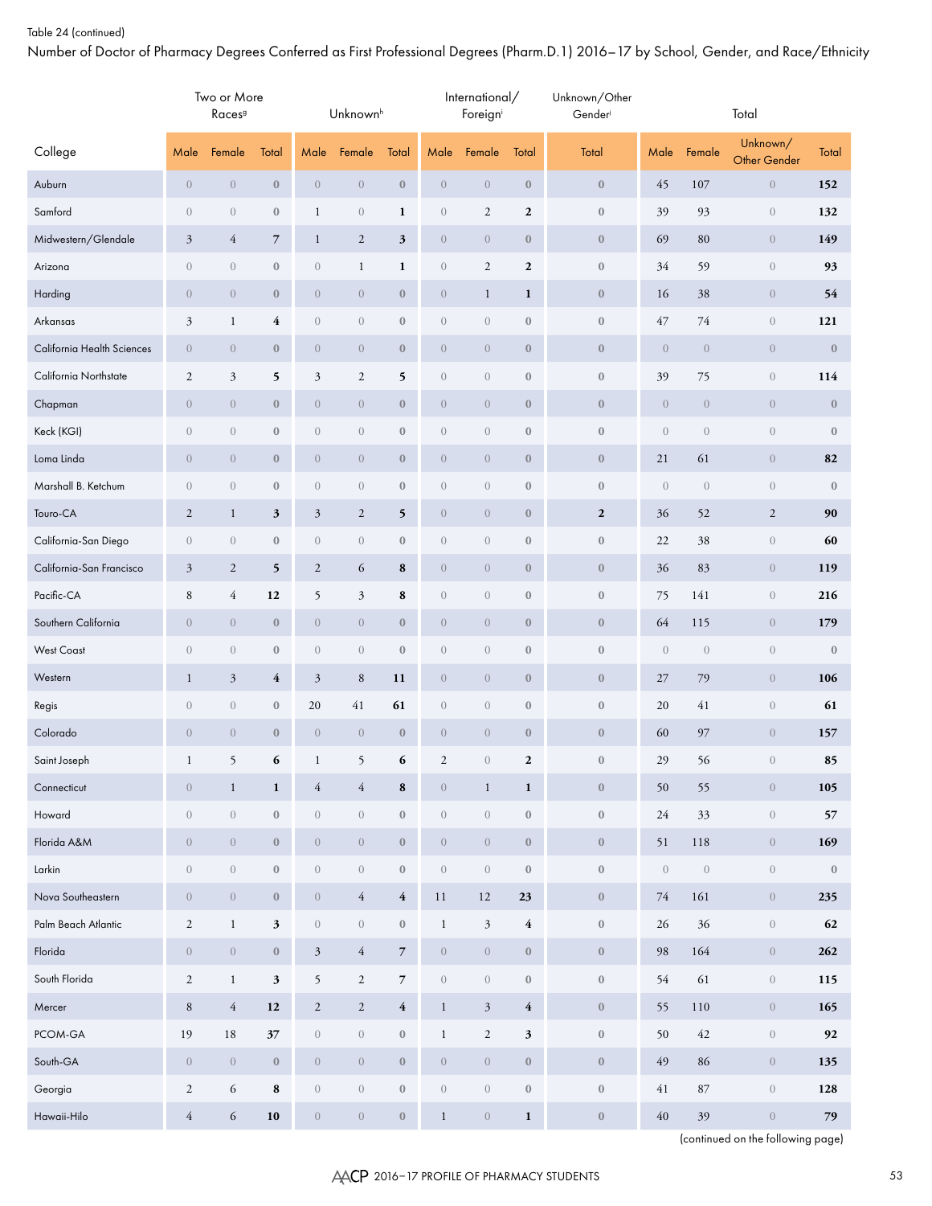Number of Doctor of Pharmacy Degrees Conferred as First Professional Degrees (Pharm.D.1) 2016–17 by School, Gender, and Race/Ethnicity

|                            |                  | Two or More<br>Races <sup>9</sup> |                         |                  | Unknown <sup>h</sup> |                         |                  | International/<br>Foreign |                         | Unknown/Other<br>Gender |                  |                  | Total                    |              |
|----------------------------|------------------|-----------------------------------|-------------------------|------------------|----------------------|-------------------------|------------------|---------------------------|-------------------------|-------------------------|------------------|------------------|--------------------------|--------------|
| College                    | Male             | Female                            | Total                   | Male             | Female               | Total                   | Male             | Female                    | Total                   | Total                   | Male             | Female           | Unknown/<br>Other Gender | Total        |
| Auburn                     | $\boldsymbol{0}$ | $\boldsymbol{0}$                  | $\boldsymbol{0}$        | $\boldsymbol{0}$ | $\boldsymbol{0}$     | $\boldsymbol{0}$        | $\boldsymbol{0}$ | $\overline{0}$            | $\boldsymbol{0}$        | $\boldsymbol{0}$        | 45               | 107              | $\boldsymbol{0}$         | 152          |
| Samford                    | $\sqrt{a}$       | $\boldsymbol{0}$                  | $\boldsymbol{0}$        | $\mathbf{1}$     | $\sqrt{a}$           | $\mathbf{1}$            | $\sqrt{a}$       | $\overline{c}$            | $\boldsymbol{2}$        | $\boldsymbol{0}$        | 39               | 93               | $\overline{0}$           | 132          |
| Midwestern/Glendale        | $\mathfrak{Z}$   | $\overline{4}$                    | 7                       | $\mathbf{1}$     | $\sqrt{2}$           | 3                       | $\boldsymbol{0}$ | $\overline{0}$            | $\boldsymbol{0}$        | $\boldsymbol{0}$        | 69               | 80               | $\overline{0}$           | 149          |
| Arizona                    | $\sqrt{a}$       | $\boldsymbol{0}$                  | $\boldsymbol{0}$        | $\boldsymbol{0}$ | $\mathbf{1}$         | $\mathbf{1}$            | $\sqrt{a}$       | $\boldsymbol{2}$          | $\boldsymbol{2}$        | $\boldsymbol{0}$        | 34               | 59               | $\overline{0}$           | 93           |
| Harding                    | $\boldsymbol{0}$ | $\theta$                          | $\boldsymbol{0}$        | $\boldsymbol{0}$ | $\boldsymbol{0}$     | $\boldsymbol{0}$        | $\boldsymbol{0}$ | $\mathbf{1}$              | $\mathbf{1}$            | $\boldsymbol{0}$        | 16               | 38               | $\overline{0}$           | 54           |
| Arkansas                   | $\mathfrak{Z}$   | $\mathbf{1}$                      | 4                       | $\sqrt{a}$       | $\sqrt{a}$           | $\boldsymbol{0}$        | $\sqrt{a}$       | $\overline{0}$            | $\boldsymbol{0}$        | $\boldsymbol{0}$        | 47               | 74               | $\overline{0}$           | 121          |
| California Health Sciences | $\overline{0}$   | $\boldsymbol{0}$                  | $\boldsymbol{0}$        | $\boldsymbol{0}$ | $\boldsymbol{0}$     | $\boldsymbol{0}$        | $\boldsymbol{0}$ | $\overline{0}$            | $\boldsymbol{0}$        | $\boldsymbol{0}$        | $\boldsymbol{0}$ | $\theta$         | $\overline{0}$           | $\bf 0$      |
| California Northstate      | $\sqrt{2}$       | $\mathfrak{Z}$                    | 5                       | $\mathfrak{Z}$   | $\boldsymbol{2}$     | 5                       | $\sqrt{a}$       | $\sqrt{a}$                | $\boldsymbol{0}$        | $\boldsymbol{0}$        | 39               | 75               | $\overline{0}$           | 114          |
| Chapman                    | $\theta$         | $\theta$                          | $\boldsymbol{0}$        | $\boldsymbol{0}$ | $\boldsymbol{0}$     | $\boldsymbol{0}$        | $\boldsymbol{0}$ | $\overline{0}$            | $\boldsymbol{0}$        | $\boldsymbol{0}$        | $\boldsymbol{0}$ | $\boldsymbol{0}$ | $\overline{0}$           | $\bf 0$      |
| Keck (KGI)                 | $\theta$         | $\boldsymbol{0}$                  | $\boldsymbol{0}$        | $\sqrt{a}$       | $\boldsymbol{0}$     | $\boldsymbol{0}$        | $\overline{0}$   | $\sqrt{a}$                | $\mathbf{0}$            | $\boldsymbol{0}$        | $\sqrt{a}$       | $\overline{0}$   | $\overline{0}$           | $\mathbf{0}$ |
| Loma Linda                 | $\theta$         | $\theta$                          | $\boldsymbol{0}$        | $\boldsymbol{0}$ | $\boldsymbol{0}$     | $\boldsymbol{0}$        | $\boldsymbol{0}$ | $\overline{0}$            | $\boldsymbol{0}$        | $\boldsymbol{0}$        | 21               | 61               | $\overline{0}$           | 82           |
| Marshall B. Ketchum        | $\sqrt{a}$       | $\boldsymbol{0}$                  | $\boldsymbol{0}$        | $\sqrt{a}$       | $\sqrt{a}$           | $\boldsymbol{0}$        | $\overline{0}$   | $\sqrt{a}$                | $\mathbf{0}$            | $\boldsymbol{0}$        | $\boldsymbol{0}$ | $\overline{0}$   | $\overline{0}$           | $\mathbf{0}$ |
| Touro-CA                   | $\overline{2}$   | $\mathbf{1}$                      | $\mathfrak{z}$          | $\mathfrak{Z}$   | $\boldsymbol{2}$     | 5                       | $\boldsymbol{0}$ | $\overline{0}$            | $\boldsymbol{0}$        | $\boldsymbol{2}$        | 36               | 52               | $\mathbf{2}$             | 90           |
| California-San Diego       | $\sqrt{a}$       | $\boldsymbol{0}$                  | $\boldsymbol{0}$        | $\boldsymbol{0}$ | $\sqrt{a}$           | $\boldsymbol{0}$        | $\overline{0}$   | $\sqrt{a}$                | $\mathbf{0}$            | $\boldsymbol{0}$        | 22               | 38               | $\overline{0}$           | 60           |
| California-San Francisco   | $\mathfrak{Z}$   | $\overline{2}$                    | 5                       | $\boldsymbol{2}$ | 6                    | 8                       | $\boldsymbol{0}$ | $\overline{0}$            | $\boldsymbol{0}$        | $\boldsymbol{0}$        | 36               | 83               | $\overline{0}$           | 119          |
| Pacific-CA                 | $\,$ 8 $\,$      | $\overline{4}$                    | 12                      | 5                | $\mathfrak{Z}$       | 8                       | $\sqrt{a}$       | $\sqrt{a}$                | $\boldsymbol{0}$        | $\boldsymbol{0}$        | 75               | 141              | $\overline{0}$           | 216          |
| Southern California        | $\boldsymbol{0}$ | $\theta$                          | $\boldsymbol{0}$        | $\boldsymbol{0}$ | $\boldsymbol{0}$     | $\boldsymbol{0}$        | $\boldsymbol{0}$ | $\overline{0}$            | $\boldsymbol{0}$        | $\boldsymbol{0}$        | 64               | 115              | $\overline{0}$           | 179          |
| <b>West Coast</b>          | $\theta$         | $\boldsymbol{0}$                  | $\boldsymbol{0}$        | $\sqrt{a}$       | $\sqrt{a}$           | $\boldsymbol{0}$        | $\sqrt{a}$       | $\sqrt{a}$                | $\boldsymbol{0}$        | $\boldsymbol{0}$        | $\boldsymbol{0}$ | $\theta$         | $\overline{0}$           | $\mathbf{0}$ |
| Western                    | $\mathbf{1}$     | $\mathfrak{Z}$                    | $\overline{\mathbf{4}}$ | $\mathfrak{Z}$   | $\, 8$               | 11                      | $\boldsymbol{0}$ | $\overline{0}$            | $\boldsymbol{0}$        | $\boldsymbol{0}$        | 27               | 79               | $\overline{0}$           | 106          |
| Regis                      | $\theta$         | $\boldsymbol{0}$                  | $\boldsymbol{0}$        | 20               | 41                   | 61                      | $\sqrt{a}$       | $\sqrt{a}$                | $\boldsymbol{0}$        | $\boldsymbol{0}$        | 20               | 41               | $\overline{0}$           | 61           |
| Colorado                   | $\boldsymbol{0}$ | $\boldsymbol{0}$                  | $\boldsymbol{0}$        | $\boldsymbol{0}$ | $\boldsymbol{0}$     | $\boldsymbol{0}$        | $\boldsymbol{0}$ | $\overline{0}$            | $\boldsymbol{0}$        | $\boldsymbol{0}$        | 60               | 97               | $\overline{0}$           | 157          |
| Saint Joseph               | $\mathbf{1}$     | 5                                 | 6                       | $\mathbf{1}$     | 5                    | 6                       | 2                | $\overline{0}$            | $\mathbf{2}$            | $\mathbf{0}$            | 29               | 56               | $\overline{0}$           | 85           |
| Connecticut                | $\theta$         | $\mathbf{1}$                      | $\mathbf{1}$            | $\overline{4}$   | $\overline{4}$       | 8                       | $\boldsymbol{0}$ | $\mathbf{1}$              | $\mathbf{1}$            | $\boldsymbol{0}$        | 50               | 55               | $\boldsymbol{0}$         | 105          |
| Howard                     | $\left( \right)$ | $\,0\,$                           | $\boldsymbol{0}$        | $\boldsymbol{0}$ | $\boldsymbol{0}$     | $\boldsymbol{0}$        | $\boldsymbol{0}$ | $\boldsymbol{0}$          | $\boldsymbol{0}$        | $\boldsymbol{0}$        | 24               | 33               | $\boldsymbol{0}$         | 57           |
| Florida A&M                | $\boldsymbol{0}$ | $\boldsymbol{0}$                  | $\boldsymbol{0}$        | $\boldsymbol{0}$ | $\boldsymbol{0}$     | $\boldsymbol{0}$        | $\boldsymbol{0}$ | $\boldsymbol{0}$          | $\boldsymbol{0}$        | $\boldsymbol{0}$        | 51               | 118              | $\overline{0}$           | 169          |
| Larkin                     | $\left( \right)$ | $\boldsymbol{0}$                  | $\boldsymbol{0}$        | $\boldsymbol{0}$ | $\boldsymbol{0}$     | $\boldsymbol{0}$        | $\boldsymbol{0}$ | $\boldsymbol{0}$          | $\bf 0$                 | $\boldsymbol{0}$        | $\boldsymbol{0}$ | $\,0\,$          | $\overline{0}$           | $\bf 0$      |
| Nova Southeastern          | $\boldsymbol{0}$ | $\boldsymbol{0}$                  | $\boldsymbol{0}$        | $\boldsymbol{0}$ | $\overline{4}$       | $\overline{4}$          | 11               | $12\,$                    | 23                      | $\boldsymbol{0}$        | 74               | 161              | $\overline{0}$           | 235          |
| Palm Beach Atlantic        | $\sqrt{2}$       | $\mathbf{1}$                      | $\mathfrak z$           | $\boldsymbol{0}$ | $\boldsymbol{0}$     | $\boldsymbol{0}$        | $\mathbf{1}$     | $\mathfrak{Z}$            | $\overline{\mathbf{4}}$ | $\boldsymbol{0}$        | 26               | 36               | $\overline{0}$           | 62           |
| Florida                    | $\boldsymbol{0}$ | $\boldsymbol{0}$                  | $\boldsymbol{0}$        | $\mathfrak{Z}$   | $\overline{4}$       | $\overline{7}$          | $\boldsymbol{0}$ | $\boldsymbol{0}$          | $\boldsymbol{0}$        | $\boldsymbol{0}$        | 98               | 164              | $\overline{0}$           | 262          |
| South Florida              | $\mathbf{2}$     | $\mathbf{1}$                      | $\mathfrak z$           | 5                | $\overline{c}$       | $\overline{\mathbf{7}}$ | $\boldsymbol{0}$ | $\boldsymbol{0}$          | $\boldsymbol{0}$        | $\boldsymbol{0}$        | 54               | 61               | $\overline{0}$           | 115          |
| Mercer                     | $\,8\,$          | $\overline{4}$                    | 12                      | $\mathbf{2}$     | $\overline{c}$       | $\overline{4}$          | $\mathbf{1}$     | $\mathfrak{Z}$            | $\overline{4}$          | $\boldsymbol{0}$        | 55               | 110              | $\overline{0}$           | 165          |
| PCOM-GA                    | 19               | $18\,$                            | $37\,$                  | $\boldsymbol{0}$ | $\boldsymbol{0}$     | $\boldsymbol{0}$        | $\mathbf{1}$     | $\mathfrak{2}$            | 3                       | $\boldsymbol{0}$        | 50               | $42\,$           | $\overline{0}$           | 92           |
| South-GA                   | $\boldsymbol{0}$ | $\boldsymbol{0}$                  | $\bf 0$                 | $\boldsymbol{0}$ | $\boldsymbol{0}$     | $\boldsymbol{0}$        | $\boldsymbol{0}$ | $\overline{0}$            | $\boldsymbol{0}$        | $\bf 0$                 | 49               | 86               | $\overline{0}$           | 135          |
| Georgia                    | $\overline{c}$   | 6                                 | $\bf8$                  | $\boldsymbol{0}$ | $\boldsymbol{0}$     | $\boldsymbol{0}$        | $\boldsymbol{0}$ | $\boldsymbol{0}$          | $\boldsymbol{0}$        | $\boldsymbol{0}$        | 41               | 87               | $\overline{0}$           | 128          |
| Hawaii-Hilo                | $\overline{4}$   | $\sqrt{6}$                        | ${\bf 10}$              | $\boldsymbol{0}$ | $\boldsymbol{0}$     | $\mathbf{0}$            | $\,1$            | $\boldsymbol{0}$          | $\mathbf{1}$            | $\boldsymbol{0}$        | 40               | 39               | $\boldsymbol{0}$         | 79           |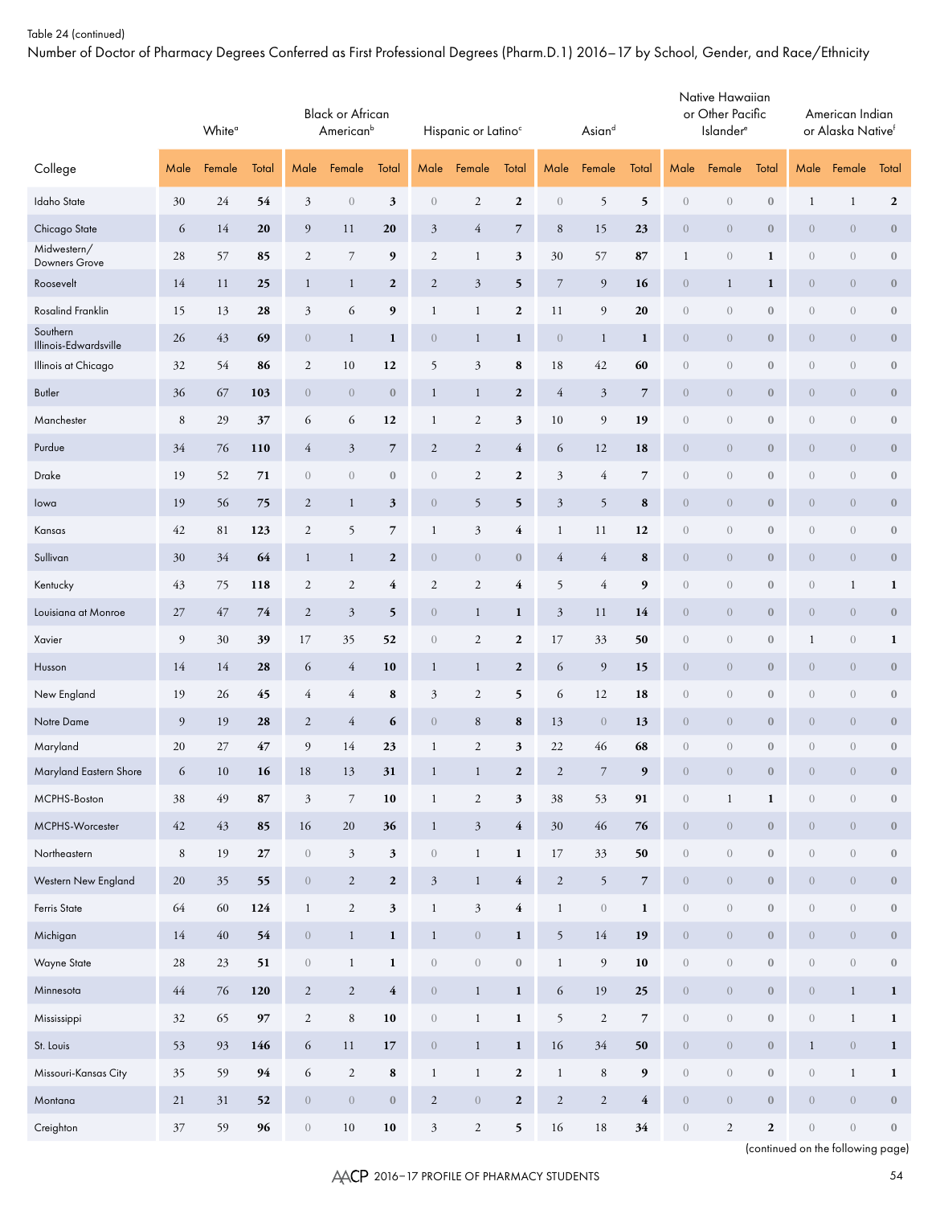Number of Doctor of Pharmacy Degrees Conferred as First Professional Degrees (Pharm.D.1) 2016–17 by School, Gender, and Race/Ethnicity

|                                   |             | White <sup>a</sup> |        | <b>Black or African</b><br>American <sup>b</sup><br>Female<br>Total<br>Male |                  |                  | Hispanic or Latino <sup>c</sup> |                      |                  | Asiand           |                                |                          | Native Hawaiian<br>or Other Pacific<br><b>Islander</b> <sup>e</sup> |                  |                  | American Indian<br>or Alaska Native <sup>f</sup> |                  |                  |
|-----------------------------------|-------------|--------------------|--------|-----------------------------------------------------------------------------|------------------|------------------|---------------------------------|----------------------|------------------|------------------|--------------------------------|--------------------------|---------------------------------------------------------------------|------------------|------------------|--------------------------------------------------|------------------|------------------|
| College                           | Male        | Female             | Total  |                                                                             |                  |                  | Male                            | Female               | Total            | Male             | Female                         | Total                    | Male                                                                | Female           | Total            | Male                                             | Female           | Total            |
| Idaho State                       | 30          | 24                 | 54     | $\mathfrak{Z}$                                                              | $\boldsymbol{0}$ | 3                | $\boldsymbol{0}$                | $\sqrt{2}$           | $\boldsymbol{2}$ | $\boldsymbol{0}$ | 5                              | 5                        | $\boldsymbol{0}$                                                    | $\,0\,$          | $\boldsymbol{0}$ | $\mathbf{1}$                                     | $\mathbf{1}$     | $\boldsymbol{2}$ |
| Chicago State                     | 6           | 14                 | 20     | 9                                                                           | 11               | 20               | $\mathfrak{Z}$                  | $\overline{4}$       | $\overline{7}$   | 8                | 15                             | 23                       | $\overline{0}$                                                      | $\sqrt{0}$       | $\boldsymbol{0}$ | $\sqrt{0}$                                       | $\overline{0}$   | $\boldsymbol{0}$ |
| Midwestern/<br>Downers Grove      | 28          | 57                 | 85     | $\sqrt{2}$                                                                  | $\overline{7}$   | 9                | $\sqrt{2}$                      | $\mathbf{1}$         | $\mathfrak{z}$   | 30               | 57                             | ${\bf 87}$               | $\mathbf{1}$                                                        | $\,0\,$          | $\mathbf{1}$     | $\sqrt{0}$                                       | $\boldsymbol{0}$ | $\boldsymbol{0}$ |
| Roosevelt                         | 14          | 11                 | 25     | $\mathbf{1}$                                                                | $\mathbf{1}$     | $\boldsymbol{2}$ | $\sqrt{2}$                      | $\boldsymbol{\beta}$ | 5                | $\boldsymbol{7}$ | $\overline{9}$                 | 16                       | $\theta$                                                            | $\mathbf{1}$     | $\mathbf{1}$     | $\sqrt{0}$                                       | $\overline{0}$   | $\boldsymbol{0}$ |
| Rosalind Franklin                 | 15          | 13                 | 28     | $\mathfrak{Z}$                                                              | 6                | 9                | $\mathbf{1}$                    | $\mathbf{1}$         | $\boldsymbol{2}$ | 11               | $\overline{9}$                 | 20                       | $\boldsymbol{0}$                                                    | $\boldsymbol{0}$ | $\boldsymbol{0}$ | $\sqrt{0}$                                       | $\boldsymbol{0}$ | $\boldsymbol{0}$ |
| Southern<br>Illinois-Edwardsville | 26          | 43                 | 69     | $\boldsymbol{0}$                                                            | $\mathbf{1}$     | $\mathbf{1}$     | $\boldsymbol{0}$                | $\mathbf{1}$         | $\mathbf{1}$     | $\theta$         | $\mathbf{1}$                   | $\mathbf{1}$             | $\overline{0}$                                                      | $\theta$         | $\boldsymbol{0}$ | $\sqrt{0}$                                       | $\overline{0}$   | $\boldsymbol{0}$ |
| Illinois at Chicago               | 32          | 54                 | 86     | $\sqrt{2}$                                                                  | $10\,$           | 12               | 5                               | $\mathfrak{Z}$       | $\bf 8$          | $18\,$           | 42                             | 60                       | $\boldsymbol{0}$                                                    | $\boldsymbol{0}$ | $\boldsymbol{0}$ | $\sqrt{0}$                                       | $\boldsymbol{0}$ | $\boldsymbol{0}$ |
| Butler                            | 36          | 67                 | 103    | $\boldsymbol{0}$                                                            | $\theta$         | $\boldsymbol{0}$ | $\mathbf{1}$                    | $\mathbf{1}$         | $\boldsymbol{2}$ | $\overline{4}$   | $\mathfrak{Z}$                 | $\overline{7}$           | $\overline{0}$                                                      | $\theta$         | $\boldsymbol{0}$ | $\sqrt{0}$                                       | $\overline{0}$   | $\boldsymbol{0}$ |
| Manchester                        | $\,$ 8 $\,$ | 29                 | 37     | 6                                                                           | 6                | 12               | $\mathbf{1}$                    | $\sqrt{2}$           | $\mathfrak z$    | 10               | $\overline{9}$                 | 19                       | $\boldsymbol{0}$                                                    | $\boldsymbol{0}$ | $\boldsymbol{0}$ | $\sqrt{0}$                                       | $\boldsymbol{0}$ | $\boldsymbol{0}$ |
| Purdue                            | 34          | 76                 | 110    | $\overline{4}$                                                              | $\mathfrak{Z}$   | $\overline{7}$   | $\sqrt{2}$                      | $\sqrt{2}$           | $\overline{4}$   | 6                | 12                             | 18                       | $\overline{0}$                                                      | $\theta$         | $\boldsymbol{0}$ | $\sqrt{0}$                                       | $\overline{0}$   | $\boldsymbol{0}$ |
| Drake                             | 19          | 52                 | 71     | $\sqrt{a}$                                                                  | $\sqrt{a}$       | $\boldsymbol{0}$ | $\boldsymbol{0}$                | $\sqrt{2}$           | $\boldsymbol{2}$ | $\mathfrak{Z}$   | 4                              | $\overline{7}$           | $\boldsymbol{0}$                                                    | $\boldsymbol{0}$ | $\boldsymbol{0}$ | $\sqrt{0}$                                       | $\boldsymbol{0}$ | $\boldsymbol{0}$ |
| lowa                              | 19          | 56                 | 75     | $\boldsymbol{2}$                                                            | $\mathbf{1}$     | $\mathfrak{z}$   | $\boldsymbol{0}$                | 5                    | 5                | $\mathfrak{Z}$   | 5                              | 8                        | $\overline{0}$                                                      | $\theta$         | $\boldsymbol{0}$ | $\sqrt{0}$                                       | $\overline{0}$   | $\boldsymbol{0}$ |
| Kansas                            | 42          | 81                 | 123    | $\sqrt{2}$                                                                  | 5                | $\overline{7}$   | $\mathbf{1}$                    | $\mathfrak{Z}$       | $\overline{4}$   | $\mathbf{1}$     | 11                             | 12                       | $\boldsymbol{0}$                                                    | $\boldsymbol{0}$ | $\boldsymbol{0}$ | $\sqrt{0}$                                       | $\boldsymbol{0}$ | $\boldsymbol{0}$ |
| Sullivan                          | 30          | 34                 | 64     | $\mathbf{1}$                                                                | $\mathbf{1}$     | $\boldsymbol{2}$ | $\theta$                        | $\theta$             | $\boldsymbol{0}$ | $\overline{4}$   | $\overline{4}$                 | 8                        | $\overline{0}$                                                      | $\theta$         | $\boldsymbol{0}$ | $\sqrt{0}$                                       | $\overline{0}$   | $\boldsymbol{0}$ |
| Kentucky                          | 43          | 75                 | 118    | $\sqrt{2}$                                                                  | $\sqrt{2}$       | 4                | $\sqrt{2}$                      | $\sqrt{2}$           | 4                | 5                | $\overline{4}$                 | $\boldsymbol{9}$         | $\boldsymbol{0}$                                                    | $\boldsymbol{0}$ | $\boldsymbol{0}$ | $\sqrt{0}$                                       | $\mathbf{1}$     | $\mathbf{1}$     |
| Louisiana at Monroe               | $27\,$      | 47                 | 74     | $\boldsymbol{2}$                                                            | $\mathfrak{Z}$   | 5                | $\boldsymbol{0}$                | $\mathbf{1}$         | $\mathbf{1}$     | $\mathfrak{Z}$   | 11                             | 14                       | $\theta$                                                            | $\theta$         | $\boldsymbol{0}$ | $\sqrt{0}$                                       | $\overline{0}$   | $\boldsymbol{0}$ |
| Xavier                            | 9           | 30                 | 39     | 17                                                                          | 35               | 52               | $\boldsymbol{0}$                | $\sqrt{2}$           | $\boldsymbol{2}$ | 17               | 33                             | 50                       | $\boldsymbol{0}$                                                    | $\boldsymbol{0}$ | $\boldsymbol{0}$ | $\mathbf{1}$                                     | $\boldsymbol{0}$ | $\mathbf{1}$     |
| Husson                            | 14          | 14                 | 28     | 6                                                                           | $\overline{4}$   | 10               | $\mathbf{1}$                    | $\mathbf{1}$         | $\boldsymbol{2}$ | 6                | $\overline{9}$                 | 15                       | $\theta$                                                            | $\theta$         | $\boldsymbol{0}$ | $\sqrt{0}$                                       | $\overline{0}$   | $\boldsymbol{0}$ |
| New England                       | 19          | 26                 | 45     | $\overline{4}$                                                              | $\overline{4}$   | ${\bf 8}$        | $\mathfrak{Z}$                  | $\sqrt{2}$           | 5                | 6                | 12                             | 18                       | $\boldsymbol{0}$                                                    | $\boldsymbol{0}$ | $\boldsymbol{0}$ | $\sqrt{0}$                                       | $\boldsymbol{0}$ | $\boldsymbol{0}$ |
| Notre Dame                        | 9           | 19                 | 28     | $\overline{2}$                                                              | $\overline{4}$   | 6                | $\theta$                        | 8                    | 8                | 13               | $\theta$                       | 13                       | $\theta$                                                            | $\sqrt{0}$       | $\bf{0}$         | $\sqrt{0}$                                       | $\overline{0}$   | $\bf{0}$         |
| Maryland                          | 20          | $27\,$             | 47     | 9                                                                           | 14               | 23               | $\mathbf{1}$                    | $\sqrt{2}$           | 3                | 22               | 46                             | 68                       | $\boldsymbol{0}$                                                    | $\boldsymbol{0}$ | $\boldsymbol{0}$ | $\mathbf{0}$                                     | $\boldsymbol{0}$ | $\boldsymbol{0}$ |
| Maryland Eastern Shore            | 6           | $10\,$             | 16     | $18\,$                                                                      | 13               | 31               | 1                               | 1                    | $\mathbf 2$      | $\sqrt{2}$       |                                | 9                        | $\boldsymbol{0}$                                                    | $\theta$         | $\boldsymbol{0}$ | $\overline{0}$                                   | $\sqrt{0}$       |                  |
| MCPHS-Boston                      | 38          | 49                 | 87     | $\boldsymbol{\beta}$                                                        | $\overline{7}$   | ${\bf 10}$       | $\mathbf{1}$                    | $\sqrt{2}$           | $\mathfrak z$    | $38\,$           | 53                             | 91                       | $\,0\,$                                                             | $\mathbf{1}$     | $\mathbf 1$      | $\boldsymbol{0}$                                 | $\,0\,$          | $\boldsymbol{0}$ |
| MCPHS-Worcester                   | 42          | $43\,$             | 85     | 16                                                                          | 20               | 36               | $\mathbf{1}$                    | $\sqrt{3}$           | $\overline{4}$   | 30               | 46                             | 76                       | $\boldsymbol{0}$                                                    | $\boldsymbol{0}$ | $\boldsymbol{0}$ | $\boldsymbol{0}$                                 | $\boldsymbol{0}$ | $\bf 0$          |
| Northeastern                      | $\,$ 8 $\,$ | 19                 | $27\,$ | $\sqrt{0}$                                                                  | $\mathfrak{Z}$   | $\mathbf{3}$     | $\,0\,$                         | $\mathbf{1}$         | $\mathbf{1}$     | 17               | 33                             | 50                       | $\boldsymbol{0}$                                                    | $\boldsymbol{0}$ | $\boldsymbol{0}$ | $\sqrt{a}$                                       | $\,0\,$          | $\boldsymbol{0}$ |
| Western New England               | 20          | 35                 | 55     | $\overline{0}$                                                              | $\overline{2}$   | $\boldsymbol{2}$ | $\mathfrak{Z}$                  | $\,1$                | $\overline{4}$   | $\sqrt{2}$       | $\mathfrak{h}$                 | $\overline{7}$           | $\sqrt{a}$                                                          | $\boldsymbol{0}$ | $\boldsymbol{0}$ | $\boldsymbol{0}$                                 | $\sqrt{a}$       | $\bf 0$          |
| Ferris State                      | 64          | 60                 | 124    | $\mathbf{1}$                                                                | $\sqrt{2}$       | $\mathbf{3}$     | $\mathbf{1}$                    | $\sqrt{3}$           | $\overline{4}$   | $\mathbf{1}$     | $\left\langle {}\right\rangle$ | $\mathbf{1}$             | $\sqrt{a}$                                                          | $\boldsymbol{0}$ | $\boldsymbol{0}$ | $\sqrt{a}$                                       | $\,0\,$          | $\boldsymbol{0}$ |
| Michigan                          | 14          | $40\,$             | 54     | $\overline{0}$                                                              | $\mathbf{1}$     | $\mathbf{1}$     | $\mathbf{1}$                    | $\boldsymbol{0}$     | $\mathbf{1}$     | 5                | 14                             | 19                       | $\sqrt{a}$                                                          | $\boldsymbol{0}$ | $\boldsymbol{0}$ | $\theta$                                         | $\sqrt{a}$       | $\bf 0$          |
| Wayne State                       | 28          | 23                 | 51     | $\sqrt{a}$                                                                  | $\mathbf{1}$     | $\mathbf{1}$     | $\,0\,$                         | $\boldsymbol{0}$     | $\boldsymbol{0}$ | $\mathbf{1}$     | $\boldsymbol{9}$               | 10                       | $\boldsymbol{0}$                                                    | $\boldsymbol{0}$ | $\boldsymbol{0}$ | $\boldsymbol{0}$                                 | $\,0\,$          | $\boldsymbol{0}$ |
| Minnesota                         | 44          | 76                 | 120    | $\overline{c}$                                                              | $\sqrt{2}$       | $\overline{4}$   | $\boldsymbol{0}$                | $\,1$                | $\mathbf{1}$     | 6                | 19                             | 25                       | $\overline{0}$                                                      | $\boldsymbol{0}$ | $\boldsymbol{0}$ | $\boldsymbol{0}$                                 | $\mathbf{1}$     | $\mathbf{1}$     |
| Mississippi                       | $32\,$      | 65                 | 97     | $\sqrt{2}$                                                                  | $\,8\,$          | $10$             | $\,0\,$                         | $\mathbf{1}$         | $\mathbf{1}$     | $\mathfrak{h}$   | $\sqrt{2}$                     | $\overline{\phantom{a}}$ | $\boldsymbol{0}$                                                    | $\boldsymbol{0}$ | $\boldsymbol{0}$ | $\boldsymbol{0}$                                 | $\mathbf{1}$     | $\mathbf{1}$     |
| St. Louis                         | 53          | 93                 | 146    | 6                                                                           | 11               | 17               | $\,0\,$                         | $\,1$                | $\mathbf{1}$     | 16               | 34                             | 50                       | $\overline{0}$                                                      | $\boldsymbol{0}$ | $\boldsymbol{0}$ | $\mathbf{1}$                                     | $\sqrt{a}$       | $\mathbf{1}$     |
| Missouri-Kansas City              | 35          | 59                 | 94     | $\sqrt{6}$                                                                  | $\sqrt{2}$       | ${\bf 8}$        | $\mathbf{1}$                    | $\mathbf{1}$         | $\boldsymbol{2}$ | $\mathbf{1}$     | $\,8\,$                        | $\boldsymbol{9}$         | $\boldsymbol{0}$                                                    | $\boldsymbol{0}$ | $\boldsymbol{0}$ | $\boldsymbol{0}$                                 | $\mathbf{1}$     | $\mathbf{1}$     |
| Montana                           | 21          | 31                 | 52     | $\overline{0}$                                                              | $\overline{0}$   | $\boldsymbol{0}$ | $\overline{2}$                  | $\boldsymbol{0}$     | $\boldsymbol{2}$ | $\overline{2}$   | $\overline{c}$                 | $\overline{\mathbf{4}}$  | $\overline{0}$                                                      | $\mathbf{0}$     | $\boldsymbol{0}$ | $\theta$                                         | $\boldsymbol{0}$ | $\boldsymbol{0}$ |
| Creighton                         | 37          | 59                 | 96     | $\sqrt{a}$                                                                  | $10\,$           | 10               | 3                               | $\overline{c}$       | 5                | 16               | 18                             | 34                       | $\boldsymbol{0}$                                                    | $\overline{2}$   | $\boldsymbol{2}$ | $\boldsymbol{0}$                                 | $\boldsymbol{0}$ | $\bf{0}$         |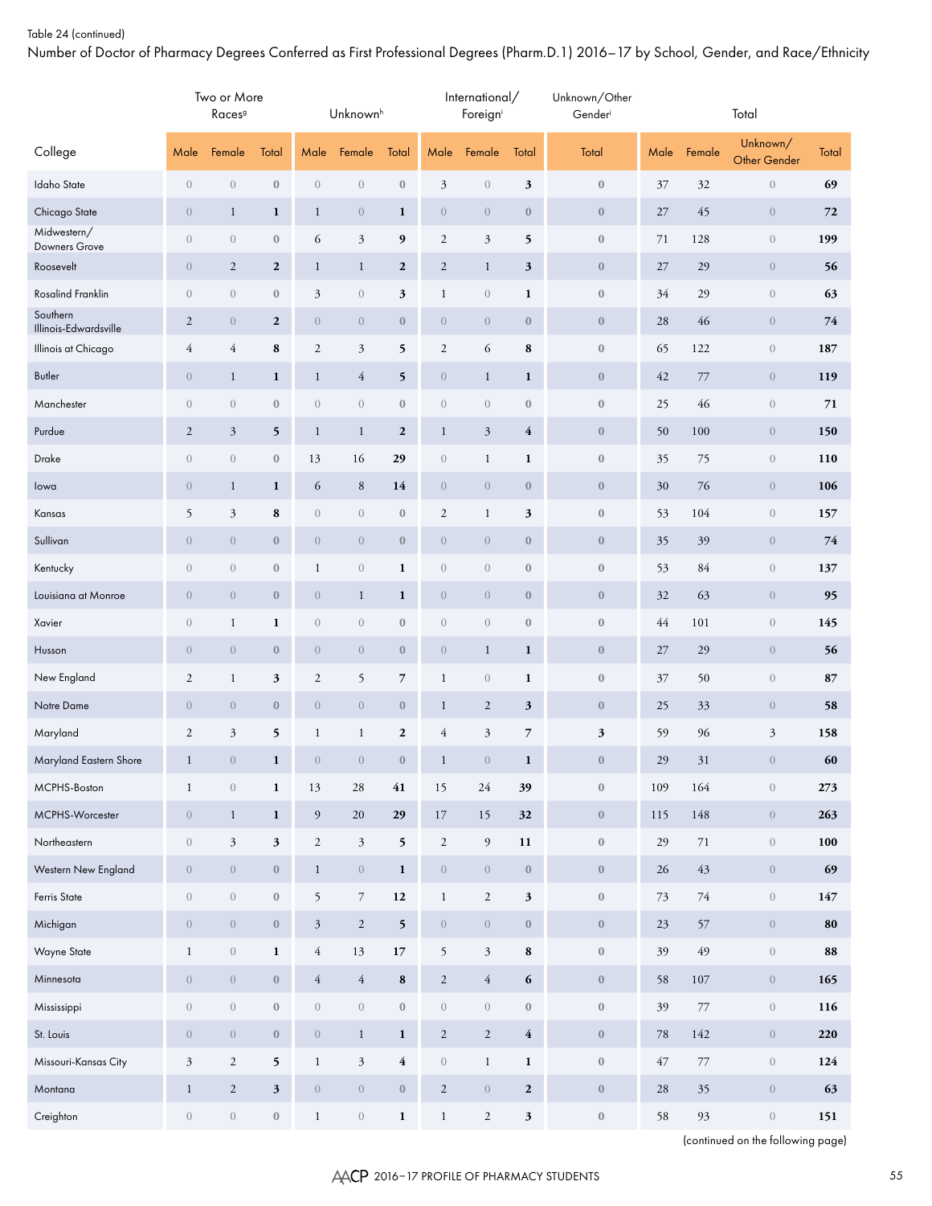Number of Doctor of Pharmacy Degrees Conferred as First Professional Degrees (Pharm.D.1) 2016–17 by School, Gender, and Race/Ethnicity

|                                   |                  | Two or More<br>Races <sup>9</sup> |                  |                  | Unknown <sup>h</sup> |                         |                                | International/<br>Foreigni |                  | Unknown/Other<br>Gender |        |         | Total                           |              |
|-----------------------------------|------------------|-----------------------------------|------------------|------------------|----------------------|-------------------------|--------------------------------|----------------------------|------------------|-------------------------|--------|---------|---------------------------------|--------------|
| College                           | Male             | Female                            | Total            | Male             | Female               | Total                   | Male                           | Female                     | Total            | Total                   | Male   | Female  | Unknown/<br><b>Other Gender</b> | <b>Total</b> |
| <b>Idaho</b> State                | $\sqrt{a}$       | $\boldsymbol{0}$                  | $\boldsymbol{0}$ | $\boldsymbol{0}$ | $\boldsymbol{0}$     | $\boldsymbol{0}$        | $\mathfrak{Z}$                 | $\boldsymbol{0}$           | 3                | $\boldsymbol{0}$        | 37     | 32      | $\,0\,$                         | 69           |
| Chicago State                     | $\overline{0}$   | $\mathbf{1}$                      | $\mathbf{1}$     | $\mathbf{1}$     | $\overline{0}$       | $\mathbf{1}$            | $\overline{0}$                 | $\theta$                   | $\boldsymbol{0}$ | $\boldsymbol{0}$        | 27     | 45      | $\overline{0}$                  | 72           |
| Midwestern/<br>Downers Grove      | $\boldsymbol{0}$ | $\boldsymbol{0}$                  | $\boldsymbol{0}$ | 6                | $\mathfrak{Z}$       | 9                       | $\sqrt{2}$                     | $\mathfrak{Z}$             | 5                | $\boldsymbol{0}$        | 71     | 128     | $\boldsymbol{0}$                | 199          |
| Roosevelt                         | $\overline{0}$   | $\sqrt{2}$                        | $\mathbf{2}$     | $\mathbf{1}$     | $\mathbf{1}$         | $\mathbf{2}$            | $\mathbf{2}$                   | $\mathbf{1}$               | 3                | $\boldsymbol{0}$        | 27     | 29      | $\overline{0}$                  | 56           |
| Rosalind Franklin                 | $\boldsymbol{0}$ | $\boldsymbol{0}$                  | $\boldsymbol{0}$ | $\mathfrak{Z}$   | $\boldsymbol{0}$     | 3                       | $\mathbf{1}$                   | $\boldsymbol{0}$           | $\mathbf{1}$     | $\boldsymbol{0}$        | 34     | 29      | $\boldsymbol{0}$                | 63           |
| Southern<br>Illinois-Edwardsville | $\boldsymbol{2}$ | $\boldsymbol{0}$                  | $\mathbf{2}$     | $\theta$         | $\overline{0}$       | $\boldsymbol{0}$        | $\theta$                       | $\theta$                   | $\boldsymbol{0}$ | $\boldsymbol{0}$        | 28     | 46      | $\overline{0}$                  | 74           |
| Illinois at Chicago               | $\overline{4}$   | 4                                 | ${\bf 8}$        | $\sqrt{2}$       | $\mathfrak{Z}$       | 5                       | $\mathfrak{2}$                 | 6                          | ${\bf 8}$        | $\boldsymbol{0}$        | 65     | 122     | $\boldsymbol{0}$                | 187          |
| Butler                            | $\overline{0}$   | $\mathbf{1}$                      | $\mathbf{1}$     | $\mathbf{1}$     | $\overline{4}$       | 5                       | $\theta$                       | $\mathbf{1}$               | 1                | $\boldsymbol{0}$        | 42     | 77      | $\overline{0}$                  | 119          |
| Manchester                        | $\boldsymbol{0}$ | $\boldsymbol{0}$                  | $\boldsymbol{0}$ | $\boldsymbol{0}$ | $\boldsymbol{0}$     | $\boldsymbol{0}$        | $\boldsymbol{0}$               | $\boldsymbol{0}$           | $\boldsymbol{0}$ | $\boldsymbol{0}$        | 25     | 46      | $\sqrt{a}$                      | 71           |
| Purdue                            | $\boldsymbol{2}$ | $\mathfrak{Z}$                    | 5                | $\mathbf{1}$     | $\mathbf{1}$         | $\boldsymbol{2}$        | $\mathbf{1}$                   | $\mathfrak{Z}$             | $\overline{4}$   | $\boldsymbol{0}$        | 50     | 100     | $\overline{0}$                  | 150          |
| Drake                             | $\boldsymbol{0}$ | $\boldsymbol{0}$                  | $\boldsymbol{0}$ | 13               | 16                   | 29                      | $\left\langle {}\right\rangle$ | $\mathbf{1}$               | $\mathbf{1}$     | $\boldsymbol{0}$        | 35     | 75      | $\boldsymbol{0}$                | 110          |
| lowa                              | $\boldsymbol{0}$ | $\mathbf{1}$                      | $\mathbf{1}$     | 6                | 8                    | 14                      | $\theta$                       | $\theta$                   | $\boldsymbol{0}$ | $\boldsymbol{0}$        | 30     | 76      | $\overline{0}$                  | 106          |
| Kansas                            | 5                | $\mathfrak{Z}$                    | ${\bf 8}$        | $\boldsymbol{0}$ | $\boldsymbol{0}$     | $\boldsymbol{0}$        | $\mathfrak{2}$                 | $\mathbf{1}$               | $\mathfrak z$    | $\boldsymbol{0}$        | 53     | 104     | $\boldsymbol{0}$                | 157          |
| Sullivan                          | $\boldsymbol{0}$ | $\boldsymbol{0}$                  | $\boldsymbol{0}$ | $\theta$         | $\theta$             | $\boldsymbol{0}$        | $\theta$                       | $\theta$                   | $\boldsymbol{0}$ | $\boldsymbol{0}$        | 35     | 39      | $\overline{0}$                  | 74           |
| Kentucky                          | $\boldsymbol{0}$ | $\boldsymbol{0}$                  | $\boldsymbol{0}$ | $\mathbf{1}$     | $\boldsymbol{0}$     | $\mathbf{1}$            | $\boldsymbol{0}$               | $\boldsymbol{0}$           | $\boldsymbol{0}$ | $\boldsymbol{0}$        | 53     | 84      | $\boldsymbol{0}$                | 137          |
| Louisiana at Monroe               | $\boldsymbol{0}$ | $\boldsymbol{0}$                  | $\boldsymbol{0}$ | $\theta$         | $\mathbf{1}$         | $\mathbf{1}$            | $\theta$                       | $\theta$                   | $\boldsymbol{0}$ | $\boldsymbol{0}$        | 32     | 63      | $\overline{0}$                  | 95           |
| Xavier                            | $\boldsymbol{0}$ | $\mathbf{1}$                      | $\mathbf{1}$     | $\boldsymbol{0}$ | $\boldsymbol{0}$     | $\boldsymbol{0}$        | $\boldsymbol{0}$               | $\boldsymbol{0}$           | $\boldsymbol{0}$ | $\boldsymbol{0}$        | 44     | 101     | $\boldsymbol{0}$                | 145          |
| Husson                            | $\boldsymbol{0}$ | $\boldsymbol{0}$                  | $\boldsymbol{0}$ | $\theta$         | $\overline{0}$       | $\boldsymbol{0}$        | $\theta$                       | $\mathbf{1}$               | 1                | $\bf 0$                 | 27     | 29      | $\overline{0}$                  | 56           |
| New England                       | $\overline{2}$   | $\mathbf{1}$                      | $\mathfrak z$    | $\sqrt{2}$       | 5                    | $\overline{7}$          | $\mathbf{1}$                   | $\boldsymbol{0}$           | $\mathbf{1}$     | $\boldsymbol{0}$        | 37     | 50      | $\sqrt{a}$                      | 87           |
| Notre Dame                        | $\boldsymbol{0}$ | $\boldsymbol{0}$                  | $\boldsymbol{0}$ | $\theta$         | $\theta$             | $\boldsymbol{0}$        | $\mathbf{1}$                   | $\overline{2}$             | $\mathbf{3}$     | $\bf 0$                 | 25     | 33      | $\overline{0}$                  | 58           |
| Maryland                          | $\overline{2}$   | $\mathfrak{Z}$                    | 5                | $\mathbf{1}$     | $\mathbf{1}$         | $\boldsymbol{2}$        | $\overline{4}$                 | $\mathfrak{Z}$             | $\overline{7}$   | $\mathfrak{z}$          | 59     | 96      | $\mathfrak{Z}$                  | 158          |
| Maryland Eastern Shore            | $\mathbf{1}$     | $\boldsymbol{0}$                  | $\mathbf{1}$     | $\boldsymbol{0}$ | $\boldsymbol{0}$     | $\boldsymbol{0}$        | $\mathbf{1}$                   | $\overline{0}$             | $\mathbf{1}$     | $\boldsymbol{0}$        | 29     | 31      | $\overline{0}$                  | 60           |
| MCPHS-Boston                      | $\mathbf{1}$     | $\boldsymbol{0}$                  | $\mathbf{1}$     | 13               | $28\,$               | $\bf 41$                | 15                             | $24\,$                     | 39               | $\boldsymbol{0}$        | 109    | 164     | $\boldsymbol{0}$                | 273          |
| MCPHS-Worcester                   | $\sqrt{ }$       | $\mathbf{1}$                      | $\mathbf 1$      | $\boldsymbol{9}$ | $20\,$               | 29                      | $17\,$                         | $15\,$                     | 32               | $\boldsymbol{0}$        | 115    | 148     | $\boldsymbol{0}$                | 263          |
| Northeastern                      | $\boldsymbol{0}$ | $\mathfrak{Z}$                    | $\mathbf{3}$     | $\sqrt{2}$       | $\sqrt{3}$           | $\mathbf{5}$            | $\sqrt{2}$                     | $\overline{9}$             | $11\,$           | $\boldsymbol{0}$        | 29     | $71\,$  | $\,0\,$                         | 100          |
| Western New England               | $\overline{0}$   | $\,0\,$                           | $\boldsymbol{0}$ | $\mathbf{1}$     | $\,0\,$              | $\mathbf{1}$            | $\sqrt{0}$                     | $\sqrt{ }$                 | $\boldsymbol{0}$ | $\mathbf 0$             | 26     | $43\,$  | $\boldsymbol{0}$                | 69           |
| Ferris State                      | $\boldsymbol{0}$ | $\boldsymbol{0}$                  | $\boldsymbol{0}$ | 5                | $\,7$                | $\bf{12}$               | $\mathbf{1}$                   | $\sqrt{2}$                 | $\mathbf{3}$     | $\boldsymbol{0}$        | 73     | $74\,$  | $\,0\,$                         | $147\,$      |
| Michigan                          | $\overline{0}$   | $\boldsymbol{0}$                  | $\boldsymbol{0}$ | $\mathfrak{Z}$   | $\overline{2}$       | $5\overline{)}$         | $\,0\,$                        | $\sqrt{ }$                 | $\boldsymbol{0}$ | $\mathbf 0$             | 23     | 57      | $\boldsymbol{0}$                | 80           |
| Wayne State                       | $\mathbf{1}$     | $\boldsymbol{0}$                  | $\mathbf 1$      | $\sqrt{4}$       | $13\,$               | $17\,$                  | 5                              | $\mathfrak{Z}$             | ${\bf 8}$        | $\boldsymbol{0}$        | 39     | 49      | $\,0\,$                         | 88           |
| Minnesota                         | $\sqrt{ }$       | $\,0\,$                           | $\boldsymbol{0}$ | $\overline{4}$   | $\sqrt{4}$           | $\bf 8$                 | $\sqrt{2}$                     | $\sqrt{4}$                 | $\boldsymbol{6}$ | $\boldsymbol{0}$        | 58     | $107\,$ | $\boldsymbol{0}$                | 165          |
| Mississippi                       | $\boldsymbol{0}$ | $\boldsymbol{0}$                  | $\boldsymbol{0}$ | $\,0\,$          | $\,0\,$              | $\boldsymbol{0}$        | $\boldsymbol{0}$               | $\boldsymbol{0}$           | $\boldsymbol{0}$ | $\boldsymbol{0}$        | 39     | $77\,$  | $\,0\,$                         | 116          |
| St. Louis                         | $\overline{0}$   | $\boldsymbol{0}$                  | $\boldsymbol{0}$ | $\,0\,$          | $\mathbf{1}$         | $\mathbf{1}$            | $\sqrt{2}$                     | $\sqrt{2}$                 | $\bf 4$          | $\mathbf 0$             | $78\,$ | $142\,$ | $\boldsymbol{0}$                | 220          |
| Missouri-Kansas City              | $\mathfrak{Z}$   | $\sqrt{2}$                        | $\mathbf{5}$     | $\mathbf{1}$     | $\mathfrak{Z}$       | $\overline{\mathbf{4}}$ | $\boldsymbol{0}$               | $\,1$                      | $\mathbf{1}$     | $\boldsymbol{0}$        | $47\,$ | $77\,$  | $\,0\,$                         | 124          |
| Montana                           | $\mathbf{1}$     | $\sqrt{2}$                        | $\mathbf{3}$     | $\,0\,$          | $\,0\,$              | $\mathbf{0}$            | $\sqrt{2}$                     | $\,0\,$                    | $\bf 2$          | $\boldsymbol{0}$        | $28\,$ | $35\,$  | $\boldsymbol{0}$                | 63           |
| Creighton                         | $\boldsymbol{0}$ | $\boldsymbol{0}$                  | $\boldsymbol{0}$ | $\mathbf{1}$     | $\sqrt{ }$           | $\mathbf{1}$            | $\mathbf{1}$                   | $\mathbf{2}$               | $\mathbf{3}$     | $\boldsymbol{0}$        | 58     | $93\,$  | $\,0\,$                         | 151          |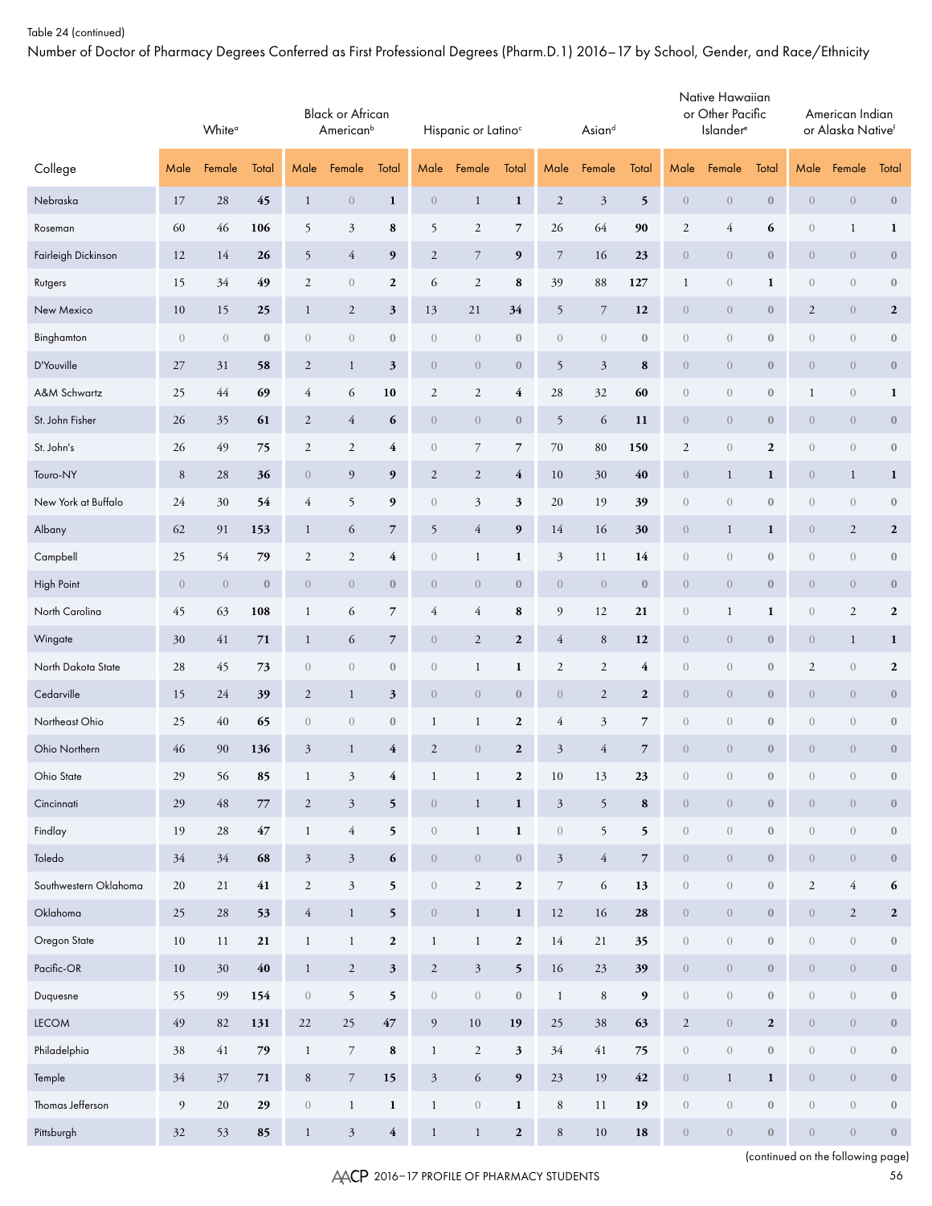Number of Doctor of Pharmacy Degrees Conferred as First Professional Degrees (Pharm.D.1) 2016–17 by School, Gender, and Race/Ethnicity

|                       | White <sup>a</sup><br>Male<br>Female<br>Total |             |                  |                      | <b>Black or African</b><br>American <sup>b</sup> |                         |                             | Hispanic or Latino <sup>c</sup> |                  |                  | Asiand                   |                          |                  | Native Hawaiian<br>or Other Pacific<br>Islander <sup>e</sup> |                  |                  | American Indian<br>or Alaska Native <sup>f</sup> |                  |
|-----------------------|-----------------------------------------------|-------------|------------------|----------------------|--------------------------------------------------|-------------------------|-----------------------------|---------------------------------|------------------|------------------|--------------------------|--------------------------|------------------|--------------------------------------------------------------|------------------|------------------|--------------------------------------------------|------------------|
| College               |                                               |             |                  | Male                 | Female                                           | Total                   | Male                        | Female                          | Total            | Male             | Female                   | Total                    | Male             | Female                                                       | Total            | Male             | Female                                           | Total            |
| Nebraska              | 17                                            | 28          | 45               | $\mathbf{1}$         | $\boldsymbol{0}$                                 | $\mathbf{1}$            | $\boldsymbol{0}$            | $\mathbf{1}$                    | 1                | $\mathbf{2}$     | $\mathfrak{Z}$           | 5                        | $\overline{0}$   | $\boldsymbol{0}$                                             | $\boldsymbol{0}$ | $\overline{0}$   | $\overline{0}$                                   | $\boldsymbol{0}$ |
| Roseman               | 60                                            | 46          | 106              | 5                    | 3                                                | 8                       | 5                           | $\mathfrak 2$                   | $\overline{7}$   | 26               | 64                       | 90                       | $\boldsymbol{2}$ | 4                                                            | 6                | $\boldsymbol{0}$ | $\mathbf{1}$                                     | 1                |
| Fairleigh Dickinson   | 12                                            | 14          | 26               | 5                    | $\overline{4}$                                   | 9                       | $\sqrt{2}$                  | $\boldsymbol{7}$                | $\boldsymbol{9}$ | $\boldsymbol{7}$ | 16                       | 23                       | $\overline{0}$   | $\sqrt{0}$                                                   | $\boldsymbol{0}$ | $\overline{0}$   | $\overline{0}$                                   | $\boldsymbol{0}$ |
| Rutgers               | 15                                            | 34          | 49               | $\sqrt{2}$           | $\boldsymbol{0}$                                 | 2                       | 6                           | $\sqrt{2}$                      | 8                | 39               | 88                       | 127                      | $\mathbf{1}$     | $\boldsymbol{0}$                                             | 1                | $\boldsymbol{0}$ | $\boldsymbol{0}$                                 | $\boldsymbol{0}$ |
| New Mexico            | 10                                            | 15          | 25               | $\mathbf{1}$         | $\boldsymbol{2}$                                 | 3                       | 13                          | 21                              | 34               | 5                | $\overline{\phantom{a}}$ | 12                       | $\overline{0}$   | $\sqrt{0}$                                                   | $\boldsymbol{0}$ | $\mathfrak{2}$   | $\overline{0}$                                   | $\mathbf{2}$     |
| Binghamton            | $\boldsymbol{0}$                              | $\theta$    | $\boldsymbol{0}$ | $\boldsymbol{0}$     | $\boldsymbol{0}$                                 | $\boldsymbol{0}$        | $\boldsymbol{0}$            | $\boldsymbol{0}$                | $\boldsymbol{0}$ | $\boldsymbol{0}$ | $\boldsymbol{0}$         | $\boldsymbol{0}$         | $\sqrt{a}$       | $\boldsymbol{0}$                                             | $\boldsymbol{0}$ | $\boldsymbol{0}$ | $\boldsymbol{0}$                                 | $\boldsymbol{0}$ |
| D'Youville            | 27                                            | 31          | 58               | $\sqrt{2}$           | $\mathbf{1}$                                     | $\mathbf{3}$            | $\boldsymbol{0}$            | $\theta$                        | $\boldsymbol{0}$ | 5                | $\mathfrak{Z}$           | 8                        | $\overline{0}$   | $\boldsymbol{0}$                                             | $\boldsymbol{0}$ | $\overline{0}$   | $\overline{0}$                                   | $\boldsymbol{0}$ |
| A&M Schwartz          | 25                                            | 44          | 69               | 4                    | 6                                                | 10                      | $\boldsymbol{2}$            | $\mathfrak 2$                   | 4                | 28               | 32                       | 60                       | $\sqrt{a}$       | $\boldsymbol{0}$                                             | $\boldsymbol{0}$ | $\mathbf 1$      | $\boldsymbol{0}$                                 | $\mathbf{1}$     |
| St. John Fisher       | 26                                            | 35          | 61               | $\sqrt{2}$           | $\overline{4}$                                   | 6                       | $\boldsymbol{0}$            | $\theta$                        | $\boldsymbol{0}$ | 5                | 6                        | 11                       | $\overline{0}$   | $\boldsymbol{0}$                                             | $\boldsymbol{0}$ | $\sqrt{0}$       | $\overline{0}$                                   | $\boldsymbol{0}$ |
| St. John's            | 26                                            | 49          | 75               | $\mathfrak{2}$       | $\mathfrak{2}$                                   | 4                       | $\boldsymbol{0}$            | $\overline{\phantom{a}}$        | 7                | $70\,$           | 80                       | 150                      | $\boldsymbol{2}$ | $\boldsymbol{0}$                                             | $\boldsymbol{2}$ | $\boldsymbol{0}$ | $\boldsymbol{0}$                                 | $\boldsymbol{0}$ |
| Touro-NY              | 8                                             | 28          | 36               | $\boldsymbol{0}$     | $\overline{9}$                                   | 9                       | $\sqrt{2}$                  | $\sqrt{2}$                      | $\overline{4}$   | 10               | 30                       | 40                       | $\overline{0}$   | $\mathbf{1}$                                                 | $\mathbf{1}$     | $\overline{0}$   | $\mathbf{1}$                                     | $\mathbf{1}$     |
| New York at Buffalo   | 24                                            | 30          | 54               | 4                    | 5                                                | 9                       | $\boldsymbol{0}$            | 3                               | 3                | 20               | 19                       | 39                       | $\sqrt{a}$       | $\boldsymbol{0}$                                             | $\boldsymbol{0}$ | $\boldsymbol{0}$ | $\boldsymbol{0}$                                 | $\boldsymbol{0}$ |
| Albany                | 62                                            | 91          | 153              | $\mathbf{1}$         | 6                                                | $\overline{7}$          | 5                           | $\sqrt{4}$                      | $\boldsymbol{9}$ | 14               | 16                       | 30                       | $\overline{0}$   | $\mathbf{1}$                                                 | $\mathbf{1}$     | $\sqrt{0}$       | $\sqrt{2}$                                       | $\mathbf{2}$     |
| Campbell              | 25                                            | 54          | 79               | $\boldsymbol{2}$     | $\mathfrak{2}$                                   | 4                       | $\boldsymbol{0}$            | $\mathbf{1}$                    | 1                | $\mathfrak{Z}$   | 11                       | 14                       | $\boldsymbol{0}$ | $\boldsymbol{0}$                                             | $\boldsymbol{0}$ | $\boldsymbol{0}$ | $\boldsymbol{0}$                                 | $\boldsymbol{0}$ |
| High Point            | $\boldsymbol{0}$                              | $\theta$    | $\boldsymbol{0}$ | $\boldsymbol{0}$     | $\boldsymbol{0}$                                 | $\boldsymbol{0}$        | $\boldsymbol{0}$            | $\theta$                        | $\boldsymbol{0}$ | $\boldsymbol{0}$ | $\boldsymbol{0}$         | $\boldsymbol{0}$         | $\overline{0}$   | $\boldsymbol{0}$                                             | $\boldsymbol{0}$ | $\overline{0}$   | $\overline{0}$                                   | $\boldsymbol{0}$ |
| North Carolina        | 45                                            | 63          | 108              | 1                    | 6                                                | 7                       | 4                           | 4                               | 8                | 9                | 12                       | 21                       | $\boldsymbol{0}$ | $\mathbf{1}$                                                 | 1                | $\boldsymbol{0}$ | $\sqrt{2}$                                       | $\mathbf{2}$     |
| Wingate               | 30                                            | 41          | 71               | $\mathbf{1}$         | 6                                                | $\overline{7}$          | $\boldsymbol{0}$            | $\sqrt{2}$                      | $\mathbf 2$      | $\overline{4}$   | $\,$ 8 $\,$              | 12                       | $\overline{0}$   | $\boldsymbol{0}$                                             | $\boldsymbol{0}$ | $\sqrt{0}$       | $\mathbf{1}$                                     | $\mathbf{1}$     |
| North Dakota State    | 28                                            | 45          | 73               | $\overline{0}$       | $\boldsymbol{0}$                                 | $\boldsymbol{0}$        | $\boldsymbol{0}$            | $\mathbf{1}$                    | $\mathbf{1}$     | $\sqrt{2}$       | $\sqrt{2}$               | 4                        | $\boldsymbol{0}$ | $\boldsymbol{0}$                                             | $\boldsymbol{0}$ | $\boldsymbol{2}$ | $\boldsymbol{0}$                                 | $\boldsymbol{2}$ |
| Cedarville            | 15                                            | 24          | 39               | $\sqrt{2}$           | $\mathbf{1}$                                     | 3                       | $\boldsymbol{0}$            | $\theta$                        | $\boldsymbol{0}$ | $\boldsymbol{0}$ | $\sqrt{2}$               | $\boldsymbol{2}$         | $\boldsymbol{0}$ | $\boldsymbol{0}$                                             | $\boldsymbol{0}$ | $\overline{0}$   | $\overline{0}$                                   | $\boldsymbol{0}$ |
| Northeast Ohio        | 25                                            | 40          | 65               | $\overline{0}$       | $\boldsymbol{0}$                                 | $\boldsymbol{0}$        | $\mathbf{1}$                | $\mathbf{1}$                    | $\boldsymbol{2}$ | 4                | $\mathfrak{Z}$           | 7                        | $\boldsymbol{0}$ | $\boldsymbol{0}$                                             | $\boldsymbol{0}$ | $\boldsymbol{0}$ | $\boldsymbol{0}$                                 | $\boldsymbol{0}$ |
| Ohio Northern         | 46                                            | 90          | 136              | $\mathfrak{Z}$       | $\mathbf{1}$                                     | 4                       | $\sqrt{2}$                  | $\boldsymbol{0}$                | $\boldsymbol{2}$ | $\mathfrak{Z}$   | $\overline{4}$           | $\overline{7}$           | $\boldsymbol{0}$ | $\sqrt{a}$                                                   | $\boldsymbol{0}$ | $\overline{0}$   | $\overline{0}$                                   | $\boldsymbol{0}$ |
| Ohio State            | 29                                            | 56          | 85               | $\mathbf{1}$         | $\mathfrak{Z}$                                   | 4                       | $\mathbf{1}$                | $\,1$                           | $\mathbf{2}$     | $10\,$           | 13                       | 23                       | $\boldsymbol{0}$ | $\begin{matrix} 0 \end{matrix}$                              | $\boldsymbol{0}$ | $\boldsymbol{0}$ | $\sqrt{0}$                                       | $\mathbf{0}$     |
| Cincinnati            | 29                                            | $\sqrt{48}$ | $77\,$           | $\sqrt{2}$           | $\sqrt{3}$                                       | 5                       | $\,0\,$                     | $\,1$                           | $\mathbf 1$      | $\sqrt{3}$       | 5                        | $\bf8$                   | $\overline{0}$   | $\boldsymbol{0}$                                             | $\boldsymbol{0}$ | $\boldsymbol{0}$ | $\boldsymbol{0}$                                 | $\boldsymbol{0}$ |
| Findlay               | 19                                            | $28\,$      | $47\,$           | $\mathbf{1}$         | $\sqrt{4}$                                       | 5                       | $\boldsymbol{0}$            | $\,1$                           | $\mathbf 1$      | $\boldsymbol{0}$ | 5                        | $\mathbf 5$              | $\boldsymbol{0}$ | $\boldsymbol{0}$                                             | $\boldsymbol{0}$ | $\overline{0}$   | $\boldsymbol{0}$                                 | $\boldsymbol{0}$ |
| Toledo                | $34\,$                                        | $34\,$      | 68               | $\boldsymbol{\beta}$ | $\mathfrak{Z}$                                   | 6                       | $\boldsymbol{0}$            | $\,0\,$                         | $\boldsymbol{0}$ | $\mathfrak{Z}$   | $\overline{4}$           | $\overline{\phantom{a}}$ | $\overline{0}$   | $\overline{0}$                                               | $\boldsymbol{0}$ | $\overline{0}$   | $\boldsymbol{0}$                                 | $\boldsymbol{0}$ |
| Southwestern Oklahoma | $20\,$                                        | $21\,$      | $\bf 41$         | $\sqrt{2}$           | $\sqrt{3}$                                       | 5                       | $\boldsymbol{0}$            | $\sqrt{2}$                      | $\boldsymbol{2}$ | $\boldsymbol{7}$ | 6                        | 13                       | $\boldsymbol{0}$ | $\boldsymbol{0}$                                             | $\boldsymbol{0}$ | $\mathbf{2}$     | $\sqrt{4}$                                       | 6                |
| Oklahoma              | 25                                            | $28\,$      | 53               | $\overline{4}$       | $\mathbf{1}$                                     | 5                       | $\,0\,$                     | $\,1$                           | $\mathbf 1$      | 12               | 16                       | ${\bf 28}$               | $\overline{0}$   | $\overline{0}$                                               | $\boldsymbol{0}$ | $\boldsymbol{0}$ | $\sqrt{2}$                                       | $\mathbf{2}$     |
| Oregon State          | 10                                            | 11          | 21               | $\mathbf{1}$         | $\mathbf{1}$                                     | $\mathbf{2}$            | $\mathbf{1}$                | $\mathbf{1}$                    | $\boldsymbol{2}$ | 14               | 21                       | 35                       | $\boldsymbol{0}$ | $\boldsymbol{0}$                                             | $\boldsymbol{0}$ | $\overline{0}$   | $\boldsymbol{0}$                                 | $\boldsymbol{0}$ |
| $Pacific-OR$          | $10\,$                                        | $30\,$      | $\sqrt{40}$      | $\,1$                | $\sqrt{2}$                                       | $\mathbf{3}$            | $\sqrt{2}$                  | $\mathfrak{Z}$                  | 5                | 16               | $23\,$                   | 39                       | $\overline{0}$   | $\overline{0}$                                               | $\boldsymbol{0}$ | $\overline{0}$   | $\boldsymbol{0}$                                 | $\boldsymbol{0}$ |
| Duquesne              | 55                                            | 99          | 154              | $\left( \right)$     | 5                                                | 5                       | $\boldsymbol{0}$            | $\,0\,$                         | $\boldsymbol{0}$ | $\mathbf{1}$     | $\,$ 8 $\,$              | 9                        | $\boldsymbol{0}$ | $\boldsymbol{0}$                                             | $\boldsymbol{0}$ | $\overline{0}$   | $\boldsymbol{0}$                                 | $\boldsymbol{0}$ |
| LECOM                 | 49                                            | 82          | 131              | $22\,$               | 25                                               | $47\,$                  | $\boldsymbol{9}$            | $10\,$                          | 19               | $25\,$           | $38\,$                   | 63                       | $\boldsymbol{2}$ | $\boldsymbol{0}$                                             | $\boldsymbol{2}$ | $\boldsymbol{0}$ | $\overline{0}$                                   | $\boldsymbol{0}$ |
| Philadelphia          | $38\,$                                        | $41\,$      | 79               | $\mathbf{1}$         | $\boldsymbol{7}$                                 | 8                       | $\,1$                       | $\sqrt{2}$                      | $\mathbf{3}$     | 34               | $41\,$                   | $75\,$                   | $\boldsymbol{0}$ | $\boldsymbol{0}$                                             | $\boldsymbol{0}$ | $\overline{0}$   | $\boldsymbol{0}$                                 | $\boldsymbol{0}$ |
| Temple                | $34\,$                                        | $37\,$      | $71\,$           | $\,$ 8 $\,$          | $\boldsymbol{7}$                                 | 15                      | $\ensuremath{\mathfrak{Z}}$ | $\sqrt{6}$                      | 9                | $23\,$           | 19                       | $\pmb{42}$               | $\boldsymbol{0}$ | $\mathbf{1}$                                                 | $\mathbf{1}$     | $\boldsymbol{0}$ | $\overline{0}$                                   | $\boldsymbol{0}$ |
| Thomas Jefferson      | 9                                             | $20\,$      | 29               | $\boldsymbol{0}$     | $\mathbf{1}$                                     | $\mathbf 1$             | $\,1$                       | $\,0\,$                         | $\mathbf 1$      | $\,$ 8 $\,$      | 11                       | 19                       | $\boldsymbol{0}$ | $\boldsymbol{0}$                                             | $\boldsymbol{0}$ | $\boldsymbol{0}$ | $\boldsymbol{0}$                                 | $\boldsymbol{0}$ |
| Pittsburgh            | 32                                            | 53          | 85               | $\,1$                | $\sqrt{3}$                                       | $\overline{\mathbf{4}}$ | $\,1$                       | $\,1\,$                         | $\boldsymbol{2}$ | $\,8\,$          | 10                       | 18                       | $\overline{0}$   | $\boldsymbol{0}$                                             | $\boldsymbol{0}$ | $\overline{0}$   | $\boldsymbol{0}$                                 | $\boldsymbol{0}$ |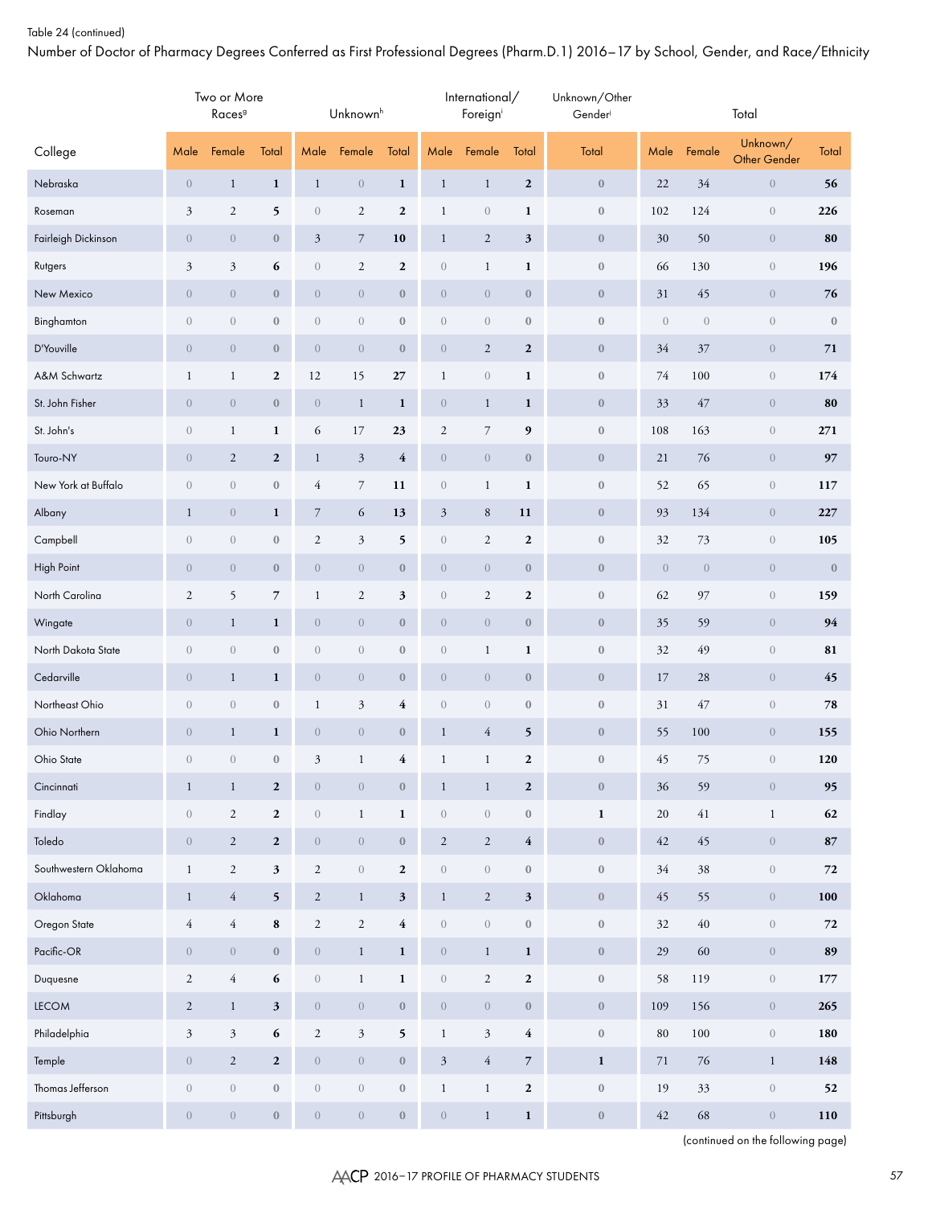Number of Doctor of Pharmacy Degrees Conferred as First Professional Degrees (Pharm.D.1) 2016–17 by School, Gender, and Race/Ethnicity

|                       |                  | Two or More<br>Races <sup>g</sup> |                  |                  | Unknown <sup>h</sup> |                  |                  | International/<br>Foreigni |                         | Unknown/Other<br>Gender |                  |                  | Total                    |              |
|-----------------------|------------------|-----------------------------------|------------------|------------------|----------------------|------------------|------------------|----------------------------|-------------------------|-------------------------|------------------|------------------|--------------------------|--------------|
| College               | Male             | Female                            | Total            | Male             | Female               | Total            | Male             | Female                     | Total                   | Total                   | Male             | Female           | Unknown/<br>Other Gender | Total        |
| Nebraska              | $\theta$         | $\mathbf{1}$                      | $\mathbf{1}$     | $\mathbf{1}$     | $\boldsymbol{0}$     | $\mathbf{1}$     | $\mathbf{1}$     | $\mathbf{1}$               | $\mathbf 2$             | $\boldsymbol{0}$        | 22               | 34               | $\boldsymbol{0}$         | 56           |
| Roseman               | $\mathfrak{Z}$   | $\sqrt{2}$                        | 5                | $\,0\,$          | $\sqrt{2}$           | $\boldsymbol{2}$ | $\mathbf 1$      | $\boldsymbol{0}$           | $\mathbf{1}$            | $\boldsymbol{0}$        | 102              | 124              | $\sqrt{a}$               | 226          |
| Fairleigh Dickinson   | $\theta$         | $\boldsymbol{0}$                  | $\boldsymbol{0}$ | $\mathfrak{Z}$   | $\boldsymbol{7}$     | 10               | $\mathbf 1$      | $\sqrt{2}$                 | $\mathfrak{z}$          | $\boldsymbol{0}$        | 30               | 50               | $\boldsymbol{0}$         | 80           |
| Rutgers               | $\mathfrak{Z}$   | $\mathfrak{Z}$                    | 6                | $\boldsymbol{0}$ | $\sqrt{2}$           | $\boldsymbol{2}$ | $\boldsymbol{0}$ | $\mathbf{1}$               | $\mathbf{1}$            | $\boldsymbol{0}$        | 66               | 130              | $\sqrt{a}$               | 196          |
| New Mexico            | $\theta$         | $\boldsymbol{0}$                  | $\boldsymbol{0}$ | $\boldsymbol{0}$ | $\boldsymbol{0}$     | $\boldsymbol{0}$ | $\boldsymbol{0}$ | $\theta$                   | $\boldsymbol{0}$        | $\boldsymbol{0}$        | 31               | 45               | $\sqrt{0}$               | 76           |
| Binghamton            | $\theta$         | $\boldsymbol{0}$                  | $\boldsymbol{0}$ | $\sqrt{a}$       | $\boldsymbol{0}$     | $\boldsymbol{0}$ | $\boldsymbol{0}$ | $\boldsymbol{0}$           | $\boldsymbol{0}$        | $\boldsymbol{0}$        | $\boldsymbol{0}$ | $\sqrt{a}$       | $\sqrt{a}$               | $\mathbf{0}$ |
| D'Youville            | $\theta$         | $\boldsymbol{0}$                  | $\boldsymbol{0}$ | $\boldsymbol{0}$ | $\boldsymbol{0}$     | $\boldsymbol{0}$ | $\boldsymbol{0}$ | $\sqrt{2}$                 | $\boldsymbol{2}$        | $\boldsymbol{0}$        | 34               | 37               | $\boldsymbol{0}$         | 71           |
| A&M Schwartz          | $\mathbf{1}$     | $\mathbf{1}$                      | $\boldsymbol{2}$ | 12               | 15                   | 27               | $\mathbf 1$      | $\boldsymbol{0}$           | $\mathbf{1}$            | $\boldsymbol{0}$        | 74               | 100              | $\sqrt{a}$               | 174          |
| St. John Fisher       | $\theta$         | $\theta$                          | $\boldsymbol{0}$ | $\boldsymbol{0}$ | $\mathbf{1}$         | $\mathbf{1}$     | $\boldsymbol{0}$ | $\mathbf{1}$               | $\mathbf{1}$            | $\boldsymbol{0}$        | 33               | 47               | $\sqrt{0}$               | 80           |
| St. John's            | $\theta$         | $\mathbf{1}$                      | $\mathbf{1}$     | 6                | 17                   | 23               | 2                | $\boldsymbol{7}$           | 9                       | $\boldsymbol{0}$        | 108              | 163              | $\sqrt{a}$               | 271          |
| Touro-NY              | $\theta$         | $\sqrt{2}$                        | $\boldsymbol{2}$ | $\mathbf{1}$     | $\sqrt{3}$           | $\overline{4}$   | $\boldsymbol{0}$ | $\theta$                   | $\boldsymbol{0}$        | $\boldsymbol{0}$        | 21               | 76               | $\overline{0}$           | 97           |
| New York at Buffalo   | $\boldsymbol{0}$ | $\boldsymbol{0}$                  | $\boldsymbol{0}$ | $\overline{4}$   | 7                    | 11               | $\boldsymbol{0}$ | $\mathbf{1}$               | $\mathbf{1}$            | $\boldsymbol{0}$        | 52               | 65               | $\sqrt{a}$               | 117          |
| Albany                | $\mathbf{1}$     | $\boldsymbol{0}$                  | $\mathbf{1}$     | $\overline{7}$   | 6                    | 13               | $\mathfrak{Z}$   | $\,8\,$                    | 11                      | $\boldsymbol{0}$        | 93               | 134              | $\overline{0}$           | 227          |
| Campbell              | $\theta$         | $\boldsymbol{0}$                  | $\boldsymbol{0}$ | $\sqrt{2}$       | $\mathfrak{Z}$       | 5                | $\boldsymbol{0}$ | $\mathfrak{2}$             | $\boldsymbol{2}$        | $\boldsymbol{0}$        | 32               | 73               | $\sqrt{a}$               | 105          |
| High Point            | $\theta$         | $\boldsymbol{0}$                  | $\boldsymbol{0}$ | $\boldsymbol{0}$ | $\boldsymbol{0}$     | $\boldsymbol{0}$ | $\boldsymbol{0}$ | $\theta$                   | $\boldsymbol{0}$        | $\boldsymbol{0}$        | $\boldsymbol{0}$ | $\boldsymbol{0}$ | $\overline{0}$           | $\mathbf{0}$ |
| North Carolina        | $\overline{2}$   | 5                                 | $\overline{7}$   | $\mathbf{1}$     | $\sqrt{2}$           | $\mathfrak z$    | $\boldsymbol{0}$ | $\mathfrak{2}$             | $\boldsymbol{2}$        | $\boldsymbol{0}$        | 62               | 97               | $\sqrt{a}$               | 159          |
| Wingate               | $\theta$         | $\mathbf{1}$                      | $\mathbf{1}$     | $\boldsymbol{0}$ | $\boldsymbol{0}$     | $\boldsymbol{0}$ | $\boldsymbol{0}$ | $\theta$                   | $\boldsymbol{0}$        | $\boldsymbol{0}$        | 35               | 59               | $\overline{0}$           | 94           |
| North Dakota State    | $\theta$         | $\boldsymbol{0}$                  | $\boldsymbol{0}$ | $\,0\,$          | $\boldsymbol{0}$     | $\boldsymbol{0}$ | $\boldsymbol{0}$ | $\mathbf{1}$               | $\mathbf{1}$            | $\boldsymbol{0}$        | 32               | 49               | $\sqrt{a}$               | 81           |
| Cedarville            | $\boldsymbol{0}$ | $\mathbf{1}$                      | $\mathbf{1}$     | $\boldsymbol{0}$ | $\boldsymbol{0}$     | $\boldsymbol{0}$ | $\boldsymbol{0}$ | $\theta$                   | $\boldsymbol{0}$        | $\boldsymbol{0}$        | 17               | 28               | $\overline{0}$           | 45           |
| Northeast Ohio        | $\theta$         | $\boldsymbol{0}$                  | $\boldsymbol{0}$ | $\mathbf{1}$     | $\mathfrak{Z}$       | 4                | $\boldsymbol{0}$ | $\boldsymbol{0}$           | $\boldsymbol{0}$        | $\boldsymbol{0}$        | 31               | 47               | $\sqrt{a}$               | 78           |
| Ohio Northern         | $\boldsymbol{0}$ | $\mathbf{1}$                      | $\mathbf{1}$     | $\boldsymbol{0}$ | $\boldsymbol{0}$     | $\boldsymbol{0}$ | $\mathbf{1}$     | $\overline{4}$             | 5                       | $\bf{0}$                | 55               | 100              | $\overline{0}$           | 155          |
| Ohio State            | $\sqrt{a}$       | $\boldsymbol{0}$                  | $\boldsymbol{0}$ | $\mathfrak{Z}$   | $\mathbf{1}$         | 4                | $\mathbf{1}$     | $\mathbf{1}$               | $\mathbf{2}$            | $\boldsymbol{0}$        | 45               | 75               | $\overline{0}$           | 120          |
| Cincinnati            | $\mathbf{1}$     | $\mathbf{1}$                      | $\boldsymbol{2}$ | $\boldsymbol{0}$ | $\boldsymbol{0}$     | $\boldsymbol{0}$ | $\mathbf{1}$     | $\mathbf{1}$               | $\mathbf{2}$            | $\boldsymbol{0}$        | 36               | 59               | $\boldsymbol{0}$         | 95           |
| Findlay               | $\,0\,$          | $\overline{c}$                    | $\boldsymbol{2}$ | $\,0\,$          | $\mathbf{1}$         | $\mathbf 1$      | $\boldsymbol{0}$ | $\boldsymbol{0}$           | $\boldsymbol{0}$        | $\mathbf{1}$            | 20               | $41\,$           | $\mathbf{1}$             | 62           |
| Toledo                | $\sqrt{a}$       | $\overline{c}$                    | $\mathbf{2}$     | $\boldsymbol{0}$ | $\boldsymbol{0}$     | $\boldsymbol{0}$ | $\overline{c}$   | $\overline{c}$             | $\overline{4}$          | $\bf 0$                 | 42               | $45\,$           | $\boldsymbol{0}$         | ${\bf 87}$   |
| Southwestern Oklahoma | $\,1$            | $\sqrt{2}$                        | $\mathfrak z$    | $\sqrt{2}$       | $\boldsymbol{0}$     | $\boldsymbol{2}$ | $\boldsymbol{0}$ | $\boldsymbol{0}$           | $\boldsymbol{0}$        | $\bf 0$                 | 34               | 38               | $\sqrt{ }$               | 72           |
| Oklahoma              | $\mathbf{1}$     | $\overline{4}$                    | 5                | $\mathbf{2}$     | $\mathbf{1}$         | $\mathbf{3}$     | $\mathbf{1}$     | $\overline{c}$             | $\mathbf{3}$            | $\bf 0$                 | 45               | 55               | $\boldsymbol{0}$         | 100          |
| Oregon State          | $\overline{4}$   | $\overline{4}$                    | ${\bf 8}$        | $\sqrt{2}$       | $\sqrt{2}$           | $\bf 4$          | $\boldsymbol{0}$ | $\boldsymbol{0}$           | $\boldsymbol{0}$        | $\bf 0$                 | 32               | $40\,$           | $\,0\,$                  | 72           |
| Pacific-OR            | $\sqrt{a}$       | $\boldsymbol{0}$                  | $\boldsymbol{0}$ | $\boldsymbol{0}$ | $\mathbf{1}$         | $\mathbf{1}$     | $\boldsymbol{0}$ | $\mathbf{1}$               | $\mathbf{1}$            | $\bf 0$                 | $29\,$           | 60               | $\boldsymbol{0}$         | 89           |
| Duquesne              | $\overline{2}$   | $\sqrt{4}$                        | $\bf 6$          | $\,0\,$          | $\,1$                | $\mathbf 1$      | $\boldsymbol{0}$ | $\sqrt{2}$                 | $\mathbf{2}$            | $\bf 0$                 | 58               | 119              | $\,0\,$                  | 177          |
| LECOM                 | $\mathbf{2}$     | $\mathbf{1}$                      | $\mathbf{3}$     | $\boldsymbol{0}$ | $\boldsymbol{0}$     | $\boldsymbol{0}$ | $\boldsymbol{0}$ | $\boldsymbol{0}$           | $\boldsymbol{0}$        | $\bf 0$                 | 109              | 156              | $\boldsymbol{0}$         | 265          |
| Philadelphia          | $\mathfrak{Z}$   | $\sqrt{3}$                        | $\bf 6$          | $\sqrt{2}$       | $\mathfrak{Z}$       | 5                | $\mathbf{1}$     | $\boldsymbol{\beta}$       | $\overline{\mathbf{4}}$ | $\bf 0$                 | $80\,$           | 100              | $\,0\,$                  | 180          |
| Temple                | $\sqrt{a}$       | $\overline{c}$                    | $\mathbf{2}$     | $\sqrt{a}$       | $\boldsymbol{0}$     | $\boldsymbol{0}$ | $\sqrt{3}$       | $\sqrt{4}$                 | $\overline{7}$          | $\mathbf 1$             | $71\,$           | 76               | $\mathbf{1}$             | 148          |
| Thomas Jefferson      | $\,0\,$          | $\,0\,$                           | $\boldsymbol{0}$ | $\,0\,$          | $\boldsymbol{0}$     | $\boldsymbol{0}$ | $\mathbf{1}$     | $\mathbf{1}$               | $\mathbf{2}$            | $\bf 0$                 | 19               | $33\,$           | $\,0\,$                  | 52           |
| Pittsburgh            | $\sqrt{a}$       | $\boldsymbol{0}$                  | $\boldsymbol{0}$ | $\boldsymbol{0}$ | $\boldsymbol{0}$     | $\boldsymbol{0}$ | $\boldsymbol{0}$ | $\mathbf{1}$               | $\mathbf{1}$            | $\bf 0$                 | $42\,$           | $68\,$           | $\boldsymbol{0}$         | 110          |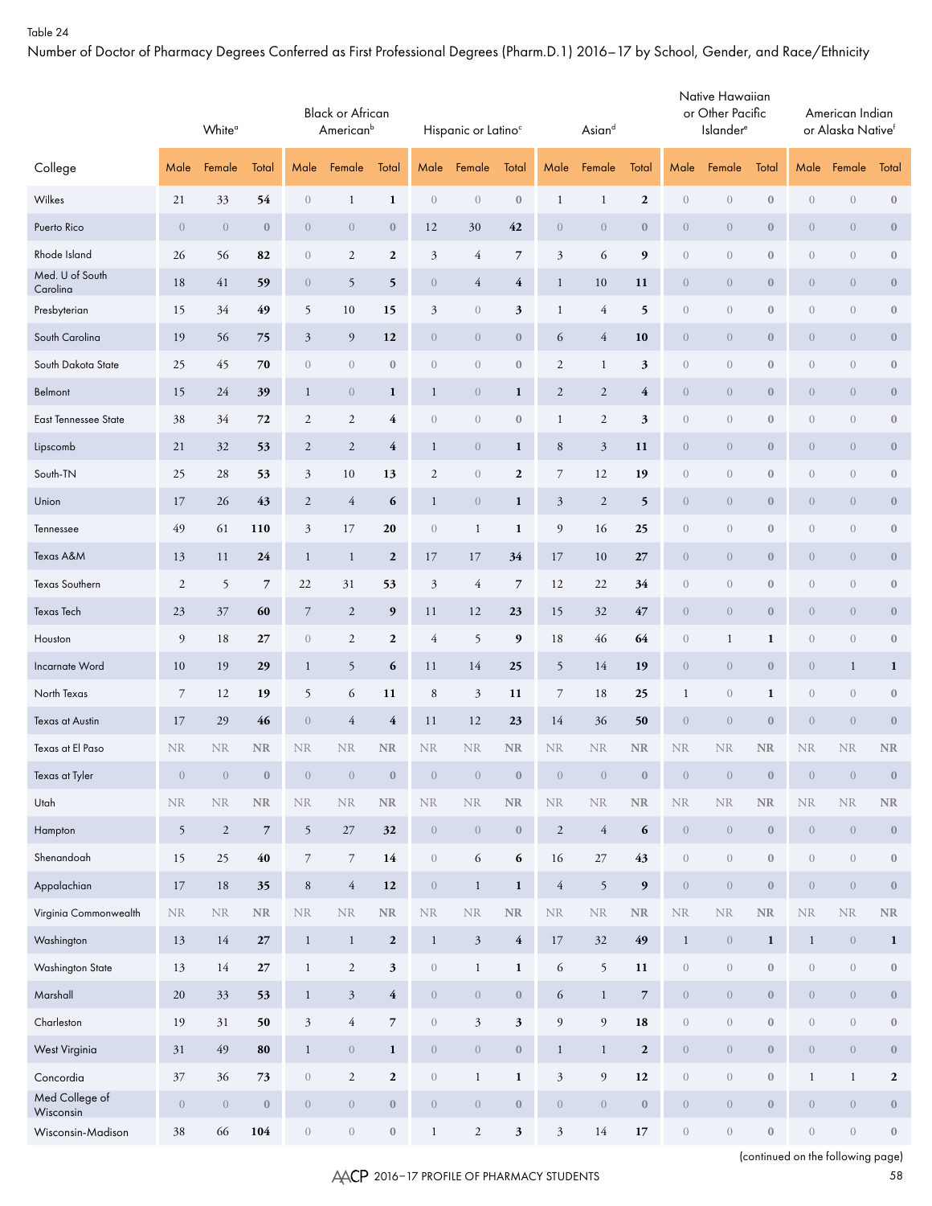Number of Doctor of Pharmacy Degrees Conferred as First Professional Degrees (Pharm.D.1) 2016–17 by School, Gender, and Race/Ethnicity

|                             |                  | White <sup>a</sup> |                         |                                | <b>Black or African</b><br>American <sup>b</sup> |                  |                  | Hispanic or Latino <sup>c</sup> |                         |                  | Asiand           |                          |                  | Native Hawaiian<br>or Other Pacific<br>Islander <sup>e</sup> |                  |                  | American Indian<br>or Alaska Nativef |                  |
|-----------------------------|------------------|--------------------|-------------------------|--------------------------------|--------------------------------------------------|------------------|------------------|---------------------------------|-------------------------|------------------|------------------|--------------------------|------------------|--------------------------------------------------------------|------------------|------------------|--------------------------------------|------------------|
| College                     | Male             | Female             | Total                   | Male                           | Female                                           | Total            | Male             | Female                          | Total                   | Male             | Female           | Total                    | Male             | Female                                                       | Total            | Male             | Female                               | Total            |
| Wilkes                      | 21               | 33                 | 54                      | $\overline{0}$                 | $\mathbf{1}$                                     | $\mathbf{1}$     | $\sqrt{a}$       | $\boldsymbol{0}$                | $\boldsymbol{0}$        | $\mathbf{1}$     | $\mathbf{1}$     | $\boldsymbol{2}$         | $\boldsymbol{0}$ | $\sqrt{a}$                                                   | $\boldsymbol{0}$ | $\boldsymbol{0}$ | $\boldsymbol{0}$                     | $\boldsymbol{0}$ |
| Puerto Rico                 | $\overline{0}$   | $\theta$           | $\bf{0}$                | $\theta$                       | $\theta$                                         | $\bf{0}$         | 12               | 30                              | 42                      | $\overline{0}$   | $\boldsymbol{0}$ | $\boldsymbol{0}$         | $\boldsymbol{0}$ | $\boldsymbol{0}$                                             | $\boldsymbol{0}$ | $\theta$         | $\overline{0}$                       | $\boldsymbol{0}$ |
| Rhode Island                | 26               | 56                 | 82                      | $\overline{0}$                 | $\sqrt{2}$                                       | $\boldsymbol{2}$ | $\mathfrak{Z}$   | $\overline{4}$                  | $\overline{7}$          | $\mathfrak{Z}$   | 6                | $\boldsymbol{9}$         | $\boldsymbol{0}$ | $\boldsymbol{0}$                                             | $\boldsymbol{0}$ | $\overline{0}$   | $\boldsymbol{0}$                     | $\boldsymbol{0}$ |
| Med. U of South<br>Carolina | 18               | 41                 | 59                      | $\theta$                       | 5                                                | 5                | $\boldsymbol{0}$ | $\overline{4}$                  | 4                       | $\mathbf{1}$     | 10               | 11                       | $\boldsymbol{0}$ | $\mathbf{0}$                                                 | $\bf{0}$         | $\theta$         | $\overline{0}$                       | $\bf{0}$         |
| Presbyterian                | 15               | 34                 | 49                      | 5                              | 10                                               | 15               | $\mathfrak{Z}$   | $\boldsymbol{0}$                | 3                       | $\mathbf{1}$     | 4                | 5                        | $\boldsymbol{0}$ | $\boldsymbol{0}$                                             | $\boldsymbol{0}$ | $\boldsymbol{0}$ | $\boldsymbol{0}$                     | $\boldsymbol{0}$ |
| South Carolina              | 19               | 56                 | 75                      | $\mathfrak{Z}$                 | 9                                                | 12               | $\theta$         | $\overline{0}$                  | $\boldsymbol{0}$        | 6                | 4                | 10                       | $\boldsymbol{0}$ | $\mathbf{0}$                                                 | $\bf{0}$         | $\theta$         | $\overline{0}$                       | $\bf{0}$         |
| South Dakota State          | 25               | 45                 | 70                      | $\boldsymbol{0}$               | $\boldsymbol{0}$                                 | $\boldsymbol{0}$ | $\boldsymbol{0}$ | $\boldsymbol{0}$                | $\boldsymbol{0}$        | $\mathfrak{2}$   | $\mathbf 1$      | 3                        | $\boldsymbol{0}$ | $\boldsymbol{0}$                                             | $\boldsymbol{0}$ | $\boldsymbol{0}$ | $\boldsymbol{0}$                     | $\boldsymbol{0}$ |
| Belmont                     | 15               | 24                 | 39                      | $\mathbf{1}$                   | $\theta$                                         | $\mathbf{1}$     | $\mathbf{1}$     | $\overline{0}$                  | $\mathbf{1}$            | $\mathbf{2}$     | $\mathfrak{2}$   | $\overline{4}$           | $\boldsymbol{0}$ | $\overline{0}$                                               | $\bf{0}$         | $\theta$         | $\overline{0}$                       | $\bf{0}$         |
| <b>East Tennessee State</b> | 38               | 34                 | 72                      | $\sqrt{2}$                     | $\sqrt{2}$                                       | 4                | $\boldsymbol{0}$ | $\boldsymbol{0}$                | $\boldsymbol{0}$        | $\mathbf{1}$     | $\mathfrak{2}$   | 3                        | $\boldsymbol{0}$ | $\boldsymbol{0}$                                             | $\boldsymbol{0}$ | $\boldsymbol{0}$ | $\boldsymbol{0}$                     | $\boldsymbol{0}$ |
| Lipscomb                    | 21               | 32                 | 53                      | $\overline{2}$                 | $\sqrt{2}$                                       | 4                | $\mathbf{1}$     | $\overline{0}$                  | $\mathbf{1}$            | $\,8\,$          | $\mathfrak{Z}$   | 11                       | $\boldsymbol{0}$ | $\overline{0}$                                               | $\bf{0}$         | $\theta$         | $\overline{0}$                       | $\bf{0}$         |
| South-TN                    | 25               | 28                 | 53                      | $\mathfrak{Z}$                 | $10\,$                                           | 13               | $\sqrt{2}$       | $\boldsymbol{0}$                | $\boldsymbol{2}$        | $\boldsymbol{7}$ | 12               | 19                       | $\boldsymbol{0}$ | $\boldsymbol{0}$                                             | $\boldsymbol{0}$ | $\overline{0}$   | $\boldsymbol{0}$                     | $\boldsymbol{0}$ |
| Union                       | 17               | 26                 | 43                      | $\overline{2}$                 | $\overline{4}$                                   | 6                | $\mathbf{1}$     | $\overline{0}$                  | $\mathbf{1}$            | $\mathfrak{Z}$   | $\boldsymbol{2}$ | 5                        | $\boldsymbol{0}$ | $\overline{0}$                                               | $\bf{0}$         | $\theta$         | $\overline{0}$                       | $\bf{0}$         |
| Tennessee                   | 49               | 61                 | 110                     | $\mathfrak{Z}$                 | 17                                               | 20               | $\boldsymbol{0}$ | $\mathbf{1}$                    | $\mathbf{1}$            | $\mathfrak{g}$   | 16               | 25                       | $\boldsymbol{0}$ | $\boldsymbol{0}$                                             | $\boldsymbol{0}$ | $\overline{0}$   | $\boldsymbol{0}$                     | $\boldsymbol{0}$ |
| Texas A&M                   | 13               | 11                 | 24                      | $\mathbf{1}$                   | $\mathbf{1}$                                     | $\boldsymbol{2}$ | 17               | 17                              | 34                      | 17               | 10               | 27                       | $\boldsymbol{0}$ | $\mathbf{0}$                                                 | $\bf{0}$         | $\theta$         | $\overline{0}$                       | $\bf{0}$         |
| Texas Southern              | $\overline{c}$   | 5                  | $\overline{7}$          | 22                             | $31\,$                                           | 53               | $\mathfrak{Z}$   | $\overline{4}$                  | $\overline{7}$          | 12               | 22               | 34                       | $\boldsymbol{0}$ | $\boldsymbol{0}$                                             | $\boldsymbol{0}$ | $\overline{0}$   | $\boldsymbol{0}$                     | $\boldsymbol{0}$ |
| <b>Texas Tech</b>           | 23               | 37                 | 60                      | $\overline{7}$                 | $\overline{2}$                                   | 9                | 11               | 12                              | 23                      | 15               | 32               | 47                       | $\boldsymbol{0}$ | $\boldsymbol{0}$                                             | $\bf{0}$         | $\theta$         | $\overline{0}$                       | $\boldsymbol{0}$ |
| Houston                     | 9                | 18                 | 27                      | $\left\langle {}\right\rangle$ | $\sqrt{2}$                                       | $\boldsymbol{2}$ | $\overline{4}$   | 5                               | 9                       | 18               | 46               | 64                       | $\boldsymbol{0}$ | $\mathbf{1}$                                                 | $\mathbf{1}$     | $\sqrt{a}$       | $\boldsymbol{0}$                     | $\boldsymbol{0}$ |
| Incarnate Word              | 10               | 19                 | 29                      | $\mathbf{1}$                   | 5                                                | 6                | 11               | 14                              | 25                      | 5                | 14               | 19                       | $\boldsymbol{0}$ | $\boldsymbol{0}$                                             | $\bf{0}$         | $\theta$         | $\mathbf{1}$                         | 1                |
| North Texas                 | $\overline{7}$   | 12                 | 19                      | 5                              | 6                                                | 11               | $\,8\,$          | $\mathfrak{Z}$                  | 11                      | $\boldsymbol{7}$ | 18               | 25                       | $\mathbf{1}$     | $\sqrt{0}$                                                   | $\mathbf{1}$     | $\sqrt{a}$       | $\boldsymbol{0}$                     | $\boldsymbol{0}$ |
| Texas at Austin             | 17               | 29                 | 46                      | $\overline{0}$                 | $\overline{4}$                                   | $\overline{4}$   | 11               | 12                              | 23                      | 14               | 36               | 50                       | $\boldsymbol{0}$ | $\sqrt{0}$                                                   | $\boldsymbol{0}$ | $\theta$         | $\boldsymbol{0}$                     | $\boldsymbol{0}$ |
| Texas at El Paso            | <b>NR</b>        | <b>NR</b>          | NR                      | <b>NR</b>                      | <b>NR</b>                                        | $\rm NR$         | $\rm NR$         | <b>NR</b>                       | $\rm NR$                | <b>NR</b>        | <b>NR</b>        | $\rm NR$                 | $\rm NR$         | <b>NR</b>                                                    | <b>NR</b>        | <b>NR</b>        | <b>NR</b>                            | $\rm NR$         |
| Texas at Tyler              | $\boldsymbol{0}$ | $\boldsymbol{0}$   | $\bf 0$                 | $\,0\,$                        | $\,0\,$                                          | $\boldsymbol{0}$ | $\,0\,$          | $\sqrt{0}$                      | $\boldsymbol{0}$        | $\,0\,$          | $\boldsymbol{0}$ | $\boldsymbol{0}$         | $\boldsymbol{0}$ | $\theta$                                                     | $\boldsymbol{0}$ | $\boldsymbol{0}$ | $\boldsymbol{0}$                     | $\mathbf{0}$     |
| Utah                        | $\rm NR$         | $\rm NR$           | $\rm NR$                | $\rm NR$                       | $\rm NR$                                         | $\rm NR$         | $\rm NR$         | $\rm NR$                        | $\rm NR$                | $\rm NR$         | $\rm NR$         | $\rm NR$                 | $\rm NR$         | $\rm NR$                                                     | $\rm NR$         | $\rm NR$         | $\rm NR$                             | $\rm NR$         |
| Hampton                     | $\mathfrak{h}$   | $\overline{c}$     | $\overline{\mathbf{7}}$ | $\mathfrak{h}$                 | 27                                               | 32               | $\boldsymbol{0}$ | $\boldsymbol{0}$                | $\bf 0$                 | $\overline{2}$   | $\overline{4}$   | 6                        | $\sqrt{ }$       | $\,0\,$                                                      | $\boldsymbol{0}$ | $\sqrt{a}$       | $\boldsymbol{0}$                     | $\boldsymbol{0}$ |
| Shenandoah                  | 15               | 25                 | $40\,$                  | $\overline{7}$                 | $\overline{7}$                                   | 14               | $\,0\,$          | 6                               | 6                       | 16               | 27               | 43                       | $\boldsymbol{0}$ | $\sqrt{a}$                                                   | $\boldsymbol{0}$ | $\overline{0}$   | $\boldsymbol{0}$                     | $\boldsymbol{0}$ |
| Appalachian                 | 17               | $18\,$             | 35                      | $\,8\,$                        | $\overline{4}$                                   | 12               | $\boldsymbol{0}$ | $\mathbf{1}$                    | $\mathbf 1$             | $\sqrt{4}$       | $5\overline{)}$  | $\boldsymbol{9}$         | $\sqrt{ }$       | $\sqrt{a}$                                                   | $\boldsymbol{0}$ | $\sqrt{a}$       | $\sqrt{a}$                           | $\boldsymbol{0}$ |
| Virginia Commonwealth       | $\rm NR$         | <b>NR</b>          | $\rm NR$                | $\rm NR$                       | <b>NR</b>                                        | $\rm NR$         | $\rm NR$         | $\rm NR$                        | $\rm NR$                | $\rm NR$         | $\rm NR$         | $\rm NR$                 | $\rm NR$         | $\rm NR$                                                     | $\rm NR$         | $\rm NR$         | $\rm NR$                             | $\rm NR$         |
| Washington                  | 13               | 14                 | $\bf 27$                | $\mathbf{1}$                   | $\mathbf{1}$                                     | $\mathbf{2}$     | $\mathbf{1}$     | $\sqrt{3}$                      | $\overline{4}$          | 17               | 32               | 49                       | $\,1$            | $\theta$                                                     | $\mathbf{1}$     | $\mathbf{1}$     | $\sqrt{a}$                           | $\mathbf{1}$     |
| <b>Washington State</b>     | 13               | 14                 | $\bf 27$                | $\mathbf{1}$                   | $\overline{2}$                                   | $\mathbf{3}$     | $\,0\,$          | $\mathbf{1}$                    | $\mathbf{1}$            | 6                | 5                | 11                       | $\overline{0}$   | $\boldsymbol{0}$                                             | $\boldsymbol{0}$ | $\boldsymbol{0}$ | $\overline{0}$                       | $\mathbf{0}$     |
| Marshall                    | $20\,$           | 33                 | 53                      | $\mathbf{1}$                   | $\mathfrak{Z}$                                   | $\overline{4}$   | $\boldsymbol{0}$ | $\sqrt{ }$                      | $\boldsymbol{0}$        | 6                | $\mathbf{1}$     | $\overline{\phantom{a}}$ | $\boldsymbol{0}$ | $\sqrt{a}$                                                   | $\boldsymbol{0}$ | $\boldsymbol{0}$ | $\overline{0}$                       | $\boldsymbol{0}$ |
| Charleston                  | 19               | 31                 | 50                      | $\boldsymbol{\beta}$           | $\sqrt{4}$                                       | $\overline{7}$   | $\,0\,$          | $\mathfrak{Z}$                  | $\overline{\mathbf{3}}$ | 9                | 9                | 18                       | $\boldsymbol{0}$ | $\,0\,$                                                      | $\boldsymbol{0}$ | $\boldsymbol{0}$ | $\boldsymbol{0}$                     | $\boldsymbol{0}$ |
| West Virginia               | 31               | 49                 | 80                      | $\mathbf{1}$                   | $\sqrt{a}$                                       | $\mathbf{1}$     | $\,0\,$          | $\sqrt{ }$                      | $\boldsymbol{0}$        | $\mathbf{1}$     | $\mathbf{1}$     | $\boldsymbol{2}$         | $\boldsymbol{0}$ | $\sqrt{a}$                                                   | $\boldsymbol{0}$ | $\boldsymbol{0}$ | $\overline{0}$                       | $\boldsymbol{0}$ |
| Concordia                   | $37\,$           | 36                 | 73                      | $\boldsymbol{0}$               | $\overline{c}$                                   | $\mathbf{2}$     | $\,0\,$          | $\mathbf{1}$                    | $\mathbf{1}$            | $\overline{3}$   | 9                | $12\,$                   | $\overline{0}$   | $\,0\,$                                                      | $\boldsymbol{0}$ | $\mathbf{1}$     | $\mathbf{1}$                         | $\mathbf{2}$     |
| Med College of<br>Wisconsin | $\overline{0}$   | $\sqrt{0}$         | $\bf 0$                 | $\,0\,$                        | $\sqrt{a}$                                       | $\boldsymbol{0}$ | $\,0\,$          | $\sqrt{a}$                      | $\boldsymbol{0}$        | $\sqrt{a}$       | $\overline{0}$   | $\boldsymbol{0}$         | $\boldsymbol{0}$ | $\sqrt{a}$                                                   | $\boldsymbol{0}$ | $\boldsymbol{0}$ | $\sqrt{a}$                           | $\boldsymbol{0}$ |
| Wisconsin-Madison           | 38               | 66                 | ${\bf 104}$             | $\sqrt{a}$                     | $\,0\,$                                          | $\mathbf{0}$     | $\mathbf{1}$     | $\overline{2}$                  | 3 <sup>1</sup>          | $\mathfrak{Z}$   | $14\,$           | $17$                     | $\boldsymbol{0}$ | $\sqrt{a}$                                                   | $\boldsymbol{0}$ | $\overline{0}$   | $\sqrt{ }$                           | $\boldsymbol{0}$ |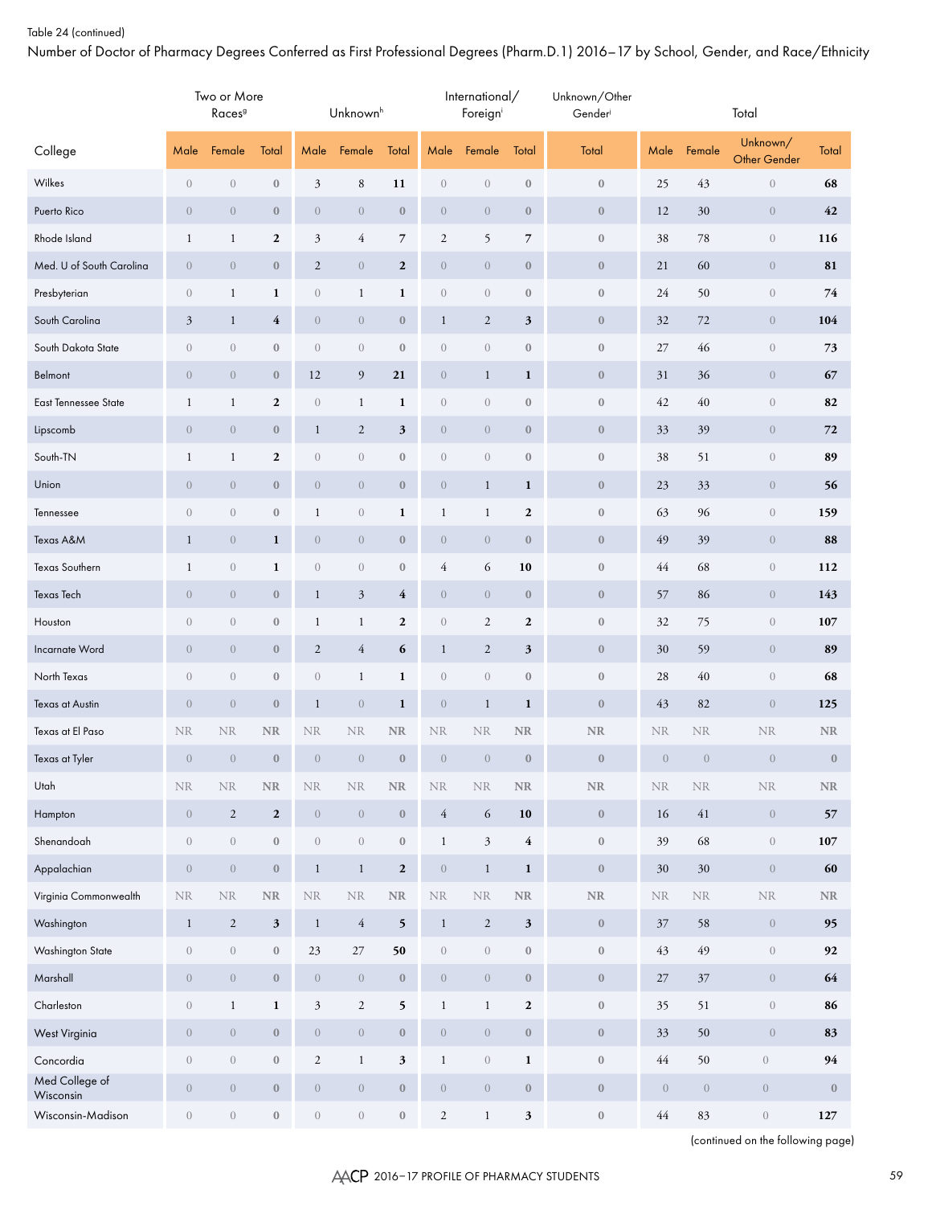Number of Doctor of Pharmacy Degrees Conferred as First Professional Degrees (Pharm.D.1) 2016–17 by School, Gender, and Race/Ethnicity

|                             |                  | Two or More<br>Races <sup>9</sup> |                  |                  | Unknown <sup>h</sup> |                         |                  | International/<br>Foreigni |                  | Unknown/Other<br>Gender |                  |                | Total                           |                  |
|-----------------------------|------------------|-----------------------------------|------------------|------------------|----------------------|-------------------------|------------------|----------------------------|------------------|-------------------------|------------------|----------------|---------------------------------|------------------|
| College                     | Male             | Female                            | Total            | Male             | Female               | Total                   | Male             | Female                     | Total            | Total                   | Male             | Female         | Unknown/<br><b>Other Gender</b> | Total            |
| Wilkes                      | $\boldsymbol{0}$ | $\boldsymbol{0}$                  | $\boldsymbol{0}$ | $\mathfrak{Z}$   | 8                    | 11                      | $\boldsymbol{0}$ | $\boldsymbol{0}$           | $\boldsymbol{0}$ | $\boldsymbol{0}$        | 25               | 43             | $\boldsymbol{0}$                | 68               |
| Puerto Rico                 | $\boldsymbol{0}$ | $\boldsymbol{0}$                  | $\boldsymbol{0}$ | $\overline{0}$   | $\boldsymbol{0}$     | $\boldsymbol{0}$        | $\boldsymbol{0}$ | $\overline{0}$             | $\boldsymbol{0}$ | $\boldsymbol{0}$        | 12               | 30             | $\overline{0}$                  | 42               |
| Rhode Island                | $\mathbf{1}$     | $\mathbf{1}$                      | $\boldsymbol{2}$ | $\mathfrak{Z}$   | $\overline{4}$       | 7                       | $\mathbf{2}$     | 5                          | $\overline{7}$   | $\boldsymbol{0}$        | 38               | 78             | $\overline{0}$                  | 116              |
| Med. U of South Carolina    | $\boldsymbol{0}$ | $\boldsymbol{0}$                  | $\boldsymbol{0}$ | $\overline{c}$   | $\boldsymbol{0}$     | $\boldsymbol{2}$        | $\boldsymbol{0}$ | $\overline{0}$             | $\boldsymbol{0}$ | $\boldsymbol{0}$        | 21               | 60             | $\overline{0}$                  | 81               |
| Presbyterian                | $\boldsymbol{0}$ | $\mathbf{1}$                      | $\mathbf{1}$     | $\boldsymbol{0}$ | $\mathbf{1}$         | $\mathbf{1}$            | $\sqrt{a}$       | $\overline{0}$             | $\boldsymbol{0}$ | $\boldsymbol{0}$        | 24               | 50             | $\overline{0}$                  | 74               |
| South Carolina              | $\mathfrak{Z}$   | $\mathbf{1}$                      | 4                | $\overline{0}$   | $\boldsymbol{0}$     | $\boldsymbol{0}$        | $\mathbf{1}$     | $\overline{c}$             | 3                | $\boldsymbol{0}$        | 32               | 72             | $\overline{0}$                  | 104              |
| South Dakota State          | $\sqrt{a}$       | $\boldsymbol{0}$                  | $\boldsymbol{0}$ | $\boldsymbol{0}$ | $\boldsymbol{0}$     | $\boldsymbol{0}$        | $\boldsymbol{0}$ | $\overline{0}$             | $\boldsymbol{0}$ | $\boldsymbol{0}$        | 27               | 46             | $\overline{0}$                  | 73               |
| Belmont                     | $\boldsymbol{0}$ | $\boldsymbol{0}$                  | $\boldsymbol{0}$ | 12               | 9                    | 21                      | $\boldsymbol{0}$ | $\mathbf{1}$               | $\mathbf{1}$     | $\boldsymbol{0}$        | 31               | 36             | $\overline{0}$                  | 67               |
| <b>East Tennessee State</b> | $\mathbf{1}$     | $\mathbf{1}$                      | $\boldsymbol{2}$ | $\boldsymbol{0}$ | $\mathbf{1}$         | $\mathbf{1}$            | $\sqrt{a}$       | $\overline{0}$             | $\boldsymbol{0}$ | $\boldsymbol{0}$        | 42               | 40             | $\sqrt{a}$                      | 82               |
| Lipscomb                    | $\boldsymbol{0}$ | $\boldsymbol{0}$                  | $\boldsymbol{0}$ | $\mathbf{1}$     | $\overline{c}$       | 3                       | $\boldsymbol{0}$ | $\overline{0}$             | $\boldsymbol{0}$ | $\boldsymbol{0}$        | 33               | 39             | $\overline{0}$                  | 72               |
| South-TN                    | $\mathbf{1}$     | $\mathbf{1}$                      | $\boldsymbol{2}$ | $\boldsymbol{0}$ | $\boldsymbol{0}$     | $\boldsymbol{0}$        | $\boldsymbol{0}$ | $\overline{0}$             | $\boldsymbol{0}$ | $\boldsymbol{0}$        | 38               | 51             | $\overline{0}$                  | 89               |
| Union                       | $\boldsymbol{0}$ | $\boldsymbol{0}$                  | $\boldsymbol{0}$ | $\overline{0}$   | $\overline{0}$       | $\boldsymbol{0}$        | $\boldsymbol{0}$ | $\mathbf{1}$               | $\mathbf{1}$     | $\boldsymbol{0}$        | 23               | 33             | $\overline{0}$                  | 56               |
| Tennessee                   | $\sqrt{a}$       | $\boldsymbol{0}$                  | $\boldsymbol{0}$ | $\mathbf{1}$     | $\boldsymbol{0}$     | $\mathbf{1}$            | $\mathbf{1}$     | $\mathbf{1}$               | $\boldsymbol{2}$ | $\boldsymbol{0}$        | 63               | 96             | $\overline{0}$                  | 159              |
| Texas A&M                   | $\mathbf{1}$     | $\boldsymbol{0}$                  | $\mathbf{1}$     | $\overline{0}$   | $\boldsymbol{0}$     | $\mathbf{0}$            | $\boldsymbol{0}$ | $\overline{0}$             | $\bf{0}$         | $\boldsymbol{0}$        | 49               | 39             | $\overline{0}$                  | 88               |
| Texas Southern              | $\mathbf{1}$     | $\boldsymbol{0}$                  | $\mathbf{1}$     | $\boldsymbol{0}$ | $\boldsymbol{0}$     | $\boldsymbol{0}$        | 4                | 6                          | 10               | $\boldsymbol{0}$        | 44               | 68             | $\overline{0}$                  | 112              |
| Texas Tech                  | $\boldsymbol{0}$ | $\boldsymbol{0}$                  | $\boldsymbol{0}$ | $\mathbf{1}$     | $\mathfrak{Z}$       | $\overline{\mathbf{4}}$ | $\boldsymbol{0}$ | $\overline{0}$             | $\bf{0}$         | $\boldsymbol{0}$        | 57               | 86             | $\overline{0}$                  | 143              |
| Houston                     | $\sqrt{a}$       | $\boldsymbol{0}$                  | $\boldsymbol{0}$ | $\mathbf{1}$     | $\mathbf{1}$         | $\boldsymbol{2}$        | $\boldsymbol{0}$ | $\mathbf{2}$               | $\boldsymbol{2}$ | $\boldsymbol{0}$        | 32               | 75             | $\theta$                        | 107              |
| Incarnate Word              | $\boldsymbol{0}$ | $\boldsymbol{0}$                  | $\boldsymbol{0}$ | $\overline{c}$   | $\overline{4}$       | 6                       | $\mathbf{1}$     | $\overline{c}$             | 3                | $\boldsymbol{0}$        | 30               | 59             | $\overline{0}$                  | 89               |
| North Texas                 | $\sqrt{a}$       | $\boldsymbol{0}$                  | $\boldsymbol{0}$ | $\boldsymbol{0}$ | $\mathbf{1}$         | $\mathbf{1}$            | $\sqrt{a}$       | $\overline{0}$             | $\boldsymbol{0}$ | $\boldsymbol{0}$        | 28               | 40             | $\theta$                        | 68               |
| Texas at Austin             | $\boldsymbol{0}$ | $\boldsymbol{0}$                  | $\boldsymbol{0}$ | $\mathbf{1}$     | $\theta$             | $\mathbf{1}$            | $\theta$         | $\mathbf{1}$               | $\mathbf{1}$     | $\boldsymbol{0}$        | 43               | 82             | $\overline{0}$                  | 125              |
| Texas at El Paso            | <b>NR</b>        | <b>NR</b>                         | <b>NR</b>        | <b>NR</b>        | <b>NR</b>            | NR                      | <b>NR</b>        | <b>NR</b>                  | $\rm NR$         | ${\bf NR}$              | <b>NR</b>        | <b>NR</b>      | <b>NR</b>                       | NR               |
| Texas at Tyler              | $\boldsymbol{0}$ | $\boldsymbol{0}$                  | $\boldsymbol{0}$ | $\overline{0}$   | $\boldsymbol{0}$     | $\bf{0}$                | $\overline{0}$   | $\overline{0}$             | $\bf{0}$         | $\boldsymbol{0}$        | $\boldsymbol{0}$ | $\overline{0}$ | $\overline{0}$                  | $\boldsymbol{0}$ |
| Utah                        | $\rm NR$         | $\rm NR$                          | $\rm NR$         | $\rm NR$         | $\rm NR$             | $\rm NR$                | $\rm NR$         | <b>NR</b>                  | $\rm NR$         | ${\bf NR}$              | $\rm NR$         | $\rm NR$       | $\rm NR$                        | $\rm NR$         |
| Hampton                     | $\boldsymbol{0}$ | $\sqrt{2}$                        | $\overline{2}$   | $\sqrt{a}$       | $\,0\,$              | $\boldsymbol{0}$        | $\overline{4}$   | 6                          | $10$             | $\boldsymbol{0}$        | 16               | $41\,$         | $\left\langle 0\right\rangle$   | 57               |
| Shenandoah                  | $\boldsymbol{0}$ | $\boldsymbol{0}$                  | $\bf 0$          | $\boldsymbol{0}$ | $\sqrt{a}$           | $\boldsymbol{0}$        | $\mathbf{1}$     | $\mathfrak{Z}$             | $\overline{4}$   | $\boldsymbol{0}$        | 39               | 68             | $\left\langle 0\right\rangle$   | 107              |
| Appalachian                 | $\boldsymbol{0}$ | $\boldsymbol{0}$                  | $\bf 0$          | $\mathbf{1}$     | $\mathbf{1}$         | $\mathbf{2}$            | $\sqrt{ }$       | $\mathbf{1}$               | $\mathbf 1$      | $\boldsymbol{0}$        | 30               | $30\,$         | $\left\langle 0\right\rangle$   | 60               |
| Virginia Commonwealth       | $\rm NR$         | $\rm NR$                          | $\rm NR$         | $\rm NR$         | $\rm NR$             | $\rm NR$                | $\rm NR$         | $\rm NR$                   | $\rm NR$         | $\rm NR$                | $\rm NR$         | $\rm NR$       | $\rm NR$                        | $\rm NR$         |
| Washington                  | $\,1$            | $\mathbf{2}$                      | $\mathbf{3}$     | $\mathbf{1}$     | $\sqrt{4}$           | 5                       | $\mathbf{1}$     | $\overline{c}$             | $\mathbf{3}$     | $\boldsymbol{0}$        | 37               | 58             | $\left\langle 0\right\rangle$   | 95               |
| Washington State            | $\boldsymbol{0}$ | $\boldsymbol{0}$                  | $\boldsymbol{0}$ | 23               | $27\,$               | 50                      | $\sqrt{a}$       | $\sqrt{ }$                 | $\mathbb O$      | $\boldsymbol{0}$        | 43               | 49             | $\,0\,$                         | 92               |
| Marshall                    | $\boldsymbol{0}$ | $\boldsymbol{0}$                  | $\bf 0$          | $\sqrt{ }$       | $\sqrt{ }$           | $\boldsymbol{0}$        | $\sqrt{0}$       | $\sqrt{0}$                 | $\bf 0$          | $\boldsymbol{0}$        | 27               | $37\,$         | $\sqrt{ }$                      | 64               |
| Charleston                  | $\boldsymbol{0}$ | $\,1$                             | $\mathbf 1$      | $\mathfrak{Z}$   | $\overline{c}$       | 5                       | $\mathbf{1}$     | $\mathbf{1}$               | $\boldsymbol{2}$ | $\boldsymbol{0}$        | 35               | 51             | $\left\langle {}\right\rangle$  | 86               |
| West Virginia               | $\boldsymbol{0}$ | $\boldsymbol{0}$                  | $\bf 0$          | $\sqrt{ }$       | $\sqrt{0}$           | $\mathbf{0}$            | $\sqrt{0}$       | $\sqrt{0}$                 | $\bf 0$          | $\boldsymbol{0}$        | 33               | 50             | $\left\langle 0\right\rangle$   | 83               |
| Concordia                   | $\boldsymbol{0}$ | $\boldsymbol{0}$                  | $\boldsymbol{0}$ | $\overline{c}$   | $\mathbf{1}$         | 3                       | $\mathbf{1}$     | $\sqrt{ }$                 | $\mathbf 1$      | $\boldsymbol{0}$        | $44$             | 50             | $\,0\,$                         | 94               |
| Med College of<br>Wisconsin | $\boldsymbol{0}$ | $\boldsymbol{0}$                  | $\bf 0$          | $\sqrt{a}$       | $\sqrt{0}$           | $\mathbf{0}$            | $\boldsymbol{0}$ | $\sqrt{0}$                 | $\bf 0$          | $\boldsymbol{0}$        | $\sqrt{a}$       | $\sqrt{0}$     | $\boldsymbol{0}$                | $\mathbf{0}$     |
| Wisconsin-Madison           | $\boldsymbol{0}$ | $\boldsymbol{0}$                  | $\bf 0$          | $\boldsymbol{0}$ | $\sqrt{a}$           | $\boldsymbol{0}$        | $\overline{c}$   | $\mathbf{1}$               | 3                | $\boldsymbol{0}$        | $\sqrt{44}$      | 83             | $\boldsymbol{0}$                | 127              |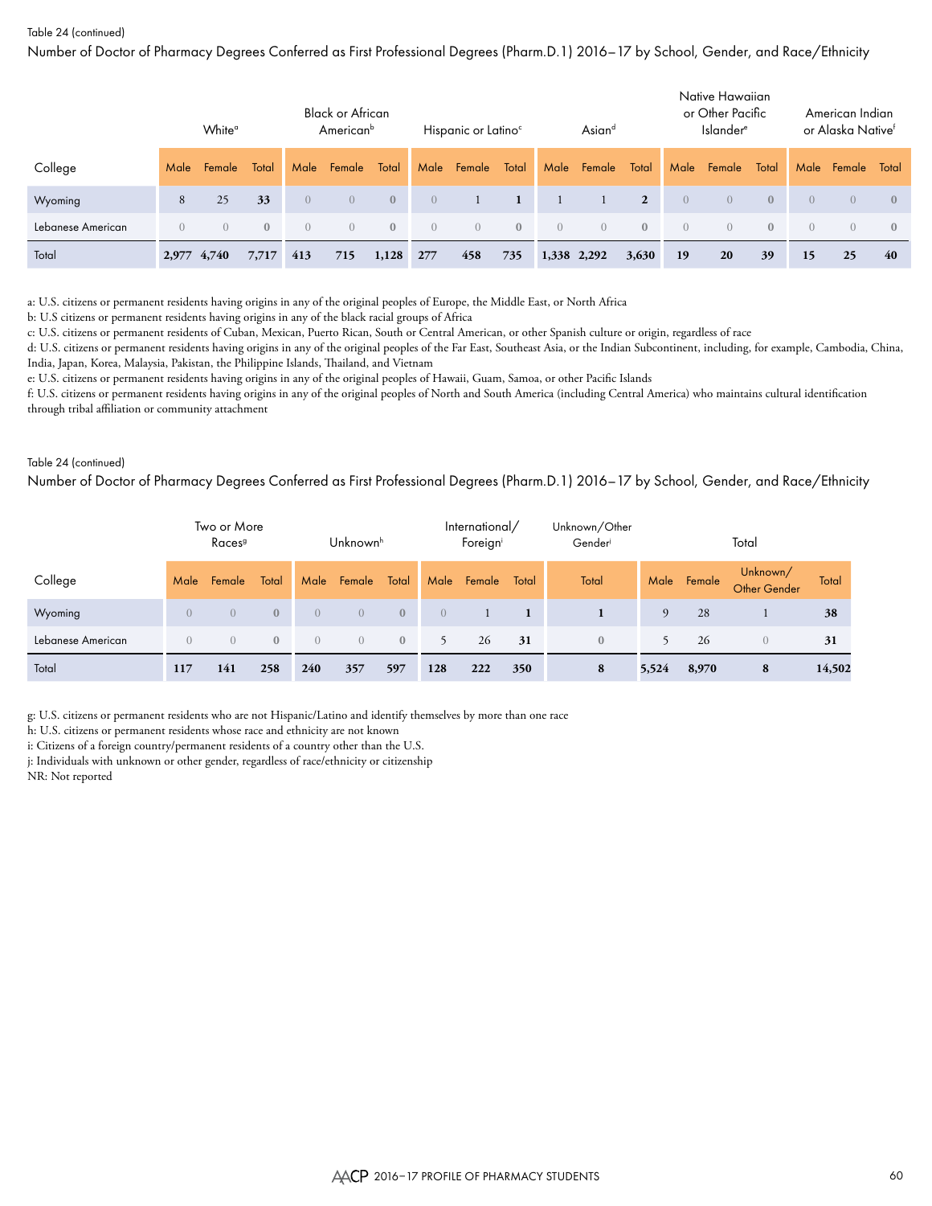Number of Doctor of Pharmacy Degrees Conferred as First Professional Degrees (Pharm.D.1) 2016–17 by School, Gender, and Race/Ethnicity

|                   |          | White <sup>o</sup> |              |            | <b>Black or African</b><br>American <sup>b</sup> |              |                | Hispanic or Latino <sup>c</sup> |                  |                  | Asiand           |                |                | Native Hawaiian<br>or Other Pacific<br>Islander <sup>e</sup> |              |                  | American Indian<br>or Alaska Native <sup>f</sup> |                |
|-------------------|----------|--------------------|--------------|------------|--------------------------------------------------|--------------|----------------|---------------------------------|------------------|------------------|------------------|----------------|----------------|--------------------------------------------------------------|--------------|------------------|--------------------------------------------------|----------------|
| College           | Male     | Female             | Total        | Male       | Female                                           | Total        | Male           | Female                          | Total            |                  | Male Female      | Total          | Male           | Female                                                       | Total        | Male             | Female                                           | Total          |
| Wyoming           | 8        | 25                 | 33           | $\Omega$   | $\left($                                         | $\mathbf{0}$ | $\overline{0}$ |                                 |                  |                  |                  | $\overline{2}$ | $\overline{0}$ | $\overline{0}$                                               | $\mathbf{0}$ | $\left( \right)$ | $\overline{0}$                                   | $\mathbf{0}$   |
| Lebanese American | $\Omega$ | $\left( \right)$   | $\mathbf{0}$ | $\bigcirc$ | $\left( \right)$                                 | $\Omega$     | $\Omega$       | $\overline{0}$                  | $\left( \right)$ | $\left( \right)$ | $\left( \right)$ | $\mathbf{0}$   | $\overline{0}$ | $\left( \right)$                                             | $\mathbf{0}$ | $\Omega$         | $\left( \right)$                                 | $\overline{0}$ |
| Total             | 2,977    | 4,740              | 7,717        | 413        | 715                                              | 1,128        | 277            | 458                             | 735              |                  | 1,338 2,292      | 3,630          | 19             | 20                                                           | 39           | 15               | 25                                               | 40             |

a: U.S. citizens or permanent residents having origins in any of the original peoples of Europe, the Middle East, or North Africa

b: U.S citizens or permanent residents having origins in any of the black racial groups of Africa

c: U.S. citizens or permanent residents of Cuban, Mexican, Puerto Rican, South or Central American, or other Spanish culture or origin, regardless of race

d: U.S. citizens or permanent residents having origins in any of the original peoples of the Far East, Southeast Asia, or the Indian Subcontinent, including, for example, Cambodia, China, India, Japan, Korea, Malaysia, Pakistan, the Philippine Islands, Thailand, and Vietnam

e: U.S. citizens or permanent residents having origins in any of the original peoples of Hawaii, Guam, Samoa, or other Pacific Islands

f: U.S. citizens or permanent residents having origins in any of the original peoples of North and South America (including Central America) who maintains cultural identification through tribal affiliation or community attachment

#### Table 24 (continued)

Number of Doctor of Pharmacy Degrees Conferred as First Professional Degrees (Pharm.D.1) 2016–17 by School, Gender, and Race/Ethnicity

|                   |          | Two or More<br>Races <sup>9</sup> |              |                | Unknown <sup>h</sup> |              |          | International/<br>Foreigni |       | Unknown/Other<br>Gender |       |             | Total                           |        |
|-------------------|----------|-----------------------------------|--------------|----------------|----------------------|--------------|----------|----------------------------|-------|-------------------------|-------|-------------|---------------------------------|--------|
| College           | Male     | Female                            | Total        | Male           | Female               | Total        | Male     | Female                     | Total | Total                   |       | Male Female | Unknown/<br><b>Other Gender</b> | Total  |
| Wyoming           | $\Omega$ | $\left($                          | $\mathbf{0}$ | $\Omega$       | $\overline{0}$       | $\mathbf{0}$ | $\left($ |                            |       |                         | 9     | 28          |                                 | 38     |
| Lebanese American | $\Omega$ | $\overline{0}$                    | $\mathbf{0}$ | $\overline{0}$ | $\overline{0}$       | $\mathbf{0}$ | 5.       | 26                         | 31    | $\mathbf{0}$            | 5.    | 26          | $\Omega$                        | 31     |
| Total             | 117      | 141                               | 258          | 240            | 357                  | 597          | 128      | 222                        | 350   | 8                       | 5,524 | 8,970       | 8                               | 14,502 |

g: U.S. citizens or permanent residents who are not Hispanic/Latino and identify themselves by more than one race

h: U.S. citizens or permanent residents whose race and ethnicity are not known

i: Citizens of a foreign country/permanent residents of a country other than the U.S.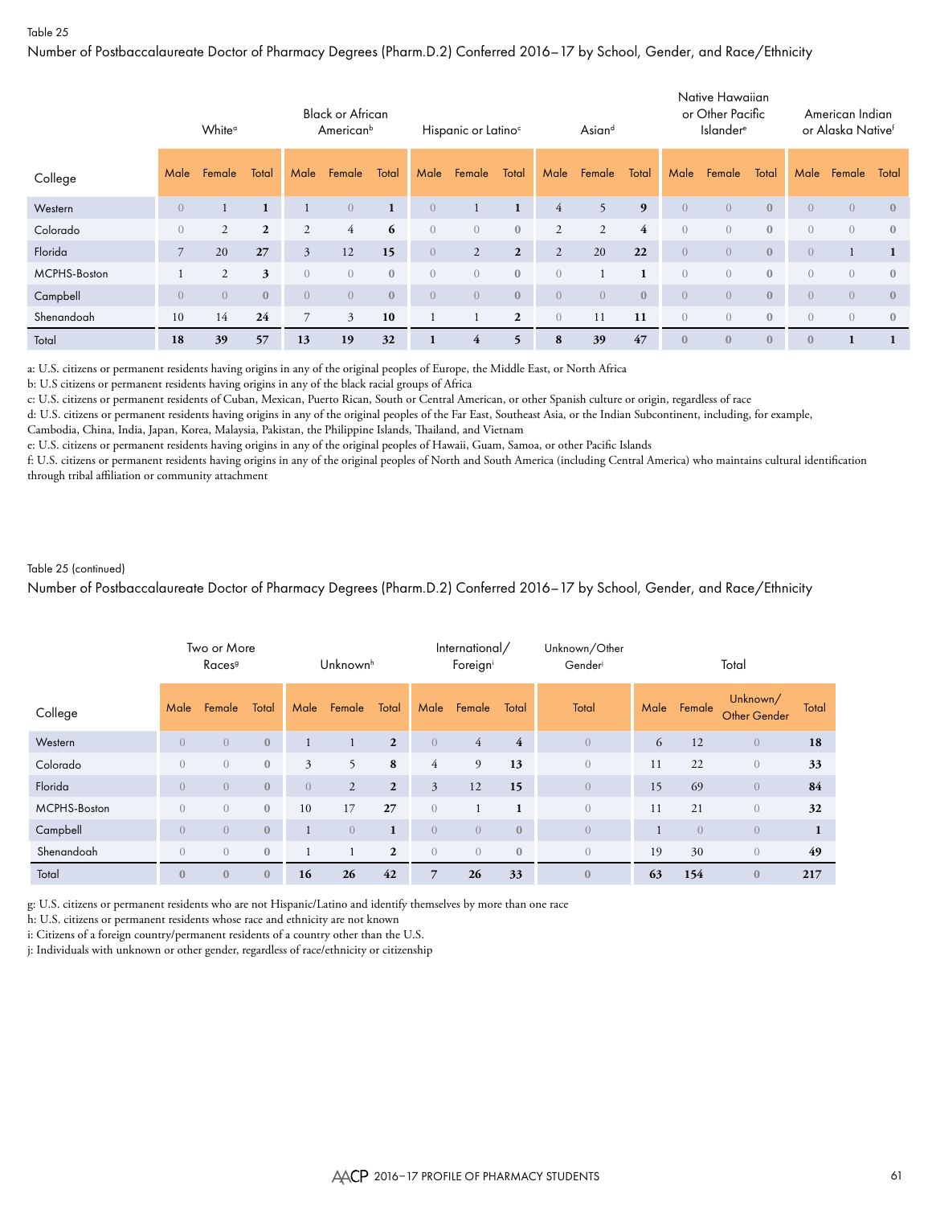Number of Postbaccalaureate Doctor of Pharmacy Degrees (Pharm.D.2) Conferred 2016–17 by School, Gender, and Race/Ethnicity

|              |                | White <sup>a</sup> |                |                | <b>Black or African</b><br>American <sup>b</sup> |                |                | Hispanic or Latino <sup>c</sup> |                |                  | Asiand         |                |                | Native Hawaiian<br>or Other Pacific<br><b>Islander</b> <sup>e</sup> |              |                  | American Indian<br>or Alaska Native <sup>f</sup> |                |
|--------------|----------------|--------------------|----------------|----------------|--------------------------------------------------|----------------|----------------|---------------------------------|----------------|------------------|----------------|----------------|----------------|---------------------------------------------------------------------|--------------|------------------|--------------------------------------------------|----------------|
| College      | Male           | Female             | Total          | Male           | Female                                           | Total          | Male           | Female                          | Total          | Male             | Female         | Total          | Male           | Female                                                              | Total        | Male             | Female                                           | Total          |
| Western      | $\overline{0}$ |                    | $\mathbf{1}$   |                | $\overline{0}$                                   |                | $\overline{0}$ | 1                               | 1              | 4                | 5              | 9              | $\overline{0}$ | $\overline{0}$                                                      | $\mathbf{0}$ | $\left($         | $\overline{0}$                                   | $\overline{0}$ |
| Colorado     | $\overline{0}$ | $\overline{2}$     | $\overline{2}$ | $\overline{2}$ | $\overline{4}$                                   | 6              | $\overline{0}$ | $\overline{0}$                  | $\mathbf{0}$   | $\overline{2}$   | $\overline{2}$ | $\overline{4}$ | $\overline{0}$ | $\overline{0}$                                                      | $\mathbf{0}$ | $\left( \right)$ | $\overline{0}$                                   | $\overline{0}$ |
| Florida      |                | 20                 | 27             | $\mathfrak{Z}$ | 12                                               | 15             | $\overline{0}$ | 2                               | $\overline{2}$ | $\overline{2}$   | 20             | 22             | $\overline{0}$ | $\overline{0}$                                                      | $\mathbf{0}$ | $\left( \right)$ |                                                  |                |
| MCPHS-Boston |                | 2                  | 3              | $\left($       | $\Omega$                                         | $\overline{0}$ | $\overline{0}$ | $\overline{0}$                  | $\mathbf{0}$   | $\left( \right)$ |                | 1              | $\overline{0}$ | $\overline{0}$                                                      | $\mathbf{0}$ | $\left( \right)$ | $\overline{0}$                                   | $\mathbf{0}$   |
| Campbell     | $\overline{0}$ | $\overline{0}$     | $\mathbf{0}$   | $\left($       | $\overline{0}$                                   | $\mathbf{0}$   | $\overline{0}$ | $\overline{0}$                  | $\mathbf{0}$   | $\overline{0}$   | $\overline{0}$ | $\mathbf{0}$   | $\overline{0}$ | $\overline{0}$                                                      | $\mathbf{0}$ | $\overline{0}$   | $\overline{0}$                                   | $\mathbf{0}$   |
| Shenandoah   | 10             | 14                 | 24             |                | 3                                                | 10             |                |                                 | $\overline{2}$ | $\left( \right)$ | 11             | 11             | $\overline{0}$ | $\overline{0}$                                                      | $\mathbf{0}$ | $\left( \right)$ | $\overline{0}$                                   | $\overline{0}$ |
| Total        | 18             | 39                 | 57             | 13             | 19                                               | 32             |                | 4                               | 5              | 8                | 39             | 47             | $\mathbf{0}$   | $\mathbf{0}$                                                        | $\mathbf{0}$ | $\theta$         |                                                  |                |

a: U.S. citizens or permanent residents having origins in any of the original peoples of Europe, the Middle East, or North Africa

b: U.S citizens or permanent residents having origins in any of the black racial groups of Africa

c: U.S. citizens or permanent residents of Cuban, Mexican, Puerto Rican, South or Central American, or other Spanish culture or origin, regardless of race

d: U.S. citizens or permanent residents having origins in any of the original peoples of the Far East, Southeast Asia, or the Indian Subcontinent, including, for example,

Cambodia, China, India, Japan, Korea, Malaysia, Pakistan, the Philippine Islands, Thailand, and Vietnam

e: U.S. citizens or permanent residents having origins in any of the original peoples of Hawaii, Guam, Samoa, or other Pacific Islands

f: U.S. citizens or permanent residents having origins in any of the original peoples of North and South America (including Central America) who maintains cultural identification through tribal affiliation or community attachment

#### Table 25 (continued)

Number of Postbaccalaureate Doctor of Pharmacy Degrees (Pharm.D.2) Conferred 2016–17 by School, Gender, and Race/Ethnicity

|              |                | Two or More<br>Races <sup>9</sup> |              |                  | Unknown <sup>h</sup> |                |                | International/<br>Foreigni |                | Unknown/Other<br>Gender |      |                | Total                           |       |
|--------------|----------------|-----------------------------------|--------------|------------------|----------------------|----------------|----------------|----------------------------|----------------|-------------------------|------|----------------|---------------------------------|-------|
| College      | Male           | Female                            | Total        | Male             | Female               | Total          | Male           | Female                     | Total          | Total                   | Male | Female         | Unknown/<br><b>Other Gender</b> | Total |
| Western      | $\overline{0}$ | $\overline{0}$                    | $\mathbf{0}$ |                  |                      | $\overline{2}$ | $\overline{0}$ | $\overline{4}$             | $\overline{4}$ | $\overline{0}$          | 6    | 12             | $\overline{0}$                  | 18    |
| Colorado     | $\overline{0}$ | $\overline{0}$                    | $\mathbf{0}$ | 3                | 5                    | 8              | $\overline{4}$ | 9                          | 13             | $\overline{0}$          | 11   | 22             | $\overline{0}$                  | 33    |
| Florida      | $\Omega$       | $\overline{0}$                    | $\mathbf{0}$ | $\left( \right)$ | $\overline{2}$       | $\overline{2}$ | 3              | 12                         | 15             | $\overline{0}$          | 15   | 69             | $\overline{0}$                  | 84    |
| MCPHS-Boston | $\overline{0}$ | $\overline{0}$                    | $\mathbf{0}$ | 10               | 17                   | 27             | $\overline{0}$ |                            | $\mathbf{1}$   | $\overline{0}$          | 11   | 21             | $\overline{0}$                  | 32    |
| Campbell     | $\overline{0}$ | $\overline{0}$                    | $\mathbf{0}$ |                  | $\overline{0}$       | $\mathbf{1}$   | $\overline{0}$ | $\overline{0}$             | $\mathbf{0}$   | $\overline{0}$          |      | $\overline{0}$ | $\overline{0}$                  | 1     |
| Shenandoah   | $\overline{0}$ | $\overline{0}$                    | $\mathbf{0}$ |                  |                      | $\overline{2}$ | $\overline{0}$ | $\overline{0}$             | $\mathbf{0}$   | $\overline{0}$          | 19   | 30             | $\overline{0}$                  | 49    |
| Total        | $\mathbf{0}$   | $\mathbf{0}$                      | $\mathbf{0}$ | 16               | 26                   | 42             | 7              | 26                         | 33             | $\mathbf{0}$            | 63   | 154            | $\mathbf{0}$                    | 217   |

g: U.S. citizens or permanent residents who are not Hispanic/Latino and identify themselves by more than one race

h: U.S. citizens or permanent residents whose race and ethnicity are not known

i: Citizens of a foreign country/permanent residents of a country other than the U.S.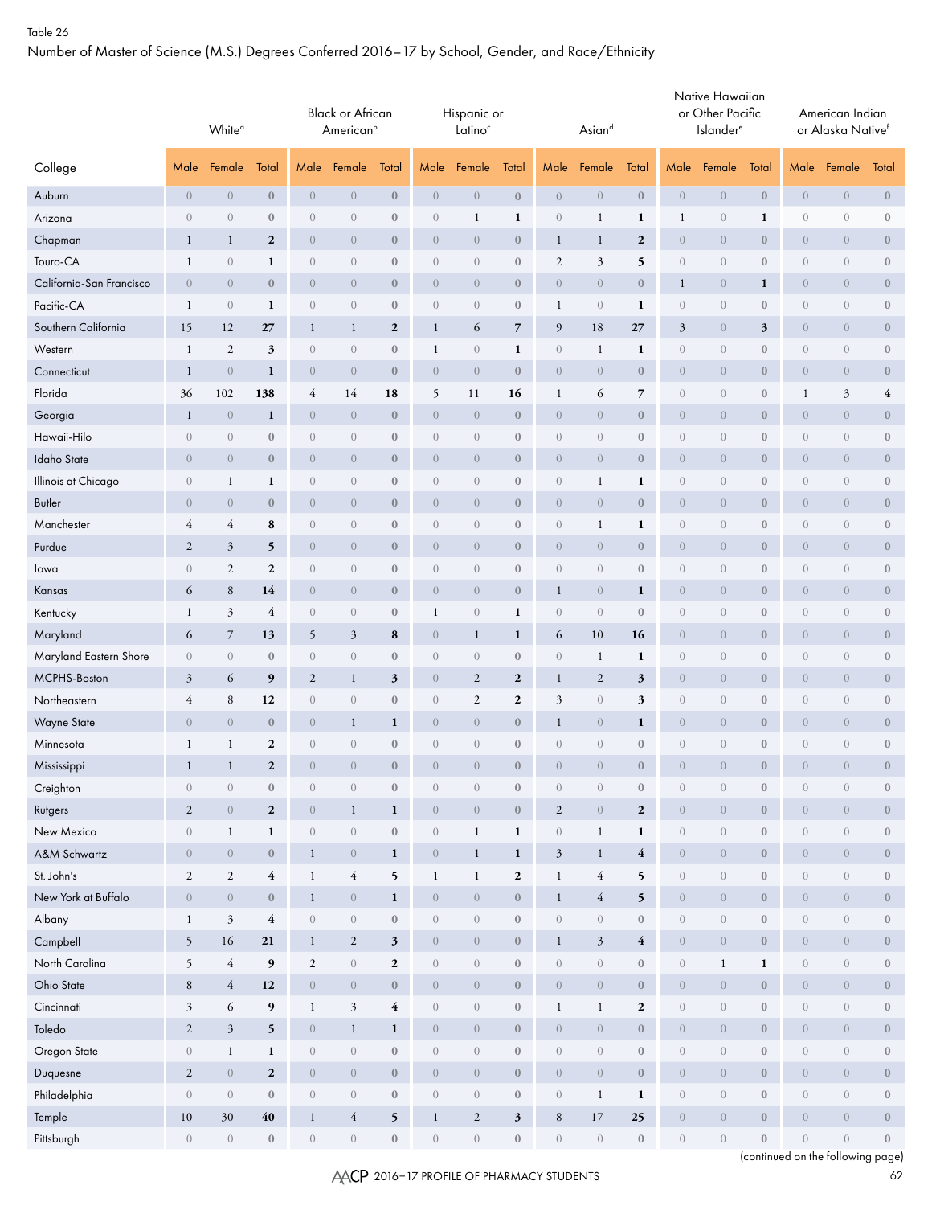Number of Master of Science (M.S.) Degrees Conferred 2016–17 by School, Gender, and Race/Ethnicity

|                          |                  | White <sup>o</sup> |                  |                  | <b>Black or African</b><br>American <sup>b</sup> |                         |                  | Hispanic or<br>Latino <sup>c</sup> |                  |                  | Asiand           |                  |                  | Native Hawaiian<br>or Other Pacific<br>Islander <sup>e</sup> |                  |                  | American Indian<br>or Alaska Nativef |                  |
|--------------------------|------------------|--------------------|------------------|------------------|--------------------------------------------------|-------------------------|------------------|------------------------------------|------------------|------------------|------------------|------------------|------------------|--------------------------------------------------------------|------------------|------------------|--------------------------------------|------------------|
| College                  | Male             | Female             | Total            | Male             | Female                                           | Total                   | Male             | Female                             | Total            | Male             | Female           | Total            | Male             | Female                                                       | Total            | Male             | Female                               | Total            |
| Auburn                   | $\overline{0}$   | $\sqrt{a}$         | $\boldsymbol{0}$ | $\theta$         | $\overline{0}$                                   | $\bf{0}$                | $\overline{0}$   | $\boldsymbol{0}$                   | $\boldsymbol{0}$ | $\sqrt{a}$       | $\boldsymbol{0}$ | $\bf 0$          | $\boldsymbol{0}$ | $\boldsymbol{0}$                                             | $\bf{0}$         | $\overline{0}$   | $\theta$                             | $\bf 0$          |
| Arizona                  | $\sqrt{a}$       | $\theta$           | $\boldsymbol{0}$ | $\boldsymbol{0}$ | $\sqrt{a}$                                       | $\boldsymbol{0}$        | $\theta$         | $\mathbf{1}$                       | 1                | $\sqrt{a}$       | $\mathbf{1}$     | 1                | $\mathbf{1}$     | $\boldsymbol{0}$                                             | $\mathbf{1}$     | $\boldsymbol{0}$ | $\boldsymbol{0}$                     | $\boldsymbol{0}$ |
| Chapman                  | $\mathbf{1}$     | $\mathbf{1}$       | $\boldsymbol{2}$ | $\theta$         | $\overline{0}$                                   | $\boldsymbol{0}$        | $\overline{0}$   | $\theta$                           | $\boldsymbol{0}$ | $\mathbf{1}$     | $\mathbf{1}$     | $\boldsymbol{2}$ | $\boldsymbol{0}$ | $\boldsymbol{0}$                                             | $\bf{0}$         | $\boldsymbol{0}$ | $\theta$                             | $\boldsymbol{0}$ |
| Touro-CA                 | 1                | $\sqrt{a}$         | 1                | $\boldsymbol{0}$ | $\sqrt{a}$                                       | $\mathbf{0}$            | $\boldsymbol{0}$ | $\theta$                           | $\boldsymbol{0}$ | $\overline{2}$   | 3                | 5                | $\boldsymbol{0}$ | $\boldsymbol{0}$                                             | $\mathbf{0}$     | $\theta$         | $\theta$                             | $\bf 0$          |
| California-San Francisco | $\overline{0}$   | $\overline{0}$     | $\bf{0}$         | $\theta$         | $\overline{0}$                                   | $\mathbf{0}$            | $\overline{0}$   | $\theta$                           | $\boldsymbol{0}$ | $\boldsymbol{0}$ | $\boldsymbol{0}$ | $\boldsymbol{0}$ | $\mathbf{1}$     | $\boldsymbol{0}$                                             | 1                | $\overline{0}$   | $\overline{0}$                       | $\boldsymbol{0}$ |
| Pacific-CA               | 1                | $\overline{0}$     | 1                | $\theta$         | $\overline{0}$                                   | $\mathbf{0}$            | $\overline{0}$   | $\theta$                           | $\boldsymbol{0}$ | $\mathbf{1}$     | $\overline{0}$   | $\mathbf{1}$     | $\boldsymbol{0}$ | $\boldsymbol{0}$                                             | $\mathbf{0}$     | $\overline{0}$   | $\theta$                             | $\bf 0$          |
| Southern California      | 15               | 12                 | 27               | $\mathbf{1}$     | $\mathbf{1}$                                     | $\mathbf{2}$            | $\mathbf{1}$     | 6                                  | $\overline{7}$   | $\overline{9}$   | $18\,$           | 27               | $\mathfrak{Z}$   | $\boldsymbol{0}$                                             | 3                | $\overline{0}$   | $\overline{0}$                       | $\boldsymbol{0}$ |
| Western                  | $\mathbf{1}$     | $\mathfrak{2}$     | 3                | $\boldsymbol{0}$ | $\overline{0}$                                   | $\boldsymbol{0}$        | 1                | $\theta$                           | 1                | $\sqrt{a}$       | $\mathbf{1}$     | 1                | $\boldsymbol{0}$ | $\boldsymbol{0}$                                             | $\boldsymbol{0}$ | $\boldsymbol{0}$ | $\theta$                             | $\bf 0$          |
| Connecticut              | -1               | $\theta$           | $\mathbf{1}$     | $\overline{0}$   | $\overline{0}$                                   | $\mathbf{0}$            | $\overline{0}$   | $\theta$                           | $\boldsymbol{0}$ | $\overline{0}$   | $\overline{0}$   | $\bf{0}$         | $\overline{0}$   | $\boldsymbol{0}$                                             | $\bf{0}$         | $\overline{0}$   | $\overline{0}$                       | $\bf{0}$         |
| Florida                  | 36               | 102                | 138              | 4                | 14                                               | 18                      | 5                | 11                                 | 16               | $\mathbf{1}$     | 6                | $\overline{7}$   | $\boldsymbol{0}$ | $\boldsymbol{0}$                                             | $\boldsymbol{0}$ | $\mathbf{1}$     | $\mathfrak{Z}$                       | 4                |
| Georgia                  | -1               | $\theta$           | $\mathbf{1}$     | $\theta$         | $\overline{0}$                                   | $\boldsymbol{0}$        | $\overline{0}$   | $\boldsymbol{0}$                   | $\boldsymbol{0}$ | $\overline{0}$   | $\overline{0}$   | $\boldsymbol{0}$ | $\overline{0}$   | $\boldsymbol{0}$                                             | $\bf{0}$         | $\overline{0}$   | $\theta$                             | $\boldsymbol{0}$ |
| Hawaii-Hilo              | $\sqrt{a}$       | $\theta$           | $\bf 0$          | $\theta$         | $\boldsymbol{0}$                                 | $\boldsymbol{0}$        | $\theta$         | $\theta$                           | $\boldsymbol{0}$ | $\sqrt{a}$       | $\boldsymbol{0}$ | $\boldsymbol{0}$ | $\boldsymbol{0}$ | $\boldsymbol{0}$                                             | $\boldsymbol{0}$ | $\boldsymbol{0}$ | $\boldsymbol{0}$                     | $\bf 0$          |
| Idaho State              | $\overline{0}$   | $\overline{0}$     | $\boldsymbol{0}$ | $\theta$         | $\overline{0}$                                   | $\boldsymbol{0}$        | $\overline{0}$   | $\theta$                           | $\boldsymbol{0}$ | $\theta$         | $\overline{0}$   | $\boldsymbol{0}$ | $\overline{0}$   | $\boldsymbol{0}$                                             | $\bf{0}$         | $\theta$         | $\overline{0}$                       | $\boldsymbol{0}$ |
| Illinois at Chicago      | $\overline{0}$   | $\mathbf{1}$       | 1                | $\boldsymbol{0}$ | $\sqrt{a}$                                       | $\mathbf{0}$            | $\boldsymbol{0}$ | $\theta$                           | $\boldsymbol{0}$ | $\theta$         | $\mathbf{1}$     | 1                | $\boldsymbol{0}$ | $\boldsymbol{0}$                                             | $\mathbf{0}$     | $\theta$         | $\boldsymbol{0}$                     | $\boldsymbol{0}$ |
| Butler                   | $\overline{0}$   | $\theta$           | $\bf{0}$         | $\theta$         | $\overline{0}$                                   | $\mathbf{0}$            | $\overline{0}$   | $\theta$                           | $\boldsymbol{0}$ | $\boldsymbol{0}$ | $\boldsymbol{0}$ | $\boldsymbol{0}$ | $\overline{0}$   | $\boldsymbol{0}$                                             | $\mathbf{0}$     | $\boldsymbol{0}$ | $\overline{0}$                       | $\bf 0$          |
| Manchester               | 4                | 4                  | 8                | $\boldsymbol{0}$ | $\overline{0}$                                   | $\mathbf{0}$            | $\overline{0}$   | $\theta$                           | $\boldsymbol{0}$ | $\theta$         | 1                | $\mathbf{1}$     | $\boldsymbol{0}$ | $\boldsymbol{0}$                                             | $\mathbf{0}$     | $\theta$         | $\theta$                             | $\bf 0$          |
| Purdue                   | $\overline{2}$   | $\mathfrak{Z}$     | 5                | $\overline{0}$   | $\boldsymbol{0}$                                 | $\bf{0}$                | $\boldsymbol{0}$ | $\theta$                           | $\boldsymbol{0}$ | $\theta$         | $\theta$         | $\bf 0$          | $\overline{0}$   | $\boldsymbol{0}$                                             | $\bf{0}$         | $\overline{0}$   | $\overline{0}$                       | $\bf 0$          |
| lowa                     | $\theta$         | $\mathfrak{2}$     | $\boldsymbol{2}$ | $\boldsymbol{0}$ | $\overline{0}$                                   | $\mathbf{0}$            | $\overline{0}$   | $\theta$                           | $\boldsymbol{0}$ | $\overline{0}$   | $\sqrt{a}$       | $\boldsymbol{0}$ | $\boldsymbol{0}$ | $\boldsymbol{0}$                                             | $\mathbf{0}$     | $\boldsymbol{0}$ | $\theta$                             | $\bf 0$          |
| Kansas                   | 6                | $\,8$              | 14               | $\overline{0}$   | $\overline{0}$                                   | $\mathbf{0}$            | $\overline{0}$   | $\theta$                           | $\boldsymbol{0}$ | $\mathbf{1}$     | $\overline{0}$   | 1                | $\overline{0}$   | $\overline{0}$                                               | $\bf{0}$         | $\overline{0}$   | $\overline{0}$                       | $\bf{0}$         |
| Kentucky                 | $\mathbf{1}$     | 3                  | $\overline{4}$   | $\boldsymbol{0}$ | $\overline{0}$                                   | $\boldsymbol{0}$        | 1                | $\theta$                           | $\mathbf{1}$     | $\sqrt{a}$       | $\sqrt{a}$       | $\boldsymbol{0}$ | $\boldsymbol{0}$ | $\boldsymbol{0}$                                             | $\boldsymbol{0}$ | $\boldsymbol{0}$ | $\theta$                             | $\boldsymbol{0}$ |
| Maryland                 | 6                | $\overline{7}$     | 13               | 5                | $\mathfrak{Z}$                                   | 8                       | $\overline{0}$   | $\mathbf{1}$                       | 1                | 6                | 10               | 16               | $\overline{0}$   | $\boldsymbol{0}$                                             | $\bf{0}$         | $\overline{0}$   | $\theta$                             | $\bf 0$          |
| Maryland Eastern Shore   | $\overline{0}$   | $\overline{0}$     | $\bf{0}$         | $\boldsymbol{0}$ | $\boldsymbol{0}$                                 | $\boldsymbol{0}$        | $\theta$         | $\theta$                           | $\boldsymbol{0}$ | $\sqrt{a}$       | $\mathbf{1}$     | 1                | $\boldsymbol{0}$ | $\boldsymbol{0}$                                             | $\boldsymbol{0}$ | $\boldsymbol{0}$ | $\boldsymbol{0}$                     | $\bf 0$          |
| MCPHS-Boston             | $\mathfrak{Z}$   | 6                  | 9                | $\boldsymbol{2}$ | $\mathbf{1}$                                     | $\mathfrak{z}$          | $\overline{0}$   | $\boldsymbol{2}$                   | $\boldsymbol{2}$ | $\mathbf{1}$     | $\overline{c}$   | $\mathfrak{z}$   | $\boldsymbol{0}$ | $\boldsymbol{0}$                                             | $\bf{0}$         | $\theta$         | $\boldsymbol{0}$                     | $\bf{0}$         |
| Northeastern             | 4                | $\,$ 8 $\,$        | 12               | $\sqrt{a}$       | $\sqrt{a}$                                       | $\mathbf{0}$            | $\boldsymbol{0}$ | $\mathfrak{2}$                     | $\boldsymbol{2}$ | $\mathfrak{Z}$   | $\overline{0}$   | 3                | $\boldsymbol{0}$ | $\boldsymbol{0}$                                             | $\boldsymbol{0}$ | $\theta$         | $\boldsymbol{0}$                     | $\bf 0$          |
| <b>Wayne State</b>       | $\overline{0}$   | $\overline{0}$     | $\bf{0}$         | $\theta$         | 1                                                | 1                       | $\overline{0}$   | $\theta$                           | $\boldsymbol{0}$ | $\mathbf{1}$     | $\boldsymbol{0}$ | 1                | $\overline{0}$   | $\boldsymbol{0}$                                             | $\mathbf{0}$     | $\overline{0}$   | $\overline{0}$                       | $\bf{0}$         |
| Minnesota                | 1                | $\mathbf{1}$       | $\mathbf{2}$     | $\boldsymbol{0}$ | $\sqrt{a}$                                       | $\boldsymbol{0}$        | $\boldsymbol{0}$ | $\sqrt{a}$                         | $\boldsymbol{0}$ | $\overline{0}$   | $\overline{0}$   | $\mathbf{0}$     | $\boldsymbol{0}$ | $\boldsymbol{0}$                                             | $\boldsymbol{0}$ | $\theta$         | $\sqrt{a}$                           | $\bf 0$          |
| Mississippi              |                  | 1                  | $\overline{2}$   | $\overline{0}$   | $\bigcap$                                        | $\mathbf{0}$            | $\overline{0}$   | $\overline{0}$                     | $\Omega$         | $\overline{0}$   | $\bigcap$        | $\mathbf{0}$     | $\overline{0}$   | $\Omega$                                                     | $\Omega$         | $\theta$         | $\overline{0}$                       | $\Omega$         |
| Creighton                | $\boldsymbol{0}$ | $\boldsymbol{0}$   | $\boldsymbol{0}$ | $\,0\,$          | $\boldsymbol{0}$                                 | $\boldsymbol{0}$        | $\boldsymbol{0}$ | $\boldsymbol{0}$                   | $\boldsymbol{0}$ | $\boldsymbol{0}$ | $\boldsymbol{0}$ | $\boldsymbol{0}$ | $\boldsymbol{0}$ | $\boldsymbol{0}$                                             | $\boldsymbol{0}$ | $\boldsymbol{0}$ | $\boldsymbol{0}$                     | $\boldsymbol{0}$ |
| Rutgers                  | $\overline{2}$   | $\boldsymbol{0}$   | $\boldsymbol{2}$ | $\boldsymbol{0}$ | $\mathbf{1}$                                     | $\mathbf{1}$            | $\boldsymbol{0}$ | $\,0\,$                            | $\boldsymbol{0}$ | $\sqrt{2}$       | $\boldsymbol{0}$ | $\boldsymbol{2}$ | $\boldsymbol{0}$ | $\boldsymbol{0}$                                             | $\boldsymbol{0}$ | $\boldsymbol{0}$ | $\,0\,$                              | $\mathbf{0}$     |
| New Mexico               | $\sqrt{a}$       | $\mathbf{1}$       | $\mathbf{1}$     | $\boldsymbol{0}$ | $\overline{0}$                                   | $\boldsymbol{0}$        | $\boldsymbol{0}$ | $\mathbf{1}$                       | $\mathbf{1}$     | $\,0\,$          | $\mathbf{1}$     | $\mathbf{1}$     | $\boldsymbol{0}$ | $\sqrt{a}$                                                   | $\boldsymbol{0}$ | $\boldsymbol{0}$ | $\left( \right)$                     | $\boldsymbol{0}$ |
| A&M Schwartz             | $\overline{0}$   | $\overline{0}$     | $\boldsymbol{0}$ | $\mathbf{1}$     | $\overline{0}$                                   | $\mathbf{1}$            | $\overline{0}$   | $\,1\,$                            | $\mathbf{1}$     | $\mathfrak{Z}$   | $\mathbf{1}$     | $\overline{4}$   | $\boldsymbol{0}$ | $\boldsymbol{0}$                                             | $\mathbf{0}$     | $\overline{0}$   | $\sqrt{a}$                           | $\boldsymbol{0}$ |
| St. John's               | $\overline{2}$   | $\overline{2}$     | 4                | $\mathbf{1}$     | $\overline{4}$                                   | 5                       | $\mathbf{1}$     | $\mathbf{1}$                       | $\mathbf{2}$     | $\mathbf{1}$     | $\overline{4}$   | 5                | $\boldsymbol{0}$ | $\boldsymbol{0}$                                             | $\mathbf{0}$     | $\boldsymbol{0}$ | $\left( \right)$                     | $\boldsymbol{0}$ |
| New York at Buffalo      | $\overline{0}$   | $\overline{0}$     | $\boldsymbol{0}$ | $\,1$            | $\overline{0}$                                   | $\mathbf{1}$            | $\boldsymbol{0}$ | $\boldsymbol{0}$                   | $\boldsymbol{0}$ | $\mathbf{1}$     | $\overline{4}$   | 5                | $\boldsymbol{0}$ | $\boldsymbol{0}$                                             | $\mathbf 0$      | $\,0\,$          | $\boldsymbol{0}$                     | $\bf 0$          |
| Albany                   | $\mathbf{1}$     | $\mathfrak{Z}$     | $\overline{4}$   | $\boldsymbol{0}$ | $\boldsymbol{0}$                                 | $\mathbf{0}$            | $\boldsymbol{0}$ | $\boldsymbol{0}$                   | $\boldsymbol{0}$ | $\boldsymbol{0}$ | $\boldsymbol{0}$ | $\boldsymbol{0}$ | $\boldsymbol{0}$ | $\boldsymbol{0}$                                             | $\boldsymbol{0}$ | $\sqrt{a}$       | $\left( \right)$                     | $\boldsymbol{0}$ |
| Campbell                 | 5                | 16                 | 21               | $\mathbf{1}$     | $\overline{2}$                                   | 3                       | $\boldsymbol{0}$ | $\sqrt{a}$                         | $\boldsymbol{0}$ | $\mathbf{1}$     | $\mathfrak{Z}$   | $\overline{4}$   | $\overline{0}$   | $\overline{0}$                                               | $\mathbf{0}$     | $\sqrt{a}$       | $\sqrt{a}$                           | $\mathbf{0}$     |
| North Carolina           | 5                | $\overline{4}$     | 9                | $\mathbf{2}$     | $\overline{0}$                                   | $\mathbf{2}$            | $\overline{0}$   | $\boldsymbol{0}$                   | $\boldsymbol{0}$ | $\sqrt{a}$       | $\overline{0}$   | $\boldsymbol{0}$ | $\boldsymbol{0}$ | $\mathbf{1}$                                                 | $\mathbf{1}$     | $\sqrt{a}$       | $\,0\,$                              | $\boldsymbol{0}$ |
| Ohio State               | $\,8\,$          | $\overline{4}$     | 12               | $\sqrt{a}$       | $\overline{0}$                                   | $\mathbf{0}$            | $\boldsymbol{0}$ | $\sqrt{a}$                         | $\boldsymbol{0}$ | $\overline{0}$   | $\sqrt{0}$       | $\mathbf{0}$     | $\boldsymbol{0}$ | $\,0\,$                                                      | $\mathbf{0}$     | $\boldsymbol{0}$ | $\,0\,$                              | $\boldsymbol{0}$ |
| Cincinnati               | $\mathfrak{Z}$   | 6                  | $\boldsymbol{9}$ | $\,1$            | $\mathfrak{Z}$                                   | $\overline{\mathbf{4}}$ | $\boldsymbol{0}$ | $\sqrt{a}$                         | $\boldsymbol{0}$ | $\mathbf{1}$     | $\mathbf{1}$     | $\boldsymbol{2}$ | $\boldsymbol{0}$ | $\boldsymbol{0}$                                             | $\boldsymbol{0}$ | $\boldsymbol{0}$ | $\sqrt{a}$                           | $\boldsymbol{0}$ |
| Toledo                   | $\overline{2}$   | $\mathfrak{Z}$     | $\mathbf{5}$     | $\sqrt{a}$       | $\mathbf{1}$                                     | $\mathbf{1}$            | $\boldsymbol{0}$ | $\,0\,$                            | $\mathbf 0$      | $\overline{0}$   | $\overline{0}$   | $\boldsymbol{0}$ | $\overline{0}$   | $\boldsymbol{0}$                                             | $\mathbf{0}$     | $\sqrt{a}$       | $\,0\,$                              | $\bf 0$          |
| Oregon State             | $\boldsymbol{0}$ | $\mathbf{1}$       | $\mathbf{1}$     | $\boldsymbol{0}$ | $\overline{0}$                                   | $\mathbf{0}$            | $\boldsymbol{0}$ | $\left( \right)$                   | $\boldsymbol{0}$ | $\boldsymbol{0}$ | $\boldsymbol{0}$ | $\boldsymbol{0}$ | $\boldsymbol{0}$ | $\sqrt{a}$                                                   | $\mathbf{0}$     | $\sqrt{a}$       | $\boldsymbol{0}$                     | $\boldsymbol{0}$ |
| Duquesne                 | 2                | $\,0\,$            | $\boldsymbol{2}$ | $\sqrt{a}$       | $\overline{0}$                                   | $\mathbf{0}$            | $\boldsymbol{0}$ | $\boldsymbol{0}$                   | $\boldsymbol{0}$ | $\overline{0}$   | $\boldsymbol{0}$ | $\boldsymbol{0}$ | $\boldsymbol{0}$ | $\boldsymbol{0}$                                             | $\mathbf{0}$     | $\overline{0}$   | $\sqrt{a}$                           | $\bf 0$          |
| Philadelphia             | $\sqrt{a}$       | $\boldsymbol{0}$   | $\boldsymbol{0}$ | $\boldsymbol{0}$ | $\boldsymbol{0}$                                 | $\mathbf{0}$            | $\boldsymbol{0}$ | $\left( \right)$                   | $\boldsymbol{0}$ | $\boldsymbol{0}$ | $\mathbf{1}$     | $\mathbf{1}$     | $\boldsymbol{0}$ | $\boldsymbol{0}$                                             | $\boldsymbol{0}$ | $\boldsymbol{0}$ | $\left( \right)$                     | $\boldsymbol{0}$ |
| Temple                   | $10\,$           | 30                 | 40               | $\,1$            | $\overline{4}$                                   | 5                       | $\mathbf{1}$     | $\sqrt{2}$                         | $\mathbf{3}$     | $\,8\,$          | $17\,$           | 25               | $\boldsymbol{0}$ | $\boldsymbol{0}$                                             | $\boldsymbol{0}$ | $\boldsymbol{0}$ | $\boldsymbol{0}$                     | $\bf 0$          |
| Pittsburgh               | $\sqrt{a}$       | $\,0\,$            | $\boldsymbol{0}$ | $\,0\,$          | $\overline{0}$                                   | $\boldsymbol{0}$        | $\boldsymbol{0}$ | $\left( \right)$                   | $\boldsymbol{0}$ | $\sqrt{a}$       | $\boldsymbol{0}$ | $\boldsymbol{0}$ | $\boldsymbol{0}$ | $\boldsymbol{0}$                                             | $\boldsymbol{0}$ | $\,0\,$          | $\,0\,$                              | $\boldsymbol{0}$ |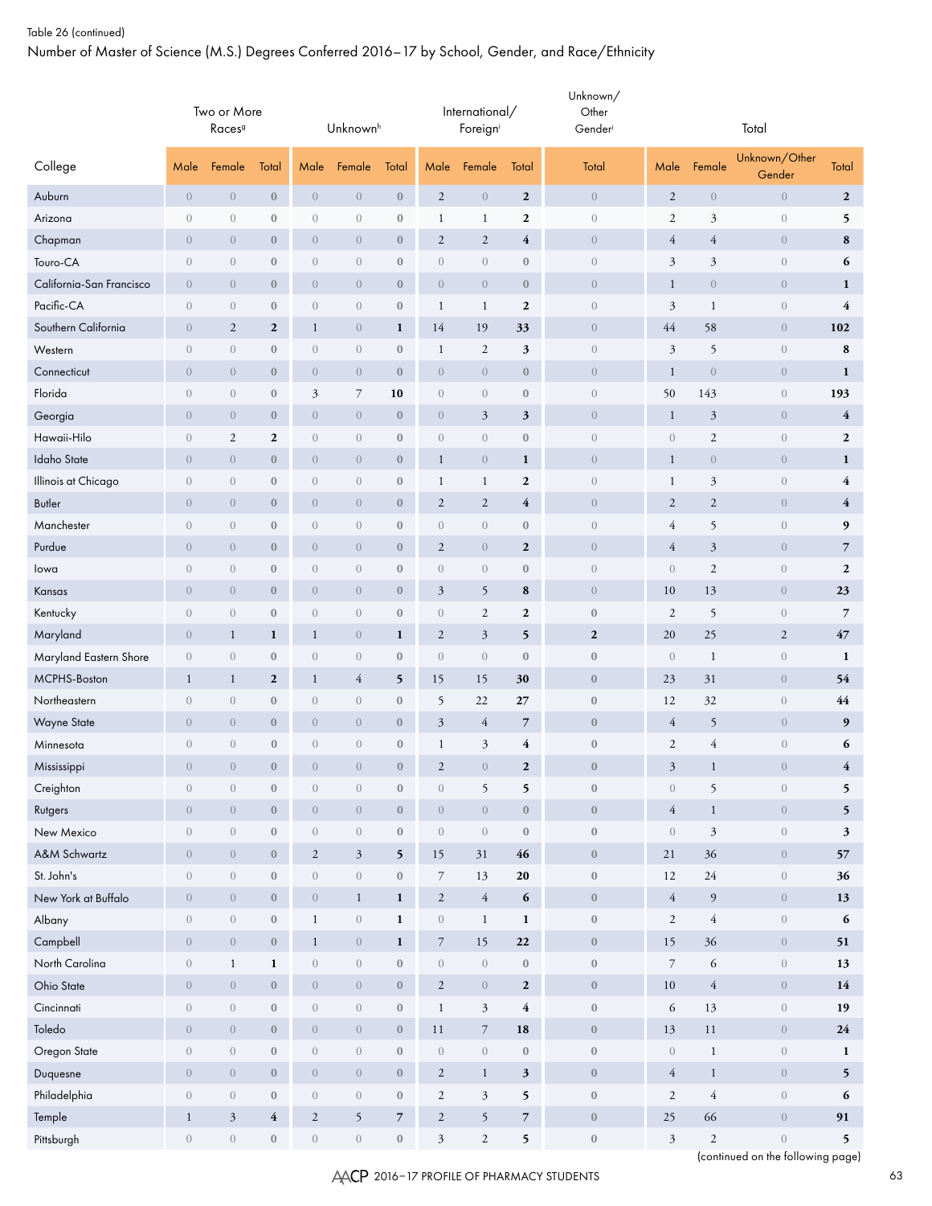Number of Master of Science (M.S.) Degrees Conferred 2016–17 by School, Gender, and Race/Ethnicity

|                          |                  | Two or More<br>Races <sup>9</sup> |                         |                                | Unknown <sup>h</sup>            |                  |                      | International/<br>Foreign |                         | Unknown/<br>Other<br>Gender |                  |                  | Total                                                 |                         |
|--------------------------|------------------|-----------------------------------|-------------------------|--------------------------------|---------------------------------|------------------|----------------------|---------------------------|-------------------------|-----------------------------|------------------|------------------|-------------------------------------------------------|-------------------------|
| College                  | Male             | Female                            | Total                   | Male                           | Female                          | Total            | Male                 | Female                    | Total                   | Total                       | Male             | Female           | Unknown/Other<br>Gender                               | Total                   |
| Auburn                   | $\boldsymbol{0}$ | $\boldsymbol{0}$                  | $\bf 0$                 | $\boldsymbol{0}$               | $\boldsymbol{0}$                | $\boldsymbol{0}$ | $\overline{2}$       | $\,0\,$                   | $\boldsymbol{2}$        | $\overline{0}$              | $\overline{2}$   | $\boldsymbol{0}$ | $\boldsymbol{0}$                                      | $\mathbf{2}$            |
| Arizona                  | $\theta$         | $\theta$                          | $\boldsymbol{0}$        | $\sqrt{a}$                     | $\begin{matrix} 0 \end{matrix}$ | $\boldsymbol{0}$ | 1                    | $\mathbf{1}$              | $\mathbf{2}$            | $\theta$                    | $\boldsymbol{2}$ | $\mathfrak{Z}$   | $\theta$                                              | 5                       |
| Chapman                  | $\theta$         | $\overline{0}$                    | $\boldsymbol{0}$        | $\boldsymbol{0}$               | $\theta$                        | $\boldsymbol{0}$ | $\sqrt{2}$           | $\overline{2}$            | 4                       | $\boldsymbol{0}$            | 4                | $\overline{4}$   | $\theta$                                              | ${\bf 8}$               |
| Touro-CA                 | $\overline{0}$   | $\theta$                          | $\boldsymbol{0}$        | $\sqrt{a}$                     | $\boldsymbol{0}$                | $\boldsymbol{0}$ | $\boldsymbol{0}$     | $\overline{0}$            | $\boldsymbol{0}$        | $\overline{0}$              | 3                | $\mathfrak{Z}$   | $\sqrt{a}$                                            | 6                       |
| California-San Francisco | $\overline{0}$   | $\boldsymbol{0}$                  | $\boldsymbol{0}$        | $\sqrt{0}$                     | $\boldsymbol{0}$                | $\boldsymbol{0}$ | $\,0\,$              | $\sqrt{0}$                | $\boldsymbol{0}$        | $\boldsymbol{0}$            | $\mathbf{1}$     | $\sqrt{a}$       | $\theta$                                              | $\mathbf{1}$            |
| Pacific-CA               | $\theta$         | $\boldsymbol{0}$                  | $\boldsymbol{0}$        | $\boldsymbol{0}$               | $\boldsymbol{0}$                | $\boldsymbol{0}$ | $\mathbf{1}$         | $\mathbf{1}$              | $\boldsymbol{2}$        | $\sqrt{a}$                  | $\mathfrak{Z}$   | $\mathbf{1}$     | $\boldsymbol{0}$                                      | 4                       |
| Southern California      | $\theta$         | $\overline{c}$                    | $\boldsymbol{2}$        | $\mathbf{1}$                   | $\boldsymbol{0}$                | $\mathbf{1}$     | 14                   | 19                        | 33                      | $\boldsymbol{0}$            | 44               | 58               | $\overline{0}$                                        | 102                     |
| Western                  | $\theta$         | $\boldsymbol{0}$                  | $\boldsymbol{0}$        | $\boldsymbol{0}$               | $\boldsymbol{0}$                | $\boldsymbol{0}$ | $\mathbf{1}$         | $\sqrt{2}$                | 3                       | $\overline{0}$              | $\mathfrak{Z}$   | 5                | $\boldsymbol{0}$                                      | 8                       |
| Connecticut              | $\overline{0}$   | $\overline{0}$                    | $\mathbf{0}$            | $\overline{0}$                 | $\sqrt{0}$                      | $\mathbf{0}$     | $\overline{0}$       | $\overline{0}$            | $\boldsymbol{0}$        | $\overline{0}$              | $\mathbf{1}$     | $\overline{0}$   | $\overline{0}$                                        | $\mathbf{1}$            |
| Florida                  | $\boldsymbol{0}$ | $\boldsymbol{0}$                  | $\boldsymbol{0}$        | $\mathfrak{Z}$                 | $\overline{7}$                  | 10               | $\sqrt{a}$           | $\overline{0}$            | $\boldsymbol{0}$        | $\sqrt{a}$                  | 50               | 143              | $\boldsymbol{0}$                                      | 193                     |
| Georgia                  | $\theta$         | $\overline{0}$                    | $\boldsymbol{0}$        | $\boldsymbol{0}$               | $\boldsymbol{0}$                | $\mathbf{0}$     | $\boldsymbol{0}$     | $\mathfrak{Z}$            | $\mathbf{3}$            | $\boldsymbol{0}$            | $\mathbf{1}$     | $\mathfrak{Z}$   | $\theta$                                              | $\overline{4}$          |
| Hawaii-Hilo              | $\theta$         | $\mathbf{2}$                      | $\boldsymbol{2}$        | $\sqrt{a}$                     | $\theta$                        | $\boldsymbol{0}$ | $\sqrt{a}$           | $\overline{0}$            | $\boldsymbol{0}$        | $\overline{0}$              | $\theta$         | $\mathfrak{2}$   | $\theta$                                              | $\boldsymbol{2}$        |
| Idaho State              | $\theta$         | $\overline{0}$                    | $\boldsymbol{0}$        | $\theta$                       | $\boldsymbol{0}$                | $\boldsymbol{0}$ | $\mathbf{1}$         | $\overline{0}$            | $\mathbf{1}$            | $\boldsymbol{0}$            | $\mathbf{1}$     | $\theta$         | $\theta$                                              | $\mathbf{1}$            |
| Illinois at Chicago      | $\theta$         | $\sqrt{0}$                        | $\boldsymbol{0}$        | $\sqrt{0}$                     | $\boldsymbol{0}$                | $\boldsymbol{0}$ | $\mathbf{1}$         | 1                         | $\boldsymbol{2}$        | $\theta$                    | 1                | $\mathfrak{Z}$   | $\sqrt{a}$                                            | $\overline{\mathbf{4}}$ |
| <b>Butler</b>            | $\theta$         | $\boldsymbol{0}$                  | $\boldsymbol{0}$        | $\boldsymbol{0}$               | $\boldsymbol{0}$                | $\boldsymbol{0}$ | $\mathfrak{2}$       | $\sqrt{2}$                | 4                       | $\boldsymbol{0}$            | $\overline{2}$   | $\sqrt{2}$       | $\sqrt{0}$                                            | $\overline{\mathbf{4}}$ |
| Manchester               | $\theta$         | $\boldsymbol{0}$                  | $\boldsymbol{0}$        | $\sqrt{0}$                     | $\boldsymbol{0}$                | $\boldsymbol{0}$ | $\boldsymbol{0}$     | $\boldsymbol{0}$          | $\boldsymbol{0}$        | $\boldsymbol{0}$            | 4                | 5                | $\boldsymbol{0}$                                      | 9                       |
| Purdue                   | $\theta$         | $\overline{0}$                    | $\boldsymbol{0}$        | $\overline{0}$                 | $\boldsymbol{0}$                | $\boldsymbol{0}$ | $\mathfrak{2}$       | $\overline{0}$            | $\boldsymbol{2}$        | $\boldsymbol{0}$            | $\overline{4}$   | $\mathfrak{Z}$   | $\sqrt{0}$                                            | $\overline{7}$          |
| lowa                     | $\theta$         | $\boldsymbol{0}$                  | $\boldsymbol{0}$        | $\sqrt{0}$                     | $\boldsymbol{0}$                | $\boldsymbol{0}$ | $\boldsymbol{0}$     | $\boldsymbol{0}$          | $\boldsymbol{0}$        | $\sqrt{a}$                  | $\theta$         | $\mathfrak{2}$   | $\sqrt{0}$                                            | $\mathbf{2}$            |
| Kansas                   | $\overline{0}$   | $\theta$                          | $\mathbf{0}$            | $\overline{0}$                 | $\boldsymbol{0}$                | $\mathbf{0}$     | $\mathfrak{Z}$       | 5                         | 8                       | $\overline{0}$              | 10               | 13               | $\overline{0}$                                        | 23                      |
| Kentucky                 | $\boldsymbol{0}$ | $\boldsymbol{0}$                  | $\boldsymbol{0}$        | $\boldsymbol{0}$               | $\sqrt{a}$                      | $\boldsymbol{0}$ | $\boldsymbol{0}$     | $\sqrt{2}$                | $\boldsymbol{2}$        | $\boldsymbol{0}$            | $\overline{2}$   | 5                | $\,0\,$                                               | $\overline{7}$          |
| Maryland                 | $\theta$         | $\mathbf{1}$                      | $\mathbf{1}$            | $\mathbf{1}$                   | $\boldsymbol{0}$                | $\mathbf{1}$     | $\sqrt{2}$           | $\mathfrak{Z}$            | 5                       | $\boldsymbol{2}$            | 20               | 25               | $\overline{2}$                                        | 47                      |
| Maryland Eastern Shore   | $\theta$         | $\boldsymbol{0}$                  | $\boldsymbol{0}$        | $\theta$                       | $\begin{matrix} 0 \end{matrix}$ | $\boldsymbol{0}$ | $\theta$             | $\theta$                  | $\boldsymbol{0}$        | $\boldsymbol{0}$            | $\overline{0}$   | $\mathbf{1}$     | $\sqrt{0}$                                            | 1                       |
| MCPHS-Boston             | $\mathbf{1}$     | $\mathbf{1}$                      | $\boldsymbol{2}$        | $\mathbf{1}$                   | $\overline{4}$                  | 5                | 15                   | 15                        | 30                      | $\boldsymbol{0}$            | 23               | 31               | $\sqrt{0}$                                            | 54                      |
| Northeastern             | $\overline{0}$   | $\sqrt{0}$                        | $\boldsymbol{0}$        | $\sqrt{0}$                     | $\boldsymbol{0}$                | $\boldsymbol{0}$ | 5                    | 22                        | 27                      | $\boldsymbol{0}$            | 12               | 32               | $\sqrt{0}$                                            | 44                      |
| <b>Wayne State</b>       | $\overline{0}$   | $\boldsymbol{0}$                  | $\boldsymbol{0}$        | $\boldsymbol{0}$               | $\boldsymbol{0}$                | $\boldsymbol{0}$ | $\mathfrak z$        | $\overline{4}$            | $\overline{7}$          | $\boldsymbol{0}$            | 4                | 5                | $\theta$                                              | 9                       |
| Minnesota                | $\theta$         | $\boldsymbol{0}$                  | $\boldsymbol{0}$        | $\boldsymbol{0}$               | $\boldsymbol{0}$                | $\boldsymbol{0}$ | 1                    | $\mathfrak{Z}$            | 4                       | $\boldsymbol{0}$            | $\overline{2}$   | $\overline{4}$   | $\boldsymbol{0}$                                      | 6                       |
| Mississippi              | $\overline{0}$   | $\overline{0}$                    | $\boldsymbol{0}$        | $\overline{0}$                 | $\overline{0}$                  | $\bf{0}$         | $\overline{c}$       | $\overline{0}$            | $\mathbf{2}$            | $\mathbf{0}$                | 3                | $\mathbf{1}$     | $\overline{0}$                                        | 4                       |
| Creighton                | $\boldsymbol{0}$ | $\boldsymbol{0}$                  | $\boldsymbol{0}$        | $\boldsymbol{0}$               | $\boldsymbol{0}$                | $\boldsymbol{0}$ | $\boldsymbol{0}$     | 5                         | 5                       | $\boldsymbol{0}$            | $\boldsymbol{0}$ | 5                | $\boldsymbol{0}$                                      | 5                       |
| Rutgers                  | $\,0\,$          | $\boldsymbol{0}$                  | $\boldsymbol{0}$        | $\overline{0}$                 | $\boldsymbol{0}$                | $\mathbf{0}$     | $\boldsymbol{0}$     | $\overline{0}$            | $\mathbf{0}$            | $\boldsymbol{0}$            | $\overline{4}$   | $\mathbf{1}$     | $\sqrt{0}$                                            | 5                       |
| New Mexico               | $\left( \right)$ | $\boldsymbol{0}$                  | $\boldsymbol{0}$        | $\,0\,$                        | $\,0\,$                         | $\boldsymbol{0}$ | $\boldsymbol{0}$     | $\boldsymbol{0}$          | $\boldsymbol{0}$        | $\boldsymbol{0}$            | $\sqrt{a}$       | $\mathfrak{Z}$   | $\,0\,$                                               | $\mathbf{3}$            |
| A&M Schwartz             | $\sqrt{a}$       | $\sqrt{0}$                        | $\boldsymbol{0}$        | $\overline{2}$                 | $\mathfrak{Z}$                  | 5                | 15                   | 31                        | 46                      | $\boldsymbol{0}$            | 21               | 36               | $\sqrt{0}$                                            | 57                      |
| St. John's               | $\boldsymbol{0}$ | $\sqrt{a}$                        | $\boldsymbol{0}$        | $\left\langle {}\right\rangle$ | $\boldsymbol{0}$                | $\boldsymbol{0}$ | $7\overline{ }$      | 13                        | $20\,$                  | $\boldsymbol{0}$            | 12               | $24\,$           | $\boldsymbol{0}$                                      | 36                      |
| New York at Buffalo      | $\sqrt{a}$       | $\boldsymbol{0}$                  | $\boldsymbol{0}$        | $\boldsymbol{0}$               | $\,1$                           | $\mathbf{1}$     | $\overline{2}$       | $\sqrt{4}$                | 6                       | $\boldsymbol{0}$            | $\overline{4}$   | 9                | $\sqrt{0}$                                            | 13                      |
| Albany                   | $\boldsymbol{0}$ | $\boldsymbol{0}$                  | $\boldsymbol{0}$        | $\mathbf{1}$                   | $\boldsymbol{0}$                | $\mathbf 1$      | $\boldsymbol{0}$     | $\mathbf{1}$              | $\mathbf 1$             | $\boldsymbol{0}$            | $\overline{2}$   | $\sqrt{4}$       | $\boldsymbol{0}$                                      | 6                       |
| Campbell                 | $\boldsymbol{0}$ | $\boldsymbol{0}$                  | $\boldsymbol{0}$        | $\mathbf{1}$                   | $\boldsymbol{0}$                | $\mathbf{1}$     | $\boldsymbol{7}$     | 15                        | 22                      | $\boldsymbol{0}$            | 15               | $36\,$           | $\sqrt{0}$                                            | 51                      |
| North Carolina           | $\boldsymbol{0}$ | $\mathbf{1}$                      | $\mathbf 1$             | $\left\langle {}\right\rangle$ | $\,0\,$                         | $\boldsymbol{0}$ | $\,0\,$              | $\,0\,$                   | $\boldsymbol{0}$        | $\boldsymbol{0}$            | $\overline{7}$   | 6                | $\sqrt{a}$                                            | 13                      |
| Ohio State               | $\boldsymbol{0}$ | $\boldsymbol{0}$                  | $\boldsymbol{0}$        | $\sqrt{0}$                     | $\,0\,$                         | $\mathbf{0}$     | $\overline{2}$       | $\boldsymbol{0}$          | $\mathbf{2}$            | $\boldsymbol{0}$            | $10\,$           | $\sqrt{4}$       | $\sqrt{0}$                                            | 14                      |
| Cincinnati               | $\boldsymbol{0}$ | $\boldsymbol{0}$                  | $\boldsymbol{0}$        | $\boldsymbol{0}$               | $\,0\,$                         | $\boldsymbol{0}$ | $\mathbf{1}$         | $\mathfrak{Z}$            | $\overline{\mathbf{4}}$ | $\boldsymbol{0}$            | 6                | 13               | $\sqrt{a}$                                            | 19                      |
| Toledo                   | $\boldsymbol{0}$ | $\boldsymbol{0}$                  | $\boldsymbol{0}$        | $\boldsymbol{0}$               | $\,0\,$                         | $\mathbf{0}$     | 11                   | $\overline{7}$            | ${\bf 18}$              | $\boldsymbol{0}$            | 13               | 11               | $\sqrt{0}$                                            | 24                      |
| Oregon State             | $\boldsymbol{0}$ | $\,0\,$                           | $\boldsymbol{0}$        | $\,0\,$                        | $\,0\,$                         | $\boldsymbol{0}$ | $\boldsymbol{0}$     | $\boldsymbol{0}$          | $\boldsymbol{0}$        | $\boldsymbol{0}$            | $\sqrt{a}$       | $\mathbf{1}$     | $\,0\,$                                               | $\mathbf{1}$            |
| Duquesne                 | $\boldsymbol{0}$ | $\sqrt{0}$                        | $\boldsymbol{0}$        | $\boldsymbol{0}$               | $\,0\,$                         | $\boldsymbol{0}$ | $\overline{c}$       | $\mathbf{1}$              | $\mathbf{3}$            | $\boldsymbol{0}$            | $\overline{4}$   | $\mathbf{1}$     | $\sqrt{a}$                                            | 5                       |
| Philadelphia             | $\boldsymbol{0}$ | $\boldsymbol{0}$                  | $\boldsymbol{0}$        | $\sqrt{a}$                     | $\,0\,$                         | $\boldsymbol{0}$ | $\overline{c}$       | 3                         | 5                       | $\boldsymbol{0}$            | $\overline{2}$   | $\overline{4}$   | $\left\langle {}\right\rangle$                        | 6                       |
| Temple                   | $\mathbf{1}$     | $\mathfrak{Z}$                    | $\overline{\mathbf{4}}$ | $\sqrt{2}$                     | 5                               | $\overline{7}$   | $\sqrt{2}$           | $\mathfrak{h}$            | $\overline{7}$          | $\boldsymbol{0}$            | 25               | 66               | $\,0\,$                                               | 91                      |
| Pittsburgh               | $\,0\,$          | $\,0\,$                           | $\boldsymbol{0}$        | $\,0\,$                        | $\,0\,$                         | $\boldsymbol{0}$ | $\boldsymbol{\beta}$ | $\boldsymbol{2}$          | 5                       | $\boldsymbol{0}$            | $\sqrt{3}$       | $\sqrt{2}$       | $\boldsymbol{0}$<br>(continued on the following page) | 5                       |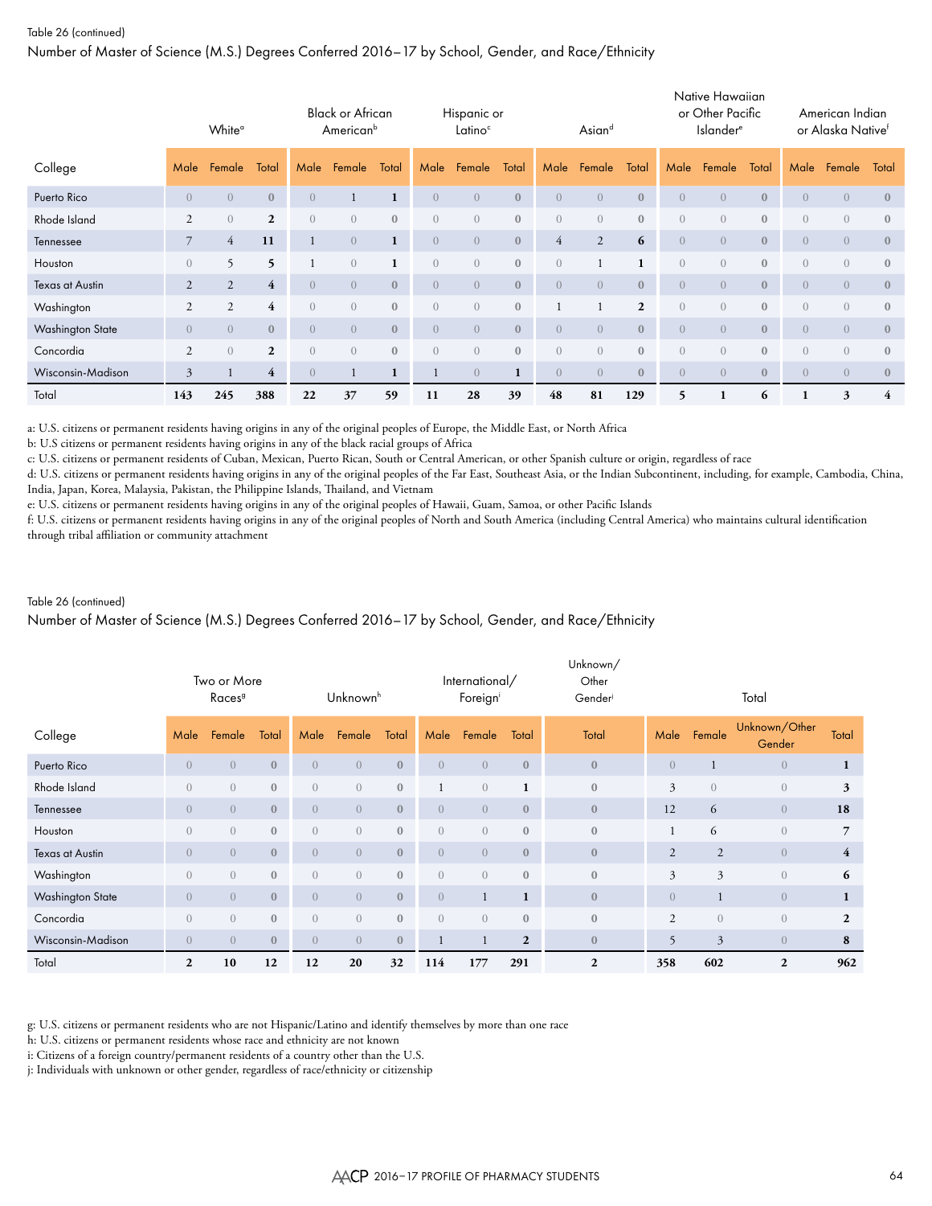Number of Master of Science (M.S.) Degrees Conferred 2016–17 by School, Gender, and Race/Ethnicity

|                         |                | White <sup>a</sup> |                         |                | <b>Black or African</b><br>American <sup>b</sup> |              |                  | Hispanic or<br>Latino <sup>c</sup> |              |                  | Asiand           |                |                | Native Hawaiian<br>or Other Pacific<br><b>Islander</b> <sup>e</sup> |              |                  | American Indian<br>or Alaska Native <sup>f</sup> |                |
|-------------------------|----------------|--------------------|-------------------------|----------------|--------------------------------------------------|--------------|------------------|------------------------------------|--------------|------------------|------------------|----------------|----------------|---------------------------------------------------------------------|--------------|------------------|--------------------------------------------------|----------------|
| College                 | Male           | Female             | Total                   | Male           | Female                                           | Total        | Male             | Female                             | Total        | Male             | Female           | Total          | Male           | Female                                                              | Total        | Male             | Female                                           | Total          |
| Puerto Rico             | $\overline{0}$ | $\overline{0}$     | $\mathbf{0}$            | $\overline{0}$ |                                                  | $\mathbf{1}$ | $\overline{0}$   | $\overline{0}$                     | $\mathbf{0}$ | $\overline{0}$   | $\overline{0}$   | $\mathbf{0}$   | $\overline{0}$ | $\overline{0}$                                                      | $\mathbf{0}$ | $\overline{0}$   | $\overline{0}$                                   | $\mathbf{0}$   |
| Rhode Island            | $\overline{2}$ | $\Omega$           | $\mathbf{2}$            | $\overline{0}$ | $\left( \right)$                                 | $\Omega$     | $\Omega$         | $\overline{0}$                     | $\mathbf{0}$ | $\left( \right)$ | $\Omega$         | $\mathbf{0}$   | $\overline{0}$ | $\Omega$                                                            | $\mathbf{0}$ | $\overline{0}$   | $\overline{0}$                                   | $\mathbf{0}$   |
| Tennessee               | 7              | $\overline{4}$     | 11                      | $\mathbf{1}$   | $\overline{0}$                                   | $\mathbf{1}$ | $\overline{0}$   | $\overline{0}$                     | $\mathbf{0}$ | $\overline{4}$   | 2                | 6              | $\overline{0}$ | $\overline{0}$                                                      | $\mathbf{0}$ | $\overline{0}$   | $\overline{0}$                                   | $\mathbf{0}$   |
| Houston                 | $\overline{0}$ | 5                  | $\overline{\mathbf{5}}$ |                | $\left( \right)$                                 |              | $\left( \right)$ | $\overline{0}$                     | $\mathbf{0}$ | $\overline{0}$   |                  | $\mathbf{1}$   | $\overline{0}$ | $\bigcirc$                                                          | $\mathbf{0}$ | $\left( \right)$ | $\overline{0}$                                   | $\mathbf{0}$   |
| Texas at Austin         | 2              | $\overline{2}$     | $\overline{4}$          | $\overline{0}$ | $\left( \right)$                                 | $\mathbf{0}$ | $\overline{0}$   | $\overline{0}$                     | $\mathbf{0}$ | $\overline{0}$   | $\overline{0}$   | $\mathbf{0}$   | $\overline{0}$ | $\overline{0}$                                                      | $\mathbf{0}$ | $\overline{0}$   | $\overline{0}$                                   | $\mathbf{0}$   |
| Washington              | $\overline{2}$ | 2                  | $\overline{4}$          | $\overline{0}$ | $\left( \right)$                                 | $\mathbf{0}$ | $\left( \right)$ | $\overline{0}$                     | $\mathbf{0}$ |                  |                  | $\overline{2}$ | $\overline{0}$ | $\overline{0}$                                                      | $\mathbf{0}$ | $\overline{0}$   | $\overline{0}$                                   | $\mathbf{0}$   |
| <b>Washington State</b> | $\overline{0}$ | $\overline{0}$     | $\mathbf{0}$            | $\overline{0}$ | $\overline{0}$                                   | $\mathbf{0}$ | $\left( \right)$ | $\overline{0}$                     | $\mathbf{0}$ | $\overline{0}$   | $\overline{0}$   | $\mathbf{0}$   | $\overline{0}$ | $\overline{0}$                                                      | $\mathbf{0}$ | $\overline{0}$   | $\overline{0}$                                   | $\mathbf{0}$   |
| Concordia               | $\overline{2}$ | $\overline{0}$     | $\overline{2}$          | $\overline{0}$ | $\left( \right)$                                 | $\mathbf{0}$ | $\left( \right)$ | $\overline{0}$                     | $\mathbf{0}$ | $\overline{0}$   | $\left( \right)$ | $\mathbf{0}$   | $\overline{0}$ | $\overline{0}$                                                      | $\mathbf{0}$ | $\overline{0}$   | $\overline{0}$                                   | $\mathbf{0}$   |
| Wisconsin-Madison       | 3              |                    | $\overline{4}$          | $\overline{0}$ |                                                  | 1            |                  | $\overline{0}$                     | 1            | $\left($         | $\overline{0}$   | $\mathbf{0}$   | $\overline{0}$ | $\overline{0}$                                                      | $\mathbf{0}$ | $\overline{0}$   | $\overline{0}$                                   | $\mathbf{0}$   |
| Total                   | 143            | 245                | 388                     | 22             | 37                                               | 59           | 11               | 28                                 | 39           | 48               | 81               | 129            | 5              |                                                                     | 6            | 1                | 3                                                | $\overline{4}$ |

a: U.S. citizens or permanent residents having origins in any of the original peoples of Europe, the Middle East, or North Africa

b: U.S citizens or permanent residents having origins in any of the black racial groups of Africa

c: U.S. citizens or permanent residents of Cuban, Mexican, Puerto Rican, South or Central American, or other Spanish culture or origin, regardless of race

d: U.S. citizens or permanent residents having origins in any of the original peoples of the Far East, Southeast Asia, or the Indian Subcontinent, including, for example, Cambodia, China, India, Japan, Korea, Malaysia, Pakistan, the Philippine Islands, Thailand, and Vietnam

e: U.S. citizens or permanent residents having origins in any of the original peoples of Hawaii, Guam, Samoa, or other Pacific Islands

f: U.S. citizens or permanent residents having origins in any of the original peoples of North and South America (including Central America) who maintains cultural identification through tribal affiliation or community attachment

## Table 26 (continued)

## Number of Master of Science (M.S.) Degrees Conferred 2016–17 by School, Gender, and Race/Ethnicity

|                         | Two or More<br>Races <sup>9</sup><br>Female<br>Total<br>Male |                |              |                  | Unknownh         |              |                | International/<br>Foreigni |              | Unknown/<br>Other<br>Gender |                |                | Total                   |                |
|-------------------------|--------------------------------------------------------------|----------------|--------------|------------------|------------------|--------------|----------------|----------------------------|--------------|-----------------------------|----------------|----------------|-------------------------|----------------|
| College                 |                                                              |                |              | Male             | Female           | Total        | Male           | Female                     | Total        | Total                       | Male           | Female         | Unknown/Other<br>Gender | Total          |
| Puerto Rico             | $\overline{0}$                                               | $\overline{0}$ | $\mathbf{0}$ | $\overline{0}$   | $\overline{0}$   | $\mathbf{0}$ | $\overline{0}$ | $\overline{0}$             | $\mathbf{0}$ | $\mathbf{0}$                | $\overline{0}$ |                | $\overline{0}$          | 1              |
| Rhode Island            | $\overline{0}$                                               | $\overline{0}$ | $\mathbf{0}$ | $\overline{0}$   | $\left( \right)$ | $\mathbf{0}$ |                | $\left( \right)$           | $\mathbf{1}$ | $\mathbf{0}$                | $\overline{3}$ | $\overline{0}$ | $\overline{0}$          | 3              |
| Tennessee               | $\overline{0}$                                               | $\overline{0}$ | $\mathbf{0}$ | $\left( \right)$ | $\overline{0}$   | $\mathbf{0}$ | $\Omega$       | $\overline{0}$             | $\mathbf{0}$ | $\mathbf{0}$                | 12             | 6              | $\overline{0}$          | 18             |
| Houston                 | $\overline{0}$                                               | $\overline{0}$ | $\mathbf{0}$ | $\overline{0}$   | $\overline{0}$   | $\mathbf{0}$ | $\overline{0}$ | $\overline{0}$             | $\mathbf{0}$ | $\mathbf{0}$                |                | 6              | $\overline{0}$          | $\overline{7}$ |
| <b>Texas at Austin</b>  | $\overline{0}$                                               | $\overline{0}$ | $\mathbf{0}$ | $\overline{0}$   | $\overline{0}$   | $\mathbf{0}$ | $\overline{0}$ | $\overline{0}$             | $\mathbf{0}$ | $\mathbf{0}$                | $\overline{2}$ | $\overline{2}$ | $\overline{0}$          | $\overline{4}$ |
| Washington              | $\overline{0}$                                               | $\sqrt{a}$     | $\mathbf{0}$ | $\overline{0}$   | $\overline{0}$   | $\mathbf{0}$ | $\overline{0}$ | $\overline{0}$             | $\mathbf{0}$ | $\mathbf{0}$                | $\mathfrak{Z}$ | $\overline{3}$ | $\overline{0}$          | 6              |
| <b>Washington State</b> | $\overline{0}$                                               | $\overline{0}$ | $\mathbf{0}$ | $\overline{0}$   | $\overline{0}$   | $\mathbf{0}$ | $\overline{0}$ |                            | $\mathbf{1}$ | $\mathbf{0}$                | $\overline{0}$ |                | $\overline{0}$          | $\mathbf{1}$   |
| Concordia               | $\overline{0}$                                               | $\overline{0}$ | $\mathbf{0}$ | $\overline{0}$   | $\overline{0}$   | $\mathbf{0}$ | $\overline{0}$ | $\overline{0}$             | $\mathbf{0}$ | $\mathbf{0}$                | 2              | $\overline{0}$ | $\sqrt{a}$              | $\overline{2}$ |
| Wisconsin-Madison       | $\sqrt{a}$                                                   | $\overline{0}$ | $\mathbf{0}$ | $\overline{0}$   | $\overline{0}$   | $\mathbf{0}$ |                |                            | $\mathbf{2}$ | $\mathbf{0}$                | 5              | $\mathfrak{Z}$ | $\sqrt{a}$              | 8              |
| Total                   | $\mathbf{2}$                                                 | 10             | 12           | 12               | 20               | 32           | 114            | 177                        | 291          | $\mathbf{2}$                | 358            | 602            | $\overline{2}$          | 962            |

g: U.S. citizens or permanent residents who are not Hispanic/Latino and identify themselves by more than one race

h: U.S. citizens or permanent residents whose race and ethnicity are not known

i: Citizens of a foreign country/permanent residents of a country other than the U.S.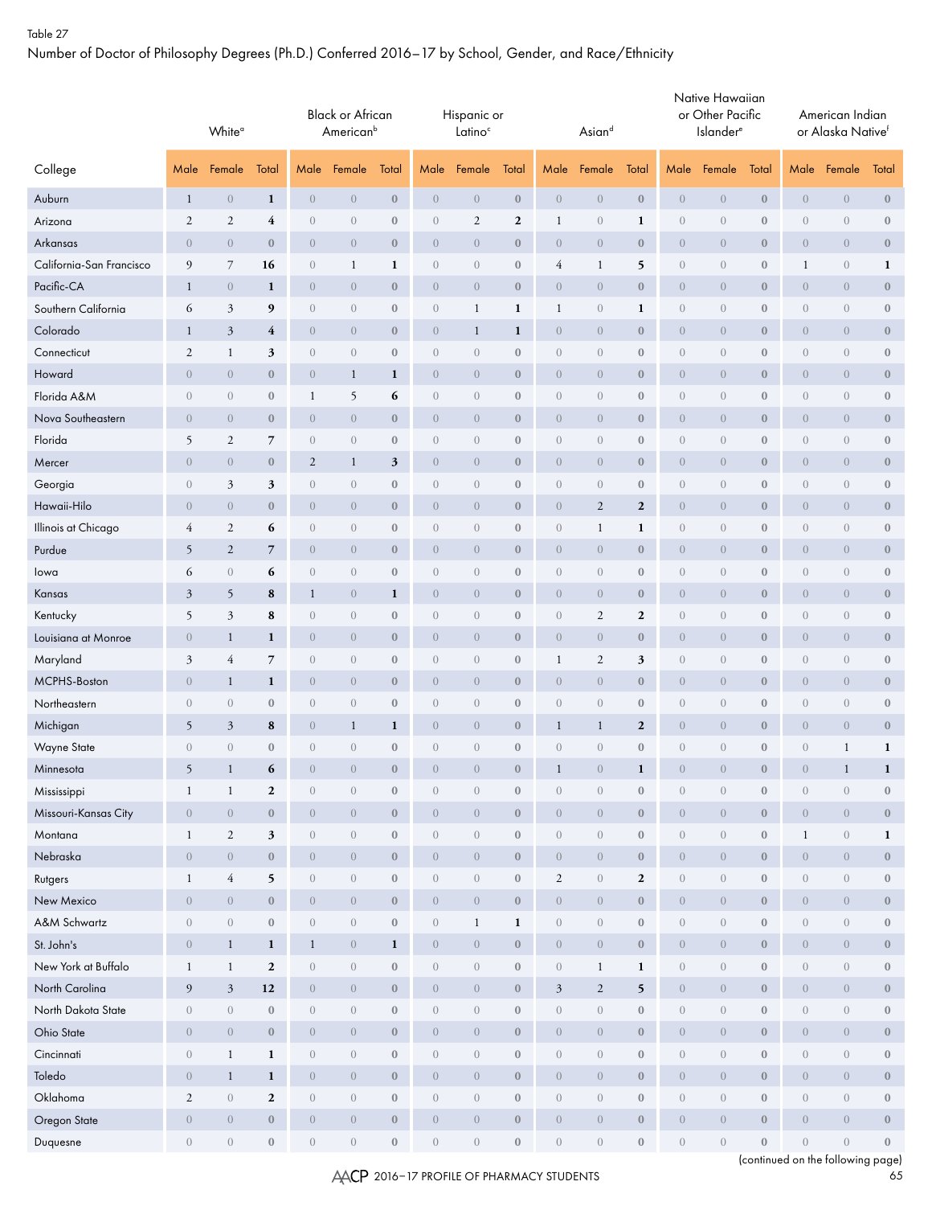Number of Doctor of Philosophy Degrees (Ph.D.) Conferred 2016–17 by School, Gender, and Race/Ethnicity

|                          |                                 | White <sup>a</sup> |                  |                  | <b>Black or African</b><br>American <sup>b</sup> |                  |                                 | Hispanic or<br>Latino <sup>c</sup> |                  |                  | $\mathsf{A} \mathsf{s}$ iand |                  |                  | Native Hawaiian<br>or Other Pacific<br><b>Islander</b> <sup>e</sup> |                  |                  | American Indian<br>or Alaska Nativef |                  |
|--------------------------|---------------------------------|--------------------|------------------|------------------|--------------------------------------------------|------------------|---------------------------------|------------------------------------|------------------|------------------|------------------------------|------------------|------------------|---------------------------------------------------------------------|------------------|------------------|--------------------------------------|------------------|
| College                  | Male                            | Female             | Total            | Male             | Female                                           | Total            | Male                            | Female                             | Total            | Male             | Female                       | Total            | Male             | Female                                                              | Total            | Male             | Female                               | Total            |
| Auburn                   | $\mathbf{1}$                    | $\boldsymbol{0}$   | $\mathbf{1}$     | $\theta$         | $\overline{0}$                                   | $\boldsymbol{0}$ | $\overline{0}$                  | $\boldsymbol{0}$                   | $\boldsymbol{0}$ | $\theta$         | $\overline{0}$               | $\bf{0}$         | $\theta$         | $\theta$                                                            | $\boldsymbol{0}$ | $\theta$         | $\theta$                             | $\boldsymbol{0}$ |
| Arizona                  | 2                               | $\mathfrak{2}$     | 4                | $\sqrt{a}$       | $\overline{0}$                                   | $\mathbf{0}$     | $\overline{0}$                  | $\sqrt{2}$                         | $\boldsymbol{2}$ | $\mathbf{1}$     | $\overline{0}$               | 1                | $\sqrt{a}$       | $\overline{0}$                                                      | $\bf{0}$         | $\sqrt{a}$       | $\sqrt{a}$                           | $\bf{0}$         |
| Arkansas                 | $\overline{0}$                  | $\boldsymbol{0}$   | $\boldsymbol{0}$ | $\theta$         | $\theta$                                         | $\mathbf{0}$     | $\overline{0}$                  | $\boldsymbol{0}$                   | $\boldsymbol{0}$ | $\overline{0}$   | $\overline{0}$               | $\boldsymbol{0}$ | $\boldsymbol{0}$ | $\boldsymbol{0}$                                                    | $\mathbf{0}$     | $\overline{0}$   | $\overline{0}$                       | $\boldsymbol{0}$ |
| California-San Francisco | 9                               | 7                  | 16               | $\overline{0}$   | $\mathbf{1}$                                     | 1                | $\mathbf{0}$                    | $\sqrt{a}$                         | $\boldsymbol{0}$ | 4                | 1                            | 5                | $\sqrt{a}$       | $\overline{0}$                                                      | $\bf{0}$         | $\mathbf{1}$     | $\sqrt{a}$                           | 1                |
| Pacific-CA               | $\mathbf{1}$                    | $\overline{0}$     | 1                | $\overline{0}$   | $\overline{0}$                                   | $\mathbf{0}$     | $\overline{0}$                  | $\overline{0}$                     | $\boldsymbol{0}$ | $\overline{0}$   | $\overline{0}$               | $\boldsymbol{0}$ | $\overline{0}$   | $\overline{0}$                                                      | $\bf{0}$         | $\overline{0}$   | $\overline{0}$                       | $\bf{0}$         |
| Southern California      | 6                               | 3                  | 9                | $\theta$         | $\overline{0}$                                   | $\boldsymbol{0}$ | $\overline{0}$                  | $\mathbf{1}$                       | 1                | $\mathbf{1}$     | $\overline{0}$               | 1                | $\sqrt{a}$       | $\overline{0}$                                                      | $\bf{0}$         | $\overline{0}$   | $\sqrt{a}$                           | $\bf 0$          |
| Colorado                 | $\mathbf{1}$                    | $\mathfrak{Z}$     | 4                | $\theta$         | $\overline{0}$                                   | $\bf{0}$         | $\overline{0}$                  | $\mathbf{1}$                       | 1                | $\overline{0}$   | $\overline{0}$               | $\bf{0}$         | $\theta$         | $\theta$                                                            | $\bf{0}$         | $\overline{0}$   | $\overline{0}$                       | $\bf{0}$         |
| Connecticut              | $\mathfrak{2}$                  | $\mathbf{1}$       | 3                | $\sqrt{a}$       | $\sqrt{a}$                                       | $\boldsymbol{0}$ | $\overline{0}$                  | $\sqrt{a}$                         | $\boldsymbol{0}$ | $\sqrt{a}$       | $\overline{0}$               | $\boldsymbol{0}$ | $\sqrt{a}$       | $\overline{0}$                                                      | $\bf{0}$         | $\sqrt{a}$       | $\theta$                             | $\bf 0$          |
| Howard                   | $\overline{0}$                  | $\overline{0}$     | $\boldsymbol{0}$ | $\theta$         | $\mathbf{1}$                                     | 1                | $\overline{0}$                  | $\overline{0}$                     | $\boldsymbol{0}$ | $\overline{0}$   | $\overline{0}$               | $\bf{0}$         | $\boldsymbol{0}$ | $\overline{0}$                                                      | $\mathbf{0}$     | $\overline{0}$   | $\theta$                             | $\bf{0}$         |
| Florida A&M              | $\boldsymbol{0}$                | $\sqrt{a}$         | $\boldsymbol{0}$ | $\mathbf{1}$     | 5                                                | 6                | $\boldsymbol{0}$                | $\sqrt{a}$                         | $\boldsymbol{0}$ | $\boldsymbol{0}$ | $\sqrt{a}$                   | $\boldsymbol{0}$ | $\boldsymbol{0}$ | $\sqrt{a}$                                                          | $\boldsymbol{0}$ | $\sqrt{a}$       | $\sqrt{a}$                           | $\bf{0}$         |
| Nova Southeastern        | $\overline{0}$                  | $\overline{0}$     | $\bf{0}$         | $\overline{0}$   | $\overline{0}$                                   | $\boldsymbol{0}$ | $\overline{0}$                  | $\overline{0}$                     | $\boldsymbol{0}$ | $\overline{0}$   | $\overline{0}$               | $\bf{0}$         | $\overline{0}$   | $\theta$                                                            | $\bf{0}$         | $\overline{0}$   | $\overline{0}$                       | $\bf{0}$         |
| Florida                  | 5                               | $\mathfrak{2}$     | 7                | $\sqrt{a}$       | $\overline{0}$                                   | $\mathbf{0}$     | $\overline{0}$                  | $\sqrt{a}$                         | $\bf{0}$         | $\overline{0}$   | $\overline{0}$               | $\bf{0}$         | $\sqrt{a}$       | $\overline{0}$                                                      | $\bf{0}$         | $\overline{0}$   | $\theta$                             | $\bf{0}$         |
| Mercer                   | $\overline{0}$                  | $\overline{0}$     | $\boldsymbol{0}$ | $\boldsymbol{2}$ | $\mathbf{1}$                                     | $\mathfrak{z}$   | $\overline{0}$                  | $\overline{0}$                     | $\boldsymbol{0}$ | $\overline{0}$   | $\overline{0}$               | $\bf{0}$         | $\boldsymbol{0}$ | $\boldsymbol{0}$                                                    | $\mathbf{0}$     | $\overline{0}$   | $\overline{0}$                       | $\bf{0}$         |
| Georgia                  | $\overline{0}$                  | 3                  | 3                | $\theta$         | $\theta$                                         | $\boldsymbol{0}$ | $\mathbf{0}$                    | $\sqrt{a}$                         | $\boldsymbol{0}$ | $\sqrt{a}$       | $\overline{0}$               | $\bf{0}$         | $\sqrt{a}$       | $\overline{0}$                                                      | $\bf{0}$         | $\theta$         | $\sqrt{a}$                           | $\bf 0$          |
| Hawaii-Hilo              | $\boldsymbol{0}$                | $\overline{0}$     | $\bf{0}$         | $\theta$         | $\theta$                                         | $\mathbf{0}$     | $\overline{0}$                  | $\overline{0}$                     | $\bf{0}$         | $\boldsymbol{0}$ | $\boldsymbol{2}$             | $\mathbf{2}$     | $\boldsymbol{0}$ | $\overline{0}$                                                      | $\bf{0}$         | $\overline{0}$   | $\overline{0}$                       | $\bf{0}$         |
| Illinois at Chicago      | $\overline{4}$                  | $\overline{c}$     | 6                | $\theta$         | $\overline{0}$                                   | $\boldsymbol{0}$ | $\overline{0}$                  | $\overline{0}$                     | $\boldsymbol{0}$ | $\sqrt{a}$       | 1                            | 1                | $\overline{0}$   | $\overline{0}$                                                      | $\bf{0}$         | $\overline{0}$   | $\sqrt{a}$                           | $\bf 0$          |
| Purdue                   | 5                               | $\overline{c}$     | $\overline{7}$   | $\theta$         | $\overline{0}$                                   | $\bf{0}$         | $\overline{0}$                  | $\overline{0}$                     | $\bf{0}$         | $\overline{0}$   | $\overline{0}$               | $\bf{0}$         | $\boldsymbol{0}$ | $\theta$                                                            | $\bf{0}$         | $\overline{0}$   | $\overline{0}$                       | $\bf{0}$         |
| lowa                     | 6                               | $\sqrt{a}$         | 6                | $\sqrt{a}$       | $\overline{0}$                                   | $\boldsymbol{0}$ | $\overline{0}$                  | $\sqrt{a}$                         | $\boldsymbol{0}$ | $\sqrt{a}$       | $\overline{0}$               | $\boldsymbol{0}$ | $\sqrt{a}$       | $\overline{0}$                                                      | $\bf{0}$         | $\sqrt{a}$       | $\theta$                             | $\bf{0}$         |
| Kansas                   | 3                               | 5                  | 8                | $\mathbf{1}$     | $\overline{0}$                                   | $\mathbf{1}$     | $\overline{0}$                  | $\overline{0}$                     | $\boldsymbol{0}$ | $\overline{0}$   | $\overline{0}$               | $\bf{0}$         | $\boldsymbol{0}$ | $\overline{0}$                                                      | $\mathbf{0}$     | $\overline{0}$   | $\theta$                             | $\bf{0}$         |
| Kentucky                 | 5                               | $\mathfrak{Z}$     | 8                | $\sqrt{a}$       | $\sqrt{a}$                                       | $\boldsymbol{0}$ | $\overline{0}$                  | $\sqrt{a}$                         | $\boldsymbol{0}$ | $\boldsymbol{0}$ | $\mathfrak{2}$               | $\mathbf{2}$     | $\boldsymbol{0}$ | $\sqrt{a}$                                                          | $\boldsymbol{0}$ | $\sqrt{a}$       | $\sqrt{a}$                           | $\bf{0}$         |
| Louisiana at Monroe      | $\boldsymbol{0}$                | $\mathbf{1}$       | $\mathbf{1}$     | $\theta$         | $\theta$                                         | $\boldsymbol{0}$ | $\overline{0}$                  | $\overline{0}$                     | $\boldsymbol{0}$ | $\overline{0}$   | $\overline{0}$               | $\bf{0}$         | $\boldsymbol{0}$ | $\theta$                                                            | $\bf{0}$         | $\boldsymbol{0}$ | $\theta$                             | $\boldsymbol{0}$ |
| Maryland                 | 3                               | 4                  | 7                | $\sqrt{a}$       | $\overline{0}$                                   | $\mathbf{0}$     | $\overline{0}$                  | $\sqrt{a}$                         | $\bf{0}$         | $\mathbf{1}$     | 2                            | 3                | $\overline{0}$   | $\overline{0}$                                                      | $\bf{0}$         | $\overline{0}$   | $\theta$                             | $\bf{0}$         |
| MCPHS-Boston             | $\overline{0}$                  | $\mathbf{1}$       | $\mathbf{1}$     | $\theta$         | $\overline{0}$                                   | $\bf{0}$         | $\overline{0}$                  | $\overline{0}$                     | $\boldsymbol{0}$ | $\overline{0}$   | $\overline{0}$               | $\boldsymbol{0}$ | $\boldsymbol{0}$ | $\boldsymbol{0}$                                                    | $\mathbf{0}$     | $\overline{0}$   | $\overline{0}$                       | $\bf{0}$         |
| Northeastern             | $\overline{0}$                  | $\overline{0}$     | $\boldsymbol{0}$ | $\theta$         | $\theta$                                         | $\boldsymbol{0}$ | $\mathbf{0}$                    | $\sqrt{a}$                         | $\boldsymbol{0}$ | $\sqrt{a}$       | $\overline{0}$               | $\bf{0}$         | $\sqrt{a}$       | $\overline{0}$                                                      | $\bf{0}$         | $\sqrt{a}$       | $\sqrt{a}$                           | $\bf 0$          |
| Michigan                 | 5                               | $\mathfrak{Z}$     | 8                | $\overline{0}$   | $\mathbf{1}$                                     | 1                | $\overline{0}$                  | $\overline{0}$                     | $\bf{0}$         | $\mathbf{1}$     | 1                            | $\mathbf{2}$     | $\overline{0}$   | $\overline{0}$                                                      | $\bf{0}$         | $\overline{0}$   | $\overline{0}$                       | $\bf{0}$         |
| Wayne State              | $\begin{matrix} 0 \end{matrix}$ | $\boldsymbol{0}$   | $\boldsymbol{0}$ | $\sqrt{a}$       | $\overline{0}$                                   | $\boldsymbol{0}$ | $\begin{matrix} 0 \end{matrix}$ | $\sqrt{a}$                         | $\boldsymbol{0}$ | $\sqrt{a}$       | $\overline{0}$               | $\boldsymbol{0}$ | $\overline{0}$   | $\overline{0}$                                                      | $\mathbf{0}$     | $\sqrt{a}$       | 1                                    | $\mathbf{1}$     |
| Minnesota                | 5                               | $\mathbf{1}$       | 6                | $\overline{0}$   | $\overline{0}$                                   | $\mathbf{0}$     | $\overline{0}$                  | $\overline{0}$                     | $\Omega$         | -1               | $\overline{0}$               | 1                | $\overline{0}$   | $\overline{0}$                                                      | $\mathbf{0}$     | $\overline{0}$   | 1                                    | 1                |
| Mississippi              | $\mathbf{1}$                    | $\mathbf{1}$       | $\boldsymbol{2}$ | $\,0\,$          | $\boldsymbol{0}$                                 | $\boldsymbol{0}$ | $\boldsymbol{0}$                | $\boldsymbol{0}$                   | $\boldsymbol{0}$ | $\boldsymbol{0}$ | $\boldsymbol{0}$             | $\boldsymbol{0}$ | $\boldsymbol{0}$ | $\boldsymbol{0}$                                                    | $\boldsymbol{0}$ | $\boldsymbol{0}$ | $\boldsymbol{0}$                     | $\boldsymbol{0}$ |
| Missouri-Kansas City     | $\boldsymbol{0}$                | $\sqrt{a}$         | $\boldsymbol{0}$ | $\boldsymbol{0}$ | $\boldsymbol{0}$                                 | $\mathbf{0}$     | $\overline{0}$                  | $\sqrt{0}$                         | $\boldsymbol{0}$ | $\overline{0}$   | $\overline{0}$               | $\boldsymbol{0}$ | $\overline{0}$   | $\overline{0}$                                                      | $\boldsymbol{0}$ | $\boldsymbol{0}$ | $\sqrt{a}$                           | $\bf 0$          |
| Montana                  | $\mathbf{1}$                    | $\mathbf{2}$       | $\mathbf 3$      | $\left( \right)$ | $\sqrt{a}$                                       | $\bf 0$          | $\sqrt{a}$                      | $\boldsymbol{0}$                   | $\boldsymbol{0}$ | $\sqrt{a}$       | $\overline{0}$               | $\boldsymbol{0}$ | $\sqrt{a}$       | $\sqrt{a}$                                                          | $\boldsymbol{0}$ | $\mathbf{1}$     | $\boldsymbol{0}$                     | $\mathbf{1}$     |
| Nebraska                 | $\overline{0}$                  | $\boldsymbol{0}$   | $\boldsymbol{0}$ | $\boldsymbol{0}$ | $\theta$                                         | $\bf 0$          | $\boldsymbol{0}$                | $\boldsymbol{0}$                   | $\bf{0}$         | $\overline{0}$   | $\overline{0}$               | $\boldsymbol{0}$ | $\overline{0}$   | $\boldsymbol{0}$                                                    | $\boldsymbol{0}$ | $\boldsymbol{0}$ | $\sqrt{a}$                           | $\boldsymbol{0}$ |
| Rutgers                  | $\mathbf{1}$                    | $\overline{4}$     | 5                | $\boldsymbol{0}$ | $\sqrt{a}$                                       | $\bf 0$          | $\sqrt{a}$                      | $\boldsymbol{0}$                   | $\bf 0$          | $\mathfrak{2}$   | $\overline{0}$               | $\mathbf{2}$     | $\sqrt{a}$       | $\sqrt{a}$                                                          | $\bf{0}$         | $\boldsymbol{0}$ | $\boldsymbol{0}$                     | $\bf 0$          |
| New Mexico               | $\boldsymbol{0}$                | $\boldsymbol{0}$   | $\boldsymbol{0}$ | $\boldsymbol{0}$ | $\boldsymbol{0}$                                 | $\boldsymbol{0}$ | $\theta$                        | $\boldsymbol{0}$                   | $\bf 0$          | $\overline{0}$   | $\boldsymbol{0}$             | $\boldsymbol{0}$ | $\overline{0}$   | $\boldsymbol{0}$                                                    | $\boldsymbol{0}$ | $\theta$         | $\overline{0}$                       | $\boldsymbol{0}$ |
| A&M Schwartz             | $\sqrt{a}$                      | $\boldsymbol{0}$   | $\boldsymbol{0}$ | $\boldsymbol{0}$ | $\sqrt{a}$                                       | $\boldsymbol{0}$ | $\overline{0}$                  | $\mathbf{1}$                       | $\mathbf{1}$     | $\sqrt{a}$       | $\overline{0}$               | $\boldsymbol{0}$ | $\boldsymbol{0}$ | $\sqrt{a}$                                                          | $\boldsymbol{0}$ | $\boldsymbol{0}$ | $\boldsymbol{0}$                     | $\bf 0$          |
| St. John's               | $\overline{0}$                  | $\mathbf{1}$       | $\mathbf{1}$     | $\mathbf{1}$     | $\overline{0}$                                   | $\mathbf{1}$     | $\theta$                        | $\sqrt{a}$                         | $\boldsymbol{0}$ | $\overline{0}$   | $\overline{0}$               | $\boldsymbol{0}$ | $\overline{0}$   | $\overline{0}$                                                      | $\mathbf{0}$     | $\boldsymbol{0}$ | $\sqrt{a}$                           | $\mathbf{0}$     |
| New York at Buffalo      | $\mathbf{1}$                    | $\mathbf{1}$       | $\boldsymbol{2}$ | $\boldsymbol{0}$ | $\sqrt{a}$                                       | $\boldsymbol{0}$ | $\sqrt{a}$                      | $\boldsymbol{0}$                   | $\boldsymbol{0}$ | $\sqrt{a}$       | $\mathbf{1}$                 | $\mathbf{1}$     | $\overline{0}$   | $\sqrt{a}$                                                          | $\mathbf{0}$     | $\sqrt{a}$       | $\boldsymbol{0}$                     | $\bf 0$          |
| North Carolina           | 9                               | $\mathfrak{Z}$     | 12               | $\boldsymbol{0}$ | $\overline{0}$                                   | $\mathbf{0}$     | $\theta$                        | $\sqrt{a}$                         | $\boldsymbol{0}$ | $\mathfrak{Z}$   | $\mathbf{2}$                 | 5                | $\overline{0}$   | $\overline{0}$                                                      | $\mathbf{0}$     | $\overline{0}$   | $\sqrt{a}$                           | $\mathbf{0}$     |
| North Dakota State       | $\boldsymbol{0}$                | $\boldsymbol{0}$   | $\boldsymbol{0}$ | $\boldsymbol{0}$ | $\boldsymbol{0}$                                 | $\boldsymbol{0}$ | $\sqrt{a}$                      | $\boldsymbol{0}$                   | $\boldsymbol{0}$ | $\boldsymbol{0}$ | $\boldsymbol{0}$             | $\boldsymbol{0}$ | $\sqrt{a}$       | $\boldsymbol{0}$                                                    | $\boldsymbol{0}$ | $\boldsymbol{0}$ | $\boldsymbol{0}$                     | $\bf 0$          |
| Ohio State               | $\overline{0}$                  | $\boldsymbol{0}$   | $\boldsymbol{0}$ | $\boldsymbol{0}$ | $\theta$                                         | $\boldsymbol{0}$ | $\theta$                        | $\sqrt{a}$                         | $\mathbf 0$      | $\overline{0}$   | $\overline{0}$               | $\boldsymbol{0}$ | $\overline{0}$   | $\overline{0}$                                                      | $\mathbf 0$      | $\boldsymbol{0}$ | $\overline{0}$                       | $\boldsymbol{0}$ |
| Cincinnati               | $\boldsymbol{0}$                | $\mathbf{1}$       | $\mathbf 1$      | $\boldsymbol{0}$ | $\sqrt{a}$                                       | $\boldsymbol{0}$ | $\sqrt{a}$                      | $\boldsymbol{0}$                   | $\boldsymbol{0}$ | $\sqrt{a}$       | $\overline{0}$               | $\boldsymbol{0}$ | $\sqrt{a}$       | $\sqrt{a}$                                                          | $\mathbf{0}$     | $\sqrt{a}$       | $\boldsymbol{0}$                     | $\bf 0$          |
| Toledo                   | $\overline{0}$                  | $\mathbf{1}$       | $\mathbf{1}$     | $\boldsymbol{0}$ | $\theta$                                         | $\bf 0$          | $\boldsymbol{0}$                | $\sqrt{0}$                         | $\bf{0}$         | $\overline{0}$   | $\overline{0}$               | $\boldsymbol{0}$ | $\overline{0}$   | $\boldsymbol{0}$                                                    | $\bf{0}$         | $\overline{0}$   | $\sqrt{a}$                           | $\boldsymbol{0}$ |
| Oklahoma                 | $\mathfrak{2}$                  | $\sqrt{a}$         | $\boldsymbol{2}$ | $\boldsymbol{0}$ | $\boldsymbol{0}$                                 | $\boldsymbol{0}$ | $\sqrt{a}$                      | $\boldsymbol{0}$                   | $\bf 0$          | $\sqrt{a}$       | $\overline{0}$               | $\boldsymbol{0}$ | $\sqrt{a}$       | $\sqrt{a}$                                                          | $\boldsymbol{0}$ | $\boldsymbol{0}$ | $\boldsymbol{0}$                     | $\bf 0$          |
| Oregon State             | $\boldsymbol{0}$                | $\sqrt{a}$         | $\boldsymbol{0}$ | $\boldsymbol{0}$ | $\boldsymbol{0}$                                 | $\boldsymbol{0}$ | $\theta$                        | $\sqrt{0}$                         | $\boldsymbol{0}$ | $\boldsymbol{0}$ | $\overline{0}$               | $\boldsymbol{0}$ | $\overline{0}$   | $\boldsymbol{0}$                                                    | $\boldsymbol{0}$ | $\,0\,$          | $\sqrt{a}$                           | $\boldsymbol{0}$ |
| Duquesne                 | $\sqrt{a}$                      | $\overline{0}$     | $\boldsymbol{0}$ | $\left( \right)$ | $\sqrt{a}$                                       | $\bf 0$          | $\sqrt{a}$                      | $\boldsymbol{0}$                   | $\boldsymbol{0}$ | $\sqrt{a}$       | $\overline{0}$               | $\boldsymbol{0}$ | $\overline{0}$   | $\sqrt{a}$                                                          | $\boldsymbol{0}$ | $\,0\,$          | $\sqrt{a}$                           | $\boldsymbol{0}$ |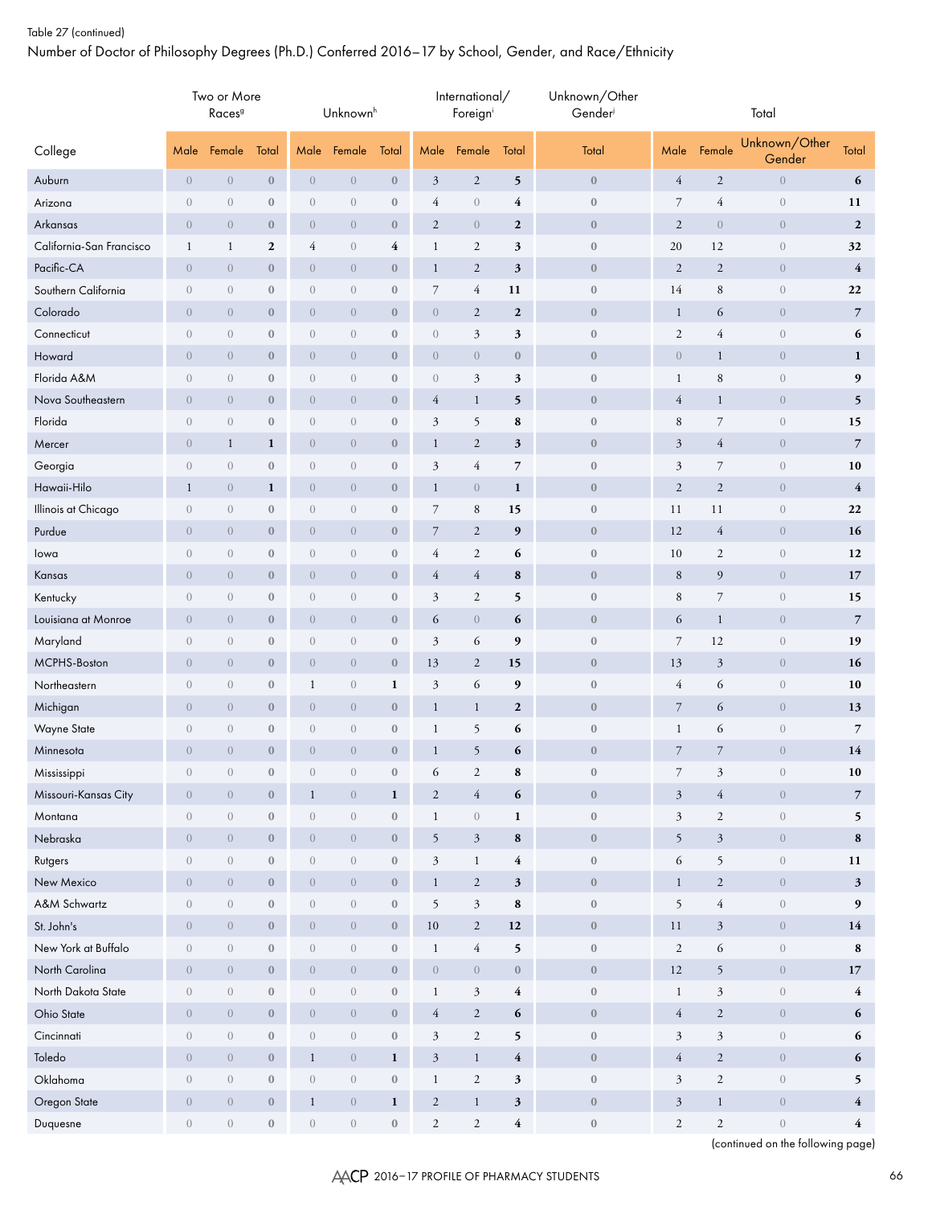# Table 27 (continued) Number of Doctor of Philosophy Degrees (Ph.D.) Conferred 2016–17 by School, Gender, and Race/Ethnicity

|                          |                  | Two or More<br>Races <sup>9</sup> |                  |                  | Unknownh         |                  |                  | International/<br>Foreigni |                         | Unknown/Other<br>Gender |                  |                | Total                   |                         |
|--------------------------|------------------|-----------------------------------|------------------|------------------|------------------|------------------|------------------|----------------------------|-------------------------|-------------------------|------------------|----------------|-------------------------|-------------------------|
| College                  | Male             | Female                            | Total            | Male             | Female           | Total            | Male             | Female                     | Total                   | Total                   | Male             | Female         | Unknown/Other<br>Gender | Total                   |
| Auburn                   | $\boldsymbol{0}$ | $\boldsymbol{0}$                  | $\boldsymbol{0}$ | $\boldsymbol{0}$ | $\boldsymbol{0}$ | $\bf 0$          | $\mathfrak z$    | $\sqrt{2}$                 | 5                       | $\boldsymbol{0}$        | $\overline{4}$   | $\sqrt{2}$     | $\,0\,$                 | 6                       |
| Arizona                  | $\overline{0}$   | $\overline{0}$                    | $\boldsymbol{0}$ | $\boldsymbol{0}$ | $\boldsymbol{0}$ | $\boldsymbol{0}$ | 4                | $\boldsymbol{0}$           | 4                       | $\boldsymbol{0}$        | $\overline{7}$   | $\overline{4}$ | $\boldsymbol{0}$        | 11                      |
| Arkansas                 | $\overline{0}$   | $\overline{0}$                    | $\mathbf{0}$     | $\overline{0}$   | $\overline{0}$   | $\bf 0$          | $\mathfrak{2}$   | $\overline{0}$             | $\boldsymbol{2}$        | $\bf{0}$                | $\overline{2}$   | $\sqrt{0}$     | $\overline{0}$          | $\boldsymbol{2}$        |
| California-San Francisco | $\mathbf{1}$     | $\mathbf{1}$                      | $\mathbf{2}$     | 4                | $\boldsymbol{0}$ | 4                | $\mathbf{1}$     | $\mathfrak{2}$             | 3                       | $\boldsymbol{0}$        | 20               | 12             | $\boldsymbol{0}$        | 32                      |
| Pacific-CA               | $\overline{0}$   | $\overline{0}$                    | $\bf{0}$         | $\boldsymbol{0}$ | $\boldsymbol{0}$ | $\bf 0$          | $\mathbf{1}$     | $\boldsymbol{2}$           | $\mathfrak{z}$          | $\boldsymbol{0}$        | 2                | $\overline{2}$ | $\overline{0}$          | $\overline{4}$          |
| Southern California      | $\boldsymbol{0}$ | $\overline{0}$                    | $\boldsymbol{0}$ | $\boldsymbol{0}$ | $\,0\,$          | $\boldsymbol{0}$ | $\overline{7}$   | 4                          | 11                      | $\boldsymbol{0}$        | 14               | $\,$ 8 $\,$    | $\boldsymbol{0}$        | 22                      |
| Colorado                 | $\overline{0}$   | $\theta$                          | $\bf{0}$         | $\boldsymbol{0}$ | $\boldsymbol{0}$ | $\bf 0$          | $\overline{0}$   | $\overline{2}$             | $\boldsymbol{2}$        | $\boldsymbol{0}$        | $\mathbf{1}$     | 6              | $\boldsymbol{0}$        | $\overline{7}$          |
| Connecticut              | $\overline{0}$   | $\overline{0}$                    | $\bf{0}$         | $\overline{0}$   | $\boldsymbol{0}$ | $\boldsymbol{0}$ | $\overline{0}$   | 3                          | 3                       | $\boldsymbol{0}$        | $\overline{2}$   | $\overline{4}$ | $\boldsymbol{0}$        | 6                       |
| Howard                   | $\overline{0}$   | $\boldsymbol{0}$                  | $\bf{0}$         | $\boldsymbol{0}$ | $\boldsymbol{0}$ | $\boldsymbol{0}$ | $\overline{0}$   | $\boldsymbol{0}$           | $\boldsymbol{0}$        | $\boldsymbol{0}$        | $\overline{0}$   | $\mathbf{1}$   | $\boldsymbol{0}$        | $\mathbf{1}$            |
| Florida A&M              | $\overline{0}$   | $\overline{0}$                    | $\bf{0}$         | $\boldsymbol{0}$ | $\boldsymbol{0}$ | $\boldsymbol{0}$ | $\boldsymbol{0}$ | 3                          | 3                       | $\boldsymbol{0}$        | $\mathbf{1}$     | $\,$ 8 $\,$    | $\boldsymbol{0}$        | 9                       |
| Nova Southeastern        | $\overline{0}$   | $\overline{0}$                    | $\bf{0}$         | $\boldsymbol{0}$ | $\boldsymbol{0}$ | $\boldsymbol{0}$ | $\overline{4}$   | $\mathbf{1}$               | 5                       | $\boldsymbol{0}$        | $\overline{4}$   | $\mathbf{1}$   | $\boldsymbol{0}$        | 5                       |
| Florida                  | $\overline{0}$   | $\theta$                          | $\boldsymbol{0}$ | $\boldsymbol{0}$ | $\boldsymbol{0}$ | $\boldsymbol{0}$ | 3                | 5                          | 8                       | $\boldsymbol{0}$        | $\,8\,$          | 7              | $\boldsymbol{0}$        | 15                      |
| Mercer                   | $\overline{0}$   | $\mathbf{1}$                      | $\mathbf{1}$     | $\overline{0}$   | $\overline{0}$   | $\bf{0}$         | $\mathbf{1}$     | $\mathfrak{2}$             | 3                       | $\bf{0}$                | 3                | $\overline{4}$ | $\overline{0}$          | $\overline{7}$          |
| Georgia                  | $\boldsymbol{0}$ | $\sqrt{a}$                        | $\boldsymbol{0}$ | $\boldsymbol{0}$ | $\boldsymbol{0}$ | $\boldsymbol{0}$ | $\mathfrak{Z}$   | 4                          | 7                       | $\boldsymbol{0}$        | $\mathfrak{Z}$   | 7              | $\boldsymbol{0}$        | ${\bf 10}$              |
| Hawaii-Hilo              | $\mathbf{1}$     | $\theta$                          | $\mathbf{1}$     | $\boldsymbol{0}$ | $\boldsymbol{0}$ | $\bf 0$          | $\mathbf{1}$     | $\boldsymbol{0}$           | $\mathbf{1}$            | $\boldsymbol{0}$        | 2                | $\overline{2}$ | $\boldsymbol{0}$        | $\overline{4}$          |
| Illinois at Chicago      | $\boldsymbol{0}$ | $\overline{0}$                    | $\boldsymbol{0}$ | $\boldsymbol{0}$ | $\,0\,$          | $\boldsymbol{0}$ | $\overline{7}$   | 8                          | 15                      | $\boldsymbol{0}$        | 11               | 11             | $\boldsymbol{0}$        | 22                      |
| Purdue                   | $\overline{0}$   | $\theta$                          | $\bf{0}$         | $\overline{0}$   | $\boldsymbol{0}$ | $\bf 0$          | 7                | $\overline{2}$             | 9                       | $\boldsymbol{0}$        | 12               | $\overline{4}$ | $\boldsymbol{0}$        | 16                      |
| lowa                     | $\overline{0}$   | $\overline{0}$                    | $\bf{0}$         | $\overline{0}$   | $\boldsymbol{0}$ | $\boldsymbol{0}$ | 4                | $\mathfrak{2}$             | 6                       | $\boldsymbol{0}$        | 10               | 2              | $\boldsymbol{0}$        | 12                      |
| Kansas                   | $\overline{0}$   | $\boldsymbol{0}$                  | $\bf{0}$         | $\boldsymbol{0}$ | $\boldsymbol{0}$ | $\boldsymbol{0}$ | $\overline{4}$   | 4                          | 8                       | $\boldsymbol{0}$        | $8\phantom{1}$   | 9              | $\boldsymbol{0}$        | 17                      |
| Kentucky                 | $\boldsymbol{0}$ | $\overline{0}$                    | $\boldsymbol{0}$ | $\boldsymbol{0}$ | $\boldsymbol{0}$ | $\boldsymbol{0}$ | 3                | $\mathfrak{2}$             | 5                       | $\boldsymbol{0}$        | 8                | 7              | $\boldsymbol{0}$        | 15                      |
| Louisiana at Monroe      | $\overline{0}$   | $\overline{0}$                    | $\bf{0}$         | $\boldsymbol{0}$ | $\boldsymbol{0}$ | $\boldsymbol{0}$ | 6                | $\boldsymbol{0}$           | 6                       | $\boldsymbol{0}$        | 6                | $\mathbf{1}$   | $\boldsymbol{0}$        | $\overline{7}$          |
| Maryland                 | $\boldsymbol{0}$ | $\sqrt{a}$                        | $\bf{0}$         | $\boldsymbol{0}$ | $\boldsymbol{0}$ | $\boldsymbol{0}$ | 3                | 6                          | 9                       | $\boldsymbol{0}$        | $\boldsymbol{7}$ | 12             | $\boldsymbol{0}$        | 19                      |
| MCPHS-Boston             | $\overline{0}$   | $\overline{0}$                    | $\mathbf{0}$     | $\overline{0}$   | $\theta$         | $\bf 0$          | 13               | $\mathfrak{2}$             | 15                      | $\bf{0}$                | 13               | $\mathfrak{Z}$ | $\overline{0}$          | 16                      |
| Northeastern             | $\boldsymbol{0}$ | $\sqrt{a}$                        | $\boldsymbol{0}$ | $\mathbf{1}$     | $\boldsymbol{0}$ | $\mathbf{1}$     | $\mathfrak{Z}$   | 6                          | 9                       | $\boldsymbol{0}$        | $\overline{4}$   | 6              | $\boldsymbol{0}$        | 10                      |
| Michigan                 | $\overline{0}$   | $\overline{0}$                    | $\bf{0}$         | $\boldsymbol{0}$ | $\boldsymbol{0}$ | $\bf 0$          | $\mathbf{1}$     | $\mathbf{1}$               | $\boldsymbol{2}$        | $\boldsymbol{0}$        | $\overline{7}$   | 6              | $\boldsymbol{0}$        | 13                      |
| Wayne State              | $\boldsymbol{0}$ | $\overline{0}$                    | $\boldsymbol{0}$ | $\boldsymbol{0}$ | $\boldsymbol{0}$ | $\boldsymbol{0}$ | $\mathbf{1}$     | 5                          | 6                       | $\boldsymbol{0}$        | $\mathbf{1}$     | 6              | $\boldsymbol{0}$        | $\overline{7}$          |
| Minnesota                | $\overline{0}$   | $\overline{0}$                    | $\mathbf{0}$     | $\boldsymbol{0}$ | $\boldsymbol{0}$ | $\mathbf{0}$     | $\mathbf{1}$     | 5                          | 6                       | $\boldsymbol{0}$        | $\overline{7}$   | $\overline{7}$ | $\overline{0}$          | 14                      |
| Mississippi              | $\theta$         | $\theta$                          | $\bf{0}$         | $\theta$         | $\theta$         | $\bf{0}$         | 6                | 2                          | 8                       | $\bf{0}$                | 7                | 3              | $\theta$                | 10                      |
| Missouri-Kansas City     | $\overline{0}$   | $\boldsymbol{0}$                  | $\boldsymbol{0}$ | $\mathbf{1}$     | $\boldsymbol{0}$ | $\mathbf{1}$     | $\mathbf{2}$     | $\overline{4}$             | 6                       | $\boldsymbol{0}$        | $\mathfrak{Z}$   | $\overline{4}$ | $\,0\,$                 | $\overline{7}$          |
| Montana                  | $\boldsymbol{0}$ | $\sqrt{a}$                        | $\boldsymbol{0}$ | $\boldsymbol{0}$ | $\boldsymbol{0}$ | $\boldsymbol{0}$ | $\mathbf{1}$     | $\boldsymbol{0}$           | $\mathbf{1}$            | $\boldsymbol{0}$        | $\mathfrak{Z}$   | $\sqrt{2}$     | $\,0\,$                 | 5                       |
| Nebraska                 | $\overline{0}$   | $\boldsymbol{0}$                  | $\mathbf{0}$     | $\overline{0}$   | $\boldsymbol{0}$ | $\bf 0$          | 5                | $\boldsymbol{\beta}$       | 8                       | $\boldsymbol{0}$        | 5                | $\mathfrak{Z}$ | $\sqrt{a}$              | 8                       |
| Rutgers                  | $\boldsymbol{0}$ | $\sqrt{0}$                        | $\boldsymbol{0}$ | $\boldsymbol{0}$ | $\boldsymbol{0}$ | $\boldsymbol{0}$ | 3                | $\mathbf{1}$               | 4                       | $\boldsymbol{0}$        | 6                | 5              | $\,0\,$                 | 11                      |
| New Mexico               | $\overline{0}$   | $\theta$                          | $\mathbf{0}$     | $\overline{0}$   | $\boldsymbol{0}$ | $\bf 0$          | $\mathbf{1}$     | $\sqrt{2}$                 | $\mathfrak{z}$          | $\boldsymbol{0}$        | $\mathbf{1}$     | $\overline{2}$ | $\boldsymbol{0}$        | $\mathbf{3}$            |
| A&M Schwartz             | $\overline{0}$   | $\boldsymbol{0}$                  | $\boldsymbol{0}$ | $\boldsymbol{0}$ | $\boldsymbol{0}$ | $\boldsymbol{0}$ | 5                | 3                          | 8                       | $\boldsymbol{0}$        | 5                | $\overline{4}$ | $\boldsymbol{0}$        | $\boldsymbol{9}$        |
| St. John's               | $\overline{0}$   | $\overline{0}$                    | $\mathbf{0}$     | $\overline{0}$   | $\boldsymbol{0}$ | $\boldsymbol{0}$ | 10               | $\overline{2}$             | 12                      | $\boldsymbol{0}$        | 11               | $\mathfrak{Z}$ | $\boldsymbol{0}$        | 14                      |
| New York at Buffalo      | $\boldsymbol{0}$ | $\sqrt{a}$                        | $\boldsymbol{0}$ | $\boldsymbol{0}$ | $\boldsymbol{0}$ | $\bf 0$          | $\mathbf{1}$     | $\overline{4}$             | 5                       | $\mathbf{0}$            | 2                | 6              | $\boldsymbol{0}$        | ${\bf 8}$               |
| North Carolina           | $\boldsymbol{0}$ | $\boldsymbol{0}$                  | $\mathbf{0}$     | $\overline{0}$   | $\boldsymbol{0}$ | $\bf 0$          | $\boldsymbol{0}$ | $\overline{0}$             | $\boldsymbol{0}$        | $\boldsymbol{0}$        | 12               | 5              | $\boldsymbol{0}$        | 17                      |
| North Dakota State       | $\overline{0}$   | $\sqrt{a}$                        | $\boldsymbol{0}$ | $\sqrt{a}$       | $\boldsymbol{0}$ | $\boldsymbol{0}$ | $\mathbf{1}$     | 3                          | 4                       | $\boldsymbol{0}$        | $\mathbf{1}$     | $\mathfrak{Z}$ | $\boldsymbol{0}$        | 4                       |
| Ohio State               | $\overline{0}$   | $\theta$                          | $\boldsymbol{0}$ | $\overline{0}$   | $\boldsymbol{0}$ | $\boldsymbol{0}$ | $\overline{4}$   | $\sqrt{2}$                 | 6                       | $\boldsymbol{0}$        | $\overline{4}$   | $\overline{2}$ | $\boldsymbol{0}$        | 6                       |
| Cincinnati               | $\overline{0}$   | $\sqrt{a}$                        | $\mathbf{0}$     | $\boldsymbol{0}$ | $\boldsymbol{0}$ | $\boldsymbol{0}$ | $\mathfrak{Z}$   | $\sqrt{2}$                 | 5                       | $\boldsymbol{0}$        | $\mathfrak{Z}$   | $\mathfrak{Z}$ | $\,0\,$                 | 6                       |
| Toledo                   | $\overline{0}$   | $\boldsymbol{0}$                  | $\boldsymbol{0}$ | $\mathbf{1}$     | $\boldsymbol{0}$ | $\mathbf{1}$     | $\mathfrak{Z}$   | $\mathbf{1}$               | $\overline{4}$          | $\boldsymbol{0}$        | $\overline{4}$   | $\overline{2}$ | $\sqrt{a}$              | 6                       |
| Oklahoma                 | $\boldsymbol{0}$ | $\sqrt{0}$                        | $\boldsymbol{0}$ | $\boldsymbol{0}$ | $\boldsymbol{0}$ | $\boldsymbol{0}$ | $\mathbf{1}$     | $\sqrt{2}$                 | $\mathfrak{z}$          | $\boldsymbol{0}$        | $\mathfrak{Z}$   | $\mathfrak{2}$ | $\,0\,$                 | 5                       |
| Oregon State             | $\overline{0}$   | $\overline{0}$                    | $\boldsymbol{0}$ | $\mathbf{1}$     | $\boldsymbol{0}$ | $\mathbf{1}$     | $\overline{2}$   | $\mathbf{1}$               | $\mathfrak{z}$          | $\boldsymbol{0}$        | $\mathfrak{Z}$   | $\mathbf{1}$   | $\boldsymbol{0}$        | $\overline{4}$          |
| Duquesne                 | $\boldsymbol{0}$ | $\boldsymbol{0}$                  | $\boldsymbol{0}$ | $\boldsymbol{0}$ | $\boldsymbol{0}$ | $\bf 0$          | $\mathfrak{2}$   | $\sqrt{2}$                 | $\overline{\mathbf{4}}$ | $\boldsymbol{0}$        | 2                | $\sqrt{2}$     | $\,0\,$                 | $\overline{\mathbf{4}}$ |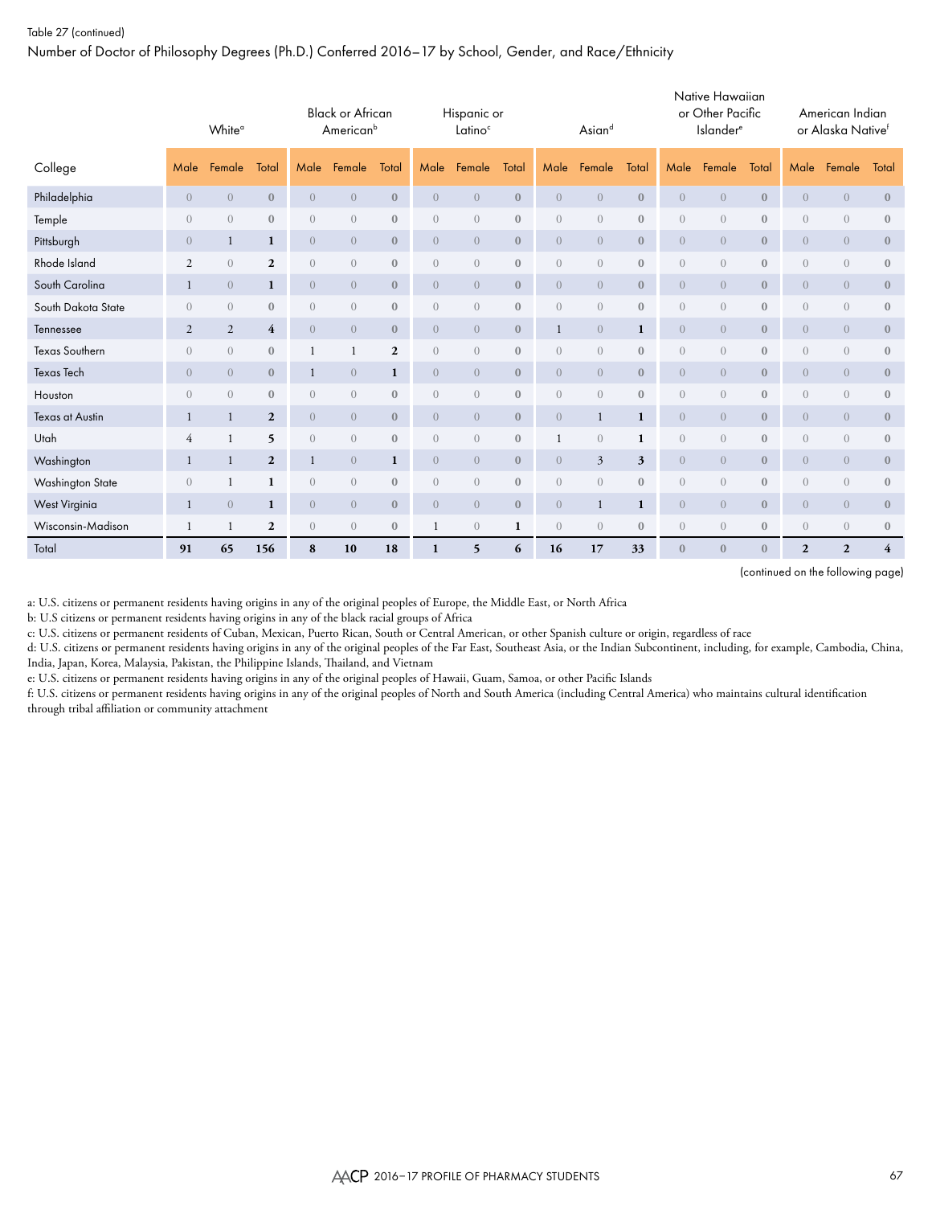Number of Doctor of Philosophy Degrees (Ph.D.) Conferred 2016–17 by School, Gender, and Race/Ethnicity

|                       | White <sup>a</sup><br>Male<br>Female<br>Total |                |                  | <b>Black or African</b><br>American <sup>b</sup> |                |              | Hispanic or<br>Latino <sup>c</sup> |                |                  | Asiand         |                |                  | Native Hawaiian<br>or Other Pacific<br><b>Islander</b> <sup>e</sup> |                  |                  | American Indian<br>or Alaska Nativef |                |                         |
|-----------------------|-----------------------------------------------|----------------|------------------|--------------------------------------------------|----------------|--------------|------------------------------------|----------------|------------------|----------------|----------------|------------------|---------------------------------------------------------------------|------------------|------------------|--------------------------------------|----------------|-------------------------|
| College               |                                               |                |                  | Male                                             | Female         | Total        | Male                               | Female         | Total            | Male           | Female         | Total            | Male                                                                | Female           | Total            | Male                                 | Female         | Total                   |
| Philadelphia          | $\overline{0}$                                | $\overline{0}$ | $\mathbf{0}$     | $\overline{0}$                                   | $\overline{0}$ | $\bf{0}$     | $\overline{0}$                     | $\overline{0}$ | $\mathbf{0}$     | $\overline{0}$ | $\overline{0}$ | $\mathbf{0}$     | $\sqrt{a}$                                                          | $\overline{0}$   | $\mathbf{0}$     | $\theta$                             | $\overline{0}$ | $\bf{0}$                |
| Temple                | $\overline{0}$                                | $\overline{0}$ | $\mathbf{0}$     | $\overline{0}$                                   | $\overline{0}$ | $\mathbf{0}$ | $\overline{0}$                     | $\overline{0}$ | $\mathbf{0}$     | $\overline{0}$ | $\overline{0}$ | $\boldsymbol{0}$ | $\sqrt{a}$                                                          | $\overline{0}$   | $\mathbf{0}$     | $\overline{0}$                       | $\overline{0}$ | $\boldsymbol{0}$        |
| Pittsburgh            | $\overline{0}$                                | $\mathbf{1}$   | $\mathbf{1}$     | $\overline{0}$                                   | $\overline{0}$ | $\mathbf{0}$ | $\overline{0}$                     | $\overline{0}$ | $\mathbf{0}$     | $\overline{0}$ | $\overline{0}$ | $\mathbf{0}$     | $\overline{0}$                                                      | $\boldsymbol{0}$ | $\mathbf{0}$     | $\theta$                             | $\overline{0}$ | $\mathbf{0}$            |
| Rhode Island          | $\overline{2}$                                | $\overline{0}$ | $\mathbf{2}$     | $\sqrt{a}$                                       | $\overline{0}$ | $\mathbf{0}$ | $\overline{0}$                     | $\overline{0}$ | $\mathbf{0}$     | $\overline{0}$ | $\overline{0}$ | $\boldsymbol{0}$ | $\overline{0}$                                                      | $\overline{0}$   | $\mathbf{0}$     | $\overline{0}$                       | $\sqrt{a}$     | $\boldsymbol{0}$        |
| South Carolina        | 1                                             | $\overline{0}$ | $\mathbf{1}$     | $\overline{0}$                                   | $\overline{0}$ | $\mathbf{0}$ | $\overline{0}$                     | $\overline{0}$ | $\mathbf{0}$     | $\overline{0}$ | $\overline{0}$ | $\mathbf{0}$     | $\overline{0}$                                                      | $\boldsymbol{0}$ | $\mathbf{0}$     | $\theta$                             | $\overline{0}$ | $\mathbf{0}$            |
| South Dakota State    | $\overline{0}$                                | $\overline{0}$ | $\mathbf{0}$     | $\sqrt{a}$                                       | $\overline{0}$ | $\mathbf{0}$ | $\overline{0}$                     | $\sqrt{a}$     | $\mathbf{0}$     | $\overline{0}$ | $\overline{0}$ | $\boldsymbol{0}$ | $\overline{0}$                                                      | $\overline{0}$   | $\mathbf{0}$     | $\overline{0}$                       | $\sqrt{a}$     | $\bf 0$                 |
| Tennessee             | 2                                             | 2              | $\overline{4}$   | $\overline{0}$                                   | $\overline{0}$ | $\mathbf{0}$ | $\overline{0}$                     | $\overline{0}$ | $\boldsymbol{0}$ | $\mathbf{1}$   | $\overline{0}$ | 1                | $\overline{0}$                                                      | $\overline{0}$   | $\mathbf{0}$     | $\overline{0}$                       | $\overline{0}$ | $\bf 0$                 |
| <b>Texas Southern</b> | $\overline{0}$                                | $\overline{0}$ | $\boldsymbol{0}$ | 1                                                |                | $\mathbf{2}$ | $\overline{0}$                     | $\sqrt{a}$     | $\mathbf{0}$     | $\overline{0}$ | $\overline{0}$ | $\mathbf{0}$     | $\sqrt{a}$                                                          | $\overline{0}$   | $\mathbf{0}$     | $\overline{0}$                       | $\sqrt{a}$     | $\bf 0$                 |
| <b>Texas Tech</b>     | $\overline{0}$                                | $\overline{0}$ | $\mathbf{0}$     | $\mathbf{1}$                                     | $\overline{0}$ | 1            | $\overline{0}$                     | $\overline{0}$ | $\mathbf{0}$     | $\overline{0}$ | $\overline{0}$ | $\mathbf{0}$     | $\overline{0}$                                                      | $\boldsymbol{0}$ | $\mathbf{0}$     | $\boldsymbol{0}$                     | $\overline{0}$ | $\mathbf{0}$            |
| Houston               | $\overline{0}$                                | $\overline{0}$ | $\boldsymbol{0}$ | $\overline{0}$                                   | $\overline{0}$ | $\mathbf{0}$ | $\overline{0}$                     | $\overline{0}$ | $\mathbf{0}$     | $\overline{0}$ | $\overline{0}$ | $\mathbf{0}$     | $\overline{0}$                                                      | $\overline{0}$   | $\mathbf{0}$     | $\overline{0}$                       | $\sqrt{a}$     | $\mathbf{0}$            |
| Texas at Austin       | 1                                             | 1              | $\overline{2}$   | $\overline{0}$                                   | $\overline{0}$ | $\mathbf{0}$ | $\overline{0}$                     | $\overline{0}$ | $\mathbf{0}$     | $\overline{0}$ | $\mathbf{1}$   | 1                | $\overline{0}$                                                      | $\overline{0}$   | $\mathbf{0}$     | $\overline{0}$                       | $\overline{0}$ | $\mathbf{0}$            |
| Utah                  | $\overline{4}$                                | $\mathbf{1}$   | 5                | $\overline{0}$                                   | $\overline{0}$ | $\mathbf{0}$ | $\overline{0}$                     | $\overline{0}$ | $\mathbf{0}$     | $\mathbf{1}$   | $\overline{0}$ | 1                | $\overline{0}$                                                      | $\overline{0}$   | $\mathbf{0}$     | $\overline{0}$                       | $\overline{0}$ | $\mathbf{0}$            |
| Washington            | -1                                            | 1              | $\overline{2}$   | 1                                                | $\overline{0}$ | $\mathbf{1}$ | $\overline{0}$                     | $\overline{0}$ | $\mathbf{0}$     | $\overline{0}$ | $\mathfrak{Z}$ | 3                | $\overline{0}$                                                      | $\boldsymbol{0}$ | $\boldsymbol{0}$ | $\theta$                             | $\overline{0}$ | $\mathbf{0}$            |
| Washington State      | $\overline{0}$                                | $\mathbf{1}$   | 1                | $\sqrt{a}$                                       | $\overline{0}$ | $\mathbf{0}$ | $\overline{0}$                     | $\sqrt{a}$     | $\mathbf{0}$     | $\overline{0}$ | $\overline{0}$ | $\mathbf{0}$     | $\overline{0}$                                                      | $\overline{0}$   | $\mathbf{0}$     | $\overline{0}$                       | $\sqrt{a}$     | $\mathbf{0}$            |
| <b>West Virginia</b>  | -1                                            | $\overline{0}$ | 1                | $\overline{0}$                                   | $\overline{0}$ | $\mathbf{0}$ | $\overline{0}$                     | $\overline{0}$ | $\mathbf{0}$     | $\overline{0}$ | $\mathbf{1}$   | 1                | $\overline{0}$                                                      | $\overline{0}$   | $\mathbf{0}$     | $\overline{0}$                       | $\overline{0}$ | $\mathbf{0}$            |
| Wisconsin-Madison     | $\mathbf{1}$                                  | 1              | $\overline{2}$   | $\sqrt{a}$                                       | $\overline{0}$ | $\mathbf{0}$ |                                    | $\overline{0}$ | 1                | $\overline{0}$ | $\overline{0}$ | $\mathbf{0}$     | $\sqrt{a}$                                                          | $\overline{0}$   | $\mathbf{0}$     | $\overline{0}$                       | $\overline{0}$ | $\boldsymbol{0}$        |
| Total                 | 91                                            | 65             | 156              | 8                                                | 10             | 18           | 1                                  | 5              | 6                | 16             | 17             | 33               | $\overline{0}$                                                      | $\mathbf{0}$     | $\mathbf{0}$     | $\mathbf{2}$                         | $\overline{2}$ | $\overline{\mathbf{4}}$ |

(continued on the following page)

a: U.S. citizens or permanent residents having origins in any of the original peoples of Europe, the Middle East, or North Africa

b: U.S citizens or permanent residents having origins in any of the black racial groups of Africa

c: U.S. citizens or permanent residents of Cuban, Mexican, Puerto Rican, South or Central American, or other Spanish culture or origin, regardless of race

d: U.S. citizens or permanent residents having origins in any of the original peoples of the Far East, Southeast Asia, or the Indian Subcontinent, including, for example, Cambodia, China, India, Japan, Korea, Malaysia, Pakistan, the Philippine Islands, Thailand, and Vietnam

e: U.S. citizens or permanent residents having origins in any of the original peoples of Hawaii, Guam, Samoa, or other Pacific Islands

f: U.S. citizens or permanent residents having origins in any of the original peoples of North and South America (including Central America) who maintains cultural identification through tribal affiliation or community attachment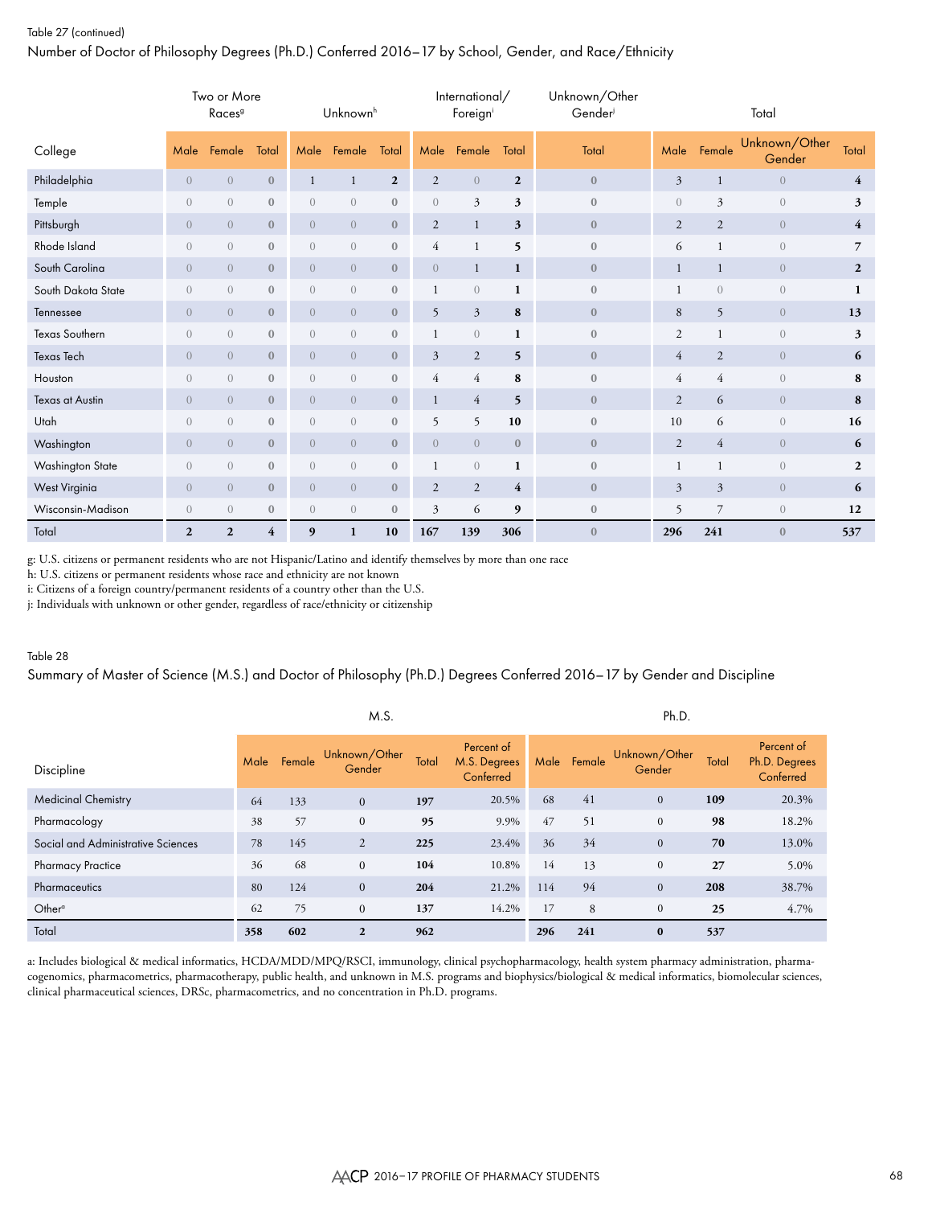# Table 27 (continued) Number of Doctor of Philosophy Degrees (Ph.D.) Conferred 2016–17 by School, Gender, and Race/Ethnicity

|                        |                  | Two or More<br>Races <sup>9</sup> |                  |                | Unknown <sup>h</sup>            |                  |                | International/<br>Foreigni      |                | Unknown/Other<br>Gender |                |                | Total                   |                |
|------------------------|------------------|-----------------------------------|------------------|----------------|---------------------------------|------------------|----------------|---------------------------------|----------------|-------------------------|----------------|----------------|-------------------------|----------------|
| College                | Male             | Female                            | Total            | Male           | Female                          | Total            | Male           | Female                          | Total          | Total                   | Male           | Female         | Unknown/Other<br>Gender | Total          |
| Philadelphia           | $\overline{0}$   | $\overline{0}$                    | $\mathbf{0}$     | $\mathbf{1}$   | 1                               | $\mathbf{2}$     | 2              | $\overline{0}$                  | $\overline{2}$ | $\mathbf{0}$            | $\mathfrak{Z}$ | $\mathbf{1}$   | $\overline{0}$          | 4              |
| Temple                 | $\overline{0}$   | $\overline{0}$                    | $\boldsymbol{0}$ | $\overline{0}$ | $\boldsymbol{0}$                | $\boldsymbol{0}$ | $\overline{0}$ | 3                               | 3              | $\bf 0$                 | $\overline{0}$ | $\mathfrak{Z}$ | $\overline{0}$          | 3              |
| Pittsburgh             | $\overline{0}$   | $\overline{0}$                    | $\mathbf{0}$     | $\overline{0}$ | $\boldsymbol{0}$                | $\mathbf{0}$     | 2              | $\mathbf{1}$                    | 3              | $\mathbf{0}$            | 2              | $\overline{2}$ | $\overline{0}$          | $\overline{4}$ |
| Rhode Island           | $\overline{0}$   | $\overline{0}$                    | $\boldsymbol{0}$ | $\overline{0}$ | $\sqrt{a}$                      | $\boldsymbol{0}$ | $\overline{4}$ | $\mathbf{1}$                    | 5              | $\mathbf{0}$            | 6              | $\mathbf{1}$   | $\overline{0}$          | $\overline{7}$ |
| South Carolina         | $\overline{0}$   | $\overline{0}$                    | $\mathbf{0}$     | $\overline{0}$ | $\overline{0}$                  | $\mathbf{0}$     | $\overline{0}$ | $\mathbf{1}$                    | 1              | $\mathbf{0}$            | $\mathbf{1}$   | 1              | $\overline{0}$          | $\mathbf{2}$   |
| South Dakota State     | $\overline{0}$   | $\overline{0}$                    | $\boldsymbol{0}$ | $\overline{0}$ | $\begin{matrix} 0 \end{matrix}$ | $\bf 0$          |                | $\boldsymbol{0}$                | 1              | $\mathbf{0}$            | 1              | $\sqrt{a}$     | $\theta$                | 1              |
| Tennessee              | $\overline{0}$   | $\overline{0}$                    | $\mathbf{0}$     | $\overline{0}$ | $\overline{0}$                  | $\boldsymbol{0}$ | 5              | $\mathfrak{Z}$                  | 8              | $\bf{0}$                | 8              | 5              | $\overline{0}$          | 13             |
| Texas Southern         | $\overline{0}$   | $\sqrt{a}$                        | $\boldsymbol{0}$ | $\overline{0}$ | $\boldsymbol{0}$                | $\bf 0$          | 1              | $\boldsymbol{0}$                | 1              | $\mathbf 0$             | $\overline{2}$ | 1              | $\overline{0}$          | 3              |
| <b>Texas Tech</b>      | $\overline{0}$   | $\overline{0}$                    | $\mathbf{0}$     | $\overline{0}$ | $\overline{0}$                  | $\mathbf{0}$     | $\mathfrak{Z}$ | $\mathbf{2}$                    | 5              | $\mathbf{0}$            | $\overline{4}$ | $\overline{2}$ | $\overline{0}$          | 6              |
| Houston                | $\overline{0}$   | $\overline{0}$                    | $\mathbf{0}$     | $\overline{0}$ | $\boldsymbol{0}$                | $\boldsymbol{0}$ | $\overline{4}$ | $\overline{4}$                  | 8              | $\mathbf{0}$            | $\overline{4}$ | $\overline{4}$ | $\overline{0}$          | 8              |
| <b>Texas at Austin</b> | $\overline{0}$   | $\overline{0}$                    | $\bf{0}$         | $\overline{0}$ | $\sqrt{a}$                      | $\mathbf{0}$     | 1              | 4                               | 5              | $\bf{0}$                | $\mathfrak{2}$ | 6              | $\overline{0}$          | 8              |
| Utah                   | $\overline{0}$   | $\overline{0}$                    | $\mathbf{0}$     | $\overline{0}$ | $\sqrt{a}$                      | $\bf 0$          | 5              | 5                               | 10             | $\mathbf{0}$            | 10             | 6              | $\overline{0}$          | 16             |
| Washington             | $\overline{0}$   | $\overline{0}$                    | $\mathbf{0}$     | $\overline{0}$ | $\boldsymbol{0}$                | $\bf 0$          | $\overline{0}$ | $\sqrt{a}$                      | $\mathbf{0}$   | $\mathbf{0}$            | $\overline{2}$ | $\overline{4}$ | $\overline{0}$          | 6              |
| Washington State       | $\overline{0}$   | $\overline{0}$                    | $\mathbf{0}$     | $\overline{0}$ | $\sqrt{a}$                      | $\bf 0$          |                | $\begin{matrix} 0 \end{matrix}$ | $\mathbf{1}$   | $\mathbf{0}$            | 1              | 1              | $\overline{0}$          | $\mathbf{2}$   |
| West Virginia          | $\overline{0}$   | $\overline{0}$                    | $\mathbf{0}$     | $\overline{0}$ | $\boldsymbol{0}$                | $\bf 0$          | $\sqrt{2}$     | $\sqrt{2}$                      | $\overline{4}$ | $\mathbf{0}$            | $\mathfrak{Z}$ | $\mathfrak{Z}$ | $\overline{0}$          | 6              |
| Wisconsin-Madison      | $\boldsymbol{0}$ | $\overline{0}$                    | $\bf{0}$         | $\overline{0}$ | $\sqrt{a}$                      | $\mathbf{0}$     | 3              | 6                               | 9              | $\mathbf{0}$            | 5              | 7              | $\theta$                | 12             |
| Total                  | $\overline{2}$   | $\overline{2}$                    | 4                | 9              | 1                               | 10               | 167            | 139                             | 306            | $\mathbf{0}$            | 296            | 241            | $\mathbf{0}$            | 537            |

g: U.S. citizens or permanent residents who are not Hispanic/Latino and identify themselves by more than one race

h: U.S. citizens or permanent residents whose race and ethnicity are not known

i: Citizens of a foreign country/permanent residents of a country other than the U.S.

j: Individuals with unknown or other gender, regardless of race/ethnicity or citizenship

### Table 28

# Summary of Master of Science (M.S.) and Doctor of Philosophy (Ph.D.) Degrees Conferred 2016–17 by Gender and Discipline

|                                    |      |        | M.S.                    |       |                                         |      |        | Ph.D.                   |       |                                          |
|------------------------------------|------|--------|-------------------------|-------|-----------------------------------------|------|--------|-------------------------|-------|------------------------------------------|
| Discipline                         | Male | Female | Unknown/Other<br>Gender | Total | Percent of<br>M.S. Degrees<br>Conferred | Male | Female | Unknown/Other<br>Gender | Total | Percent of<br>Ph.D. Degrees<br>Conferred |
| <b>Medicinal Chemistry</b>         | 64   | 133    | $\mathbf{0}$            | 197   | 20.5%                                   | 68   | 41     | $\mathbf{0}$            | 109   | 20.3%                                    |
| Pharmacology                       | 38   | 57     | $\mathbf{0}$            | 95    | 9.9%                                    | 47   | 51     | $\mathbf{0}$            | 98    | 18.2%                                    |
| Social and Administrative Sciences | 78   | 145    | $\overline{2}$          | 225   | 23.4%                                   | 36   | 34     | $\mathbf{0}$            | 70    | 13.0%                                    |
| <b>Pharmacy Practice</b>           | 36   | 68     | $\mathbf{0}$            | 104   | 10.8%                                   | 14   | 13     | $\mathbf{0}$            | 27    | 5.0%                                     |
| Pharmaceutics                      | 80   | 124    | $\mathbf{0}$            | 204   | 21.2%                                   | 114  | 94     | $\mathbf{0}$            | 208   | 38.7%                                    |
| Other <sup>o</sup>                 | 62   | 75     | $\mathbf{0}$            | 137   | 14.2%                                   | 17   | 8      | $\mathbf{0}$            | 25    | 4.7%                                     |
| Total                              | 358  | 602    | $\overline{2}$          | 962   |                                         | 296  | 241    | $\bf{0}$                | 537   |                                          |

a: Includes biological & medical informatics, HCDA/MDD/MPQ/RSCI, immunology, clinical psychopharmacology, health system pharmacy administration, pharmacogenomics, pharmacometrics, pharmacotherapy, public health, and unknown in M.S. programs and biophysics/biological & medical informatics, biomolecular sciences, clinical pharmaceutical sciences, DRSc, pharmacometrics, and no concentration in Ph.D. programs.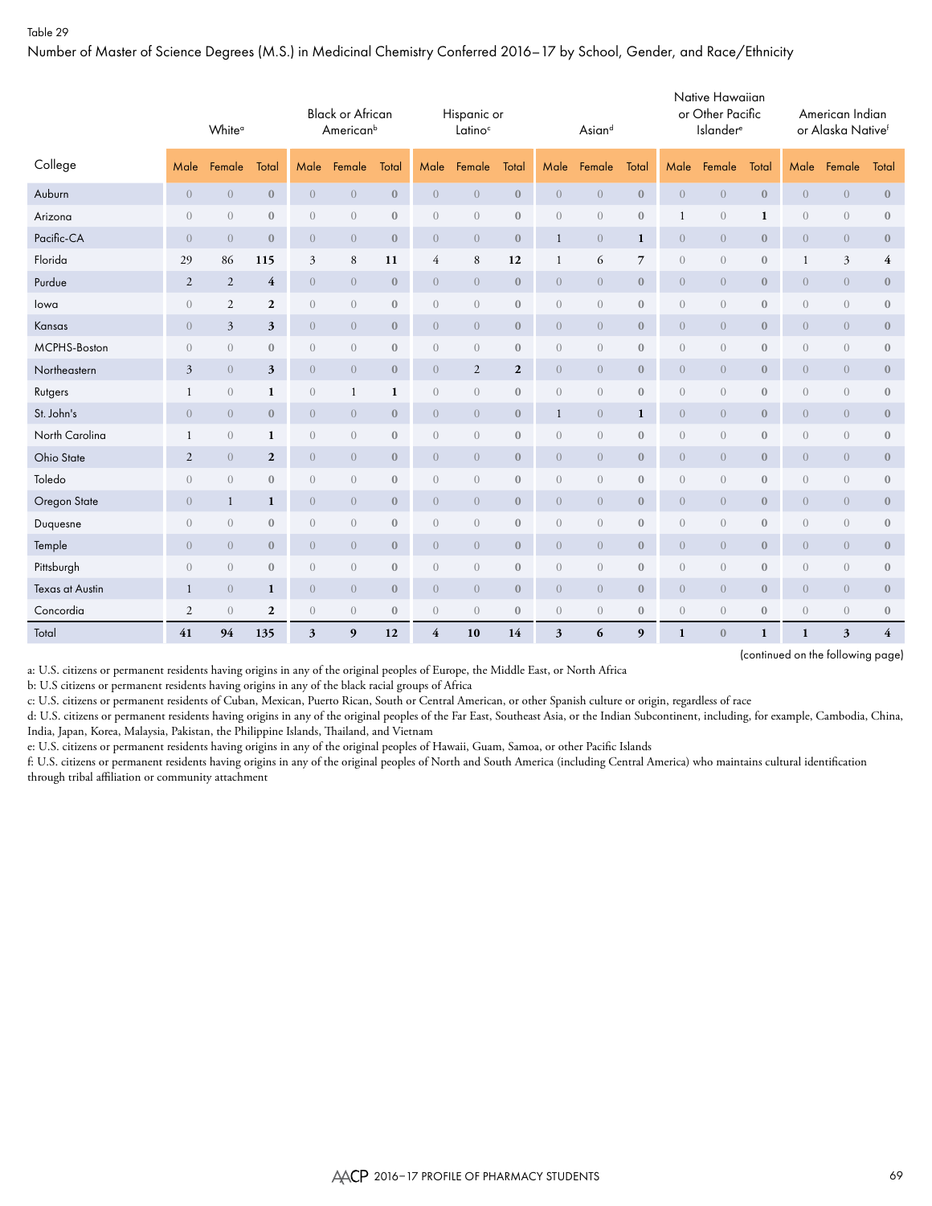Number of Master of Science Degrees (M.S.) in Medicinal Chemistry Conferred 2016–17 by School, Gender, and Race/Ethnicity

|                 | White <sup>o</sup> |                |                  |                | <b>Black or African</b><br>American <sup>b</sup> |                  |                  | Hispanic or<br>Latino <sup>c</sup> |                  |                  | Asiand         |                  |                  | Native Hawaiian<br>or Other Pacific<br><b>Islander</b> <sup>e</sup> |                  |                  | American Indian<br>or Alaska Nativef |                         |
|-----------------|--------------------|----------------|------------------|----------------|--------------------------------------------------|------------------|------------------|------------------------------------|------------------|------------------|----------------|------------------|------------------|---------------------------------------------------------------------|------------------|------------------|--------------------------------------|-------------------------|
| College         | Male               | Female         | Total            | Male           | Female                                           | Total            | Male             | Female                             | Total            | Male             | Female         | Total            | Male             | Female                                                              | Total            | Male             | Female                               | Total                   |
| Auburn          | $\boldsymbol{0}$   | $\overline{0}$ | $\bf{0}$         | $\theta$       | $\overline{0}$                                   | $\boldsymbol{0}$ | $\overline{0}$   | $\overline{0}$                     | $\mathbf{0}$     | $\overline{0}$   | $\overline{0}$ | $\boldsymbol{0}$ | $\overline{0}$   | $\theta$                                                            | $\boldsymbol{0}$ | $\boldsymbol{0}$ | $\boldsymbol{0}$                     | $\boldsymbol{0}$        |
| Arizona         | $\overline{0}$     | $\sqrt{a}$     | $\mathbf{0}$     | $\theta$       | $\theta$                                         | $\mathbf{0}$     | $\boldsymbol{0}$ | $\sqrt{a}$                         | $\boldsymbol{0}$ | $\overline{0}$   | $\overline{0}$ | $\bf 0$          | 1                | $\boldsymbol{0}$                                                    | 1                | $\sqrt{a}$       | $\boldsymbol{0}$                     | $\boldsymbol{0}$        |
| Pacific-CA      | $\boldsymbol{0}$   | $\overline{0}$ | $\mathbf{0}$     | $\overline{0}$ | $\overline{0}$                                   | $\mathbf{0}$     | $\sqrt{a}$       | $\overline{0}$                     | $\boldsymbol{0}$ | $\mathbf{1}$     | $\overline{0}$ | $\mathbf{1}$     | $\overline{0}$   | $\overline{0}$                                                      | $\mathbf{0}$     | $\overline{0}$   | $\overline{0}$                       | $\mathbf{0}$            |
| Florida         | 29                 | 86             | 115              | $\mathfrak{Z}$ | 8                                                | 11               | 4                | $\,$ 8 $\,$                        | 12               | 1                | 6              | $\overline{7}$   | $\boldsymbol{0}$ | $\sqrt{a}$                                                          | $\bf{0}$         | 1                | 3                                    | 4                       |
| Purdue          | $\overline{2}$     | $\overline{2}$ | $\overline{4}$   | $\overline{0}$ | $\overline{0}$                                   | $\mathbf{0}$     | $\overline{0}$   | $\overline{0}$                     | $\boldsymbol{0}$ | $\overline{0}$   | $\overline{0}$ | $\boldsymbol{0}$ | $\overline{0}$   | $\overline{0}$                                                      | $\mathbf{0}$     | $\overline{0}$   | $\overline{0}$                       | $\mathbf{0}$            |
| lowa            | $\overline{0}$     | $\mathfrak{2}$ | $\mathbf{2}$     | $\theta$       | $\sqrt{a}$                                       | $\mathbf{0}$     | $\mathbf{0}$     | $\theta$                           | $\boldsymbol{0}$ | $\overline{0}$   | $\overline{0}$ | $\bf 0$          | $\overline{0}$   | $\sqrt{a}$                                                          | $\boldsymbol{0}$ | $\sqrt{a}$       | $\boldsymbol{0}$                     | $\mathbf{0}$            |
| Kansas          | $\boldsymbol{0}$   | $\mathfrak{Z}$ | 3                | $\overline{0}$ | $\overline{0}$                                   | $\mathbf{0}$     | $\overline{0}$   | $\overline{0}$                     | $\mathbf{0}$     | $\overline{0}$   | $\overline{0}$ | $\mathbf{0}$     | $\overline{0}$   | $\overline{0}$                                                      | $\mathbf{0}$     | $\overline{0}$   | $\overline{0}$                       | $\mathbf{0}$            |
| MCPHS-Boston    | $\theta$           | $\overline{0}$ | $\boldsymbol{0}$ | $\theta$       | $\overline{0}$                                   | $\boldsymbol{0}$ | $\mathbf{0}$     | $\theta$                           | $\boldsymbol{0}$ | $\overline{0}$   | $\overline{0}$ | $\bf 0$          | $\overline{0}$   | $\overline{0}$                                                      | $\boldsymbol{0}$ | $\sqrt{a}$       | $\boldsymbol{0}$                     | $\boldsymbol{0}$        |
| Northeastern    | 3                  | $\overline{0}$ | 3                | $\overline{0}$ | $\overline{0}$                                   | $\mathbf{0}$     | $\overline{0}$   | $\sqrt{2}$                         | $\mathbf{2}$     | $\overline{0}$   | $\overline{0}$ | $\mathbf{0}$     | $\overline{0}$   | $\overline{0}$                                                      | $\mathbf{0}$     | $\overline{0}$   | $\overline{0}$                       | $\bf{0}$                |
| Rutgers         | 1                  | $\sqrt{a}$     | 1                | $\theta$       | 1                                                | 1                | $\mathbf{0}$     | $\sqrt{a}$                         | $\boldsymbol{0}$ | $\boldsymbol{0}$ | $\overline{0}$ | $\bf 0$          | $\boldsymbol{0}$ | $\overline{0}$                                                      | $\boldsymbol{0}$ | $\sqrt{a}$       | $\boldsymbol{0}$                     | $\boldsymbol{0}$        |
| St. John's      | $\boldsymbol{0}$   | $\overline{0}$ | $\mathbf{0}$     | $\overline{0}$ | $\overline{0}$                                   | $\bf{0}$         | $\overline{0}$   | $\overline{0}$                     | $\mathbf{0}$     | $\mathbf{1}$     | $\overline{0}$ | 1                | $\overline{0}$   | $\overline{0}$                                                      | $\boldsymbol{0}$ | $\overline{0}$   | $\overline{0}$                       | $\boldsymbol{0}$        |
| North Carolina  | 1                  | $\sqrt{a}$     | 1                | $\sqrt{a}$     | $\overline{0}$                                   | $\mathbf{0}$     | $\mathbf{0}$     | $\sqrt{a}$                         | $\boldsymbol{0}$ | $\boldsymbol{0}$ | $\overline{0}$ | $\bf 0$          | $\sqrt{a}$       | $\sqrt{a}$                                                          | $\boldsymbol{0}$ | $\boldsymbol{0}$ | $\boldsymbol{0}$                     | $\boldsymbol{0}$        |
| Ohio State      | $\overline{2}$     | $\overline{0}$ | $\mathbf{2}$     | $\overline{0}$ | $\overline{0}$                                   | $\mathbf{0}$     | $\overline{0}$   | $\overline{0}$                     | $\mathbf{0}$     | $\overline{0}$   | $\overline{0}$ | $\mathbf{0}$     | $\overline{0}$   | $\overline{0}$                                                      | $\bf{0}$         | $\overline{0}$   | $\overline{0}$                       | $\boldsymbol{0}$        |
| Toledo          | $\overline{0}$     | $\overline{0}$ | $\boldsymbol{0}$ | $\sqrt{a}$     | $\overline{0}$                                   | $\mathbf{0}$     | $\overline{0}$   | $\theta$                           | $\boldsymbol{0}$ | $\overline{0}$   | $\overline{0}$ | $\mathbf{0}$     | $\overline{0}$   | $\overline{0}$                                                      | $\mathbf{0}$     | $\overline{0}$   | $\boldsymbol{0}$                     | $\boldsymbol{0}$        |
| Oregon State    | $\boldsymbol{0}$   | $\mathbf{1}$   | $\mathbf{1}$     | $\overline{0}$ | $\overline{0}$                                   | $\bf{0}$         | $\sqrt{a}$       | $\overline{0}$                     | $\mathbf{0}$     | $\overline{0}$   | $\overline{0}$ | $\mathbf{0}$     | $\overline{0}$   | $\overline{0}$                                                      | $\bf{0}$         | $\overline{0}$   | $\overline{0}$                       | $\mathbf{0}$            |
| Duquesne        | $\sqrt{a}$         | $\overline{0}$ | $\mathbf{0}$     | $\sqrt{a}$     | $\sqrt{a}$                                       | $\mathbf{0}$     | $\boldsymbol{0}$ | $\sqrt{a}$                         | $\boldsymbol{0}$ | $\sqrt{a}$       | $\overline{0}$ | $\bf 0$          | $\sqrt{a}$       | $\sqrt{a}$                                                          | $\bf{0}$         | $\boldsymbol{0}$ | $\boldsymbol{0}$                     | $\boldsymbol{0}$        |
| Temple          | $\boldsymbol{0}$   | $\overline{0}$ | $\mathbf{0}$     | $\overline{0}$ | $\overline{0}$                                   | $\bf{0}$         | $\sqrt{a}$       | $\overline{0}$                     | $\mathbf{0}$     | $\overline{0}$   | $\overline{0}$ | $\mathbf{0}$     | $\overline{0}$   | $\overline{0}$                                                      | $\bf{0}$         | $\overline{0}$   | $\overline{0}$                       | $\bf{0}$                |
| Pittsburgh      | $\boldsymbol{0}$   | $\overline{0}$ | $\mathbf{0}$     | $\sqrt{a}$     | $\sqrt{a}$                                       | $\boldsymbol{0}$ | $\sqrt{a}$       | $\sqrt{a}$                         | $\boldsymbol{0}$ | $\overline{0}$   | $\overline{0}$ | $\bf 0$          | $\sqrt{a}$       | $\sqrt{a}$                                                          | $\bf{0}$         | $\boldsymbol{0}$ | $\boldsymbol{0}$                     | $\boldsymbol{0}$        |
| Texas at Austin | 1                  | $\overline{0}$ | 1                | $\overline{0}$ | $\overline{0}$                                   | $\bf{0}$         | $\sqrt{a}$       | $\overline{0}$                     | $\mathbf{0}$     | $\overline{0}$   | $\overline{0}$ | $\mathbf{0}$     | $\overline{0}$   | $\overline{0}$                                                      | $\mathbf{0}$     | $\overline{0}$   | $\overline{0}$                       | $\bf{0}$                |
| Concordia       | $\overline{2}$     | $\overline{0}$ | $\mathbf{2}$     | $\theta$       | $\theta$                                         | $\mathbf{0}$     | $\sqrt{a}$       | $\sqrt{a}$                         | $\boldsymbol{0}$ | $\overline{0}$   | $\overline{0}$ | $\boldsymbol{0}$ | $\theta$         | $\overline{0}$                                                      | $\boldsymbol{0}$ | $\sqrt{a}$       | $\boldsymbol{0}$                     | $\boldsymbol{0}$        |
| Total           | 41                 | 94             | 135              | 3              | 9                                                | 12               | 4                | 10                                 | 14               | 3                | 6              | 9                | $\mathbf{1}$     | $\mathbf{0}$                                                        | $\mathbf{1}$     | $\mathbf{1}$     | 3                                    | $\overline{\mathbf{4}}$ |

a: U.S. citizens or permanent residents having origins in any of the original peoples of Europe, the Middle East, or North Africa

b: U.S citizens or permanent residents having origins in any of the black racial groups of Africa

c: U.S. citizens or permanent residents of Cuban, Mexican, Puerto Rican, South or Central American, or other Spanish culture or origin, regardless of race

d: U.S. citizens or permanent residents having origins in any of the original peoples of the Far East, Southeast Asia, or the Indian Subcontinent, including, for example, Cambodia, China, India, Japan, Korea, Malaysia, Pakistan, the Philippine Islands, Thailand, and Vietnam

e: U.S. citizens or permanent residents having origins in any of the original peoples of Hawaii, Guam, Samoa, or other Pacific Islands

f: U.S. citizens or permanent residents having origins in any of the original peoples of North and South America (including Central America) who maintains cultural identification through tribal affiliation or community attachment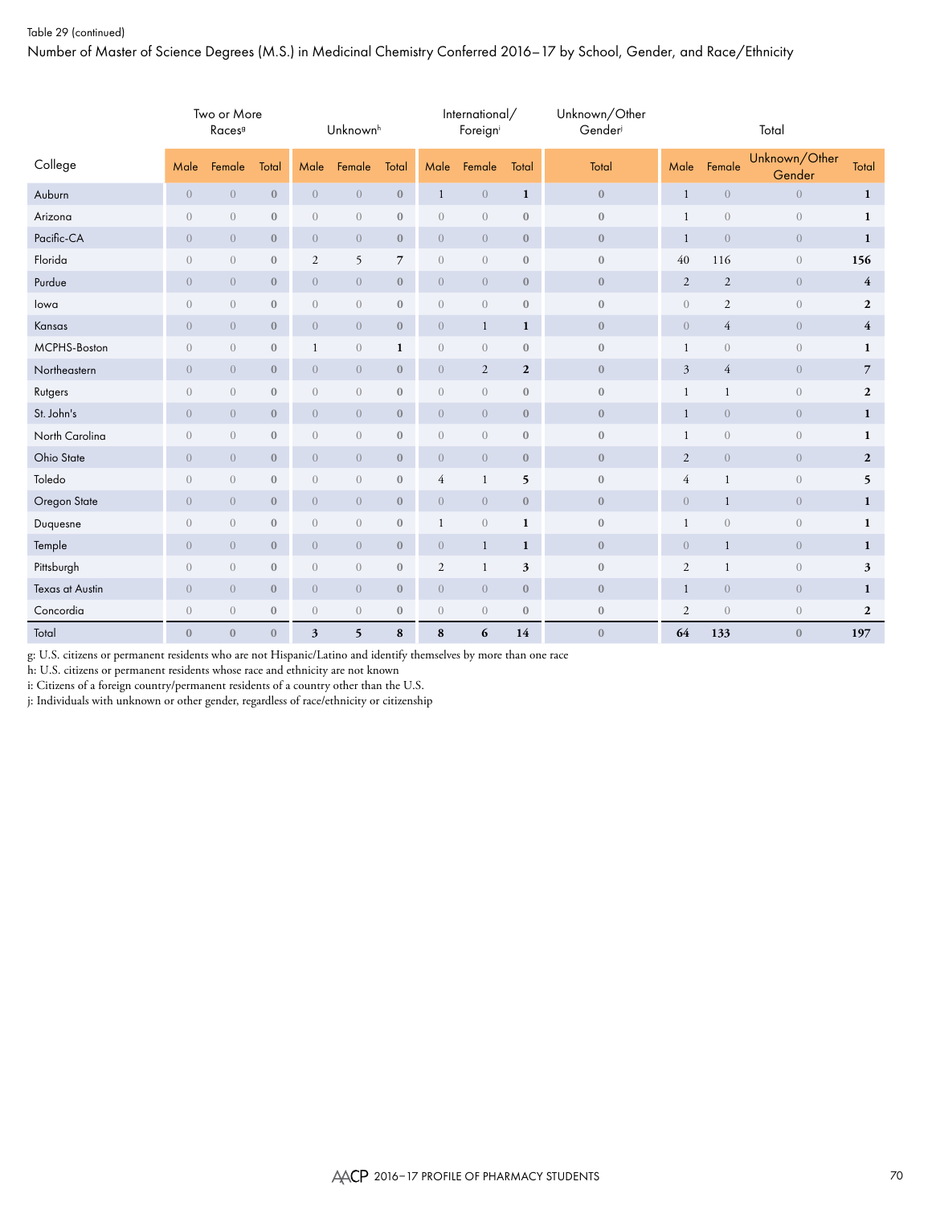Number of Master of Science Degrees (M.S.) in Medicinal Chemistry Conferred 2016–17 by School, Gender, and Race/Ethnicity

|                 |                | Two or More<br>Races <sup>9</sup> |                  |                | Unknownh         |                  |                  | International/<br>Foreigni |                  | Unknown/Other<br>Gender |                |                | Total                   |                |
|-----------------|----------------|-----------------------------------|------------------|----------------|------------------|------------------|------------------|----------------------------|------------------|-------------------------|----------------|----------------|-------------------------|----------------|
| College         | Male           | Female                            | Total            | Male           | Female           | Total            | Male             | Female                     | Total            | Total                   | Male           | Female         | Unknown/Other<br>Gender | Total          |
| Auburn          | $\overline{0}$ | $\overline{0}$                    | $\mathbf{0}$     | $\overline{0}$ | $\overline{0}$   | $\boldsymbol{0}$ | $\mathbf{1}$     | $\overline{0}$             | $\mathbf{1}$     | $\boldsymbol{0}$        | $\mathbf{1}$   | $\overline{0}$ | $\overline{0}$          | $\mathbf{1}$   |
| Arizona         | $\overline{0}$ | $\overline{0}$                    | $\bf{0}$         | $\overline{0}$ | $\overline{0}$   | $\boldsymbol{0}$ | $\sqrt{a}$       | $\sqrt{a}$                 | $\boldsymbol{0}$ | $\boldsymbol{0}$        | $\mathbf{1}$   | $\sqrt{a}$     | $\sqrt{a}$              | $\mathbf{1}$   |
| Pacific-CA      | $\overline{0}$ | $\overline{0}$                    | $\mathbf{0}$     | $\overline{0}$ | $\overline{0}$   | $\mathbf{0}$     | $\overline{0}$   | $\overline{0}$             | $\mathbf{0}$     | $\mathbf{0}$            | -1             | $\overline{0}$ | $\overline{0}$          | $\mathbf{1}$   |
| Florida         | $\overline{0}$ | $\sqrt{a}$                        | $\mathbf{0}$     | $\mathfrak{2}$ | 5                | $\overline{7}$   | $\boldsymbol{0}$ | $\sqrt{a}$                 | $\boldsymbol{0}$ | $\boldsymbol{0}$        | 40             | 116            | $\sqrt{a}$              | 156            |
| Purdue          | $\overline{0}$ | $\overline{0}$                    | $\mathbf{0}$     | $\overline{0}$ | $\overline{0}$   | $\mathbf{0}$     | $\overline{0}$   | $\overline{0}$             | $\mathbf{0}$     | $\mathbf{0}$            | 2              | $\overline{2}$ | $\overline{0}$          | $\overline{4}$ |
| lowa            | $\overline{0}$ | $\overline{0}$                    | $\bf{0}$         | $\overline{0}$ | $\mathbf{0}$     | $\boldsymbol{0}$ | $\sqrt{a}$       | $\overline{0}$             | $\boldsymbol{0}$ | $\bf{0}$                | $\overline{0}$ | 2              | $\sqrt{a}$              | $\mathbf{2}$   |
| Kansas          | $\overline{0}$ | $\overline{0}$                    | $\mathbf{0}$     | $\overline{0}$ | $\overline{0}$   | $\mathbf{0}$     | $\overline{0}$   | $\mathbf{1}$               | 1                | $\mathbf{0}$            | $\overline{0}$ | 4              | $\overline{0}$          | $\overline{4}$ |
| MCPHS-Boston    | $\overline{0}$ | $\overline{0}$                    | $\mathbf{0}$     | $\mathbf{1}$   | $\mathbf{0}$     | $\mathbf{1}$     | $\overline{0}$   | $\overline{0}$             | $\mathbf{0}$     | $\bf{0}$                | -1             | $\overline{0}$ | $\overline{0}$          | 1              |
| Northeastern    | $\overline{0}$ | $\overline{0}$                    | $\mathbf{0}$     | $\overline{0}$ | $\sqrt{0}$       | $\boldsymbol{0}$ | $\overline{0}$   | $\overline{2}$             | $\boldsymbol{2}$ | $\boldsymbol{0}$        | $\mathfrak{Z}$ | $\overline{4}$ | $\overline{0}$          | $\overline{7}$ |
| Rutgers         | $\overline{0}$ | $\sqrt{a}$                        | $\bf{0}$         | $\overline{0}$ | $\sqrt{a}$       | $\boldsymbol{0}$ | $\boldsymbol{0}$ | $\sqrt{a}$                 | $\bf 0$          | $\boldsymbol{0}$        | $\mathbf{1}$   | $\mathbf{1}$   | $\sqrt{a}$              | $\mathbf{2}$   |
| St. John's      | $\overline{0}$ | $\overline{0}$                    | $\mathbf{0}$     | $\overline{0}$ | $\overline{0}$   | $\boldsymbol{0}$ | $\overline{0}$   | $\overline{0}$             | $\mathbf{0}$     | $\mathbf{0}$            | $\mathbf{1}$   | $\overline{0}$ | $\overline{0}$          | $\mathbf{1}$   |
| North Carolina  | $\overline{0}$ | $\mathbf{0}$                      | $\bf{0}$         | $\overline{0}$ | $\mathbf{0}$     | $\boldsymbol{0}$ | $\sqrt{a}$       | $\overline{0}$             | $\bf 0$          | $\mathbf{0}$            | 1              | $\overline{0}$ | $\sqrt{a}$              | $\mathbf{1}$   |
| Ohio State      | $\overline{0}$ | $\overline{0}$                    | $\mathbf{0}$     | $\overline{0}$ | $\overline{0}$   | $\boldsymbol{0}$ | $\overline{0}$   | $\overline{0}$             | $\mathbf{0}$     | $\mathbf{0}$            | 2              | $\overline{0}$ | $\overline{0}$          | $\mathbf{2}$   |
| Toledo          | $\overline{0}$ | $\sqrt{a}$                        | $\boldsymbol{0}$ | $\sqrt{a}$     | $\boldsymbol{0}$ | $\boldsymbol{0}$ | $\overline{4}$   | $\mathbf{1}$               | 5                | $\boldsymbol{0}$        | $\overline{4}$ | 1              | $\boldsymbol{0}$        | 5              |
| Oregon State    | $\overline{0}$ | $\overline{0}$                    | $\mathbf{0}$     | $\overline{0}$ | $\overline{0}$   | $\boldsymbol{0}$ | $\overline{0}$   | $\overline{0}$             | $\boldsymbol{0}$ | $\mathbf{0}$            | $\overline{0}$ | 1              | $\overline{0}$          | $\mathbf{1}$   |
| Duquesne        | $\overline{0}$ | $\sqrt{a}$                        | $\bf{0}$         | $\overline{0}$ | $\overline{0}$   | $\boldsymbol{0}$ | 1                | $\overline{0}$             | $\mathbf{1}$     | $\mathbf{0}$            | $\mathbf{1}$   | $\overline{0}$ | $\sqrt{a}$              | $\mathbf{1}$   |
| Temple          | $\overline{0}$ | $\overline{0}$                    | $\bf{0}$         | $\overline{0}$ | $\overline{0}$   | $\mathbf{0}$     | $\sqrt{a}$       | $\mathbf{1}$               | 1                | $\mathbf{0}$            | $\overline{0}$ | $\mathbf{1}$   | $\overline{0}$          | $\mathbf{1}$   |
| Pittsburgh      | $\overline{0}$ | $\overline{0}$                    | $\bf{0}$         | $\overline{0}$ | $\sqrt{a}$       | $\boldsymbol{0}$ | $\mathfrak{2}$   | $\mathbf{1}$               | 3                | $\mathbf{0}$            | 2              | 1              | $\overline{0}$          | 3              |
| Texas at Austin | $\overline{0}$ | $\overline{0}$                    | $\bf{0}$         | $\overline{0}$ | $\mathbf{0}$     | $\mathbf{0}$     | $\overline{0}$   | $\overline{0}$             | $\mathbf{0}$     | $\boldsymbol{0}$        | $\mathbf{1}$   | $\overline{0}$ | $\overline{0}$          | $\mathbf{1}$   |
| Concordia       | $\overline{0}$ | $\overline{0}$                    | $\bf{0}$         | $\overline{0}$ | $\overline{0}$   | $\mathbf{0}$     | $\mathbf{0}$     | $\overline{0}$             | $\mathbf{0}$     | $\boldsymbol{0}$        | 2              | $\overline{0}$ | $\sqrt{a}$              | $\mathbf{2}$   |
| Total           | $\mathbf{0}$   | $\mathbf{0}$                      | $\mathbf{0}$     | 3              | 5                | 8                | 8                | 6                          | 14               | $\mathbf{0}$            | 64             | 133            | $\mathbf{0}$            | 197            |

g: U.S. citizens or permanent residents who are not Hispanic/Latino and identify themselves by more than one race

h: U.S. citizens or permanent residents whose race and ethnicity are not known

i: Citizens of a foreign country/permanent residents of a country other than the U.S.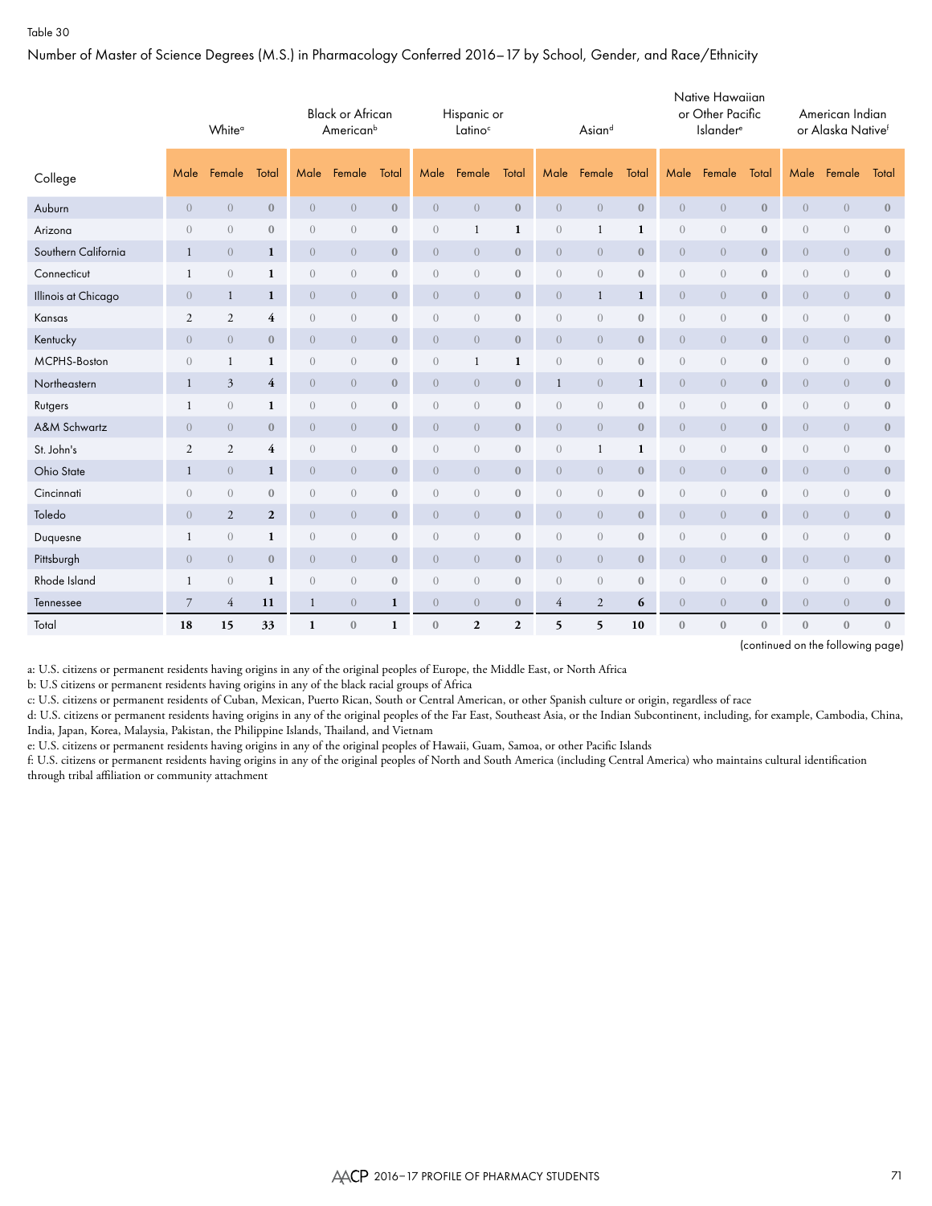Number of Master of Science Degrees (M.S.) in Pharmacology Conferred 2016–17 by School, Gender, and Race/Ethnicity

|                     | White <sup>a</sup> |                |                  |                  | <b>Black or African</b><br>American <sup>b</sup> |                  |                | Hispanic or<br>Latino <sup>c</sup> |                  |                | Asiand           |                  |                  | Native Hawaiian<br>or Other Pacific<br><b>Islander</b> <sup>e</sup> |                  |                  | American Indian<br>or Alaska Nativef |                  |
|---------------------|--------------------|----------------|------------------|------------------|--------------------------------------------------|------------------|----------------|------------------------------------|------------------|----------------|------------------|------------------|------------------|---------------------------------------------------------------------|------------------|------------------|--------------------------------------|------------------|
| College             | Male               | Female         | Total            | Male             | Female                                           | Total            | Male           | Female                             | Total            | Male           | Female           | Total            | Male             | Female                                                              | Total            | Male             | Female                               | Total            |
| Auburn              | $\sqrt{a}$         | $\overline{0}$ | $\boldsymbol{0}$ | $\boldsymbol{0}$ | $\overline{0}$                                   | $\boldsymbol{0}$ | $\overline{0}$ | $\overline{0}$                     | $\mathbf{0}$     | $\overline{0}$ | $\overline{0}$   | $\boldsymbol{0}$ | $\boldsymbol{0}$ | $\theta$                                                            | $\boldsymbol{0}$ | $\boldsymbol{0}$ | $\boldsymbol{0}$                     | $\boldsymbol{0}$ |
| Arizona             | $\overline{0}$     | $\overline{0}$ | $\boldsymbol{0}$ | $\sqrt{a}$       | $\overline{0}$                                   | $\bf{0}$         | $\overline{0}$ | $\mathbf{1}$                       | 1                | $\overline{0}$ | 1                | $\mathbf{1}$     | $\boldsymbol{0}$ | $\overline{0}$                                                      | $\bf{0}$         | $\sqrt{a}$       | $\overline{0}$                       | $\boldsymbol{0}$ |
| Southern California | 1                  | $\overline{0}$ | $\mathbf{1}$     | $\overline{0}$   | $\overline{0}$                                   | $\mathbf{0}$     | $\overline{0}$ | $\overline{0}$                     | $\boldsymbol{0}$ | $\overline{0}$ | $\overline{0}$   | $\mathbf{0}$     | $\overline{0}$   | $\overline{0}$                                                      | $\mathbf{0}$     | $\overline{0}$   | $\overline{0}$                       | $\mathbf{0}$     |
| Connecticut         | 1                  | $\overline{0}$ | 1                | $\overline{0}$   | $\overline{0}$                                   | $\mathbf{0}$     | $\theta$       | $\sqrt{a}$                         | $\mathbf{0}$     | $\overline{0}$ | $\overline{0}$   | $\mathbf{0}$     | $\sqrt{a}$       | $\overline{0}$                                                      | $\mathbf{0}$     | $\overline{0}$   | $\overline{0}$                       | $\mathbf{0}$     |
| Illinois at Chicago | $\overline{0}$     | $\mathbf{1}$   | $\mathbf{1}$     | $\overline{0}$   | $\overline{0}$                                   | $\mathbf{0}$     | $\overline{0}$ | $\overline{0}$                     | $\mathbf{0}$     | $\overline{0}$ | $\mathbf{1}$     | 1                | $\overline{0}$   | $\overline{0}$                                                      | $\mathbf{0}$     | $\overline{0}$   | $\overline{0}$                       | $\mathbf{0}$     |
| Kansas              | $\mathfrak{2}$     | 2              | 4                | $\overline{0}$   | $\overline{0}$                                   | $\mathbf{0}$     | $\theta$       | $\sqrt{a}$                         | $\boldsymbol{0}$ | $\overline{0}$ | $\boldsymbol{0}$ | $\mathbf{0}$     | $\sqrt{a}$       | $\overline{0}$                                                      | $\boldsymbol{0}$ | $\sqrt{a}$       | $\overline{0}$                       | $\mathbf{0}$     |
| Kentucky            | $\overline{0}$     | $\overline{0}$ | $\mathbf{0}$     | $\overline{0}$   | $\overline{0}$                                   | $\mathbf{0}$     | $\overline{0}$ | $\overline{0}$                     | $\mathbf{0}$     | $\overline{0}$ | $\overline{0}$   | $\mathbf{0}$     | $\overline{0}$   | $\overline{0}$                                                      | $\mathbf{0}$     | $\overline{0}$   | $\overline{0}$                       | $\mathbf{0}$     |
| MCPHS-Boston        | $\overline{0}$     | 1              | 1                | $\overline{0}$   | $\theta$                                         | $\mathbf{0}$     | $\overline{0}$ | 1                                  | 1                | $\overline{0}$ | $\overline{0}$   | $\mathbf{0}$     | $\sqrt{a}$       | $\theta$                                                            | $\bf{0}$         | $\sqrt{a}$       | $\overline{0}$                       | $\mathbf{0}$     |
| Northeastern        | $\mathbf{1}$       | $\mathfrak{Z}$ | $\overline{4}$   | $\overline{0}$   | $\overline{0}$                                   | $\mathbf{0}$     | $\overline{0}$ | $\overline{0}$                     | $\mathbf{0}$     | 1              | $\overline{0}$   | $\mathbf{1}$     | $\overline{0}$   | $\overline{0}$                                                      | $\mathbf{0}$     | $\overline{0}$   | $\overline{0}$                       | $\mathbf{0}$     |
| Rutgers             | 1                  | $\overline{0}$ | 1                | $\sqrt{a}$       | $\overline{0}$                                   | $\mathbf{0}$     | $\overline{0}$ | $\sqrt{a}$                         | $\boldsymbol{0}$ | $\overline{0}$ | $\overline{0}$   | $\boldsymbol{0}$ | $\sqrt{a}$       | $\overline{0}$                                                      | $\boldsymbol{0}$ | $\sqrt{a}$       | $\overline{0}$                       | $\boldsymbol{0}$ |
| A&M Schwartz        | $\overline{0}$     | $\overline{0}$ | $\boldsymbol{0}$ | $\boldsymbol{0}$ | $\overline{0}$                                   | $\mathbf{0}$     | $\overline{0}$ | $\overline{0}$                     | $\boldsymbol{0}$ | $\overline{0}$ | $\overline{0}$   | $\boldsymbol{0}$ | $\overline{0}$   | $\overline{0}$                                                      | $\mathbf{0}$     | $\overline{0}$   | $\overline{0}$                       | $\boldsymbol{0}$ |
| St. John's          | $\sqrt{2}$         | $\mathbf{2}$   | 4                | $\boldsymbol{0}$ | $\overline{0}$                                   | $\mathbf{0}$     | $\overline{0}$ | $\sqrt{a}$                         | $\boldsymbol{0}$ | $\overline{0}$ | 1                | $\mathbf{1}$     | $\sqrt{a}$       | $\sqrt{a}$                                                          | $\boldsymbol{0}$ | $\sqrt{a}$       | $\overline{0}$                       | $\boldsymbol{0}$ |
| Ohio State          | 1                  | $\overline{0}$ | 1                | $\boldsymbol{0}$ | $\overline{0}$                                   | $\mathbf{0}$     | $\overline{0}$ | $\overline{0}$                     | $\boldsymbol{0}$ | $\overline{0}$ | $\overline{0}$   | $\mathbf{0}$     | $\overline{0}$   | $\overline{0}$                                                      | $\mathbf{0}$     | $\overline{0}$   | $\overline{0}$                       | $\boldsymbol{0}$ |
| Cincinnati          | $\overline{0}$     | $\overline{0}$ | $\boldsymbol{0}$ | $\boldsymbol{0}$ | $\overline{0}$                                   | $\mathbf{0}$     | $\overline{0}$ | $\sqrt{a}$                         | $\boldsymbol{0}$ | $\overline{0}$ | $\overline{0}$   | $\mathbf{0}$     | $\overline{0}$   | $\overline{0}$                                                      | $\boldsymbol{0}$ | $\sqrt{a}$       | $\boldsymbol{0}$                     | $\mathbf{0}$     |
| Toledo              | $\overline{0}$     | $\overline{2}$ | $\mathbf{2}$     | $\overline{0}$   | $\overline{0}$                                   | $\mathbf{0}$     | $\overline{0}$ | $\overline{0}$                     | $\mathbf{0}$     | $\overline{0}$ | $\overline{0}$   | $\mathbf{0}$     | $\overline{0}$   | $\overline{0}$                                                      | $\bf{0}$         | $\overline{0}$   | $\overline{0}$                       | $\mathbf{0}$     |
| Duquesne            | 1                  | $\overline{0}$ | $\mathbf{1}$     | $\overline{0}$   | $\overline{0}$                                   | $\mathbf{0}$     | $\overline{0}$ | $\sqrt{a}$                         | $\boldsymbol{0}$ | $\overline{0}$ | $\overline{0}$   | $\mathbf{0}$     | $\sqrt{a}$       | $\overline{0}$                                                      | $\boldsymbol{0}$ | $\sqrt{a}$       | $\overline{0}$                       | $\mathbf{0}$     |
| Pittsburgh          | $\overline{0}$     | $\overline{0}$ | $\mathbf{0}$     | $\overline{0}$   | $\overline{0}$                                   | $\mathbf{0}$     | $\overline{0}$ | $\overline{0}$                     | $\mathbf{0}$     | $\overline{0}$ | $\overline{0}$   | $\mathbf{0}$     | $\overline{0}$   | $\overline{0}$                                                      | $\mathbf{0}$     | $\overline{0}$   | $\overline{0}$                       | $\mathbf{0}$     |
| Rhode Island        | 1                  | $\overline{0}$ | 1                | $\overline{0}$   | $\overline{0}$                                   | $\mathbf{0}$     | $\overline{0}$ | $\sqrt{a}$                         | $\boldsymbol{0}$ | $\overline{0}$ | $\overline{0}$   | $\mathbf{0}$     | $\sqrt{a}$       | $\overline{0}$                                                      | $\bf{0}$         | $\sqrt{a}$       | $\overline{0}$                       | $\mathbf{0}$     |
| Tennessee           | 7                  | 4              | 11               | $\mathbf{1}$     | $\overline{0}$                                   | 1                | $\overline{0}$ | $\overline{0}$                     | $\boldsymbol{0}$ | 4              | $\overline{2}$   | 6                | $\overline{0}$   | $\overline{0}$                                                      | $\bf{0}$         | $\overline{0}$   | $\overline{0}$                       | $\bf{0}$         |
| Total               | 18                 | 15             | 33               | $\mathbf{1}$     | $\mathbf{0}$                                     | 1                | $\mathbf{0}$   | $\mathbf{2}$                       | $\overline{2}$   | 5              | 5                | 10               | $\mathbf{0}$     | $\mathbf{0}$                                                        | $\mathbf{0}$     | $\mathbf{0}$     | $\mathbf{0}$                         | $\mathbf{0}$     |

(continued on the following page)

a: U.S. citizens or permanent residents having origins in any of the original peoples of Europe, the Middle East, or North Africa

b: U.S citizens or permanent residents having origins in any of the black racial groups of Africa

c: U.S. citizens or permanent residents of Cuban, Mexican, Puerto Rican, South or Central American, or other Spanish culture or origin, regardless of race

d: U.S. citizens or permanent residents having origins in any of the original peoples of the Far East, Southeast Asia, or the Indian Subcontinent, including, for example, Cambodia, China, India, Japan, Korea, Malaysia, Pakistan, the Philippine Islands, Thailand, and Vietnam

e: U.S. citizens or permanent residents having origins in any of the original peoples of Hawaii, Guam, Samoa, or other Pacific Islands

f: U.S. citizens or permanent residents having origins in any of the original peoples of North and South America (including Central America) who maintains cultural identification through tribal affiliation or community attachment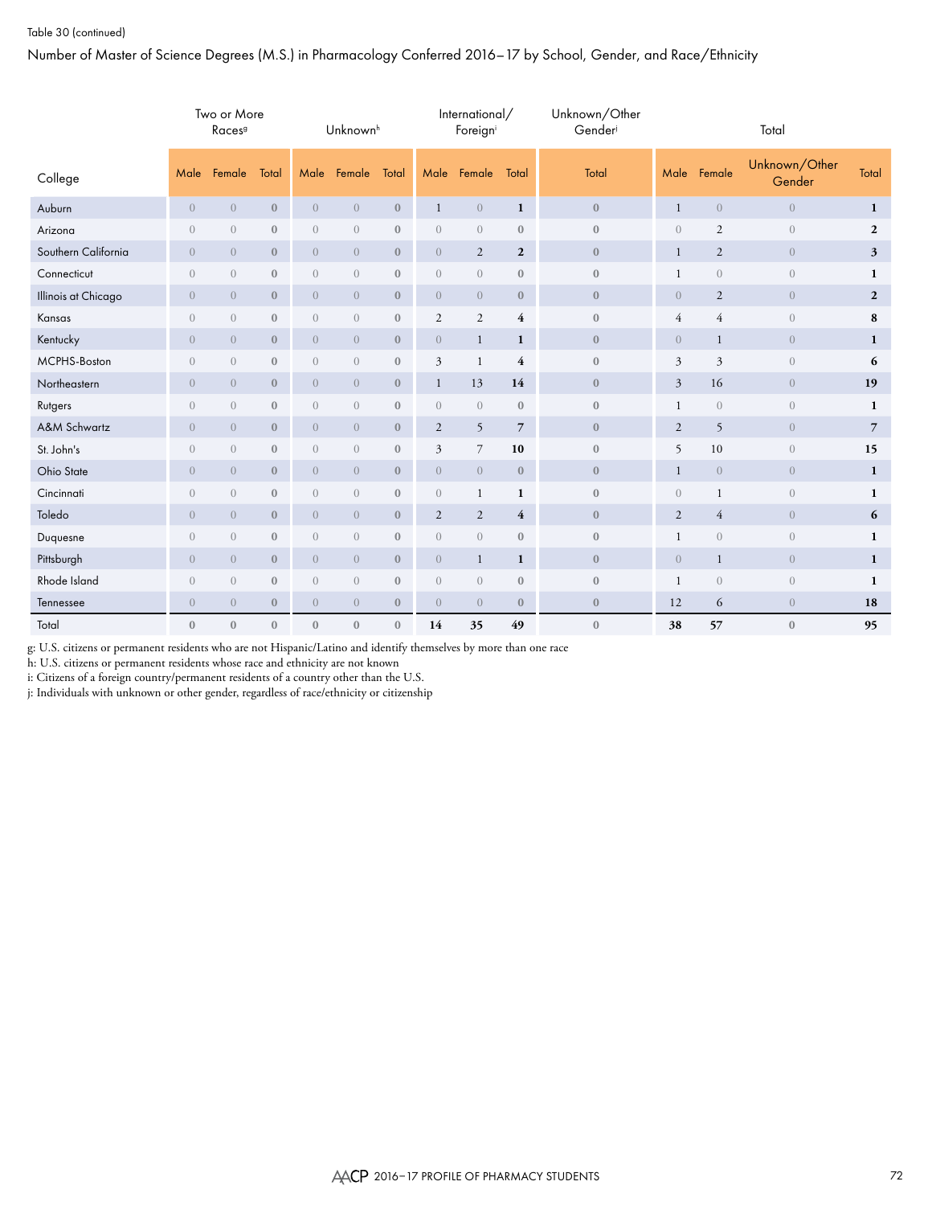#### Table 30 (continued)

Number of Master of Science Degrees (M.S.) in Pharmacology Conferred 2016–17 by School, Gender, and Race/Ethnicity

|                     |                | Two or More<br>Races <sup>9</sup> |              |                | Unknown <sup>h</sup> |                  |                  | International/<br>Foreign |                  | Unknown/Other<br>Gender |                |                  | Total                   |                  |
|---------------------|----------------|-----------------------------------|--------------|----------------|----------------------|------------------|------------------|---------------------------|------------------|-------------------------|----------------|------------------|-------------------------|------------------|
| College             | Male           | Female                            | Total        | Male           | Female               | Total            | Male             | Female                    | Total            | Total                   | Male           | Female           | Unknown/Other<br>Gender | Total            |
| Auburn              | $\mathbf{0}$   | $\boldsymbol{0}$                  | $\bf 0$      | $\overline{0}$ | $\boldsymbol{0}$     | $\boldsymbol{0}$ | $\mathbf{1}$     | $\,0\,$                   | $\mathbf{1}$     | $\boldsymbol{0}$        | $\mathbf{1}$   | $\boldsymbol{0}$ | $\boldsymbol{0}$        | $\mathbf{1}$     |
| Arizona             | $\overline{0}$ | $\overline{0}$                    | $\mathbf{0}$ | $\overline{0}$ | $\boldsymbol{0}$     | $\mathbf{0}$     | $\overline{0}$   | $\mathbf{0}$              | $\mathbf{0}$     | $\mathbf{0}$            | $\sqrt{a}$     | $\overline{c}$   | $\overline{0}$          | $\mathbf{2}$     |
| Southern California | $\overline{0}$ | $\overline{0}$                    | $\mathbf{0}$ | $\overline{0}$ | $\overline{0}$       | $\boldsymbol{0}$ | $\sqrt{0}$       | $\overline{2}$            | $\boldsymbol{2}$ | $\mathbf{0}$            | $\mathbf{1}$   | $\overline{2}$   | $\overline{0}$          | 3                |
| Connecticut         | $\overline{0}$ | $\boldsymbol{0}$                  | $\bf 0$      | $\sqrt{a}$     | $\sqrt{a}$           | $\boldsymbol{0}$ | $\boldsymbol{0}$ | $\sqrt{a}$                | $\boldsymbol{0}$ | $\mathbf{0}$            | 1              | $\sqrt{a}$       | $\sqrt{a}$              | 1                |
| Illinois at Chicago | $\overline{0}$ | $\overline{0}$                    | $\mathbf{0}$ | $\overline{0}$ | $\boldsymbol{0}$     | $\boldsymbol{0}$ | $\boldsymbol{0}$ | $\overline{0}$            | $\mathbf{0}$     | $\mathbf{0}$            | $\sqrt{0}$     | $\overline{2}$   | $\overline{0}$          | $\boldsymbol{2}$ |
| Kansas              | $\overline{0}$ | $\sqrt{a}$                        | $\mathbf{0}$ | $\sqrt{a}$     | $\boldsymbol{0}$     | $\boldsymbol{0}$ | $\mathfrak{2}$   | $\mathfrak{2}$            | 4                | $\mathbf{0}$            | $\overline{4}$ | $\overline{4}$   | $\overline{0}$          | 8                |
| Kentucky            | $\overline{0}$ | $\overline{0}$                    | $\bf{0}$     | $\overline{0}$ | $\mathbf{0}$         | $\mathbf{0}$     | $\boldsymbol{0}$ | $\mathbf{1}$              | 1                | $\mathbf{0}$            | $\sqrt{0}$     | $\mathbf{1}$     | $\overline{0}$          | 1                |
| MCPHS-Boston        | $\overline{0}$ | $\boldsymbol{0}$                  | $\bf 0$      | $\sqrt{a}$     | $\sqrt{a}$           | $\boldsymbol{0}$ | 3                | $\mathbf{1}$              | $\overline{4}$   | $\mathbf{0}$            | $\mathfrak{Z}$ | 3                | $\sqrt{a}$              | 6                |
| Northeastern        | $\overline{0}$ | $\overline{0}$                    | $\mathbf{0}$ | $\overline{0}$ | $\mathbf{0}$         | $\mathbf{0}$     | $\mathbf{1}$     | 13                        | 14               | $\mathbf{0}$            | $\mathfrak z$  | 16               | $\overline{0}$          | 19               |
| Rutgers             | $\overline{0}$ | $\boldsymbol{0}$                  | $\bf 0$      | $\sqrt{a}$     | $\sqrt{a}$           | $\boldsymbol{0}$ | $\boldsymbol{0}$ | $\sqrt{a}$                | $\boldsymbol{0}$ | $\mathbf{0}$            | $\mathbf{1}$   | $\sqrt{a}$       | $\sqrt{a}$              | 1                |
| A&M Schwartz        | $\overline{0}$ | $\sqrt{0}$                        | $\mathbf{0}$ | $\overline{0}$ | $\overline{0}$       | $\mathbf{0}$     | $\mathfrak{2}$   | 5                         | $\overline{7}$   | $\mathbf{0}$            | $\overline{2}$ | 5                | $\overline{0}$          | $\overline{7}$   |
| St. John's          | $\overline{0}$ | $\boldsymbol{0}$                  | $\bf 0$      | $\sqrt{a}$     | $\sqrt{a}$           | $\boldsymbol{0}$ | 3                | $\overline{7}$            | 10               | $\boldsymbol{0}$        | 5              | 10               | $\sqrt{a}$              | 15               |
| Ohio State          | $\overline{0}$ | $\sqrt{0}$                        | $\mathbf{0}$ | $\overline{0}$ | $\sqrt{a}$           | $\mathbf{0}$     | $\boldsymbol{0}$ | $\overline{0}$            | $\mathbf{0}$     | $\mathbf{0}$            | $\mathbf{1}$   | $\overline{0}$   | $\overline{0}$          | 1                |
| Cincinnati          | $\overline{0}$ | $\overline{0}$                    | $\mathbf{0}$ | $\overline{0}$ | $\sqrt{a}$           | $\mathbf{0}$     | $\overline{0}$   | 1                         | 1                | $\mathbf{0}$            | $\overline{0}$ | $\mathbf{1}$     | $\sqrt{a}$              | 1                |
| Toledo              | $\overline{0}$ | $\overline{0}$                    | $\mathbf{0}$ | $\overline{0}$ | $\overline{0}$       | $\mathbf{0}$     | $\overline{2}$   | $\overline{2}$            | $\overline{4}$   | $\mathbf{0}$            | 2              | $\overline{4}$   | $\overline{0}$          | 6                |
| Duquesne            | $\overline{0}$ | $\sqrt{a}$                        | $\mathbf{0}$ | $\sqrt{a}$     | $\sqrt{a}$           | $\mathbf{0}$     | $\sqrt{a}$       | $\sqrt{a}$                | $\boldsymbol{0}$ | $\mathbf{0}$            | 1              | $\sqrt{a}$       | $\overline{0}$          | 1                |
| Pittsburgh          | $\overline{0}$ | $\overline{0}$                    | $\mathbf{0}$ | $\overline{0}$ | $\boldsymbol{0}$     | $\mathbf{0}$     | $\boldsymbol{0}$ | $\mathbf{1}$              | 1                | $\mathbf{0}$            | $\sqrt{0}$     | $\mathbf{1}$     | $\overline{0}$          | 1                |
| Rhode Island        | $\overline{0}$ | $\overline{0}$                    | $\mathbf{0}$ | $\sqrt{a}$     | $\sqrt{a}$           | $\mathbf{0}$     | $\overline{0}$   | $\sqrt{a}$                | $\mathbf{0}$     | $\mathbf{0}$            | $\mathbf{1}$   | $\sqrt{a}$       | $\sqrt{a}$              | 1                |
| Tennessee           | $\overline{0}$ | $\overline{0}$                    | $\mathbf{0}$ | $\overline{0}$ | $\mathbf{0}$         | $\mathbf{0}$     | $\overline{0}$   | $\overline{0}$            | $\mathbf{0}$     | $\mathbf{0}$            | 12             | 6                | $\overline{0}$          | 18               |
| Total               | $\mathbf{0}$   | $\mathbf{0}$                      | $\mathbf{0}$ | $\mathbf{0}$   | $\mathbf{0}$         | $\mathbf{0}$     | 14               | 35                        | 49               | $\mathbf{0}$            | 38             | 57               | $\mathbf{0}$            | 95               |

g: U.S. citizens or permanent residents who are not Hispanic/Latino and identify themselves by more than one race

h: U.S. citizens or permanent residents whose race and ethnicity are not known

i: Citizens of a foreign country/permanent residents of a country other than the U.S.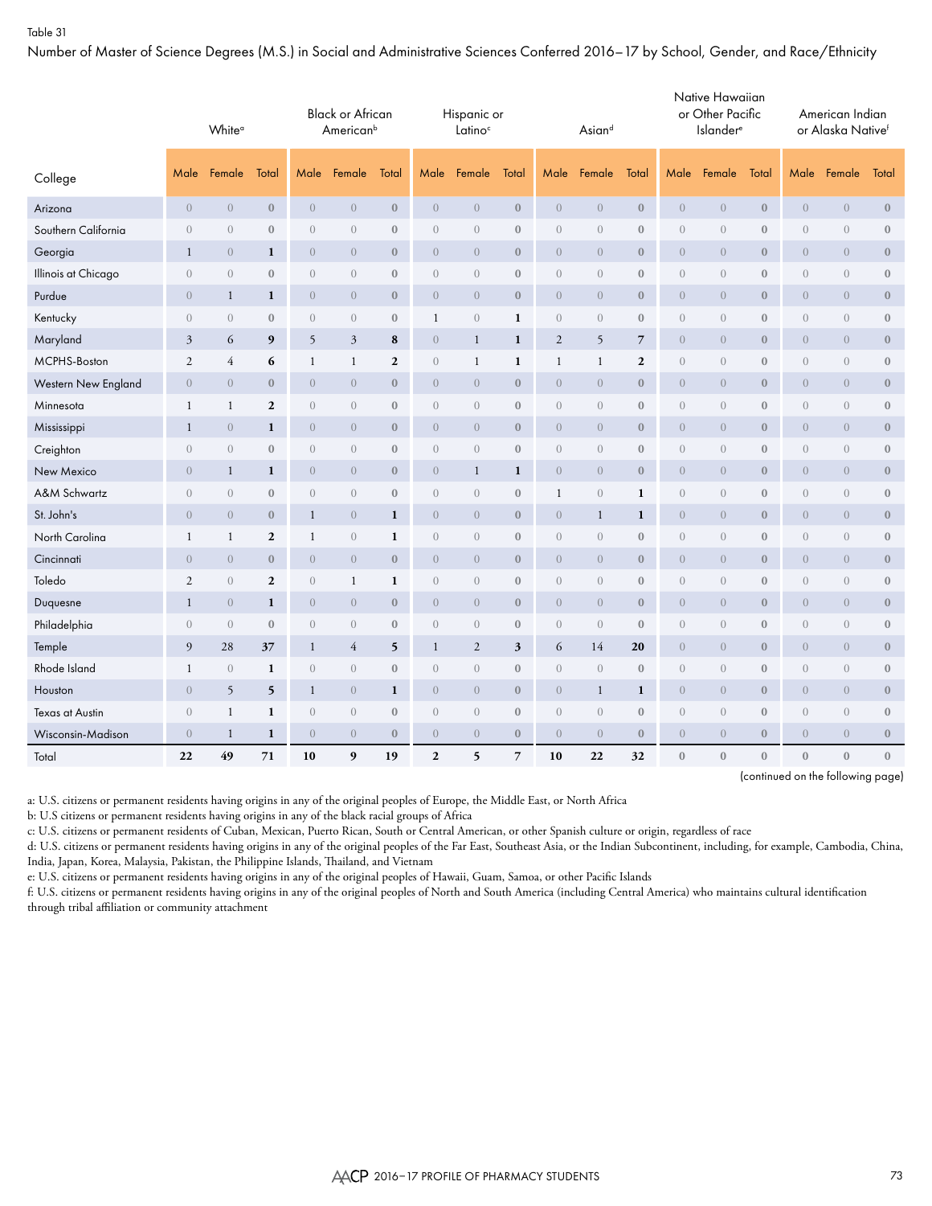Number of Master of Science Degrees (M.S.) in Social and Administrative Sciences Conferred 2016–17 by School, Gender, and Race/Ethnicity

|                        |                                 | White <sup>a</sup><br>Total<br>Female |                  |                  | <b>Black or African</b><br>American <sup>b</sup> |                  |                  | Hispanic or<br>Latino <sup>c</sup> |                  |                | Asiand           |                  |                  | Native Hawaiian<br>or Other Pacific<br><b>Islander</b> <sup>e</sup> |                  |                                 | American Indian<br>or Alaska Nativef |                  |
|------------------------|---------------------------------|---------------------------------------|------------------|------------------|--------------------------------------------------|------------------|------------------|------------------------------------|------------------|----------------|------------------|------------------|------------------|---------------------------------------------------------------------|------------------|---------------------------------|--------------------------------------|------------------|
| College                | Male                            |                                       |                  | Male             | Female                                           | Total            | Male             | Female                             | Total            | Male           | Female           | Total            | Male             | Female                                                              | Total            | Male                            | Female                               | Total            |
| Arizona                | $\overline{0}$                  | $\overline{0}$                        | $\mathbf{0}$     | $\overline{0}$   | $\boldsymbol{0}$                                 | $\boldsymbol{0}$ | $\overline{0}$   | $\theta$                           | $\boldsymbol{0}$ | $\overline{0}$ | $\overline{0}$   | $\bf 0$          | $\overline{0}$   | $\overline{0}$                                                      | $\mathbf{0}$     | $\boldsymbol{0}$                | $\theta$                             | $\bf 0$          |
| Southern California    | $\overline{0}$                  | $\overline{0}$                        | $\mathbf{0}$     | $\overline{0}$   | $\begin{matrix} 0 \end{matrix}$                  | $\boldsymbol{0}$ | $\overline{0}$   | $\overline{0}$                     | $\boldsymbol{0}$ | $\overline{0}$ | $\overline{0}$   | $\mathbf{0}$     | $\boldsymbol{0}$ | $\overline{0}$                                                      | $\boldsymbol{0}$ | $\begin{matrix} 0 \end{matrix}$ | $\sqrt{a}$                           | $\bf 0$          |
| Georgia                | $\mathbf{1}$                    | $\overline{0}$                        | 1                | $\overline{0}$   | $\overline{0}$                                   | $\boldsymbol{0}$ | $\overline{0}$   | $\overline{0}$                     | $\mathbf{0}$     | $\overline{0}$ | $\overline{0}$   | $\mathbf{0}$     | $\overline{0}$   | $\overline{0}$                                                      | $\mathbf{0}$     | $\boldsymbol{0}$                | $\overline{0}$                       | $\mathbf{0}$     |
| Illinois at Chicago    | $\boldsymbol{0}$                | $\sqrt{a}$                            | $\boldsymbol{0}$ | $\boldsymbol{0}$ | $\boldsymbol{0}$                                 | $\boldsymbol{0}$ | $\overline{0}$   | $\boldsymbol{0}$                   | $\boldsymbol{0}$ | $\sqrt{a}$     | $\sqrt{a}$       | $\boldsymbol{0}$ | $\boldsymbol{0}$ | $\boldsymbol{0}$                                                    | $\boldsymbol{0}$ | $\sqrt{a}$                      | $\boldsymbol{0}$                     | $\boldsymbol{0}$ |
| Purdue                 | $\overline{0}$                  | 1                                     | 1                | $\overline{0}$   | $\overline{0}$                                   | $\mathbf{0}$     | $\overline{0}$   | $\overline{0}$                     | $\mathbf{0}$     | $\overline{0}$ | $\overline{0}$   | $\mathbf{0}$     | $\overline{0}$   | $\overline{0}$                                                      | $\mathbf{0}$     | $\overline{0}$                  | $\overline{0}$                       | $\boldsymbol{0}$ |
| Kentucky               | $\boldsymbol{0}$                | $\sqrt{a}$                            | $\mathbf{0}$     | $\sqrt{a}$       | $\begin{matrix} 0 \end{matrix}$                  | $\boldsymbol{0}$ | 1                | $\sqrt{a}$                         | $\mathbf{1}$     | $\sqrt{a}$     | $\boldsymbol{0}$ | $\mathbf{0}$     | $\boldsymbol{0}$ | $\boldsymbol{0}$                                                    | $\boldsymbol{0}$ | $\sqrt{a}$                      | $\sqrt{a}$                           | $\boldsymbol{0}$ |
| Maryland               | $\overline{3}$                  | 6                                     | 9                | 5                | 3                                                | 8                | $\overline{0}$   | $\mathbf{1}$                       | $\mathbf{1}$     | $\overline{2}$ | 5                | $\overline{7}$   | $\overline{0}$   | $\overline{0}$                                                      | $\mathbf{0}$     | $\boldsymbol{0}$                | $\overline{0}$                       | $\mathbf{0}$     |
| MCPHS-Boston           | $\overline{2}$                  | $\overline{4}$                        | 6                | $\mathbf{1}$     | $\mathbf{1}$                                     | $\mathbf{2}$     | $\overline{0}$   | $\mathbf{1}$                       | $\mathbf{1}$     | $\mathbf{1}$   | $\mathbf{1}$     | $\mathbf{2}$     | $\boldsymbol{0}$ | $\boldsymbol{0}$                                                    | $\boldsymbol{0}$ | $\sqrt{a}$                      | $\sqrt{a}$                           | $\boldsymbol{0}$ |
| Western New England    | $\overline{0}$                  | $\overline{0}$                        | $\bf{0}$         | $\overline{0}$   | $\overline{0}$                                   | $\mathbf{0}$     | $\overline{0}$   | $\overline{0}$                     | $\mathbf{0}$     | $\overline{0}$ | $\overline{0}$   | $\mathbf{0}$     | $\overline{0}$   | $\overline{0}$                                                      | $\mathbf{0}$     | $\boldsymbol{0}$                | $\overline{0}$                       | $\mathbf{0}$     |
| Minnesota              | 1                               | 1                                     | $\overline{2}$   | $\theta$         | $\begin{matrix} 0 \end{matrix}$                  | $\boldsymbol{0}$ | $\overline{0}$   | $\overline{0}$                     | $\boldsymbol{0}$ | $\theta$       | $\overline{0}$   | $\mathbf{0}$     | $\boldsymbol{0}$ | $\theta$                                                            | $\mathbf{0}$     | $\theta$                        | $\sqrt{a}$                           | $\boldsymbol{0}$ |
| Mississippi            | $\mathbf{1}$                    | $\overline{0}$                        | $\mathbf{1}$     | $\overline{0}$   | $\boldsymbol{0}$                                 | $\mathbf{0}$     | $\overline{0}$   | $\overline{0}$                     | $\bf{0}$         | $\overline{0}$ | $\overline{0}$   | $\mathbf{0}$     | $\boldsymbol{0}$ | $\overline{0}$                                                      | $\mathbf{0}$     | $\boldsymbol{0}$                | $\overline{0}$                       | $\bf 0$          |
| Creighton              | $\begin{matrix} 0 \end{matrix}$ | $\boldsymbol{0}$                      | $\bf{0}$         | $\boldsymbol{0}$ | $\begin{matrix} 0 \end{matrix}$                  | $\boldsymbol{0}$ | $\overline{0}$   | $\boldsymbol{0}$                   | $\boldsymbol{0}$ | $\sqrt{a}$     | $\overline{0}$   | $\bf 0$          | $\boldsymbol{0}$ | $\boldsymbol{0}$                                                    | $\boldsymbol{0}$ | $\boldsymbol{0}$                | $\boldsymbol{0}$                     | $\bf 0$          |
| New Mexico             | $\overline{0}$                  | $\mathbf{1}$                          | 1                | $\overline{0}$   | $\overline{0}$                                   | $\mathbf{0}$     | $\overline{0}$   | $\mathbf{1}$                       | $\mathbf{1}$     | $\overline{0}$ | $\overline{0}$   | $\mathbf{0}$     | $\overline{0}$   | $\overline{0}$                                                      | $\mathbf{0}$     | $\overline{0}$                  | $\overline{0}$                       | $\mathbf{0}$     |
| A&M Schwartz           | $\sqrt{a}$                      | $\overline{0}$                        | $\bf 0$          | $\sqrt{a}$       | $\sqrt{a}$                                       | $\boldsymbol{0}$ | $\overline{0}$   | $\sqrt{a}$                         | $\boldsymbol{0}$ | $\mathbf{1}$   | $\overline{0}$   | $\mathbf{1}$     | $\boldsymbol{0}$ | $\boldsymbol{0}$                                                    | $\boldsymbol{0}$ | $\sqrt{a}$                      | $\boldsymbol{0}$                     | $\boldsymbol{0}$ |
| St. John's             | $\overline{0}$                  | $\overline{0}$                        | $\mathbf{0}$     | $\mathbf{1}$     | $\boldsymbol{0}$                                 | $\mathbf{1}$     | $\overline{0}$   | $\overline{0}$                     | $\boldsymbol{0}$ | $\overline{0}$ | $\mathbf{1}$     | $\mathbf{1}$     | $\boldsymbol{0}$ | $\sqrt{a}$                                                          | $\boldsymbol{0}$ | $\theta$                        | $\overline{0}$                       | $\boldsymbol{0}$ |
| North Carolina         | $\mathbf{1}$                    | $\mathbf{1}$                          | $\overline{2}$   | $\mathbf{1}$     | $\sqrt{a}$                                       | $\mathbf{1}$     | $\overline{0}$   | $\theta$                           | $\boldsymbol{0}$ | $\theta$       | $\overline{0}$   | $\mathbf{0}$     | $\boldsymbol{0}$ | $\theta$                                                            | $\boldsymbol{0}$ | $\theta$                        | $\overline{0}$                       | $\boldsymbol{0}$ |
| Cincinnati             | $\overline{0}$                  | $\overline{0}$                        | $\mathbf{0}$     | $\overline{0}$   | $\overline{0}$                                   | $\boldsymbol{0}$ | $\overline{0}$   | $\overline{0}$                     | $\mathbf{0}$     | $\overline{0}$ | $\overline{0}$   | $\mathbf{0}$     | $\overline{0}$   | $\overline{0}$                                                      | $\mathbf{0}$     | $\boldsymbol{0}$                | $\overline{0}$                       | $\mathbf{0}$     |
| Toledo                 | $\mathfrak{2}$                  | $\boldsymbol{0}$                      | $\boldsymbol{2}$ | $\boldsymbol{0}$ | 1                                                | $\mathbf{1}$     | $\boldsymbol{0}$ | $\boldsymbol{0}$                   | $\boldsymbol{0}$ | $\sqrt{a}$     | $\overline{0}$   | $\bf 0$          | $\boldsymbol{0}$ | $\boldsymbol{0}$                                                    | $\boldsymbol{0}$ | $\boldsymbol{0}$                | $\boldsymbol{0}$                     | $\boldsymbol{0}$ |
| Duquesne               | $\mathbf{1}$                    | $\overline{0}$                        | $\mathbf{1}$     | $\overline{0}$   | $\overline{0}$                                   | $\boldsymbol{0}$ | $\overline{0}$   | $\boldsymbol{0}$                   | $\boldsymbol{0}$ | $\overline{0}$ | $\overline{0}$   | $\boldsymbol{0}$ | $\boldsymbol{0}$ | $\sqrt{a}$                                                          | $\mathbf{0}$     | $\boldsymbol{0}$                | $\boldsymbol{0}$                     | $\boldsymbol{0}$ |
| Philadelphia           | $\sqrt{a}$                      | $\theta$                              | $\mathbf{0}$     | $\sqrt{a}$       | $\sqrt{a}$                                       | $\boldsymbol{0}$ | $\overline{0}$   | $\sqrt{a}$                         | $\mathbf{0}$     | $\theta$       | $\overline{0}$   | $\mathbf{0}$     | $\boldsymbol{0}$ | $\boldsymbol{0}$                                                    | $\mathbf{0}$     | $\theta$                        | $\boldsymbol{0}$                     | $\boldsymbol{0}$ |
| Temple                 | 9                               | 28                                    | 37               | $\mathbf{1}$     | $\overline{4}$                                   | 5                | 1                | $\mathbf{2}$                       | 3                | 6              | 14               | 20               | $\overline{0}$   | $\sqrt{a}$                                                          | $\boldsymbol{0}$ | $\boldsymbol{0}$                | $\overline{0}$                       | $\mathbf{0}$     |
| Rhode Island           | $\mathbf{1}$                    | $\sqrt{a}$                            | $\mathbf{1}$     | $\boldsymbol{0}$ | $\boldsymbol{0}$                                 | $\boldsymbol{0}$ | $\overline{0}$   | $\boldsymbol{0}$                   | $\boldsymbol{0}$ | $\sqrt{a}$     | $\boldsymbol{0}$ | $\boldsymbol{0}$ | $\boldsymbol{0}$ | $\boldsymbol{0}$                                                    | $\boldsymbol{0}$ | $\sqrt{a}$                      | $\boldsymbol{0}$                     | $\boldsymbol{0}$ |
| Houston                | $\sqrt{a}$                      | 5                                     | 5                | $\mathbf{1}$     | $\overline{0}$                                   | $\mathbf{1}$     | $\overline{0}$   | $\overline{0}$                     | $\mathbf{0}$     | $\overline{0}$ | $\mathbf{1}$     | $\mathbf{1}$     | $\overline{0}$   | $\overline{0}$                                                      | $\mathbf{0}$     | $\boldsymbol{0}$                | $\overline{0}$                       | $\boldsymbol{0}$ |
| <b>Texas at Austin</b> | $\begin{matrix} 0 \end{matrix}$ | $\mathbf{1}$                          | 1                | $\theta$         | $\begin{matrix} 0 \end{matrix}$                  | $\boldsymbol{0}$ | $\overline{0}$   | $\overline{0}$                     | $\boldsymbol{0}$ | $\theta$       | $\overline{0}$   | $\mathbf{0}$     | $\boldsymbol{0}$ | $\theta$                                                            | $\boldsymbol{0}$ | $\theta$                        | $\theta$                             | $\bf 0$          |
| Wisconsin-Madison      | $\theta$                        | $\mathbf{1}$                          | 1                | $\,0\,$          | $\boldsymbol{0}$                                 | $\boldsymbol{0}$ | $\overline{0}$   | $\boldsymbol{0}$                   | $\boldsymbol{0}$ | $\sqrt{a}$     | $\overline{0}$   | $\bf 0$          | $\boldsymbol{0}$ | $\boldsymbol{0}$                                                    | $\mathbf{0}$     | $\boldsymbol{0}$                | $\boldsymbol{0}$                     | $\boldsymbol{0}$ |
| Total                  | 22                              | 49                                    | 71               | 10               | 9                                                | 19               | $\overline{2}$   | 5                                  | $\overline{7}$   | 10             | 22               | 32               | $\mathbf{0}$     | $\mathbf{0}$                                                        | $\mathbf{0}$     | $\mathbf{0}$                    | $\boldsymbol{0}$                     | $\boldsymbol{0}$ |

(continued on the following page)

a: U.S. citizens or permanent residents having origins in any of the original peoples of Europe, the Middle East, or North Africa

b: U.S citizens or permanent residents having origins in any of the black racial groups of Africa

c: U.S. citizens or permanent residents of Cuban, Mexican, Puerto Rican, South or Central American, or other Spanish culture or origin, regardless of race

d: U.S. citizens or permanent residents having origins in any of the original peoples of the Far East, Southeast Asia, or the Indian Subcontinent, including, for example, Cambodia, China, India, Japan, Korea, Malaysia, Pakistan, the Philippine Islands, Thailand, and Vietnam

e: U.S. citizens or permanent residents having origins in any of the original peoples of Hawaii, Guam, Samoa, or other Pacific Islands

f: U.S. citizens or permanent residents having origins in any of the original peoples of North and South America (including Central America) who maintains cultural identification through tribal affiliation or community attachment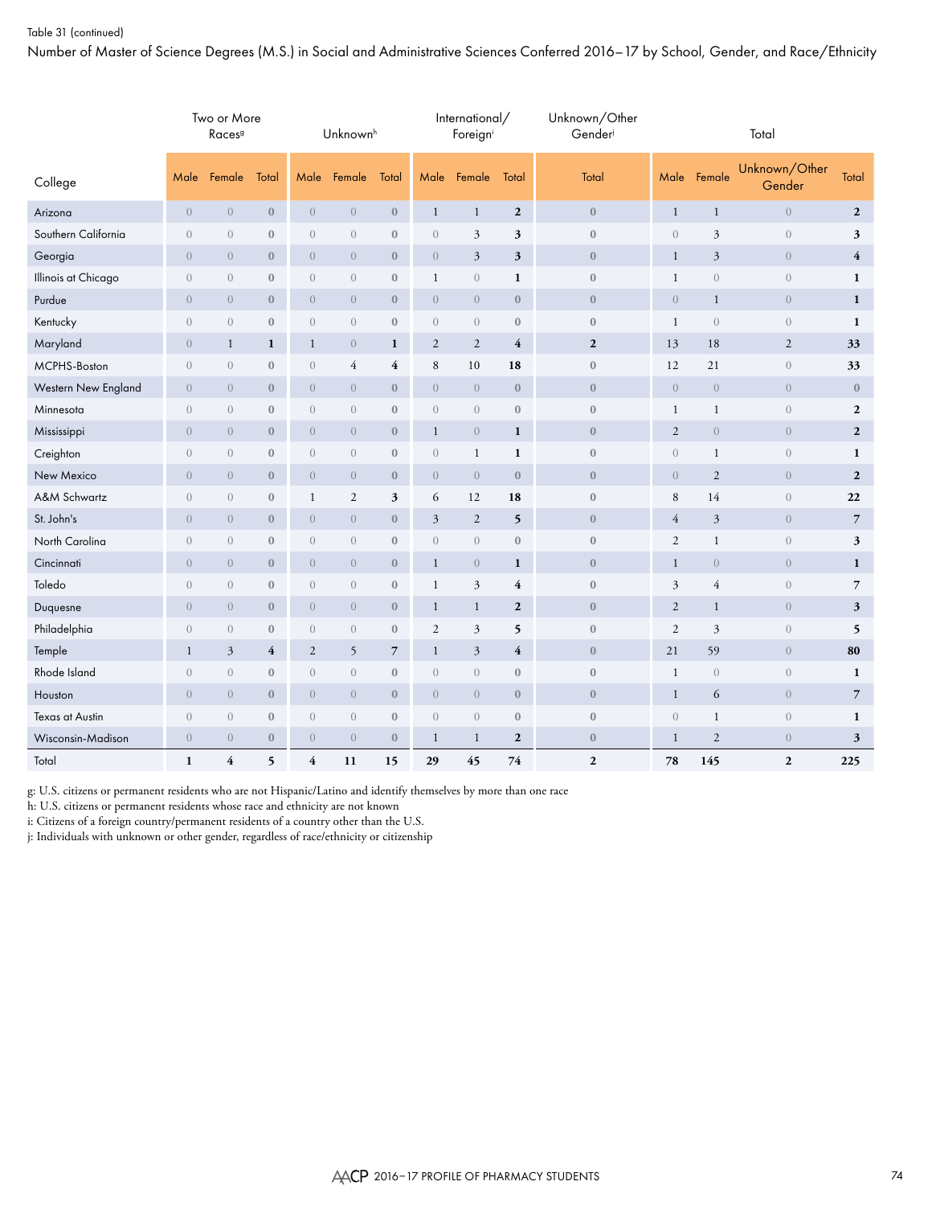## Table 31 (continued)

Number of Master of Science Degrees (M.S.) in Social and Administrative Sciences Conferred 2016–17 by School, Gender, and Race/Ethnicity

|                        |                | Two or More<br>Races <sup>9</sup> |                         |                         | Unknown <sup>h</sup> |                  |                  | International/<br>Foreigni |                         | Unknown/Other<br>Gender |                |                  | Total                   |                         |
|------------------------|----------------|-----------------------------------|-------------------------|-------------------------|----------------------|------------------|------------------|----------------------------|-------------------------|-------------------------|----------------|------------------|-------------------------|-------------------------|
| College                | Male           | Female                            | Total                   | Male                    | Female               | Total            | Male             | Female                     | Total                   | Total                   | Male           | Female           | Unknown/Other<br>Gender | <b>Total</b>            |
| Arizona                | $\overline{0}$ | $\overline{0}$                    | $\boldsymbol{0}$        | $\overline{0}$          | $\overline{0}$       | $\boldsymbol{0}$ | $\mathbf{1}$     | $\mathbf{1}$               | $\boldsymbol{2}$        | $\boldsymbol{0}$        | $\mathbf{1}$   | $\mathbf{1}$     | $\overline{0}$          | $\mathbf{2}$            |
| Southern California    | $\overline{0}$ | $\theta$                          | $\mathbf{0}$            | $\overline{0}$          | $\theta$             | $\boldsymbol{0}$ | $\boldsymbol{0}$ | 3                          | 3                       | $\boldsymbol{0}$        | $\theta$       | $\mathfrak{Z}$   | $\overline{0}$          | $\mathfrak z$           |
| Georgia                | $\theta$       | $\overline{0}$                    | $\boldsymbol{0}$        | $\overline{0}$          | $\theta$             | $\boldsymbol{0}$ | $\boldsymbol{0}$ | $\mathfrak{Z}$             | $\mathbf{3}$            | $\boldsymbol{0}$        | $\mathbf{1}$   | $\mathfrak{Z}$   | $\overline{0}$          | $\overline{\mathbf{4}}$ |
| Illinois at Chicago    | $\theta$       | $\theta$                          | $\boldsymbol{0}$        | $\overline{0}$          | $\theta$             | $\boldsymbol{0}$ | $\mathbf{1}$     | $\boldsymbol{0}$           | $\mathbf{1}$            | $\boldsymbol{0}$        | $\mathbf{1}$   | $\boldsymbol{0}$ | $\boldsymbol{0}$        | $\mathbf{1}$            |
| Purdue                 | $\overline{0}$ | $\overline{0}$                    | $\boldsymbol{0}$        | $\overline{0}$          | $\overline{0}$       | $\boldsymbol{0}$ | $\overline{0}$   | $\overline{0}$             | $\mathbf{0}$            | $\mathbf{0}$            | $\overline{0}$ | $\mathbf{1}$     | $\overline{0}$          | $\mathbf{1}$            |
| Kentucky               | $\overline{0}$ | $\overline{0}$                    | $\mathbf{0}$            | $\overline{0}$          | $\theta$             | $\boldsymbol{0}$ | $\sqrt{a}$       | $\overline{0}$             | $\boldsymbol{0}$        | $\boldsymbol{0}$        | $\mathbf{1}$   | $\sqrt{a}$       | $\overline{0}$          | $\mathbf{1}$            |
| Maryland               | $\overline{0}$ | $\mathbf{1}$                      | $\mathbf{1}$            | $\mathbf{1}$            | $\overline{0}$       | $\mathbf{1}$     | $\mathbf{2}$     | $\overline{2}$             | $\overline{\mathbf{4}}$ | $\overline{2}$          | 13             | 18               | $\sqrt{2}$              | 33                      |
| MCPHS-Boston           | $\sqrt{a}$     | $\sqrt{a}$                        | $\boldsymbol{0}$        | $\boldsymbol{0}$        | 4                    | 4                | 8                | 10                         | 18                      | $\boldsymbol{0}$        | 12             | 21               | $\boldsymbol{0}$        | 33                      |
| Western New England    | $\overline{0}$ | $\overline{0}$                    | $\mathbf{0}$            | $\overline{0}$          | $\overline{0}$       | $\mathbf{0}$     | $\overline{0}$   | $\overline{0}$             | $\mathbf{0}$            | $\boldsymbol{0}$        | $\overline{0}$ | $\overline{0}$   | $\overline{0}$          | $\mathbf{0}$            |
| Minnesota              | $\sqrt{a}$     | $\overline{0}$                    | $\boldsymbol{0}$        | $\overline{0}$          | $\sqrt{a}$           | $\boldsymbol{0}$ | $\boldsymbol{0}$ | $\sqrt{a}$                 | $\boldsymbol{0}$        | $\boldsymbol{0}$        | $\mathbf{1}$   | $\mathbf{1}$     | $\boldsymbol{0}$        | $\boldsymbol{2}$        |
| Mississippi            | $\overline{0}$ | $\overline{0}$                    | $\boldsymbol{0}$        | $\overline{0}$          | $\overline{0}$       | $\boldsymbol{0}$ | $\mathbf{1}$     | $\overline{0}$             | $\mathbf{1}$            | $\boldsymbol{0}$        | 2              | $\overline{0}$   | $\overline{0}$          | $\mathbf{2}$            |
| Creighton              | $\sqrt{a}$     | $\boldsymbol{0}$                  | $\boldsymbol{0}$        | $\boldsymbol{0}$        | $\sqrt{a}$           | $\boldsymbol{0}$ | $\boldsymbol{0}$ | $\mathbf{1}$               | $\mathbf{1}$            | $\boldsymbol{0}$        | $\sqrt{a}$     | $\mathbf{1}$     | $\boldsymbol{0}$        | $\mathbf{1}$            |
| New Mexico             | $\overline{0}$ | $\overline{0}$                    | $\boldsymbol{0}$        | $\overline{0}$          | $\theta$             | $\boldsymbol{0}$ | $\theta$         | $\boldsymbol{0}$           | $\mathbf{0}$            | $\boldsymbol{0}$        | $\overline{0}$ | $\sqrt{2}$       | $\overline{0}$          | $\mathbf{2}$            |
| A&M Schwartz           | $\overline{0}$ | $\overline{0}$                    | $\boldsymbol{0}$        | 1                       | $\overline{2}$       | 3                | 6                | 12                         | 18                      | $\boldsymbol{0}$        | 8              | 14               | $\boldsymbol{0}$        | 22                      |
| St. John's             | $\overline{0}$ | $\overline{0}$                    | $\bf{0}$                | $\overline{0}$          | $\overline{0}$       | $\mathbf{0}$     | $\mathfrak{Z}$   | 2                          | 5                       | $\mathbf{0}$            | $\overline{4}$ | 3                | $\overline{0}$          | $\overline{7}$          |
| North Carolina         | $\overline{0}$ | $\overline{0}$                    | $\boldsymbol{0}$        | $\overline{0}$          | $\overline{0}$       | $\boldsymbol{0}$ | $\boldsymbol{0}$ | $\sqrt{a}$                 | $\boldsymbol{0}$        | $\boldsymbol{0}$        | $\mathfrak{2}$ | $\mathbf{1}$     | $\boldsymbol{0}$        | $\sqrt{3}$              |
| Cincinnati             | $\overline{0}$ | $\overline{0}$                    | $\boldsymbol{0}$        | $\overline{0}$          | $\overline{0}$       | $\boldsymbol{0}$ | $\mathbf{1}$     | $\overline{0}$             | $\mathbf{1}$            | $\mathbf{0}$            | $\mathbf{1}$   | $\sqrt{a}$       | $\overline{0}$          | $\mathbf{1}$            |
| Toledo                 | $\overline{0}$ | $\overline{0}$                    | $\boldsymbol{0}$        | $\overline{0}$          | $\overline{0}$       | $\mathbf{0}$     | 1                | $\overline{3}$             | 4                       | $\boldsymbol{0}$        | 3              | $\overline{4}$   | $\sqrt{a}$              | $\overline{7}$          |
| Duquesne               | $\overline{0}$ | $\overline{0}$                    | $\mathbf{0}$            | $\overline{0}$          | $\overline{0}$       | $\mathbf{0}$     | $\mathbf{1}$     | $\mathbf{1}$               | $\mathbf{2}$            | $\mathbf{0}$            | 2              | $\mathbf{1}$     | $\overline{0}$          | 3                       |
| Philadelphia           | $\overline{0}$ | $\overline{0}$                    | $\boldsymbol{0}$        | $\overline{0}$          | $\overline{0}$       | $\boldsymbol{0}$ | $\mathfrak{2}$   | 3                          | 5                       | $\boldsymbol{0}$        | $\overline{2}$ | $\mathfrak{Z}$   | $\boldsymbol{0}$        | 5                       |
| Temple                 | $\mathbf{1}$   | $\mathfrak{Z}$                    | $\overline{\mathbf{4}}$ | $\mathbf{2}$            | $\mathfrak{h}$       | $\overline{7}$   | $\mathbf{1}$     | $\mathfrak{Z}$             | $\overline{\mathbf{4}}$ | $\boldsymbol{0}$        | 21             | 59               | $\overline{0}$          | 80                      |
| Rhode Island           | $\theta$       | $\theta$                          | $\boldsymbol{0}$        | $\boldsymbol{0}$        | $\theta$             | $\boldsymbol{0}$ | $\boldsymbol{0}$ | $\boldsymbol{0}$           | $\boldsymbol{0}$        | $\boldsymbol{0}$        | $\mathbf{1}$   | $\boldsymbol{0}$ | $\boldsymbol{0}$        | $\mathbf{1}$            |
| Houston                | $\overline{0}$ | $\overline{0}$                    | $\mathbf{0}$            | $\overline{0}$          | $\theta$             | $\boldsymbol{0}$ | $\overline{0}$   | $\theta$                   | $\boldsymbol{0}$        | $\mathbf{0}$            | $\mathbf{1}$   | 6                | $\overline{0}$          | $\overline{7}$          |
| <b>Texas at Austin</b> | $\overline{0}$ | $\theta$                          | $\boldsymbol{0}$        | $\overline{0}$          | $\theta$             | $\boldsymbol{0}$ | $\boldsymbol{0}$ | $\theta$                   | $\boldsymbol{0}$        | $\boldsymbol{0}$        | $\theta$       | $\mathbf{1}$     | $\boldsymbol{0}$        | $\mathbf{1}$            |
| Wisconsin-Madison      | $\theta$       | $\overline{0}$                    | $\boldsymbol{0}$        | $\overline{0}$          | $\overline{0}$       | $\boldsymbol{0}$ | $\mathbf{1}$     | $\mathbf{1}$               | $\boldsymbol{2}$        | $\boldsymbol{0}$        | $\mathbf{1}$   | $\mathbf{2}$     | $\overline{0}$          | $\mathfrak{z}$          |
| Total                  | $\mathbf{1}$   | $\overline{\mathbf{4}}$           | 5                       | $\overline{\mathbf{4}}$ | 11                   | 15               | 29               | 45                         | 74                      | $\overline{2}$          | 78             | 145              | $\overline{2}$          | 225                     |

g: U.S. citizens or permanent residents who are not Hispanic/Latino and identify themselves by more than one race

h: U.S. citizens or permanent residents whose race and ethnicity are not known

i: Citizens of a foreign country/permanent residents of a country other than the U.S.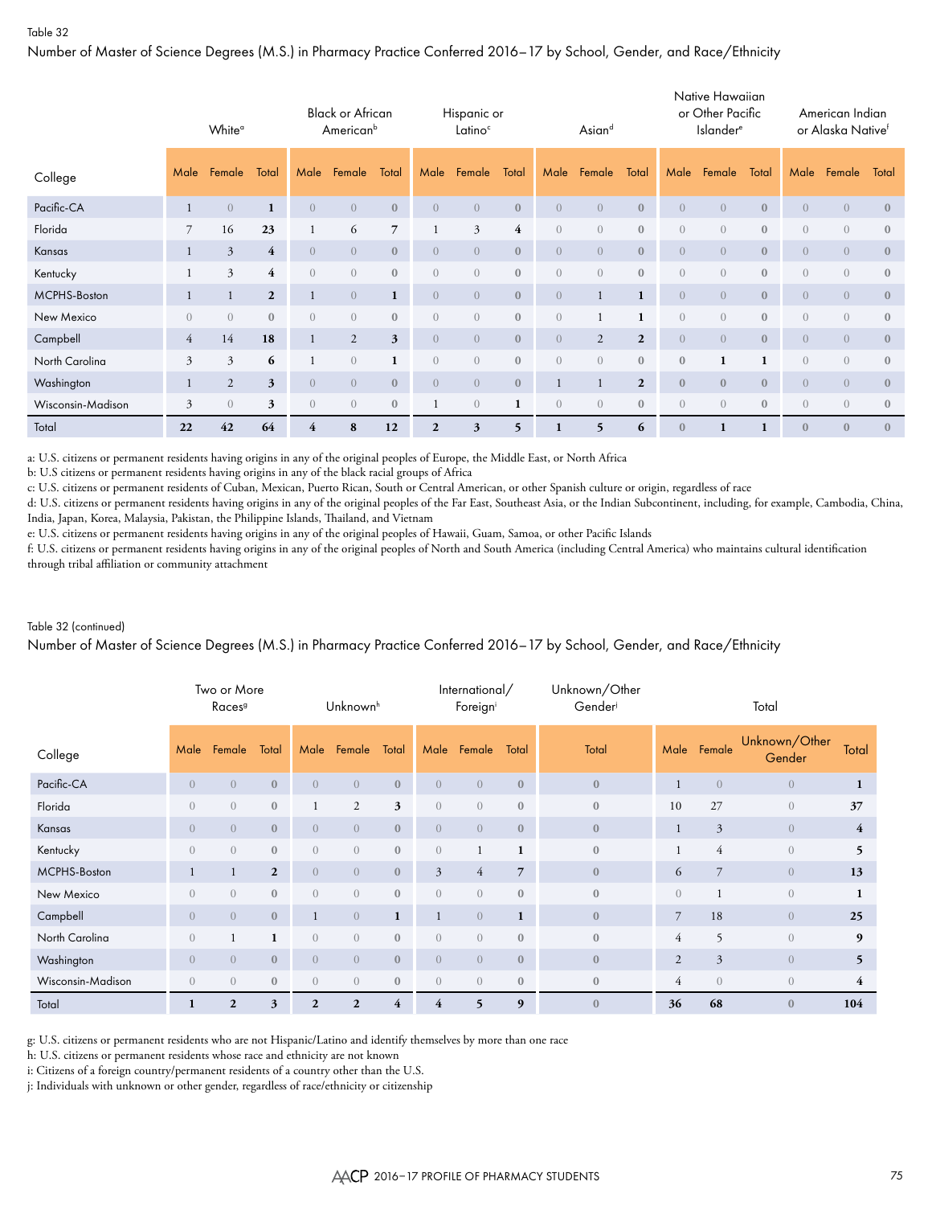Number of Master of Science Degrees (M.S.) in Pharmacy Practice Conferred 2016–17 by School, Gender, and Race/Ethnicity

|                   |                | White <sup>o</sup> |                |                | <b>Black or African</b><br>American <sup>b</sup> |                |                | Hispanic or<br>Latino <sup>c</sup> |              |                  | Asiand         |                |                | Native Hawaiian<br>or Other Pacific<br><b>Islander</b> <sup>e</sup> |              |                | American Indian<br>or Alaska Nativef |                  |
|-------------------|----------------|--------------------|----------------|----------------|--------------------------------------------------|----------------|----------------|------------------------------------|--------------|------------------|----------------|----------------|----------------|---------------------------------------------------------------------|--------------|----------------|--------------------------------------|------------------|
| College           | Male           | Female             | Total          | Male           | Female                                           | Total          | Male           | Female                             | Total        | Male             | Female         | Total          | Male           | Female                                                              | Total        | Male           | Female                               | Total            |
| Pacific-CA        | $\mathbf{1}$   | $\overline{0}$     | 1              | $\overline{0}$ | $\overline{0}$                                   | $\mathbf{0}$   | $\overline{0}$ | $\overline{0}$                     | $\mathbf{0}$ | $\overline{0}$   | $\overline{0}$ | $\mathbf{0}$   | $\overline{0}$ | $\overline{0}$                                                      | $\mathbf{0}$ | $\overline{0}$ | $\overline{0}$                       | $\mathbf{0}$     |
| Florida           | 7              | 16                 | 23             | $\mathbf{1}$   | 6                                                | $\overline{7}$ |                | $\mathfrak{Z}$                     | 4            | $\overline{0}$   | $\overline{0}$ | $\bf 0$        | $\overline{0}$ | $\overline{0}$                                                      | $\mathbf{0}$ | $\overline{0}$ | $\overline{0}$                       | $\mathbf{0}$     |
| Kansas            |                | $\mathfrak{Z}$     | $\overline{4}$ | $\overline{0}$ | $\overline{0}$                                   | $\mathbf{0}$   | $\overline{0}$ | $\overline{0}$                     | $\mathbf{0}$ | $\overline{0}$   | $\overline{0}$ | $\mathbf{0}$   | $\overline{0}$ | $\overline{0}$                                                      | $\mathbf{0}$ | $\overline{0}$ | $\overline{0}$                       | $\mathbf{0}$     |
| Kentucky          |                | 3                  | $\overline{4}$ | $\overline{0}$ | $\overline{0}$                                   | $\mathbf{0}$   | $\overline{0}$ | $\overline{0}$                     | $\mathbf{0}$ | $\left( \right)$ | $\overline{0}$ | $\bf 0$        | $\overline{0}$ | $\overline{0}$                                                      | $\mathbf{0}$ | $\overline{0}$ | $\overline{0}$                       | $\mathbf{0}$     |
| MCPHS-Boston      |                |                    | $\overline{2}$ | 1              | $\overline{0}$                                   | $\mathbf{1}$   | $\overline{0}$ | $\overline{0}$                     | $\mathbf{0}$ | $\overline{0}$   | $\mathbf{1}$   | $\mathbf{1}$   | $\overline{0}$ | $\overline{0}$                                                      | $\mathbf{0}$ | $\overline{0}$ | $\overline{0}$                       | $\mathbf{0}$     |
| New Mexico        | $\overline{0}$ | $\overline{0}$     | $\mathbf{0}$   | $\overline{0}$ | $\overline{0}$                                   | $\mathbf{0}$   | $\overline{0}$ | $\sqrt{a}$                         | $\mathbf{0}$ | $\overline{0}$   |                | $\mathbf{1}$   | $\overline{0}$ | $\overline{0}$                                                      | $\mathbf{0}$ | $\overline{0}$ | $\overline{0}$                       | $\mathbf{0}$     |
| Campbell          | $\overline{4}$ | 14                 | 18             | $\mathbf{1}$   | 2                                                | 3              | $\overline{0}$ | $\overline{0}$                     | $\mathbf{0}$ | $\overline{0}$   | 2              | $\overline{2}$ | $\overline{0}$ | $\overline{0}$                                                      | $\mathbf{0}$ | $\overline{0}$ | $\overline{0}$                       | $\mathbf{0}$     |
| North Carolina    | 3              | 3                  | 6              |                | $\overline{0}$                                   | $\mathbf{1}$   | $\overline{0}$ | $\overline{0}$                     | $\mathbf{0}$ | $\left( \right)$ | $\Omega$       | $\mathbf{0}$   | $\mathbf{0}$   | $\mathbf{1}$                                                        |              | $\overline{0}$ | $\sqrt{a}$                           | $\mathbf{0}$     |
| Washington        |                | 2                  | $\mathbf{3}$   | $\overline{0}$ | $\overline{0}$                                   | $\mathbf{0}$   | $\overline{0}$ | $\overline{0}$                     | $\mathbf{0}$ |                  |                | $\mathbf{2}$   | $\mathbf{0}$   | $\mathbf{0}$                                                        | $\mathbf{0}$ | $\overline{0}$ | $\overline{0}$                       | $\mathbf{0}$     |
| Wisconsin-Madison | 3              | $\overline{0}$     | 3              | $\overline{0}$ | $\overline{0}$                                   | $\mathbf{0}$   | 1              | $\overline{0}$                     | 1            | $\overline{0}$   | $\overline{0}$ | $\bf 0$        | $\overline{0}$ | $\overline{0}$                                                      | $\mathbf{0}$ | $\overline{0}$ | $\overline{0}$                       | $\boldsymbol{0}$ |
| Total             | 22             | 42                 | 64             | $\overline{4}$ | 8                                                | 12             | $\overline{2}$ | 3                                  | 5            |                  | 5              | 6              | $\mathbf{0}$   |                                                                     |              | $\mathbf{0}$   | $\overline{0}$                       | $\mathbf{0}$     |

a: U.S. citizens or permanent residents having origins in any of the original peoples of Europe, the Middle East, or North Africa

b: U.S citizens or permanent residents having origins in any of the black racial groups of Africa

c: U.S. citizens or permanent residents of Cuban, Mexican, Puerto Rican, South or Central American, or other Spanish culture or origin, regardless of race

d: U.S. citizens or permanent residents having origins in any of the original peoples of the Far East, Southeast Asia, or the Indian Subcontinent, including, for example, Cambodia, China, India, Japan, Korea, Malaysia, Pakistan, the Philippine Islands, Thailand, and Vietnam

e: U.S. citizens or permanent residents having origins in any of the original peoples of Hawaii, Guam, Samoa, or other Pacific Islands

f: U.S. citizens or permanent residents having origins in any of the original peoples of North and South America (including Central America) who maintains cultural identification through tribal affiliation or community attachment

#### Table 32 (continued)

Number of Master of Science Degrees (M.S.) in Pharmacy Practice Conferred 2016–17 by School, Gender, and Race/Ethnicity

|                   |                | Two or More<br>Races <sup>9</sup> |                |                  | Unknown <sup>h</sup> |                         |                         | International/<br>Foreigni |                | Unknown/Other<br>Gender |                  |                | Total                   |                |
|-------------------|----------------|-----------------------------------|----------------|------------------|----------------------|-------------------------|-------------------------|----------------------------|----------------|-------------------------|------------------|----------------|-------------------------|----------------|
| College           | Male           | Female                            | Total          | Male             | Female               | Total                   | Male                    | Female                     | Total          | Total                   | Male             | Female         | Unknown/Other<br>Gender | Total          |
| Pacific-CA        | $\overline{0}$ | $\overline{0}$                    | $\mathbf{0}$   | $\overline{0}$   | $\overline{0}$       | $\mathbf{0}$            | $\sqrt{0}$              | $\overline{0}$             | $\mathbf{0}$   | $\mathbf{0}$            |                  | $\overline{0}$ | $\overline{0}$          | $\mathbf{1}$   |
| Florida           | $\overline{0}$ | $\overline{0}$                    | $\mathbf{0}$   |                  | 2                    | 3                       | $\overline{0}$          | $\overline{0}$             | $\mathbf{0}$   | $\mathbf{0}$            | 10               | 27             | $\overline{0}$          | 37             |
| Kansas            | $\overline{0}$ | $\overline{0}$                    | $\mathbf{0}$   | $\overline{0}$   | $\overline{0}$       | $\mathbf{0}$            | $\overline{0}$          | $\overline{0}$             | $\mathbf{0}$   | $\bf{0}$                | 1                | $\mathfrak{Z}$ | $\overline{0}$          | $\overline{4}$ |
| Kentucky          | $\overline{0}$ | $\overline{0}$                    | $\mathbf{0}$   | $\overline{0}$   | $\overline{0}$       | $\mathbf{0}$            | $\boldsymbol{0}$        | 1                          | 1              | $\boldsymbol{0}$        |                  | $\overline{4}$ | $\overline{0}$          | 5              |
| MCPHS-Boston      | 1              | $\mathbf{1}$                      | $\overline{2}$ | $\overline{0}$   | $\overline{0}$       | $\mathbf{0}$            | $\mathfrak{Z}$          | $\overline{4}$             | $\overline{7}$ | $\mathbf{0}$            | 6                | $\overline{7}$ | $\overline{0}$          | 13             |
| New Mexico        | $\overline{0}$ | $\overline{0}$                    | $\theta$       | $\left( \right)$ | $\overline{0}$       | $\mathbf{0}$            | $\overline{0}$          | $\overline{0}$             | $\mathbf{0}$   | $\mathbf{0}$            | $\left( \right)$ |                | $\overline{0}$          | 1              |
| Campbell          | $\overline{0}$ | $\overline{0}$                    | $\mathbf{0}$   |                  | $\overline{0}$       | $\mathbf{1}$            | $\mathbf{1}$            | $\overline{0}$             | $\mathbf{1}$   | $\mathbf{0}$            | $\overline{7}$   | 18             | $\overline{0}$          | 25             |
| North Carolina    | $\overline{0}$ |                                   | $\mathbf{1}$   | $\overline{0}$   | $\overline{0}$       | $\mathbf{0}$            | $\overline{0}$          | $\overline{0}$             | $\mathbf{0}$   | $\bf{0}$                | $\overline{4}$   | 5              | $\overline{0}$          | 9              |
| Washington        | $\overline{0}$ | $\overline{0}$                    | $\mathbf{0}$   | $\overline{0}$   | $\overline{0}$       | $\mathbf{0}$            | $\overline{0}$          | $\overline{0}$             | $\mathbf{0}$   | $\mathbf{0}$            | 2                | $\overline{3}$ | $\overline{0}$          | 5              |
| Wisconsin-Madison | $\overline{0}$ | $\overline{0}$                    | $\mathbf{0}$   | $\overline{0}$   | $\overline{0}$       | $\mathbf{0}$            | $\overline{0}$          | $\overline{0}$             | $\mathbf{0}$   | $\bf{0}$                | $\overline{4}$   | $\overline{0}$ | $\overline{0}$          | $\overline{4}$ |
| Total             | 1              | $\mathbf{2}$                      | 3              | $\overline{2}$   | $\mathbf{2}$         | $\overline{\mathbf{4}}$ | $\overline{\mathbf{4}}$ | 5                          | 9              | $\boldsymbol{0}$        | 36               | 68             | $\mathbf{0}$            | 104            |

g: U.S. citizens or permanent residents who are not Hispanic/Latino and identify themselves by more than one race

h: U.S. citizens or permanent residents whose race and ethnicity are not known

i: Citizens of a foreign country/permanent residents of a country other than the U.S.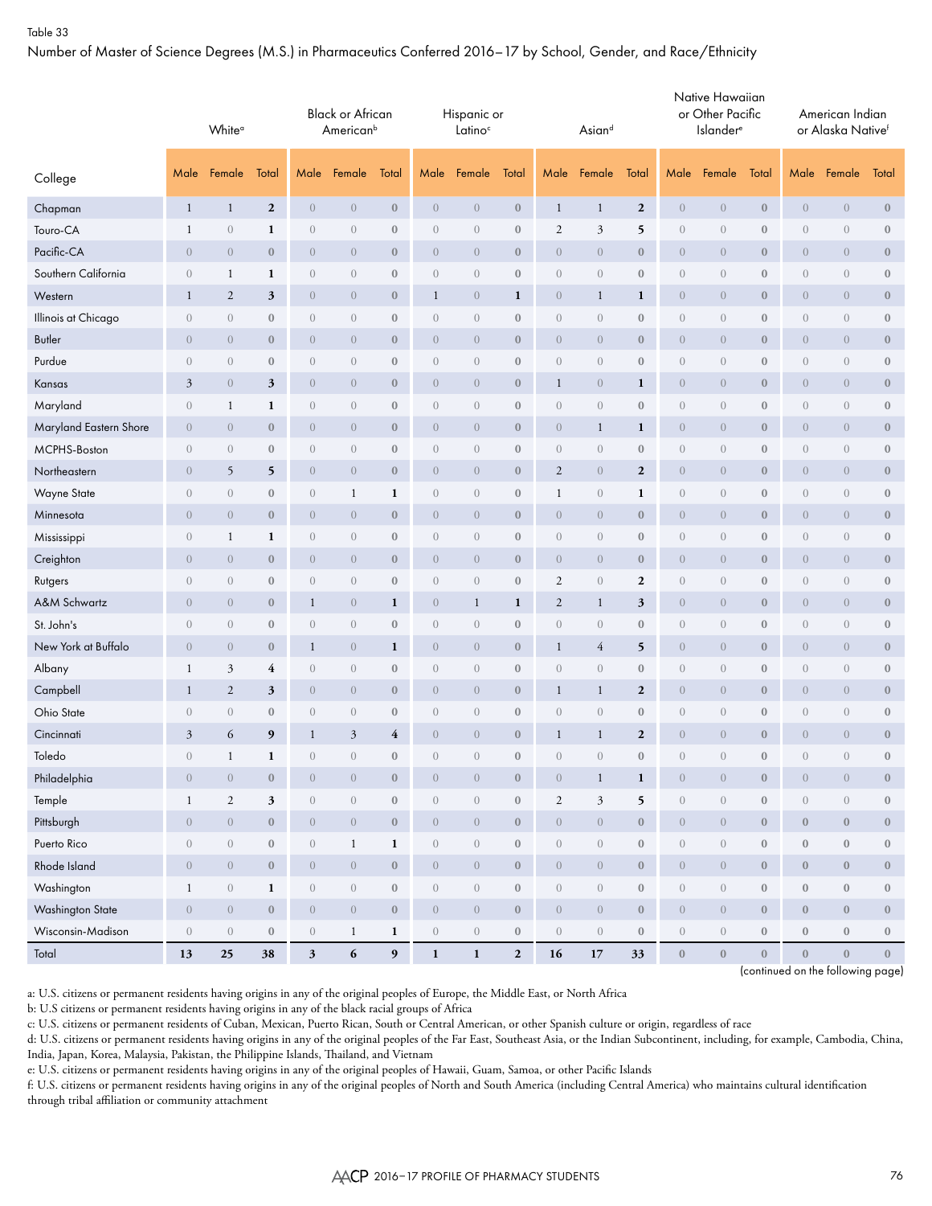Number of Master of Science Degrees (M.S.) in Pharmaceutics Conferred 2016–17 by School, Gender, and Race/Ethnicity

|                        |                                 | White <sup>o</sup><br>Female<br>Male |                  |                  | <b>Black or African</b><br>American <sup>b</sup> |                  |                  | Hispanic or<br>Latino <sup>c</sup> |                  |                  | Asiand           |                  |                  | Native Hawaiian<br>or Other Pacific<br><b>Islander</b> <sup>e</sup> |                  |                  | American Indian<br>or Alaska Nativef |                  |
|------------------------|---------------------------------|--------------------------------------|------------------|------------------|--------------------------------------------------|------------------|------------------|------------------------------------|------------------|------------------|------------------|------------------|------------------|---------------------------------------------------------------------|------------------|------------------|--------------------------------------|------------------|
| College                |                                 |                                      | Total            | Male             | Female                                           | Total            | Male             | Female                             | Total            | Male             | Female           | Total            | Male             | Female                                                              | Total            | Male             | Female                               | Total            |
| Chapman                | $\mathbf{1}$                    | $\mathbf{1}$                         | $\boldsymbol{2}$ | $\boldsymbol{0}$ | $\boldsymbol{0}$                                 | $\mathbf{0}$     | $\overline{0}$   | $\theta$                           | $\boldsymbol{0}$ | $\mathbf{1}$     | $\mathbf{1}$     | $\boldsymbol{2}$ | $\boldsymbol{0}$ | $\boldsymbol{0}$                                                    | $\mathbf{0}$     | $\boldsymbol{0}$ | $\boldsymbol{0}$                     | $\boldsymbol{0}$ |
| Touro-CA               | $\mathbf{1}$                    | $\sqrt{a}$                           | $\mathbf{1}$     | $\sqrt{a}$       | $\boldsymbol{0}$                                 | $\boldsymbol{0}$ | $\boldsymbol{0}$ | $\theta$                           | $\boldsymbol{0}$ | $\sqrt{2}$       | 3                | 5                | $\boldsymbol{0}$ | $\boldsymbol{0}$                                                    | $\boldsymbol{0}$ | $\boldsymbol{0}$ | $\boldsymbol{0}$                     | $\boldsymbol{0}$ |
| Pacific-CA             | $\overline{0}$                  | $\theta$                             | $\bf{0}$         | $\theta$         | $\overline{0}$                                   | $\boldsymbol{0}$ | $\overline{0}$   | $\theta$                           | $\boldsymbol{0}$ | $\overline{0}$   | $\boldsymbol{0}$ | $\bf 0$          | $\boldsymbol{0}$ | $\boldsymbol{0}$                                                    | $\boldsymbol{0}$ | $\boldsymbol{0}$ | $\theta$                             | $\boldsymbol{0}$ |
| Southern California    | $\theta$                        | 1                                    | 1                | $\sqrt{a}$       | $\overline{0}$                                   | $\bf{0}$         | $\overline{0}$   | $\theta$                           | $\boldsymbol{0}$ | $\overline{0}$   | $\overline{0}$   | $\bf{0}$         | $\boldsymbol{0}$ | $\boldsymbol{0}$                                                    | $\bf{0}$         | $\theta$         | $\theta$                             | $\boldsymbol{0}$ |
| Western                | $\mathbf{1}$                    | $\overline{2}$                       | 3                | $\theta$         | $\theta$                                         | $\boldsymbol{0}$ | 1                | $\boldsymbol{0}$                   | $\mathbf{1}$     | $\boldsymbol{0}$ | $\mathbf{1}$     | $\mathbf{1}$     | $\boldsymbol{0}$ | $\boldsymbol{0}$                                                    | $\bf{0}$         | $\theta$         | $\theta$                             | $\boldsymbol{0}$ |
| Illinois at Chicago    | $\sqrt{a}$                      | $\overline{0}$                       | $\bf{0}$         | $\boldsymbol{0}$ | $\sqrt{a}$                                       | $\boldsymbol{0}$ | $\overline{0}$   | $\theta$                           | $\boldsymbol{0}$ | $\overline{0}$   | $\overline{0}$   | $\boldsymbol{0}$ | $\boldsymbol{0}$ | $\theta$                                                            | $\boldsymbol{0}$ | $\theta$         | $\boldsymbol{0}$                     | $\boldsymbol{0}$ |
| <b>Butler</b>          | $\boldsymbol{0}$                | $\theta$                             | $\boldsymbol{0}$ | $\theta$         | $\theta$                                         | $\boldsymbol{0}$ | $\overline{0}$   | $\theta$                           | $\boldsymbol{0}$ | $\boldsymbol{0}$ | $\boldsymbol{0}$ | $\bf 0$          | $\overline{0}$   | $\boldsymbol{0}$                                                    | $\mathbf{0}$     | $\boldsymbol{0}$ | $\overline{0}$                       | $\bf 0$          |
| Purdue                 | $\sqrt{a}$                      | $\overline{0}$                       | $\mathbf{0}$     | $\sqrt{a}$       | $\begin{matrix} 0 \end{matrix}$                  | $\boldsymbol{0}$ | $\overline{0}$   | $\theta$                           | $\boldsymbol{0}$ | $\overline{0}$   | $\overline{0}$   | $\bf 0$          | $\boldsymbol{0}$ | $\theta$                                                            | $\mathbf{0}$     | $\theta$         | $\theta$                             | $\bf 0$          |
| Kansas                 | 3                               | $\theta$                             | 3                | $\theta$         | $\overline{0}$                                   | $\bf{0}$         | $\overline{0}$   | $\theta$                           | $\bf{0}$         | $\mathbf{1}$     | $\overline{0}$   | 1                | $\boldsymbol{0}$ | $\theta$                                                            | $\bf{0}$         | $\theta$         | $\overline{0}$                       | $\bf 0$          |
| Maryland               | $\boldsymbol{0}$                | 1                                    | 1                | $\sqrt{a}$       | $\theta$                                         | $\boldsymbol{0}$ | $\overline{0}$   | $\theta$                           | $\boldsymbol{0}$ | $\sqrt{a}$       | $\sqrt{a}$       | $\bf 0$          | $\boldsymbol{0}$ | $\boldsymbol{0}$                                                    | $\boldsymbol{0}$ | $\boldsymbol{0}$ | $\theta$                             | $\boldsymbol{0}$ |
| Maryland Eastern Shore | $\overline{0}$                  | $\overline{0}$                       | $\bf{0}$         | $\theta$         | $\overline{0}$                                   | $\boldsymbol{0}$ | $\overline{0}$   | $\theta$                           | $\bf{0}$         | $\overline{0}$   | $\mathbf{1}$     | 1                | $\boldsymbol{0}$ | $\boldsymbol{0}$                                                    | $\bf{0}$         | $\theta$         | $\overline{0}$                       | $\bf 0$          |
| MCPHS-Boston           | $\boldsymbol{0}$                | $\sqrt{a}$                           | $\bf 0$          | $\sqrt{a}$       | $\boldsymbol{0}$                                 | $\boldsymbol{0}$ | $\boldsymbol{0}$ | $\theta$                           | $\boldsymbol{0}$ | $\sqrt{a}$       | $\sqrt{a}$       | $\bf 0$          | $\boldsymbol{0}$ | $\boldsymbol{0}$                                                    | $\boldsymbol{0}$ | $\boldsymbol{0}$ | $\boldsymbol{0}$                     | $\boldsymbol{0}$ |
| Northeastern           | $\overline{0}$                  | 5                                    | 5                | $\theta$         | $\overline{0}$                                   | $\boldsymbol{0}$ | $\overline{0}$   | $\theta$                           | $\boldsymbol{0}$ | $\overline{2}$   | $\overline{0}$   | $\boldsymbol{2}$ | $\boldsymbol{0}$ | $\boldsymbol{0}$                                                    | $\bf{0}$         | $\boldsymbol{0}$ | $\theta$                             | $\boldsymbol{0}$ |
| Wayne State            | $\theta$                        | $\sqrt{a}$                           | $\bf{0}$         | $\sqrt{a}$       | $\mathbf{1}$                                     | $\mathbf{1}$     | $\overline{0}$   | $\theta$                           | $\bf{0}$         | $\mathbf{1}$     | $\overline{0}$   | 1                | $\boldsymbol{0}$ | $\boldsymbol{0}$                                                    | $\bf{0}$         | $\theta$         | $\theta$                             | $\boldsymbol{0}$ |
| Minnesota              | $\overline{0}$                  | $\theta$                             | $\boldsymbol{0}$ | $\theta$         | $\overline{0}$                                   | $\boldsymbol{0}$ | $\overline{0}$   | $\theta$                           | $\bf{0}$         | $\boldsymbol{0}$ | $\boldsymbol{0}$ | $\boldsymbol{0}$ | $\boldsymbol{0}$ | $\boldsymbol{0}$                                                    | $\bf{0}$         | $\theta$         | $\boldsymbol{0}$                     | $\boldsymbol{0}$ |
| Mississippi            | $\begin{matrix} 0 \end{matrix}$ | 1                                    | 1                | $\sqrt{a}$       | $\begin{matrix} 0 \end{matrix}$                  | $\boldsymbol{0}$ | $\overline{0}$   | $\theta$                           | $\boldsymbol{0}$ | $\theta$         | $\overline{0}$   | $\boldsymbol{0}$ | $\boldsymbol{0}$ | $\theta$                                                            | $\boldsymbol{0}$ | $\theta$         | $\boldsymbol{0}$                     | $\bf 0$          |
| Creighton              | $\boldsymbol{0}$                | $\theta$                             | $\bf{0}$         | $\theta$         | $\boldsymbol{0}$                                 | $\boldsymbol{0}$ | $\overline{0}$   | $\theta$                           | $\boldsymbol{0}$ | $\boldsymbol{0}$ | $\boldsymbol{0}$ | $\bf 0$          | $\overline{0}$   | $\boldsymbol{0}$                                                    | $\mathbf{0}$     | $\boldsymbol{0}$ | $\overline{0}$                       | $\bf 0$          |
| Rutgers                | $\begin{matrix} 0 \end{matrix}$ | $\overline{0}$                       | $\bf{0}$         | $\sqrt{a}$       | $\begin{matrix} 0 \end{matrix}$                  | $\boldsymbol{0}$ | $\overline{0}$   | $\theta$                           | $\boldsymbol{0}$ | 2                | $\overline{0}$   | $\boldsymbol{2}$ | $\boldsymbol{0}$ | $\theta$                                                            | $\boldsymbol{0}$ | $\theta$         | $\theta$                             | $\bf 0$          |
| A&M Schwartz           | $\overline{0}$                  | $\overline{0}$                       | $\bf{0}$         | $\mathbf{1}$     | $\overline{0}$                                   | 1                | $\overline{0}$   | $\mathbf{1}$                       | $\mathbf{1}$     | $\overline{2}$   | $\mathbf{1}$     | 3                | $\boldsymbol{0}$ | $\overline{0}$                                                      | $\bf{0}$         | $\theta$         | $\overline{0}$                       | $\bf 0$          |
| St. John's             | $\boldsymbol{0}$                | $\theta$                             | $\boldsymbol{0}$ | $\sqrt{a}$       | $\theta$                                         | $\boldsymbol{0}$ | $\overline{0}$   | $\theta$                           | $\boldsymbol{0}$ | $\sqrt{a}$       | $\sqrt{a}$       | $\bf 0$          | $\boldsymbol{0}$ | $\boldsymbol{0}$                                                    | $\boldsymbol{0}$ | $\boldsymbol{0}$ | $\theta$                             | $\boldsymbol{0}$ |
| New York at Buffalo    | $\overline{0}$                  | $\overline{0}$                       | $\bf{0}$         | $\mathbf{1}$     | $\overline{0}$                                   | $\mathbf{1}$     | $\overline{0}$   | $\theta$                           | $\bf{0}$         | $\mathbf{1}$     | $\overline{4}$   | 5                | $\boldsymbol{0}$ | $\boldsymbol{0}$                                                    | $\bf{0}$         | $\theta$         | $\overline{0}$                       | $\bf 0$          |
| Albany                 | $\mathbf{1}$                    | $\mathfrak{Z}$                       | $\overline{4}$   | $\sqrt{a}$       | $\boldsymbol{0}$                                 | $\boldsymbol{0}$ | $\boldsymbol{0}$ | $\theta$                           | $\boldsymbol{0}$ | $\boldsymbol{0}$ | $\sqrt{a}$       | $\bf 0$          | $\boldsymbol{0}$ | $\boldsymbol{0}$                                                    | $\boldsymbol{0}$ | $\boldsymbol{0}$ | $\boldsymbol{0}$                     | $\boldsymbol{0}$ |
| Campbell               | $\mathbf{1}$                    | $\mathfrak{2}$                       | 3                | $\theta$         | $\overline{0}$                                   | $\boldsymbol{0}$ | $\overline{0}$   | $\theta$                           | $\boldsymbol{0}$ | $\mathbf{1}$     | $\mathbf{1}$     | $\boldsymbol{2}$ | $\boldsymbol{0}$ | $\boldsymbol{0}$                                                    | $\boldsymbol{0}$ | $\boldsymbol{0}$ | $\theta$                             | $\boldsymbol{0}$ |
| Ohio State             | $\overline{0}$                  | $\overline{0}$                       | $\bf{0}$         | $\sqrt{a}$       | $\theta$                                         | $\bf{0}$         | $\overline{0}$   | $\theta$                           | $\boldsymbol{0}$ | $\sqrt{a}$       | $\overline{0}$   | $\bf{0}$         | $\boldsymbol{0}$ | $\boldsymbol{0}$                                                    | $\bf{0}$         | $\theta$         | $\theta$                             | $\boldsymbol{0}$ |
| Cincinnati             | 3                               | 6                                    | 9                | $\mathbf{1}$     | 3                                                | 4                | $\overline{0}$   | $\theta$                           | $\boldsymbol{0}$ | $\mathbf{1}$     | $\mathbf{1}$     | $\boldsymbol{2}$ | $\boldsymbol{0}$ | $\boldsymbol{0}$                                                    | $\boldsymbol{0}$ | $\theta$         | $\boldsymbol{0}$                     | $\boldsymbol{0}$ |
| Toledo                 | $\begin{matrix} 0 \end{matrix}$ | $\mathbf{1}$                         | $\mathbf{1}$     | $\sqrt{a}$       | $\boldsymbol{0}$                                 | $\boldsymbol{0}$ | $\overline{0}$   | $\boldsymbol{0}$                   | $\mathbf{0}$     | $\theta$         | $\overline{0}$   | $\boldsymbol{0}$ | $\boldsymbol{0}$ | $\boldsymbol{0}$                                                    | $\mathbf{0}$     | $\sqrt{a}$       | $\sqrt{a}$                           | $\boldsymbol{0}$ |
| Philadelphia           | $\boldsymbol{0}$                | $\sqrt{a}$                           | $\bf 0$          | $\boldsymbol{0}$ | $\boldsymbol{0}$                                 | $\boldsymbol{0}$ | $\boldsymbol{0}$ | $\boldsymbol{0}$                   | $\boldsymbol{0}$ | $\boldsymbol{0}$ | $\mathbf{1}$     | $\mathbf 1$      | $\boldsymbol{0}$ | $\boldsymbol{0}$                                                    | $\boldsymbol{0}$ | $\boldsymbol{0}$ | $\sqrt{a}$                           | $\mathbf{0}$     |
| Temple                 | $\mathbf{1}$                    | $\overline{2}$                       | 3                | $\boldsymbol{0}$ | $\sqrt{a}$                                       | $\bf 0$          | $\overline{0}$   | $\left( \right)$                   | $\boldsymbol{0}$ | $\overline{2}$   | $\mathfrak{Z}$   | 5                | $\boldsymbol{0}$ | $\boldsymbol{0}$                                                    | $\mathbf{0}$     | $\boldsymbol{0}$ | $\,0\,$                              | $\bf 0$          |
| Pittsburgh             | $\overline{0}$                  | $\sqrt{a}$                           | $\bf 0$          | $\sqrt{a}$       | $\sqrt{a}$                                       | $\mathbf{0}$     | $\boldsymbol{0}$ | $\sqrt{ }$                         | $\boldsymbol{0}$ | $\overline{0}$   | $\overline{0}$   | $\boldsymbol{0}$ | $\overline{0}$   | $\sqrt{a}$                                                          | $\mathbf{0}$     | $\boldsymbol{0}$ | $\boldsymbol{0}$                     | $\boldsymbol{0}$ |
| Puerto Rico            | $\boldsymbol{0}$                | $\sqrt{a}$                           | $\boldsymbol{0}$ | $\sqrt{0}$       | $\mathbf{1}$                                     | $\mathbf{1}$     | $\boldsymbol{0}$ | $\left( \right)$                   | $\boldsymbol{0}$ | $\sqrt{a}$       | $\boldsymbol{0}$ | $\boldsymbol{0}$ | $\boldsymbol{0}$ | $\,0\,$                                                             | $\boldsymbol{0}$ | $\boldsymbol{0}$ | $\boldsymbol{0}$                     | $\bf 0$          |
| Rhode Island           | $\overline{0}$                  | $\overline{0}$                       | $\bf 0$          | $\boldsymbol{0}$ | $\overline{0}$                                   | $\mathbf{0}$     | $\boldsymbol{0}$ | $\sqrt{ }$                         | $\boldsymbol{0}$ | $\overline{0}$   | $\overline{0}$   | $\boldsymbol{0}$ | $\boldsymbol{0}$ | $\sqrt{a}$                                                          | $\mathbf{0}$     | $\boldsymbol{0}$ | $\boldsymbol{0}$                     | $\bf 0$          |
| Washington             | $\mathbf{1}$                    | $\left( \right)$                     | $\mathbf 1$      | $\,0\,$          | $\sqrt{a}$                                       | $\bf 0$          | $\boldsymbol{0}$ | $\left( \right)$                   | $\boldsymbol{0}$ | $\boldsymbol{0}$ | $\boldsymbol{0}$ | $\boldsymbol{0}$ | $\boldsymbol{0}$ | $\boldsymbol{0}$                                                    | $\boldsymbol{0}$ | $\boldsymbol{0}$ | $\boldsymbol{0}$                     | $\bf 0$          |
| Washington State       | $\boldsymbol{0}$                | $\boldsymbol{0}$                     | $\bf 0$          | $\boldsymbol{0}$ | $\overline{0}$                                   | $\mathbf 0$      | $\boldsymbol{0}$ | $\boldsymbol{0}$                   | $\boldsymbol{0}$ | $\boldsymbol{0}$ | $\boldsymbol{0}$ | $\boldsymbol{0}$ | $\overline{0}$   | $\,0\,$                                                             | $\mathbf{0}$     | $\boldsymbol{0}$ | $\boldsymbol{0}$                     | $\boldsymbol{0}$ |
| Wisconsin-Madison      | $\,0\,$                         | $\boldsymbol{0}$                     | $\bf 0$          | $\sqrt{0}$       | $\mathbf{1}$                                     | $\mathbf{1}$     | $\boldsymbol{0}$ | $\boldsymbol{0}$                   | $\boldsymbol{0}$ | $\boldsymbol{0}$ | $\boldsymbol{0}$ | $\boldsymbol{0}$ | $\boldsymbol{0}$ | $\boldsymbol{0}$                                                    | $\mathbf{0}$     | $\boldsymbol{0}$ | $\boldsymbol{0}$                     | $\boldsymbol{0}$ |
| Total                  | 13                              | 25                                   | 38               | $\mathbf{3}$     | 6                                                | 9 <sup>°</sup>   | $\mathbf{1}$     | $\mathbf 1$                        | $\mathbf{2}$     | 16               | $17\,$           | 33               | $\boldsymbol{0}$ | $\boldsymbol{0}$                                                    | $\mathbf 0$      | $\boldsymbol{0}$ | $\boldsymbol{0}$                     | $\boldsymbol{0}$ |

(continued on the following page)

a: U.S. citizens or permanent residents having origins in any of the original peoples of Europe, the Middle East, or North Africa

b: U.S citizens or permanent residents having origins in any of the black racial groups of Africa

c: U.S. citizens or permanent residents of Cuban, Mexican, Puerto Rican, South or Central American, or other Spanish culture or origin, regardless of race

d: U.S. citizens or permanent residents having origins in any of the original peoples of the Far East, Southeast Asia, or the Indian Subcontinent, including, for example, Cambodia, China, India, Japan, Korea, Malaysia, Pakistan, the Philippine Islands, Thailand, and Vietnam

e: U.S. citizens or permanent residents having origins in any of the original peoples of Hawaii, Guam, Samoa, or other Pacific Islands

f: U.S. citizens or permanent residents having origins in any of the original peoples of North and South America (including Central America) who maintains cultural identification through tribal affiliation or community attachment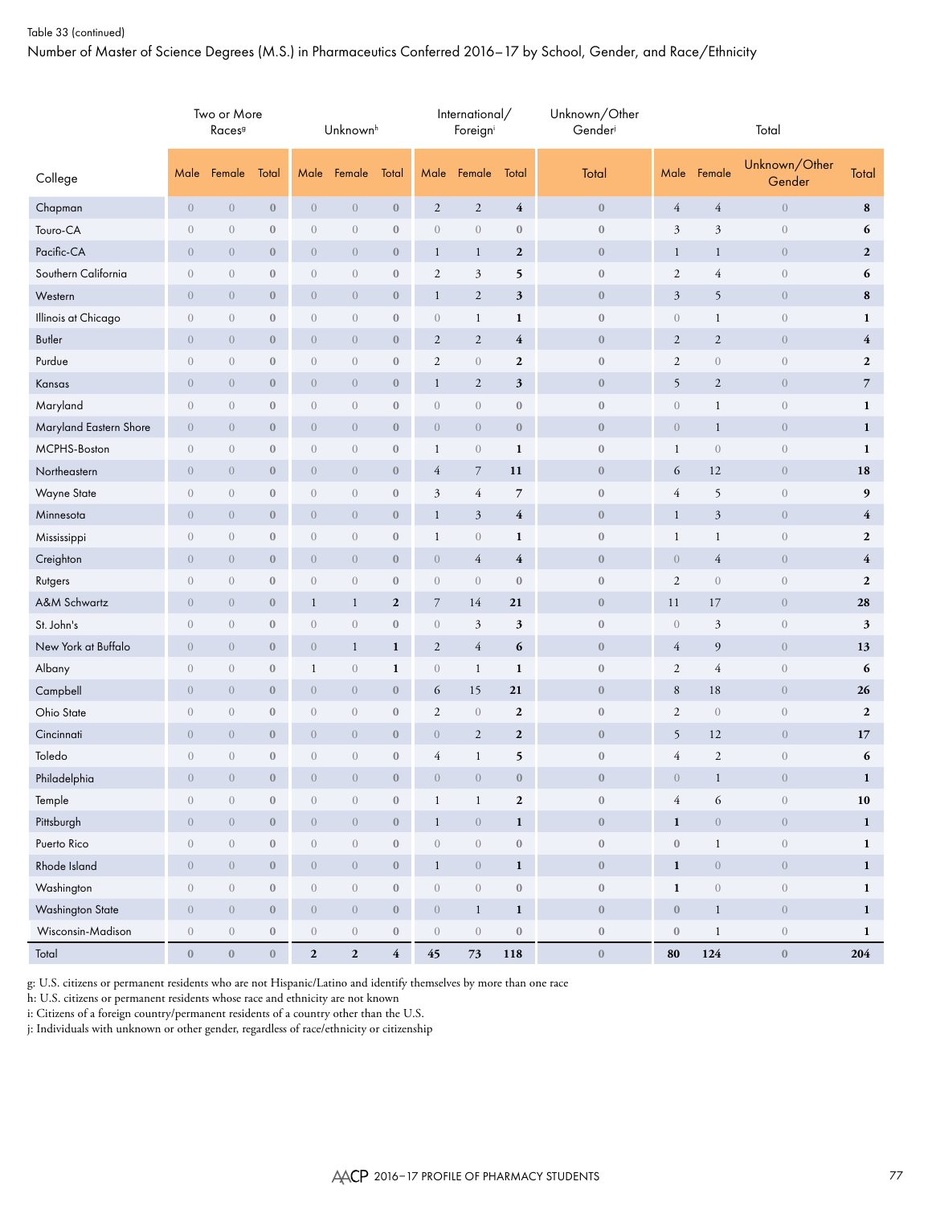## Table 33 (continued)

Number of Master of Science Degrees (M.S.) in Pharmaceutics Conferred 2016–17 by School, Gender, and Race/Ethnicity

|                        |                  | Two or More<br>Races <sup>9</sup> |                  |                  | Unknown <sup>h</sup>           |                         |                  | International/<br>Foreigni     |                         | Unknown/Other<br>Gender |                  |                                | Total                          |                  |
|------------------------|------------------|-----------------------------------|------------------|------------------|--------------------------------|-------------------------|------------------|--------------------------------|-------------------------|-------------------------|------------------|--------------------------------|--------------------------------|------------------|
| College                | Male             | Female                            | Total            | Male             | Female                         | Total                   | Male             | Female                         | Total                   | Total                   | Male             | Female                         | Unknown/Other<br>Gender        | Total            |
| Chapman                | $\overline{0}$   | $\boldsymbol{0}$                  | $\bf 0$          | $\overline{0}$   | $\boldsymbol{0}$               | $\boldsymbol{0}$        | $\sqrt{2}$       | $\sqrt{2}$                     | $\overline{\mathbf{4}}$ | $\boldsymbol{0}$        | $\overline{4}$   | $\overline{4}$                 | $\boldsymbol{0}$               | ${\bf 8}$        |
| Touro-CA               | $\boldsymbol{0}$ | $\boldsymbol{0}$                  | $\boldsymbol{0}$ | $\overline{0}$   | $\theta$                       | $\boldsymbol{0}$        | $\boldsymbol{0}$ | $\boldsymbol{0}$               | $\boldsymbol{0}$        | $\boldsymbol{0}$        | $\mathfrak{Z}$   | $\mathfrak{Z}$                 | $\boldsymbol{0}$               | 6                |
| Pacific-CA             | $\overline{0}$   | $\theta$                          | $\boldsymbol{0}$ | $\overline{0}$   | $\theta$                       | $\bf{0}$                | $\mathbf{1}$     | $\mathbf{1}$                   | $\boldsymbol{2}$        | $\mathbf{0}$            | $\mathbf{1}$     | $\mathbf{1}$                   | $\theta$                       | $\boldsymbol{2}$ |
| Southern California    | $\boldsymbol{0}$ | $\mathbf{0}$                      | $\mathbf{0}$     | $\overline{0}$   | $\theta$                       | $\boldsymbol{0}$        | $\sqrt{2}$       | 3                              | 5                       | $\boldsymbol{0}$        | $\sqrt{2}$       | 4                              | $\boldsymbol{0}$               | 6                |
| Western                | $\boldsymbol{0}$ | $\boldsymbol{0}$                  | $\boldsymbol{0}$ | $\overline{0}$   | $\theta$                       | $\boldsymbol{0}$        | $\mathbf{1}$     | $\sqrt{2}$                     | 3                       | $\boldsymbol{0}$        | $\mathfrak{Z}$   | 5                              | $\theta$                       | 8                |
| Illinois at Chicago    | $\boldsymbol{0}$ | $\mathbf{0}$                      | $\boldsymbol{0}$ | $\overline{0}$   | $\theta$                       | $\boldsymbol{0}$        | $\boldsymbol{0}$ | $\mathbf{1}$                   | 1                       | $\boldsymbol{0}$        | $\boldsymbol{0}$ | $\mathbf 1$                    | $\theta$                       | $\mathbf{1}$     |
| Butler                 | $\boldsymbol{0}$ | $\boldsymbol{0}$                  | $\boldsymbol{0}$ | $\overline{0}$   | $\theta$                       | $\boldsymbol{0}$        | $\mathbf{2}$     | $\sqrt{2}$                     | $\overline{4}$          | $\boldsymbol{0}$        | $\mathbf{2}$     | $\sqrt{2}$                     | $\theta$                       | $\overline{4}$   |
| Purdue                 | $\boldsymbol{0}$ | $\sqrt{a}$                        | $\boldsymbol{0}$ | $\overline{0}$   | $\theta$                       | $\boldsymbol{0}$        | $\sqrt{2}$       | $\boldsymbol{0}$               | $\mathbf{2}$            | $\boldsymbol{0}$        | $\sqrt{2}$       | $\boldsymbol{0}$               | $\theta$                       | $\boldsymbol{2}$ |
| Kansas                 | $\overline{0}$   | $\overline{0}$                    | $\mathbf{0}$     | $\overline{0}$   | $\theta$                       | $\boldsymbol{0}$        | $\mathbf{1}$     | $\sqrt{2}$                     | 3                       | $\boldsymbol{0}$        | 5                | $\sqrt{2}$                     | $\theta$                       | $\overline{7}$   |
| Maryland               | $\sqrt{a}$       | $\boldsymbol{0}$                  | $\boldsymbol{0}$ | $\sqrt{a}$       | $\theta$                       | $\boldsymbol{0}$        | $\boldsymbol{0}$ | $\sqrt{a}$                     | $\mathbf{0}$            | $\bf{0}$                | $\boldsymbol{0}$ | $\mathbf{1}$                   | $\boldsymbol{0}$               | $\mathbf{1}$     |
| Maryland Eastern Shore | $\overline{0}$   | $\mathbf{0}$                      | $\mathbf{0}$     | $\overline{0}$   | $\theta$                       | $\boldsymbol{0}$        | $\boldsymbol{0}$ | $\overline{0}$                 | $\bf{0}$                | $\boldsymbol{0}$        | $\theta$         | $\mathbf{1}$                   | $\theta$                       | $\mathbf{1}$     |
| MCPHS-Boston           | $\boldsymbol{0}$ | $\boldsymbol{0}$                  | $\boldsymbol{0}$ | $\overline{0}$   | $\theta$                       | $\boldsymbol{0}$        | 1                | $\boldsymbol{0}$               | 1                       | $\boldsymbol{0}$        | $\mathbf{1}$     | $\,0\,$                        | $\boldsymbol{0}$               | $\mathbf{1}$     |
| Northeastern           | $\overline{0}$   | $\boldsymbol{0}$                  | $\boldsymbol{0}$ | $\overline{0}$   | $\theta$                       | $\bf{0}$                | 4                | $\boldsymbol{7}$               | 11                      | $\mathbf{0}$            | 6                | 12                             | $\theta$                       | 18               |
| Wayne State            | $\boldsymbol{0}$ | $\sqrt{a}$                        | $\boldsymbol{0}$ | $\mathbf{0}$     | $\theta$                       | $\boldsymbol{0}$        | $\mathfrak{Z}$   | $\overline{4}$                 | 7                       | $\boldsymbol{0}$        | $\overline{4}$   | 5                              | $\boldsymbol{0}$               | 9                |
| Minnesota              | $\overline{0}$   | $\boldsymbol{0}$                  | $\boldsymbol{0}$ | $\overline{0}$   | $\theta$                       | $\boldsymbol{0}$        | $\mathbf{1}$     | $\mathfrak{Z}$                 | $\overline{4}$          | $\boldsymbol{0}$        | $\mathbf{1}$     | 3                              | $\theta$                       | $\overline{4}$   |
| Mississippi            | $\sqrt{a}$       | $\sqrt{a}$                        | $\boldsymbol{0}$ | $\overline{0}$   | $\theta$                       | $\boldsymbol{0}$        | $\mathbf{1}$     | $\sqrt{0}$                     | 1                       | $\boldsymbol{0}$        | $\mathbf{1}$     | $\mathbf{1}$                   | $\theta$                       | $\boldsymbol{2}$ |
| Creighton              | $\sqrt{0}$       | $\boldsymbol{0}$                  | $\boldsymbol{0}$ | $\overline{0}$   | $\theta$                       | $\boldsymbol{0}$        | $\boldsymbol{0}$ | $\overline{4}$                 | $\overline{4}$          | $\boldsymbol{0}$        | $\sqrt{0}$       | $\overline{4}$                 | $\theta$                       | $\overline{4}$   |
| Rutgers                | $\boldsymbol{0}$ | $\mathbf{0}$                      | $\boldsymbol{0}$ | $\sqrt{a}$       | $\theta$                       | $\boldsymbol{0}$        | $\boldsymbol{0}$ | $\mathbf{0}$                   | $\mathbf{0}$            | $\boldsymbol{0}$        | $\sqrt{2}$       | $\mathbf{0}$                   | $\theta$                       | $\mathbf{2}$     |
| A&M Schwartz           | $\overline{0}$   | $\mathbf{0}$                      | $\mathbf{0}$     | $\mathbf{1}$     | $\mathbf{1}$                   | $\boldsymbol{2}$        | $\overline{7}$   | 14                             | 21                      | $\boldsymbol{0}$        | 11               | 17                             | $\theta$                       | 28               |
| St. John's             | $\boldsymbol{0}$ | $\sqrt{a}$                        | $\boldsymbol{0}$ | $\sqrt{a}$       | $\,0\,$                        | $\boldsymbol{0}$        | $\boldsymbol{0}$ | $\mathfrak{Z}$                 | 3                       | $\boldsymbol{0}$        | $\sqrt{0}$       | 3                              | $\theta$                       | 3                |
| New York at Buffalo    | $\overline{0}$   | $\mathbf{0}$                      | $\boldsymbol{0}$ | $\overline{0}$   | $\mathbf{1}$                   | $\mathbf{1}$            | $\mathfrak{2}$   | $\overline{4}$                 | 6                       | $\boldsymbol{0}$        | $\overline{4}$   | 9                              | $\theta$                       | 13               |
| Albany                 | $\boldsymbol{0}$ | $\boldsymbol{0}$                  | $\boldsymbol{0}$ | $\mathbf{1}$     | $\,0\,$                        | $\mathbf{1}$            | $\boldsymbol{0}$ | $\mathbf{1}$                   | 1                       | $\boldsymbol{0}$        | $\sqrt{2}$       | 4                              | $\,0\,$                        | 6                |
| Campbell               | $\overline{0}$   | $\boldsymbol{0}$                  | $\boldsymbol{0}$ | $\overline{0}$   | $\theta$                       | $\bf{0}$                | 6                | 15                             | 21                      | $\boldsymbol{0}$        | $\,8\,$          | 18                             | $\theta$                       | 26               |
| Ohio State             | $\boldsymbol{0}$ | $\boldsymbol{0}$                  | $\boldsymbol{0}$ | $\overline{0}$   | $\theta$                       | $\boldsymbol{0}$        | $\sqrt{2}$       | $\mathbf{0}$                   | $\boldsymbol{2}$        | $\boldsymbol{0}$        | $\sqrt{2}$       | $\sqrt{0}$                     | $\,0\,$                        | $\mathbf{2}$     |
| Cincinnati             | $\overline{0}$   | $\sqrt{a}$                        | $\boldsymbol{0}$ | $\boldsymbol{0}$ | $\boldsymbol{0}$               | $\boldsymbol{0}$        | $\boldsymbol{0}$ | $\boldsymbol{2}$               | $\boldsymbol{2}$        | $\boldsymbol{0}$        | 5                | 12                             | $\overline{0}$                 | 17               |
| Toledo                 | $\boldsymbol{0}$ | $\boldsymbol{0}$                  | $\boldsymbol{0}$ | $\overline{0}$   | $\theta$                       | $\boldsymbol{0}$        | 4                | $\mathbf{1}$                   | 5                       | $\boldsymbol{0}$        | $\overline{4}$   | $\mathfrak{2}$                 | $\boldsymbol{0}$               | 6                |
| Philadelphia           | $\boldsymbol{0}$ | $\overline{0}$                    | $\bf 0$          | $\overline{0}$   | $\overline{0}$                 | $\boldsymbol{0}$        | $\overline{0}$   | $\overline{0}$                 | $\mathbf{0}$            | $\boldsymbol{0}$        | $\sqrt{0}$       | $\mathbf{1}$                   | $\sqrt{a}$                     | $\mathbf{1}$     |
| Temple                 | $\boldsymbol{0}$ | $\boldsymbol{0}$                  | $\boldsymbol{0}$ | $\boldsymbol{0}$ | $\boldsymbol{0}$               | $\boldsymbol{0}$        | $\mathbf{1}$     | $\mathbf{1}$                   | $\boldsymbol{2}$        | $\boldsymbol{0}$        | $\overline{4}$   | 6                              | $\boldsymbol{0}$               | ${\bf 10}$       |
| Pittsburgh             | $\sqrt{ }$       | $\boldsymbol{0}$                  | $\mathbf{0}$     | $\overline{0}$   | $\,0\,$                        | $\boldsymbol{0}$        | $\mathbf{1}$     | $\sqrt{a}$                     | $\mathbf{1}$            | $\boldsymbol{0}$        | $\mathbf{1}$     | $\,0\,$                        | $\sqrt{0}$                     | $\mathbf 1$      |
| Puerto Rico            | $\overline{0}$   | $\boldsymbol{0}$                  | $\boldsymbol{0}$ | $\overline{0}$   | $\left\langle {}\right\rangle$ | $\boldsymbol{0}$        | $\,0\,$          | $\boldsymbol{0}$               | $\boldsymbol{0}$        | $\boldsymbol{0}$        | $\bf 0$          | $\,1$                          | $\left( \right)$               | $\mathbf{1}$     |
| Rhode Island           | $\overline{0}$   | $\sqrt{0}$                        | $\mathbf{0}$     | $\overline{0}$   | $\sqrt{0}$                     | $\boldsymbol{0}$        | $\mathbf{1}$     | $\sqrt{ }$                     | $\mathbf{1}$            | $\mathbf{0}$            | $\mathbf{1}$     | $\,0\,$                        | $\sqrt{a}$                     | $\mathbf{1}$     |
| Washington             | $\overline{0}$   | $\boldsymbol{0}$                  | $\boldsymbol{0}$ | $\overline{0}$   | $\left\langle {}\right\rangle$ | $\boldsymbol{0}$        | $\boldsymbol{0}$ | $\boldsymbol{0}$               | $\boldsymbol{0}$        | $\boldsymbol{0}$        | $\mathbf 1$      | $\left\langle {}\right\rangle$ | $\left\langle {}\right\rangle$ | $\mathbf{1}$     |
| Washington State       | $\overline{0}$   | $\,0\,$                           | $\,0\,$          | $\overline{0}$   | $\,0\,$                        | $\boldsymbol{0}$        | $\boldsymbol{0}$ | $\mathbf{1}$                   | $\mathbf{1}$            | $\boldsymbol{0}$        | $\boldsymbol{0}$ | $\mathbf{1}$                   | $\,0\,$                        | $\mathbf{1}$     |
| Wisconsin-Madison      | $\boldsymbol{0}$ | $\boldsymbol{0}$                  | $\boldsymbol{0}$ | $\boldsymbol{0}$ | $\boldsymbol{0}$               | $\boldsymbol{0}$        | $\sqrt{a}$       | $\left\langle {}\right\rangle$ | $\boldsymbol{0}$        | $\boldsymbol{0}$        | $\boldsymbol{0}$ | $\mathbf{1}$                   | $\boldsymbol{0}$               | $\mathbf{1}$     |
| Total                  | $\boldsymbol{0}$ | $\boldsymbol{0}$                  | $0\,$            | $\mathbf{2}$     | $\mathbf 2$                    | $\overline{\mathbf{4}}$ | $45\,$           | $73\,$                         | 118                     | $\boldsymbol{0}$        | 80               | 124                            | $\bf 0$                        | 204              |

g: U.S. citizens or permanent residents who are not Hispanic/Latino and identify themselves by more than one race

h: U.S. citizens or permanent residents whose race and ethnicity are not known

i: Citizens of a foreign country/permanent residents of a country other than the U.S.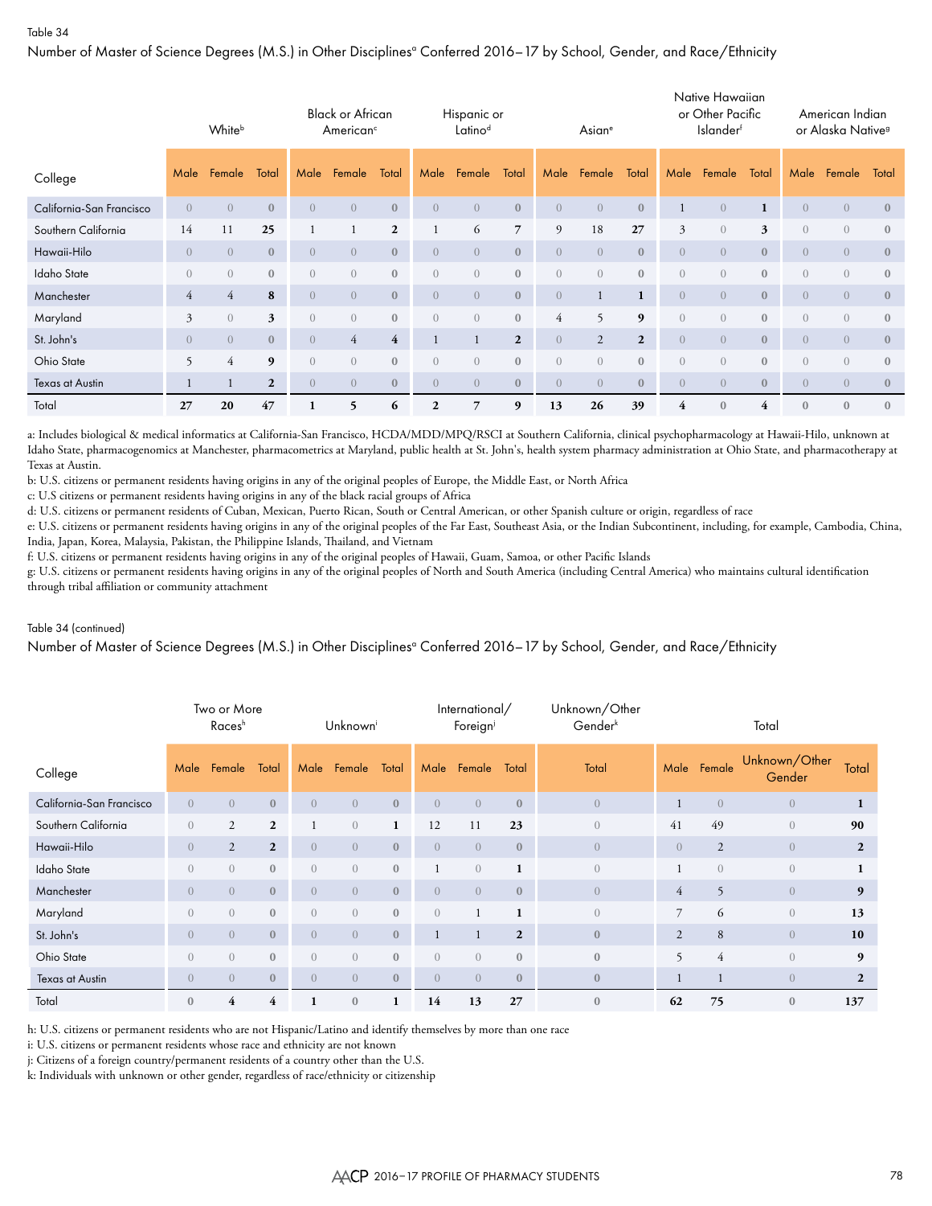Number of Master of Science Degrees (M.S.) in Other Disciplinesª Conferred 2016–17 by School, Gender, and Race/Ethnicity

|                          |                          | Whiteb         |                |                | <b>Black or African</b><br>American <sup>c</sup> |                |                  | Hispanic or<br>Latinod |                |                  | Asian <sup>e</sup> |              |                | Native Hawaiian<br>or Other Pacific<br><b>Islander</b> f |                |                | American Indian<br>or Alaska Native <sup>9</sup> |                  |
|--------------------------|--------------------------|----------------|----------------|----------------|--------------------------------------------------|----------------|------------------|------------------------|----------------|------------------|--------------------|--------------|----------------|----------------------------------------------------------|----------------|----------------|--------------------------------------------------|------------------|
| College                  | Male                     | Female         | Total          | Male           | Female                                           | Total          | Male             | Female                 | Total          | Male             | Female             | Total        | Male           | Female                                                   | Total          | Male           | Female                                           | Total            |
| California-San Francisco | $\overline{0}$           | $\overline{0}$ | $\mathbf{0}$   | $\overline{0}$ | $\overline{0}$                                   | $\mathbf{0}$   | $\overline{0}$   | $\overline{0}$         | $\mathbf{0}$   | $\overline{0}$   | $\overline{0}$     | $\mathbf{0}$ |                | $\overline{0}$                                           | 1              | $\overline{0}$ | $\overline{0}$                                   | $\mathbf{0}$     |
| Southern California      | 14                       | 11             | 25             |                |                                                  | $\overline{2}$ |                  | 6                      | $\overline{7}$ | 9                | 18                 | 27           | $\mathfrak{Z}$ | $\overline{0}$                                           | 3              | $\overline{0}$ | $\overline{0}$                                   | $\mathbf{0}$     |
| Hawaii-Hilo              | $\overline{0}$           | $\overline{0}$ | $\mathbf{0}$   | $\overline{0}$ | $\overline{0}$                                   | $\mathbf{0}$   | $\bigcirc$       | $\overline{0}$         | $\mathbf{0}$   | $\left( \right)$ | $\overline{0}$     | $\mathbf{0}$ | $\overline{0}$ | $\overline{0}$                                           | $\mathbf{0}$   | $\overline{0}$ | $\overline{0}$                                   | $\mathbf{0}$     |
| Idaho State              | $\overline{0}$           | $\overline{0}$ | $\mathbf{0}$   | $\overline{0}$ | $\overline{0}$                                   | $\mathbf{0}$   | $\overline{0}$   | $\overline{0}$         | $\mathbf{0}$   | $\left( \right)$ | $\left( \right)$   | $\mathbf{0}$ | $\overline{0}$ | $\overline{0}$                                           | $\mathbf{0}$   | $\overline{0}$ | $\overline{0}$                                   | $\mathbf{0}$     |
| Manchester               | $\overline{4}$           | $\overline{4}$ | 8              | $\overline{0}$ | $\overline{0}$                                   | $\mathbf{0}$   | $\bigcirc$       | $\overline{0}$         | $\mathbf{0}$   | $\overline{0}$   | $\mathbf{1}$       | $\mathbf{1}$ | $\overline{0}$ | $\overline{0}$                                           | $\mathbf{0}$   | $\overline{0}$ | $\overline{0}$                                   | $\mathbf{0}$     |
| Maryland                 | 3                        | $\overline{0}$ | 3              | $\overline{0}$ | $\overline{0}$                                   | $\mathbf{0}$   | $\left( \right)$ | $\overline{0}$         | $\mathbf{0}$   | $\overline{4}$   | 5                  | 9            | $\overline{0}$ | $\overline{0}$                                           | $\overline{0}$ | $\overline{0}$ | $\overline{0}$                                   | $\mathbf{0}$     |
| St. John's               | $\overline{0}$           | $\overline{0}$ | $\mathbf{0}$   | $\overline{0}$ | $\overline{4}$                                   | $\overline{4}$ |                  | $\mathbf{1}$           | $\mathbf{2}$   | $\overline{0}$   | $\overline{2}$     | $\mathbf{2}$ | $\overline{0}$ | $\overline{0}$                                           | $\mathbf{0}$   | $\overline{0}$ | $\overline{0}$                                   | $\mathbf{0}$     |
| Ohio State               | $\overline{\phantom{0}}$ | $\overline{4}$ | 9              | $\overline{0}$ | $\left( \right)$                                 | $\mathbf{0}$   | $\left( \right)$ | $\overline{0}$         | $\mathbf{0}$   | $\Omega$         | $\left( \right)$   | $\mathbf{0}$ | $\overline{0}$ | $\overline{0}$                                           | $\mathbf{0}$   | $\overline{0}$ | $\overline{0}$                                   | $\mathbf{0}$     |
| <b>Texas at Austin</b>   |                          | 1              | $\overline{2}$ | $\overline{0}$ | $\overline{0}$                                   | $\mathbf{0}$   | $\overline{0}$   | $\overline{0}$         | $\mathbf{0}$   | $\overline{0}$   | $\overline{0}$     | $\mathbf{0}$ | $\overline{0}$ | $\overline{0}$                                           | $\mathbf{0}$   | $\overline{0}$ | $\overline{0}$                                   | $\boldsymbol{0}$ |
| Total                    | 27                       | 20             | 47             |                | 5                                                | 6              | $\mathbf{2}$     | 7                      | 9              | 13               | 26                 | 39           | 4              | $\mathbf{0}$                                             | 4              | $\mathbf{0}$   | $\mathbf{0}$                                     | $\mathbf{0}$     |

a: Includes biological & medical informatics at California-San Francisco, HCDA/MDD/MPQ/RSCI at Southern California, clinical psychopharmacology at Hawaii-Hilo, unknown at Idaho State, pharmacogenomics at Manchester, pharmacometrics at Maryland, public health at St. John's, health system pharmacy administration at Ohio State, and pharmacotherapy at Texas at Austin.

b: U.S. citizens or permanent residents having origins in any of the original peoples of Europe, the Middle East, or North Africa

c: U.S citizens or permanent residents having origins in any of the black racial groups of Africa

d: U.S. citizens or permanent residents of Cuban, Mexican, Puerto Rican, South or Central American, or other Spanish culture or origin, regardless of race

e: U.S. citizens or permanent residents having origins in any of the original peoples of the Far East, Southeast Asia, or the Indian Subcontinent, including, for example, Cambodia, China, India, Japan, Korea, Malaysia, Pakistan, the Philippine Islands, Thailand, and Vietnam

f: U.S. citizens or permanent residents having origins in any of the original peoples of Hawaii, Guam, Samoa, or other Pacific Islands

g: U.S. citizens or permanent residents having origins in any of the original peoples of North and South America (including Central America) who maintains cultural identification through tribal affiliation or community attachment

#### Table 34 (continued)

Number of Master of Science Degrees (M.S.) in Other Disciplinesª Conferred 2016–17 by School, Gender, and Race/Ethnicity

|                          |                  | Two or More<br>Races <sup>h</sup> |                |                  | Unknown        |                  |                | International/<br>Foreigni |                | Unknown/Other<br>Gender <sup>k</sup> |                |                | Total                   |                |
|--------------------------|------------------|-----------------------------------|----------------|------------------|----------------|------------------|----------------|----------------------------|----------------|--------------------------------------|----------------|----------------|-------------------------|----------------|
| College                  | Male             | Female                            | Total          | Male             | Female         | Total            | Male           | Female                     | Total          | Total                                |                | Male Female    | Unknown/Other<br>Gender | Total          |
| California-San Francisco | $\overline{0}$   | $\overline{0}$                    | $\mathbf{0}$   | $\overline{0}$   | $\overline{0}$ | $\mathbf{0}$     | $\overline{0}$ | $\overline{0}$             | $\mathbf{0}$   | $\overline{0}$                       | 1              | $\overline{0}$ | $\overline{0}$          | 1              |
| Southern California      | $\overline{0}$   | 2                                 | $\overline{2}$ |                  | $\overline{0}$ | $\mathbf{1}$     | 12             | 11                         | 23             | $\boldsymbol{0}$                     | 41             | 49             | $\boldsymbol{0}$        | 90             |
| Hawaii-Hilo              | $\overline{0}$   | $\overline{2}$                    | $\overline{2}$ | $\overline{0}$   | $\overline{0}$ | $\mathbf{0}$     | $\overline{0}$ | $\overline{0}$             | $\mathbf{0}$   | $\overline{0}$                       | $\overline{0}$ | $\overline{2}$ | $\overline{0}$          | $\overline{2}$ |
| <b>Idaho State</b>       | $\overline{0}$   | $\left( \right)$                  | $\mathbf{0}$   | $\left( \right)$ | $\overline{0}$ | $\mathbf{0}$     |                | $\overline{0}$             | 1              | $\overline{0}$                       |                | $\overline{0}$ | $\overline{0}$          | 1              |
| Manchester               | $\overline{0}$   | $\left( \right)$                  | $\mathbf{0}$   | $\Omega$         | $\overline{0}$ | $\mathbf{0}$     | $\overline{0}$ | $\overline{0}$             | $\mathbf{0}$   | $\overline{0}$                       | 4              | 5              | $\overline{0}$          | 9              |
| Maryland                 | $\overline{0}$   | $\overline{0}$                    | $\mathbf{0}$   | $\overline{0}$   | $\overline{0}$ | $\boldsymbol{0}$ | $\overline{0}$ |                            | 1              | $\overline{0}$                       | $\overline{7}$ | 6              | $\sqrt{a}$              | 13             |
| St. John's               | $\overline{0}$   | $\overline{0}$                    | $\mathbf{0}$   | $\overline{0}$   | $\overline{0}$ | $\mathbf{0}$     |                |                            | $\overline{2}$ | $\mathbf{0}$                         | 2              | 8              | $\overline{0}$          | 10             |
| Ohio State               | $\left( \right)$ | $\left( \right)$                  | $\mathbf{0}$   | $\Omega$         | $\overline{0}$ | $\mathbf{0}$     | $\overline{0}$ | $\overline{0}$             | $\mathbf{0}$   | $\mathbf{0}$                         | 5              | $\overline{4}$ | $\overline{0}$          | 9              |
| Texas at Austin          | $\overline{0}$   | $\left( \right)$                  | $\mathbf{0}$   | $\Omega$         | $\overline{0}$ | $\mathbf{0}$     | $\overline{0}$ | $\overline{0}$             | $\mathbf{0}$   | $\mathbf{0}$                         |                |                | $\overline{0}$          | $\overline{2}$ |
| Total                    | $\bf{0}$         | 4                                 | 4              |                  | $\bf{0}$       | 1                | 14             | 13                         | 27             | $\mathbf{0}$                         | 62             | 75             | $\boldsymbol{0}$        | 137            |

h: U.S. citizens or permanent residents who are not Hispanic/Latino and identify themselves by more than one race

i: U.S. citizens or permanent residents whose race and ethnicity are not known

j: Citizens of a foreign country/permanent residents of a country other than the U.S.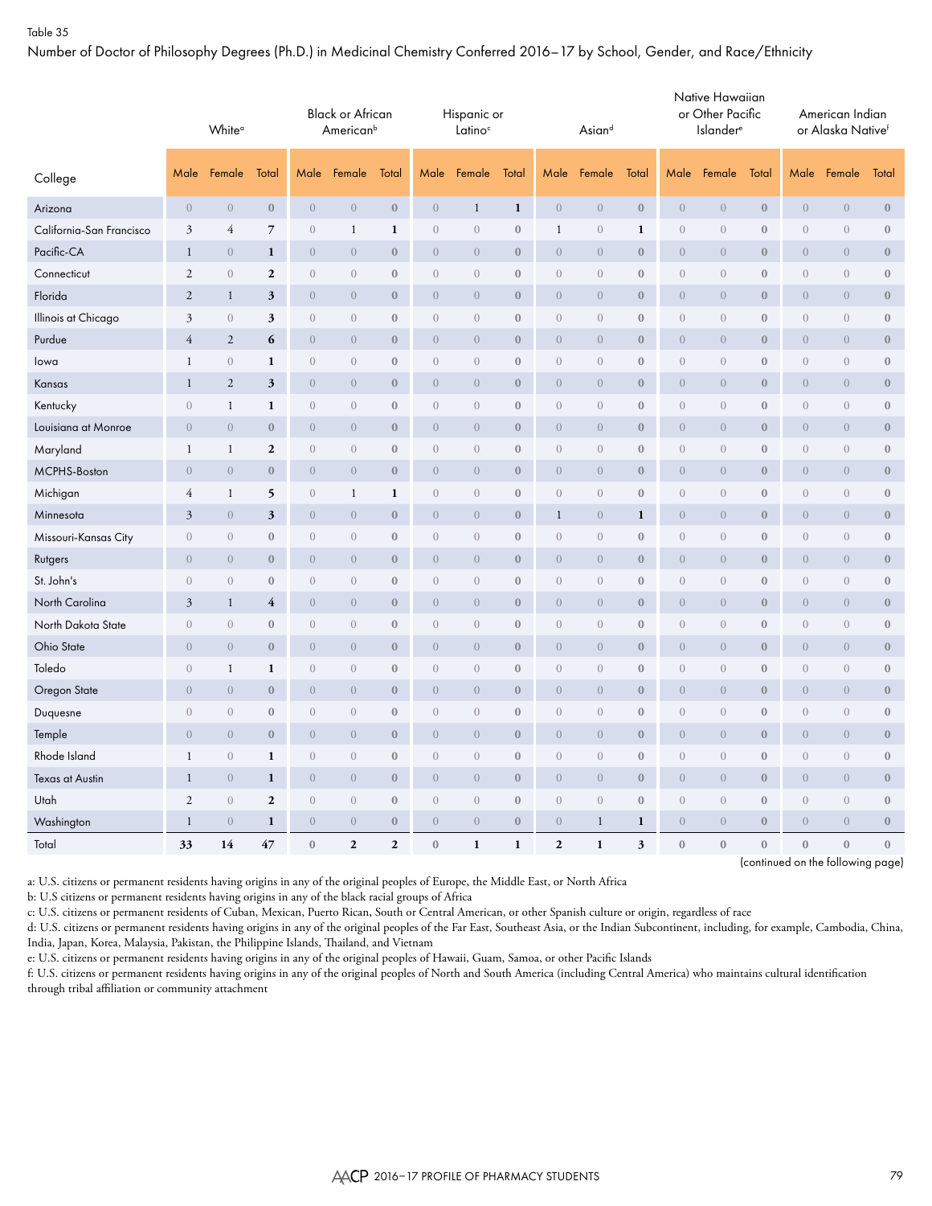Number of Doctor of Philosophy Degrees (Ph.D.) in Medicinal Chemistry Conferred 2016–17 by School, Gender, and Race/Ethnicity

|                          |                  | White <sup>a</sup> |                  |                  | <b>Black or African</b><br>American <sup>b</sup> |                  |                  | Hispanic or<br>Latino <sup>c</sup> |                  |                  | $\mathsf{A} \mathsf{s}$ iand |                  |                  | Native Hawaiian<br>or Other Pacific<br><b>Islander</b> <sup>e</sup> |                  |                  | American Indian<br>or Alaska Native <sup>f</sup> |                  |
|--------------------------|------------------|--------------------|------------------|------------------|--------------------------------------------------|------------------|------------------|------------------------------------|------------------|------------------|------------------------------|------------------|------------------|---------------------------------------------------------------------|------------------|------------------|--------------------------------------------------|------------------|
| College                  | Male             | Female             | Total            | Male             | Female                                           | Total            | Male             | Female                             | Total            | Male             | Female                       | Total            | Male             | Female                                                              | Total            | Male             | Female                                           | Total            |
| Arizona                  | $\overline{0}$   | $\overline{0}$     | $\mathbf{0}$     | $\overline{0}$   | $\overline{0}$                                   | $\mathbf{0}$     | $\sqrt{a}$       | $\mathbf{1}$                       | $\mathbf{1}$     | $\overline{0}$   | $\sqrt{a}$                   | $\mathbf{0}$     | $\overline{0}$   | $\overline{0}$                                                      | $\boldsymbol{0}$ | $\sqrt{a}$       | $\boldsymbol{0}$                                 | $\boldsymbol{0}$ |
| California-San Francisco | 3                | $\overline{4}$     | $\overline{7}$   | $\boldsymbol{0}$ | $\mathbf{1}$                                     | $\mathbf{1}$     | $\boldsymbol{0}$ | $\boldsymbol{0}$                   | $\boldsymbol{0}$ | $\mathbf{1}$     | $\overline{0}$               | $\mathbf{1}$     | $\sqrt{a}$       | $\sqrt{a}$                                                          | $\bf{0}$         | $\boldsymbol{0}$ | $\boldsymbol{0}$                                 | $\boldsymbol{0}$ |
| Pacific-CA               | $\mathbf{1}$     | $\overline{0}$     | $\mathbf{1}$     | $\overline{0}$   | $\overline{0}$                                   | $\boldsymbol{0}$ | $\boldsymbol{0}$ | $\overline{0}$                     | $\mathbf{0}$     | $\overline{0}$   | $\overline{0}$               | $\boldsymbol{0}$ | $\overline{0}$   | $\overline{0}$                                                      | $\boldsymbol{0}$ | $\overline{0}$   | $\overline{0}$                                   | $\boldsymbol{0}$ |
| Connecticut              | $\mathfrak{2}$   | $\sqrt{a}$         | $\mathbf{2}$     | $\sqrt{a}$       | $\sqrt{a}$                                       | $\boldsymbol{0}$ | $\boldsymbol{0}$ | $\sqrt{a}$                         | $\boldsymbol{0}$ | $\sqrt{a}$       | $\sqrt{a}$                   | $\bf 0$          | $\sqrt{a}$       | $\sqrt{a}$                                                          | $\boldsymbol{0}$ | $\boldsymbol{0}$ | $\boldsymbol{0}$                                 | $\boldsymbol{0}$ |
| Florida                  | $\overline{2}$   | $\mathbf{1}$       | $\mathfrak{z}$   | $\overline{0}$   | $\overline{0}$                                   | $\boldsymbol{0}$ | $\overline{0}$   | $\overline{0}$                     | $\boldsymbol{0}$ | $\overline{0}$   | $\overline{0}$               | $\boldsymbol{0}$ | $\overline{0}$   | $\overline{0}$                                                      | $\bf{0}$         | $\sqrt{a}$       | $\overline{0}$                                   | $\bf{0}$         |
| Illinois at Chicago      | 3                | $\overline{0}$     | 3                | $\overline{0}$   | $\overline{0}$                                   | $\boldsymbol{0}$ | $\overline{0}$   | $\overline{0}$                     | $\mathbf{0}$     | $\boldsymbol{0}$ | $\overline{0}$               | $\mathbf{0}$     | $\overline{0}$   | $\sqrt{a}$                                                          | $\bf{0}$         | $\sqrt{a}$       | $\boldsymbol{0}$                                 | $\boldsymbol{0}$ |
| Purdue                   | $\overline{4}$   | 2                  | 6                | $\overline{0}$   | $\overline{0}$                                   | $\boldsymbol{0}$ | $\theta$         | $\overline{0}$                     | $\mathbf{0}$     | $\overline{0}$   | $\overline{0}$               | $\mathbf{0}$     | $\overline{0}$   | $\overline{0}$                                                      | $\bf{0}$         | $\overline{0}$   | $\boldsymbol{0}$                                 | $\boldsymbol{0}$ |
| lowa                     | $\mathbf{1}$     | $\sqrt{a}$         | 1                | $\sqrt{a}$       | $\overline{0}$                                   | $\boldsymbol{0}$ | $\overline{0}$   | $\sqrt{a}$                         | $\mathbf{0}$     | $\boldsymbol{0}$ | $\overline{0}$               | $\boldsymbol{0}$ | $\sqrt{a}$       | $\sqrt{a}$                                                          | $\overline{0}$   | $\boldsymbol{0}$ | $\boldsymbol{0}$                                 | $\boldsymbol{0}$ |
| Kansas                   | $\mathbf{1}$     | $\sqrt{2}$         | 3                | $\theta$         | $\overline{0}$                                   | $\mathbf{0}$     | $\overline{0}$   | $\overline{0}$                     | $\mathbf{0}$     | $\theta$         | $\overline{0}$               | $\boldsymbol{0}$ | $\theta$         | $\theta$                                                            | $\overline{0}$   | $\boldsymbol{0}$ | $\overline{0}$                                   | $\boldsymbol{0}$ |
| Kentucky                 | $\boldsymbol{0}$ | $\mathbf{1}$       | $\mathbf{1}$     | $\theta$         | $\overline{0}$                                   | $\boldsymbol{0}$ | $\boldsymbol{0}$ | $\sqrt{a}$                         | $\boldsymbol{0}$ | $\theta$         | $\sqrt{a}$                   | $\boldsymbol{0}$ | $\theta$         | $\theta$                                                            | $\boldsymbol{0}$ | $\sqrt{a}$       | $\boldsymbol{0}$                                 | $\boldsymbol{0}$ |
| Louisiana at Monroe      | $\overline{0}$   | $\boldsymbol{0}$   | $\boldsymbol{0}$ | $\theta$         | $\overline{0}$                                   | $\boldsymbol{0}$ | $\boldsymbol{0}$ | $\boldsymbol{0}$                   | $\boldsymbol{0}$ | $\overline{0}$   | $\overline{0}$               | $\boldsymbol{0}$ | $\boldsymbol{0}$ | $\theta$                                                            | $\boldsymbol{0}$ | $\boldsymbol{0}$ | $\boldsymbol{0}$                                 | $\boldsymbol{0}$ |
| Maryland                 | $\mathbf{1}$     | $\mathbf{1}$       | $\boldsymbol{2}$ | $\theta$         | $\overline{0}$                                   | $\boldsymbol{0}$ | $\boldsymbol{0}$ | $\sqrt{a}$                         | $\boldsymbol{0}$ | $\overline{0}$   | $\overline{0}$               | $\bf 0$          | $\sqrt{a}$       | $\sqrt{a}$                                                          | $\bf{0}$         | $\boldsymbol{0}$ | $\boldsymbol{0}$                                 | $\boldsymbol{0}$ |
| MCPHS-Boston             | $\sqrt{a}$       | $\sqrt{a}$         | $\boldsymbol{0}$ | $\overline{0}$   | $\overline{0}$                                   | $\boldsymbol{0}$ | $\boldsymbol{0}$ | $\sqrt{a}$                         | $\mathbf{0}$     | $\overline{0}$   | $\overline{0}$               | $\mathbf{0}$     | $\sqrt{a}$       | $\overline{0}$                                                      | $\bf{0}$         | $\sqrt{a}$       | $\overline{0}$                                   | $\boldsymbol{0}$ |
| Michigan                 | $\overline{4}$   | $\mathbf{1}$       | 5                | $\sqrt{0}$       | $\mathbf{1}$                                     | $\mathbf{1}$     | $\boldsymbol{0}$ | $\boldsymbol{0}$                   | $\boldsymbol{0}$ | $\boldsymbol{0}$ | $\overline{0}$               | $\boldsymbol{0}$ | $\boldsymbol{0}$ | $\sqrt{a}$                                                          | $\bf{0}$         | $\boldsymbol{0}$ | $\boldsymbol{0}$                                 | $\boldsymbol{0}$ |
| Minnesota                | 3                | $\boldsymbol{0}$   | $\mathfrak{z}$   | $\overline{0}$   | $\overline{0}$                                   | $\boldsymbol{0}$ | $\boldsymbol{0}$ | $\overline{0}$                     | $\mathbf{0}$     | $\mathbf{1}$     | $\overline{0}$               | 1                | $\theta$         | $\overline{0}$                                                      | $\boldsymbol{0}$ | $\boldsymbol{0}$ | $\boldsymbol{0}$                                 | $\boldsymbol{0}$ |
| Missouri-Kansas City     | $\boldsymbol{0}$ | $\sqrt{a}$         | $\boldsymbol{0}$ | $\boldsymbol{0}$ | $\theta$                                         | $\boldsymbol{0}$ | $\boldsymbol{0}$ | $\boldsymbol{0}$                   | $\boldsymbol{0}$ | $\boldsymbol{0}$ | $\overline{0}$               | $\boldsymbol{0}$ | $\overline{0}$   | $\sqrt{a}$                                                          | $\bf{0}$         | $\boldsymbol{0}$ | $\boldsymbol{0}$                                 | $\boldsymbol{0}$ |
| Rutgers                  | $\overline{0}$   | $\boldsymbol{0}$   | $\boldsymbol{0}$ | $\theta$         | $\overline{0}$                                   | $\boldsymbol{0}$ | $\boldsymbol{0}$ | $\boldsymbol{0}$                   | $\boldsymbol{0}$ | $\overline{0}$   | $\boldsymbol{0}$             | $\bf 0$          | $\theta$         | $\theta$                                                            | $\boldsymbol{0}$ | $\overline{0}$   | $\overline{0}$                                   | $\boldsymbol{0}$ |
| St. John's               | $\sqrt{a}$       | $\sqrt{a}$         | $\boldsymbol{0}$ | $\sqrt{a}$       | $\sqrt{a}$                                       | $\boldsymbol{0}$ | $\boldsymbol{0}$ | $\sqrt{a}$                         | $\boldsymbol{0}$ | $\sqrt{a}$       | $\sqrt{a}$                   | $\bf 0$          | $\sqrt{a}$       | $\sqrt{a}$                                                          | $\bf{0}$         | $\sqrt{a}$       | $\boldsymbol{0}$                                 | $\boldsymbol{0}$ |
| North Carolina           | $\overline{3}$   | $\mathbf{1}$       | $\overline{4}$   | $\overline{0}$   | $\overline{0}$                                   | $\boldsymbol{0}$ | $\boldsymbol{0}$ | $\overline{0}$                     | $\mathbf{0}$     | $\boldsymbol{0}$ | $\overline{0}$               | $\boldsymbol{0}$ | $\sqrt{a}$       | $\overline{0}$                                                      | $\bf{0}$         | $\sqrt{a}$       | $\overline{0}$                                   | $\boldsymbol{0}$ |
| North Dakota State       | $\sqrt{a}$       | $\sqrt{a}$         | $\boldsymbol{0}$ | $\sqrt{a}$       | $\sqrt{a}$                                       | $\boldsymbol{0}$ | $\overline{0}$   | $\sqrt{a}$                         | $\boldsymbol{0}$ | $\boldsymbol{0}$ | $\sqrt{a}$                   | $\boldsymbol{0}$ | $\sqrt{a}$       | $\sqrt{a}$                                                          | $\bf{0}$         | $\boldsymbol{0}$ | $\boldsymbol{0}$                                 | $\boldsymbol{0}$ |
| Ohio State               | $\sqrt{a}$       | $\sqrt{a}$         | $\boldsymbol{0}$ | $\overline{0}$   | $\overline{0}$                                   | $\bf{0}$         | $\theta$         | $\sqrt{a}$                         | $\mathbf{0}$     | $\overline{0}$   | $\overline{0}$               | $\mathbf{0}$     | $\overline{0}$   | $\overline{0}$                                                      | $\bf{0}$         | $\sqrt{a}$       | $\boldsymbol{0}$                                 | $\boldsymbol{0}$ |
| Toledo                   | $\sqrt{a}$       | 1                  | 1                | $\overline{0}$   | $\overline{0}$                                   | $\boldsymbol{0}$ | $\overline{0}$   | $\sqrt{a}$                         | $\boldsymbol{0}$ | $\overline{0}$   | $\overline{0}$               | $\bf 0$          | $\overline{0}$   | $\overline{0}$                                                      | $\boldsymbol{0}$ | $\overline{0}$   | $\boldsymbol{0}$                                 | $\boldsymbol{0}$ |
| Oregon State             | $\overline{0}$   | $\overline{0}$     | $\mathbf{0}$     | $\overline{0}$   | $\overline{0}$                                   | $\mathbf{0}$     | $\overline{0}$   | $\overline{0}$                     | $\mathbf{0}$     | $\overline{0}$   | $\overline{0}$               | $\mathbf{0}$     | $\overline{0}$   | $\overline{0}$                                                      | $\bf{0}$         | $\overline{0}$   | $\overline{0}$                                   | $\boldsymbol{0}$ |
| Duquesne                 | $\sqrt{a}$       | $\sqrt{a}$         | $\boldsymbol{0}$ | $\theta$         | $\theta$                                         | $\boldsymbol{0}$ | $\boldsymbol{0}$ | $\sqrt{a}$                         | $\boldsymbol{0}$ | $\theta$         | $\sqrt{a}$                   | $\bf 0$          | $\theta$         | $\theta$                                                            | $\boldsymbol{0}$ | $\sqrt{a}$       | $\boldsymbol{0}$                                 | $\boldsymbol{0}$ |
| Temple                   | $\overline{0}$   | $\boldsymbol{0}$   | $\boldsymbol{0}$ | $\theta$         | $\overline{0}$                                   | $\mathbf{0}$     | $\overline{0}$   | $\boldsymbol{0}$                   | $\bf{0}$         | $\overline{0}$   | $\overline{0}$               | $\boldsymbol{0}$ | $\overline{0}$   | $\overline{0}$                                                      | $\overline{0}$   | $\overline{0}$   | $\boldsymbol{0}$                                 | $\boldsymbol{0}$ |
| Rhode Island             | $\mathbf{1}$     | $\sqrt{a}$         | $\mathbf{1}$     | $\sqrt{a}$       | $\overline{0}$                                   | $\mathbf{0}$     | $\overline{0}$   | $\sqrt{a}$                         | $\boldsymbol{0}$ | $\overline{0}$   | $\overline{0}$               | $\bf 0$          | $\sqrt{a}$       | $\theta$                                                            | $\overline{0}$   | $\boldsymbol{0}$ | $\boldsymbol{0}$                                 | $\boldsymbol{0}$ |
| <b>Texas at Austin</b>   | $\mathbf{1}$     | $\boldsymbol{0}$   | $\mathbf{1}$     | $\theta$         | $\overline{0}$                                   | $\boldsymbol{0}$ | $\boldsymbol{0}$ | $\boldsymbol{0}$                   | $\boldsymbol{0}$ | $\overline{0}$   | $\overline{0}$               | $\bf 0$          | $\theta$         | $\overline{0}$                                                      | $\boldsymbol{0}$ | $\boldsymbol{0}$ | $\boldsymbol{0}$                                 | $\boldsymbol{0}$ |
| Utah                     | $\sqrt{2}$       | $\boldsymbol{0}$   | $\boldsymbol{2}$ | $\boldsymbol{0}$ | $\boldsymbol{0}$                                 | $\boldsymbol{0}$ | $\boldsymbol{0}$ | $\boldsymbol{0}$                   | $\boldsymbol{0}$ | $\boldsymbol{0}$ | $\sqrt{a}$                   | $\boldsymbol{0}$ | $\boldsymbol{0}$ | $\,0\,$                                                             | $\boldsymbol{0}$ | $\boldsymbol{0}$ | $\boldsymbol{0}$                                 | $\boldsymbol{0}$ |
| Washington               | $\mathbf{1}$     | $\boldsymbol{0}$   | 1                | $\overline{0}$   | $\overline{0}$                                   | $\bf{0}$         | $\boldsymbol{0}$ | $\boldsymbol{0}$                   | $\mathbf{0}$     | $\boldsymbol{0}$ | $\mathbf{1}$                 | $\mathbf{1}$     | $\overline{0}$   | $\overline{0}$                                                      | $\boldsymbol{0}$ | $\boldsymbol{0}$ | $\overline{0}$                                   | $\boldsymbol{0}$ |
| Total                    | 33               | 14                 | 47               | $\mathbf{0}$     | $\overline{2}$                                   | $\overline{2}$   | $\mathbf{0}$     | $\mathbf{1}$                       | 1                | $\overline{2}$   | 1                            | 3                | $\mathbf{0}$     | $\mathbf{0}$                                                        | $\overline{0}$   | $\overline{0}$   | $\mathbf{0}$                                     | $\boldsymbol{0}$ |

(continued on the following page)

a: U.S. citizens or permanent residents having origins in any of the original peoples of Europe, the Middle East, or North Africa

b: U.S citizens or permanent residents having origins in any of the black racial groups of Africa

c: U.S. citizens or permanent residents of Cuban, Mexican, Puerto Rican, South or Central American, or other Spanish culture or origin, regardless of race

d: U.S. citizens or permanent residents having origins in any of the original peoples of the Far East, Southeast Asia, or the Indian Subcontinent, including, for example, Cambodia, China, India, Japan, Korea, Malaysia, Pakistan, the Philippine Islands, Thailand, and Vietnam

e: U.S. citizens or permanent residents having origins in any of the original peoples of Hawaii, Guam, Samoa, or other Pacific Islands

f: U.S. citizens or permanent residents having origins in any of the original peoples of North and South America (including Central America) who maintains cultural identification through tribal affiliation or community attachment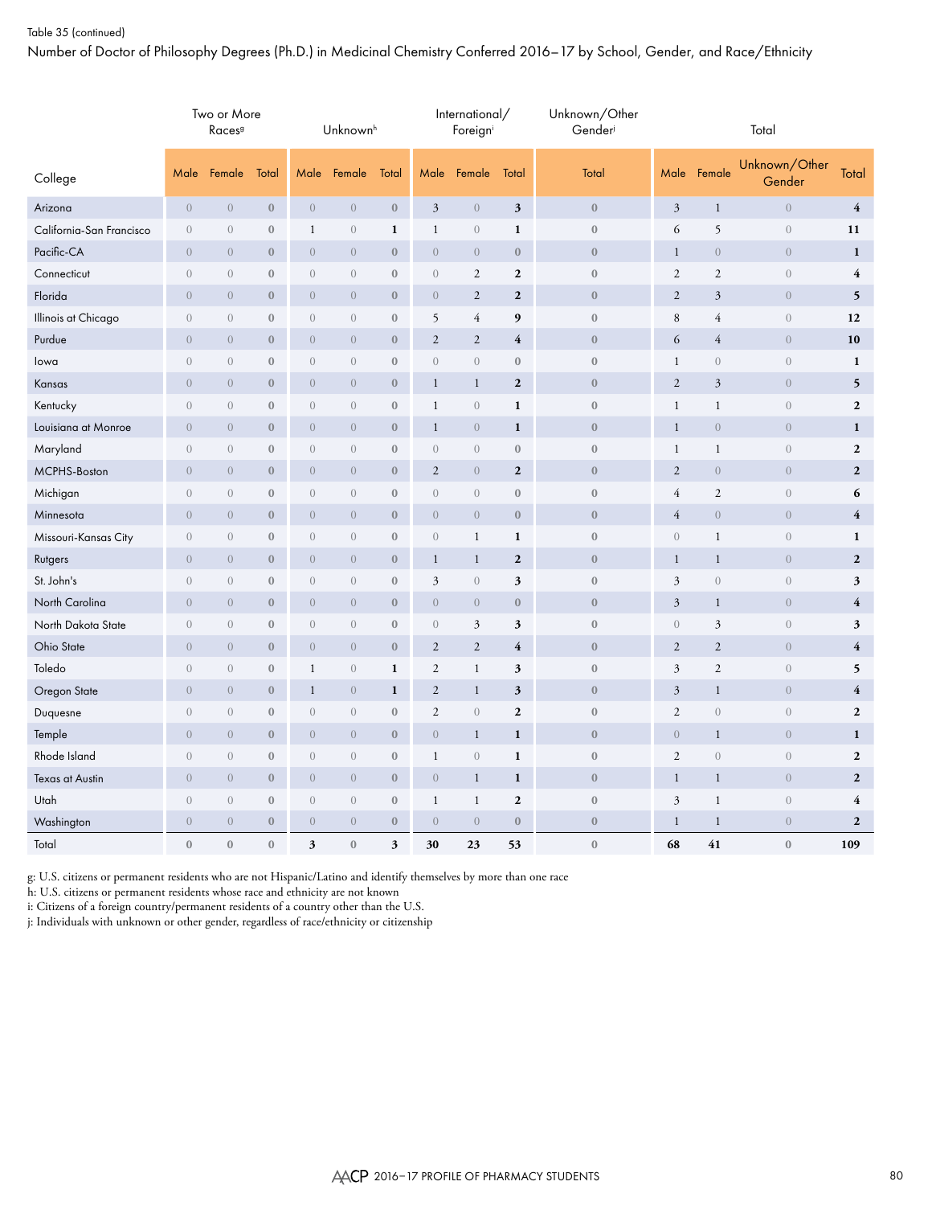### Table 35 (continued)

Number of Doctor of Philosophy Degrees (Ph.D.) in Medicinal Chemistry Conferred 2016–17 by School, Gender, and Race/Ethnicity

|                          | Two or More<br>Races <sup>9</sup><br>Male<br>Female<br>Total |                                |                  |                  | Unknownh         |                  |                         | International/<br>Foreigni |                  | Unknown/Other<br>Gender |                      |                  | Total                   |                         |
|--------------------------|--------------------------------------------------------------|--------------------------------|------------------|------------------|------------------|------------------|-------------------------|----------------------------|------------------|-------------------------|----------------------|------------------|-------------------------|-------------------------|
| College                  |                                                              |                                |                  | Male             | Female           | Total            | Male                    | Female                     | Total            | Total                   | Male                 | Female           | Unknown/Other<br>Gender | Total                   |
| Arizona                  | $\theta$                                                     | $\theta$                       | $\boldsymbol{0}$ | $\boldsymbol{0}$ | $\theta$         | $\boldsymbol{0}$ | $\mathfrak{Z}$          | $\boldsymbol{0}$           | $\mathfrak z$    | $\boldsymbol{0}$        | $\mathfrak{Z}$       | $\mathbf{1}$     | $\boldsymbol{0}$        | $\overline{\mathbf{4}}$ |
| California-San Francisco | $\theta$                                                     | $\theta$                       | $\boldsymbol{0}$ | $\mathbf{1}$     | $\theta$         | $\mathbf{1}$     | $\mathbf{1}$            | $\theta$                   | $\mathbf{1}$     | $\boldsymbol{0}$        | $\sqrt{6}$           | 5                | $\,0\,$                 | 11                      |
| Pacific-CA               | $\theta$                                                     | $\overline{0}$                 | $\boldsymbol{0}$ | $\boldsymbol{0}$ | $\overline{0}$   | $\boldsymbol{0}$ | $\boldsymbol{0}$        | $\boldsymbol{0}$           | $\boldsymbol{0}$ | $\boldsymbol{0}$        | $\mathbf{1}$         | $\,0\,$          | $\overline{0}$          | $\mathbf{1}$            |
| Connecticut              | $\sqrt{a}$                                                   | $\theta$                       | $\mathbf{0}$     | $\overline{0}$   | $\overline{0}$   | $\mathbf{0}$     | $\boldsymbol{0}$        | 2                          | $\mathbf{2}$     | $\mathbf{0}$            | $\mathfrak{2}$       | $\overline{c}$   | $\overline{0}$          | $\overline{4}$          |
| Florida                  | $\overline{0}$                                               | $\boldsymbol{0}$               | $\boldsymbol{0}$ | $\overline{0}$   | $\theta$         | $\boldsymbol{0}$ | $\boldsymbol{0}$        | $\sqrt{2}$                 | $\mathbf 2$      | $\boldsymbol{0}$        | $\sqrt{2}$           | $\mathfrak{Z}$   | $\boldsymbol{0}$        | 5                       |
| Illinois at Chicago      | $\overline{0}$                                               | $\theta$                       | $\boldsymbol{0}$ | $\overline{0}$   | $\theta$         | $\boldsymbol{0}$ | 5                       | $\overline{4}$             | 9                | $\boldsymbol{0}$        | $\,8\,$              | $\overline{4}$   | $\boldsymbol{0}$        | 12                      |
| Purdue                   | $\overline{0}$                                               | $\overline{0}$                 | $\boldsymbol{0}$ | $\boldsymbol{0}$ | $\theta$         | $\boldsymbol{0}$ | $\mathbf{2}$            | $\overline{2}$             | 4                | $\mathbf{0}$            | 6                    | 4                | $\overline{0}$          | 10                      |
| lowa                     | $\overline{0}$                                               | $\theta$                       | $\mathbf{0}$     | $\overline{0}$   | $\theta$         | $\boldsymbol{0}$ | $\boldsymbol{0}$        | $\theta$                   | $\boldsymbol{0}$ | $\mathbf{0}$            | $\mathbf{1}$         | $\mathbf{0}$     | $\boldsymbol{0}$        | $\mathbf{1}$            |
| Kansas                   | $\theta$                                                     | $\boldsymbol{0}$               | $\boldsymbol{0}$ | $\boldsymbol{0}$ | $\theta$         | $\boldsymbol{0}$ | $\mathbf{1}$            | $\mathbf{1}$               | $\boldsymbol{2}$ | $\boldsymbol{0}$        | $\sqrt{2}$           | $\mathfrak{Z}$   | $\boldsymbol{0}$        | 5                       |
| Kentucky                 | $\boldsymbol{0}$                                             | $\overline{0}$                 | $\boldsymbol{0}$ | $\boldsymbol{0}$ | $\boldsymbol{0}$ | $\boldsymbol{0}$ | $\mathbf{1}$            | $\boldsymbol{0}$           | $\mathbf{1}$     | $\boldsymbol{0}$        | $\mathbf{1}$         | $\mathbf{1}$     | $\boldsymbol{0}$        | $\mathbf 2$             |
| Louisiana at Monroe      | $\theta$                                                     | $\overline{0}$                 | $\boldsymbol{0}$ | $\overline{0}$   | $\theta$         | $\boldsymbol{0}$ | $\mathbf{1}$            | $\theta$                   | $\mathbf{1}$     | $\boldsymbol{0}$        | $\mathbf{1}$         | $\overline{0}$   | $\boldsymbol{0}$        | $\mathbf{1}$            |
| Maryland                 | $\overline{0}$                                               | $\overline{0}$                 | $\boldsymbol{0}$ | $\overline{0}$   | $\overline{0}$   | $\boldsymbol{0}$ | $\boldsymbol{0}$        | $\boldsymbol{0}$           | $\boldsymbol{0}$ | $\mathbf{0}$            | $\mathbf{1}$         | $\mathbf{1}$     | $\boldsymbol{0}$        | $\boldsymbol{2}$        |
| MCPHS-Boston             | $\theta$                                                     | $\theta$                       | $\boldsymbol{0}$ | $\overline{0}$   | $\theta$         | $\boldsymbol{0}$ | $\sqrt{2}$              | $\boldsymbol{0}$           | $\boldsymbol{2}$ | $\boldsymbol{0}$        | $\sqrt{2}$           | $\boldsymbol{0}$ | $\boldsymbol{0}$        | $\mathbf{2}$            |
| Michigan                 | $\overline{0}$                                               | $\overline{0}$                 | $\boldsymbol{0}$ | $\boldsymbol{0}$ | $\boldsymbol{0}$ | $\boldsymbol{0}$ | $\boldsymbol{0}$        | $\theta$                   | $\boldsymbol{0}$ | $\mathbf{0}$            | $\overline{4}$       | $\overline{c}$   | $\boldsymbol{0}$        | 6                       |
| Minnesota                | $\theta$                                                     | $\boldsymbol{0}$               | $\boldsymbol{0}$ | $\boldsymbol{0}$ | $\boldsymbol{0}$ | $\boldsymbol{0}$ | $\boldsymbol{0}$        | $\boldsymbol{0}$           | $\boldsymbol{0}$ | $\boldsymbol{0}$        | $\overline{4}$       | $\boldsymbol{0}$ | $\boldsymbol{0}$        | 4                       |
| Missouri-Kansas City     | $\overline{0}$                                               | $\sqrt{a}$                     | $\boldsymbol{0}$ | $\boldsymbol{0}$ | $\boldsymbol{0}$ | $\boldsymbol{0}$ | $\boldsymbol{0}$        | 1                          | $\mathbf 1$      | $\boldsymbol{0}$        | $\boldsymbol{0}$     | $\mathbf 1$      | $\boldsymbol{0}$        | $\mathbf{1}$            |
| Rutgers                  | $\theta$                                                     | $\theta$                       | $\boldsymbol{0}$ | $\boldsymbol{0}$ | $\boldsymbol{0}$ | $\boldsymbol{0}$ | $\mathbf{1}$            | $\mathbf{1}$               | $\boldsymbol{2}$ | $\boldsymbol{0}$        | $\mathbf{1}$         | $\mathbf{1}$     | $\boldsymbol{0}$        | $\boldsymbol{2}$        |
| St. John's               | $\sqrt{a}$                                                   | $\sqrt{a}$                     | $\boldsymbol{0}$ | $\boldsymbol{0}$ | $\boldsymbol{0}$ | $\boldsymbol{0}$ | 3                       | $\boldsymbol{0}$           | 3                | $\boldsymbol{0}$        | $\mathfrak{Z}$       | $\mathbf{0}$     | $\boldsymbol{0}$        | $\sqrt{3}$              |
| North Carolina           | $\theta$                                                     | $\overline{0}$                 | $\boldsymbol{0}$ | $\overline{0}$   | $\theta$         | $\boldsymbol{0}$ | $\boldsymbol{0}$        | $\boldsymbol{0}$           | $\boldsymbol{0}$ | $\boldsymbol{0}$        | $\mathfrak{Z}$       | $\mathbf{1}$     | $\overline{0}$          | $\overline{\mathbf{4}}$ |
| North Dakota State       | $\overline{0}$                                               | $\sqrt{a}$                     | $\boldsymbol{0}$ | $\boldsymbol{0}$ | $\boldsymbol{0}$ | $\boldsymbol{0}$ | $\boldsymbol{0}$        | $\mathfrak{Z}$             | 3                | $\boldsymbol{0}$        | $\sqrt{a}$           | 3                | $\boldsymbol{0}$        | $\sqrt{3}$              |
| Ohio State               | $\overline{0}$                                               | $\overline{0}$                 | $\boldsymbol{0}$ | $\overline{0}$   | $\overline{0}$   | $\boldsymbol{0}$ | $\overline{2}$          | $\overline{2}$             | $\overline{4}$   | $\mathbf{0}$            | $\overline{2}$       | $\overline{2}$   | $\boldsymbol{0}$        | $\overline{4}$          |
| Toledo                   | $\sqrt{a}$                                                   | $\sqrt{a}$                     | $\boldsymbol{0}$ | $\mathbf{1}$     | $\sqrt{a}$       | $\mathbf{1}$     | $\mathfrak{2}$          | $\mathbf{1}$               | 3                | $\boldsymbol{0}$        | $\mathfrak{Z}$       | $\overline{c}$   | $\boldsymbol{0}$        | 5                       |
| Oregon State             | $\overline{0}$                                               | $\overline{0}$                 | $\boldsymbol{0}$ | $\mathbf{1}$     | $\overline{0}$   | $\mathbf{1}$     | $\overline{\mathbf{c}}$ | $\mathbf{1}$               | 3                | $\mathbf{0}$            | $\mathfrak{Z}$       | $\mathbf{1}$     | $\mathbf{0}$            | $\overline{\mathbf{4}}$ |
| Duquesne                 | $\boldsymbol{0}$                                             | $\left\langle {}\right\rangle$ | $\boldsymbol{0}$ | $\overline{0}$   | $\overline{0}$   | $\boldsymbol{0}$ | $\overline{c}$          | $\boldsymbol{0}$           | $\mathbf 2$      | $\boldsymbol{0}$        | $\sqrt{2}$           | $\boldsymbol{0}$ | $\boldsymbol{0}$        | $\boldsymbol{2}$        |
| Temple                   | $\overline{0}$                                               | $\overline{0}$                 | $\mathbf{0}$     | $\overline{0}$   | $\overline{0}$   | $\boldsymbol{0}$ | $\boldsymbol{0}$        | $\mathbf{1}$               | $\mathbf{1}$     | $\mathbf{0}$            | $\mathbf{0}$         | $\mathbf{1}$     | $\overline{0}$          | $\mathbf{1}$            |
| Rhode Island             | $\sqrt{a}$                                                   | $\sqrt{a}$                     | $\boldsymbol{0}$ | $\boldsymbol{0}$ | $\boldsymbol{0}$ | $\boldsymbol{0}$ | $\mathbf{1}$            | $\boldsymbol{0}$           | $\mathbf 1$      | $\boldsymbol{0}$        | $\mathfrak{2}$       | $\mathbf{0}$     | $\sqrt{a}$              | $\boldsymbol{2}$        |
| <b>Texas at Austin</b>   | $\overline{0}$                                               | $\overline{0}$                 | $\boldsymbol{0}$ | $\overline{0}$   | $\overline{0}$   | $\mathbf{0}$     | $\overline{0}$          | $\mathbf{1}$               | $\mathbf{1}$     | $\mathbf{0}$            | $\mathbf{1}$         | $\mathbf{1}$     | $\overline{0}$          | $\boldsymbol{2}$        |
| Utah                     | $\boldsymbol{0}$                                             | $\boldsymbol{0}$               | $\boldsymbol{0}$ | $\boldsymbol{0}$ | $\boldsymbol{0}$ | $\boldsymbol{0}$ | $\mathbf{1}$            | $\mathbf{1}$               | $\mathbf{2}$     | $\boldsymbol{0}$        | $\boldsymbol{\beta}$ | $\mathbf{1}$     | $\boldsymbol{0}$        | $\overline{\mathbf{4}}$ |
| Washington               | $\overline{0}$                                               | $\overline{0}$                 | $\boldsymbol{0}$ | $\overline{0}$   | $\overline{0}$   | $\mathbf{0}$     | $\overline{0}$          | $\overline{0}$             | $\mathbf{0}$     | $\mathbf{0}$            | $\mathbf{1}$         | $\mathbf{1}$     | $\mathbf{0}$            | $\mathbf{2}$            |
| Total                    | $\mathbf{0}$                                                 | $\mathbf{0}$                   | $\boldsymbol{0}$ | 3                | $\mathbf{0}$     | 3                | 30                      | 23                         | 53               | $\boldsymbol{0}$        | 68                   | 41               | $\boldsymbol{0}$        | 109                     |

g: U.S. citizens or permanent residents who are not Hispanic/Latino and identify themselves by more than one race

h: U.S. citizens or permanent residents whose race and ethnicity are not known

i: Citizens of a foreign country/permanent residents of a country other than the U.S.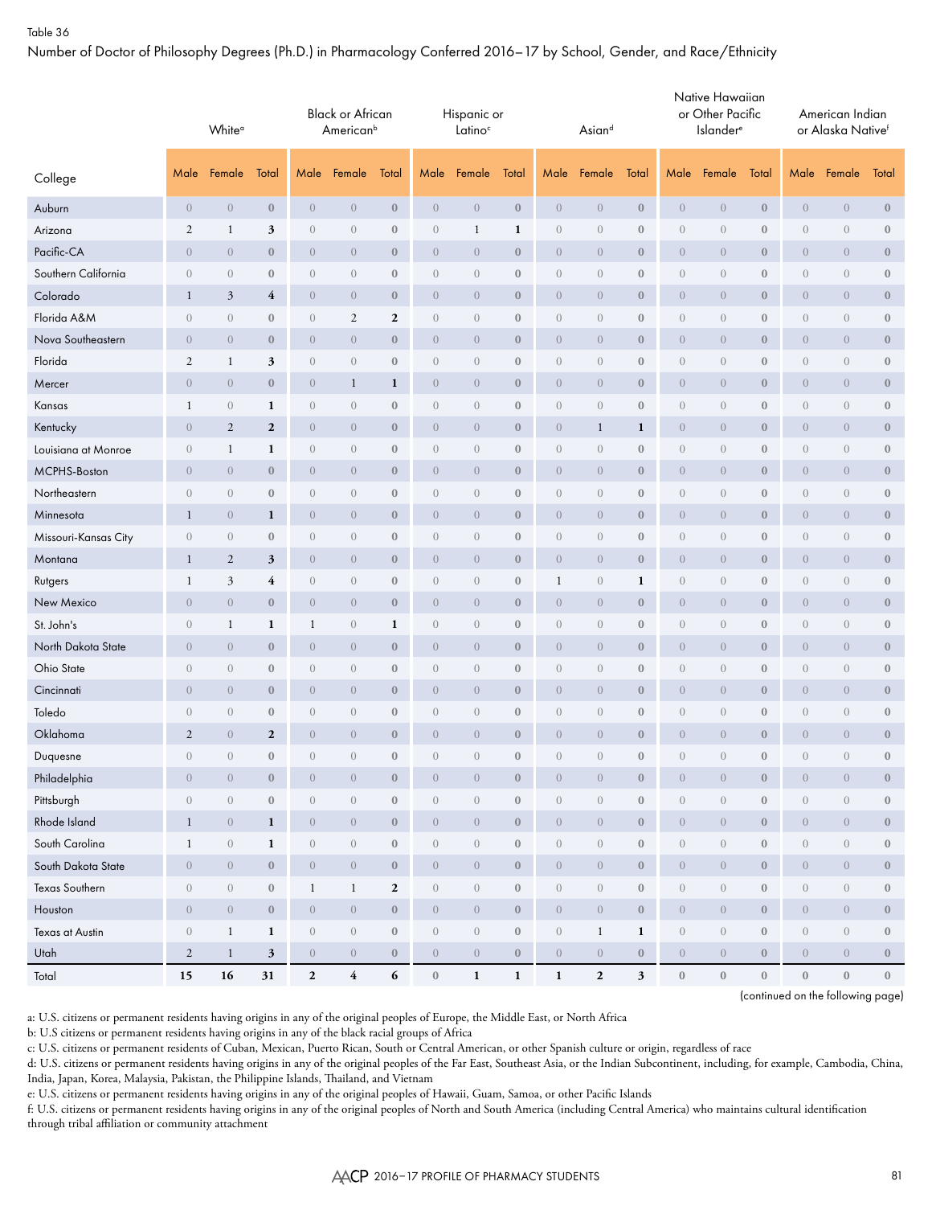Number of Doctor of Philosophy Degrees (Ph.D.) in Pharmacology Conferred 2016–17 by School, Gender, and Race/Ethnicity

|                      | White <sup>o</sup><br>Male<br>Female |                  |                  |                  | <b>Black or African</b><br>American <sup>b</sup> |                  |                  | Hispanic or<br>Latino <sup>c</sup> |                  |                  | Asiand           |                  |                  | Native Hawaiian<br>or Other Pacific<br><b>Islander</b> <sup>e</sup> |                  |                  | American Indian<br>or Alaska Nativef |                  |
|----------------------|--------------------------------------|------------------|------------------|------------------|--------------------------------------------------|------------------|------------------|------------------------------------|------------------|------------------|------------------|------------------|------------------|---------------------------------------------------------------------|------------------|------------------|--------------------------------------|------------------|
| College              |                                      |                  | Total            | Male             | Female                                           | Total            | Male             | Female                             | Total            | Male             | Female           | Total            | Male             | Female                                                              | Total            | Male             | Female                               | Total            |
| Auburn               | $\overline{0}$                       | $\theta$         | $\bf 0$          | $\theta$         | $\overline{0}$                                   | $\mathbf{0}$     | $\overline{0}$   | $\theta$                           | $\boldsymbol{0}$ | $\boldsymbol{0}$ | $\boldsymbol{0}$ | $\boldsymbol{0}$ | $\overline{0}$   | $\boldsymbol{0}$                                                    | $\mathbf{0}$     | $\boldsymbol{0}$ | $\boldsymbol{0}$                     | $\boldsymbol{0}$ |
| Arizona              | $\sqrt{2}$                           | $\mathbf{1}$     | 3                | $\sqrt{a}$       | $\boldsymbol{0}$                                 | $\boldsymbol{0}$ | $\overline{0}$   | $\mathbf{1}$                       | 1                | $\sqrt{a}$       | $\sqrt{a}$       | $\bf{0}$         | $\boldsymbol{0}$ | $\boldsymbol{0}$                                                    | $\boldsymbol{0}$ | $\boldsymbol{0}$ | $\theta$                             | $\boldsymbol{0}$ |
| Pacific-CA           | $\overline{0}$                       | $\overline{0}$   | $\bf{0}$         | $\theta$         | $\overline{0}$                                   | $\boldsymbol{0}$ | $\overline{0}$   | $\theta$                           | $\boldsymbol{0}$ | $\overline{0}$   | $\overline{0}$   | $\bf{0}$         | $\overline{0}$   | $\overline{0}$                                                      | $\boldsymbol{0}$ | $\overline{0}$   | $\theta$                             | $\boldsymbol{0}$ |
| Southern California  | $\overline{0}$                       | $\overline{0}$   | $\bf{0}$         | $\overline{0}$   | $\overline{0}$                                   | $\bf{0}$         | $\overline{0}$   | $\overline{0}$                     | $\bf{0}$         | $\overline{0}$   | $\overline{0}$   | $\bf{0}$         | $\theta$         | $\overline{0}$                                                      | $\bf{0}$         | $\theta$         | $\theta$                             | $\bf 0$          |
| Colorado             | $\mathbf{1}$                         | $\mathfrak{Z}$   | $\overline{4}$   | $\theta$         | $\overline{0}$                                   | $\boldsymbol{0}$ | $\overline{0}$   | $\theta$                           | $\bf{0}$         | $\overline{0}$   | $\overline{0}$   | $\bf{0}$         | $\overline{0}$   | $\boldsymbol{0}$                                                    | $\bf{0}$         | $\theta$         | $\theta$                             | $\bf{0}$         |
| Florida A&M          | $\begin{matrix} 0 \end{matrix}$      | $\overline{0}$   | $\bf{0}$         | $\sqrt{a}$       | $\mathfrak{2}$                                   | $\boldsymbol{2}$ | $\overline{0}$   | $\theta$                           | $\boldsymbol{0}$ | $\overline{0}$   | $\overline{0}$   | $\bf 0$          | $\boldsymbol{0}$ | $\overline{0}$                                                      | $\bf{0}$         | $\theta$         | $\theta$                             | $\bf 0$          |
| Nova Southeastern    | $\overline{0}$                       | $\theta$         | $\bf{0}$         | $\overline{0}$   | $\overline{0}$                                   | $\bf{0}$         | $\overline{0}$   | $\theta$                           | $\boldsymbol{0}$ | $\overline{0}$   | $\overline{0}$   | $\bf{0}$         | $\boldsymbol{0}$ | $\boldsymbol{0}$                                                    | $\mathbf{0}$     | $\theta$         | $\overline{0}$                       | $\bf{0}$         |
| Florida              | $\mathfrak{2}$                       | 1                | 3                | $\overline{0}$   | $\begin{matrix} 0 \end{matrix}$                  | $\boldsymbol{0}$ | $\overline{0}$   | $\theta$                           | $\boldsymbol{0}$ | $\overline{0}$   | $\overline{0}$   | $\mathbf{0}$     | $\boldsymbol{0}$ | $\overline{0}$                                                      | $\boldsymbol{0}$ | $\theta$         | $\theta$                             | $\bf 0$          |
| Mercer               | $\overline{0}$                       | $\overline{0}$   | $\bf{0}$         | $\overline{0}$   | $\mathbf{1}$                                     | 1                | $\overline{0}$   | $\overline{0}$                     | $\bf{0}$         | $\overline{0}$   | $\overline{0}$   | $\bf{0}$         | $\overline{0}$   | $\overline{0}$                                                      | $\bf{0}$         | $\theta$         | $\overline{0}$                       | $\bf{0}$         |
| Kansas               | 1                                    | $\sqrt{a}$       | 1                | $\sqrt{a}$       | $\overline{0}$                                   | $\boldsymbol{0}$ | $\overline{0}$   | $\theta$                           | $\boldsymbol{0}$ | $\overline{0}$   | $\sqrt{a}$       | $\boldsymbol{0}$ | $\boldsymbol{0}$ | $\boldsymbol{0}$                                                    | $\bf{0}$         | $\boldsymbol{0}$ | $\theta$                             | $\bf 0$          |
| Kentucky             | $\overline{0}$                       | $\overline{2}$   | $\boldsymbol{2}$ | $\overline{0}$   | $\overline{0}$                                   | $\boldsymbol{0}$ | $\overline{0}$   | $\theta$                           | $\bf{0}$         | $\overline{0}$   | $\mathbf{1}$     | 1                | $\boldsymbol{0}$ | $\overline{0}$                                                      | $\bf{0}$         | $\theta$         | $\overline{0}$                       | $\bf{0}$         |
| Louisiana at Monroe  | $\boldsymbol{0}$                     | $\mathbf{1}$     | $\mathbf{1}$     | $\sqrt{a}$       | $\boldsymbol{0}$                                 | $\boldsymbol{0}$ | $\boldsymbol{0}$ | $\theta$                           | $\boldsymbol{0}$ | $\sqrt{a}$       | $\sqrt{a}$       | $\bf 0$          | $\boldsymbol{0}$ | $\boldsymbol{0}$                                                    | $\boldsymbol{0}$ | $\boldsymbol{0}$ | $\theta$                             | $\boldsymbol{0}$ |
| MCPHS-Boston         | $\overline{0}$                       | $\theta$         | $\bf{0}$         | $\theta$         | $\overline{0}$                                   | $\boldsymbol{0}$ | $\overline{0}$   | $\theta$                           | $\boldsymbol{0}$ | $\overline{0}$   | $\overline{0}$   | $\bf{0}$         | $\overline{0}$   | $\overline{0}$                                                      | $\boldsymbol{0}$ | $\overline{0}$   | $\theta$                             | $\boldsymbol{0}$ |
| Northeastern         | $\overline{0}$                       | $\overline{0}$   | $\bf{0}$         | $\sqrt{a}$       | $\overline{0}$                                   | $\bf{0}$         | $\overline{0}$   | $\theta$                           | $\bf{0}$         | $\overline{0}$   | $\overline{0}$   | $\bf{0}$         | $\boldsymbol{0}$ | $\overline{0}$                                                      | $\bf{0}$         | $\theta$         | $\theta$                             | $\bf 0$          |
| Minnesota            | $\mathbf{1}$                         | $\theta$         | 1                | $\theta$         | $\overline{0}$                                   | $\bf{0}$         | $\overline{0}$   | $\theta$                           | $\boldsymbol{0}$ | $\overline{0}$   | $\overline{0}$   | $\bf{0}$         | $\boldsymbol{0}$ | $\boldsymbol{0}$                                                    | $\bf{0}$         | $\theta$         | $\theta$                             | $\bf{0}$         |
| Missouri-Kansas City | $\overline{0}$                       | $\overline{0}$   | $\bf{0}$         | $\sqrt{a}$       | $\overline{0}$                                   | $\bf{0}$         | $\overline{0}$   | $\theta$                           | $\boldsymbol{0}$ | $\overline{0}$   | $\overline{0}$   | $\bf 0$          | $\boldsymbol{0}$ | $\theta$                                                            | $\bf{0}$         | $\theta$         | $\theta$                             | $\bf 0$          |
| Montana              | $\mathbf{1}$                         | $\sqrt{2}$       | 3                | $\theta$         | $\overline{0}$                                   | $\bf{0}$         | $\overline{0}$   | $\theta$                           | $\boldsymbol{0}$ | $\boldsymbol{0}$ | $\boldsymbol{0}$ | $\boldsymbol{0}$ | $\boldsymbol{0}$ | $\boldsymbol{0}$                                                    | $\mathbf{0}$     | $\theta$         | $\overline{0}$                       | $\bf{0}$         |
| Rutgers              | 1                                    | $\mathfrak{Z}$   | 4                | $\theta$         | $\overline{0}$                                   | $\boldsymbol{0}$ | $\overline{0}$   | $\theta$                           | $\boldsymbol{0}$ | $\mathbf{1}$     | $\overline{0}$   | $\mathbf{1}$     | $\boldsymbol{0}$ | $\overline{0}$                                                      | $\boldsymbol{0}$ | $\theta$         | $\theta$                             | $\bf 0$          |
| New Mexico           | $\overline{0}$                       | $\overline{0}$   | $\bf{0}$         | $\overline{0}$   | $\overline{0}$                                   | $\mathbf{0}$     | $\overline{0}$   | $\overline{0}$                     | $\bf{0}$         | $\overline{0}$   | $\overline{0}$   | $\bf{0}$         | $\overline{0}$   | $\overline{0}$                                                      | $\bf{0}$         | $\theta$         | $\overline{0}$                       | $\bf{0}$         |
| St. John's           | $\theta$                             | $\mathbf{1}$     | 1                | $\mathbf{1}$     | $\theta$                                         | $\mathbf{1}$     | $\overline{0}$   | $\theta$                           | $\boldsymbol{0}$ | $\theta$         | $\overline{0}$   | $\bf{0}$         | $\boldsymbol{0}$ | $\boldsymbol{0}$                                                    | $\boldsymbol{0}$ | $\boldsymbol{0}$ | $\theta$                             | $\bf 0$          |
| North Dakota State   | $\overline{0}$                       | $\overline{0}$   | $\bf{0}$         | $\overline{0}$   | $\overline{0}$                                   | $\boldsymbol{0}$ | $\overline{0}$   | $\theta$                           | $\bf{0}$         | $\overline{0}$   | $\overline{0}$   | $\bf{0}$         | $\boldsymbol{0}$ | $\overline{0}$                                                      | $\bf{0}$         | $\theta$         | $\overline{0}$                       | $\bf{0}$         |
| Ohio State           | $\boldsymbol{0}$                     | $\sqrt{a}$       | $\bf 0$          | $\sqrt{a}$       | $\boldsymbol{0}$                                 | $\boldsymbol{0}$ | $\boldsymbol{0}$ | $\theta$                           | $\boldsymbol{0}$ | $\sqrt{a}$       | $\sqrt{a}$       | $\bf 0$          | $\boldsymbol{0}$ | $\boldsymbol{0}$                                                    | $\boldsymbol{0}$ | $\boldsymbol{0}$ | $\theta$                             | $\boldsymbol{0}$ |
| Cincinnati           | $\overline{0}$                       | $\theta$         | $\bf{0}$         | $\theta$         | $\overline{0}$                                   | $\boldsymbol{0}$ | $\overline{0}$   | $\theta$                           | $\boldsymbol{0}$ | $\overline{0}$   | $\overline{0}$   | $\bf{0}$         | $\overline{0}$   | $\overline{0}$                                                      | $\boldsymbol{0}$ | $\theta$         | $\theta$                             | $\boldsymbol{0}$ |
| Toledo               | $\overline{0}$                       | $\overline{0}$   | $\bf{0}$         | $\sqrt{a}$       | $\overline{0}$                                   | $\bf{0}$         | $\overline{0}$   | $\theta$                           | $\bf{0}$         | $\overline{0}$   | $\overline{0}$   | $\bf{0}$         | $\boldsymbol{0}$ | $\overline{0}$                                                      | $\bf{0}$         | $\overline{0}$   | $\theta$                             | $\bf 0$          |
| Oklahoma             | $\overline{2}$                       | $\overline{0}$   | $\overline{2}$   | $\theta$         | $\overline{0}$                                   | $\bf{0}$         | $\overline{0}$   | $\theta$                           | $\boldsymbol{0}$ | $\overline{0}$   | $\overline{0}$   | $\bf{0}$         | $\boldsymbol{0}$ | $\overline{0}$                                                      | $\mathbf{0}$     | $\theta$         | $\overline{0}$                       | $\bf{0}$         |
| Duquesne             | $\sqrt{a}$                           | $\overline{0}$   | $\boldsymbol{0}$ | $\sqrt{a}$       | $\theta$                                         | $\boldsymbol{0}$ | $\overline{0}$   | $\boldsymbol{0}$                   | $\mathbf{0}$     | $\overline{0}$   | $\overline{0}$   | $\mathbf{0}$     | $\boldsymbol{0}$ | $\boldsymbol{0}$                                                    | $\boldsymbol{0}$ | $\theta$         | $\sqrt{a}$                           | $\boldsymbol{0}$ |
| Philadelphia         | $\sqrt{a}$                           | $\sqrt{a}$       | $\boldsymbol{0}$ | $\boldsymbol{0}$ | $\overline{0}$                                   | $\boldsymbol{0}$ | $\overline{0}$   | $\boldsymbol{0}$                   | $\boldsymbol{0}$ | $\theta$         | $\overline{0}$   | $\boldsymbol{0}$ | $\boldsymbol{0}$ | $\boldsymbol{0}$                                                    | $\boldsymbol{0}$ | $\boldsymbol{0}$ | $\sqrt{a}$                           | $\mathbf{0}$     |
| Pittsburgh           | $\sqrt{a}$                           | $\boldsymbol{0}$ | $\bf 0$          | $\boldsymbol{0}$ | $\sqrt{a}$                                       | $\boldsymbol{0}$ | $\overline{0}$   | $\boldsymbol{0}$                   | $\boldsymbol{0}$ | $\sqrt{a}$       | $\overline{0}$   | $\bf 0$          | $\boldsymbol{0}$ | $\,0\,$                                                             | $\mathbf{0}$     | $\boldsymbol{0}$ | $\,0\,$                              | $\mathbf{0}$     |
| Rhode Island         | $\mathbf{1}$                         | $\overline{0}$   | $\mathbf{1}$     | $\boldsymbol{0}$ | $\sqrt{a}$                                       | $\mathbf{0}$     | $\overline{0}$   | $\sqrt{ }$                         | $\boldsymbol{0}$ | $\theta$         | $\overline{0}$   | $\boldsymbol{0}$ | $\overline{0}$   | $\sqrt{0}$                                                          | $\mathbf{0}$     | $\boldsymbol{0}$ | $\,0\,$                              | $\boldsymbol{0}$ |
| South Carolina       | $\mathbf{1}$                         | $\sqrt{a}$       | $\mathbf 1$      | $\,0\,$          | $\sqrt{a}$                                       | $\boldsymbol{0}$ | $\boldsymbol{0}$ | $\boldsymbol{0}$                   | $\boldsymbol{0}$ | $\boldsymbol{0}$ | $\sqrt{a}$       | $\boldsymbol{0}$ | $\boldsymbol{0}$ | $\boldsymbol{0}$                                                    | $\boldsymbol{0}$ | $\boldsymbol{0}$ | $\sqrt{a}$                           | $\bf 0$          |
| South Dakota State   | $\boldsymbol{0}$                     | $\overline{0}$   | $\boldsymbol{0}$ | $\boldsymbol{0}$ | $\overline{0}$                                   | $\boldsymbol{0}$ | $\overline{0}$   | $\sqrt{ }$                         | $\boldsymbol{0}$ | $\overline{0}$   | $\overline{0}$   | $\boldsymbol{0}$ | $\overline{0}$   | $\sqrt{a}$                                                          | $\mathbf{0}$     | $\boldsymbol{0}$ | $\sqrt{a}$                           | $\mathbf{0}$     |
| Texas Southern       | $\boldsymbol{0}$                     | $\boldsymbol{0}$ | $\boldsymbol{0}$ | $\mathbf{1}$     | $\mathbf{1}$                                     | $\mathbf{2}$     | $\boldsymbol{0}$ | $\boldsymbol{0}$                   | $\boldsymbol{0}$ | $\boldsymbol{0}$ | $\boldsymbol{0}$ | $\boldsymbol{0}$ | $\boldsymbol{0}$ | $\boldsymbol{0}$                                                    | $\boldsymbol{0}$ | $\boldsymbol{0}$ | $\left( \right)$                     | $\boldsymbol{0}$ |
| Houston              | $\boldsymbol{0}$                     | $\boldsymbol{0}$ | $\boldsymbol{0}$ | $\boldsymbol{0}$ | $\overline{0}$                                   | $\boldsymbol{0}$ | $\overline{0}$   | $\boldsymbol{0}$                   | $\boldsymbol{0}$ | $\theta$         | $\overline{0}$   | $\boldsymbol{0}$ | $\overline{0}$   | $\theta$                                                            | $\bf{0}$         | $\boldsymbol{0}$ | $\boldsymbol{0}$                     | $\bf 0$          |
| Texas at Austin      | $\boldsymbol{0}$                     | $\mathbf{1}$     | $\mathbf{1}$     | $\boldsymbol{0}$ | $\boldsymbol{0}$                                 | $\boldsymbol{0}$ | $\sqrt{a}$       | $\boldsymbol{0}$                   | $\boldsymbol{0}$ | $\boldsymbol{0}$ | $\mathbf{1}$     | $\mathbf{1}$     | $\boldsymbol{0}$ | $\left\langle {}\right\rangle$                                      | $\boldsymbol{0}$ | $\boldsymbol{0}$ | $\boldsymbol{0}$                     | $\bf 0$          |
| Utah                 | $\sqrt{2}$                           | $\mathbf{1}$     | $\mathbf{3}$     | $\boldsymbol{0}$ | $\theta$                                         | $\mathbf{0}$     | $\overline{0}$   | $\boldsymbol{0}$                   | $\boldsymbol{0}$ | $\theta$         | $\boldsymbol{0}$ | $\boldsymbol{0}$ | $\overline{0}$   | $\boldsymbol{0}$                                                    | $\mathbf{0}$     | $\boldsymbol{0}$ | $\boldsymbol{0}$                     | $\boldsymbol{0}$ |
| Total                | 15                                   | $16\,$           | 31               | $\mathbf 2$      | $\overline{\mathbf{4}}$                          | 6                | $\boldsymbol{0}$ | $\mathbf{1}$                       | $\mathbf{1}$     | $\mathbf{1}$     | $\boldsymbol{2}$ | $\mathfrak z$    | $\boldsymbol{0}$ | $\boldsymbol{0}$                                                    | $\boldsymbol{0}$ | $\boldsymbol{0}$ | $\boldsymbol{0}$                     | $\boldsymbol{0}$ |

(continued on the following page)

a: U.S. citizens or permanent residents having origins in any of the original peoples of Europe, the Middle East, or North Africa

b: U.S citizens or permanent residents having origins in any of the black racial groups of Africa

c: U.S. citizens or permanent residents of Cuban, Mexican, Puerto Rican, South or Central American, or other Spanish culture or origin, regardless of race

d: U.S. citizens or permanent residents having origins in any of the original peoples of the Far East, Southeast Asia, or the Indian Subcontinent, including, for example, Cambodia, China, India, Japan, Korea, Malaysia, Pakistan, the Philippine Islands, Thailand, and Vietnam

e: U.S. citizens or permanent residents having origins in any of the original peoples of Hawaii, Guam, Samoa, or other Pacific Islands

f: U.S. citizens or permanent residents having origins in any of the original peoples of North and South America (including Central America) who maintains cultural identification through tribal affiliation or community attachment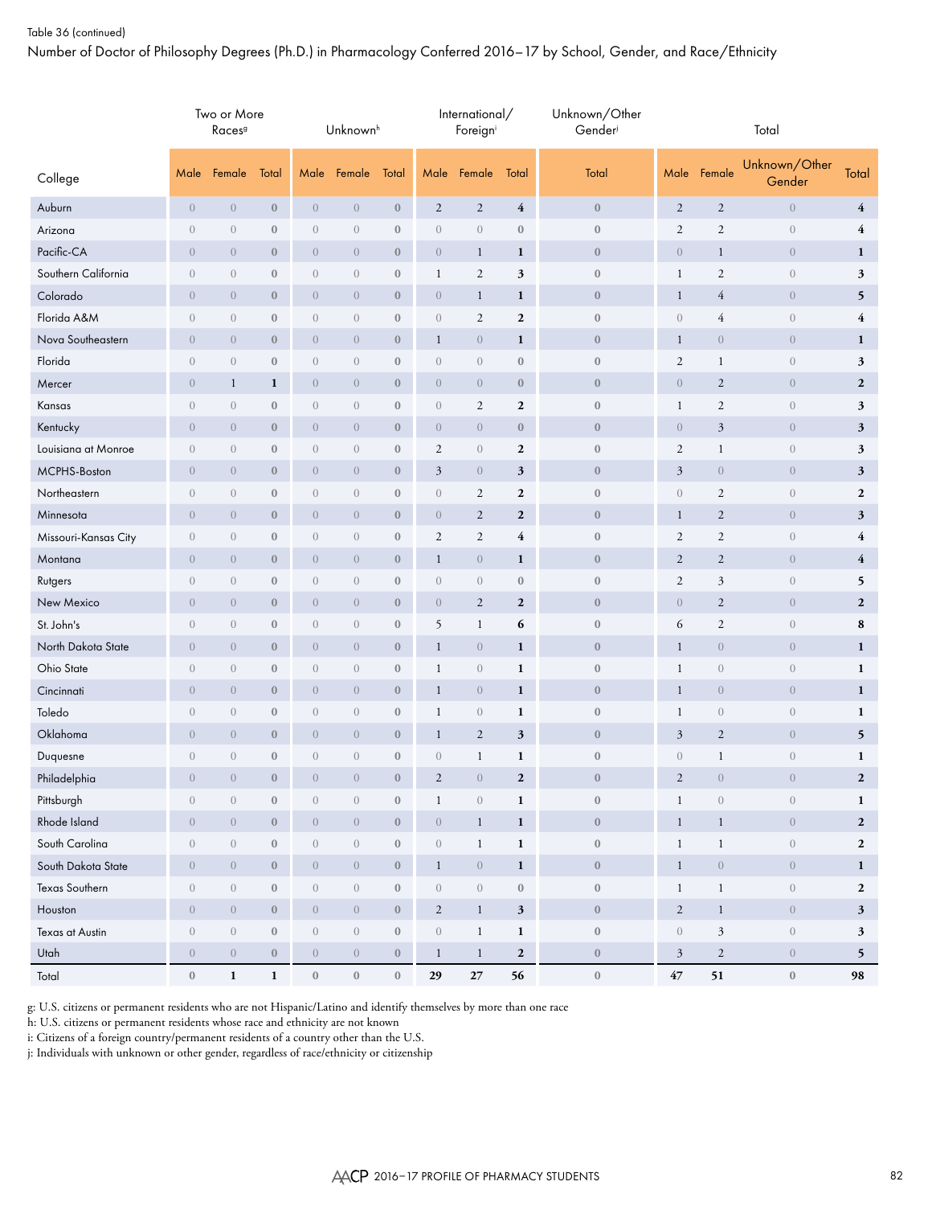## Table 36 (continued)

Number of Doctor of Philosophy Degrees (Ph.D.) in Pharmacology Conferred 2016–17 by School, Gender, and Race/Ethnicity

|                      |                  | Two or More<br>Races <sup>9</sup> |                  |                  | Unknown <sup>h</sup> |                  |                  | International/<br>Foreigni |                  | Unknown/Other<br>Gender | Total            |                  |                                |                         |  |
|----------------------|------------------|-----------------------------------|------------------|------------------|----------------------|------------------|------------------|----------------------------|------------------|-------------------------|------------------|------------------|--------------------------------|-------------------------|--|
| College              | Male             | Female                            | Total            |                  | Male Female          | Total            | Male             | Female                     | Total            | Total                   | Male             | Female           | Unknown/Other<br>Gender        | Total                   |  |
| Auburn               | $\overline{0}$   | $\overline{0}$                    | $\mathbf{0}$     | $\overline{0}$   | $\overline{0}$       | $\boldsymbol{0}$ | $\overline{2}$   | $\overline{2}$             | $\overline{4}$   | $\boldsymbol{0}$        | $\overline{2}$   | $\overline{2}$   | $\sqrt{0}$                     | $\overline{4}$          |  |
| Arizona              | $\sqrt{0}$       | $\boldsymbol{0}$                  | $\mathbf{0}$     | $\boldsymbol{0}$ | $\mathbf{0}$         | $\bf{0}$         | $\theta$         | $\mathbf{0}$               | $\boldsymbol{0}$ | $\boldsymbol{0}$        | $\mathbf{2}$     | $\overline{2}$   | $\,0\,$                        | $\overline{\mathbf{4}}$ |  |
| Pacific-CA           | $\mathbf{0}$     | $\overline{0}$                    | $\boldsymbol{0}$ | $\theta$         | $\overline{0}$       | $\boldsymbol{0}$ | $\overline{0}$   | $\mathbf{1}$               | $\mathbf{1}$     | $\boldsymbol{0}$        | $\overline{0}$   | $\mathbf{1}$     | $\theta$                       | $\mathbf{1}$            |  |
| Southern California  | $\mathbf{0}$     | $\sqrt{a}$                        | $\mathbf{0}$     | $\mathbf{0}$     | $\mathbf{0}$         | $\boldsymbol{0}$ | $\mathbf{1}$     | $\overline{2}$             | 3                | $\boldsymbol{0}$        | $\mathbf{1}$     | 2                | $\sqrt{a}$                     | 3                       |  |
| Colorado             | $\mathbf{0}$     | $\overline{0}$                    | $\mathbf{0}$     | $\sqrt{0}$       | $\overline{0}$       | $\boldsymbol{0}$ | $\sqrt{0}$       | $\mathbf{1}$               | $\mathbf{1}$     | $\boldsymbol{0}$        | $\mathbf{1}$     | $\overline{4}$   | $\theta$                       | 5                       |  |
| Florida A&M          | $\mathbf{0}$     | $\mathbf{0}$                      | $\mathbf{0}$     | $\mathbf{0}$     | $\sqrt{a}$           | $\boldsymbol{0}$ | $\theta$         | 2                          | $\mathbf{2}$     | $\boldsymbol{0}$        | $\mathbf{0}$     | $\overline{4}$   | $\overline{0}$                 | $\overline{\mathbf{4}}$ |  |
| Nova Southeastern    | $\overline{0}$   | $\overline{0}$                    | $\mathbf{0}$     | $\overline{0}$   | $\overline{0}$       | $\boldsymbol{0}$ | $\mathbf{1}$     | $\overline{0}$             | $\mathbf{1}$     | $\bf{0}$                | $\mathbf{1}$     | $\theta$         | $\theta$                       | $\mathbf{1}$            |  |
| Florida              | $\mathbf{0}$     | $\boldsymbol{0}$                  | $\boldsymbol{0}$ | $\boldsymbol{0}$ | $\boldsymbol{0}$     | $\boldsymbol{0}$ | $\theta$         | $\mathbf{0}$               | $\boldsymbol{0}$ | $\boldsymbol{0}$        | $\sqrt{2}$       | $\mathbf 1$      | $\theta$                       | 3                       |  |
| Mercer               | $\overline{0}$   | $\mathbf{1}$                      | 1                | $\overline{0}$   | $\overline{0}$       | $\boldsymbol{0}$ | $\overline{0}$   | $\overline{0}$             | $\boldsymbol{0}$ | $\boldsymbol{0}$        | $\overline{0}$   | $\overline{2}$   | $\overline{0}$                 | $\boldsymbol{2}$        |  |
| Kansas               | $\sqrt{0}$       | $\sqrt{a}$                        | $\mathbf{0}$     | $\sqrt{a}$       | $\sqrt{a}$           | $\boldsymbol{0}$ | $\,0\,$          | $\boldsymbol{2}$           | $\boldsymbol{2}$ | $\boldsymbol{0}$        | $\mathbf{1}$     | $\sqrt{2}$       | $\,0\,$                        | 3                       |  |
| Kentucky             | $\mathbf{0}$     | $\overline{0}$                    | $\mathbf{0}$     | $\overline{0}$   | $\overline{0}$       | $\bf{0}$         | $\sqrt{0}$       | $\sqrt{0}$                 | $\mathbf{0}$     | $\boldsymbol{0}$        | $\overline{0}$   | $\mathfrak{Z}$   | $\overline{0}$                 | 3                       |  |
| Louisiana at Monroe  | $\overline{0}$   | $\sqrt{a}$                        | $\mathbf{0}$     | $\mathbf{0}$     | $\mathbf{0}$         | $\boldsymbol{0}$ | 2                | $\mathbf{0}$               | $\boldsymbol{2}$ | $\boldsymbol{0}$        | $\mathbf{2}$     | $\mathbf{1}$     | $\theta$                       | 3                       |  |
| MCPHS-Boston         | $\mathbf{0}$     | $\overline{0}$                    | $\boldsymbol{0}$ | $\theta$         | $\overline{0}$       | $\boldsymbol{0}$ | $\mathfrak{Z}$   | $\sqrt{0}$                 | $\mathfrak{z}$   | $\boldsymbol{0}$        | $\mathfrak{Z}$   | $\theta$         | $\theta$                       | 3                       |  |
| Northeastern         | $\mathbf{0}$     | $\mathbf{0}$                      | $\mathbf{0}$     | $\mathbf{0}$     | $\mathbf{0}$         | $\boldsymbol{0}$ | $\theta$         | $\overline{2}$             | $\boldsymbol{2}$ | $\boldsymbol{0}$        | $\mathbf{0}$     | $\overline{2}$   | $\sqrt{a}$                     | $\boldsymbol{2}$        |  |
| Minnesota            | $\overline{0}$   | $\overline{0}$                    | $\mathbf{0}$     | $\sqrt{0}$       | $\overline{0}$       | $\boldsymbol{0}$ | $\sqrt{0}$       | $\sqrt{2}$                 | $\boldsymbol{2}$ | $\boldsymbol{0}$        | $\mathbf{1}$     | $\overline{c}$   | $\theta$                       | 3                       |  |
| Missouri-Kansas City | $\mathbf{0}$     | $\sqrt{a}$                        | $\mathbf{0}$     | $\mathbf{0}$     | $\sqrt{a}$           | $\boldsymbol{0}$ | 2                | 2                          | $\overline{4}$   | $\boldsymbol{0}$        | $\mathbf{2}$     | 2                | $\overline{0}$                 | $\overline{\mathbf{4}}$ |  |
| Montana              | $\overline{0}$   | $\overline{0}$                    | $\boldsymbol{0}$ | $\overline{0}$   | $\overline{0}$       | $\boldsymbol{0}$ | $\mathbf{1}$     | $\sqrt{0}$                 | $\mathbf{1}$     | $\bf{0}$                | $\overline{c}$   | $\overline{2}$   | $\theta$                       | $\overline{4}$          |  |
| Rutgers              | $\mathbf{0}$     | $\boldsymbol{0}$                  | $\boldsymbol{0}$ | $\boldsymbol{0}$ | $\boldsymbol{0}$     | $\boldsymbol{0}$ | $\theta$         | $\sqrt{0}$                 | $\boldsymbol{0}$ | $\boldsymbol{0}$        | $\sqrt{2}$       | $\mathfrak{Z}$   | $\theta$                       | 5                       |  |
| New Mexico           | $\overline{0}$   | $\overline{0}$                    | $\boldsymbol{0}$ | $\overline{0}$   | $\overline{0}$       | $\boldsymbol{0}$ | $\overline{0}$   | $\overline{2}$             | $\mathbf{2}$     | $\boldsymbol{0}$        | $\overline{0}$   | $\overline{2}$   | $\overline{0}$                 | $\boldsymbol{2}$        |  |
| St. John's           | $\mathbf{0}$     | $\sqrt{a}$                        | $\mathbf{0}$     | $\sqrt{a}$       | $\sqrt{a}$           | $\boldsymbol{0}$ | 5                | $\mathbf{1}$               | 6                | $\bf 0$                 | 6                | $\overline{2}$   | $\sqrt{a}$                     | 8                       |  |
| North Dakota State   | $\overline{0}$   | $\overline{0}$                    | $\mathbf{0}$     | $\overline{0}$   | $\overline{0}$       | $\bf{0}$         | $\mathbf{1}$     | $\sqrt{0}$                 | $\mathbf{1}$     | $\boldsymbol{0}$        | $\mathbf{1}$     | $\overline{0}$   | $\overline{0}$                 | $\mathbf{1}$            |  |
| Ohio State           | $\mathbf{0}$     | $\sqrt{a}$                        | $\mathbf{0}$     | $\boldsymbol{0}$ | $\mathbf{0}$         | $\boldsymbol{0}$ | $\mathbf{1}$     | $\mathbf{0}$               | $\mathbf{1}$     | $\boldsymbol{0}$        | $\mathbf{1}$     | $\theta$         | $\theta$                       | $\mathbf{1}$            |  |
| Cincinnati           | $\mathbf{0}$     | $\overline{0}$                    | $\boldsymbol{0}$ | $\theta$         | $\overline{0}$       | $\boldsymbol{0}$ | $\mathbf{1}$     | $\sqrt{0}$                 | $\mathbf{1}$     | $\boldsymbol{0}$        | $\mathbf{1}$     | $\theta$         | $\theta$                       | $\mathbf{1}$            |  |
| Toledo               | $\mathbf{0}$     | $\overline{0}$                    | $\mathbf{0}$     | $\mathbf{0}$     | $\overline{0}$       | $\boldsymbol{0}$ | $\mathbf{1}$     | $\sqrt{0}$                 | $\mathbf{1}$     | $\boldsymbol{0}$        | $\mathbf{1}$     | $\theta$         | $\theta$                       | $\mathbf{1}$            |  |
| Oklahoma             | $\overline{0}$   | $\overline{0}$                    | $\mathbf{0}$     | $\sqrt{0}$       | $\overline{0}$       | $\boldsymbol{0}$ | $\mathbf{1}$     | $\sqrt{2}$                 | $\mathfrak{z}$   | $\boldsymbol{0}$        | $\mathfrak{Z}$   | $\overline{c}$   | $\theta$                       | 5                       |  |
| Duquesne             | $\sqrt{0}$       | $\boldsymbol{0}$                  | $\mathbf{0}$     | $\boldsymbol{0}$ | $\mathbf{0}$         | $\boldsymbol{0}$ | $\theta$         | $\mathbf{1}$               | $\mathbf{1}$     | $\boldsymbol{0}$        | $\sqrt{a}$       | $\mathbf{1}$     | $\boldsymbol{0}$               | $\mathbf{1}$            |  |
| Philadelphia         | $\overline{0}$   | $\overline{0}$                    | $\bf{0}$         | $\overline{0}$   | $\overline{0}$       | $\mathbf{0}$     | $\overline{2}$   | $\overline{0}$             | $\mathbf{2}$     | $\mathbf{0}$            | $\mathfrak{2}$   | $\overline{0}$   | $\overline{0}$                 | $\mathbf{2}$            |  |
| Pittsburgh           | $\boldsymbol{0}$ | $\sqrt{a}$                        | $\boldsymbol{0}$ | $\boldsymbol{0}$ | $\boldsymbol{0}$     | $\boldsymbol{0}$ | $\mathbf{1}$     | $\,0\,$                    | $\mathbf 1$      | $\boldsymbol{0}$        | $\mathbf{1}$     | $\boldsymbol{0}$ | $\,0\,$                        | $\mathbf{1}$            |  |
| Rhode Island         | $\boldsymbol{0}$ | $\boldsymbol{0}$                  | $\bf 0$          | $\sqrt{a}$       | $\overline{0}$       | $\boldsymbol{0}$ | $\boldsymbol{0}$ | $\mathbf{1}$               | $\mathbf{1}$     | $\boldsymbol{0}$        | $\mathbf{1}$     | $\mathbf{1}$     | $\,0\,$                        | $\overline{2}$          |  |
| South Carolina       | $\,0\,$          | $\sqrt{a}$                        | $\boldsymbol{0}$ | $\,0\,$          | $\boldsymbol{0}$     | $\boldsymbol{0}$ | $\boldsymbol{0}$ | $\,1$                      | $\mathbf 1$      | $\boldsymbol{0}$        | $\mathbf{1}$     | $\,1$            | $\left\langle {}\right\rangle$ | $\overline{2}$          |  |
| South Dakota State   | $\boldsymbol{0}$ | $\overline{0}$                    | $\mathbf{0}$     | $\sqrt{a}$       | $\,0\,$              | $\boldsymbol{0}$ | $\mathbf{1}$     | $\sqrt{0}$                 | $\mathbf{1}$     | $\boldsymbol{0}$        | $\mathbf{1}$     | $\boldsymbol{0}$ | $\boldsymbol{0}$               | $\mathbf{1}$            |  |
| Texas Southern       | $\boldsymbol{0}$ | $\sqrt{a}$                        | $\boldsymbol{0}$ | $\,0\,$          | $\overline{0}$       | $\boldsymbol{0}$ | $\sqrt{a}$       | $\boldsymbol{0}$           | $\boldsymbol{0}$ | $\bf 0$                 | $\mathbf{1}$     | $\mathbf{1}$     | $\left\langle {}\right\rangle$ | $\overline{2}$          |  |
| Houston              | $\sqrt{a}$       | $\overline{0}$                    | $\bf 0$          | $\boldsymbol{0}$ | $\overline{0}$       | $\bf 0$          | $\overline{c}$   | $\mathbf{1}$               | $\mathfrak{z}$   | $\boldsymbol{0}$        | $\sqrt{2}$       | $\mathbf{1}$     | $\overline{0}$                 | $\mathbf{3}$            |  |
| Texas at Austin      | $\,0\,$          | $\sqrt{a}$                        | $\boldsymbol{0}$ | $\boldsymbol{0}$ | $\boldsymbol{0}$     | $\boldsymbol{0}$ | $\boldsymbol{0}$ | $\mathbf{1}$               | $\mathbf{1}$     | $\boldsymbol{0}$        | $\boldsymbol{0}$ | $\sqrt{3}$       | $\,0\,$                        | $\mathbf{3}$            |  |
| Utah                 | $\boldsymbol{0}$ | $\overline{0}$                    | $\boldsymbol{0}$ | $\sqrt{a}$       | $\overline{0}$       | $\boldsymbol{0}$ | $\mathbf{1}$     | $\mathbf{1}$               | $\boldsymbol{2}$ | $\boldsymbol{0}$        | $\mathfrak{Z}$   | $\sqrt{2}$       | $\boldsymbol{0}$               | $\mathbf{5}$            |  |
| Total                | $\boldsymbol{0}$ | $\mathbf{1}$                      | $\mathbf{1}$     | $\boldsymbol{0}$ | $\,0\,$              | $\bf 0$          | 29               | $27\,$                     | 56               | $\boldsymbol{0}$        | $47\,$           | $51\,$           | $\boldsymbol{0}$               | 98                      |  |

g: U.S. citizens or permanent residents who are not Hispanic/Latino and identify themselves by more than one race

h: U.S. citizens or permanent residents whose race and ethnicity are not known

i: Citizens of a foreign country/permanent residents of a country other than the U.S.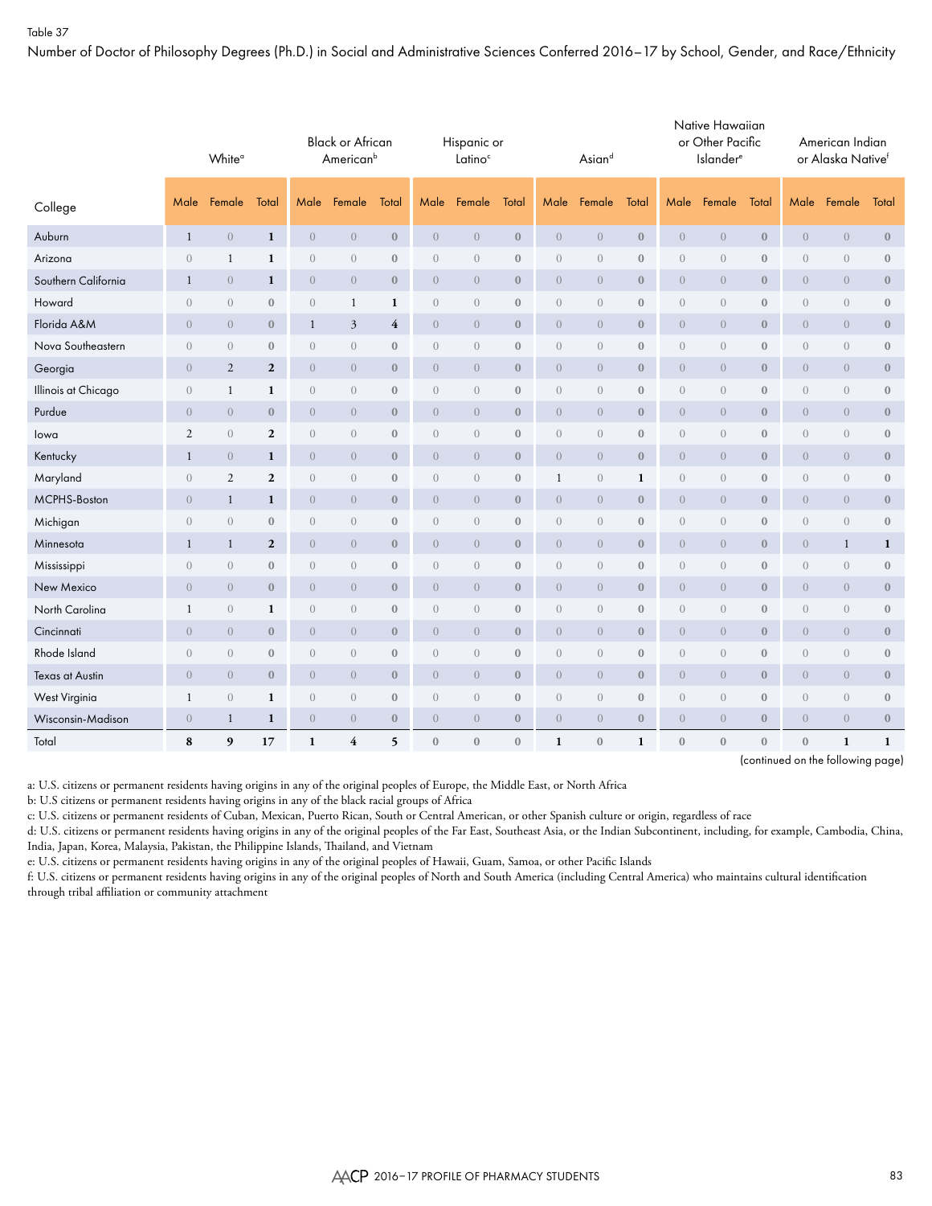Number of Doctor of Philosophy Degrees (Ph.D.) in Social and Administrative Sciences Conferred 2016–17 by School, Gender, and Race/Ethnicity

|                     | White <sup>a</sup> |                |                  | <b>Black or African</b><br>American <sup>b</sup> |                  |                         |                  | Hispanic or<br>Latino <sup>c</sup> |                  |                  | Asiand           |                  | Native Hawaiian<br>or Other Pacific<br>Islander <sup>e</sup> |                  |                  | American Indian<br>or Alaska Nativef |                  |                  |
|---------------------|--------------------|----------------|------------------|--------------------------------------------------|------------------|-------------------------|------------------|------------------------------------|------------------|------------------|------------------|------------------|--------------------------------------------------------------|------------------|------------------|--------------------------------------|------------------|------------------|
| College             | Male               | Female         | Total            | Male                                             | Female           | Total                   | Male             | Female                             | Total            | Male             | Female           | Total            | Male                                                         | Female           | Total            | Male                                 | Female           | Total            |
| Auburn              | $\mathbf{1}$       | $\overline{0}$ | $\mathbf{1}$     | $\overline{0}$                                   | $\overline{0}$   | $\mathbf{0}$            | $\overline{0}$   | $\overline{0}$                     | $\mathbf{0}$     | $\overline{0}$   | $\overline{0}$   | $\mathbf{0}$     | $\overline{0}$                                               | $\sqrt{a}$       | $\mathbf{0}$     | $\overline{0}$                       | $\overline{0}$   | $\mathbf{0}$     |
| Arizona             | $\overline{0}$     | 1              | 1                | $\sqrt{a}$                                       | $\boldsymbol{0}$ | $\mathbf{0}$            | $\overline{0}$   | $\overline{0}$                     | $\mathbf{0}$     | $\theta$         | $\boldsymbol{0}$ | $\boldsymbol{0}$ | $\boldsymbol{0}$                                             | $\sqrt{a}$       | $\boldsymbol{0}$ | $\theta$                             | $\theta$         | $\mathbf{0}$     |
| Southern California | $\mathbf{1}$       | $\overline{0}$ | $\mathbf{1}$     | $\overline{0}$                                   | $\boldsymbol{0}$ | $\mathbf{0}$            | $\overline{0}$   | $\overline{0}$                     | $\mathbf{0}$     | $\overline{0}$   | $\boldsymbol{0}$ | $\mathbf{0}$     | $\overline{0}$                                               | $\sqrt{a}$       | $\mathbf{0}$     | $\theta$                             | $\overline{0}$   | $\mathbf{0}$     |
| Howard              | $\theta$           | $\overline{0}$ | $\mathbf{0}$     | $\sqrt{a}$                                       | 1                | 1                       | $\overline{0}$   | $\overline{0}$                     | $\mathbf{0}$     | $\sqrt{a}$       | $\mathbf{0}$     | $\boldsymbol{0}$ | $\boldsymbol{0}$                                             | $\sqrt{a}$       | $\bf{0}$         | $\sqrt{a}$                           | $\theta$         | $\boldsymbol{0}$ |
| Florida A&M         | $\overline{0}$     | $\theta$       | $\bf{0}$         | $\mathbf{1}$                                     | 3                | $\overline{\mathbf{4}}$ | $\overline{0}$   | $\overline{0}$                     | $\boldsymbol{0}$ | $\theta$         | $\theta$         | $\boldsymbol{0}$ | $\overline{0}$                                               | $\boldsymbol{0}$ | $\mathbf{0}$     | $\overline{0}$                       | $\theta$         | $\boldsymbol{0}$ |
| Nova Southeastern   | $\overline{0}$     | $\overline{0}$ | $\bf{0}$         | $\sqrt{a}$                                       | $\overline{0}$   | $\boldsymbol{0}$        | $\boldsymbol{0}$ | $\theta$                           | $\boldsymbol{0}$ | $\sqrt{a}$       | $\boldsymbol{0}$ | $\boldsymbol{0}$ | $\boldsymbol{0}$                                             | $\boldsymbol{0}$ | $\boldsymbol{0}$ | $\boldsymbol{0}$                     | $\theta$         | $\boldsymbol{0}$ |
| Georgia             | $\overline{0}$     | 2              | $\overline{2}$   | $\overline{0}$                                   | $\overline{0}$   | $\mathbf{0}$            | $\overline{0}$   | $\theta$                           | $\boldsymbol{0}$ | $\overline{0}$   | $\overline{0}$   | $\bf{0}$         | $\boldsymbol{0}$                                             | $\overline{0}$   | $\bf{0}$         | $\overline{0}$                       | $\overline{0}$   | $\bf{0}$         |
| Illinois at Chicago | $\overline{0}$     | $\mathbf{1}$   | $\mathbf{1}$     | $\sqrt{a}$                                       | $\boldsymbol{0}$ | $\mathbf{0}$            | $\boldsymbol{0}$ | $\theta$                           | $\boldsymbol{0}$ | $\sqrt{a}$       | $\overline{0}$   | $\mathbf{0}$     | $\boldsymbol{0}$                                             | $\theta$         | $\bf{0}$         | $\theta$                             | $\sqrt{0}$       | $\boldsymbol{0}$ |
| Purdue              | $\overline{0}$     | $\overline{0}$ | $\boldsymbol{0}$ | $\theta$                                         | $\overline{0}$   | $\mathbf{0}$            | $\overline{0}$   | $\theta$                           | $\boldsymbol{0}$ | $\overline{0}$   | $\overline{0}$   | $\boldsymbol{0}$ | $\boldsymbol{0}$                                             | $\overline{0}$   | $\mathbf{0}$     | $\overline{0}$                       | $\theta$         | $\boldsymbol{0}$ |
| lowa                | $\sqrt{2}$         | $\overline{0}$ | $\overline{2}$   | $\sqrt{a}$                                       | $\boldsymbol{0}$ | $\mathbf{0}$            | $\overline{0}$   | $\overline{0}$                     | $\boldsymbol{0}$ | $\sqrt{a}$       | $\mathbf{0}$     | $\boldsymbol{0}$ | $\boldsymbol{0}$                                             | $\sqrt{a}$       | $\bf{0}$         | $\theta$                             | $\sqrt{a}$       | $\boldsymbol{0}$ |
| Kentucky            | $\mathbf{1}$       | $\overline{0}$ | 1                | $\theta$                                         | $\overline{0}$   | $\mathbf{0}$            | $\overline{0}$   | $\boldsymbol{0}$                   | $\boldsymbol{0}$ | $\overline{0}$   | $\boldsymbol{0}$ | $\boldsymbol{0}$ | $\overline{0}$                                               | $\boldsymbol{0}$ | $\boldsymbol{0}$ | $\boldsymbol{0}$                     | $\theta$         | $\boldsymbol{0}$ |
| Maryland            | $\overline{0}$     | 2              | $\mathbf{2}$     | $\sqrt{a}$                                       | $\theta$         | $\mathbf{0}$            | $\boldsymbol{0}$ | $\boldsymbol{0}$                   | $\boldsymbol{0}$ | $\mathbf{1}$     | $\boldsymbol{0}$ | $\mathbf{1}$     | $\boldsymbol{0}$                                             | $\boldsymbol{0}$ | $\boldsymbol{0}$ | $\theta$                             | $\boldsymbol{0}$ | $\boldsymbol{0}$ |
| MCPHS-Boston        | $\overline{0}$     | $\mathbf{1}$   | $\mathbf{1}$     | $\overline{0}$                                   | $\overline{0}$   | $\mathbf{0}$            | $\overline{0}$   | $\theta$                           | $\mathbf{0}$     | $\overline{0}$   | $\boldsymbol{0}$ | $\boldsymbol{0}$ | $\overline{0}$                                               | $\sqrt{a}$       | $\mathbf{0}$     | $\theta$                             | $\overline{0}$   | $\boldsymbol{0}$ |
| Michigan            | $\overline{0}$     | $\overline{0}$ | $\bf 0$          | $\boldsymbol{0}$                                 | $\boldsymbol{0}$ | $\boldsymbol{0}$        | $\boldsymbol{0}$ | $\theta$                           | $\boldsymbol{0}$ | $\sqrt{a}$       | $\boldsymbol{0}$ | $\boldsymbol{0}$ | $\boldsymbol{0}$                                             | $\boldsymbol{0}$ | $\boldsymbol{0}$ | $\sqrt{a}$                           | $\boldsymbol{0}$ | $\boldsymbol{0}$ |
| Minnesota           | $\mathbf{1}$       | $\mathbf{1}$   | $\boldsymbol{2}$ | $\overline{0}$                                   | $\overline{0}$   | $\mathbf{0}$            | $\overline{0}$   | $\boldsymbol{0}$                   | $\boldsymbol{0}$ | $\sqrt{a}$       | $\overline{0}$   | $\boldsymbol{0}$ | $\boldsymbol{0}$                                             | $\boldsymbol{0}$ | $\mathbf{0}$     | $\overline{0}$                       | $\mathbf{1}$     | $\mathbf{1}$     |
| Mississippi         | $\overline{0}$     | $\overline{0}$ | $\mathbf{0}$     | $\boldsymbol{0}$                                 | $\boldsymbol{0}$ | $\boldsymbol{0}$        | $\boldsymbol{0}$ | $\sqrt{a}$                         | $\boldsymbol{0}$ | $\boldsymbol{0}$ | $\boldsymbol{0}$ | $\boldsymbol{0}$ | $\boldsymbol{0}$                                             | $\boldsymbol{0}$ | $\boldsymbol{0}$ | $\sqrt{a}$                           | $\sqrt{a}$       | $\boldsymbol{0}$ |
| New Mexico          | $\overline{0}$     | $\overline{0}$ | $\bf{0}$         | $\theta$                                         | $\overline{0}$   | $\mathbf{0}$            | $\overline{0}$   | $\theta$                           | $\boldsymbol{0}$ | $\boldsymbol{0}$ | $\theta$         | $\boldsymbol{0}$ | $\boldsymbol{0}$                                             | $\boldsymbol{0}$ | $\boldsymbol{0}$ | $\boldsymbol{0}$                     | $\theta$         | $\boldsymbol{0}$ |
| North Carolina      | $\mathbf{1}$       | $\sqrt{a}$     | $\mathbf{1}$     | $\sqrt{a}$                                       | $\boldsymbol{0}$ | $\boldsymbol{0}$        | $\boldsymbol{0}$ | $\sqrt{a}$                         | $\boldsymbol{0}$ | $\boldsymbol{0}$ | $\boldsymbol{0}$ | $\boldsymbol{0}$ | $\boldsymbol{0}$                                             | $\sqrt{a}$       | $\boldsymbol{0}$ | $\theta$                             | $\sqrt{a}$       | $\boldsymbol{0}$ |
| Cincinnati          | $\overline{0}$     | $\overline{0}$ | $\mathbf{0}$     | $\overline{0}$                                   | $\overline{0}$   | $\mathbf{0}$            | $\overline{0}$   | $\overline{0}$                     | $\boldsymbol{0}$ | $\overline{0}$   | $\overline{0}$   | $\mathbf{0}$     | $\overline{0}$                                               | $\overline{0}$   | $\mathbf{0}$     | $\overline{0}$                       | $\overline{0}$   | $\boldsymbol{0}$ |
| Rhode Island        | $\theta$           | $\overline{0}$ | $\mathbf{0}$     | $\boldsymbol{0}$                                 | $\boldsymbol{0}$ | $\mathbf{0}$            | $\overline{0}$   | $\overline{0}$                     | $\boldsymbol{0}$ | $\sqrt{a}$       | $\overline{0}$   | $\boldsymbol{0}$ | $\boldsymbol{0}$                                             | $\boldsymbol{0}$ | $\boldsymbol{0}$ | $\theta$                             | $\sqrt{a}$       | $\boldsymbol{0}$ |
| Texas at Austin     | $\sqrt{a}$         | $\overline{0}$ | $\mathbf{0}$     | $\overline{0}$                                   | $\overline{0}$   | $\mathbf{0}$            | $\overline{0}$   | $\overline{0}$                     | $\mathbf{0}$     | $\sqrt{a}$       | $\boldsymbol{0}$ | $\boldsymbol{0}$ | $\overline{0}$                                               | $\sqrt{a}$       | $\mathbf{0}$     | $\overline{0}$                       | $\overline{0}$   | $\mathbf{0}$     |
| West Virginia       | $\mathbf{1}$       | $\sqrt{a}$     | $\mathbf{1}$     | $\boldsymbol{0}$                                 | $\overline{0}$   | $\boldsymbol{0}$        | $\overline{0}$   | $\sqrt{a}$                         | $\boldsymbol{0}$ | $\boldsymbol{0}$ | $\overline{0}$   | $\boldsymbol{0}$ | $\boldsymbol{0}$                                             | $\sqrt{a}$       | $\boldsymbol{0}$ | $\theta$                             | $\boldsymbol{0}$ | $\boldsymbol{0}$ |
| Wisconsin-Madison   | $\overline{0}$     | $\mathbf{1}$   | $\mathbf{1}$     | $\theta$                                         | $\overline{0}$   | $\mathbf{0}$            | $\overline{0}$   | $\overline{0}$                     | $\boldsymbol{0}$ | $\overline{0}$   | $\overline{0}$   | $\boldsymbol{0}$ | $\overline{0}$                                               | $\sqrt{a}$       | $\mathbf{0}$     | $\overline{0}$                       | $\overline{0}$   | $\boldsymbol{0}$ |
| Total               | 8                  | 9              | 17               | $\mathbf{1}$                                     | 4                | 5                       | $\mathbf{0}$     | $\mathbf{0}$                       | $\mathbf{0}$     | 1                | $\mathbf{0}$     | $\mathbf{1}$     | $\mathbf{0}$                                                 | $\mathbf{0}$     | $\mathbf{0}$     | $\boldsymbol{0}$                     | 1                | $\mathbf{1}$     |

(continued on the following page)

a: U.S. citizens or permanent residents having origins in any of the original peoples of Europe, the Middle East, or North Africa

b: U.S citizens or permanent residents having origins in any of the black racial groups of Africa

c: U.S. citizens or permanent residents of Cuban, Mexican, Puerto Rican, South or Central American, or other Spanish culture or origin, regardless of race

d: U.S. citizens or permanent residents having origins in any of the original peoples of the Far East, Southeast Asia, or the Indian Subcontinent, including, for example, Cambodia, China, India, Japan, Korea, Malaysia, Pakistan, the Philippine Islands, Thailand, and Vietnam

e: U.S. citizens or permanent residents having origins in any of the original peoples of Hawaii, Guam, Samoa, or other Pacific Islands

f: U.S. citizens or permanent residents having origins in any of the original peoples of North and South America (including Central America) who maintains cultural identification through tribal affiliation or community attachment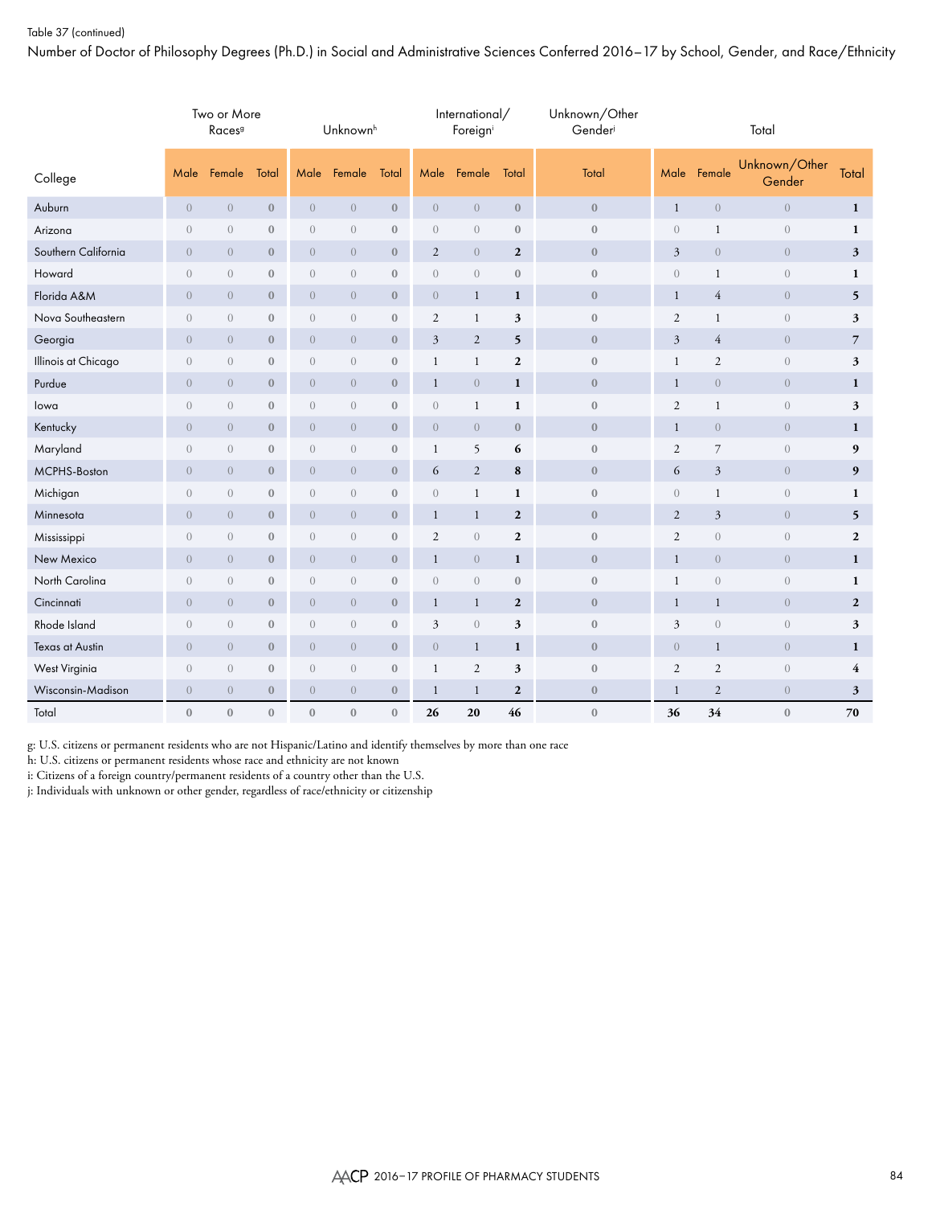## Table 37 (continued)

Number of Doctor of Philosophy Degrees (Ph.D.) in Social and Administrative Sciences Conferred 2016–17 by School, Gender, and Race/Ethnicity

|                     | Two or More<br>Races <sup>9</sup> |                  |                  | Unknown <sup>h</sup> |                  |                  |                  | International/<br>Foreign |                  | Unknown/Other<br>Gender | Total          |                |                         |                |  |  |
|---------------------|-----------------------------------|------------------|------------------|----------------------|------------------|------------------|------------------|---------------------------|------------------|-------------------------|----------------|----------------|-------------------------|----------------|--|--|
| College             | Male                              | Female           | Total            | Male                 | Female           | Total            | Male             | Female                    | Total            | Total                   | Male           | Female         | Unknown/Other<br>Gender | Total          |  |  |
| Auburn              | $\sqrt{a}$                        | $\overline{0}$   | $\boldsymbol{0}$ | $\boldsymbol{0}$     | $\sqrt{a}$       | $\boldsymbol{0}$ | $\boldsymbol{0}$ | $\sqrt{a}$                | $\boldsymbol{0}$ | $\boldsymbol{0}$        | $\mathbf{1}$   | $\,0\,$        | $\sqrt{0}$              | $\mathbf{1}$   |  |  |
| Arizona             | $\theta$                          | $\boldsymbol{0}$ | $\boldsymbol{0}$ | $\sqrt{a}$           | $\boldsymbol{0}$ | $\boldsymbol{0}$ | $\sqrt{a}$       | $\sqrt{a}$                | $\boldsymbol{0}$ | $\bf 0$                 | $\mathbf{0}$   | $\mathbf{1}$   | $\boldsymbol{0}$        | $\mathbf{1}$   |  |  |
| Southern California | $\overline{0}$                    | $\overline{0}$   | $\boldsymbol{0}$ | $\overline{0}$       | $\overline{0}$   | $\mathbf{0}$     | $\overline{2}$   | $\overline{0}$            | $\overline{2}$   | $\boldsymbol{0}$        | $\overline{3}$ | $\sqrt{0}$     | $\sqrt{0}$              | $\mathbf{3}$   |  |  |
| Howard              | $\overline{0}$                    | $\overline{0}$   | $\mathbf{0}$     | $\overline{0}$       | $\overline{0}$   | $\boldsymbol{0}$ | $\sqrt{a}$       | $\sqrt{a}$                | $\boldsymbol{0}$ | $\bf 0$                 | $\overline{0}$ | $\mathbf{1}$   | $\boldsymbol{0}$        | $\mathbf{1}$   |  |  |
| Florida A&M         | $\overline{0}$                    | $\overline{0}$   | $\boldsymbol{0}$ | $\overline{0}$       | $\overline{0}$   | $\boldsymbol{0}$ | $\boldsymbol{0}$ | $\mathbf{1}$              | 1                | $\boldsymbol{0}$        | $\mathbf{1}$   | 4              | $\mathbf{0}$            | 5              |  |  |
| Nova Southeastern   | $\theta$                          | $\overline{0}$   | $\mathbf{0}$     | $\overline{0}$       | $\overline{0}$   | $\mathbf{0}$     | $\mathfrak{2}$   | $\mathbf{1}$              | 3                | $\bf 0$                 | $\mathfrak{2}$ | $\mathbf{1}$   | $\boldsymbol{0}$        | 3              |  |  |
| Georgia             | $\overline{0}$                    | $\overline{0}$   | $\boldsymbol{0}$ | $\overline{0}$       | $\overline{0}$   | $\boldsymbol{0}$ | $\mathfrak{Z}$   | $\mathbf{2}$              | 5                | $\mathbf{0}$            | $\mathfrak{Z}$ | 4              | $\sqrt{0}$              | $\overline{7}$ |  |  |
| Illinois at Chicago | $\theta$                          | $\overline{0}$   | $\boldsymbol{0}$ | $\theta$             | $\overline{0}$   | $\boldsymbol{0}$ | $\mathbf{1}$     | $\mathbf{1}$              | $\mathbf{2}$     | $\bf 0$                 | $\mathbf{1}$   | $\mathfrak{2}$ | $\boldsymbol{0}$        | 3              |  |  |
| Purdue              | $\overline{0}$                    | $\overline{0}$   | $\boldsymbol{0}$ | $\overline{0}$       | $\overline{0}$   | $\mathbf{0}$     | $\mathbf{1}$     | $\overline{0}$            | $\mathbf{1}$     | $\boldsymbol{0}$        | $\mathbf{1}$   | $\overline{0}$ | $\sqrt{0}$              | $\mathbf{1}$   |  |  |
| lowa                | $\theta$                          | $\overline{0}$   | $\boldsymbol{0}$ | $\theta$             | $\overline{0}$   | $\boldsymbol{0}$ | $\sqrt{a}$       | $\mathbf{1}$              | $\mathbf{1}$     | $\mathbf{0}$            | $\overline{2}$ | $\mathbf{1}$   | $\boldsymbol{0}$        | 3              |  |  |
| Kentucky            | $\overline{0}$                    | $\overline{0}$   | $\boldsymbol{0}$ | $\overline{0}$       | $\overline{0}$   | $\boldsymbol{0}$ | $\overline{0}$   | $\overline{0}$            | $\bf{0}$         | $\boldsymbol{0}$        | $\mathbf{1}$   | $\overline{0}$ | $\mathbf{0}$            | $\mathbf{1}$   |  |  |
| Maryland            | $\theta$                          | $\overline{0}$   | $\boldsymbol{0}$ | $\theta$             | $\overline{0}$   | $\boldsymbol{0}$ | $\mathbf{1}$     | 5                         | 6                | $\boldsymbol{0}$        | $\mathbf{2}$   | $\overline{7}$ | $\boldsymbol{0}$        | 9              |  |  |
| MCPHS-Boston        | $\overline{0}$                    | $\overline{0}$   | $\mathbf{0}$     | $\overline{0}$       | $\overline{0}$   | $\mathbf{0}$     | 6                | $\overline{2}$            | 8                | $\mathbf{0}$            | 6              | 3              | $\mathbf{0}$            | 9              |  |  |
| Michigan            | $\theta$                          | $\overline{0}$   | $\boldsymbol{0}$ | $\sqrt{a}$           | $\boldsymbol{0}$ | $\boldsymbol{0}$ | $\boldsymbol{0}$ | $\mathbf{1}$              | 1                | $\boldsymbol{0}$        | $\mathbf{0}$   | $\mathbf{1}$   | $\boldsymbol{0}$        | $\mathbf{1}$   |  |  |
| Minnesota           | $\boldsymbol{0}$                  | $\sqrt{a}$       | $\boldsymbol{0}$ | $\boldsymbol{0}$     | $\sqrt{a}$       | $\boldsymbol{0}$ | $\mathbf{1}$     | $\mathbf{1}$              | $\boldsymbol{2}$ | $\boldsymbol{0}$        | $\sqrt{2}$     | $\mathfrak{Z}$ | $\boldsymbol{0}$        | 5 <sup>5</sup> |  |  |
| Mississippi         | $\sqrt{a}$                        | $\boldsymbol{0}$ | $\boldsymbol{0}$ | $\sqrt{a}$           | $\sqrt{a}$       | $\boldsymbol{0}$ | $\overline{2}$   | $\sqrt{a}$                | $\mathbf{2}$     | $\bf 0$                 | $\overline{2}$ | $\sqrt{a}$     | $\boldsymbol{0}$        | $\overline{2}$ |  |  |
| New Mexico          | $\overline{0}$                    | $\overline{0}$   | $\boldsymbol{0}$ | $\sqrt{a}$           | $\overline{0}$   | $\boldsymbol{0}$ | $\mathbf{1}$     | $\overline{0}$            | $\mathbf{1}$     | $\bf 0$                 | $\mathbf{1}$   | $\sqrt{0}$     | $\sqrt{0}$              | $\mathbf{1}$   |  |  |
| North Carolina      | $\theta$                          | $\overline{0}$   | $\boldsymbol{0}$ | $\theta$             | $\overline{0}$   | $\boldsymbol{0}$ | $\boldsymbol{0}$ | $\overline{0}$            | $\mathbf{0}$     | $\boldsymbol{0}$        | $\mathbf{1}$   | $\sqrt{a}$     | $\boldsymbol{0}$        | $\mathbf{1}$   |  |  |
| Cincinnati          | $\overline{0}$                    | $\overline{0}$   | $\mathbf{0}$     | $\overline{0}$       | $\overline{0}$   | $\mathbf{0}$     | $\mathbf{1}$     | $\mathbf{1}$              | $\overline{2}$   | $\mathbf{0}$            | $\mathbf{1}$   | $\mathbf{1}$   | $\overline{0}$          | $\overline{2}$ |  |  |
| Rhode Island        | $\theta$                          | $\overline{0}$   | $\mathbf{0}$     | $\overline{0}$       | $\overline{0}$   | $\mathbf{0}$     | $\mathfrak{Z}$   | $\overline{0}$            | 3                | $\bf 0$                 | 3              | $\sqrt{a}$     | $\boldsymbol{0}$        | 3              |  |  |
| Texas at Austin     | $\overline{0}$                    | $\overline{0}$   | $\boldsymbol{0}$ | $\overline{0}$       | $\overline{0}$   | $\boldsymbol{0}$ | $\boldsymbol{0}$ | $\mathbf{1}$              | 1                | $\boldsymbol{0}$        | $\overline{0}$ | $\mathbf{1}$   | $\sqrt{0}$              | $\mathbf{1}$   |  |  |
| West Virginia       | $\overline{0}$                    | $\sqrt{a}$       | $\boldsymbol{0}$ | $\overline{0}$       | $\overline{0}$   | $\mathbf{0}$     | $\mathbf{1}$     | $\overline{2}$            | 3                | $\bf 0$                 | $\overline{2}$ | $\mathfrak{2}$ | $\boldsymbol{0}$        | $\overline{4}$ |  |  |
| Wisconsin-Madison   | $\overline{0}$                    | $\overline{0}$   | $\boldsymbol{0}$ | $\overline{0}$       | $\overline{0}$   | $\boldsymbol{0}$ | $\mathbf{1}$     | $\mathbf{1}$              | $\mathbf{2}$     | $\boldsymbol{0}$        | 1              | 2              | $\sqrt{0}$              | 3              |  |  |
| Total               | $\mathbf{0}$                      | $\overline{0}$   | $\mathbf{0}$     | $\mathbf{0}$         | $\overline{0}$   | $\mathbf{0}$     | 26               | 20                        | 46               | $\mathbf{0}$            | 36             | 34             | $\mathbf{0}$            | 70             |  |  |

g: U.S. citizens or permanent residents who are not Hispanic/Latino and identify themselves by more than one race

h: U.S. citizens or permanent residents whose race and ethnicity are not known

i: Citizens of a foreign country/permanent residents of a country other than the U.S.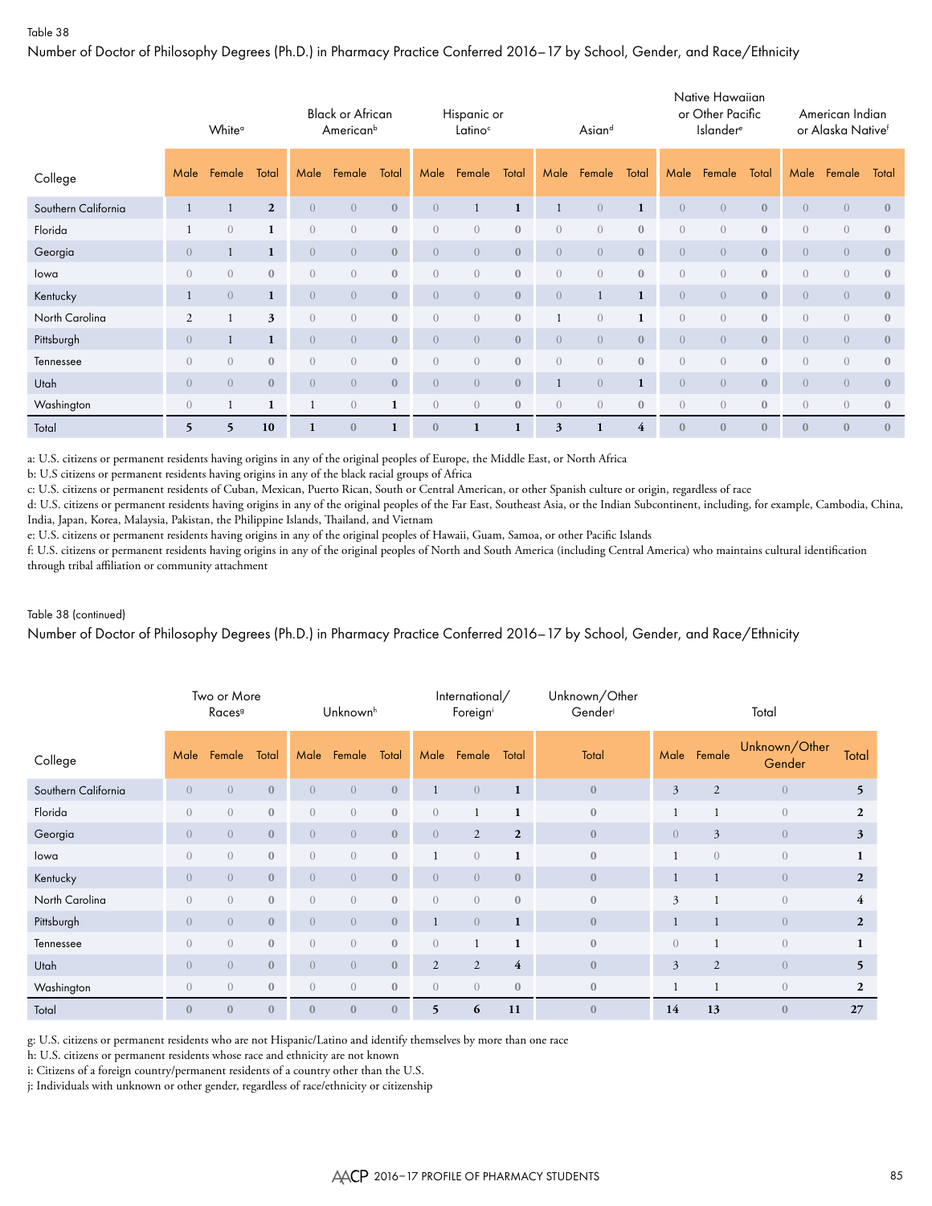Number of Doctor of Philosophy Degrees (Ph.D.) in Pharmacy Practice Conferred 2016–17 by School, Gender, and Race/Ethnicity

|                     | White <sup>a</sup> |                |                |                | <b>Black or African</b><br>American <sup>b</sup> |              |                | Hispanic or<br>Latino <sup>c</sup> |              | Asiand           |                |                | Native Hawaiian<br>or Other Pacific<br>Islander <sup>e</sup> |                |              | American Indian<br>or Alaska Nativef |                |              |
|---------------------|--------------------|----------------|----------------|----------------|--------------------------------------------------|--------------|----------------|------------------------------------|--------------|------------------|----------------|----------------|--------------------------------------------------------------|----------------|--------------|--------------------------------------|----------------|--------------|
| College             | Male               | Female         | Total          | Male           | Female                                           | Total        | Male           | Female                             | Total        | Male             | Female         | Total          | Male                                                         | Female         | Total        | Male                                 | Female         | Total        |
| Southern California |                    |                | $\overline{2}$ | $\overline{0}$ | $\overline{0}$                                   | $\mathbf{0}$ | $\overline{0}$ | $\mathbf{1}$                       | 1            |                  | $\overline{0}$ | $\mathbf{1}$   | $\overline{0}$                                               | $\overline{0}$ | $\mathbf{0}$ | $\overline{0}$                       | $\overline{0}$ | $\mathbf{0}$ |
| Florida             |                    | $\overline{0}$ | $\mathbf{1}$   | $\sqrt{a}$     | $\overline{0}$                                   | $\mathbf{0}$ | $\overline{0}$ | $\overline{0}$                     | $\mathbf{0}$ | $\overline{0}$   | $\overline{0}$ | $\mathbf{0}$   | $\overline{0}$                                               | $\overline{0}$ | $\mathbf{0}$ | $\overline{0}$                       | $\sqrt{a}$     | $\mathbf{0}$ |
| Georgia             | $\overline{0}$     | 1              | 1              | $\overline{0}$ | $\overline{0}$                                   | $\mathbf{0}$ | $\overline{0}$ | $\overline{0}$                     | $\mathbf{0}$ | $\overline{0}$   | $\overline{0}$ | $\mathbf{0}$   | $\overline{0}$                                               | $\overline{0}$ | $\mathbf{0}$ | $\overline{0}$                       | $\overline{0}$ | $\mathbf{0}$ |
| lowa                | $\overline{0}$     | $\overline{0}$ | $\mathbf{0}$   | $\overline{0}$ | $\overline{0}$                                   | $\mathbf{0}$ | $\overline{0}$ | $\overline{0}$                     | $\mathbf{0}$ | $\left( \right)$ | $\overline{0}$ | $\mathbf{0}$   | $\overline{0}$                                               | $\overline{0}$ | $\mathbf{0}$ | $\overline{0}$                       | $\overline{0}$ | $\mathbf{0}$ |
| Kentucky            |                    | $\overline{0}$ | 1              | $\overline{0}$ | $\overline{0}$                                   | $\mathbf{0}$ | $\overline{0}$ | $\overline{0}$                     | $\mathbf{0}$ | $\overline{0}$   |                | $\mathbf{1}$   | $\overline{0}$                                               | $\overline{0}$ | $\mathbf{0}$ | $\overline{0}$                       | $\overline{0}$ | $\mathbf{0}$ |
| North Carolina      | $\overline{2}$     |                | 3              | $\overline{0}$ | $\overline{0}$                                   | $\mathbf{0}$ | $\overline{0}$ | $\overline{0}$                     | $\mathbf{0}$ |                  | $\overline{0}$ | $\mathbf{1}$   | $\overline{0}$                                               | $\overline{0}$ | $\mathbf{0}$ | $\overline{0}$                       | $\overline{0}$ | $\mathbf{0}$ |
| Pittsburgh          | $\overline{0}$     | 1              | 1              | $\overline{0}$ | $\overline{0}$                                   | $\mathbf{0}$ | $\overline{0}$ | $\overline{0}$                     | $\mathbf{0}$ | $\overline{0}$   | $\overline{0}$ | $\mathbf{0}$   | $\overline{0}$                                               | $\overline{0}$ | $\mathbf{0}$ | $\overline{0}$                       | $\overline{0}$ | $\mathbf{0}$ |
| Tennessee           | $\overline{0}$     | $\overline{0}$ | $\mathbf{0}$   | $\overline{0}$ | $\overline{0}$                                   | $\mathbf{0}$ | $\overline{0}$ | $\overline{0}$                     | $\mathbf{0}$ | $\left( \right)$ | $\overline{0}$ | $\mathbf{0}$   | $\overline{0}$                                               | $\overline{0}$ | $\mathbf{0}$ | $\overline{0}$                       | $\overline{0}$ | $\mathbf{0}$ |
| Utah                | $\overline{0}$     | $\overline{0}$ | $\mathbf{0}$   | $\overline{0}$ | $\overline{0}$                                   | $\mathbf{0}$ | $\overline{0}$ | $\overline{0}$                     | $\mathbf{0}$ |                  | $\overline{0}$ | $\mathbf{1}$   | $\overline{0}$                                               | $\overline{0}$ | $\mathbf{0}$ | $\overline{0}$                       | $\overline{0}$ | $\mathbf{0}$ |
| Washington          | $\overline{0}$     |                | 1              | -1             | $\overline{0}$                                   | $\mathbf{1}$ | $\overline{0}$ | $\overline{0}$                     | $\mathbf{0}$ | $\overline{0}$   | $\overline{0}$ | $\mathbf{0}$   | $\overline{0}$                                               | $\overline{0}$ | $\mathbf{0}$ | $\overline{0}$                       | $\overline{0}$ | $\mathbf{0}$ |
| Total               | 5                  | 5              | 10             |                | $\mathbf{0}$                                     |              | $\mathbf{0}$   | 1                                  |              | 3                |                | $\overline{4}$ | $\mathbf{0}$                                                 | $\mathbf{0}$   | $\mathbf{0}$ | $\mathbf{0}$                         | $\mathbf{0}$   | $\mathbf{0}$ |

a: U.S. citizens or permanent residents having origins in any of the original peoples of Europe, the Middle East, or North Africa

b: U.S citizens or permanent residents having origins in any of the black racial groups of Africa

c: U.S. citizens or permanent residents of Cuban, Mexican, Puerto Rican, South or Central American, or other Spanish culture or origin, regardless of race

d: U.S. citizens or permanent residents having origins in any of the original peoples of the Far East, Southeast Asia, or the Indian Subcontinent, including, for example, Cambodia, China, India, Japan, Korea, Malaysia, Pakistan, the Philippine Islands, Thailand, and Vietnam

e: U.S. citizens or permanent residents having origins in any of the original peoples of Hawaii, Guam, Samoa, or other Pacific Islands

f: U.S. citizens or permanent residents having origins in any of the original peoples of North and South America (including Central America) who maintains cultural identification through tribal affiliation or community attachment

#### Table 38 (continued)

Number of Doctor of Philosophy Degrees (Ph.D.) in Pharmacy Practice Conferred 2016–17 by School, Gender, and Race/Ethnicity

|                     | Two or More<br>Races <sup>9</sup> |                  |              | Unknown <sup>h</sup> |                  |                  |                | International/<br>Foreigni |                | Unknown/Other<br>Gender | Total          |                |                         |                |  |  |  |
|---------------------|-----------------------------------|------------------|--------------|----------------------|------------------|------------------|----------------|----------------------------|----------------|-------------------------|----------------|----------------|-------------------------|----------------|--|--|--|
| College             | Male                              | Female           | Total        | Male                 | Female           | Total            | Male           | Female                     | Total          | Total                   | Male           | Female         | Unknown/Other<br>Gender | Total          |  |  |  |
| Southern California | $\overline{0}$                    | $\overline{0}$   | $\mathbf{0}$ | $\overline{0}$       | $\overline{0}$   | $\boldsymbol{0}$ | 1              | $\overline{0}$             | $\mathbf{1}$   | $\mathbf{0}$            | $\overline{3}$ | 2              | $\overline{0}$          | 5              |  |  |  |
| Florida             | $\Omega$                          | $\overline{0}$   | $\mathbf{0}$ | $\overline{0}$       | $\overline{0}$   | $\mathbf{0}$     | $\overline{0}$ |                            |                | $\mathbf{0}$            |                |                | $\overline{0}$          | $\overline{2}$ |  |  |  |
| Georgia             | $\overline{0}$                    | $\overline{0}$   | $\mathbf{0}$ | $\overline{0}$       | $\overline{0}$   | $\mathbf{0}$     | $\overline{0}$ | $\overline{2}$             | $\mathbf{2}$   | $\mathbf{0}$            | $\overline{0}$ | $\mathfrak{Z}$ | $\overline{0}$          | 3              |  |  |  |
| lowa                | $\overline{0}$                    | $\overline{0}$   | $\mathbf{0}$ | $\overline{0}$       | $\overline{0}$   | $\bf 0$          |                | $\overline{0}$             | $\mathbf{1}$   | $\mathbf{0}$            |                | $\overline{0}$ | $\overline{0}$          | $\mathbf{1}$   |  |  |  |
| Kentucky            | $\overline{0}$                    | $\overline{0}$   | $\bf 0$      | $\overline{0}$       | $\overline{0}$   | $\mathbf{0}$     | $\overline{0}$ | $\overline{0}$             | $\mathbf{0}$   | $\mathbf{0}$            |                | 1              | $\overline{0}$          | $\overline{2}$ |  |  |  |
| North Carolina      | $\Omega$                          | $\overline{0}$   | $\mathbf{0}$ | $\overline{0}$       | $\overline{0}$   | $\mathbf{0}$     | $\overline{0}$ | $\overline{0}$             | $\mathbf{0}$   | $\mathbf{0}$            | $\overline{3}$ |                | $\overline{0}$          | $\overline{4}$ |  |  |  |
| Pittsburgh          | $\overline{0}$                    | $\overline{0}$   | $\bf 0$      | $\overline{0}$       | $\overline{0}$   | $\mathbf{0}$     |                | $\sqrt{a}$                 | $\mathbf{1}$   | $\mathbf{0}$            |                | $\mathbf{1}$   | $\overline{0}$          | $\overline{2}$ |  |  |  |
| Tennessee           | $\overline{0}$                    | $\overline{0}$   | $\mathbf{0}$ | $\overline{0}$       | $\boldsymbol{0}$ | $\bf 0$          | $\overline{0}$ | $\mathbf{1}$               | $\mathbf{1}$   | $\mathbf{0}$            | $\overline{0}$ | $\mathbf{1}$   | $\overline{0}$          | $\mathbf{1}$   |  |  |  |
| Utah                | $\Omega$                          | $\overline{0}$   | $\mathbf{0}$ | $\overline{0}$       | $\overline{0}$   | $\mathbf{0}$     | $\overline{c}$ | $\overline{2}$             | $\overline{4}$ | $\mathbf{0}$            | $\mathfrak{Z}$ | 2              | $\overline{0}$          | 5              |  |  |  |
| Washington          | $\overline{0}$                    | $\overline{0}$   | $\mathbf{0}$ | $\overline{0}$       | $\overline{0}$   | $\mathbf{0}$     | $\overline{0}$ | $\overline{0}$             | $\mathbf{0}$   | $\mathbf{0}$            |                | 1              | $\overline{0}$          | $\overline{2}$ |  |  |  |
| Total               | $\mathbf{0}$                      | $\boldsymbol{0}$ | $\mathbf{0}$ | $\boldsymbol{0}$     | $\boldsymbol{0}$ | $\boldsymbol{0}$ | 5              | 6                          | 11             | $\mathbf{0}$            | 14             | 13             | $\mathbf{0}$            | 27             |  |  |  |

g: U.S. citizens or permanent residents who are not Hispanic/Latino and identify themselves by more than one race

h: U.S. citizens or permanent residents whose race and ethnicity are not known

i: Citizens of a foreign country/permanent residents of a country other than the U.S.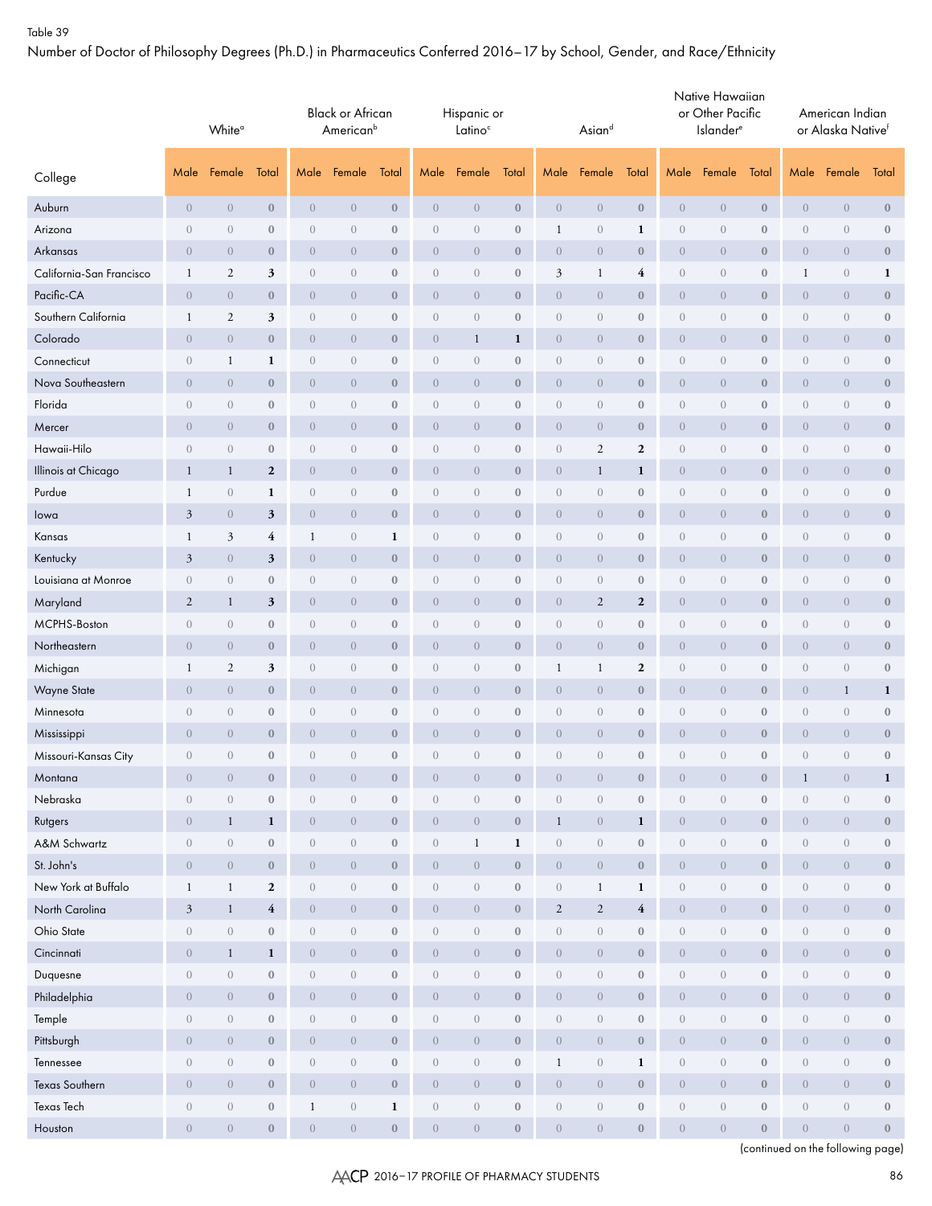Number of Doctor of Philosophy Degrees (Ph.D.) in Pharmaceutics Conferred 2016–17 by School, Gender, and Race/Ethnicity

|                          |                  | White <sup>a</sup> |                    | <b>Black or African</b><br>American <sup>b</sup> |                  |                  |                  | Hispanic or<br>Latino <sup>c</sup> |                  |                  | Asiand         |                         | Native Hawaiian<br>or Other Pacific<br><b>Islander</b> <sup>e</sup> |                  |                  | American Indian<br>or Alaska Nativef |                  |                  |
|--------------------------|------------------|--------------------|--------------------|--------------------------------------------------|------------------|------------------|------------------|------------------------------------|------------------|------------------|----------------|-------------------------|---------------------------------------------------------------------|------------------|------------------|--------------------------------------|------------------|------------------|
| College                  | Male             | Female             | Total              | Male                                             | Female           | Total            | Male             | Female                             | Total            | Male             | Female         | Total                   | Male                                                                | Female           | Total            | Male                                 | Female           | Total            |
| Auburn                   | $\overline{0}$   | $\theta$           | $\boldsymbol{0}$   | $\theta$                                         | $\overline{0}$   | $\mathbf{0}$     | $\overline{0}$   | $\overline{0}$                     | $\boldsymbol{0}$ | $\theta$         | $\overline{0}$ | $\boldsymbol{0}$        | $\boldsymbol{0}$                                                    | $\boldsymbol{0}$ | $\mathbf{0}$     | $\boldsymbol{0}$                     | $\boldsymbol{0}$ | $\boldsymbol{0}$ |
| Arizona                  | $\boldsymbol{0}$ | $\sqrt{a}$         | $\boldsymbol{0}$   | $\sqrt{a}$                                       | $\sqrt{a}$       | $\boldsymbol{0}$ | $\overline{0}$   | $\sqrt{a}$                         | $\boldsymbol{0}$ | $\mathbf{1}$     | $\sqrt{a}$     | 1                       | $\boldsymbol{0}$                                                    | $\boldsymbol{0}$ | $\boldsymbol{0}$ | $\boldsymbol{0}$                     | $\boldsymbol{0}$ | $\boldsymbol{0}$ |
| Arkansas                 | $\overline{0}$   | $\overline{0}$     | $\bf{0}$           | $\theta$                                         | $\overline{0}$   | $\boldsymbol{0}$ | $\overline{0}$   | $\overline{0}$                     | $\boldsymbol{0}$ | $\overline{0}$   | $\overline{0}$ | $\bf{0}$                | $\boldsymbol{0}$                                                    | $\theta$         | $\boldsymbol{0}$ | $\overline{0}$                       | $\overline{0}$   | $\boldsymbol{0}$ |
| California-San Francisco | 1                | $\overline{2}$     | 3                  | $\theta$                                         | $\overline{0}$   | $\bf{0}$         | $\overline{0}$   | $\overline{0}$                     | $\bf{0}$         | $\mathfrak{Z}$   | $\mathbf{1}$   | $\overline{\mathbf{4}}$ | $\boldsymbol{0}$                                                    | $\overline{0}$   | $\boldsymbol{0}$ | $\mathbf{1}$                         | $\sqrt{a}$       | $\mathbf{1}$     |
| Pacific-CA               | $\overline{0}$   | $\boldsymbol{0}$   | $\boldsymbol{0}$   | $\theta$                                         | $\overline{0}$   | $\boldsymbol{0}$ | $\overline{0}$   | $\overline{0}$                     | $\boldsymbol{0}$ | $\boldsymbol{0}$ | $\overline{0}$ | $\boldsymbol{0}$        | $\overline{0}$                                                      | $\theta$         | $\bf{0}$         | $\theta$                             | $\overline{0}$   | $\bf{0}$         |
| Southern California      | $\mathbf{1}$     | $\sqrt{2}$         | $\mathfrak{z}$     | $\sqrt{a}$                                       | $\overline{0}$   | $\bf{0}$         | $\mathbf{0}$     | $\sqrt{a}$                         | $\boldsymbol{0}$ | $\overline{0}$   | $\overline{0}$ | $\boldsymbol{0}$        | $\boldsymbol{0}$                                                    | $\overline{0}$   | $\bf{0}$         | $\sqrt{a}$                           | $\boldsymbol{0}$ | $\boldsymbol{0}$ |
| Colorado                 | $\theta$         | $\theta$           | $\bf{0}$           | $\theta$                                         | $\overline{0}$   | $\bf{0}$         | $\overline{0}$   | $\mathbf{1}$                       | $\mathbf{1}$     | $\overline{0}$   | $\overline{0}$ | $\bf{0}$                | $\overline{0}$                                                      | $\boldsymbol{0}$ | $\bf{0}$         | $\theta$                             | $\overline{0}$   | $\bf{0}$         |
| Connecticut              | $\sqrt{a}$       | 1                  | 1                  | $\theta$                                         | $\overline{0}$   | $\boldsymbol{0}$ | $\overline{0}$   | $\overline{0}$                     | $\boldsymbol{0}$ | $\overline{0}$   | $\overline{0}$ | $\boldsymbol{0}$        | $\boldsymbol{0}$                                                    | $\overline{0}$   | $\boldsymbol{0}$ | $\sqrt{a}$                           | $\overline{0}$   | $\boldsymbol{0}$ |
| Nova Southeastern        | $\overline{0}$   | $\overline{0}$     | $\bf{0}$           | $\overline{0}$                                   | $\overline{0}$   | $\bf{0}$         | $\overline{0}$   | $\overline{0}$                     | $\bf{0}$         | $\theta$         | $\overline{0}$ | $\bf{0}$                | $\overline{0}$                                                      | $\overline{0}$   | $\bf{0}$         | $\theta$                             | $\overline{0}$   | $\bf{0}$         |
| Florida                  | $\theta$         | $\sqrt{a}$         | $\boldsymbol{0}$   | $\theta$                                         | $\overline{0}$   | $\boldsymbol{0}$ | $\mathbf{0}$     | $\sqrt{a}$                         | $\boldsymbol{0}$ | $\sqrt{a}$       | $\overline{0}$ | $\boldsymbol{0}$        | $\boldsymbol{0}$                                                    | $\sqrt{a}$       | $\bf{0}$         | $\boldsymbol{0}$                     | $\sqrt{a}$       | $\boldsymbol{0}$ |
| Mercer                   | $\overline{0}$   | $\overline{0}$     | $\bf{0}$           | $\overline{0}$                                   | $\overline{0}$   | $\boldsymbol{0}$ | $\overline{0}$   | $\overline{0}$                     | $\boldsymbol{0}$ | $\overline{0}$   | $\overline{0}$ | $\bf{0}$                | $\boldsymbol{0}$                                                    | $\theta$         | $\mathbf{0}$     | $\overline{0}$                       | $\overline{0}$   | $\bf{0}$         |
| Hawaii-Hilo              | $\boldsymbol{0}$ | $\sqrt{a}$         | $\boldsymbol{0}$   | $\sqrt{a}$                                       | $\sqrt{a}$       | $\boldsymbol{0}$ | $\overline{0}$   | $\sqrt{a}$                         | $\boldsymbol{0}$ | $\sqrt{a}$       | $\sqrt{2}$     | $\boldsymbol{2}$        | $\boldsymbol{0}$                                                    | $\sqrt{a}$       | $\boldsymbol{0}$ | $\boldsymbol{0}$                     | $\boldsymbol{0}$ | $\boldsymbol{0}$ |
| Illinois at Chicago      | $\mathbf{1}$     | $\mathbf{1}$       | $\boldsymbol{2}$   | $\theta$                                         | $\overline{0}$   | $\boldsymbol{0}$ | $\overline{0}$   | $\overline{0}$                     | $\bf 0$          | $\overline{0}$   | $\mathbf{1}$   | 1                       | $\boldsymbol{0}$                                                    | $\theta$         | $\bf{0}$         | $\overline{0}$                       | $\overline{0}$   | $\boldsymbol{0}$ |
| Purdue                   | 1                | $\overline{0}$     | 1                  | $\theta$                                         | $\overline{0}$   | $\bf{0}$         | $\overline{0}$   | $\sqrt{a}$                         | $\bf{0}$         | $\overline{0}$   | $\overline{0}$ | $\bf{0}$                | $\boldsymbol{0}$                                                    | $\overline{0}$   | $\boldsymbol{0}$ | $\theta$                             | $\sqrt{a}$       | $\boldsymbol{0}$ |
| lowa                     | 3                | $\theta$           | $\mathfrak{z}$     | $\theta$                                         | $\overline{0}$   | $\boldsymbol{0}$ | $\overline{0}$   | $\overline{0}$                     | $\boldsymbol{0}$ | $\overline{0}$   | $\overline{0}$ | $\bf{0}$                | $\boldsymbol{0}$                                                    | $\boldsymbol{0}$ | $\bf{0}$         | $\theta$                             | $\boldsymbol{0}$ | $\bf{0}$         |
| Kansas                   | 1                | $\mathfrak{Z}$     | $\overline{\bf 4}$ | $\mathbf{1}$                                     | $\overline{0}$   | 1                | $\mathbf{0}$     | $\sqrt{a}$                         | $\boldsymbol{0}$ | $\overline{0}$   | $\theta$       | $\boldsymbol{0}$        | $\boldsymbol{0}$                                                    | $\theta$         | $\bf{0}$         | $\sqrt{a}$                           | $\boldsymbol{0}$ | $\boldsymbol{0}$ |
| Kentucky                 | 3                | $\theta$           | $\mathfrak{z}$     | $\theta$                                         | $\boldsymbol{0}$ | $\bf{0}$         | $\overline{0}$   | $\overline{0}$                     | $\boldsymbol{0}$ | $\boldsymbol{0}$ | $\overline{0}$ | $\bf{0}$                | $\overline{0}$                                                      | $\boldsymbol{0}$ | $\mathbf{0}$     | $\theta$                             | $\overline{0}$   | $\bf{0}$         |
| Louisiana at Monroe      | $\overline{0}$   | $\overline{0}$     | $\boldsymbol{0}$   | $\theta$                                         | $\overline{0}$   | $\boldsymbol{0}$ | $\overline{0}$   | $\sqrt{a}$                         | $\boldsymbol{0}$ | $\overline{0}$   | $\overline{0}$ | $\boldsymbol{0}$        | $\boldsymbol{0}$                                                    | $\overline{0}$   | $\boldsymbol{0}$ | $\sqrt{a}$                           | $\sqrt{a}$       | $\boldsymbol{0}$ |
| Maryland                 | $\overline{c}$   | $\mathbf{1}$       | 3                  | $\overline{0}$                                   | $\overline{0}$   | $\bf{0}$         | $\overline{0}$   | $\overline{0}$                     | $\bf{0}$         | $\theta$         | $\overline{2}$ | $\boldsymbol{2}$        | $\boldsymbol{0}$                                                    | $\theta$         | $\bf{0}$         | $\theta$                             | $\overline{0}$   | $\bf{0}$         |
| MCPHS-Boston             | $\boldsymbol{0}$ | $\sqrt{a}$         | $\boldsymbol{0}$   | $\theta$                                         | $\overline{0}$   | $\boldsymbol{0}$ | $\overline{0}$   | $\overline{0}$                     | $\boldsymbol{0}$ | $\sqrt{a}$       | $\theta$       | $\boldsymbol{0}$        | $\boldsymbol{0}$                                                    | $\sqrt{a}$       | $\bf{0}$         | $\boldsymbol{0}$                     | $\overline{0}$   | $\boldsymbol{0}$ |
| Northeastern             | $\overline{0}$   | $\overline{0}$     | $\bf{0}$           | $\overline{0}$                                   | $\overline{0}$   | $\boldsymbol{0}$ | $\overline{0}$   | $\overline{0}$                     | $\boldsymbol{0}$ | $\overline{0}$   | $\overline{0}$ | $\bf{0}$                | $\overline{0}$                                                      | $\theta$         | $\mathbf{0}$     | $\overline{0}$                       | $\overline{0}$   | $\bf{0}$         |
| Michigan                 | $\mathbf{1}$     | $\sqrt{2}$         | $\mathfrak z$      | $\sqrt{a}$                                       | $\overline{0}$   | $\boldsymbol{0}$ | $\overline{0}$   | $\sqrt{a}$                         | $\boldsymbol{0}$ | $\mathbf{1}$     | 1              | $\boldsymbol{2}$        | $\boldsymbol{0}$                                                    | $\sqrt{a}$       | $\boldsymbol{0}$ | $\boldsymbol{0}$                     | $\boldsymbol{0}$ | $\boldsymbol{0}$ |
| Wayne State              | $\overline{0}$   | $\boldsymbol{0}$   | $\bf{0}$           | $\theta$                                         | $\overline{0}$   | $\boldsymbol{0}$ | $\overline{0}$   | $\overline{0}$                     | $\boldsymbol{0}$ | $\overline{0}$   | $\overline{0}$ | $\boldsymbol{0}$        | $\boldsymbol{0}$                                                    | $\overline{0}$   | $\bf{0}$         | $\overline{0}$                       | $\mathbf{1}$     | $\mathbf{1}$     |
| Minnesota                | $\overline{0}$   | $\overline{0}$     | $\bf{0}$           | $\theta$                                         | $\overline{0}$   | $\bf{0}$         | $\overline{0}$   | $\overline{0}$                     | $\bf{0}$         | $\overline{0}$   | $\overline{0}$ | $\bf{0}$                | $\boldsymbol{0}$                                                    | $\theta$         | $\bf{0}$         | $\theta$                             | $\overline{0}$   | $\boldsymbol{0}$ |
| Mississippi              | $\theta$         | $\overline{0}$     | $\boldsymbol{0}$   | $\theta$                                         | $\overline{0}$   | $\bf{0}$         | $\overline{0}$   | $\overline{0}$                     | $\bf 0$          | $\overline{0}$   | $\overline{0}$ | $\boldsymbol{0}$        | $\boldsymbol{0}$                                                    | $\boldsymbol{0}$ | $\bf{0}$         | $\overline{0}$                       | $\overline{0}$   | $\bf{0}$         |
| Missouri-Kansas City     | $\sqrt{a}$       | $\theta$           | $\mathbf{0}$       | $\theta$                                         | $\mathbf{0}$     | $\boldsymbol{0}$ | $\overline{0}$   | $\overline{0}$                     | $\mathbf{0}$     | $\overline{0}$   | $\theta$       | $\mathbf{0}$            | $\sqrt{a}$                                                          | $\sqrt{a}$       | $\bf{0}$         | $\sqrt{a}$                           | $\sqrt{a}$       | $\boldsymbol{0}$ |
| Montana                  | $\boldsymbol{0}$ | $\boldsymbol{0}$   | $\bf 0$            | $\,0\,$                                          | $\boldsymbol{0}$ | $\boldsymbol{0}$ | $\overline{0}$   | $\boldsymbol{0}$                   | $\boldsymbol{0}$ | $\boldsymbol{0}$ | $\sqrt{a}$     | $\boldsymbol{0}$        | $\boldsymbol{0}$                                                    | $\boldsymbol{0}$ | $\boldsymbol{0}$ | $\mathbf{1}$                         | $\boldsymbol{0}$ | $\mathbf{1}$     |
| Nebraska                 | $\sqrt{a}$       | $\sqrt{a}$         | $\boldsymbol{0}$   | $\boldsymbol{0}$                                 | $\sqrt{a}$       | $\boldsymbol{0}$ | $\overline{0}$   | $\boldsymbol{0}$                   | $\boldsymbol{0}$ | $\sqrt{a}$       | $\sqrt{a}$     | $\boldsymbol{0}$        | $\boldsymbol{0}$                                                    | $\sqrt{a}$       | $\boldsymbol{0}$ | $\boldsymbol{0}$                     | $\boldsymbol{0}$ | $\boldsymbol{0}$ |
| Rutgers                  | $\overline{0}$   | $\mathbf{1}$       | $\mathbf{1}$       | $\,0\,$                                          | $\overline{0}$   | $\mathbf{0}$     | $\overline{0}$   | $\boldsymbol{0}$                   | $\boldsymbol{0}$ | $\mathbf{1}$     | $\sqrt{a}$     | $\mathbf{1}$            | $\boldsymbol{0}$                                                    | $\overline{0}$   | $\mathbf{0}$     | $\sqrt{a}$                           | $\boldsymbol{0}$ | $\boldsymbol{0}$ |
| A&M Schwartz             | $\boldsymbol{0}$ | $\boldsymbol{0}$   | $\boldsymbol{0}$   | $\,0\,$                                          | $\boldsymbol{0}$ | $\boldsymbol{0}$ | $\sqrt{a}$       | $\mathbf{1}$                       | $\mathbf{1}$     | $\sqrt{a}$       | $\sqrt{a}$     | $\boldsymbol{0}$        | $\boldsymbol{0}$                                                    | $\boldsymbol{0}$ | $\boldsymbol{0}$ | $\boldsymbol{0}$                     | $\boldsymbol{0}$ | $\boldsymbol{0}$ |
| St. John's               | $\overline{0}$   | $\overline{0}$     | $\boldsymbol{0}$   | $\sqrt{a}$                                       | $\theta$         | $\bf 0$          | $\overline{0}$   | $\boldsymbol{0}$                   | $\boldsymbol{0}$ | $\overline{0}$   | $\overline{0}$ | $\boldsymbol{0}$        | $\overline{0}$                                                      | $\,0\,$          | $\boldsymbol{0}$ | $\boldsymbol{0}$                     | $\overline{0}$   | $\boldsymbol{0}$ |
| New York at Buffalo      | $\mathbf{1}$     | $\mathbf{1}$       | $\boldsymbol{2}$   | $\,0\,$                                          | $\sqrt{a}$       | $\boldsymbol{0}$ | $\boldsymbol{0}$ | $\boldsymbol{0}$                   | $\boldsymbol{0}$ | $\boldsymbol{0}$ | $\mathbf{1}$   | $\mathbf{1}$            | $\boldsymbol{0}$                                                    | $\boldsymbol{0}$ | $\mathbf{0}$     | $\boldsymbol{0}$                     | $\boldsymbol{0}$ | $\boldsymbol{0}$ |
| North Carolina           | $\mathfrak{Z}$   | $\mathbf{1}$       | $\overline{4}$     | $\,0\,$                                          | $\theta$         | $\bf{0}$         | $\overline{0}$   | $\boldsymbol{0}$                   | $\boldsymbol{0}$ | $\sqrt{2}$       | $\mathbf{2}$   | $\overline{4}$          | $\overline{0}$                                                      | $\theta$         | $\mathbf{0}$     | $\boldsymbol{0}$                     | $\boldsymbol{0}$ | $\boldsymbol{0}$ |
| Ohio State               | $\sqrt{a}$       | $\boldsymbol{0}$   | $\boldsymbol{0}$   | $\,0\,$                                          | $\,0\,$          | $\bf{0}$         | $\sqrt{a}$       | $\boldsymbol{0}$                   | $\boldsymbol{0}$ | $\boldsymbol{0}$ | $\sqrt{a}$     | $\boldsymbol{0}$        | $\boldsymbol{0}$                                                    | $\sqrt{a}$       | $\boldsymbol{0}$ | $\boldsymbol{0}$                     | $\boldsymbol{0}$ | $\boldsymbol{0}$ |
| Cincinnati               | $\boldsymbol{0}$ | $\mathbf{1}$       | $\mathbf{1}$       | $\sqrt{a}$                                       | $\boldsymbol{0}$ | $\boldsymbol{0}$ | $\boldsymbol{0}$ | $\boldsymbol{0}$                   | $\boldsymbol{0}$ | $\boldsymbol{0}$ | $\overline{0}$ | $\boldsymbol{0}$        | $\overline{0}$                                                      | $\,0\,$          | $\boldsymbol{0}$ | $\boldsymbol{0}$                     | $\boldsymbol{0}$ | $\bf 0$          |
| Duquesne                 | $\sqrt{a}$       | $\boldsymbol{0}$   | $\boldsymbol{0}$   | $\,0\,$                                          | $\sqrt{a}$       | $\boldsymbol{0}$ | $\sqrt{a}$       | $\boldsymbol{0}$                   | $\boldsymbol{0}$ | $\sqrt{a}$       | $\sqrt{a}$     | $\boldsymbol{0}$        | $\boldsymbol{0}$                                                    | $\boldsymbol{0}$ | $\boldsymbol{0}$ | $\boldsymbol{0}$                     | $\boldsymbol{0}$ | $\boldsymbol{0}$ |
| Philadelphia             | $\sqrt{a}$       | $\overline{0}$     | $\boldsymbol{0}$   | $\sqrt{a}$                                       | $\overline{0}$   | $\mathbf{0}$     | $\overline{0}$   | $\boldsymbol{0}$                   | $\boldsymbol{0}$ | $\sqrt{a}$       | $\overline{0}$ | $\boldsymbol{0}$        | $\overline{0}$                                                      | $\overline{0}$   | $\mathbf{0}$     | $\boldsymbol{0}$                     | $\overline{0}$   | $\mathbf{0}$     |
| Temple                   | $\sqrt{a}$       | $\sqrt{a}$         | $\boldsymbol{0}$   | $\sqrt{a}$                                       | $\sqrt{a}$       | $\mathbf{0}$     | $\overline{0}$   | $\boldsymbol{0}$                   | $\boldsymbol{0}$ | $\sqrt{a}$       | $\sqrt{a}$     | $\boldsymbol{0}$        | $\overline{0}$                                                      | $\sqrt{a}$       | $\mathbf{0}$     | $\boldsymbol{0}$                     | $\boldsymbol{0}$ | $\mathbf{0}$     |
| Pittsburgh               | $\sqrt{a}$       | $\overline{0}$     | $\boldsymbol{0}$   | $\,0\,$                                          | $\overline{0}$   | $\mathbf{0}$     | $\boldsymbol{0}$ | $\boldsymbol{0}$                   | $\mathbf 0$      | $\overline{0}$   | $\sqrt{a}$     | $\boldsymbol{0}$        | $\overline{0}$                                                      | $\overline{0}$   | $\mathbf{0}$     | $\sqrt{a}$                           | $\boldsymbol{0}$ | $\boldsymbol{0}$ |
| Tennessee                | $\boldsymbol{0}$ | $\boldsymbol{0}$   | $\boldsymbol{0}$   | $\,0\,$                                          | $\boldsymbol{0}$ | $\boldsymbol{0}$ | $\boldsymbol{0}$ | $\boldsymbol{0}$                   | $\boldsymbol{0}$ | $\mathbf{1}$     | $\sqrt{a}$     | $\mathbf{1}$            | $\boldsymbol{0}$                                                    | $\boldsymbol{0}$ | $\boldsymbol{0}$ | $\boldsymbol{0}$                     | $\boldsymbol{0}$ | $\boldsymbol{0}$ |
| Texas Southern           | $\sqrt{a}$       | $\overline{0}$     | $\boldsymbol{0}$   | $\sqrt{a}$                                       | $\theta$         | $\boldsymbol{0}$ | $\overline{0}$   | $\boldsymbol{0}$                   | $\boldsymbol{0}$ | $\boldsymbol{0}$ | $\overline{0}$ | $\boldsymbol{0}$        | $\overline{0}$                                                      | $\,0\,$          | $\boldsymbol{0}$ | $\boldsymbol{0}$                     | $\overline{0}$   | $\boldsymbol{0}$ |
| Texas Tech               | $\boldsymbol{0}$ | $\boldsymbol{0}$   | $\boldsymbol{0}$   | $\mathbf{1}$                                     | $\boldsymbol{0}$ | $\mathbf 1$      | $\boldsymbol{0}$ | $\boldsymbol{0}$                   | $\boldsymbol{0}$ | $\boldsymbol{0}$ | $\sqrt{a}$     | $\boldsymbol{0}$        | $\boldsymbol{0}$                                                    | $\boldsymbol{0}$ | $\boldsymbol{0}$ | $\boldsymbol{0}$                     | $\boldsymbol{0}$ | $\boldsymbol{0}$ |
| Houston                  | $\boldsymbol{0}$ | $\boldsymbol{0}$   | $\boldsymbol{0}$   | $\,0\,$                                          | $\sqrt{a}$       | $\boldsymbol{0}$ | $\boldsymbol{0}$ | $\boldsymbol{0}$                   | $\mathbf 0$      | $\boldsymbol{0}$ | $\sqrt{a}$     | $\boldsymbol{0}$        | $\boldsymbol{0}$                                                    | $\boldsymbol{0}$ | $\boldsymbol{0}$ | $\boldsymbol{0}$                     | $\boldsymbol{0}$ | $\boldsymbol{0}$ |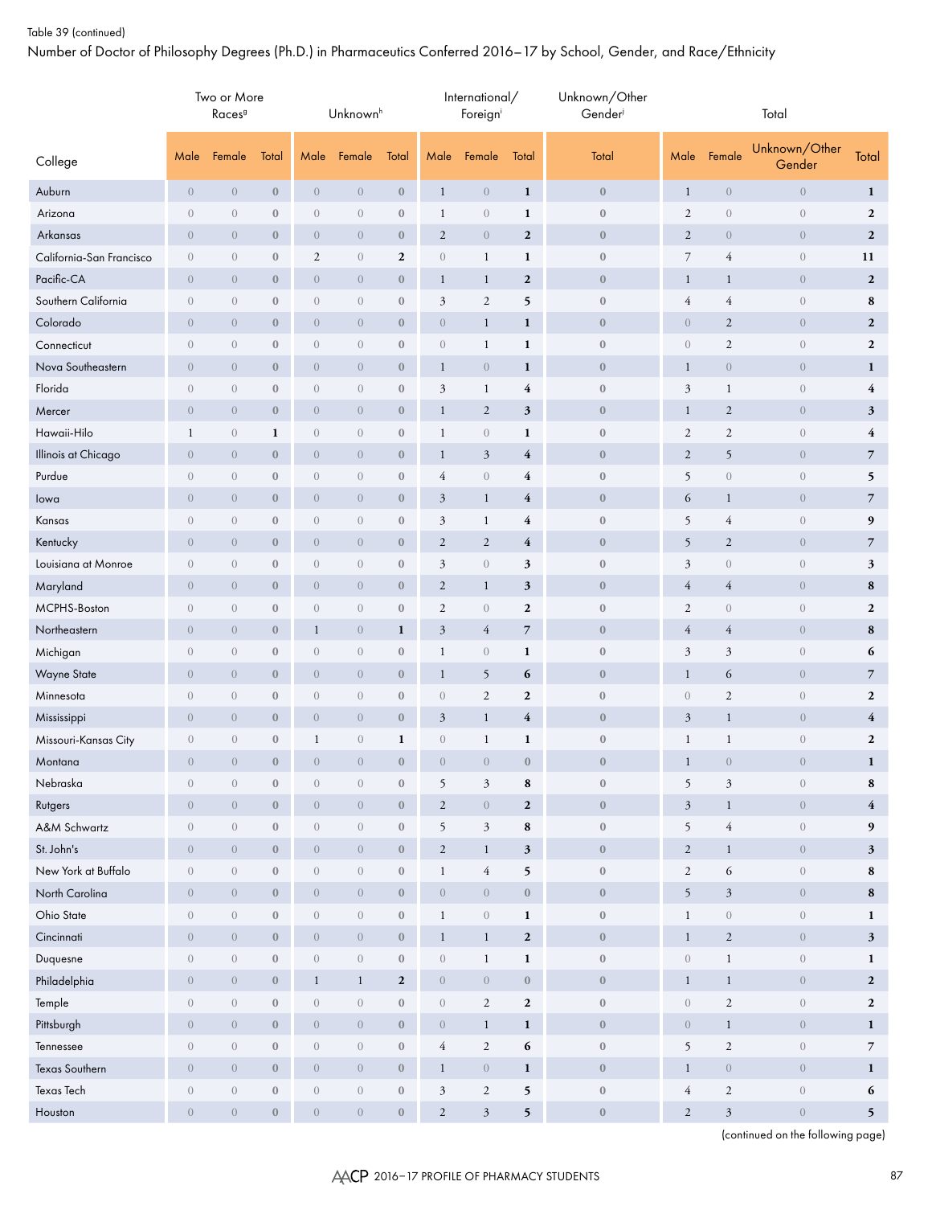## Table 39 (continued)

Number of Doctor of Philosophy Degrees (Ph.D.) in Pharmaceutics Conferred 2016–17 by School, Gender, and Race/Ethnicity

|                          | Two or More<br>Races <sup>9</sup> |                  |                  |                  | Unknown <sup>h</sup> |                  |                  | International/<br>Foreigni |                  | Unknown/Other<br>Gender | Total            |                  |                         |                         |  |  |
|--------------------------|-----------------------------------|------------------|------------------|------------------|----------------------|------------------|------------------|----------------------------|------------------|-------------------------|------------------|------------------|-------------------------|-------------------------|--|--|
| College                  | Male                              | Female           | Total            | Male             | Female               | Total            | Male             | Female                     | Total            | Total                   | Male             | Female           | Unknown/Other<br>Gender | Total                   |  |  |
| Auburn                   | $\overline{0}$                    | $\boldsymbol{0}$ | $\boldsymbol{0}$ | $\overline{0}$   | $\boldsymbol{0}$     | $\boldsymbol{0}$ | $\mathbf{1}$     | $\sqrt{a}$                 | $\mathbf{1}$     | $\bf{0}$                | $\mathbf{1}$     | $\boldsymbol{0}$ | $\boldsymbol{0}$        | $\mathbf{1}$            |  |  |
| Arizona                  | $\boldsymbol{0}$                  | $\theta$         | $\boldsymbol{0}$ | $\boldsymbol{0}$ | $\theta$             | $\bf 0$          | $\mathbf{1}$     | $\sqrt{a}$                 | $\mathbf{1}$     | $\boldsymbol{0}$        | $\sqrt{2}$       | $\boldsymbol{0}$ | $\boldsymbol{0}$        | $\overline{2}$          |  |  |
| Arkansas                 | $\overline{0}$                    | $\overline{0}$   | $\boldsymbol{0}$ | $\overline{0}$   | $\overline{0}$       | $\boldsymbol{0}$ | $\mathbf{2}$     | $\overline{0}$             | $\boldsymbol{2}$ | $\boldsymbol{0}$        | $\mathbf{2}$     | $\overline{0}$   | $\sqrt{0}$              | $\overline{2}$          |  |  |
| California-San Francisco | $\boldsymbol{0}$                  | $\boldsymbol{0}$ | $\boldsymbol{0}$ | $\mathbf{2}$     | $\theta$             | $\boldsymbol{2}$ | $\boldsymbol{0}$ | $\mathbf{1}$               | $\mathbf{1}$     | $\boldsymbol{0}$        | $\overline{7}$   | 4                | $\boldsymbol{0}$        | 11                      |  |  |
| Pacific-CA               | $\overline{0}$                    | $\overline{0}$   | $\boldsymbol{0}$ | $\overline{0}$   | $\overline{0}$       | $\boldsymbol{0}$ | $\mathbf{1}$     | $\mathbf{1}$               | $\boldsymbol{2}$ | $\boldsymbol{0}$        | $\mathbf{1}$     | $\mathbf{1}$     | $\boldsymbol{0}$        | $\boldsymbol{2}$        |  |  |
| Southern California      | $\boldsymbol{0}$                  | $\overline{0}$   | $\boldsymbol{0}$ | $\overline{0}$   | $\overline{0}$       | $\boldsymbol{0}$ | 3                | $\mathfrak{2}$             | 5                | $\boldsymbol{0}$        | $\overline{4}$   | $\overline{4}$   | $\boldsymbol{0}$        | 8                       |  |  |
| Colorado                 | $\overline{0}$                    | $\overline{0}$   | $\boldsymbol{0}$ | $\overline{0}$   | $\overline{0}$       | $\boldsymbol{0}$ | $\overline{0}$   | $\mathbf{1}$               | $\mathbf{1}$     | $\boldsymbol{0}$        | $\,0\,$          | $\overline{c}$   | $\boldsymbol{0}$        | $\overline{2}$          |  |  |
| Connecticut              | $\boldsymbol{0}$                  | $\overline{0}$   | $\boldsymbol{0}$ | $\mathbf{0}$     | $\overline{0}$       | $\boldsymbol{0}$ | $\boldsymbol{0}$ | $\mathbf{1}$               | $\mathbf{1}$     | $\boldsymbol{0}$        | $\mathbf{0}$     | $\mathfrak{2}$   | $\theta$                | $\mathbf{2}$            |  |  |
| Nova Southeastern        | $\sqrt{0}$                        | $\sqrt{0}$       | $\boldsymbol{0}$ | $\sqrt{0}$       | $\overline{0}$       | $\boldsymbol{0}$ | $\mathbf{1}$     | $\overline{0}$             | $\mathbf{1}$     | $\boldsymbol{0}$        | $\mathbf{1}$     | $\boldsymbol{0}$ | $\boldsymbol{0}$        | $\mathbf{1}$            |  |  |
| Florida                  | $\boldsymbol{0}$                  | $\theta$         | $\boldsymbol{0}$ | $\boldsymbol{0}$ | $\overline{0}$       | $\boldsymbol{0}$ | 3                | $\mathbf{1}$               | 4                | $\boldsymbol{0}$        | $\mathfrak{Z}$   | $\mathbf{1}$     | $\boldsymbol{0}$        | $\overline{\mathbf{4}}$ |  |  |
| Mercer                   | $\overline{0}$                    | $\sqrt{0}$       | $\boldsymbol{0}$ | $\sqrt{0}$       | $\overline{0}$       | $\boldsymbol{0}$ | $\mathbf{1}$     | $\boldsymbol{2}$           | $\mathbf{3}$     | $\boldsymbol{0}$        | $\mathbf{1}$     | 2                | $\sqrt{0}$              | $\mathfrak{z}$          |  |  |
| Hawaii-Hilo              | $\mathbf{1}$                      | $\theta$         | $\mathbf{1}$     | $\boldsymbol{0}$ | $\sqrt{a}$           | $\bf 0$          | $\mathbf{1}$     | $\boldsymbol{0}$           | $\mathbf{1}$     | $\boldsymbol{0}$        | $\sqrt{2}$       | $\mathfrak{2}$   | $\boldsymbol{0}$        | $\overline{\mathbf{4}}$ |  |  |
| Illinois at Chicago      | $\mathbf{0}$                      | $\overline{0}$   | $\boldsymbol{0}$ | $\overline{0}$   | $\overline{0}$       | $\boldsymbol{0}$ | $\mathbf{1}$     | $\mathfrak{Z}$             | $\overline{4}$   | $\bf{0}$                | $\overline{c}$   | 5                | $\sqrt{0}$              | $\overline{7}$          |  |  |
| Purdue                   | $\sqrt{a}$                        | $\theta$         | $\boldsymbol{0}$ | $\boldsymbol{0}$ | $\boldsymbol{0}$     | $\boldsymbol{0}$ | 4                | $\boldsymbol{0}$           | 4                | $\boldsymbol{0}$        | 5                | $\boldsymbol{0}$ | $\boldsymbol{0}$        | 5                       |  |  |
| lowa                     | $\sqrt{0}$                        | $\overline{0}$   | $\boldsymbol{0}$ | $\boldsymbol{0}$ | $\overline{0}$       | $\bf 0$          | $\mathfrak{Z}$   | $\mathbf{1}$               | 4                | $\boldsymbol{0}$        | 6                | $\mathbf{1}$     | $\boldsymbol{0}$        | $\overline{7}$          |  |  |
| Kansas                   | $\boldsymbol{0}$                  | $\overline{0}$   | $\boldsymbol{0}$ | $\sqrt{a}$       | $\overline{0}$       | $\boldsymbol{0}$ | 3                | $\mathbf{1}$               | 4                | $\boldsymbol{0}$        | 5                | $\overline{4}$   | $\boldsymbol{0}$        | $\boldsymbol{9}$        |  |  |
| Kentucky                 | $\overline{0}$                    | $\overline{0}$   | $\boldsymbol{0}$ | $\overline{0}$   | $\overline{0}$       | $\boldsymbol{0}$ | $\mathbf{2}$     | $\overline{2}$             | $\overline{4}$   | $\boldsymbol{0}$        | 5                | $\sqrt{2}$       | $\boldsymbol{0}$        | $\overline{7}$          |  |  |
| Louisiana at Monroe      | $\sqrt{a}$                        | $\overline{0}$   | $\boldsymbol{0}$ | $\overline{0}$   | $\overline{0}$       | $\boldsymbol{0}$ | 3                | $\sqrt{a}$                 | 3                | $\boldsymbol{0}$        | 3                | $\overline{0}$   | $\overline{0}$          | 3                       |  |  |
| Maryland                 | $\overline{0}$                    | $\overline{0}$   | $\boldsymbol{0}$ | $\boldsymbol{0}$ | $\overline{0}$       | $\boldsymbol{0}$ | $\mathbf{2}$     | $\mathbf{1}$               | $\mathbf{3}$     | $\boldsymbol{0}$        | $\overline{4}$   | $\overline{4}$   | $\theta$                | ${\bf 8}$               |  |  |
| MCPHS-Boston             | $\boldsymbol{0}$                  | $\overline{0}$   | $\boldsymbol{0}$ | $\mathbf{0}$     | $\overline{0}$       | $\boldsymbol{0}$ | $\mathfrak{2}$   | $\theta$                   | $\boldsymbol{2}$ | $\boldsymbol{0}$        | $\sqrt{2}$       | $\sqrt{a}$       | $\,0\,$                 | $\boldsymbol{2}$        |  |  |
| Northeastern             | $\overline{0}$                    | $\overline{0}$   | $\boldsymbol{0}$ | $\mathbf{1}$     | $\overline{0}$       | 1                | $\mathfrak{Z}$   | $\overline{4}$             | $\overline{7}$   | $\boldsymbol{0}$        | $\overline{4}$   | $\overline{4}$   | $\overline{0}$          | 8                       |  |  |
| Michigan                 | $\boldsymbol{0}$                  | $\sqrt{a}$       | $\boldsymbol{0}$ | $\boldsymbol{0}$ | $\overline{0}$       | $\boldsymbol{0}$ | $\mathbf 1$      | $\sqrt{a}$                 | $\mathbf{1}$     | $\boldsymbol{0}$        | $\mathfrak{Z}$   | $\mathfrak{Z}$   | $\,0\,$                 | 6                       |  |  |
| Wayne State              | $\overline{0}$                    | $\overline{0}$   | $\boldsymbol{0}$ | $\overline{0}$   | $\overline{0}$       | $\boldsymbol{0}$ | $\mathbf{1}$     | 5                          | 6                | $\bf{0}$                | $\mathbf{1}$     | 6                | $\overline{0}$          | $\overline{7}$          |  |  |
| Minnesota                | $\sqrt{a}$                        | $\sqrt{a}$       | $\boldsymbol{0}$ | $\boldsymbol{0}$ | $\boldsymbol{0}$     | $\boldsymbol{0}$ | $\boldsymbol{0}$ | $\overline{2}$             | $\boldsymbol{2}$ | $\boldsymbol{0}$        | $\theta$         | $\sqrt{2}$       | $\,0\,$                 | $\boldsymbol{2}$        |  |  |
| Mississippi              | $\overline{0}$                    | $\overline{0}$   | $\boldsymbol{0}$ | $\boldsymbol{0}$ | $\overline{0}$       | $\boldsymbol{0}$ | $\mathfrak{Z}$   | $\mathbf{1}$               | $\overline{4}$   | $\boldsymbol{0}$        | $\mathfrak{Z}$   | $\mathbf{1}$     | $\boldsymbol{0}$        | $\overline{\mathbf{4}}$ |  |  |
| Missouri-Kansas City     | $\overline{0}$                    | $\overline{0}$   | $\boldsymbol{0}$ | $\mathbf{1}$     | $\overline{0}$       | 1                | $\boldsymbol{0}$ | $\mathbf{1}$               | 1                | $\boldsymbol{0}$        | $\mathbf{1}$     | $\mathbf{1}$     | $\boldsymbol{0}$        | $\boldsymbol{2}$        |  |  |
| Montana                  | $\boldsymbol{0}$                  | $\overline{0}$   | $\boldsymbol{0}$ | $\boldsymbol{0}$ | $\overline{0}$       | $\mathbf{0}$     | $\boldsymbol{0}$ | $\overline{0}$             | $\boldsymbol{0}$ | $\boldsymbol{0}$        | $\mathbf{1}$     | $\boldsymbol{0}$ | $\boldsymbol{0}$        | $\mathbf{1}$            |  |  |
| Nebraska                 | $\boldsymbol{0}$                  | $\boldsymbol{0}$ | $\mathbf{0}$     | $\boldsymbol{0}$ | $\overline{0}$       | $\boldsymbol{0}$ | 5                | $\mathfrak{Z}$             | 8                | $\boldsymbol{0}$        | 5                | $\mathfrak{Z}$   | $\boldsymbol{0}$        | 8                       |  |  |
| Rutgers                  | $\sqrt{a}$                        | $\overline{0}$   | $\mathbf{0}$     | $\overline{0}$   | $\overline{0}$       | $\bf 0$          | $\overline{2}$   | $\,0\,$                    | $\overline{2}$   | $\boldsymbol{0}$        | $\mathfrak{Z}$   | $\mathbf{1}$     | $\boldsymbol{0}$        | $\overline{4}$          |  |  |
| A&M Schwartz             | $\boldsymbol{0}$                  | $\sqrt{a}$       | $\boldsymbol{0}$ | $\boldsymbol{0}$ | $\overline{0}$       | $\boldsymbol{0}$ | 5                | $\mathfrak{Z}$             | $\bf8$           | $\boldsymbol{0}$        | 5                | $\sqrt{4}$       | $\boldsymbol{0}$        | $\boldsymbol{9}$        |  |  |
| St. John's               | $\overline{0}$                    | $\overline{0}$   | $\boldsymbol{0}$ | $\overline{0}$   | $\overline{0}$       | $\boldsymbol{0}$ | $\sqrt{2}$       | $\mathbf{1}$               | $\mathbf{3}$     | $\boldsymbol{0}$        | $\sqrt{2}$       | $\mathbf{1}$     | $\boldsymbol{0}$        | $\mathbf{3}$            |  |  |
| New York at Buffalo      | $\boldsymbol{0}$                  | $\sqrt{a}$       | $\boldsymbol{0}$ | $\boldsymbol{0}$ | $\boldsymbol{0}$     | $\boldsymbol{0}$ | $\mathbf{1}$     | $\overline{4}$             | 5                | $\boldsymbol{0}$        | $\sqrt{2}$       | 6                | $\boldsymbol{0}$        | 8                       |  |  |
| North Carolina           | $\overline{0}$                    | $\overline{0}$   | $\boldsymbol{0}$ | $\overline{0}$   | $\overline{0}$       | $\boldsymbol{0}$ | $\boldsymbol{0}$ | $\boldsymbol{0}$           | $\boldsymbol{0}$ | $\boldsymbol{0}$        | $\mathfrak{h}$   | $\mathfrak{Z}$   | $\boldsymbol{0}$        | 8                       |  |  |
| Ohio State               | $\overline{0}$                    | $\sqrt{a}$       | $\boldsymbol{0}$ | $\boldsymbol{0}$ | $\overline{0}$       | $\boldsymbol{0}$ | $\mathbf{1}$     | $\sqrt{a}$                 | $\mathbf{1}$     | $\boldsymbol{0}$        | $\mathbf{1}$     | $\boldsymbol{0}$ | $\boldsymbol{0}$        | $\mathbf{1}$            |  |  |
| Cincinnati               | $\overline{0}$                    | $\overline{0}$   | $\mathbf{0}$     | $\overline{0}$   | $\overline{0}$       | $\boldsymbol{0}$ | $\mathbf{1}$     | $\mathbf{1}$               | $\boldsymbol{2}$ | $\boldsymbol{0}$        | $\mathbf{1}$     | $\overline{2}$   | $\overline{0}$          | $3\overline{)}$         |  |  |
| Duquesne                 | $\boldsymbol{0}$                  | $\boldsymbol{0}$ | $\boldsymbol{0}$ | $\overline{0}$   | $\overline{0}$       | $\boldsymbol{0}$ | $\boldsymbol{0}$ | $\mathbf{1}$               | $\mathbf{1}$     | $\boldsymbol{0}$        | $\boldsymbol{0}$ | $\mathbf{1}$     | $\boldsymbol{0}$        | $\mathbf{1}$            |  |  |
| Philadelphia             | $\overline{0}$                    | $\overline{0}$   | $\mathbf{0}$     | $\mathbf{1}$     | $\mathbf{1}$         | $\mathbf{2}$     | $\boldsymbol{0}$ | $\sqrt{ }$                 | $\bf 0$          | $\boldsymbol{0}$        | $\mathbf{1}$     | $\mathbf{1}$     | $\overline{0}$          | $\overline{2}$          |  |  |
| Temple                   | $\sqrt{a}$                        | $\overline{0}$   | $\mathbf{0}$     | $\overline{0}$   | $\overline{0}$       | $\boldsymbol{0}$ | $\boldsymbol{0}$ | $\overline{2}$             | $\boldsymbol{2}$ | $\boldsymbol{0}$        | $\sqrt{a}$       | $\mathbf{2}$     | $\boldsymbol{0}$        | $\mathbf{2}$            |  |  |
| Pittsburgh               | $\overline{0}$                    | $\overline{0}$   | $\mathbf{0}$     | $\overline{0}$   | $\overline{0}$       | $\bf 0$          | $\boldsymbol{0}$ | $\mathbf{1}$               | $\mathbf 1$      | $\boldsymbol{0}$        | $\sqrt{a}$       | $\mathbf{1}$     | $\overline{0}$          | $\mathbf{1}$            |  |  |
| Tennessee                | $\boldsymbol{0}$                  | $\overline{0}$   | $\boldsymbol{0}$ | $\boldsymbol{0}$ | $\boldsymbol{0}$     | $\boldsymbol{0}$ | $\overline{4}$   | $\overline{2}$             | $\boldsymbol{6}$ | $\boldsymbol{0}$        | 5                | $\sqrt{2}$       | $\boldsymbol{0}$        | $\overline{7}$          |  |  |
| Texas Southern           | $\overline{0}$                    | $\overline{0}$   | $\boldsymbol{0}$ | $\overline{0}$   | $\overline{0}$       | $\boldsymbol{0}$ | $\mathbf{1}$     | $\boldsymbol{0}$           | $\mathbf{1}$     | $\mathbf 0$             | $\mathbf{1}$     | $\overline{0}$   | $\overline{0}$          | $\mathbf{1}$            |  |  |
| Texas Tech               | $\boldsymbol{0}$                  | $\boldsymbol{0}$ | $\boldsymbol{0}$ | $\boldsymbol{0}$ | $\boldsymbol{0}$     | $\boldsymbol{0}$ | $\mathfrak{Z}$   | $\mathbf{2}$               | $\mathbf 5$      | $\boldsymbol{0}$        | $\overline{4}$   | $\sqrt{2}$       | $\boldsymbol{0}$        | 6                       |  |  |
| Houston                  | $\boldsymbol{0}$                  | $\overline{0}$   | $\mathbf{0}$     | $\overline{0}$   | $\boldsymbol{0}$     | $\boldsymbol{0}$ | $\overline{c}$   | $\mathfrak{Z}$             | $\mathbf 5$      | $\boldsymbol{0}$        | $\sqrt{2}$       | $\mathfrak{Z}$   | $\boldsymbol{0}$        | 5 <sup>5</sup>          |  |  |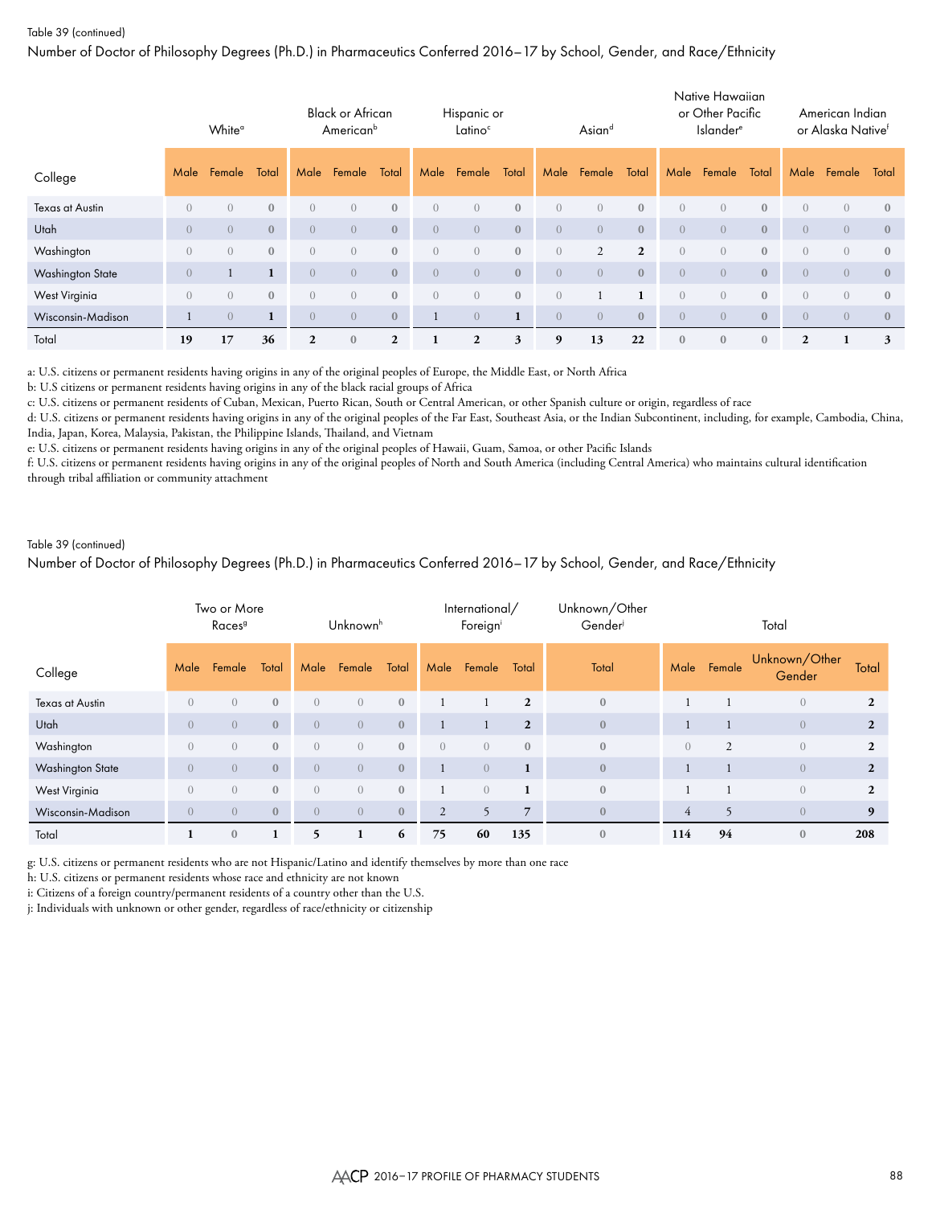## Table 39 (continued)

Number of Doctor of Philosophy Degrees (Ph.D.) in Pharmaceutics Conferred 2016–17 by School, Gender, and Race/Ethnicity

|                         | White <sup>a</sup> |                  |              | <b>Black or African</b><br>American <sup>b</sup> |                  |              | Hispanic or<br>Latino <sup>c</sup> |                |              | Asiand         |                  |                | Native Hawaiian<br>or Other Pacific<br><b>Islander</b> <sup>®</sup> |                |                | American Indian<br>or Alaska Native <sup>f</sup> |                |              |
|-------------------------|--------------------|------------------|--------------|--------------------------------------------------|------------------|--------------|------------------------------------|----------------|--------------|----------------|------------------|----------------|---------------------------------------------------------------------|----------------|----------------|--------------------------------------------------|----------------|--------------|
| College                 | Male               | Female           | Total        | Male                                             | Female           | Total        | Male                               | Female         | Total        | Male           | Female           | Total          | Male                                                                | Female         | Total          | Male                                             | Female         | Total        |
| Texas at Austin         | $\left( \right)$   | $\left( \right)$ | $\mathbf{0}$ | $\overline{0}$                                   | $\left( \right)$ | $\mathbf{0}$ | $\left( \right)$                   | $\overline{0}$ | $\mathbf{0}$ | $\overline{0}$ | $\left( \right)$ | $\mathbf{0}$   | $\overline{0}$                                                      | $\overline{0}$ | $\mathbf{0}$   | $\overline{0}$                                   | $\overline{0}$ | $\mathbf{0}$ |
| Utah                    | $\Omega$           | $\left( \right)$ | $\mathbf{0}$ | $\overline{0}$                                   | $\left( \right)$ | $\mathbf{0}$ | $\left( \right)$                   | $\overline{0}$ | $\mathbf{0}$ | $\left($       | $\overline{0}$   | $\mathbf{0}$   | $\left( \right)$                                                    | $\overline{0}$ | $\overline{0}$ | $\bigcirc$                                       | $\overline{0}$ | $\mathbf{0}$ |
| Washington              | $\left( \right)$   | $\left( \right)$ | $\mathbf{0}$ | $\overline{0}$                                   | $\overline{0}$   | $\mathbf{0}$ | $\left( \right)$                   | $\overline{0}$ | $\mathbf{0}$ | $\overline{0}$ | $\overline{2}$   | $\overline{2}$ | $\overline{0}$                                                      | $\overline{0}$ | $\mathbf{0}$   | $\overline{0}$                                   | $\overline{0}$ | $\mathbf{0}$ |
| <b>Washington State</b> | $\left($           |                  | $\mathbf{1}$ | $\overline{0}$                                   | $\overline{0}$   | $\mathbf{0}$ | $\left( \right)$                   | $\overline{0}$ | $\mathbf{0}$ | $\overline{0}$ | $\overline{0}$   | $\mathbf{0}$   | $\overline{0}$                                                      | $\overline{0}$ | $\overline{0}$ | $\overline{0}$                                   | $\overline{0}$ | $\mathbf{0}$ |
| West Virginia           | $\left( \right)$   | $\left( \right)$ | $\mathbf{0}$ | $\overline{0}$                                   | $\left( \right)$ | $\mathbf{0}$ | $\left( \right)$                   | $\sqrt{a}$     | $\mathbf{0}$ | $\overline{0}$ |                  |                | $\overline{0}$                                                      | $\overline{0}$ | $\mathbf{0}$   | $\overline{0}$                                   | $\overline{0}$ | $\mathbf{0}$ |
| Wisconsin-Madison       |                    | $\overline{0}$   | 1            | $\overline{0}$                                   | $\overline{0}$   | $\mathbf{0}$ |                                    | $\overline{0}$ |              | $\overline{0}$ | $\overline{0}$   | $\mathbf{0}$   | $\overline{0}$                                                      | $\overline{0}$ | $\mathbf{0}$   | $\overline{0}$                                   | $\overline{0}$ | $\mathbf{0}$ |
| Total                   | 19                 | 17               | 36           | $\mathbf{2}$                                     | $\mathbf{0}$     | $\mathbf{2}$ |                                    | 2              | 3            | 9              | 13               | 22             | $\mathbf{0}$                                                        | $\mathbf{0}$   | $\mathbf{0}$   | $\overline{2}$                                   |                | 3            |

a: U.S. citizens or permanent residents having origins in any of the original peoples of Europe, the Middle East, or North Africa

b: U.S citizens or permanent residents having origins in any of the black racial groups of Africa

c: U.S. citizens or permanent residents of Cuban, Mexican, Puerto Rican, South or Central American, or other Spanish culture or origin, regardless of race

d: U.S. citizens or permanent residents having origins in any of the original peoples of the Far East, Southeast Asia, or the Indian Subcontinent, including, for example, Cambodia, China, India, Japan, Korea, Malaysia, Pakistan, the Philippine Islands, Thailand, and Vietnam

e: U.S. citizens or permanent residents having origins in any of the original peoples of Hawaii, Guam, Samoa, or other Pacific Islands

f: U.S. citizens or permanent residents having origins in any of the original peoples of North and South America (including Central America) who maintains cultural identification through tribal affiliation or community attachment

## Table 39 (continued)

Number of Doctor of Philosophy Degrees (Ph.D.) in Pharmaceutics Conferred 2016–17 by School, Gender, and Race/Ethnicity

|                   | Two or More<br>Races <sup>9</sup> |                  |              | Unknownh         |                |              |                | International/<br>Foreigni |                | Unknown/Other<br>Gender | Total          |                |                         |                |  |
|-------------------|-----------------------------------|------------------|--------------|------------------|----------------|--------------|----------------|----------------------------|----------------|-------------------------|----------------|----------------|-------------------------|----------------|--|
| College           | Male                              | Female           | Total        | Male             | Female         | Total        | Male           | Female                     | Total          | Total                   | Male           | Female         | Unknown/Other<br>Gender | Total          |  |
| Texas at Austin   | $\Omega$                          | $\overline{0}$   | $\mathbf{0}$ | $\overline{0}$   | $\overline{0}$ | $\mathbf{0}$ |                |                            | $\overline{2}$ | $\mathbf{0}$            |                |                | $\mathbf{0}$            | $\mathbf{2}$   |  |
| Utah              | $\Omega$                          | $\overline{0}$   | $\mathbf{0}$ | $\overline{0}$   | $\overline{0}$ | $\mathbf{0}$ |                |                            | $\overline{2}$ | $\mathbf{0}$            |                |                | $\overline{0}$          | $\overline{2}$ |  |
| Washington        | $\Omega$                          | $\overline{0}$   | $\mathbf{0}$ | $\overline{0}$   | $\overline{0}$ | $\bf 0$      | $\overline{0}$ | $\overline{0}$             | $\mathbf{0}$   | $\mathbf{0}$            | $\overline{0}$ | $\overline{2}$ | $\mathbf{0}$            | $\mathbf{2}$   |  |
| Washington State  | $\left( \right)$                  | $\overline{0}$   | $\mathbf{0}$ | $\overline{0}$   | $\overline{0}$ | $\mathbf{0}$ |                | $\overline{0}$             | $\mathbf{1}$   | $\boldsymbol{0}$        |                |                | $\overline{0}$          | $\mathbf{2}$   |  |
| West Virginia     | $\Omega$                          | $\overline{0}$   | $\mathbf{0}$ | $\overline{0}$   | $\overline{0}$ | $\mathbf{0}$ |                | $\left( \right)$           | $\mathbf{1}$   | $\mathbf{0}$            |                |                | $\overline{0}$          | $\mathbf{2}$   |  |
| Wisconsin-Madison | $\left( \right)$                  | $\left( \right)$ | $\mathbf{0}$ | $\left( \right)$ | $\overline{0}$ | $\mathbf{0}$ | 2              | 5                          | $\overline{7}$ | $\mathbf{0}$            | $\overline{4}$ | 5              | $\overline{0}$          | 9              |  |
| Total             | 1                                 | $\mathbf{0}$     |              | 5                |                | 6            | 75             | 60                         | 135            | $\mathbf{0}$            | 114            | 94             | $\mathbf{0}$            | 208            |  |

g: U.S. citizens or permanent residents who are not Hispanic/Latino and identify themselves by more than one race

h: U.S. citizens or permanent residents whose race and ethnicity are not known

i: Citizens of a foreign country/permanent residents of a country other than the U.S.

j: Individuals with unknown or other gender, regardless of race/ethnicity or citizenship